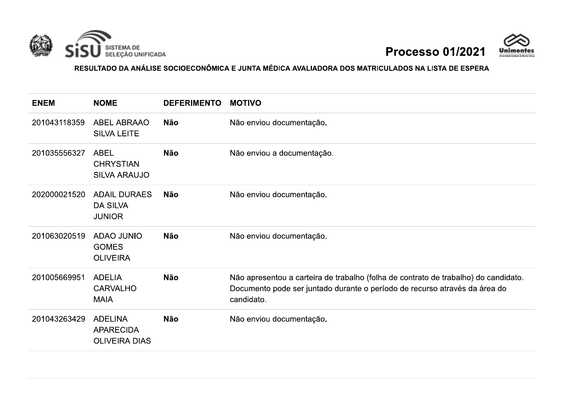



RESULTADO DA ANÁLISE SOCIOECONÔMICA E JUNTA MÉDICA AVALIADORA DOS MATRICULADOS NA LISTA DE ESPERA

| <b>ENEM</b>  | <b>NOME</b>                                                | <b>DEFERIMENTO</b> | <b>MOTIVO</b>                                                                                                                                                                   |
|--------------|------------------------------------------------------------|--------------------|---------------------------------------------------------------------------------------------------------------------------------------------------------------------------------|
| 201043118359 | <b>ABEL ABRAAO</b><br><b>SILVA LEITE</b>                   | <b>Não</b>         | Não enviou documentação.                                                                                                                                                        |
| 201035556327 | <b>ABEL</b><br><b>CHRYSTIAN</b><br><b>SILVA ARAUJO</b>     | <b>Não</b>         | Não enviou a documentação.                                                                                                                                                      |
| 202000021520 | <b>ADAIL DURAES</b><br><b>DA SILVA</b><br><b>JUNIOR</b>    | <b>Não</b>         | Não enviou documentação.                                                                                                                                                        |
| 201063020519 | <b>ADAO JUNIO</b><br><b>GOMES</b><br><b>OLIVEIRA</b>       | <b>Não</b>         | Não enviou documentação.                                                                                                                                                        |
| 201005669951 | <b>ADELIA</b><br><b>CARVALHO</b><br><b>MAIA</b>            | <b>Não</b>         | Não apresentou a carteira de trabalho (folha de contrato de trabalho) do candidato.<br>Documento pode ser juntado durante o período de recurso através da área do<br>candidato. |
| 201043263429 | <b>ADELINA</b><br><b>APARECIDA</b><br><b>OLIVEIRA DIAS</b> | <b>Não</b>         | Não enviou documentação.                                                                                                                                                        |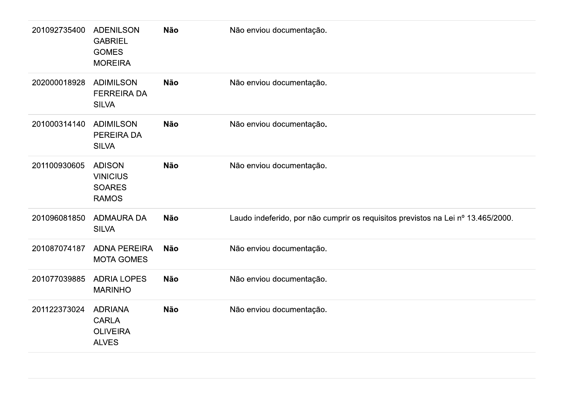| 201092735400 | <b>ADENILSON</b><br><b>GABRIEL</b><br><b>GOMES</b><br><b>MOREIRA</b> | <b>Não</b> | Não enviou documentação.                                                         |
|--------------|----------------------------------------------------------------------|------------|----------------------------------------------------------------------------------|
| 202000018928 | <b>ADIMILSON</b><br><b>FERREIRA DA</b><br><b>SILVA</b>               | <b>Não</b> | Não enviou documentação.                                                         |
| 201000314140 | <b>ADIMILSON</b><br>PEREIRA DA<br><b>SILVA</b>                       | <b>Não</b> | Não enviou documentação.                                                         |
| 201100930605 | <b>ADISON</b><br><b>VINICIUS</b><br><b>SOARES</b><br><b>RAMOS</b>    | <b>Não</b> | Não enviou documentação.                                                         |
| 201096081850 | <b>ADMAURA DA</b><br><b>SILVA</b>                                    | <b>Não</b> | Laudo indeferido, por não cumprir os requisitos previstos na Lei nº 13.465/2000. |
| 201087074187 | <b>ADNA PEREIRA</b><br><b>MOTA GOMES</b>                             | <b>Não</b> | Não enviou documentação.                                                         |
| 201077039885 | <b>ADRIA LOPES</b><br><b>MARINHO</b>                                 | <b>Não</b> | Não enviou documentação.                                                         |
| 201122373024 | <b>ADRIANA</b><br><b>CARLA</b><br><b>OLIVEIRA</b><br><b>ALVES</b>    | <b>Não</b> | Não enviou documentação.                                                         |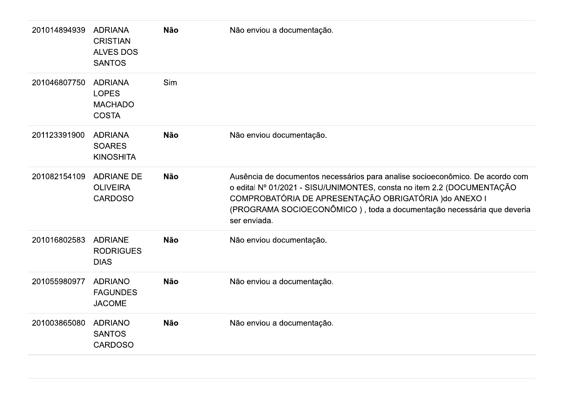| 201014894939 | <b>ADRIANA</b><br><b>CRISTIAN</b><br><b>ALVES DOS</b><br><b>SANTOS</b> | <b>Não</b> | Não enviou a documentação.                                                                                                                                                                                                                                                                                 |
|--------------|------------------------------------------------------------------------|------------|------------------------------------------------------------------------------------------------------------------------------------------------------------------------------------------------------------------------------------------------------------------------------------------------------------|
| 201046807750 | <b>ADRIANA</b><br><b>LOPES</b><br><b>MACHADO</b><br><b>COSTA</b>       | Sim        |                                                                                                                                                                                                                                                                                                            |
| 201123391900 | <b>ADRIANA</b><br><b>SOARES</b><br><b>KINOSHITA</b>                    | <b>Não</b> | Não enviou documentação.                                                                                                                                                                                                                                                                                   |
| 201082154109 | <b>ADRIANE DE</b><br><b>OLIVEIRA</b><br><b>CARDOSO</b>                 | <b>Não</b> | Ausência de documentos necessários para analise socioeconômico. De acordo com<br>o edital Nº 01/2021 - SISU/UNIMONTES, consta no item 2.2 (DOCUMENTAÇÃO<br>COMPROBATÓRIA DE APRESENTAÇÃO OBRIGATÓRIA ) do ANEXO I<br>(PROGRAMA SOCIOECONÔMICO), toda a documentação necessária que deveria<br>ser enviada. |
| 201016802583 | <b>ADRIANE</b><br><b>RODRIGUES</b><br><b>DIAS</b>                      | <b>Não</b> | Não enviou documentação.                                                                                                                                                                                                                                                                                   |
| 201055980977 | <b>ADRIANO</b><br><b>FAGUNDES</b><br><b>JACOME</b>                     | <b>Não</b> | Não enviou a documentação.                                                                                                                                                                                                                                                                                 |
| 201003865080 | <b>ADRIANO</b><br><b>SANTOS</b><br><b>CARDOSO</b>                      | <b>Não</b> | Não enviou a documentação.                                                                                                                                                                                                                                                                                 |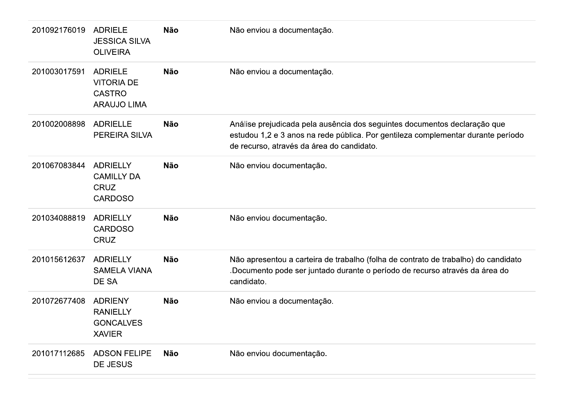| 201092176019 | <b>ADRIELE</b><br><b>JESSICA SILVA</b><br><b>OLIVEIRA</b>                  | Não        | Não enviou a documentação.                                                                                                                                                                                 |
|--------------|----------------------------------------------------------------------------|------------|------------------------------------------------------------------------------------------------------------------------------------------------------------------------------------------------------------|
| 201003017591 | <b>ADRIELE</b><br><b>VITORIA DE</b><br><b>CASTRO</b><br><b>ARAUJO LIMA</b> | <b>Não</b> | Não enviou a documentação.                                                                                                                                                                                 |
| 201002008898 | <b>ADRIELLE</b><br>PEREIRA SILVA                                           | <b>Não</b> | Análise prejudicada pela ausência dos seguintes documentos declaração que<br>estudou 1,2 e 3 anos na rede pública. Por gentileza complementar durante período<br>de recurso, através da área do candidato. |
| 201067083844 | <b>ADRIELLY</b><br><b>CAMILLY DA</b><br><b>CRUZ</b><br><b>CARDOSO</b>      | Não        | Não enviou documentação.                                                                                                                                                                                   |
| 201034088819 | <b>ADRIELLY</b><br><b>CARDOSO</b><br><b>CRUZ</b>                           | Não        | Não enviou documentação.                                                                                                                                                                                   |
| 201015612637 | <b>ADRIELLY</b><br><b>SAMELA VIANA</b><br>DE SA                            | <b>Não</b> | Não apresentou a carteira de trabalho (folha de contrato de trabalho) do candidato<br>Documento pode ser juntado durante o período de recurso através da área do<br>candidato.                             |
| 201072677408 | <b>ADRIENY</b><br><b>RANIELLY</b><br><b>GONCALVES</b><br><b>XAVIER</b>     | <b>Não</b> | Não enviou a documentação.                                                                                                                                                                                 |
| 201017112685 | <b>ADSON FELIPE</b><br><b>DE JESUS</b>                                     | <b>Não</b> | Não enviou documentação.                                                                                                                                                                                   |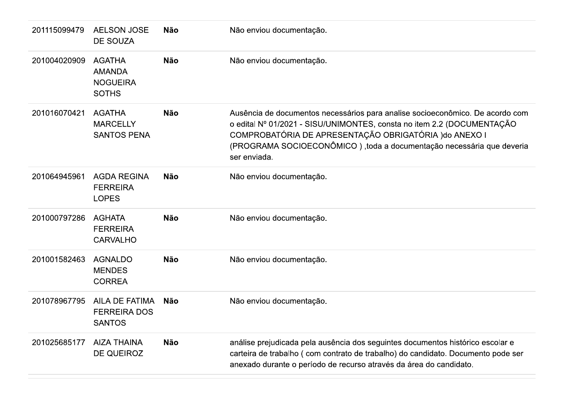| 201115099479 | <b>AELSON JOSE</b><br><b>DE SOUZA</b>                             | <b>Não</b> | Não enviou documentação.                                                                                                                                                                                                                                                                                   |
|--------------|-------------------------------------------------------------------|------------|------------------------------------------------------------------------------------------------------------------------------------------------------------------------------------------------------------------------------------------------------------------------------------------------------------|
| 201004020909 | <b>AGATHA</b><br><b>AMANDA</b><br><b>NOGUEIRA</b><br><b>SOTHS</b> | <b>Não</b> | Não enviou documentação.                                                                                                                                                                                                                                                                                   |
| 201016070421 | <b>AGATHA</b><br><b>MARCELLY</b><br><b>SANTOS PENA</b>            | <b>Não</b> | Ausência de documentos necessários para analise socioeconômico. De acordo com<br>o edital Nº 01/2021 - SISU/UNIMONTES, consta no item 2.2 (DOCUMENTAÇÃO<br>COMPROBATÓRIA DE APRESENTAÇÃO OBRIGATÓRIA ) do ANEXO I<br>(PROGRAMA SOCIOECONÔMICO), toda a documentação necessária que deveria<br>ser enviada. |
| 201064945961 | <b>AGDA REGINA</b><br><b>FERREIRA</b><br><b>LOPES</b>             | <b>Não</b> | Não enviou documentação.                                                                                                                                                                                                                                                                                   |
| 201000797286 | AGHATA<br><b>FERREIRA</b><br><b>CARVALHO</b>                      | <b>Não</b> | Não enviou documentação.                                                                                                                                                                                                                                                                                   |
| 201001582463 | <b>AGNALDO</b><br><b>MENDES</b><br><b>CORREA</b>                  | <b>Não</b> | Não enviou documentação.                                                                                                                                                                                                                                                                                   |
| 201078967795 | AILA DE FATIMA<br><b>FERREIRA DOS</b><br><b>SANTOS</b>            | Não        | Não enviou documentação.                                                                                                                                                                                                                                                                                   |
| 201025685177 | <b>AIZA THAINA</b><br>DE QUEIROZ                                  | <b>Não</b> | análise prejudicada pela ausência dos seguintes documentos histórico escolar e<br>carteira de trabalho (com contrato de trabalho) do candidato. Documento pode ser<br>anexado durante o período de recurso através da área do candidato.                                                                   |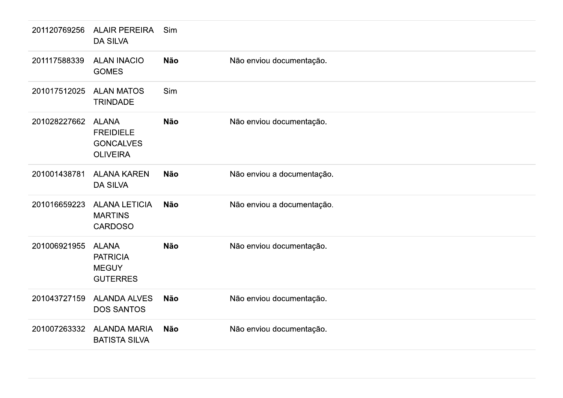| 201120769256 | <b>ALAIR PEREIRA</b><br><b>DA SILVA</b>                                 | Sim        |                            |
|--------------|-------------------------------------------------------------------------|------------|----------------------------|
| 201117588339 | <b>ALAN INACIO</b><br><b>GOMES</b>                                      | <b>Não</b> | Não enviou documentação.   |
| 201017512025 | <b>ALAN MATOS</b><br><b>TRINDADE</b>                                    | Sim        |                            |
| 201028227662 | <b>ALANA</b><br><b>FREIDIELE</b><br><b>GONCALVES</b><br><b>OLIVEIRA</b> | <b>Não</b> | Não enviou documentação.   |
| 201001438781 | <b>ALANA KAREN</b><br><b>DA SILVA</b>                                   | <b>Não</b> | Não enviou a documentação. |
| 201016659223 | <b>ALANA LETICIA</b><br><b>MARTINS</b><br><b>CARDOSO</b>                | <b>Não</b> | Não enviou a documentação. |
| 201006921955 | <b>ALANA</b><br><b>PATRICIA</b><br><b>MEGUY</b><br><b>GUTERRES</b>      | <b>Não</b> | Não enviou documentação.   |
| 201043727159 | <b>ALANDA ALVES</b><br><b>DOS SANTOS</b>                                | <b>Não</b> | Não enviou documentação.   |
| 201007263332 | <b>ALANDA MARIA</b><br><b>BATISTA SILVA</b>                             | <b>Não</b> | Não enviou documentação.   |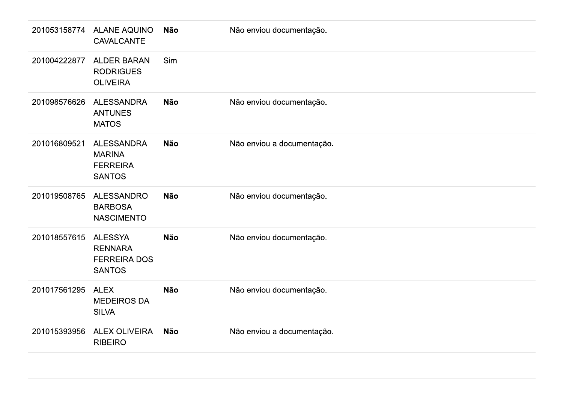| 201053158774 | <b>ALANE AQUINO</b><br><b>CAVALCANTE</b>                                 | <b>Não</b> | Não enviou documentação.   |
|--------------|--------------------------------------------------------------------------|------------|----------------------------|
| 201004222877 | <b>ALDER BARAN</b><br><b>RODRIGUES</b><br><b>OLIVEIRA</b>                | Sim        |                            |
| 201098576626 | <b>ALESSANDRA</b><br><b>ANTUNES</b><br><b>MATOS</b>                      | <b>Não</b> | Não enviou documentação.   |
| 201016809521 | <b>ALESSANDRA</b><br><b>MARINA</b><br><b>FERREIRA</b><br><b>SANTOS</b>   | <b>Não</b> | Não enviou a documentação. |
| 201019508765 | <b>ALESSANDRO</b><br><b>BARBOSA</b><br><b>NASCIMENTO</b>                 | <b>Não</b> | Não enviou documentação.   |
| 201018557615 | <b>ALESSYA</b><br><b>RENNARA</b><br><b>FERREIRA DOS</b><br><b>SANTOS</b> | <b>Não</b> | Não enviou documentação.   |
| 201017561295 | <b>ALEX</b><br><b>MEDEIROS DA</b><br><b>SILVA</b>                        | <b>Não</b> | Não enviou documentação.   |
| 201015393956 | <b>ALEX OLIVEIRA</b><br><b>RIBEIRO</b>                                   | <b>Não</b> | Não enviou a documentação. |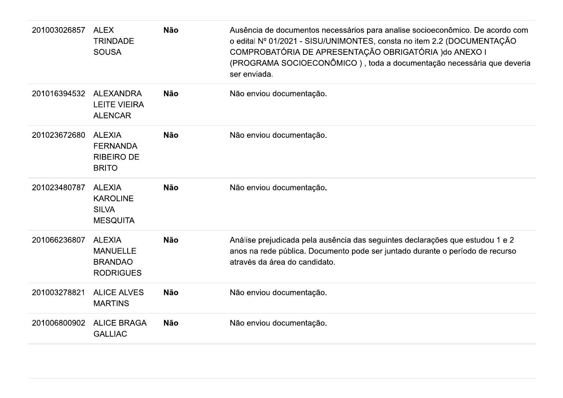| 201003026857 | <b>ALEX</b><br><b>TRINDADE</b><br><b>SOUSA</b>                         | <b>Não</b> | Ausência de documentos necessários para analise socioeconômico. De acordo com<br>o edital Nº 01/2021 - SISU/UNIMONTES, consta no item 2.2 (DOCUMENTAÇÃO<br>COMPROBATÓRIA DE APRESENTAÇÃO OBRIGATÓRIA ) do ANEXO I<br>(PROGRAMA SOCIOECONÔMICO), toda a documentação necessária que deveria<br>ser enviada. |
|--------------|------------------------------------------------------------------------|------------|------------------------------------------------------------------------------------------------------------------------------------------------------------------------------------------------------------------------------------------------------------------------------------------------------------|
| 201016394532 | <b>ALEXANDRA</b><br><b>LEITE VIEIRA</b><br><b>ALENCAR</b>              | <b>Não</b> | Não enviou documentação.                                                                                                                                                                                                                                                                                   |
| 201023672680 | <b>ALEXIA</b><br><b>FERNANDA</b><br><b>RIBEIRO DE</b><br><b>BRITO</b>  | <b>Não</b> | Não enviou documentação.                                                                                                                                                                                                                                                                                   |
| 201023480787 | <b>ALEXIA</b><br><b>KAROLINE</b><br><b>SILVA</b><br><b>MESQUITA</b>    | <b>Não</b> | Não enviou documentação.                                                                                                                                                                                                                                                                                   |
| 201066236807 | <b>ALEXIA</b><br><b>MANUELLE</b><br><b>BRANDAO</b><br><b>RODRIGUES</b> | <b>Não</b> | Análise prejudicada pela ausência das seguintes declarações que estudou 1 e 2<br>anos na rede pública. Documento pode ser juntado durante o período de recurso<br>através da área do candidato.                                                                                                            |
| 201003278821 | <b>ALICE ALVES</b><br><b>MARTINS</b>                                   | <b>Não</b> | Não enviou documentação.                                                                                                                                                                                                                                                                                   |
| 201006800902 | <b>ALICE BRAGA</b><br><b>GALLIAC</b>                                   | <b>Não</b> | Não enviou documentação.                                                                                                                                                                                                                                                                                   |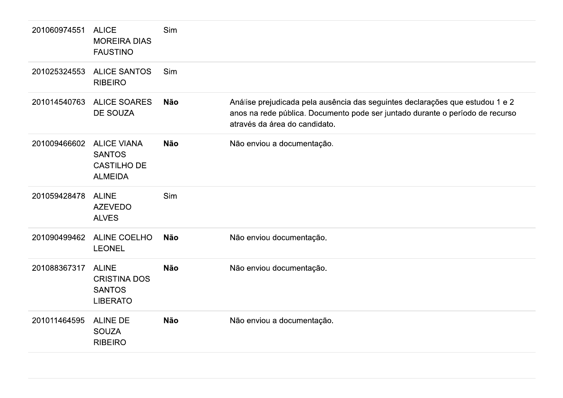| 201060974551 | <b>ALICE</b><br><b>MOREIRA DIAS</b><br><b>FAUSTINO</b>                      | Sim        |                                                                                                                                                                                                 |
|--------------|-----------------------------------------------------------------------------|------------|-------------------------------------------------------------------------------------------------------------------------------------------------------------------------------------------------|
| 201025324553 | <b>ALICE SANTOS</b><br><b>RIBEIRO</b>                                       | Sim        |                                                                                                                                                                                                 |
| 201014540763 | <b>ALICE SOARES</b><br><b>DE SOUZA</b>                                      | <b>Não</b> | Análise prejudicada pela ausência das seguintes declarações que estudou 1 e 2<br>anos na rede pública. Documento pode ser juntado durante o período de recurso<br>através da área do candidato. |
| 201009466602 | <b>ALICE VIANA</b><br><b>SANTOS</b><br><b>CASTILHO DE</b><br><b>ALMEIDA</b> | <b>Não</b> | Não enviou a documentação.                                                                                                                                                                      |
| 201059428478 | <b>ALINE</b><br><b>AZEVEDO</b><br><b>ALVES</b>                              | Sim        |                                                                                                                                                                                                 |
| 201090499462 | <b>ALINE COELHO</b><br><b>LEONEL</b>                                        | <b>Não</b> | Não enviou documentação.                                                                                                                                                                        |
| 201088367317 | <b>ALINE</b><br><b>CRISTINA DOS</b><br><b>SANTOS</b><br><b>LIBERATO</b>     | <b>Não</b> | Não enviou documentação.                                                                                                                                                                        |
| 201011464595 | <b>ALINE DE</b><br><b>SOUZA</b><br><b>RIBEIRO</b>                           | <b>Não</b> | Não enviou a documentação.                                                                                                                                                                      |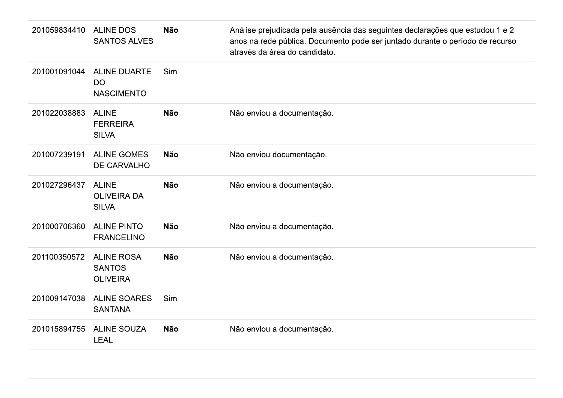| 201059834410 | <b>ALINE DOS</b><br><b>SANTOS ALVES</b>               | <b>Não</b> | Análise prejudicada pela ausência das seguintes declarações que estudou 1 e 2<br>anos na rede pública. Documento pode ser juntado durante o período de recurso<br>através da área do candidato. |
|--------------|-------------------------------------------------------|------------|-------------------------------------------------------------------------------------------------------------------------------------------------------------------------------------------------|
| 201001091044 | <b>ALINE DUARTE</b><br><b>DO</b><br><b>NASCIMENTO</b> | Sim        |                                                                                                                                                                                                 |
| 201022038883 | <b>ALINE</b><br><b>FERREIRA</b><br><b>SILVA</b>       | <b>Não</b> | Não enviou a documentação.                                                                                                                                                                      |
| 201007239191 | <b>ALINE GOMES</b><br>DE CARVALHO                     | <b>Não</b> | Não enviou documentação.                                                                                                                                                                        |
| 201027296437 | <b>ALINE</b><br><b>OLIVEIRA DA</b><br><b>SILVA</b>    | <b>Não</b> | Não enviou a documentação.                                                                                                                                                                      |
| 201000706360 | <b>ALINE PINTO</b><br><b>FRANCELINO</b>               | <b>Não</b> | Não enviou a documentação.                                                                                                                                                                      |
| 201100350572 | <b>ALINE ROSA</b><br><b>SANTOS</b><br><b>OLIVEIRA</b> | <b>Não</b> | Não enviou a documentação.                                                                                                                                                                      |
| 201009147038 | <b>ALINE SOARES</b><br><b>SANTANA</b>                 | Sim        |                                                                                                                                                                                                 |
| 201015894755 | <b>ALINE SOUZA</b><br><b>LEAL</b>                     | <b>Não</b> | Não enviou a documentação.                                                                                                                                                                      |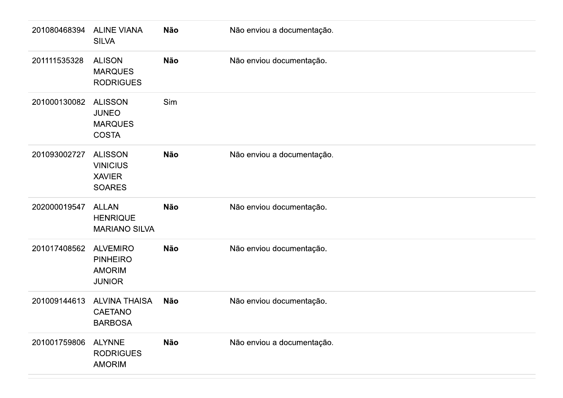| 201080468394 | <b>ALINE VIANA</b><br><b>SILVA</b>                                   | <b>Não</b> | Não enviou a documentação. |
|--------------|----------------------------------------------------------------------|------------|----------------------------|
| 201111535328 | <b>ALISON</b><br><b>MARQUES</b><br><b>RODRIGUES</b>                  | Não        | Não enviou documentação.   |
| 201000130082 | <b>ALISSON</b><br><b>JUNEO</b><br><b>MARQUES</b><br><b>COSTA</b>     | Sim        |                            |
| 201093002727 | <b>ALISSON</b><br><b>VINICIUS</b><br><b>XAVIER</b><br><b>SOARES</b>  | <b>Não</b> | Não enviou a documentação. |
| 202000019547 | <b>ALLAN</b><br><b>HENRIQUE</b><br><b>MARIANO SILVA</b>              | <b>Não</b> | Não enviou documentação.   |
| 201017408562 | <b>ALVEMIRO</b><br><b>PINHEIRO</b><br><b>AMORIM</b><br><b>JUNIOR</b> | <b>Não</b> | Não enviou documentação.   |
| 201009144613 | <b>ALVINA THAISA</b><br>CAETANO<br><b>BARBOSA</b>                    | Não        | Não enviou documentação.   |
| 201001759806 | <b>ALYNNE</b><br><b>RODRIGUES</b><br><b>AMORIM</b>                   | <b>Não</b> | Não enviou a documentação. |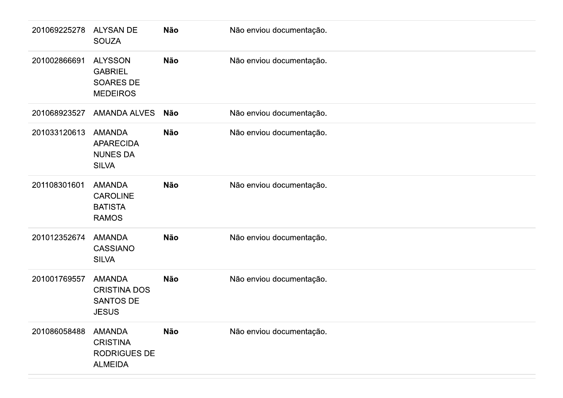| 201069225278 | <b>ALYSAN DE</b><br><b>SOUZA</b>                                          | Não        | Não enviou documentação. |
|--------------|---------------------------------------------------------------------------|------------|--------------------------|
| 201002866691 | <b>ALYSSON</b><br><b>GABRIEL</b><br><b>SOARES DE</b><br><b>MEDEIROS</b>   | Não        | Não enviou documentação. |
| 201068923527 | <b>AMANDA ALVES</b>                                                       | <b>Não</b> | Não enviou documentação. |
| 201033120613 | <b>AMANDA</b><br><b>APARECIDA</b><br><b>NUNES DA</b><br><b>SILVA</b>      | <b>Não</b> | Não enviou documentação. |
| 201108301601 | <b>AMANDA</b><br><b>CAROLINE</b><br><b>BATISTA</b><br><b>RAMOS</b>        | Não        | Não enviou documentação. |
| 201012352674 | <b>AMANDA</b><br>CASSIANO<br><b>SILVA</b>                                 | Não        | Não enviou documentação. |
| 201001769557 | <b>AMANDA</b><br><b>CRISTINA DOS</b><br>SANTOS DE<br><b>JESUS</b>         | Não        | Não enviou documentação. |
| 201086058488 | <b>AMANDA</b><br><b>CRISTINA</b><br><b>RODRIGUES DE</b><br><b>ALMEIDA</b> | Não        | Não enviou documentação. |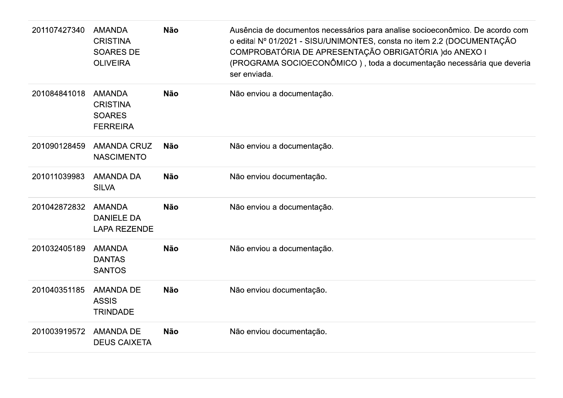| 201107427340 | <b>AMANDA</b><br><b>CRISTINA</b><br><b>SOARES DE</b><br><b>OLIVEIRA</b> | <b>Não</b> | Ausência de documentos necessários para analise socioeconômico. De acordo com<br>o edital Nº 01/2021 - SISU/UNIMONTES, consta no item 2.2 (DOCUMENTAÇÃO<br>COMPROBATÓRIA DE APRESENTAÇÃO OBRIGATÓRIA ) do ANEXO I<br>(PROGRAMA SOCIOECONÔMICO), toda a documentação necessária que deveria<br>ser enviada. |
|--------------|-------------------------------------------------------------------------|------------|------------------------------------------------------------------------------------------------------------------------------------------------------------------------------------------------------------------------------------------------------------------------------------------------------------|
| 201084841018 | <b>AMANDA</b><br><b>CRISTINA</b><br><b>SOARES</b><br><b>FERREIRA</b>    | <b>Não</b> | Não enviou a documentação.                                                                                                                                                                                                                                                                                 |
| 201090128459 | <b>AMANDA CRUZ</b><br><b>NASCIMENTO</b>                                 | <b>Não</b> | Não enviou a documentação.                                                                                                                                                                                                                                                                                 |
| 201011039983 | <b>AMANDA DA</b><br><b>SILVA</b>                                        | <b>Não</b> | Não enviou documentação.                                                                                                                                                                                                                                                                                   |
| 201042872832 | <b>AMANDA</b><br><b>DANIELE DA</b><br><b>LAPA REZENDE</b>               | <b>Não</b> | Não enviou a documentação.                                                                                                                                                                                                                                                                                 |
| 201032405189 | <b>AMANDA</b><br><b>DANTAS</b><br><b>SANTOS</b>                         | <b>Não</b> | Não enviou a documentação.                                                                                                                                                                                                                                                                                 |
| 201040351185 | <b>AMANDA DE</b><br><b>ASSIS</b><br><b>TRINDADE</b>                     | <b>Não</b> | Não enviou documentação.                                                                                                                                                                                                                                                                                   |
| 201003919572 | <b>AMANDA DE</b><br><b>DEUS CAIXETA</b>                                 | <b>Não</b> | Não enviou documentação.                                                                                                                                                                                                                                                                                   |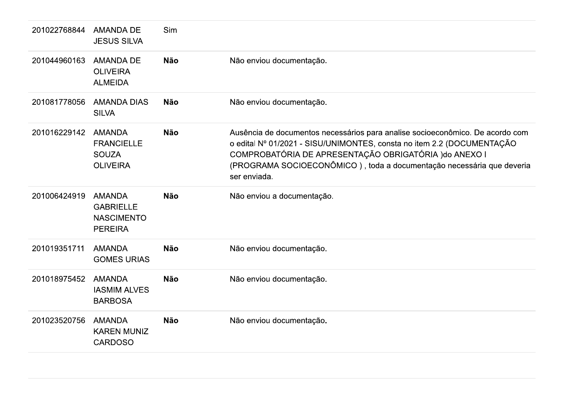| 201022768844 | <b>AMANDA DE</b><br><b>JESUS SILVA</b>                                   | Sim        |                                                                                                                                                                                                                                                                                                            |
|--------------|--------------------------------------------------------------------------|------------|------------------------------------------------------------------------------------------------------------------------------------------------------------------------------------------------------------------------------------------------------------------------------------------------------------|
| 201044960163 | <b>AMANDA DE</b><br><b>OLIVEIRA</b><br><b>ALMEIDA</b>                    | <b>Não</b> | Não enviou documentação.                                                                                                                                                                                                                                                                                   |
| 201081778056 | <b>AMANDA DIAS</b><br><b>SILVA</b>                                       | <b>Não</b> | Não enviou documentação.                                                                                                                                                                                                                                                                                   |
| 201016229142 | <b>AMANDA</b><br><b>FRANCIELLE</b><br><b>SOUZA</b><br><b>OLIVEIRA</b>    | <b>Não</b> | Ausência de documentos necessários para analise socioeconômico. De acordo com<br>o edital Nº 01/2021 - SISU/UNIMONTES, consta no item 2.2 (DOCUMENTAÇÃO<br>COMPROBATÓRIA DE APRESENTAÇÃO OBRIGATÓRIA ) do ANEXO I<br>(PROGRAMA SOCIOECONÔMICO), toda a documentação necessária que deveria<br>ser enviada. |
| 201006424919 | <b>AMANDA</b><br><b>GABRIELLE</b><br><b>NASCIMENTO</b><br><b>PEREIRA</b> | <b>Não</b> | Não enviou a documentação.                                                                                                                                                                                                                                                                                 |
| 201019351711 | <b>AMANDA</b><br><b>GOMES URIAS</b>                                      | <b>Não</b> | Não enviou documentação.                                                                                                                                                                                                                                                                                   |
| 201018975452 | <b>AMANDA</b><br><b>IASMIM ALVES</b><br><b>BARBOSA</b>                   | <b>Não</b> | Não enviou documentação.                                                                                                                                                                                                                                                                                   |
| 201023520756 | <b>AMANDA</b>                                                            | <b>Não</b> | Não enviou documentação.                                                                                                                                                                                                                                                                                   |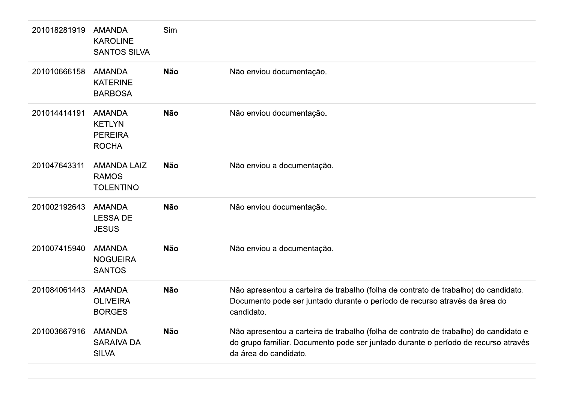| 201018281919 | <b>AMANDA</b><br><b>KAROLINE</b><br><b>SANTOS SILVA</b>          | Sim        |                                                                                                                                                                                                     |
|--------------|------------------------------------------------------------------|------------|-----------------------------------------------------------------------------------------------------------------------------------------------------------------------------------------------------|
| 201010666158 | <b>AMANDA</b><br><b>KATERINE</b><br><b>BARBOSA</b>               | <b>Não</b> | Não enviou documentação.                                                                                                                                                                            |
| 201014414191 | <b>AMANDA</b><br><b>KETLYN</b><br><b>PEREIRA</b><br><b>ROCHA</b> | <b>Não</b> | Não enviou documentação.                                                                                                                                                                            |
| 201047643311 | <b>AMANDA LAIZ</b><br><b>RAMOS</b><br><b>TOLENTINO</b>           | <b>Não</b> | Não enviou a documentação.                                                                                                                                                                          |
| 201002192643 | <b>AMANDA</b><br><b>LESSA DE</b><br><b>JESUS</b>                 | <b>Não</b> | Não enviou documentação.                                                                                                                                                                            |
| 201007415940 | <b>AMANDA</b><br><b>NOGUEIRA</b><br><b>SANTOS</b>                | <b>Não</b> | Não enviou a documentação.                                                                                                                                                                          |
| 201084061443 | <b>AMANDA</b><br><b>OLIVEIRA</b><br><b>BORGES</b>                | <b>Não</b> | Não apresentou a carteira de trabalho (folha de contrato de trabalho) do candidato.<br>Documento pode ser juntado durante o período de recurso através da área do<br>candidato.                     |
| 201003667916 | <b>AMANDA</b><br><b>SARAIVA DA</b><br><b>SILVA</b>               | <b>Não</b> | Não apresentou a carteira de trabalho (folha de contrato de trabalho) do candidato e<br>do grupo familiar. Documento pode ser juntado durante o período de recurso através<br>da área do candidato. |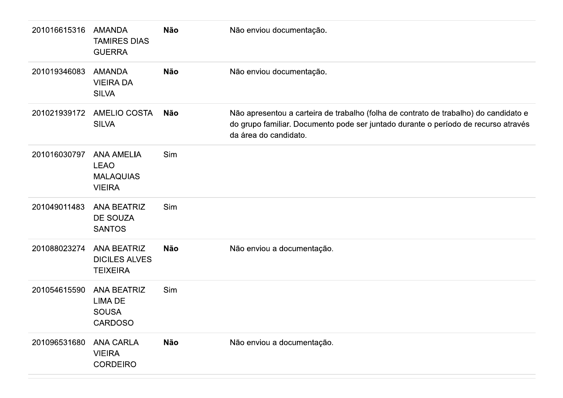| 201016615316 | <b>AMANDA</b><br><b>TAMIRES DIAS</b><br><b>GUERRA</b>                 | <b>Não</b> | Não enviou documentação.                                                                                                                                                                            |
|--------------|-----------------------------------------------------------------------|------------|-----------------------------------------------------------------------------------------------------------------------------------------------------------------------------------------------------|
| 201019346083 | <b>AMANDA</b><br><b>VIEIRA DA</b><br><b>SILVA</b>                     | <b>Não</b> | Não enviou documentação.                                                                                                                                                                            |
| 201021939172 | <b>AMELIO COSTA</b><br><b>SILVA</b>                                   | <b>Não</b> | Não apresentou a carteira de trabalho (folha de contrato de trabalho) do candidato e<br>do grupo familiar. Documento pode ser juntado durante o período de recurso através<br>da área do candidato. |
| 201016030797 | <b>ANA AMELIA</b><br><b>LEAO</b><br><b>MALAQUIAS</b><br><b>VIEIRA</b> | Sim        |                                                                                                                                                                                                     |
| 201049011483 | <b>ANA BEATRIZ</b><br><b>DE SOUZA</b><br><b>SANTOS</b>                | Sim        |                                                                                                                                                                                                     |
| 201088023274 | <b>ANA BEATRIZ</b><br><b>DICILES ALVES</b><br><b>TEIXEIRA</b>         | <b>Não</b> | Não enviou a documentação.                                                                                                                                                                          |
| 201054615590 | <b>ANA BEATRIZ</b><br>LIMA DE<br><b>SOUSA</b><br><b>CARDOSO</b>       | Sim        |                                                                                                                                                                                                     |
| 201096531680 | <b>ANA CARLA</b><br><b>VIEIRA</b><br><b>CORDEIRO</b>                  | <b>Não</b> | Não enviou a documentação.                                                                                                                                                                          |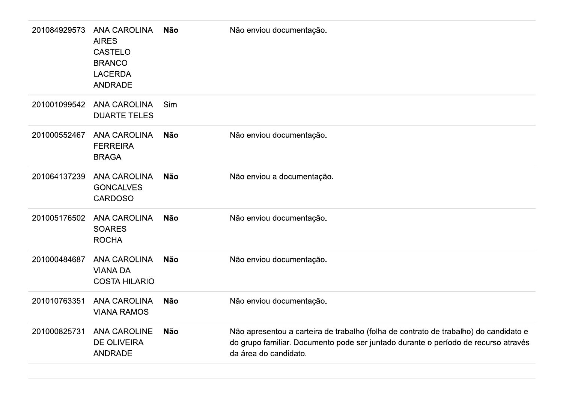| 201084929573 | <b>ANA CAROLINA</b><br><b>AIRES</b><br><b>CASTELO</b><br><b>BRANCO</b><br><b>LACERDA</b><br><b>ANDRADE</b> | <b>Não</b> | Não enviou documentação.                                                                                                                                                                            |
|--------------|------------------------------------------------------------------------------------------------------------|------------|-----------------------------------------------------------------------------------------------------------------------------------------------------------------------------------------------------|
| 201001099542 | <b>ANA CAROLINA</b><br><b>DUARTE TELES</b>                                                                 | Sim        |                                                                                                                                                                                                     |
| 201000552467 | <b>ANA CAROLINA</b><br><b>FERREIRA</b><br><b>BRAGA</b>                                                     | <b>Não</b> | Não enviou documentação.                                                                                                                                                                            |
| 201064137239 | <b>ANA CAROLINA</b><br><b>GONCALVES</b><br><b>CARDOSO</b>                                                  | <b>Não</b> | Não enviou a documentação.                                                                                                                                                                          |
| 201005176502 | <b>ANA CAROLINA</b><br><b>SOARES</b><br><b>ROCHA</b>                                                       | <b>Não</b> | Não enviou documentação.                                                                                                                                                                            |
| 201000484687 | <b>ANA CAROLINA</b><br><b>VIANA DA</b><br><b>COSTA HILARIO</b>                                             | <b>Não</b> | Não enviou documentação.                                                                                                                                                                            |
| 201010763351 | <b>ANA CAROLINA</b><br><b>VIANA RAMOS</b>                                                                  | <b>Não</b> | Não enviou documentação.                                                                                                                                                                            |
| 201000825731 | <b>ANA CAROLINE</b><br><b>DE OLIVEIRA</b><br><b>ANDRADE</b>                                                | <b>Não</b> | Não apresentou a carteira de trabalho (folha de contrato de trabalho) do candidato e<br>do grupo familiar. Documento pode ser juntado durante o período de recurso através<br>da área do candidato. |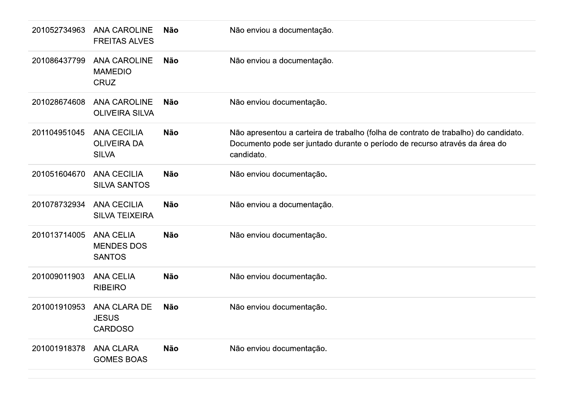| 201052734963 | <b>ANA CAROLINE</b><br><b>FREITAS ALVES</b>              | <b>Não</b> | Não enviou a documentação.                                                                                                                                                      |
|--------------|----------------------------------------------------------|------------|---------------------------------------------------------------------------------------------------------------------------------------------------------------------------------|
| 201086437799 | <b>ANA CAROLINE</b><br><b>MAMEDIO</b><br><b>CRUZ</b>     | Não        | Não enviou a documentação.                                                                                                                                                      |
| 201028674608 | <b>ANA CAROLINE</b><br><b>OLIVEIRA SILVA</b>             | Não        | Não enviou documentação.                                                                                                                                                        |
| 201104951045 | <b>ANA CECILIA</b><br><b>OLIVEIRA DA</b><br><b>SILVA</b> | <b>Não</b> | Não apresentou a carteira de trabalho (folha de contrato de trabalho) do candidato.<br>Documento pode ser juntado durante o período de recurso através da área do<br>candidato. |
| 201051604670 | <b>ANA CECILIA</b><br><b>SILVA SANTOS</b>                | <b>Não</b> | Não enviou documentação.                                                                                                                                                        |
| 201078732934 | <b>ANA CECILIA</b><br><b>SILVA TEIXEIRA</b>              | <b>Não</b> | Não enviou a documentação.                                                                                                                                                      |
| 201013714005 | <b>ANA CELIA</b><br><b>MENDES DOS</b><br><b>SANTOS</b>   | <b>Não</b> | Não enviou documentação.                                                                                                                                                        |
| 201009011903 | <b>ANA CELIA</b><br><b>RIBEIRO</b>                       | <b>Não</b> | Não enviou documentação.                                                                                                                                                        |
| 201001910953 | ANA CLARA DE<br><b>JESUS</b><br><b>CARDOSO</b>           | Não        | Não enviou documentação.                                                                                                                                                        |
| 201001918378 | <b>ANA CLARA</b><br><b>GOMES BOAS</b>                    | <b>Não</b> | Não enviou documentação.                                                                                                                                                        |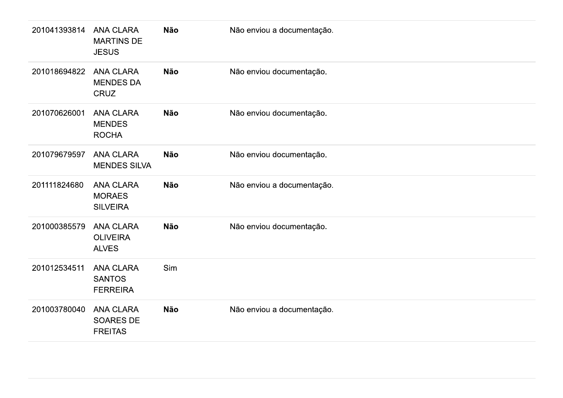| 201041393814 | <b>ANA CLARA</b><br><b>MARTINS DE</b><br><b>JESUS</b> | Não | Não enviou a documentação. |
|--------------|-------------------------------------------------------|-----|----------------------------|
| 201018694822 | <b>ANA CLARA</b><br><b>MENDES DA</b><br>CRUZ          | Não | Não enviou documentação.   |
| 201070626001 | <b>ANA CLARA</b><br><b>MENDES</b><br><b>ROCHA</b>     | Não | Não enviou documentação.   |
| 201079679597 | <b>ANA CLARA</b><br><b>MENDES SILVA</b>               | Não | Não enviou documentação.   |
| 201111824680 | <b>ANA CLARA</b><br><b>MORAES</b><br><b>SILVEIRA</b>  | Não | Não enviou a documentação. |
| 201000385579 | <b>ANA CLARA</b><br><b>OLIVEIRA</b><br><b>ALVES</b>   | Não | Não enviou documentação.   |
| 201012534511 | ANA CLARA<br><b>SANTOS</b><br><b>FERREIRA</b>         | Sim |                            |
| 201003780040 | ANA CLARA<br>SOARES DE<br><b>FREITAS</b>              | Não | Não enviou a documentação. |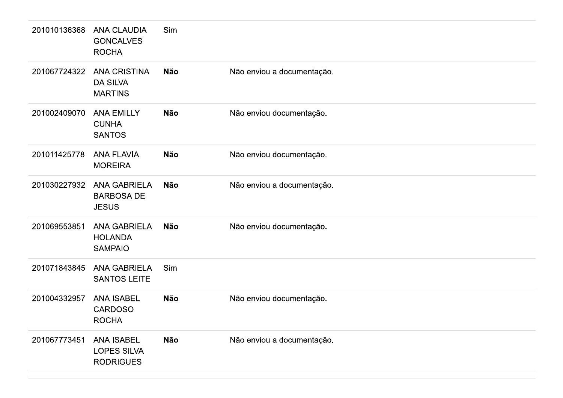| 201010136368 | <b>ANA CLAUDIA</b><br><b>GONCALVES</b><br><b>ROCHA</b>      | Sim        |                            |
|--------------|-------------------------------------------------------------|------------|----------------------------|
| 201067724322 | <b>ANA CRISTINA</b><br><b>DA SILVA</b><br><b>MARTINS</b>    | <b>Não</b> | Não enviou a documentação. |
| 201002409070 | <b>ANA EMILLY</b><br><b>CUNHA</b><br><b>SANTOS</b>          | <b>Não</b> | Não enviou documentação.   |
| 201011425778 | <b>ANA FLAVIA</b><br><b>MOREIRA</b>                         | <b>Não</b> | Não enviou documentação.   |
| 201030227932 | <b>ANA GABRIELA</b><br><b>BARBOSA DE</b><br><b>JESUS</b>    | <b>Não</b> | Não enviou a documentação. |
| 201069553851 | <b>ANA GABRIELA</b><br><b>HOLANDA</b><br><b>SAMPAIO</b>     | <b>Não</b> | Não enviou documentação.   |
| 201071843845 | <b>ANA GABRIELA</b><br><b>SANTOS LEITE</b>                  | Sim        |                            |
| 201004332957 | <b>ANA ISABEL</b><br><b>CARDOSO</b><br><b>ROCHA</b>         | <b>Não</b> | Não enviou documentação.   |
| 201067773451 | <b>ANA ISABEL</b><br><b>LOPES SILVA</b><br><b>RODRIGUES</b> | <b>Não</b> | Não enviou a documentação. |
|              |                                                             |            |                            |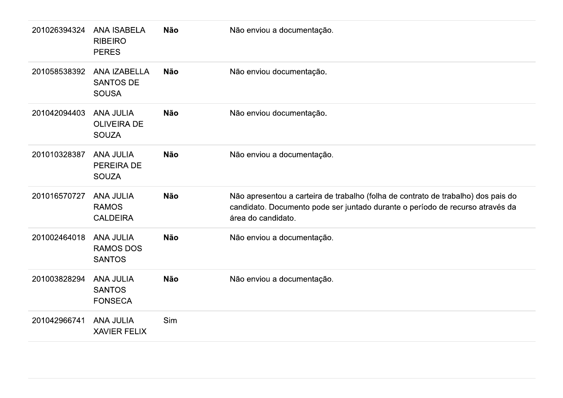| 201026394324 | <b>ANA ISABELA</b><br><b>RIBEIRO</b><br><b>PERES</b>   | <b>Não</b> | Não enviou a documentação.                                                                                                                                                               |
|--------------|--------------------------------------------------------|------------|------------------------------------------------------------------------------------------------------------------------------------------------------------------------------------------|
| 201058538392 | ANA IZABELLA<br><b>SANTOS DE</b><br><b>SOUSA</b>       | <b>Não</b> | Não enviou documentação.                                                                                                                                                                 |
| 201042094403 | <b>ANA JULIA</b><br><b>OLIVEIRA DE</b><br><b>SOUZA</b> | <b>Não</b> | Não enviou documentação.                                                                                                                                                                 |
| 201010328387 | <b>ANA JULIA</b><br>PEREIRA DE<br><b>SOUZA</b>         | <b>Não</b> | Não enviou a documentação.                                                                                                                                                               |
| 201016570727 | <b>ANA JULIA</b><br><b>RAMOS</b><br><b>CALDEIRA</b>    | <b>Não</b> | Não apresentou a carteira de trabalho (folha de contrato de trabalho) dos pais do<br>candidato. Documento pode ser juntado durante o período de recurso através da<br>área do candidato. |
| 201002464018 | <b>ANA JULIA</b><br><b>RAMOS DOS</b><br><b>SANTOS</b>  | <b>Não</b> | Não enviou a documentação.                                                                                                                                                               |
| 201003828294 | <b>ANA JULIA</b><br><b>SANTOS</b><br><b>FONSECA</b>    | <b>Não</b> | Não enviou a documentação.                                                                                                                                                               |
| 201042966741 | <b>ANA JULIA</b><br><b>XAVIER FELIX</b>                | Sim        |                                                                                                                                                                                          |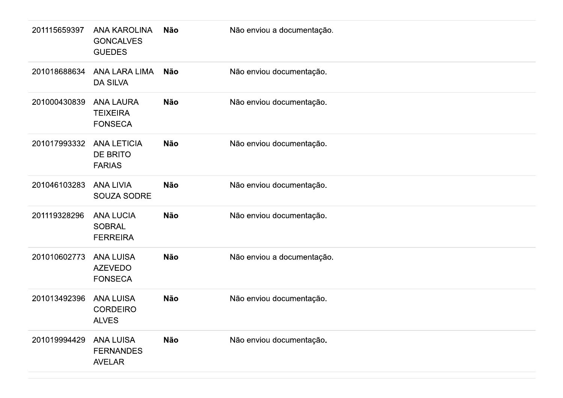| 201115659397 | <b>ANA KAROLINA</b><br><b>GONCALVES</b><br><b>GUEDES</b> | Não        | Não enviou a documentação. |
|--------------|----------------------------------------------------------|------------|----------------------------|
| 201018688634 | <b>ANA LARA LIMA</b><br><b>DA SILVA</b>                  | <b>Não</b> | Não enviou documentação.   |
| 201000430839 | <b>ANA LAURA</b><br><b>TEIXEIRA</b><br><b>FONSECA</b>    | Não        | Não enviou documentação.   |
| 201017993332 | <b>ANA LETICIA</b><br>DE BRITO<br><b>FARIAS</b>          | Não        | Não enviou documentação.   |
| 201046103283 | <b>ANA LIVIA</b><br>SOUZA SODRE                          | <b>Não</b> | Não enviou documentação.   |
| 201119328296 | <b>ANA LUCIA</b><br><b>SOBRAL</b><br><b>FERREIRA</b>     | <b>Não</b> | Não enviou documentação.   |
| 201010602773 | <b>ANA LUISA</b><br><b>AZEVEDO</b><br><b>FONSECA</b>     | <b>Não</b> | Não enviou a documentação. |
| 201013492396 | <b>ANA LUISA</b><br><b>CORDEIRO</b><br><b>ALVES</b>      | Não        | Não enviou documentação.   |
| 201019994429 | <b>ANA LUISA</b><br><b>FERNANDES</b><br><b>AVELAR</b>    | <b>Não</b> | Não enviou documentação.   |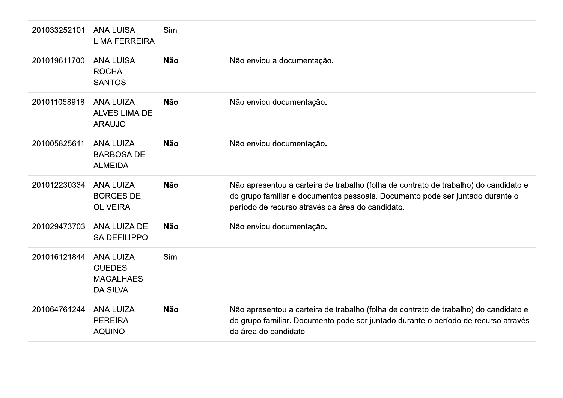| 201033252101 | <b>ANA LUISA</b><br><b>LIMA FERREIRA</b>                                 | Sim        |                                                                                                                                                                                                                           |
|--------------|--------------------------------------------------------------------------|------------|---------------------------------------------------------------------------------------------------------------------------------------------------------------------------------------------------------------------------|
| 201019611700 | <b>ANA LUISA</b><br><b>ROCHA</b><br><b>SANTOS</b>                        | <b>Não</b> | Não enviou a documentação.                                                                                                                                                                                                |
| 201011058918 | <b>ANA LUIZA</b><br><b>ALVES LIMA DE</b><br><b>ARAUJO</b>                | <b>Não</b> | Não enviou documentação.                                                                                                                                                                                                  |
| 201005825611 | <b>ANA LUIZA</b><br><b>BARBOSA DE</b><br><b>ALMEIDA</b>                  | <b>Não</b> | Não enviou documentação.                                                                                                                                                                                                  |
| 201012230334 | <b>ANA LUIZA</b><br><b>BORGES DE</b><br><b>OLIVEIRA</b>                  | <b>Não</b> | Não apresentou a carteira de trabalho (folha de contrato de trabalho) do candidato e<br>do grupo familiar e documentos pessoais. Documento pode ser juntado durante o<br>período de recurso através da área do candidato. |
| 201029473703 | ANA LUIZA DE<br><b>SA DEFILIPPO</b>                                      | <b>Não</b> | Não enviou documentação.                                                                                                                                                                                                  |
| 201016121844 | <b>ANA LUIZA</b><br><b>GUEDES</b><br><b>MAGALHAES</b><br><b>DA SILVA</b> | Sim        |                                                                                                                                                                                                                           |
| 201064761244 | <b>ANA LUIZA</b><br><b>PEREIRA</b><br><b>AQUINO</b>                      | <b>Não</b> | Não apresentou a carteira de trabalho (folha de contrato de trabalho) do candidato e<br>do grupo familiar. Documento pode ser juntado durante o período de recurso através<br>da área do candidato.                       |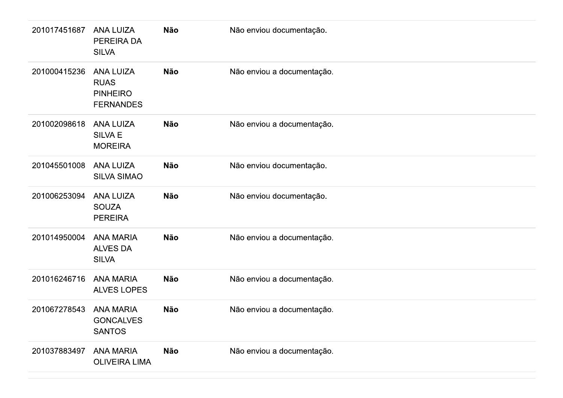| 201017451687 | <b>ANA LUIZA</b><br>PEREIRA DA<br><b>SILVA</b>                         | <b>Não</b> | Não enviou documentação.   |
|--------------|------------------------------------------------------------------------|------------|----------------------------|
| 201000415236 | <b>ANA LUIZA</b><br><b>RUAS</b><br><b>PINHEIRO</b><br><b>FERNANDES</b> | <b>Não</b> | Não enviou a documentação. |
| 201002098618 | <b>ANA LUIZA</b><br><b>SILVA E</b><br><b>MOREIRA</b>                   | <b>Não</b> | Não enviou a documentação. |
| 201045501008 | <b>ANA LUIZA</b><br><b>SILVA SIMAO</b>                                 | <b>Não</b> | Não enviou documentação.   |
| 201006253094 | <b>ANA LUIZA</b><br><b>SOUZA</b><br><b>PEREIRA</b>                     | <b>Não</b> | Não enviou documentação.   |
| 201014950004 | <b>ANA MARIA</b><br><b>ALVES DA</b><br><b>SILVA</b>                    | <b>Não</b> | Não enviou a documentação. |
| 201016246716 | <b>ANA MARIA</b><br>ALVES LOPES                                        | <b>Não</b> | Não enviou a documentação. |
| 201067278543 | <b>ANA MARIA</b><br><b>GONCALVES</b><br><b>SANTOS</b>                  | <b>Não</b> | Não enviou a documentação. |
| 201037883497 | <b>ANA MARIA</b><br><b>OLIVEIRA LIMA</b>                               | Não        | Não enviou a documentação. |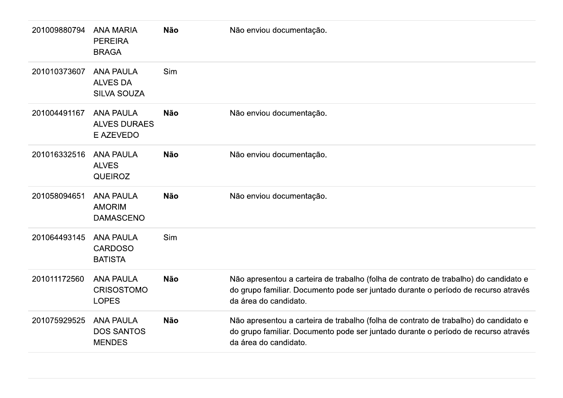| 201009880794 | <b>ANA MARIA</b><br><b>PEREIRA</b><br><b>BRAGA</b>          | <b>Não</b> | Não enviou documentação.                                                                                                                                                                            |
|--------------|-------------------------------------------------------------|------------|-----------------------------------------------------------------------------------------------------------------------------------------------------------------------------------------------------|
| 201010373607 | <b>ANA PAULA</b><br><b>ALVES DA</b><br><b>SILVA SOUZA</b>   | Sim        |                                                                                                                                                                                                     |
| 201004491167 | <b>ANA PAULA</b><br><b>ALVES DURAES</b><br><b>E AZEVEDO</b> | <b>Não</b> | Não enviou documentação.                                                                                                                                                                            |
| 201016332516 | <b>ANA PAULA</b><br><b>ALVES</b><br><b>QUEIROZ</b>          | <b>Não</b> | Não enviou documentação.                                                                                                                                                                            |
| 201058094651 | <b>ANA PAULA</b><br><b>AMORIM</b><br><b>DAMASCENO</b>       | <b>Não</b> | Não enviou documentação.                                                                                                                                                                            |
| 201064493145 | <b>ANA PAULA</b><br><b>CARDOSO</b><br><b>BATISTA</b>        | Sim        |                                                                                                                                                                                                     |
| 201011172560 | <b>ANA PAULA</b><br><b>CRISOSTOMO</b><br><b>LOPES</b>       | <b>Não</b> | Não apresentou a carteira de trabalho (folha de contrato de trabalho) do candidato e<br>do grupo familiar. Documento pode ser juntado durante o período de recurso através<br>da área do candidato. |
| 201075929525 | <b>ANA PAULA</b><br><b>DOS SANTOS</b><br><b>MENDES</b>      | <b>Não</b> | Não apresentou a carteira de trabalho (folha de contrato de trabalho) do candidato e<br>do grupo familiar. Documento pode ser juntado durante o período de recurso através<br>da área do candidato. |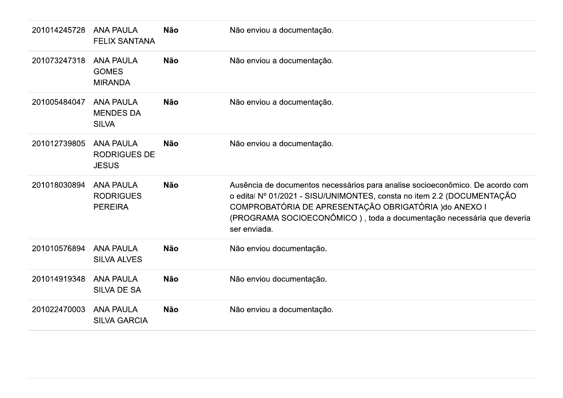| 201014245728 | <b>ANA PAULA</b><br><b>FELIX SANTANA</b>                | <b>Não</b> | Não enviou a documentação.                                                                                                                                                                                                                                                                                 |
|--------------|---------------------------------------------------------|------------|------------------------------------------------------------------------------------------------------------------------------------------------------------------------------------------------------------------------------------------------------------------------------------------------------------|
| 201073247318 | <b>ANA PAULA</b><br><b>GOMES</b><br><b>MIRANDA</b>      | <b>Não</b> | Não enviou a documentação.                                                                                                                                                                                                                                                                                 |
| 201005484047 | <b>ANA PAULA</b><br><b>MENDES DA</b><br><b>SILVA</b>    | <b>Não</b> | Não enviou a documentação.                                                                                                                                                                                                                                                                                 |
| 201012739805 | <b>ANA PAULA</b><br><b>RODRIGUES DE</b><br><b>JESUS</b> | <b>Não</b> | Não enviou a documentação.                                                                                                                                                                                                                                                                                 |
| 201018030894 | <b>ANA PAULA</b><br><b>RODRIGUES</b><br><b>PEREIRA</b>  | <b>Não</b> | Ausência de documentos necessários para analise socioeconômico. De acordo com<br>o edital Nº 01/2021 - SISU/UNIMONTES, consta no item 2.2 (DOCUMENTAÇÃO<br>COMPROBATÓRIA DE APRESENTAÇÃO OBRIGATÓRIA ) do ANEXO I<br>(PROGRAMA SOCIOECONÔMICO), toda a documentação necessária que deveria<br>ser enviada. |
| 201010576894 | <b>ANA PAULA</b><br><b>SILVA ALVES</b>                  | <b>Não</b> | Não enviou documentação.                                                                                                                                                                                                                                                                                   |
| 201014919348 | <b>ANA PAULA</b><br><b>SILVA DE SA</b>                  | <b>Não</b> | Não enviou documentação.                                                                                                                                                                                                                                                                                   |
|              |                                                         |            |                                                                                                                                                                                                                                                                                                            |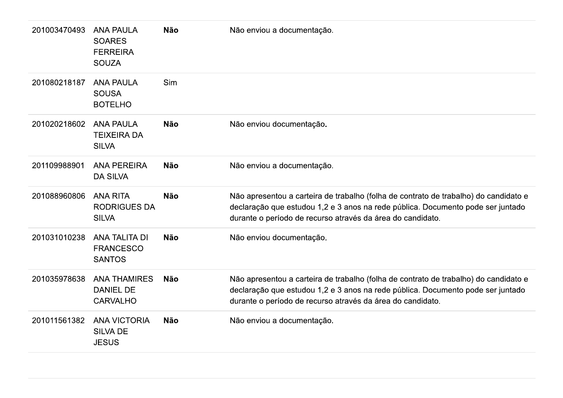| 201003470493 | <b>ANA PAULA</b><br><b>SOARES</b><br><b>FERREIRA</b><br><b>SOUZA</b> | <b>Não</b> | Não enviou a documentação.                                                                                                                                                                                                            |
|--------------|----------------------------------------------------------------------|------------|---------------------------------------------------------------------------------------------------------------------------------------------------------------------------------------------------------------------------------------|
| 201080218187 | <b>ANA PAULA</b><br><b>SOUSA</b><br><b>BOTELHO</b>                   | Sim        |                                                                                                                                                                                                                                       |
| 201020218602 | <b>ANA PAULA</b><br><b>TEIXEIRA DA</b><br><b>SILVA</b>               | <b>Não</b> | Não enviou documentação.                                                                                                                                                                                                              |
| 201109988901 | <b>ANA PEREIRA</b><br><b>DA SILVA</b>                                | <b>Não</b> | Não enviou a documentação.                                                                                                                                                                                                            |
| 201088960806 | <b>ANA RITA</b><br><b>RODRIGUES DA</b><br><b>SILVA</b>               | <b>Não</b> | Não apresentou a carteira de trabalho (folha de contrato de trabalho) do candidato e<br>declaração que estudou 1,2 e 3 anos na rede pública. Documento pode ser juntado<br>durante o período de recurso através da área do candidato. |
| 201031010238 | ANA TALITA DI<br><b>FRANCESCO</b><br><b>SANTOS</b>                   | <b>Não</b> | Não enviou documentação.                                                                                                                                                                                                              |
| 201035978638 | <b>ANA THAMIRES</b><br><b>DANIEL DE</b><br><b>CARVALHO</b>           | <b>Não</b> | Não apresentou a carteira de trabalho (folha de contrato de trabalho) do candidato e<br>declaração que estudou 1,2 e 3 anos na rede pública. Documento pode ser juntado<br>durante o período de recurso através da área do candidato. |
| 201011561382 | <b>ANA VICTORIA</b><br><b>SILVA DE</b><br><b>JESUS</b>               | <b>Não</b> | Não enviou a documentação.                                                                                                                                                                                                            |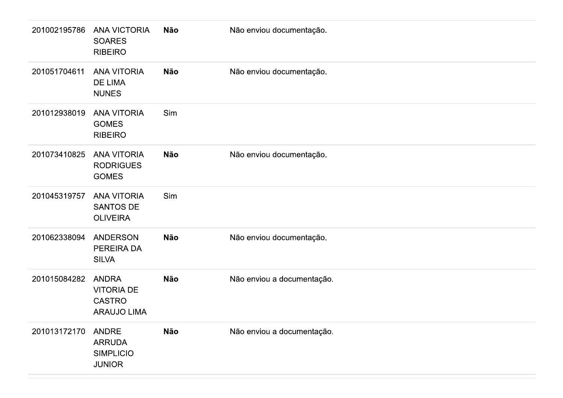| 201002195786 | <b>ANA VICTORIA</b><br><b>SOARES</b><br><b>RIBEIRO</b>                   | <b>Não</b> | Não enviou documentação.   |
|--------------|--------------------------------------------------------------------------|------------|----------------------------|
| 201051704611 | <b>ANA VITORIA</b><br><b>DE LIMA</b><br><b>NUNES</b>                     | <b>Não</b> | Não enviou documentação.   |
| 201012938019 | <b>ANA VITORIA</b><br><b>GOMES</b><br><b>RIBEIRO</b>                     | Sim        |                            |
| 201073410825 | <b>ANA VITORIA</b><br><b>RODRIGUES</b><br><b>GOMES</b>                   | <b>Não</b> | Não enviou documentação.   |
| 201045319757 | <b>ANA VITORIA</b><br><b>SANTOS DE</b><br><b>OLIVEIRA</b>                | Sim        |                            |
| 201062338094 | <b>ANDERSON</b><br>PEREIRA DA<br><b>SILVA</b>                            | <b>Não</b> | Não enviou documentação.   |
| 201015084282 | <b>ANDRA</b><br><b>VITORIA DE</b><br><b>CASTRO</b><br><b>ARAUJO LIMA</b> | <b>Não</b> | Não enviou a documentação. |
| 201013172170 | <b>ANDRE</b><br><b>ARRUDA</b><br><b>SIMPLICIO</b><br><b>JUNIOR</b>       | Não        | Não enviou a documentação. |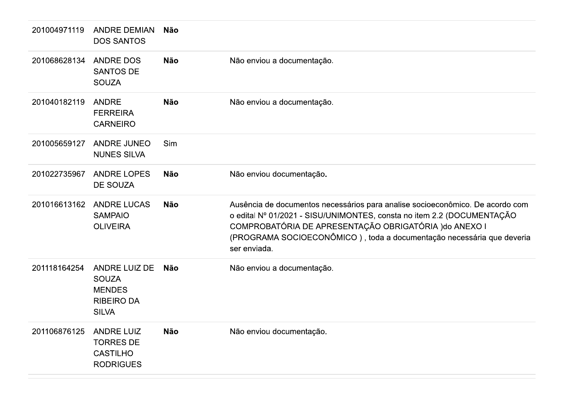| 201004971119 | <b>ANDRE DEMIAN</b><br><b>DOS SANTOS</b>                                            | Não        |                                                                                                                                                                                                                                                                                                            |
|--------------|-------------------------------------------------------------------------------------|------------|------------------------------------------------------------------------------------------------------------------------------------------------------------------------------------------------------------------------------------------------------------------------------------------------------------|
| 201068628134 | <b>ANDRE DOS</b><br><b>SANTOS DE</b><br><b>SOUZA</b>                                | <b>Não</b> | Não enviou a documentação.                                                                                                                                                                                                                                                                                 |
| 201040182119 | <b>ANDRE</b><br><b>FERREIRA</b><br><b>CARNEIRO</b>                                  | <b>Não</b> | Não enviou a documentação.                                                                                                                                                                                                                                                                                 |
| 201005659127 | <b>ANDRE JUNEO</b><br><b>NUNES SILVA</b>                                            | Sim        |                                                                                                                                                                                                                                                                                                            |
| 201022735967 | <b>ANDRE LOPES</b><br><b>DE SOUZA</b>                                               | Não        | Não enviou documentação.                                                                                                                                                                                                                                                                                   |
| 201016613162 | <b>ANDRE LUCAS</b><br><b>SAMPAIO</b><br><b>OLIVEIRA</b>                             | <b>Não</b> | Ausência de documentos necessários para analise socioeconômico. De acordo com<br>o edital Nº 01/2021 - SISU/UNIMONTES, consta no item 2.2 (DOCUMENTAÇÃO<br>COMPROBATÓRIA DE APRESENTAÇÃO OBRIGATÓRIA ) do ANEXO I<br>(PROGRAMA SOCIOECONÔMICO), toda a documentação necessária que deveria<br>ser enviada. |
| 201118164254 | ANDRE LUIZ DE<br><b>SOUZA</b><br><b>MENDES</b><br><b>RIBEIRO DA</b><br><b>SILVA</b> | Não        | Não enviou a documentação.                                                                                                                                                                                                                                                                                 |
| 201106876125 | <b>ANDRE LUIZ</b><br><b>TORRES DE</b><br><b>CASTILHO</b><br><b>RODRIGUES</b>        | <b>Não</b> | Não enviou documentação.                                                                                                                                                                                                                                                                                   |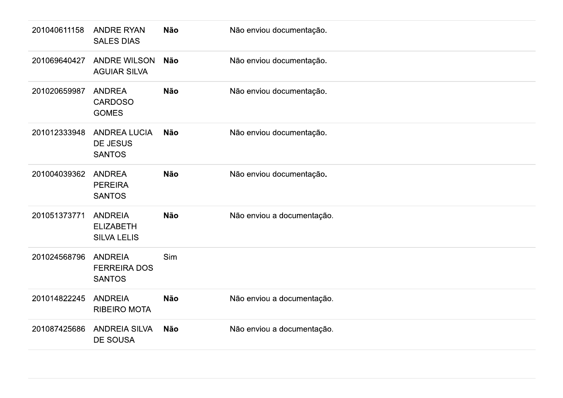| 201040611158 | <b>ANDRE RYAN</b><br><b>SALES DIAS</b>                   | Não        | Não enviou documentação.   |
|--------------|----------------------------------------------------------|------------|----------------------------|
| 201069640427 | <b>ANDRE WILSON</b><br><b>AGUIAR SILVA</b>               | <b>Não</b> | Não enviou documentação.   |
| 201020659987 | <b>ANDREA</b><br><b>CARDOSO</b><br><b>GOMES</b>          | <b>Não</b> | Não enviou documentação.   |
| 201012333948 | <b>ANDREA LUCIA</b><br>DE JESUS<br><b>SANTOS</b>         | Não        | Não enviou documentação.   |
| 201004039362 | <b>ANDREA</b><br><b>PEREIRA</b><br><b>SANTOS</b>         | Não        | Não enviou documentação.   |
| 201051373771 | <b>ANDREIA</b><br><b>ELIZABETH</b><br><b>SILVA LELIS</b> | <b>Não</b> | Não enviou a documentação. |
| 201024568796 | <b>ANDREIA</b><br><b>FERREIRA DOS</b><br><b>SANTOS</b>   | Sim        |                            |
| 201014822245 | <b>ANDREIA</b><br><b>RIBEIRO MOTA</b>                    | Não        | Não enviou a documentação. |
| 201087425686 | <b>ANDREIA SILVA</b><br>DE SOUSA                         | Não        | Não enviou a documentação. |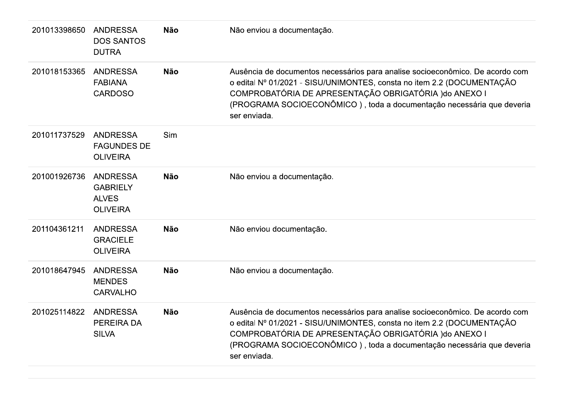| 201013398650 | <b>ANDRESSA</b><br><b>DOS SANTOS</b><br><b>DUTRA</b>                  | <b>Não</b> | Não enviou a documentação.                                                                                                                                                                                                                                                                                 |
|--------------|-----------------------------------------------------------------------|------------|------------------------------------------------------------------------------------------------------------------------------------------------------------------------------------------------------------------------------------------------------------------------------------------------------------|
| 201018153365 | <b>ANDRESSA</b><br><b>FABIANA</b><br><b>CARDOSO</b>                   | <b>Não</b> | Ausência de documentos necessários para analise socioeconômico. De acordo com<br>o edital Nº 01/2021 - SISU/UNIMONTES, consta no item 2.2 (DOCUMENTAÇÃO<br>COMPROBATÓRIA DE APRESENTAÇÃO OBRIGATÓRIA ) do ANEXO I<br>(PROGRAMA SOCIOECONÔMICO), toda a documentação necessária que deveria<br>ser enviada. |
| 201011737529 | <b>ANDRESSA</b><br><b>FAGUNDES DE</b><br><b>OLIVEIRA</b>              | Sim        |                                                                                                                                                                                                                                                                                                            |
| 201001926736 | <b>ANDRESSA</b><br><b>GABRIELY</b><br><b>ALVES</b><br><b>OLIVEIRA</b> | <b>Não</b> | Não enviou a documentação.                                                                                                                                                                                                                                                                                 |
| 201104361211 | <b>ANDRESSA</b><br><b>GRACIELE</b><br><b>OLIVEIRA</b>                 | <b>Não</b> | Não enviou documentação.                                                                                                                                                                                                                                                                                   |
| 201018647945 | <b>ANDRESSA</b><br><b>MENDES</b><br><b>CARVALHO</b>                   | <b>Não</b> | Não enviou a documentação.                                                                                                                                                                                                                                                                                 |
| 201025114822 | <b>ANDRESSA</b><br><b>PEREIRA DA</b><br><b>SILVA</b>                  | <b>Não</b> | Ausência de documentos necessários para analise socioeconômico. De acordo com<br>o edital Nº 01/2021 - SISU/UNIMONTES, consta no item 2.2 (DOCUMENTAÇÃO<br>COMPROBATÓRIA DE APRESENTAÇÃO OBRIGATÓRIA ) do ANEXO I<br>(PROGRAMA SOCIOECONÔMICO), toda a documentação necessária que deveria<br>ser enviada. |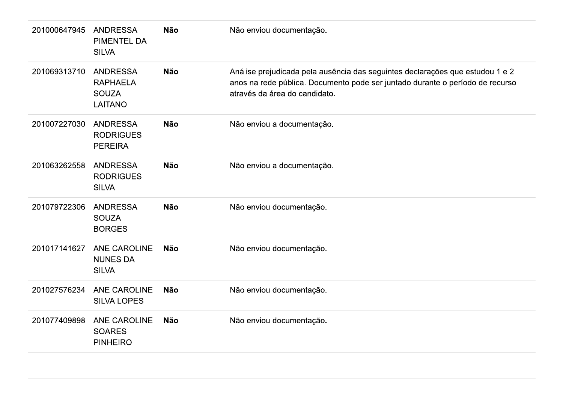| 201000647945 | <b>ANDRESSA</b><br><b>PIMENTEL DA</b><br><b>SILVA</b>                | <b>Não</b> | Não enviou documentação.                                                                                                                                                                        |
|--------------|----------------------------------------------------------------------|------------|-------------------------------------------------------------------------------------------------------------------------------------------------------------------------------------------------|
| 201069313710 | <b>ANDRESSA</b><br><b>RAPHAELA</b><br><b>SOUZA</b><br><b>LAITANO</b> | <b>Não</b> | Análise prejudicada pela ausência das seguintes declarações que estudou 1 e 2<br>anos na rede pública. Documento pode ser juntado durante o período de recurso<br>através da área do candidato. |
| 201007227030 | <b>ANDRESSA</b><br><b>RODRIGUES</b><br><b>PEREIRA</b>                | <b>Não</b> | Não enviou a documentação.                                                                                                                                                                      |
| 201063262558 | <b>ANDRESSA</b><br><b>RODRIGUES</b><br><b>SILVA</b>                  | <b>Não</b> | Não enviou a documentação.                                                                                                                                                                      |
| 201079722306 | <b>ANDRESSA</b><br><b>SOUZA</b><br><b>BORGES</b>                     | <b>Não</b> | Não enviou documentação.                                                                                                                                                                        |
| 201017141627 | <b>ANE CAROLINE</b><br><b>NUNES DA</b><br><b>SILVA</b>               | <b>Não</b> | Não enviou documentação.                                                                                                                                                                        |
| 201027576234 | <b>ANE CAROLINE</b><br><b>SILVA LOPES</b>                            | <b>Não</b> | Não enviou documentação.                                                                                                                                                                        |
| 201077409898 | <b>ANE CAROLINE</b><br><b>SOARES</b><br><b>PINHEIRO</b>              | <b>Não</b> | Não enviou documentação.                                                                                                                                                                        |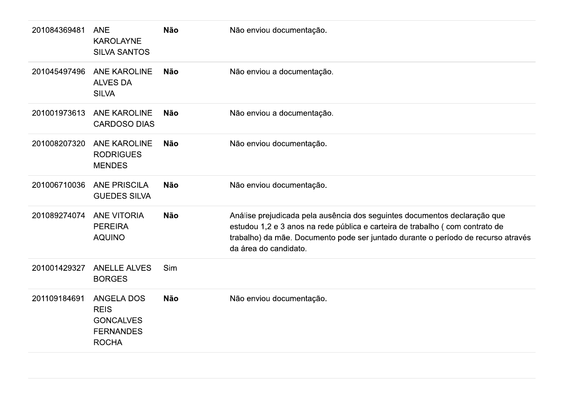| 201084369481 | <b>ANE</b><br><b>KAROLAYNE</b><br><b>SILVA SANTOS</b>                                    | <b>Não</b> | Não enviou documentação.                                                                                                                                                                                                                                                |
|--------------|------------------------------------------------------------------------------------------|------------|-------------------------------------------------------------------------------------------------------------------------------------------------------------------------------------------------------------------------------------------------------------------------|
| 201045497496 | <b>ANE KAROLINE</b><br><b>ALVES DA</b><br><b>SILVA</b>                                   | <b>Não</b> | Não enviou a documentação.                                                                                                                                                                                                                                              |
| 201001973613 | <b>ANE KAROLINE</b><br><b>CARDOSO DIAS</b>                                               | <b>Não</b> | Não enviou a documentação.                                                                                                                                                                                                                                              |
| 201008207320 | <b>ANE KAROLINE</b><br><b>RODRIGUES</b><br><b>MENDES</b>                                 | <b>Não</b> | Não enviou documentação.                                                                                                                                                                                                                                                |
| 201006710036 | <b>ANE PRISCILA</b><br><b>GUEDES SILVA</b>                                               | <b>Não</b> | Não enviou documentação.                                                                                                                                                                                                                                                |
| 201089274074 | <b>ANE VITORIA</b><br><b>PEREIRA</b><br><b>AQUINO</b>                                    | <b>Não</b> | Análise prejudicada pela ausência dos seguintes documentos declaração que<br>estudou 1,2 e 3 anos na rede pública e carteira de trabalho (com contrato de<br>trabalho) da mãe. Documento pode ser juntado durante o período de recurso através<br>da área do candidato. |
| 201001429327 | <b>ANELLE ALVES</b><br><b>BORGES</b>                                                     | Sim        |                                                                                                                                                                                                                                                                         |
| 201109184691 | <b>ANGELA DOS</b><br><b>REIS</b><br><b>GONCALVES</b><br><b>FERNANDES</b><br><b>ROCHA</b> | <b>Não</b> | Não enviou documentação.                                                                                                                                                                                                                                                |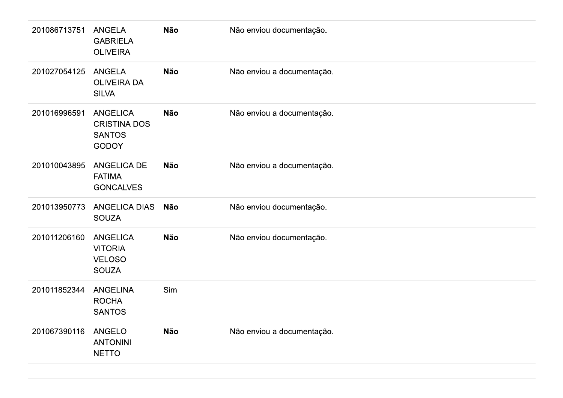| 201086713751 | <b>ANGELA</b><br><b>GABRIELA</b><br><b>OLIVEIRA</b>                     | <b>Não</b> | Não enviou documentação.   |
|--------------|-------------------------------------------------------------------------|------------|----------------------------|
| 201027054125 | <b>ANGELA</b><br><b>OLIVEIRA DA</b><br><b>SILVA</b>                     | <b>Não</b> | Não enviou a documentação. |
| 201016996591 | <b>ANGELICA</b><br><b>CRISTINA DOS</b><br><b>SANTOS</b><br><b>GODOY</b> | <b>Não</b> | Não enviou a documentação. |
| 201010043895 | <b>ANGELICA DE</b><br><b>FATIMA</b><br><b>GONCALVES</b>                 | <b>Não</b> | Não enviou a documentação. |
| 201013950773 | <b>ANGELICA DIAS</b><br><b>SOUZA</b>                                    | <b>Não</b> | Não enviou documentação.   |
| 201011206160 | <b>ANGELICA</b><br><b>VITORIA</b><br><b>VELOSO</b><br><b>SOUZA</b>      | <b>Não</b> | Não enviou documentação.   |
| 201011852344 | <b>ANGELINA</b><br><b>ROCHA</b><br><b>SANTOS</b>                        | Sim        |                            |
| 201067390116 | <b>ANGELO</b><br><b>ANTONINI</b><br><b>NETTO</b>                        | <b>Não</b> | Não enviou a documentação. |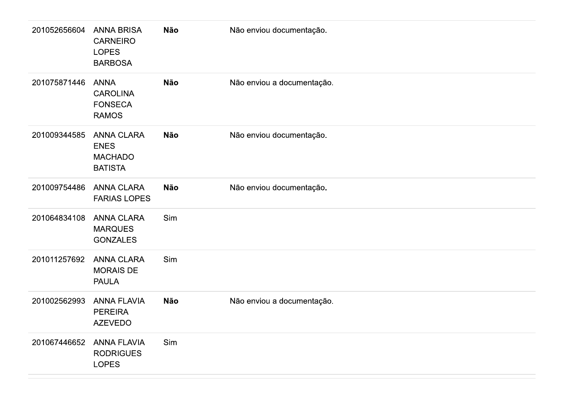| 201052656604 | <b>ANNA BRISA</b><br><b>CARNEIRO</b><br><b>LOPES</b><br><b>BARBOSA</b> | <b>Não</b> | Não enviou documentação.   |
|--------------|------------------------------------------------------------------------|------------|----------------------------|
| 201075871446 | <b>ANNA</b><br><b>CAROLINA</b><br><b>FONSECA</b><br><b>RAMOS</b>       | <b>Não</b> | Não enviou a documentação. |
| 201009344585 | <b>ANNA CLARA</b><br><b>ENES</b><br><b>MACHADO</b><br><b>BATISTA</b>   | <b>Não</b> | Não enviou documentação.   |
| 201009754486 | <b>ANNA CLARA</b><br><b>FARIAS LOPES</b>                               | Não        | Não enviou documentação.   |
| 201064834108 | <b>ANNA CLARA</b><br><b>MARQUES</b><br><b>GONZALES</b>                 | Sim        |                            |
| 201011257692 | <b>ANNA CLARA</b><br><b>MORAIS DE</b><br><b>PAULA</b>                  | Sim        |                            |
| 201002562993 | <b>ANNA FLAVIA</b><br><b>PEREIRA</b><br><b>AZEVEDO</b>                 | <b>Não</b> | Não enviou a documentação. |
| 201067446652 | <b>ANNA FLAVIA</b><br><b>RODRIGUES</b><br><b>LOPES</b>                 | Sim        |                            |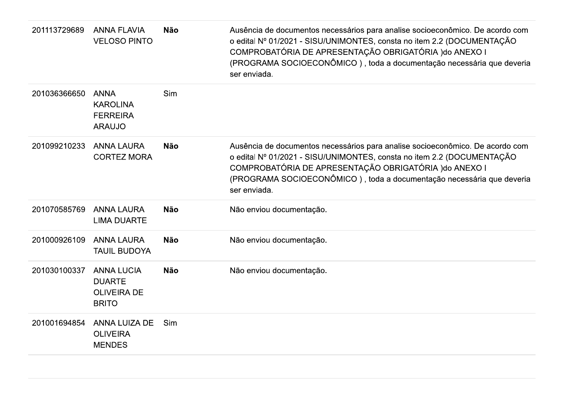| 201113729689 | <b>ANNA FLAVIA</b><br><b>VELOSO PINTO</b>                                | <b>Não</b> | Ausência de documentos necessários para analise socioeconômico. De acordo com<br>o edital Nº 01/2021 - SISU/UNIMONTES, consta no item 2.2 (DOCUMENTAÇÃO<br>COMPROBATÓRIA DE APRESENTAÇÃO OBRIGATÓRIA ) do ANEXO I<br>(PROGRAMA SOCIOECONÔMICO), toda a documentação necessária que deveria<br>ser enviada. |
|--------------|--------------------------------------------------------------------------|------------|------------------------------------------------------------------------------------------------------------------------------------------------------------------------------------------------------------------------------------------------------------------------------------------------------------|
| 201036366650 | <b>ANNA</b><br><b>KAROLINA</b><br><b>FERREIRA</b><br><b>ARAUJO</b>       | Sim        |                                                                                                                                                                                                                                                                                                            |
| 201099210233 | <b>ANNA LAURA</b><br><b>CORTEZ MORA</b>                                  | <b>Não</b> | Ausência de documentos necessários para analise socioeconômico. De acordo com<br>o edital Nº 01/2021 - SISU/UNIMONTES, consta no item 2.2 (DOCUMENTAÇÃO<br>COMPROBATÓRIA DE APRESENTAÇÃO OBRIGATÓRIA ) do ANEXO I<br>(PROGRAMA SOCIOECONÔMICO), toda a documentação necessária que deveria<br>ser enviada. |
| 201070585769 | <b>ANNA LAURA</b><br><b>LIMA DUARTE</b>                                  | <b>Não</b> | Não enviou documentação.                                                                                                                                                                                                                                                                                   |
| 201000926109 | <b>ANNA LAURA</b><br><b>TAUIL BUDOYA</b>                                 | <b>Não</b> | Não enviou documentação.                                                                                                                                                                                                                                                                                   |
| 201030100337 | <b>ANNA LUCIA</b><br><b>DUARTE</b><br><b>OLIVEIRA DE</b><br><b>BRITO</b> | <b>Não</b> | Não enviou documentação.                                                                                                                                                                                                                                                                                   |
| 201001694854 | ANNA LUIZA DE<br><b>OLIVEIRA</b><br><b>MENDES</b>                        | Sim        |                                                                                                                                                                                                                                                                                                            |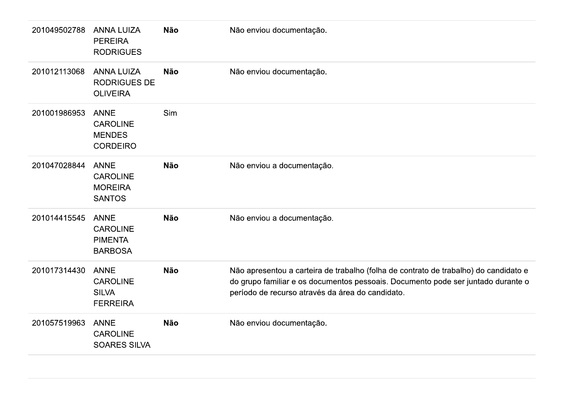| 201049502788 | <b>ANNA LUIZA</b><br><b>PEREIRA</b><br><b>RODRIGUES</b>            | <b>Não</b> | Não enviou documentação.                                                                                                                                                                                                     |
|--------------|--------------------------------------------------------------------|------------|------------------------------------------------------------------------------------------------------------------------------------------------------------------------------------------------------------------------------|
| 201012113068 | <b>ANNA LUIZA</b><br><b>RODRIGUES DE</b><br><b>OLIVEIRA</b>        | <b>Não</b> | Não enviou documentação.                                                                                                                                                                                                     |
| 201001986953 | <b>ANNE</b><br><b>CAROLINE</b><br><b>MENDES</b><br><b>CORDEIRO</b> | Sim        |                                                                                                                                                                                                                              |
| 201047028844 | <b>ANNE</b><br><b>CAROLINE</b><br><b>MOREIRA</b><br><b>SANTOS</b>  | <b>Não</b> | Não enviou a documentação.                                                                                                                                                                                                   |
| 201014415545 | <b>ANNE</b><br><b>CAROLINE</b><br><b>PIMENTA</b><br><b>BARBOSA</b> | <b>Não</b> | Não enviou a documentação.                                                                                                                                                                                                   |
| 201017314430 | <b>ANNE</b><br><b>CAROLINE</b><br><b>SILVA</b><br><b>FERREIRA</b>  | <b>Não</b> | Não apresentou a carteira de trabalho (folha de contrato de trabalho) do candidato e<br>do grupo familiar e os documentos pessoais. Documento pode ser juntado durante o<br>período de recurso através da área do candidato. |
| 201057519963 | <b>ANNE</b><br><b>CAROLINE</b><br><b>SOARES SILVA</b>              | <b>Não</b> | Não enviou documentação.                                                                                                                                                                                                     |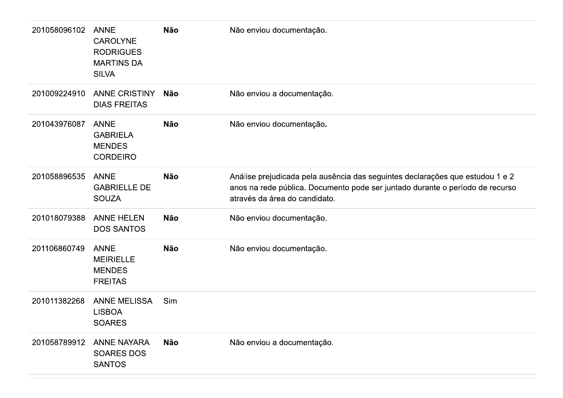| 201058096102 | <b>ANNE</b><br><b>CAROLYNE</b><br><b>RODRIGUES</b><br><b>MARTINS DA</b><br><b>SILVA</b> | <b>Não</b> | Não enviou documentação.                                                                                                                                                                        |
|--------------|-----------------------------------------------------------------------------------------|------------|-------------------------------------------------------------------------------------------------------------------------------------------------------------------------------------------------|
| 201009224910 | <b>ANNE CRISTINY</b><br><b>DIAS FREITAS</b>                                             | Não        | Não enviou a documentação.                                                                                                                                                                      |
| 201043976087 | <b>ANNE</b><br><b>GABRIELA</b><br><b>MENDES</b><br><b>CORDEIRO</b>                      | <b>Não</b> | Não enviou documentação.                                                                                                                                                                        |
| 201058896535 | <b>ANNE</b><br><b>GABRIELLE DE</b><br><b>SOUZA</b>                                      | <b>Não</b> | Análise prejudicada pela ausência das seguintes declarações que estudou 1 e 2<br>anos na rede pública. Documento pode ser juntado durante o período de recurso<br>através da área do candidato. |
| 201018079388 | <b>ANNE HELEN</b><br><b>DOS SANTOS</b>                                                  | <b>Não</b> | Não enviou documentação.                                                                                                                                                                        |
| 201106860749 | <b>ANNE</b><br><b>MEIRIELLE</b><br><b>MENDES</b><br><b>FREITAS</b>                      | <b>Não</b> | Não enviou documentação.                                                                                                                                                                        |
| 201011382268 | <b>ANNE MELISSA</b><br><b>LISBOA</b><br><b>SOARES</b>                                   | Sim        |                                                                                                                                                                                                 |
| 201058789912 | <b>ANNE NAYARA</b><br><b>SOARES DOS</b><br><b>SANTOS</b>                                | <b>Não</b> | Não enviou a documentação.                                                                                                                                                                      |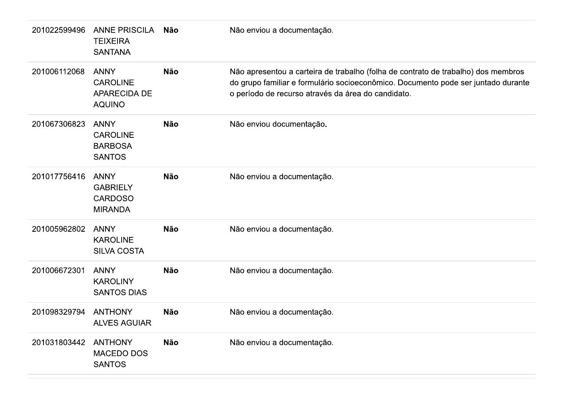| 201022599496 | <b>ANNE PRISCILA</b><br><b>TEIXEIRA</b><br><b>SANTANA</b>              | Não        | Não enviou a documentação.                                                                                                                                                                                                   |
|--------------|------------------------------------------------------------------------|------------|------------------------------------------------------------------------------------------------------------------------------------------------------------------------------------------------------------------------------|
| 201006112068 | <b>ANNY</b><br><b>CAROLINE</b><br><b>APARECIDA DE</b><br><b>AQUINO</b> | <b>Não</b> | Não apresentou a carteira de trabalho (folha de contrato de trabalho) dos membros<br>do grupo familiar e formulário socioeconômico. Documento pode ser juntado durante<br>o período de recurso através da área do candidato. |
| 201067306823 | <b>ANNY</b><br><b>CAROLINE</b><br><b>BARBOSA</b><br><b>SANTOS</b>      | <b>Não</b> | Não enviou documentação.                                                                                                                                                                                                     |
| 201017756416 | <b>ANNY</b><br><b>GABRIELY</b><br><b>CARDOSO</b><br><b>MIRANDA</b>     | <b>Não</b> | Não enviou a documentação.                                                                                                                                                                                                   |
| 201005962802 | <b>ANNY</b><br><b>KAROLINE</b><br><b>SILVA COSTA</b>                   | <b>Não</b> | Não enviou a documentação.                                                                                                                                                                                                   |
| 201006672301 | <b>ANNY</b><br><b>KAROLINY</b><br><b>SANTOS DIAS</b>                   | <b>Não</b> | Não enviou a documentação.                                                                                                                                                                                                   |
| 201098329794 | <b>ANTHONY</b><br><b>ALVES AGUIAR</b>                                  | <b>Não</b> | Não enviou a documentação.                                                                                                                                                                                                   |
| 201031803442 | <b>ANTHONY</b><br><b>MACEDO DOS</b><br><b>SANTOS</b>                   | Não        | Não enviou a documentação.                                                                                                                                                                                                   |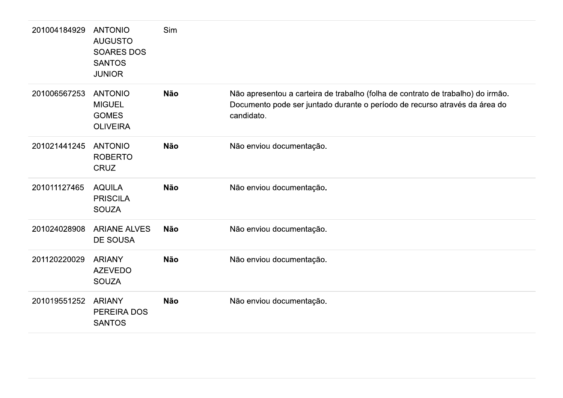| 201004184929 | <b>ANTONIO</b><br><b>AUGUSTO</b><br><b>SOARES DOS</b><br><b>SANTOS</b><br><b>JUNIOR</b> | Sim        |                                                                                                                                                                             |
|--------------|-----------------------------------------------------------------------------------------|------------|-----------------------------------------------------------------------------------------------------------------------------------------------------------------------------|
| 201006567253 | <b>ANTONIO</b><br><b>MIGUEL</b><br><b>GOMES</b><br><b>OLIVEIRA</b>                      | <b>Não</b> | Não apresentou a carteira de trabalho (folha de contrato de trabalho) do irmão.<br>Documento pode ser juntado durante o período de recurso através da área do<br>candidato. |
| 201021441245 | <b>ANTONIO</b><br><b>ROBERTO</b><br><b>CRUZ</b>                                         | <b>Não</b> | Não enviou documentação.                                                                                                                                                    |
| 201011127465 | <b>AQUILA</b><br><b>PRISCILA</b><br><b>SOUZA</b>                                        | <b>Não</b> | Não enviou documentação.                                                                                                                                                    |
| 201024028908 | <b>ARIANE ALVES</b><br><b>DE SOUSA</b>                                                  | <b>Não</b> | Não enviou documentação.                                                                                                                                                    |
| 201120220029 | <b>ARIANY</b><br><b>AZEVEDO</b><br><b>SOUZA</b>                                         | <b>Não</b> | Não enviou documentação.                                                                                                                                                    |
| 201019551252 | <b>ARIANY</b><br>PEREIRA DOS<br><b>SANTOS</b>                                           | <b>Não</b> | Não enviou documentação.                                                                                                                                                    |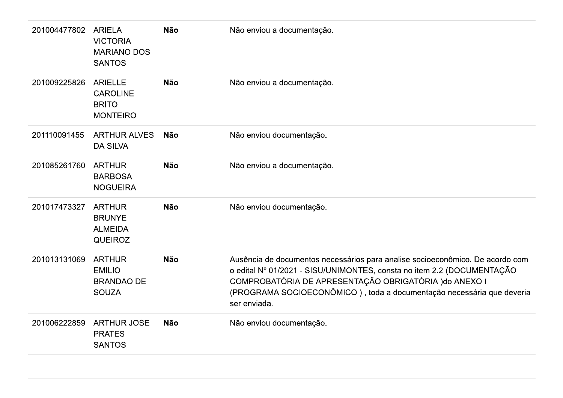| 201004477802 | <b>ARIELA</b><br><b>VICTORIA</b><br><b>MARIANO DOS</b><br><b>SANTOS</b> | <b>Não</b> | Não enviou a documentação.                                                                                                                                                                                                                                                                                 |
|--------------|-------------------------------------------------------------------------|------------|------------------------------------------------------------------------------------------------------------------------------------------------------------------------------------------------------------------------------------------------------------------------------------------------------------|
| 201009225826 | <b>ARIELLE</b><br><b>CAROLINE</b><br><b>BRITO</b><br><b>MONTEIRO</b>    | <b>Não</b> | Não enviou a documentação.                                                                                                                                                                                                                                                                                 |
| 201110091455 | <b>ARTHUR ALVES</b><br><b>DA SILVA</b>                                  | Não        | Não enviou documentação.                                                                                                                                                                                                                                                                                   |
| 201085261760 | <b>ARTHUR</b><br><b>BARBOSA</b><br><b>NOGUEIRA</b>                      | <b>Não</b> | Não enviou a documentação.                                                                                                                                                                                                                                                                                 |
| 201017473327 | <b>ARTHUR</b><br><b>BRUNYE</b><br><b>ALMEIDA</b><br><b>QUEIROZ</b>      | <b>Não</b> | Não enviou documentação.                                                                                                                                                                                                                                                                                   |
| 201013131069 | <b>ARTHUR</b><br><b>EMILIO</b><br><b>BRANDAO DE</b><br><b>SOUZA</b>     | <b>Não</b> | Ausência de documentos necessários para analise socioeconômico. De acordo com<br>o edital Nº 01/2021 - SISU/UNIMONTES, consta no item 2.2 (DOCUMENTAÇÃO<br>COMPROBATÓRIA DE APRESENTAÇÃO OBRIGATÓRIA ) do ANEXO I<br>(PROGRAMA SOCIOECONÔMICO), toda a documentação necessária que deveria<br>ser enviada. |
| 201006222859 | <b>ARTHUR JOSE</b><br><b>PRATES</b><br><b>SANTOS</b>                    | <b>Não</b> | Não enviou documentação.                                                                                                                                                                                                                                                                                   |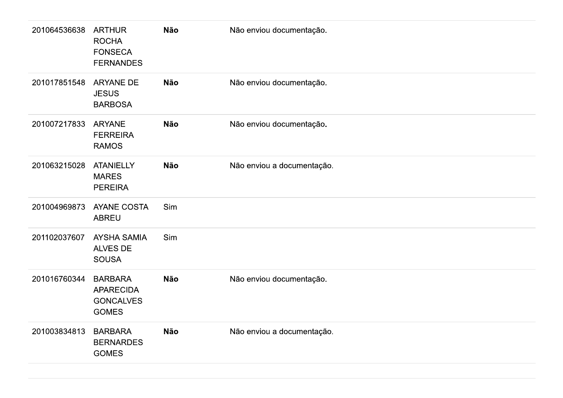| 201064536638 | <b>ARTHUR</b><br><b>ROCHA</b><br><b>FONSECA</b><br><b>FERNANDES</b>    | Não | Não enviou documentação.   |
|--------------|------------------------------------------------------------------------|-----|----------------------------|
| 201017851548 | <b>ARYANE DE</b><br><b>JESUS</b><br><b>BARBOSA</b>                     | Não | Não enviou documentação.   |
| 201007217833 | <b>ARYANE</b><br><b>FERREIRA</b><br><b>RAMOS</b>                       | Não | Não enviou documentação.   |
| 201063215028 | <b>ATANIELLY</b><br><b>MARES</b><br><b>PEREIRA</b>                     | Não | Não enviou a documentação. |
| 201004969873 | <b>AYANE COSTA</b><br><b>ABREU</b>                                     | Sim |                            |
| 201102037607 | <b>AYSHA SAMIA</b><br>ALVES DE<br><b>SOUSA</b>                         | Sim |                            |
| 201016760344 | <b>BARBARA</b><br><b>APARECIDA</b><br><b>GONCALVES</b><br><b>GOMES</b> | Não | Não enviou documentação.   |
| 201003834813 | <b>BARBARA</b><br><b>BERNARDES</b><br><b>GOMES</b>                     | Não | Não enviou a documentação. |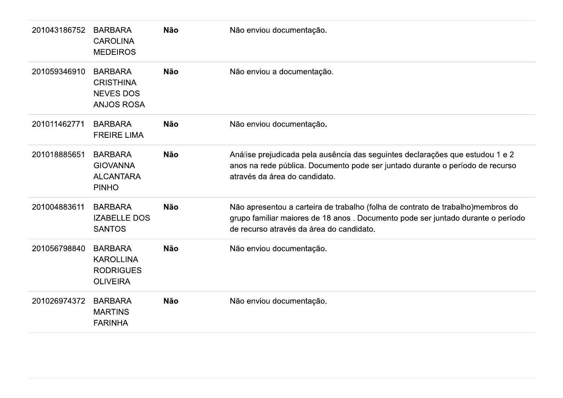| 201043186752 | <b>BARBARA</b><br><b>CAROLINA</b><br><b>MEDEIROS</b>                        | <b>Não</b> | Não enviou documentação.                                                                                                                                                                                       |
|--------------|-----------------------------------------------------------------------------|------------|----------------------------------------------------------------------------------------------------------------------------------------------------------------------------------------------------------------|
| 201059346910 | <b>BARBARA</b><br><b>CRISTHINA</b><br><b>NEVES DOS</b><br><b>ANJOS ROSA</b> | <b>Não</b> | Não enviou a documentação.                                                                                                                                                                                     |
| 201011462771 | <b>BARBARA</b><br><b>FREIRE LIMA</b>                                        | <b>Não</b> | Não enviou documentação.                                                                                                                                                                                       |
| 201018885651 | <b>BARBARA</b><br><b>GIOVANNA</b><br><b>ALCANTARA</b><br><b>PINHO</b>       | <b>Não</b> | Análise prejudicada pela ausência das seguintes declarações que estudou 1 e 2<br>anos na rede pública. Documento pode ser juntado durante o período de recurso<br>através da área do candidato.                |
| 201004883611 | <b>BARBARA</b><br><b>IZABELLE DOS</b><br><b>SANTOS</b>                      | <b>Não</b> | Não apresentou a carteira de trabalho (folha de contrato de trabalho)membros do<br>grupo familiar maiores de 18 anos. Documento pode ser juntado durante o período<br>de recurso através da área do candidato. |
| 201056798840 | <b>BARBARA</b><br><b>KAROLLINA</b><br><b>RODRIGUES</b><br><b>OLIVEIRA</b>   | <b>Não</b> | Não enviou documentação.                                                                                                                                                                                       |
| 201026974372 | <b>BARBARA</b><br><b>MARTINS</b><br><b>FARINHA</b>                          | <b>Não</b> | Não enviou documentação.                                                                                                                                                                                       |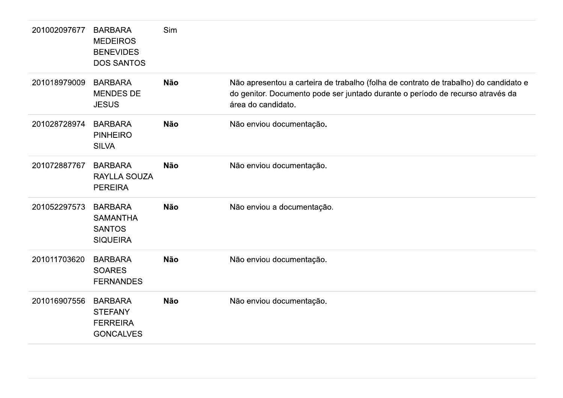| 201002097677 | <b>BARBARA</b><br><b>MEDEIROS</b><br><b>BENEVIDES</b><br><b>DOS SANTOS</b> | Sim        |                                                                                                                                                                                              |
|--------------|----------------------------------------------------------------------------|------------|----------------------------------------------------------------------------------------------------------------------------------------------------------------------------------------------|
| 201018979009 | <b>BARBARA</b><br><b>MENDES DE</b><br><b>JESUS</b>                         | <b>Não</b> | Não apresentou a carteira de trabalho (folha de contrato de trabalho) do candidato e<br>do genitor. Documento pode ser juntado durante o período de recurso através da<br>área do candidato. |
| 201028728974 | <b>BARBARA</b><br><b>PINHEIRO</b><br><b>SILVA</b>                          | <b>Não</b> | Não enviou documentação.                                                                                                                                                                     |
| 201072887767 | <b>BARBARA</b><br><b>RAYLLA SOUZA</b><br><b>PEREIRA</b>                    | <b>Não</b> | Não enviou documentação.                                                                                                                                                                     |
| 201052297573 | <b>BARBARA</b><br><b>SAMANTHA</b><br><b>SANTOS</b><br><b>SIQUEIRA</b>      | <b>Não</b> | Não enviou a documentação.                                                                                                                                                                   |
| 201011703620 | <b>BARBARA</b><br><b>SOARES</b><br><b>FERNANDES</b>                        | <b>Não</b> | Não enviou documentação.                                                                                                                                                                     |
| 201016907556 | <b>BARBARA</b><br><b>STEFANY</b><br><b>FERREIRA</b><br><b>GONCALVES</b>    | <b>Não</b> | Não enviou documentação.                                                                                                                                                                     |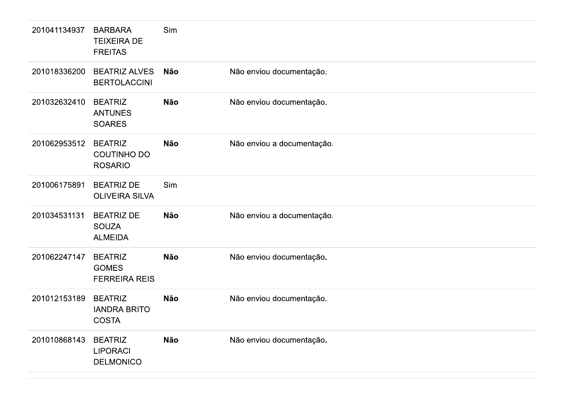| 201041134937 | <b>BARBARA</b><br><b>TEIXEIRA DE</b><br><b>FREITAS</b> | Sim        |                            |
|--------------|--------------------------------------------------------|------------|----------------------------|
| 201018336200 | <b>BEATRIZ ALVES</b><br><b>BERTOLACCINI</b>            | <b>Não</b> | Não enviou documentação.   |
| 201032632410 | <b>BEATRIZ</b><br><b>ANTUNES</b><br><b>SOARES</b>      | Não        | Não enviou documentação.   |
| 201062953512 | <b>BEATRIZ</b><br><b>COUTINHO DO</b><br><b>ROSARIO</b> | Não        | Não enviou a documentação. |
| 201006175891 | <b>BEATRIZ DE</b><br><b>OLIVEIRA SILVA</b>             | Sim        |                            |
| 201034531131 | <b>BEATRIZ DE</b><br><b>SOUZA</b><br><b>ALMEIDA</b>    | Não        | Não enviou a documentação. |
| 201062247147 | <b>BEATRIZ</b><br><b>GOMES</b><br><b>FERREIRA REIS</b> | Não        | Não enviou documentação.   |
| 201012153189 | <b>BEATRIZ</b><br><b>IANDRA BRITO</b><br><b>COSTA</b>  | Não        | Não enviou documentação.   |
| 201010868143 | <b>BEATRIZ</b><br><b>LIPORACI</b><br><b>DELMONICO</b>  | <b>Não</b> | Não enviou documentação.   |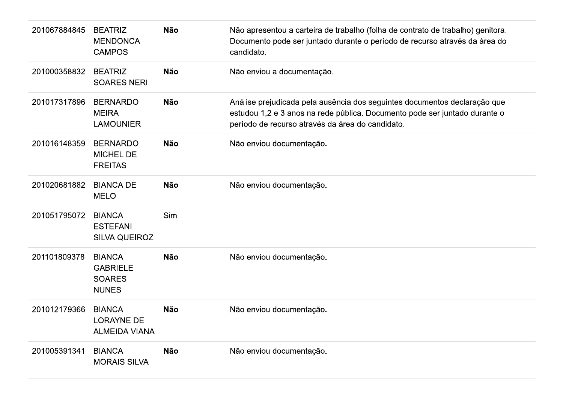| 201067884845 | <b>BEATRIZ</b><br><b>MENDONCA</b><br><b>CAMPOS</b>                | <b>Não</b> | Não apresentou a carteira de trabalho (folha de contrato de trabalho) genitora.<br>Documento pode ser juntado durante o período de recurso através da área do<br>candidato.                                 |
|--------------|-------------------------------------------------------------------|------------|-------------------------------------------------------------------------------------------------------------------------------------------------------------------------------------------------------------|
| 201000358832 | <b>BEATRIZ</b><br><b>SOARES NERI</b>                              | <b>Não</b> | Não enviou a documentação.                                                                                                                                                                                  |
| 201017317896 | <b>BERNARDO</b><br><b>MEIRA</b><br><b>LAMOUNIER</b>               | <b>Não</b> | Análise prejudicada pela ausência dos seguintes documentos declaração que<br>estudou 1,2 e 3 anos na rede pública. Documento pode ser juntado durante o<br>período de recurso através da área do candidato. |
| 201016148359 | <b>BERNARDO</b><br><b>MICHEL DE</b><br><b>FREITAS</b>             | <b>Não</b> | Não enviou documentação.                                                                                                                                                                                    |
| 201020681882 | <b>BIANCA DE</b><br><b>MELO</b>                                   | <b>Não</b> | Não enviou documentação.                                                                                                                                                                                    |
| 201051795072 | <b>BIANCA</b><br><b>ESTEFANI</b><br><b>SILVA QUEIROZ</b>          | Sim        |                                                                                                                                                                                                             |
| 201101809378 | <b>BIANCA</b><br><b>GABRIELE</b><br><b>SOARES</b><br><b>NUNES</b> | <b>Não</b> | Não enviou documentação.                                                                                                                                                                                    |
| 201012179366 | <b>BIANCA</b><br><b>LORAYNE DE</b><br><b>ALMEIDA VIANA</b>        | <b>Não</b> | Não enviou documentação.                                                                                                                                                                                    |
| 201005391341 | <b>BIANCA</b><br><b>MORAIS SILVA</b>                              | <b>Não</b> | Não enviou documentação.                                                                                                                                                                                    |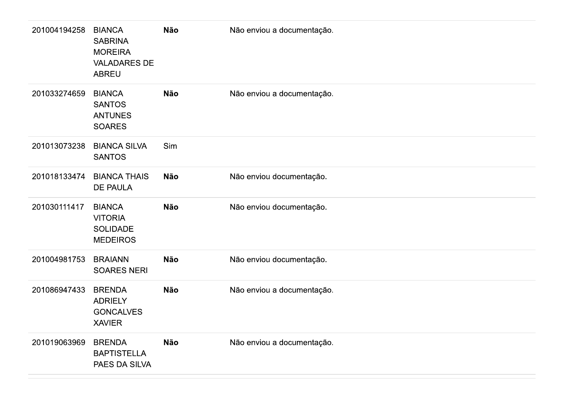| 201004194258 | <b>BIANCA</b><br><b>SABRINA</b><br><b>MOREIRA</b><br><b>VALADARES DE</b><br><b>ABREU</b> | <b>Não</b> | Não enviou a documentação. |
|--------------|------------------------------------------------------------------------------------------|------------|----------------------------|
| 201033274659 | <b>BIANCA</b><br><b>SANTOS</b><br><b>ANTUNES</b><br><b>SOARES</b>                        | <b>Não</b> | Não enviou a documentação. |
| 201013073238 | <b>BIANCA SILVA</b><br><b>SANTOS</b>                                                     | Sim        |                            |
| 201018133474 | <b>BIANCA THAIS</b><br><b>DE PAULA</b>                                                   | <b>Não</b> | Não enviou documentação.   |
| 201030111417 | <b>BIANCA</b><br><b>VITORIA</b><br><b>SOLIDADE</b><br><b>MEDEIROS</b>                    | <b>Não</b> | Não enviou documentação.   |
| 201004981753 | <b>BRAIANN</b><br><b>SOARES NERI</b>                                                     | <b>Não</b> | Não enviou documentação.   |
| 201086947433 | <b>BRENDA</b><br><b>ADRIELY</b><br><b>GONCALVES</b><br><b>XAVIER</b>                     | <b>Não</b> | Não enviou a documentação. |
| 201019063969 | <b>BRENDA</b><br><b>BAPTISTELLA</b><br>PAES DA SILVA                                     | <b>Não</b> | Não enviou a documentação. |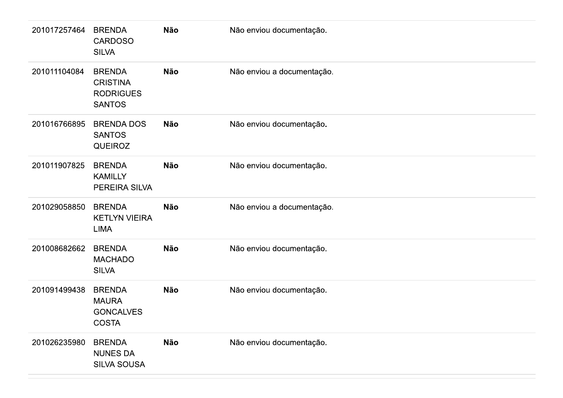| 201017257464 | <b>BRENDA</b><br><b>CARDOSO</b><br><b>SILVA</b>                       | <b>Não</b> | Não enviou documentação.   |
|--------------|-----------------------------------------------------------------------|------------|----------------------------|
| 201011104084 | <b>BRENDA</b><br><b>CRISTINA</b><br><b>RODRIGUES</b><br><b>SANTOS</b> | <b>Não</b> | Não enviou a documentação. |
| 201016766895 | <b>BRENDA DOS</b><br><b>SANTOS</b><br><b>QUEIROZ</b>                  | <b>Não</b> | Não enviou documentação.   |
| 201011907825 | <b>BRENDA</b><br><b>KAMILLY</b><br>PEREIRA SILVA                      | <b>Não</b> | Não enviou documentação.   |
| 201029058850 | <b>BRENDA</b><br><b>KETLYN VIEIRA</b><br><b>LIMA</b>                  | <b>Não</b> | Não enviou a documentação. |
| 201008682662 | <b>BRENDA</b><br><b>MACHADO</b><br><b>SILVA</b>                       | <b>Não</b> | Não enviou documentação.   |
| 201091499438 | <b>BRENDA</b><br><b>MAURA</b><br><b>GONCALVES</b><br><b>COSTA</b>     | <b>Não</b> | Não enviou documentação.   |
| 201026235980 | <b>BRENDA</b><br><b>NUNES DA</b><br><b>SILVA SOUSA</b>                | <b>Não</b> | Não enviou documentação.   |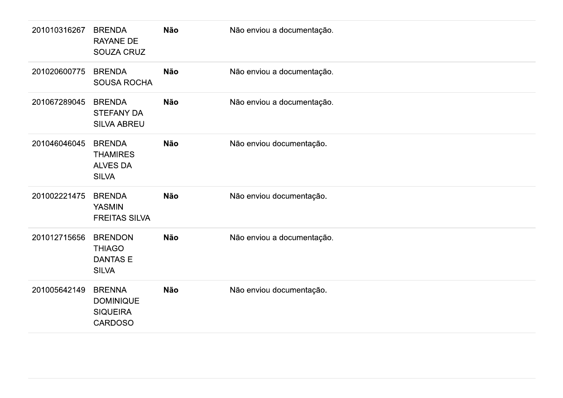| 201010316267 | <b>BRENDA</b><br><b>RAYANE DE</b><br>SOUZA CRUZ                     | <b>Não</b> | Não enviou a documentação. |
|--------------|---------------------------------------------------------------------|------------|----------------------------|
| 201020600775 | <b>BRENDA</b><br>SOUSA ROCHA                                        | <b>Não</b> | Não enviou a documentação. |
| 201067289045 | <b>BRENDA</b><br><b>STEFANY DA</b><br><b>SILVA ABREU</b>            | <b>Não</b> | Não enviou a documentação. |
| 201046046045 | <b>BRENDA</b><br><b>THAMIRES</b><br><b>ALVES DA</b><br><b>SILVA</b> | <b>Não</b> | Não enviou documentação.   |
| 201002221475 | <b>BRENDA</b><br><b>YASMIN</b><br><b>FREITAS SILVA</b>              | <b>Não</b> | Não enviou documentação.   |
| 201012715656 | <b>BRENDON</b><br><b>THIAGO</b><br>DANTAS E<br><b>SILVA</b>         | <b>Não</b> | Não enviou a documentação. |
| 201005642149 | <b>BRENNA</b><br><b>DOMINIQUE</b><br><b>SIQUEIRA</b><br>CARDOSO     | <b>Não</b> | Não enviou documentação.   |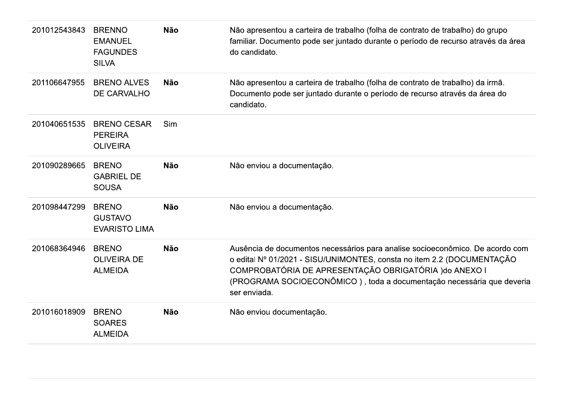| 201012543843 | <b>BRENNO</b><br><b>EMANUEL</b><br><b>FAGUNDES</b><br><b>SILVA</b> | <b>Não</b> | Não apresentou a carteira de trabalho (folha de contrato de trabalho) do grupo<br>familiar. Documento pode ser juntado durante o período de recurso através da área<br>do candidato.                                                                                                                       |
|--------------|--------------------------------------------------------------------|------------|------------------------------------------------------------------------------------------------------------------------------------------------------------------------------------------------------------------------------------------------------------------------------------------------------------|
| 201106647955 | <b>BRENO ALVES</b><br>DE CARVALHO                                  | <b>Não</b> | Não apresentou a carteira de trabalho (folha de contrato de trabalho) da irmã.<br>Documento pode ser juntado durante o período de recurso através da área do<br>candidato.                                                                                                                                 |
| 201040651535 | <b>BRENO CESAR</b><br><b>PEREIRA</b><br><b>OLIVEIRA</b>            | Sim        |                                                                                                                                                                                                                                                                                                            |
| 201090289665 | <b>BRENO</b><br><b>GABRIEL DE</b><br><b>SOUSA</b>                  | <b>Não</b> | Não enviou a documentação.                                                                                                                                                                                                                                                                                 |
| 201098447299 | <b>BRENO</b><br><b>GUSTAVO</b><br><b>EVARISTO LIMA</b>             | <b>Não</b> | Não enviou a documentação.                                                                                                                                                                                                                                                                                 |
| 201068364946 | <b>BRENO</b><br><b>OLIVEIRA DE</b><br><b>ALMEIDA</b>               | <b>Não</b> | Ausência de documentos necessários para analise socioeconômico. De acordo com<br>o edital Nº 01/2021 - SISU/UNIMONTES, consta no item 2.2 (DOCUMENTAÇÃO<br>COMPROBATÓRIA DE APRESENTAÇÃO OBRIGATÓRIA ) do ANEXO I<br>(PROGRAMA SOCIOECONÔMICO), toda a documentação necessária que deveria<br>ser enviada. |
| 201016018909 | <b>BRENO</b><br><b>SOARES</b><br><b>ALMEIDA</b>                    | <b>Não</b> | Não enviou documentação.                                                                                                                                                                                                                                                                                   |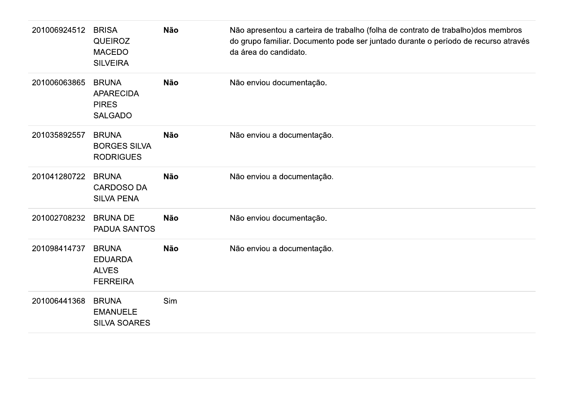| 201006924512 | <b>BRISA</b><br><b>QUEIROZ</b><br><b>MACEDO</b><br><b>SILVEIRA</b> | <b>Não</b> | Não apresentou a carteira de trabalho (folha de contrato de trabalho) dos membros<br>do grupo familiar. Documento pode ser juntado durante o período de recurso através<br>da área do candidato. |
|--------------|--------------------------------------------------------------------|------------|--------------------------------------------------------------------------------------------------------------------------------------------------------------------------------------------------|
| 201006063865 | <b>BRUNA</b><br><b>APARECIDA</b><br><b>PIRES</b><br><b>SALGADO</b> | <b>Não</b> | Não enviou documentação.                                                                                                                                                                         |
| 201035892557 | <b>BRUNA</b><br><b>BORGES SILVA</b><br><b>RODRIGUES</b>            | <b>Não</b> | Não enviou a documentação.                                                                                                                                                                       |
| 201041280722 | <b>BRUNA</b><br><b>CARDOSO DA</b><br><b>SILVA PENA</b>             | <b>Não</b> | Não enviou a documentação.                                                                                                                                                                       |
| 201002708232 | <b>BRUNA DE</b><br><b>PADUA SANTOS</b>                             | <b>Não</b> | Não enviou documentação.                                                                                                                                                                         |
| 201098414737 | <b>BRUNA</b><br><b>EDUARDA</b><br><b>ALVES</b><br><b>FERREIRA</b>  | <b>Não</b> | Não enviou a documentação.                                                                                                                                                                       |
| 201006441368 | <b>BRUNA</b><br><b>EMANUELE</b><br><b>SILVA SOARES</b>             | Sim        |                                                                                                                                                                                                  |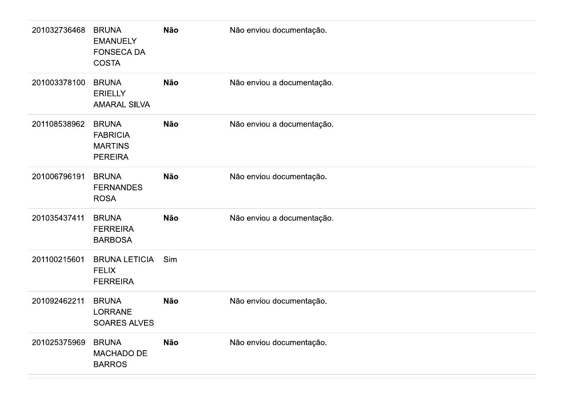| 201032736468 | <b>BRUNA</b><br><b>EMANUELY</b><br><b>FONSECA DA</b><br><b>COSTA</b> | Não        | Não enviou documentação.   |
|--------------|----------------------------------------------------------------------|------------|----------------------------|
| 201003378100 | <b>BRUNA</b><br><b>ERIELLY</b><br><b>AMARAL SILVA</b>                | <b>Não</b> | Não enviou a documentação. |
| 201108538962 | <b>BRUNA</b><br><b>FABRICIA</b><br><b>MARTINS</b><br><b>PEREIRA</b>  | Não        | Não enviou a documentação. |
| 201006796191 | <b>BRUNA</b><br><b>FERNANDES</b><br><b>ROSA</b>                      | <b>Não</b> | Não enviou documentação.   |
| 201035437411 | <b>BRUNA</b><br><b>FERREIRA</b><br><b>BARBOSA</b>                    | <b>Não</b> | Não enviou a documentação. |
| 201100215601 | <b>BRUNA LETICIA</b><br><b>FELIX</b><br><b>FERREIRA</b>              | Sim        |                            |
| 201092462211 | <b>BRUNA</b><br>LORRANE<br><b>SOARES ALVES</b>                       | Não        | Não enviou documentação.   |
| 201025375969 | <b>BRUNA</b><br>MACHADO DE<br><b>BARROS</b>                          | <b>Não</b> | Não enviou documentação.   |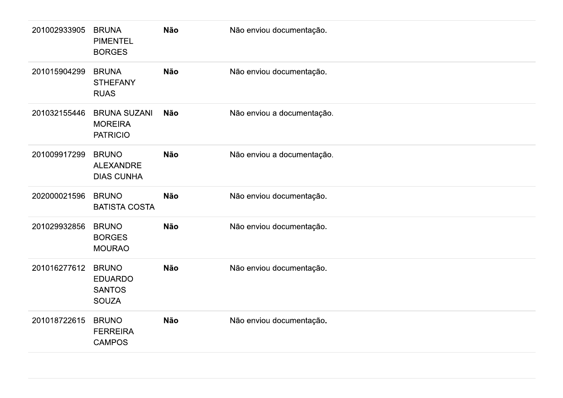| 201002933905 | <b>BRUNA</b><br><b>PIMENTEL</b><br><b>BORGES</b>                | <b>Não</b> | Não enviou documentação.   |
|--------------|-----------------------------------------------------------------|------------|----------------------------|
| 201015904299 | <b>BRUNA</b><br><b>STHEFANY</b><br><b>RUAS</b>                  | <b>Não</b> | Não enviou documentação.   |
| 201032155446 | <b>BRUNA SUZANI</b><br><b>MOREIRA</b><br><b>PATRICIO</b>        | <b>Não</b> | Não enviou a documentação. |
| 201009917299 | <b>BRUNO</b><br><b>ALEXANDRE</b><br><b>DIAS CUNHA</b>           | <b>Não</b> | Não enviou a documentação. |
| 202000021596 | <b>BRUNO</b><br><b>BATISTA COSTA</b>                            | <b>Não</b> | Não enviou documentação.   |
| 201029932856 | <b>BRUNO</b><br><b>BORGES</b><br><b>MOURAO</b>                  | <b>Não</b> | Não enviou documentação.   |
| 201016277612 | <b>BRUNO</b><br><b>EDUARDO</b><br><b>SANTOS</b><br><b>SOUZA</b> | <b>Não</b> | Não enviou documentação.   |
| 201018722615 | <b>BRUNO</b><br><b>FERREIRA</b><br><b>CAMPOS</b>                | <b>Não</b> | Não enviou documentação.   |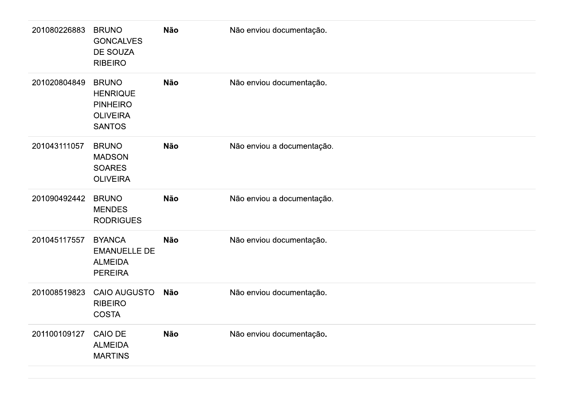| 201080226883 | <b>BRUNO</b><br><b>GONCALVES</b><br>DE SOUZA<br><b>RIBEIRO</b>                         | Não        | Não enviou documentação.   |
|--------------|----------------------------------------------------------------------------------------|------------|----------------------------|
| 201020804849 | <b>BRUNO</b><br><b>HENRIQUE</b><br><b>PINHEIRO</b><br><b>OLIVEIRA</b><br><b>SANTOS</b> | Não        | Não enviou documentação.   |
| 201043111057 | <b>BRUNO</b><br><b>MADSON</b><br><b>SOARES</b><br><b>OLIVEIRA</b>                      | Não        | Não enviou a documentação. |
| 201090492442 | <b>BRUNO</b><br><b>MENDES</b><br><b>RODRIGUES</b>                                      | Não        | Não enviou a documentação. |
| 201045117557 | <b>BYANCA</b><br><b>EMANUELLE DE</b><br><b>ALMEIDA</b><br><b>PEREIRA</b>               | Não        | Não enviou documentação.   |
| 201008519823 | <b>CAIO AUGUSTO</b><br><b>RIBEIRO</b><br><b>COSTA</b>                                  | <b>Não</b> | Não enviou documentação.   |
| 201100109127 | CAIO DE<br><b>ALMEIDA</b><br><b>MARTINS</b>                                            | Não        | Não enviou documentação.   |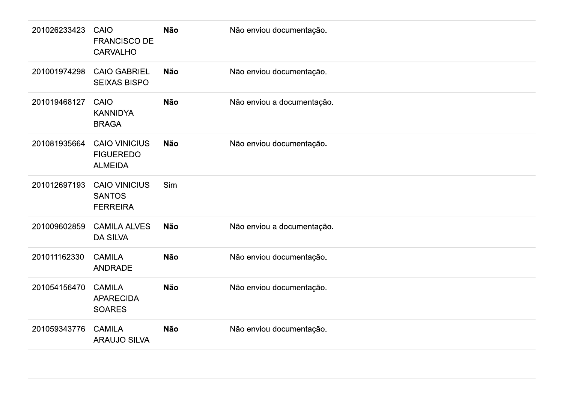| 201026233423 | CAIO<br><b>FRANCISCO DE</b><br><b>CARVALHO</b>             | <b>Não</b> | Não enviou documentação.   |
|--------------|------------------------------------------------------------|------------|----------------------------|
| 201001974298 | <b>CAIO GABRIEL</b><br><b>SEIXAS BISPO</b>                 | <b>Não</b> | Não enviou documentação.   |
| 201019468127 | CAIO<br><b>KANNIDYA</b><br><b>BRAGA</b>                    | <b>Não</b> | Não enviou a documentação. |
| 201081935664 | <b>CAIO VINICIUS</b><br><b>FIGUEREDO</b><br><b>ALMEIDA</b> | <b>Não</b> | Não enviou documentação.   |
| 201012697193 | <b>CAIO VINICIUS</b><br><b>SANTOS</b><br><b>FERREIRA</b>   | Sim        |                            |
| 201009602859 | <b>CAMILA ALVES</b><br><b>DA SILVA</b>                     | <b>Não</b> | Não enviou a documentação. |
| 201011162330 | <b>CAMILA</b><br><b>ANDRADE</b>                            | <b>Não</b> | Não enviou documentação.   |
| 201054156470 | <b>CAMILA</b><br><b>APARECIDA</b><br><b>SOARES</b>         | <b>Não</b> | Não enviou documentação.   |
| 201059343776 | <b>CAMILA</b><br><b>ARAUJO SILVA</b>                       | <b>Não</b> | Não enviou documentação.   |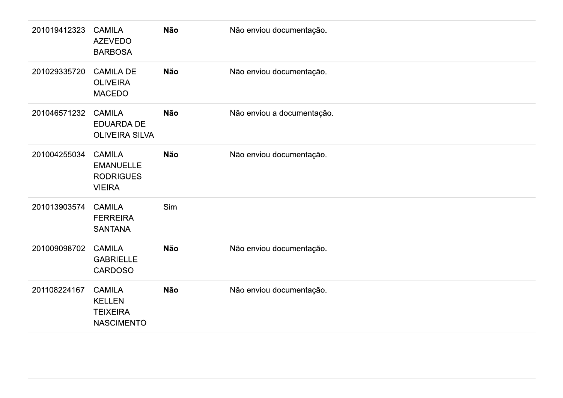| 201019412323 | <b>CAMILA</b><br><b>AZEVEDO</b><br><b>BARBOSA</b>                      | Não | Não enviou documentação.   |
|--------------|------------------------------------------------------------------------|-----|----------------------------|
| 201029335720 | <b>CAMILA DE</b><br><b>OLIVEIRA</b><br><b>MACEDO</b>                   | Não | Não enviou documentação.   |
| 201046571232 | <b>CAMILA</b><br><b>EDUARDA DE</b><br><b>OLIVEIRA SILVA</b>            | Não | Não enviou a documentação. |
| 201004255034 | <b>CAMILA</b><br><b>EMANUELLE</b><br><b>RODRIGUES</b><br><b>VIEIRA</b> | Não | Não enviou documentação.   |
| 201013903574 | <b>CAMILA</b><br><b>FERREIRA</b><br><b>SANTANA</b>                     | Sim |                            |
| 201009098702 | <b>CAMILA</b><br><b>GABRIELLE</b><br>CARDOSO                           | Não | Não enviou documentação.   |
| 201108224167 | <b>CAMILA</b><br><b>KELLEN</b><br><b>TEIXEIRA</b><br><b>NASCIMENTO</b> | Não | Não enviou documentação.   |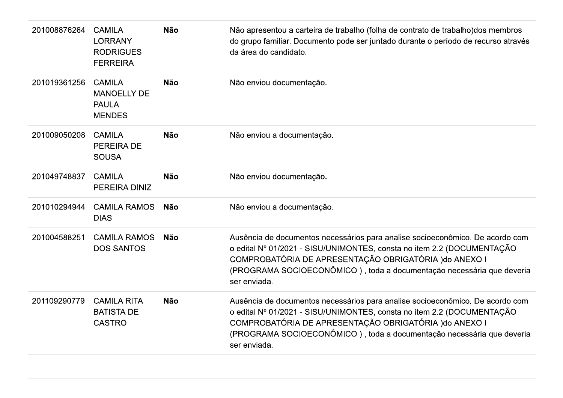| 201008876264 | <b>CAMILA</b><br><b>LORRANY</b><br><b>RODRIGUES</b><br><b>FERREIRA</b> | <b>Não</b> | Não apresentou a carteira de trabalho (folha de contrato de trabalho) dos membros<br>do grupo familiar. Documento pode ser juntado durante o período de recurso através<br>da área do candidato.                                                                                                           |
|--------------|------------------------------------------------------------------------|------------|------------------------------------------------------------------------------------------------------------------------------------------------------------------------------------------------------------------------------------------------------------------------------------------------------------|
| 201019361256 | <b>CAMILA</b><br><b>MANOELLY DE</b><br><b>PAULA</b><br><b>MENDES</b>   | <b>Não</b> | Não enviou documentação.                                                                                                                                                                                                                                                                                   |
| 201009050208 | <b>CAMILA</b><br><b>PEREIRA DE</b><br><b>SOUSA</b>                     | <b>Não</b> | Não enviou a documentação.                                                                                                                                                                                                                                                                                 |
| 201049748837 | <b>CAMILA</b><br>PEREIRA DINIZ                                         | <b>Não</b> | Não enviou documentação.                                                                                                                                                                                                                                                                                   |
| 201010294944 | <b>CAMILA RAMOS</b><br><b>DIAS</b>                                     | <b>Não</b> | Não enviou a documentação.                                                                                                                                                                                                                                                                                 |
| 201004588251 | <b>CAMILA RAMOS</b><br><b>DOS SANTOS</b>                               | <b>Não</b> | Ausência de documentos necessários para analise socioeconômico. De acordo com<br>o edital Nº 01/2021 - SISU/UNIMONTES, consta no item 2.2 (DOCUMENTAÇÃO<br>COMPROBATÓRIA DE APRESENTAÇÃO OBRIGATÓRIA ) do ANEXO I<br>(PROGRAMA SOCIOECONÔMICO), toda a documentação necessária que deveria<br>ser enviada. |
| 201109290779 | <b>CAMILA RITA</b><br><b>BATISTA DE</b><br><b>CASTRO</b>               | <b>Não</b> | Ausência de documentos necessários para analise socioeconômico. De acordo com<br>o edital Nº 01/2021 - SISU/UNIMONTES, consta no item 2.2 (DOCUMENTAÇÃO<br>COMPROBATÓRIA DE APRESENTAÇÃO OBRIGATÓRIA ) do ANEXO I<br>(PROGRAMA SOCIOECONÔMICO), toda a documentação necessária que deveria<br>ser enviada. |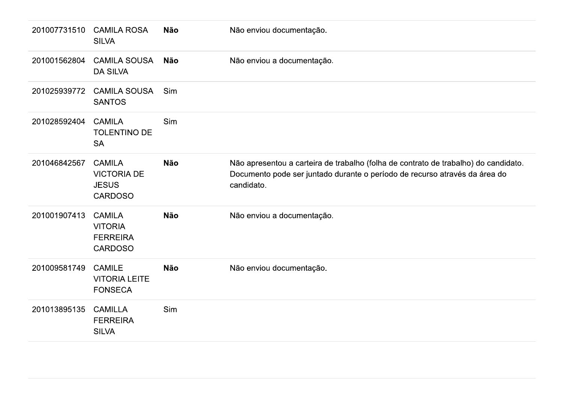| 201007731510 | <b>CAMILA ROSA</b><br><b>SILVA</b>                                    | <b>Não</b> | Não enviou documentação.                                                                                                                                                        |
|--------------|-----------------------------------------------------------------------|------------|---------------------------------------------------------------------------------------------------------------------------------------------------------------------------------|
| 201001562804 | <b>CAMILA SOUSA</b><br><b>DA SILVA</b>                                | <b>Não</b> | Não enviou a documentação.                                                                                                                                                      |
| 201025939772 | <b>CAMILA SOUSA</b><br><b>SANTOS</b>                                  | Sim        |                                                                                                                                                                                 |
| 201028592404 | <b>CAMILA</b><br><b>TOLENTINO DE</b><br><b>SA</b>                     | Sim        |                                                                                                                                                                                 |
| 201046842567 | <b>CAMILA</b><br><b>VICTORIA DE</b><br><b>JESUS</b><br><b>CARDOSO</b> | <b>Não</b> | Não apresentou a carteira de trabalho (folha de contrato de trabalho) do candidato.<br>Documento pode ser juntado durante o período de recurso através da área do<br>candidato. |
| 201001907413 | <b>CAMILA</b><br><b>VITORIA</b><br><b>FERREIRA</b><br><b>CARDOSO</b>  | <b>Não</b> | Não enviou a documentação.                                                                                                                                                      |
| 201009581749 | <b>CAMILE</b><br><b>VITORIA LEITE</b><br><b>FONSECA</b>               | <b>Não</b> | Não enviou documentação.                                                                                                                                                        |
| 201013895135 | <b>CAMILLA</b><br><b>FERREIRA</b><br><b>SILVA</b>                     | Sim        |                                                                                                                                                                                 |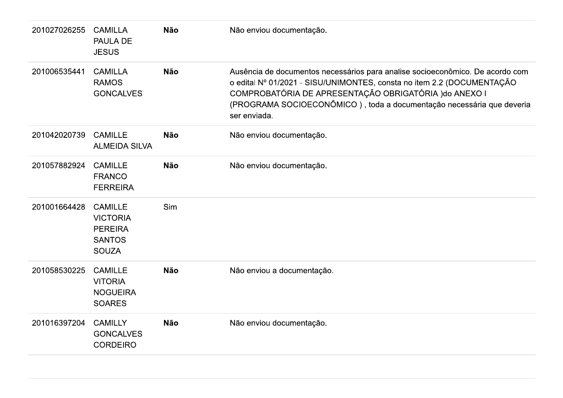| 201027026255 | <b>CAMILLA</b><br><b>PAULA DE</b><br><b>JESUS</b>                                    | <b>Não</b> | Não enviou documentação.                                                                                                                                                                                                                                                                                   |
|--------------|--------------------------------------------------------------------------------------|------------|------------------------------------------------------------------------------------------------------------------------------------------------------------------------------------------------------------------------------------------------------------------------------------------------------------|
| 201006535441 | <b>CAMILLA</b><br><b>RAMOS</b><br><b>GONCALVES</b>                                   | <b>Não</b> | Ausência de documentos necessários para analise socioeconômico. De acordo com<br>o edital Nº 01/2021 - SISU/UNIMONTES, consta no item 2.2 (DOCUMENTAÇÃO<br>COMPROBATÓRIA DE APRESENTAÇÃO OBRIGATÓRIA ) do ANEXO I<br>(PROGRAMA SOCIOECONÔMICO), toda a documentação necessária que deveria<br>ser enviada. |
| 201042020739 | <b>CAMILLE</b><br><b>ALMEIDA SILVA</b>                                               | <b>Não</b> | Não enviou documentação.                                                                                                                                                                                                                                                                                   |
| 201057882924 | <b>CAMILLE</b><br><b>FRANCO</b><br><b>FERREIRA</b>                                   | <b>Não</b> | Não enviou documentação.                                                                                                                                                                                                                                                                                   |
| 201001664428 | <b>CAMILLE</b><br><b>VICTORIA</b><br><b>PEREIRA</b><br><b>SANTOS</b><br><b>SOUZA</b> | Sim        |                                                                                                                                                                                                                                                                                                            |
| 201058530225 | <b>CAMILLE</b><br><b>VITORIA</b><br><b>NOGUEIRA</b><br><b>SOARES</b>                 | <b>Não</b> | Não enviou a documentação.                                                                                                                                                                                                                                                                                 |
| 201016397204 | <b>CAMILLY</b><br><b>GONCALVES</b><br><b>CORDEIRO</b>                                | <b>Não</b> | Não enviou documentação.                                                                                                                                                                                                                                                                                   |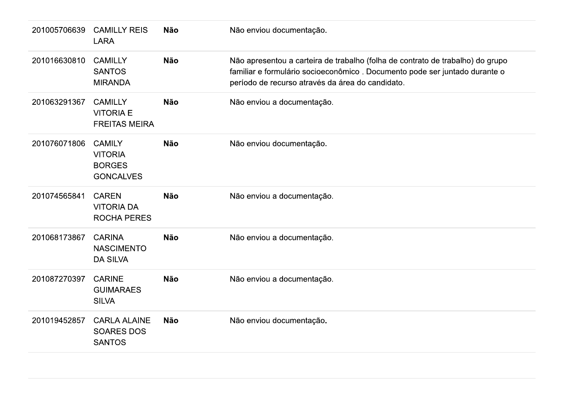| 201005706639 | <b>CAMILLY REIS</b><br><b>LARA</b>                                   | <b>Não</b> | Não enviou documentação.                                                                                                                                                                                         |
|--------------|----------------------------------------------------------------------|------------|------------------------------------------------------------------------------------------------------------------------------------------------------------------------------------------------------------------|
| 201016630810 | <b>CAMILLY</b><br><b>SANTOS</b><br><b>MIRANDA</b>                    | <b>Não</b> | Não apresentou a carteira de trabalho (folha de contrato de trabalho) do grupo<br>familiar e formulário socioeconômico. Documento pode ser juntado durante o<br>período de recurso através da área do candidato. |
| 201063291367 | <b>CAMILLY</b><br><b>VITORIA E</b><br><b>FREITAS MEIRA</b>           | <b>Não</b> | Não enviou a documentação.                                                                                                                                                                                       |
| 201076071806 | <b>CAMILY</b><br><b>VITORIA</b><br><b>BORGES</b><br><b>GONCALVES</b> | <b>Não</b> | Não enviou documentação.                                                                                                                                                                                         |
| 201074565841 | <b>CAREN</b><br><b>VITORIA DA</b><br><b>ROCHA PERES</b>              | <b>Não</b> | Não enviou a documentação.                                                                                                                                                                                       |
| 201068173867 | <b>CARINA</b><br><b>NASCIMENTO</b><br><b>DA SILVA</b>                | <b>Não</b> | Não enviou a documentação.                                                                                                                                                                                       |
| 201087270397 | <b>CARINE</b><br><b>GUIMARAES</b><br><b>SILVA</b>                    | <b>Não</b> | Não enviou a documentação.                                                                                                                                                                                       |
| 201019452857 | <b>CARLA ALAINE</b><br><b>SOARES DOS</b><br><b>SANTOS</b>            | <b>Não</b> | Não enviou documentação.                                                                                                                                                                                         |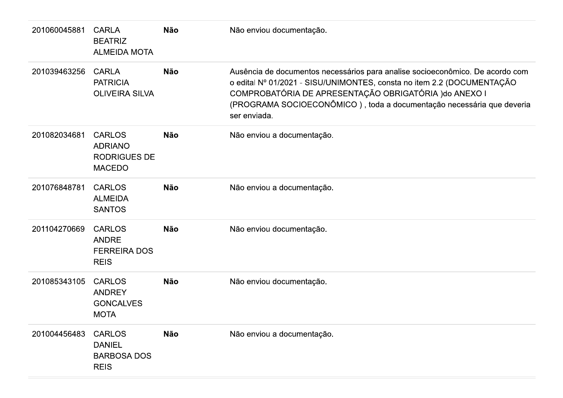| 201060045881 | <b>CARLA</b><br><b>BEATRIZ</b><br><b>ALMEIDA MOTA</b>                   | <b>Não</b> | Não enviou documentação.                                                                                                                                                                                                                                                                                   |
|--------------|-------------------------------------------------------------------------|------------|------------------------------------------------------------------------------------------------------------------------------------------------------------------------------------------------------------------------------------------------------------------------------------------------------------|
| 201039463256 | <b>CARLA</b><br><b>PATRICIA</b><br><b>OLIVEIRA SILVA</b>                | <b>Não</b> | Ausência de documentos necessários para analise socioeconômico. De acordo com<br>o edital Nº 01/2021 - SISU/UNIMONTES, consta no item 2.2 (DOCUMENTAÇÃO<br>COMPROBATÓRIA DE APRESENTAÇÃO OBRIGATÓRIA ) do ANEXO I<br>(PROGRAMA SOCIOECONÔMICO), toda a documentação necessária que deveria<br>ser enviada. |
| 201082034681 | <b>CARLOS</b><br><b>ADRIANO</b><br><b>RODRIGUES DE</b><br><b>MACEDO</b> | <b>Não</b> | Não enviou a documentação.                                                                                                                                                                                                                                                                                 |
| 201076848781 | <b>CARLOS</b><br><b>ALMEIDA</b><br><b>SANTOS</b>                        | <b>Não</b> | Não enviou a documentação.                                                                                                                                                                                                                                                                                 |
| 201104270669 | <b>CARLOS</b><br><b>ANDRE</b><br><b>FERREIRA DOS</b><br><b>REIS</b>     | <b>Não</b> | Não enviou documentação.                                                                                                                                                                                                                                                                                   |
| 201085343105 | <b>CARLOS</b><br><b>ANDREY</b><br><b>GONCALVES</b><br><b>MOTA</b>       | <b>Não</b> | Não enviou documentação.                                                                                                                                                                                                                                                                                   |
| 201004456483 | <b>CARLOS</b><br><b>DANIEL</b><br><b>BARBOSA DOS</b><br><b>REIS</b>     | <b>Não</b> | Não enviou a documentação.                                                                                                                                                                                                                                                                                 |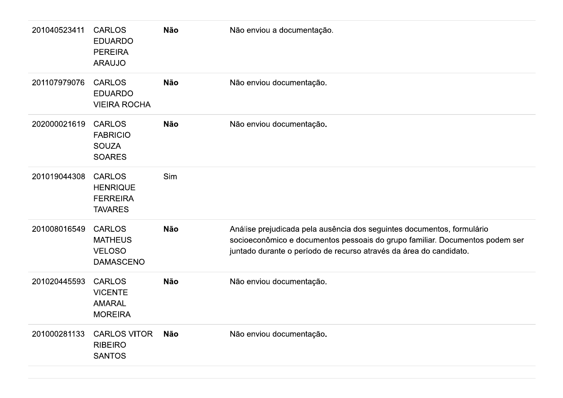| 201040523411 | <b>CARLOS</b><br><b>EDUARDO</b><br><b>PEREIRA</b><br><b>ARAUJO</b>    | <b>Não</b> | Não enviou a documentação.                                                                                                                                                                                                   |
|--------------|-----------------------------------------------------------------------|------------|------------------------------------------------------------------------------------------------------------------------------------------------------------------------------------------------------------------------------|
| 201107979076 | <b>CARLOS</b><br><b>EDUARDO</b><br><b>VIEIRA ROCHA</b>                | <b>Não</b> | Não enviou documentação.                                                                                                                                                                                                     |
| 202000021619 | <b>CARLOS</b><br><b>FABRICIO</b><br><b>SOUZA</b><br><b>SOARES</b>     | <b>Não</b> | Não enviou documentação.                                                                                                                                                                                                     |
| 201019044308 | <b>CARLOS</b><br><b>HENRIQUE</b><br><b>FERREIRA</b><br><b>TAVARES</b> | Sim        |                                                                                                                                                                                                                              |
| 201008016549 | <b>CARLOS</b><br><b>MATHEUS</b><br><b>VELOSO</b><br><b>DAMASCENO</b>  | <b>Não</b> | Análise prejudicada pela ausência dos seguintes documentos, formulário<br>socioeconômico e documentos pessoais do grupo familiar. Documentos podem ser<br>juntado durante o período de recurso através da área do candidato. |
| 201020445593 | <b>CARLOS</b><br><b>VICENTE</b><br><b>AMARAL</b><br><b>MOREIRA</b>    | <b>Não</b> | Não enviou documentação.                                                                                                                                                                                                     |
| 201000281133 | <b>CARLOS VITOR</b><br><b>RIBEIRO</b><br><b>SANTOS</b>                | <b>Não</b> | Não enviou documentação.                                                                                                                                                                                                     |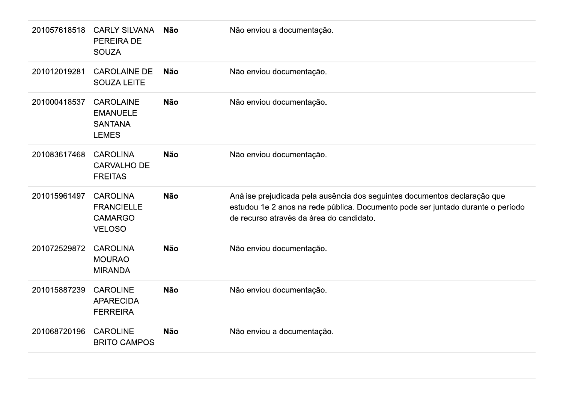| 201057618518 | <b>CARLY SILVANA</b><br><b>PEREIRA DE</b><br><b>SOUZA</b>               | <b>Não</b> | Não enviou a documentação.                                                                                                                                                                               |
|--------------|-------------------------------------------------------------------------|------------|----------------------------------------------------------------------------------------------------------------------------------------------------------------------------------------------------------|
| 201012019281 | <b>CAROLAINE DE</b><br><b>SOUZA LEITE</b>                               | <b>Não</b> | Não enviou documentação.                                                                                                                                                                                 |
| 201000418537 | <b>CAROLAINE</b><br><b>EMANUELE</b><br><b>SANTANA</b><br><b>LEMES</b>   | <b>Não</b> | Não enviou documentação.                                                                                                                                                                                 |
| 201083617468 | <b>CAROLINA</b><br><b>CARVALHO DE</b><br><b>FREITAS</b>                 | <b>Não</b> | Não enviou documentação.                                                                                                                                                                                 |
| 201015961497 | <b>CAROLINA</b><br><b>FRANCIELLE</b><br><b>CAMARGO</b><br><b>VELOSO</b> | <b>Não</b> | Análise prejudicada pela ausência dos seguintes documentos declaração que<br>estudou 1e 2 anos na rede pública. Documento pode ser juntado durante o período<br>de recurso através da área do candidato. |
| 201072529872 | <b>CAROLINA</b><br><b>MOURAO</b><br><b>MIRANDA</b>                      | <b>Não</b> | Não enviou documentação.                                                                                                                                                                                 |
| 201015887239 | <b>CAROLINE</b><br><b>APARECIDA</b><br><b>FERREIRA</b>                  | <b>Não</b> | Não enviou documentação.                                                                                                                                                                                 |
| 201068720196 | <b>CAROLINE</b><br><b>BRITO CAMPOS</b>                                  | <b>Não</b> | Não enviou a documentação.                                                                                                                                                                               |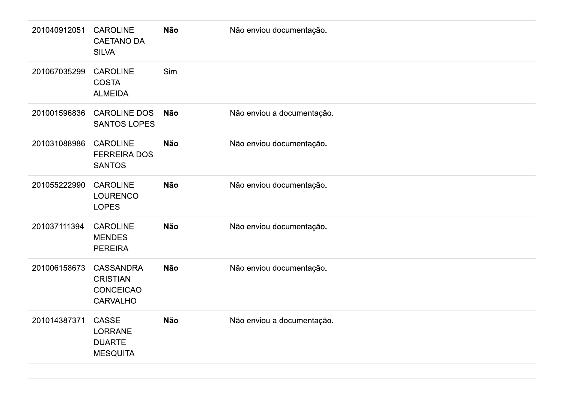| 201040912051 | <b>CAROLINE</b><br><b>CAETANO DA</b><br><b>SILVA</b>                       | <b>Não</b> | Não enviou documentação.   |
|--------------|----------------------------------------------------------------------------|------------|----------------------------|
| 201067035299 | <b>CAROLINE</b><br><b>COSTA</b><br><b>ALMEIDA</b>                          | Sim        |                            |
| 201001596836 | <b>CAROLINE DOS</b><br><b>SANTOS LOPES</b>                                 | <b>Não</b> | Não enviou a documentação. |
| 201031088986 | <b>CAROLINE</b><br><b>FERREIRA DOS</b><br><b>SANTOS</b>                    | <b>Não</b> | Não enviou documentação.   |
| 201055222990 | <b>CAROLINE</b><br><b>LOURENCO</b><br><b>LOPES</b>                         | <b>Não</b> | Não enviou documentação.   |
| 201037111394 | <b>CAROLINE</b><br><b>MENDES</b><br><b>PEREIRA</b>                         | <b>Não</b> | Não enviou documentação.   |
| 201006158673 | <b>CASSANDRA</b><br><b>CRISTIAN</b><br><b>CONCEICAO</b><br><b>CARVALHO</b> | <b>Não</b> | Não enviou documentação.   |
| 201014387371 | <b>CASSE</b><br><b>LORRANE</b><br><b>DUARTE</b><br><b>MESQUITA</b>         | <b>Não</b> | Não enviou a documentação. |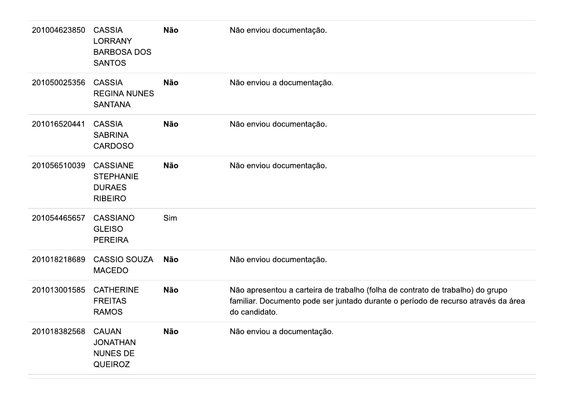| 201004623850 | <b>CASSIA</b><br><b>LORRANY</b><br><b>BARBOSA DOS</b><br><b>SANTOS</b> | <b>Não</b> | Não enviou documentação.                                                                                                                                                             |
|--------------|------------------------------------------------------------------------|------------|--------------------------------------------------------------------------------------------------------------------------------------------------------------------------------------|
| 201050025356 | <b>CASSIA</b><br><b>REGINA NUNES</b><br><b>SANTANA</b>                 | <b>Não</b> | Não enviou a documentação.                                                                                                                                                           |
| 201016520441 | <b>CASSIA</b><br><b>SABRINA</b><br><b>CARDOSO</b>                      | <b>Não</b> | Não enviou documentação.                                                                                                                                                             |
| 201056510039 | <b>CASSIANE</b><br><b>STEPHANIE</b><br><b>DURAES</b><br><b>RIBEIRO</b> | <b>Não</b> | Não enviou documentação.                                                                                                                                                             |
| 201054465657 | <b>CASSIANO</b><br><b>GLEISO</b><br><b>PEREIRA</b>                     | Sim        |                                                                                                                                                                                      |
| 201018218689 | <b>CASSIO SOUZA</b><br><b>MACEDO</b>                                   | <b>Não</b> | Não enviou documentação.                                                                                                                                                             |
| 201013001585 | <b>CATHERINE</b><br><b>FREITAS</b><br><b>RAMOS</b>                     | <b>Não</b> | Não apresentou a carteira de trabalho (folha de contrato de trabalho) do grupo<br>familiar. Documento pode ser juntado durante o período de recurso através da área<br>do candidato. |
| 201018382568 | <b>CAUAN</b><br><b>JONATHAN</b><br><b>NUNES DE</b><br><b>QUEIROZ</b>   | Não        | Não enviou a documentação.                                                                                                                                                           |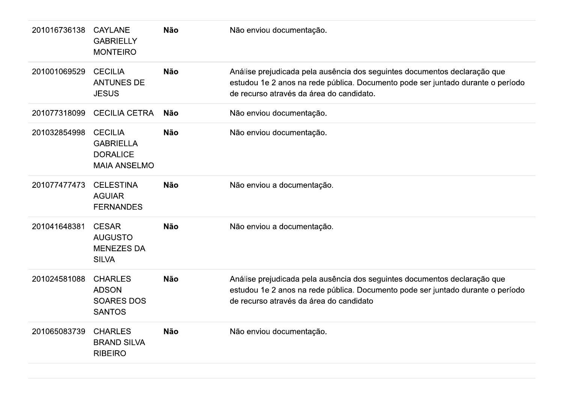| 201016736138 | <b>CAYLANE</b><br><b>GABRIELLY</b><br><b>MONTEIRO</b>                        | <b>Não</b> | Não enviou documentação.                                                                                                                                                                                 |
|--------------|------------------------------------------------------------------------------|------------|----------------------------------------------------------------------------------------------------------------------------------------------------------------------------------------------------------|
| 201001069529 | <b>CECILIA</b><br><b>ANTUNES DE</b><br><b>JESUS</b>                          | <b>Não</b> | Análise prejudicada pela ausência dos seguintes documentos declaração que<br>estudou 1e 2 anos na rede pública. Documento pode ser juntado durante o período<br>de recurso através da área do candidato. |
| 201077318099 | <b>CECILIA CETRA</b>                                                         | <b>Não</b> | Não enviou documentação.                                                                                                                                                                                 |
| 201032854998 | <b>CECILIA</b><br><b>GABRIELLA</b><br><b>DORALICE</b><br><b>MAIA ANSELMO</b> | <b>Não</b> | Não enviou documentação.                                                                                                                                                                                 |
| 201077477473 | <b>CELESTINA</b><br><b>AGUIAR</b><br><b>FERNANDES</b>                        | <b>Não</b> | Não enviou a documentação.                                                                                                                                                                               |
| 201041648381 | <b>CESAR</b><br><b>AUGUSTO</b><br><b>MENEZES DA</b><br><b>SILVA</b>          | <b>Não</b> | Não enviou a documentação.                                                                                                                                                                               |
| 201024581088 | <b>CHARLES</b><br><b>ADSON</b><br><b>SOARES DOS</b><br><b>SANTOS</b>         | <b>Não</b> | Análise prejudicada pela ausência dos seguintes documentos declaração que<br>estudou 1e 2 anos na rede pública. Documento pode ser juntado durante o período<br>de recurso através da área do candidato  |
| 201065083739 | <b>CHARLES</b><br><b>BRAND SILVA</b><br><b>RIBEIRO</b>                       | <b>Não</b> | Não enviou documentação.                                                                                                                                                                                 |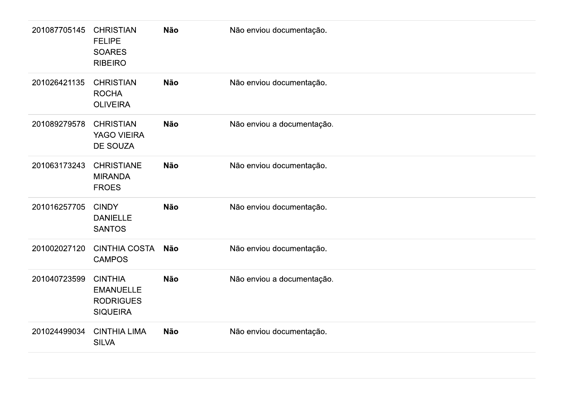| 201087705145 | <b>CHRISTIAN</b><br><b>FELIPE</b><br><b>SOARES</b><br><b>RIBEIRO</b>      | Não        | Não enviou documentação.   |
|--------------|---------------------------------------------------------------------------|------------|----------------------------|
| 201026421135 | <b>CHRISTIAN</b><br><b>ROCHA</b><br><b>OLIVEIRA</b>                       | <b>Não</b> | Não enviou documentação.   |
| 201089279578 | <b>CHRISTIAN</b><br>YAGO VIEIRA<br>DE SOUZA                               | <b>Não</b> | Não enviou a documentação. |
| 201063173243 | <b>CHRISTIANE</b><br><b>MIRANDA</b><br><b>FROES</b>                       | <b>Não</b> | Não enviou documentação.   |
| 201016257705 | <b>CINDY</b><br><b>DANIELLE</b><br><b>SANTOS</b>                          | <b>Não</b> | Não enviou documentação.   |
| 201002027120 | <b>CINTHIA COSTA</b><br><b>CAMPOS</b>                                     | Não        | Não enviou documentação.   |
| 201040723599 | <b>CINTHIA</b><br><b>EMANUELLE</b><br><b>RODRIGUES</b><br><b>SIQUEIRA</b> | <b>Não</b> | Não enviou a documentação. |
| 201024499034 | <b>CINTHIA LIMA</b><br><b>SILVA</b>                                       | <b>Não</b> | Não enviou documentação.   |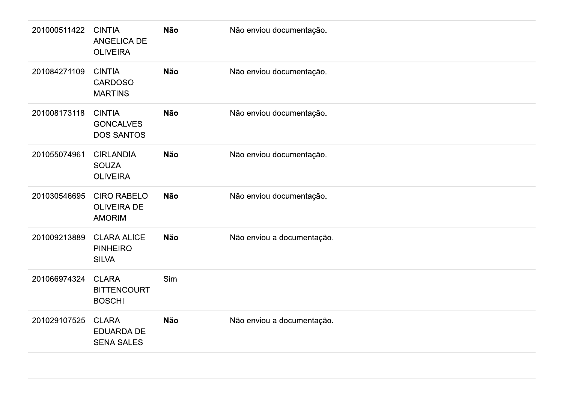| 201000511422 | <b>CINTIA</b><br><b>ANGELICA DE</b><br><b>OLIVEIRA</b>    | <b>Não</b> | Não enviou documentação.   |
|--------------|-----------------------------------------------------------|------------|----------------------------|
| 201084271109 | <b>CINTIA</b><br><b>CARDOSO</b><br><b>MARTINS</b>         | <b>Não</b> | Não enviou documentação.   |
| 201008173118 | <b>CINTIA</b><br><b>GONCALVES</b><br><b>DOS SANTOS</b>    | <b>Não</b> | Não enviou documentação.   |
| 201055074961 | <b>CIRLANDIA</b><br><b>SOUZA</b><br><b>OLIVEIRA</b>       | <b>Não</b> | Não enviou documentação.   |
| 201030546695 | <b>CIRO RABELO</b><br><b>OLIVEIRA DE</b><br><b>AMORIM</b> | <b>Não</b> | Não enviou documentação.   |
| 201009213889 | <b>CLARA ALICE</b><br><b>PINHEIRO</b><br><b>SILVA</b>     | <b>Não</b> | Não enviou a documentação. |
| 201066974324 | <b>CLARA</b><br><b>BITTENCOURT</b><br><b>BOSCHI</b>       | Sim        |                            |
| 201029107525 | <b>CLARA</b><br><b>EDUARDA DE</b><br><b>SENA SALES</b>    | <b>Não</b> | Não enviou a documentação. |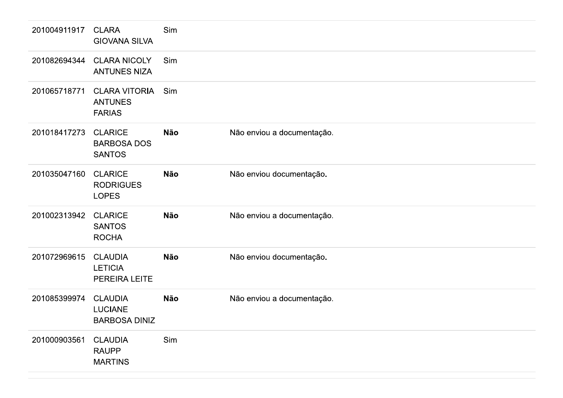| 201004911917 | <b>CLARA</b><br><b>GIOVANA SILVA</b>                     | Sim        |                            |
|--------------|----------------------------------------------------------|------------|----------------------------|
| 201082694344 | <b>CLARA NICOLY</b><br><b>ANTUNES NIZA</b>               | Sim        |                            |
| 201065718771 | <b>CLARA VITORIA</b><br><b>ANTUNES</b><br><b>FARIAS</b>  | Sim        |                            |
| 201018417273 | <b>CLARICE</b><br><b>BARBOSA DOS</b><br><b>SANTOS</b>    | <b>Não</b> | Não enviou a documentação. |
| 201035047160 | <b>CLARICE</b><br><b>RODRIGUES</b><br><b>LOPES</b>       | <b>Não</b> | Não enviou documentação.   |
| 201002313942 | <b>CLARICE</b><br><b>SANTOS</b><br><b>ROCHA</b>          | <b>Não</b> | Não enviou a documentação. |
| 201072969615 | <b>CLAUDIA</b><br><b>LETICIA</b><br>PEREIRA LEITE        | <b>Não</b> | Não enviou documentação.   |
| 201085399974 | <b>CLAUDIA</b><br><b>LUCIANE</b><br><b>BARBOSA DINIZ</b> | <b>Não</b> | Não enviou a documentação. |
| 201000903561 | <b>CLAUDIA</b><br><b>RAUPP</b><br><b>MARTINS</b>         | Sim        |                            |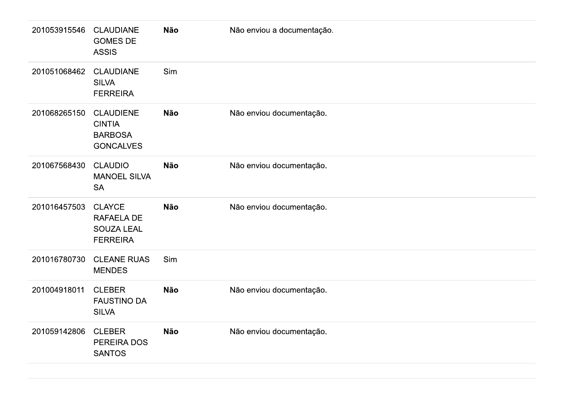| 201053915546 | <b>CLAUDIANE</b><br><b>GOMES DE</b><br><b>ASSIS</b>                     | <b>Não</b> | Não enviou a documentação. |
|--------------|-------------------------------------------------------------------------|------------|----------------------------|
| 201051068462 | <b>CLAUDIANE</b><br><b>SILVA</b><br><b>FERREIRA</b>                     | Sim        |                            |
| 201068265150 | <b>CLAUDIENE</b><br><b>CINTIA</b><br><b>BARBOSA</b><br><b>GONCALVES</b> | <b>Não</b> | Não enviou documentação.   |
| 201067568430 | <b>CLAUDIO</b><br><b>MANOEL SILVA</b><br><b>SA</b>                      | <b>Não</b> | Não enviou documentação.   |
| 201016457503 | <b>CLAYCE</b><br>RAFAELA DE<br><b>SOUZA LEAL</b><br><b>FERREIRA</b>     | <b>Não</b> | Não enviou documentação.   |
| 201016780730 | <b>CLEANE RUAS</b><br><b>MENDES</b>                                     | Sim        |                            |
| 201004918011 | <b>CLEBER</b><br><b>FAUSTINO DA</b><br><b>SILVA</b>                     | <b>Não</b> | Não enviou documentação.   |
| 201059142806 | <b>CLEBER</b><br>PEREIRA DOS<br><b>SANTOS</b>                           | <b>Não</b> | Não enviou documentação.   |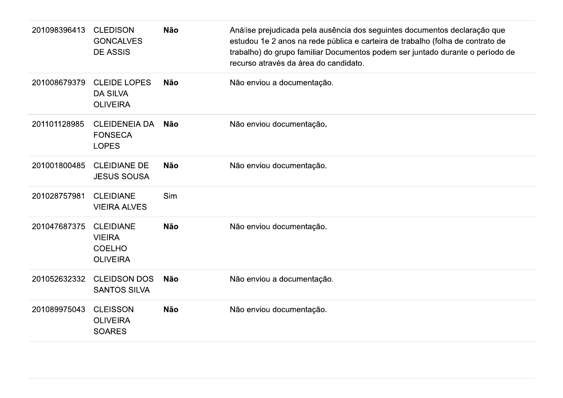| 201098396413 | <b>CLEDISON</b><br><b>GONCALVES</b><br><b>DE ASSIS</b>                | <b>Não</b> | Análise prejudicada pela ausência dos seguintes documentos declaração que<br>estudou 1e 2 anos na rede pública e carteira de trabalho (folha de contrato de<br>trabalho) do grupo familiar Documentos podem ser juntado durante o período de<br>recurso através da área do candidato. |
|--------------|-----------------------------------------------------------------------|------------|---------------------------------------------------------------------------------------------------------------------------------------------------------------------------------------------------------------------------------------------------------------------------------------|
| 201008679379 | <b>CLEIDE LOPES</b><br><b>DA SILVA</b><br><b>OLIVEIRA</b>             | <b>Não</b> | Não enviou a documentação.                                                                                                                                                                                                                                                            |
| 201101128985 | <b>CLEIDENEIA DA</b><br><b>FONSECA</b><br><b>LOPES</b>                | Não        | Não enviou documentação.                                                                                                                                                                                                                                                              |
| 201001800485 | <b>CLEIDIANE DE</b><br><b>JESUS SOUSA</b>                             | <b>Não</b> | Não enviou documentação.                                                                                                                                                                                                                                                              |
| 201028757981 | <b>CLEIDIANE</b><br><b>VIEIRA ALVES</b>                               | Sim        |                                                                                                                                                                                                                                                                                       |
| 201047687375 | <b>CLEIDIANE</b><br><b>VIEIRA</b><br><b>COELHO</b><br><b>OLIVEIRA</b> | <b>Não</b> | Não enviou documentação.                                                                                                                                                                                                                                                              |
| 201052632332 | <b>CLEIDSON DOS</b><br><b>SANTOS SILVA</b>                            | Não        | Não enviou a documentação.                                                                                                                                                                                                                                                            |
| 201089975043 | <b>CLEISSON</b><br><b>OLIVEIRA</b><br><b>SOARES</b>                   | <b>Não</b> | Não enviou documentação.                                                                                                                                                                                                                                                              |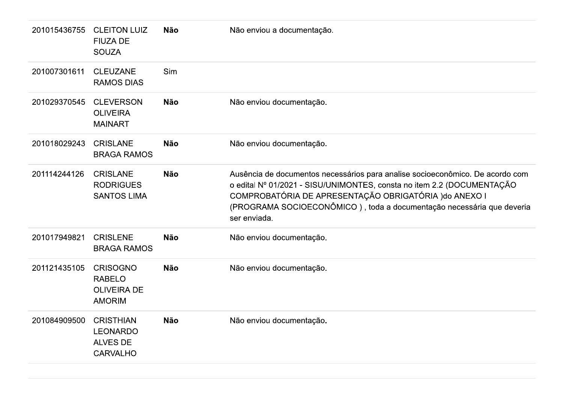| 201015436755 | <b>CLEITON LUIZ</b><br><b>FIUZA DE</b><br><b>SOUZA</b>                    | <b>Não</b> | Não enviou a documentação.                                                                                                                                                                                                                                                                                 |
|--------------|---------------------------------------------------------------------------|------------|------------------------------------------------------------------------------------------------------------------------------------------------------------------------------------------------------------------------------------------------------------------------------------------------------------|
| 201007301611 | <b>CLEUZANE</b><br><b>RAMOS DIAS</b>                                      | Sim        |                                                                                                                                                                                                                                                                                                            |
| 201029370545 | <b>CLEVERSON</b><br><b>OLIVEIRA</b><br><b>MAINART</b>                     | <b>Não</b> | Não enviou documentação.                                                                                                                                                                                                                                                                                   |
| 201018029243 | <b>CRISLANE</b><br><b>BRAGA RAMOS</b>                                     | <b>Não</b> | Não enviou documentação.                                                                                                                                                                                                                                                                                   |
| 201114244126 | <b>CRISLANE</b><br><b>RODRIGUES</b><br><b>SANTOS LIMA</b>                 | <b>Não</b> | Ausência de documentos necessários para analise socioeconômico. De acordo com<br>o edital Nº 01/2021 - SISU/UNIMONTES, consta no item 2.2 (DOCUMENTAÇÃO<br>COMPROBATÓRIA DE APRESENTAÇÃO OBRIGATÓRIA ) do ANEXO I<br>(PROGRAMA SOCIOECONÔMICO), toda a documentação necessária que deveria<br>ser enviada. |
| 201017949821 | <b>CRISLENE</b><br><b>BRAGA RAMOS</b>                                     | <b>Não</b> | Não enviou documentação.                                                                                                                                                                                                                                                                                   |
| 201121435105 | <b>CRISOGNO</b><br><b>RABELO</b><br><b>OLIVEIRA DE</b><br><b>AMORIM</b>   | <b>Não</b> | Não enviou documentação.                                                                                                                                                                                                                                                                                   |
| 201084909500 | <b>CRISTHIAN</b><br><b>LEONARDO</b><br><b>ALVES DE</b><br><b>CARVALHO</b> | <b>Não</b> | Não enviou documentação.                                                                                                                                                                                                                                                                                   |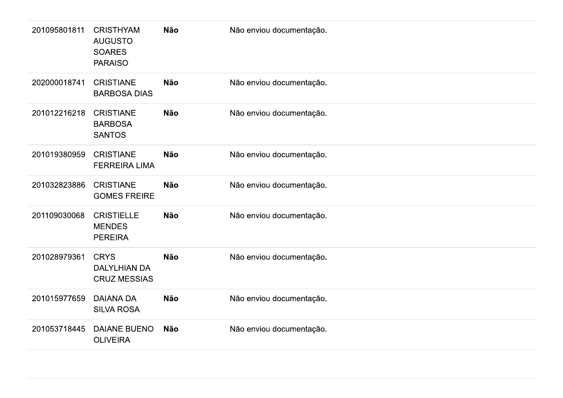| 201095801811 | <b>CRISTHYAM</b><br><b>AUGUSTO</b><br><b>SOARES</b><br><b>PARAISO</b> | <b>Não</b> | Não enviou documentação. |
|--------------|-----------------------------------------------------------------------|------------|--------------------------|
| 202000018741 | <b>CRISTIANE</b><br><b>BARBOSA DIAS</b>                               | <b>Não</b> | Não enviou documentação. |
| 201012216218 | <b>CRISTIANE</b><br><b>BARBOSA</b><br><b>SANTOS</b>                   | <b>Não</b> | Não enviou documentação. |
| 201019380959 | <b>CRISTIANE</b><br><b>FERREIRA LIMA</b>                              | <b>Não</b> | Não enviou documentação. |
| 201032823886 | <b>CRISTIANE</b><br><b>GOMES FREIRE</b>                               | <b>Não</b> | Não enviou documentação. |
| 201109030068 | <b>CRISTIELLE</b><br><b>MENDES</b><br><b>PEREIRA</b>                  | <b>Não</b> | Não enviou documentação. |
| 201028979361 | <b>CRYS</b><br><b>DALYLHIAN DA</b><br><b>CRUZ MESSIAS</b>             | <b>Não</b> | Não enviou documentação. |
| 201015977659 | <b>DAIANA DA</b><br><b>SILVA ROSA</b>                                 | <b>Não</b> | Não enviou documentação. |
| 201053718445 | <b>DAIANE BUENO</b><br><b>OLIVEIRA</b>                                | <b>Não</b> | Não enviou documentação. |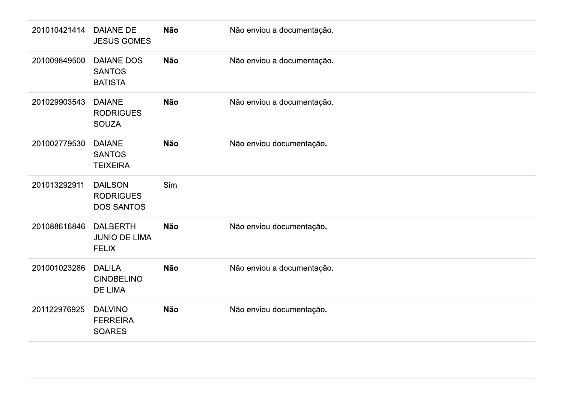| 201010421414 | <b>DAIANE DE</b><br><b>JESUS GOMES</b>                  | <b>Não</b> | Não enviou a documentação. |
|--------------|---------------------------------------------------------|------------|----------------------------|
| 201009849500 | <b>DAIANE DOS</b><br><b>SANTOS</b><br><b>BATISTA</b>    | <b>Não</b> | Não enviou a documentação. |
| 201029903543 | <b>DAIANE</b><br><b>RODRIGUES</b><br><b>SOUZA</b>       | <b>Não</b> | Não enviou a documentação. |
| 201002779530 | <b>DAIANE</b><br><b>SANTOS</b><br><b>TEIXEIRA</b>       | <b>Não</b> | Não enviou documentação.   |
| 201013292911 | <b>DAILSON</b><br><b>RODRIGUES</b><br><b>DOS SANTOS</b> | Sim        |                            |
| 201088616846 | <b>DALBERTH</b><br><b>JUNIO DE LIMA</b><br><b>FELIX</b> | <b>Não</b> | Não enviou documentação.   |
| 201001023286 | <b>DALILA</b><br><b>CINOBELINO</b><br><b>DE LIMA</b>    | <b>Não</b> | Não enviou a documentação. |
| 201122976925 | <b>DALVINO</b><br><b>FERREIRA</b><br><b>SOARES</b>      | <b>Não</b> | Não enviou documentação.   |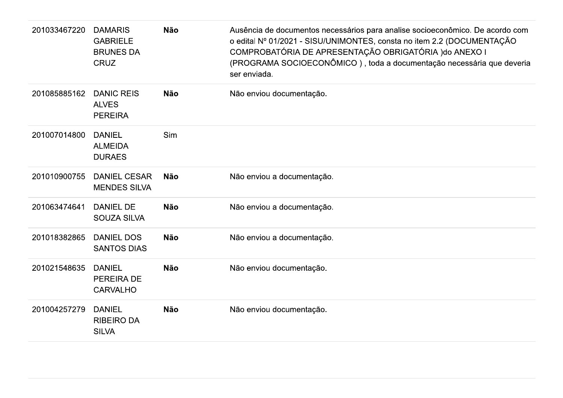| 201033467220 | <b>DAMARIS</b><br><b>GABRIELE</b><br><b>BRUNES DA</b><br><b>CRUZ</b> | <b>Não</b> | Ausência de documentos necessários para analise socioeconômico. De acordo com<br>o edital Nº 01/2021 - SISU/UNIMONTES, consta no item 2.2 (DOCUMENTAÇÃO<br>COMPROBATÓRIA DE APRESENTAÇÃO OBRIGATÓRIA ) do ANEXO I<br>(PROGRAMA SOCIOECONÔMICO), toda a documentação necessária que deveria<br>ser enviada. |
|--------------|----------------------------------------------------------------------|------------|------------------------------------------------------------------------------------------------------------------------------------------------------------------------------------------------------------------------------------------------------------------------------------------------------------|
| 201085885162 | <b>DANIC REIS</b><br><b>ALVES</b><br><b>PEREIRA</b>                  | <b>Não</b> | Não enviou documentação.                                                                                                                                                                                                                                                                                   |
| 201007014800 | <b>DANIEL</b><br><b>ALMEIDA</b><br><b>DURAES</b>                     | <b>Sim</b> |                                                                                                                                                                                                                                                                                                            |
| 201010900755 | <b>DANIEL CESAR</b><br><b>MENDES SILVA</b>                           | <b>Não</b> | Não enviou a documentação.                                                                                                                                                                                                                                                                                 |
| 201063474641 | <b>DANIEL DE</b><br><b>SOUZA SILVA</b>                               | <b>Não</b> | Não enviou a documentação.                                                                                                                                                                                                                                                                                 |
| 201018382865 | <b>DANIEL DOS</b><br><b>SANTOS DIAS</b>                              | <b>Não</b> | Não enviou a documentação.                                                                                                                                                                                                                                                                                 |
| 201021548635 | <b>DANIEL</b><br>PEREIRA DE<br><b>CARVALHO</b>                       | <b>Não</b> | Não enviou documentação.                                                                                                                                                                                                                                                                                   |
| 201004257279 | <b>DANIEL</b><br><b>RIBEIRO DA</b><br><b>SILVA</b>                   | <b>Não</b> | Não enviou documentação.                                                                                                                                                                                                                                                                                   |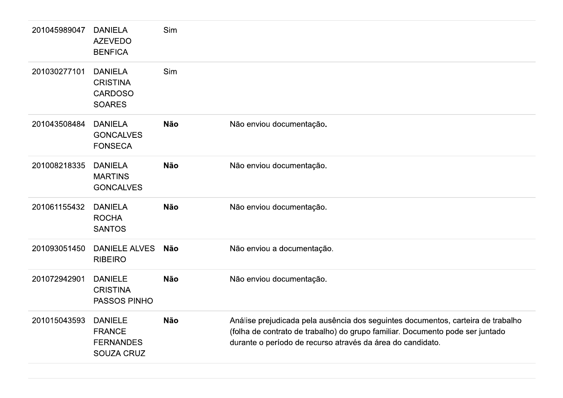| 201045989047 | <b>DANIELA</b><br><b>AZEVEDO</b><br><b>BENFICA</b>                       | Sim        |                                                                                                                                                                                                                                 |
|--------------|--------------------------------------------------------------------------|------------|---------------------------------------------------------------------------------------------------------------------------------------------------------------------------------------------------------------------------------|
| 201030277101 | <b>DANIELA</b><br><b>CRISTINA</b><br><b>CARDOSO</b><br><b>SOARES</b>     | Sim        |                                                                                                                                                                                                                                 |
| 201043508484 | <b>DANIELA</b><br><b>GONCALVES</b><br><b>FONSECA</b>                     | <b>Não</b> | Não enviou documentação.                                                                                                                                                                                                        |
| 201008218335 | <b>DANIELA</b><br><b>MARTINS</b><br><b>GONCALVES</b>                     | <b>Não</b> | Não enviou documentação.                                                                                                                                                                                                        |
| 201061155432 | <b>DANIELA</b><br><b>ROCHA</b><br><b>SANTOS</b>                          | <b>Não</b> | Não enviou documentação.                                                                                                                                                                                                        |
| 201093051450 | <b>DANIELE ALVES</b><br><b>RIBEIRO</b>                                   | <b>Não</b> | Não enviou a documentação.                                                                                                                                                                                                      |
| 201072942901 | <b>DANIELE</b><br><b>CRISTINA</b><br>PASSOS PINHO                        | <b>Não</b> | Não enviou documentação.                                                                                                                                                                                                        |
| 201015043593 | <b>DANIELE</b><br><b>FRANCE</b><br><b>FERNANDES</b><br><b>SOUZA CRUZ</b> | <b>Não</b> | Análise prejudicada pela ausência dos seguintes documentos, carteira de trabalho<br>(folha de contrato de trabalho) do grupo familiar. Documento pode ser juntado<br>durante o período de recurso através da área do candidato. |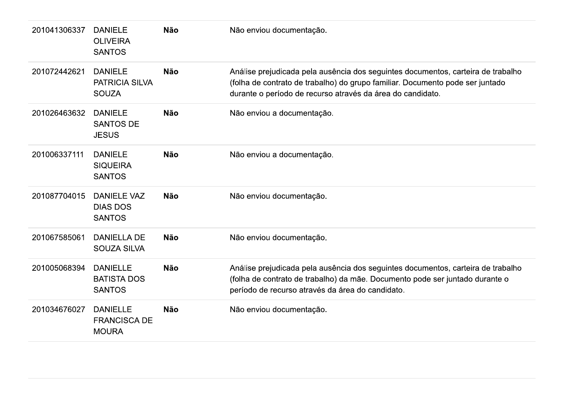| 201041306337 | <b>DANIELE</b><br><b>OLIVEIRA</b><br><b>SANTOS</b>      | <b>Não</b> | Não enviou documentação.                                                                                                                                                                                                        |
|--------------|---------------------------------------------------------|------------|---------------------------------------------------------------------------------------------------------------------------------------------------------------------------------------------------------------------------------|
| 201072442621 | <b>DANIELE</b><br><b>PATRICIA SILVA</b><br><b>SOUZA</b> | <b>Não</b> | Análise prejudicada pela ausência dos seguintes documentos, carteira de trabalho<br>(folha de contrato de trabalho) do grupo familiar. Documento pode ser juntado<br>durante o período de recurso através da área do candidato. |
| 201026463632 | <b>DANIELE</b><br><b>SANTOS DE</b><br><b>JESUS</b>      | <b>Não</b> | Não enviou a documentação.                                                                                                                                                                                                      |
| 201006337111 | <b>DANIELE</b><br><b>SIQUEIRA</b><br><b>SANTOS</b>      | <b>Não</b> | Não enviou a documentação.                                                                                                                                                                                                      |
| 201087704015 | <b>DANIELE VAZ</b><br><b>DIAS DOS</b><br><b>SANTOS</b>  | <b>Não</b> | Não enviou documentação.                                                                                                                                                                                                        |
| 201067585061 | <b>DANIELLA DE</b><br><b>SOUZA SILVA</b>                | <b>Não</b> | Não enviou documentação.                                                                                                                                                                                                        |
| 201005068394 | <b>DANIELLE</b><br><b>BATISTA DOS</b><br><b>SANTOS</b>  | <b>Não</b> | Análise prejudicada pela ausência dos seguintes documentos, carteira de trabalho<br>(folha de contrato de trabalho) da mãe. Documento pode ser juntado durante o<br>período de recurso através da área do candidato.            |
| 201034676027 | <b>DANIELLE</b><br><b>FRANCISCA DE</b><br><b>MOURA</b>  | <b>Não</b> | Não enviou documentação.                                                                                                                                                                                                        |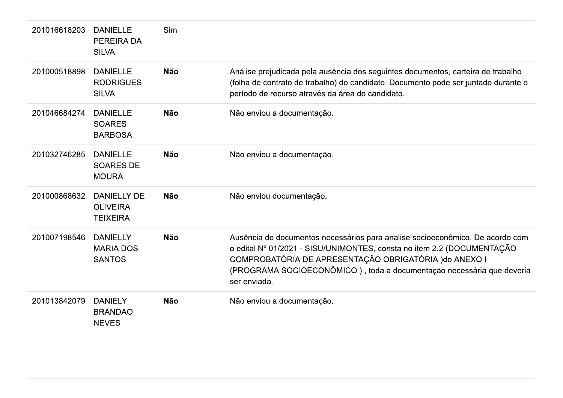| 201016618203 | <b>DANIELLE</b><br>PEREIRA DA<br><b>SILVA</b>            | Sim        |                                                                                                                                                                                                                                                                                                            |
|--------------|----------------------------------------------------------|------------|------------------------------------------------------------------------------------------------------------------------------------------------------------------------------------------------------------------------------------------------------------------------------------------------------------|
| 201000518898 | <b>DANIELLE</b><br><b>RODRIGUES</b><br><b>SILVA</b>      | <b>Não</b> | Análise prejudicada pela ausência dos seguintes documentos, carteira de trabalho<br>(folha de contrato de trabalho) do candidato. Documento pode ser juntado durante o<br>período de recurso através da área do candidato.                                                                                 |
| 201046684274 | <b>DANIELLE</b><br><b>SOARES</b><br><b>BARBOSA</b>       | <b>Não</b> | Não enviou a documentação.                                                                                                                                                                                                                                                                                 |
| 201032746285 | <b>DANIELLE</b><br><b>SOARES DE</b><br><b>MOURA</b>      | <b>Não</b> | Não enviou a documentação.                                                                                                                                                                                                                                                                                 |
| 201000868632 | <b>DANIELLY DE</b><br><b>OLIVEIRA</b><br><b>TEIXEIRA</b> | <b>Não</b> | Não enviou documentação.                                                                                                                                                                                                                                                                                   |
| 201007198546 | <b>DANIELLY</b><br><b>MARIA DOS</b><br><b>SANTOS</b>     | <b>Não</b> | Ausência de documentos necessários para analise socioeconômico. De acordo com<br>o edital Nº 01/2021 - SISU/UNIMONTES, consta no item 2.2 (DOCUMENTAÇÃO<br>COMPROBATÓRIA DE APRESENTAÇÃO OBRIGATÓRIA ) do ANEXO I<br>(PROGRAMA SOCIOECONÔMICO), toda a documentação necessária que deveria<br>ser enviada. |
| 201013842079 | <b>DANIELY</b><br><b>BRANDAO</b><br><b>NEVES</b>         | <b>Não</b> | Não enviou a documentação.                                                                                                                                                                                                                                                                                 |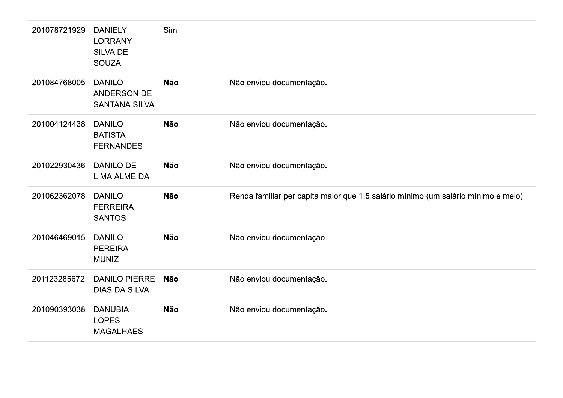| 201078721929 | <b>DANIELY</b><br><b>LORRANY</b><br><b>SILVA DE</b><br><b>SOUZA</b> | Sim        |                                                                                    |
|--------------|---------------------------------------------------------------------|------------|------------------------------------------------------------------------------------|
| 201084768005 | <b>DANILO</b><br><b>ANDERSON DE</b><br><b>SANTANA SILVA</b>         | <b>Não</b> | Não enviou documentação.                                                           |
| 201004124438 | <b>DANILO</b><br><b>BATISTA</b><br><b>FERNANDES</b>                 | <b>Não</b> | Não enviou documentação.                                                           |
| 201022930436 | <b>DANILO DE</b><br><b>LIMA ALMEIDA</b>                             | <b>Não</b> | Não enviou documentação.                                                           |
| 201062362078 | <b>DANILO</b><br><b>FERREIRA</b><br><b>SANTOS</b>                   | <b>Não</b> | Renda familiar per capita maior que 1,5 salário mínimo (um salário mínimo e meio). |
| 201046469015 | <b>DANILO</b><br><b>PEREIRA</b><br><b>MUNIZ</b>                     | <b>Não</b> | Não enviou documentação.                                                           |
| 201123285672 | <b>DANILO PIERRE</b><br><b>DIAS DA SILVA</b>                        | <b>Não</b> | Não enviou documentação.                                                           |
| 201090393038 | <b>DANUBIA</b><br><b>LOPES</b><br><b>MAGALHAES</b>                  | <b>Não</b> | Não enviou documentação.                                                           |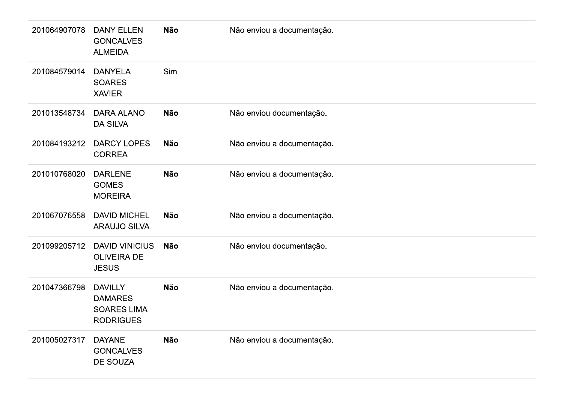| 201064907078 | <b>DANY ELLEN</b><br><b>GONCALVES</b><br><b>ALMEIDA</b>                    | <b>Não</b> | Não enviou a documentação. |
|--------------|----------------------------------------------------------------------------|------------|----------------------------|
| 201084579014 | <b>DANYELA</b><br><b>SOARES</b><br><b>XAVIER</b>                           | Sim        |                            |
| 201013548734 | <b>DARA ALANO</b><br><b>DA SILVA</b>                                       | <b>Não</b> | Não enviou documentação.   |
| 201084193212 | <b>DARCY LOPES</b><br><b>CORREA</b>                                        | <b>Não</b> | Não enviou a documentação. |
| 201010768020 | <b>DARLENE</b><br><b>GOMES</b><br><b>MOREIRA</b>                           | <b>Não</b> | Não enviou a documentação. |
| 201067076558 | <b>DAVID MICHEL</b><br><b>ARAUJO SILVA</b>                                 | <b>Não</b> | Não enviou a documentação. |
| 201099205712 | <b>DAVID VINICIUS</b><br><b>OLIVEIRA DE</b><br><b>JESUS</b>                | <b>Não</b> | Não enviou documentação.   |
| 201047366798 | <b>DAVILLY</b><br><b>DAMARES</b><br><b>SOARES LIMA</b><br><b>RODRIGUES</b> | <b>Não</b> | Não enviou a documentação. |
| 201005027317 | <b>DAYANE</b><br><b>GONCALVES</b><br><b>DE SOUZA</b>                       | <b>Não</b> | Não enviou a documentação. |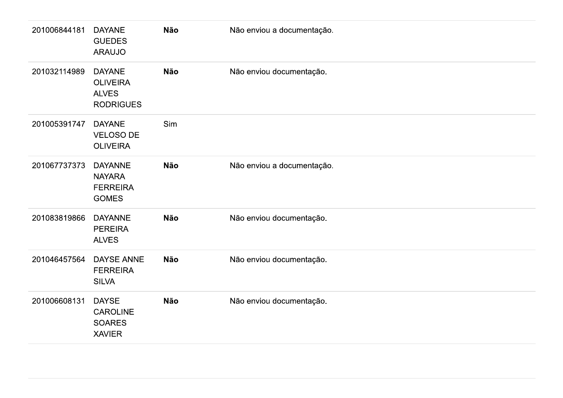| 201006844181 | <b>DAYANE</b><br><b>GUEDES</b><br><b>ARAUJO</b>                      | <b>Não</b> | Não enviou a documentação. |
|--------------|----------------------------------------------------------------------|------------|----------------------------|
| 201032114989 | <b>DAYANE</b><br><b>OLIVEIRA</b><br><b>ALVES</b><br><b>RODRIGUES</b> | <b>Não</b> | Não enviou documentação.   |
| 201005391747 | <b>DAYANE</b><br>VELOSO DE<br><b>OLIVEIRA</b>                        | Sim        |                            |
| 201067737373 | <b>DAYANNE</b><br><b>NAYARA</b><br><b>FERREIRA</b><br><b>GOMES</b>   | <b>Não</b> | Não enviou a documentação. |
| 201083819866 | <b>DAYANNE</b><br><b>PEREIRA</b><br><b>ALVES</b>                     | <b>Não</b> | Não enviou documentação.   |
| 201046457564 | DAYSE ANNE<br><b>FERREIRA</b><br><b>SILVA</b>                        | <b>Não</b> | Não enviou documentação.   |
| 201006608131 | <b>DAYSE</b><br>CAROLINE<br><b>SOARES</b><br><b>XAVIER</b>           | Não        | Não enviou documentação.   |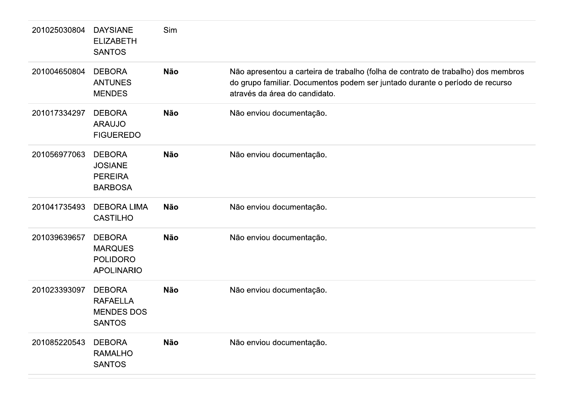| 201025030804 | <b>DAYSIANE</b><br><b>ELIZABETH</b><br><b>SANTOS</b>                    | Sim        |                                                                                                                                                                                                    |
|--------------|-------------------------------------------------------------------------|------------|----------------------------------------------------------------------------------------------------------------------------------------------------------------------------------------------------|
| 201004650804 | <b>DEBORA</b><br><b>ANTUNES</b><br><b>MENDES</b>                        | <b>Não</b> | Não apresentou a carteira de trabalho (folha de contrato de trabalho) dos membros<br>do grupo familiar. Documentos podem ser juntado durante o período de recurso<br>através da área do candidato. |
| 201017334297 | <b>DEBORA</b><br><b>ARAUJO</b><br><b>FIGUEREDO</b>                      | <b>Não</b> | Não enviou documentação.                                                                                                                                                                           |
| 201056977063 | <b>DEBORA</b><br><b>JOSIANE</b><br><b>PEREIRA</b><br><b>BARBOSA</b>     | <b>Não</b> | Não enviou documentação.                                                                                                                                                                           |
| 201041735493 | <b>DEBORA LIMA</b><br><b>CASTILHO</b>                                   | <b>Não</b> | Não enviou documentação.                                                                                                                                                                           |
| 201039639657 | <b>DEBORA</b><br><b>MARQUES</b><br><b>POLIDORO</b><br><b>APOLINARIO</b> | <b>Não</b> | Não enviou documentação.                                                                                                                                                                           |
| 201023393097 | <b>DEBORA</b><br><b>RAFAELLA</b><br><b>MENDES DOS</b><br><b>SANTOS</b>  | <b>Não</b> | Não enviou documentação.                                                                                                                                                                           |
| 201085220543 | <b>DEBORA</b><br><b>RAMALHO</b><br><b>SANTOS</b>                        | <b>Não</b> | Não enviou documentação.                                                                                                                                                                           |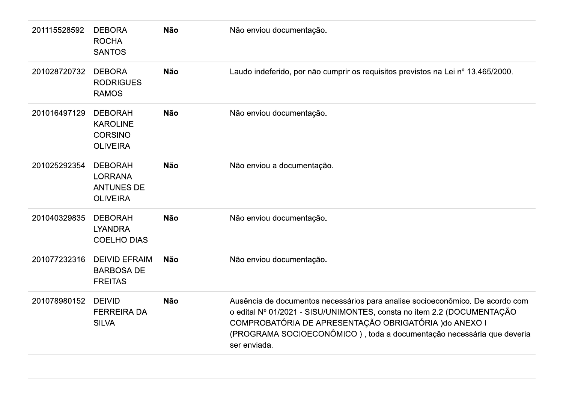| 201115528592 | <b>DEBORA</b><br><b>ROCHA</b><br><b>SANTOS</b>                           | <b>Não</b> | Não enviou documentação.                                                                                                                                                                                                                                                                                   |
|--------------|--------------------------------------------------------------------------|------------|------------------------------------------------------------------------------------------------------------------------------------------------------------------------------------------------------------------------------------------------------------------------------------------------------------|
| 201028720732 | <b>DEBORA</b><br><b>RODRIGUES</b><br><b>RAMOS</b>                        | <b>Não</b> | Laudo indeferido, por não cumprir os requisitos previstos na Lei nº 13.465/2000.                                                                                                                                                                                                                           |
| 201016497129 | <b>DEBORAH</b><br><b>KAROLINE</b><br><b>CORSINO</b><br><b>OLIVEIRA</b>   | <b>Não</b> | Não enviou documentação.                                                                                                                                                                                                                                                                                   |
| 201025292354 | <b>DEBORAH</b><br><b>LORRANA</b><br><b>ANTUNES DE</b><br><b>OLIVEIRA</b> | <b>Não</b> | Não enviou a documentação.                                                                                                                                                                                                                                                                                 |
| 201040329835 | <b>DEBORAH</b><br><b>LYANDRA</b><br><b>COELHO DIAS</b>                   | <b>Não</b> | Não enviou documentação.                                                                                                                                                                                                                                                                                   |
| 201077232316 | <b>DEIVID EFRAIM</b><br><b>BARBOSA DE</b><br><b>FREITAS</b>              | <b>Não</b> | Não enviou documentação.                                                                                                                                                                                                                                                                                   |
| 201078980152 | <b>DEIVID</b><br><b>FERREIRA DA</b><br><b>SILVA</b>                      | <b>Não</b> | Ausência de documentos necessários para analise socioeconômico. De acordo com<br>o edital Nº 01/2021 - SISU/UNIMONTES, consta no item 2.2 (DOCUMENTAÇÃO<br>COMPROBATÓRIA DE APRESENTAÇÃO OBRIGATÓRIA ) do ANEXO I<br>(PROGRAMA SOCIOECONÔMICO), toda a documentação necessária que deveria<br>ser enviada. |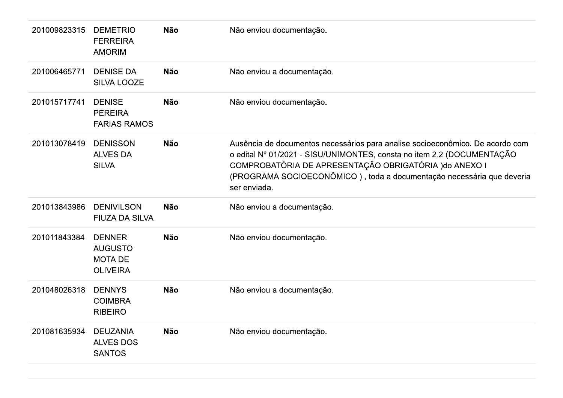| 201009823315 | <b>DEMETRIO</b><br><b>FERREIRA</b><br><b>AMORIM</b>                  | <b>Não</b> | Não enviou documentação.                                                                                                                                                                                                                                                                                   |
|--------------|----------------------------------------------------------------------|------------|------------------------------------------------------------------------------------------------------------------------------------------------------------------------------------------------------------------------------------------------------------------------------------------------------------|
| 201006465771 | <b>DENISE DA</b><br><b>SILVA LOOZE</b>                               | <b>Não</b> | Não enviou a documentação.                                                                                                                                                                                                                                                                                 |
| 201015717741 | <b>DENISE</b><br><b>PEREIRA</b><br><b>FARIAS RAMOS</b>               | <b>Não</b> | Não enviou documentação.                                                                                                                                                                                                                                                                                   |
| 201013078419 | <b>DENISSON</b><br><b>ALVES DA</b><br><b>SILVA</b>                   | <b>Não</b> | Ausência de documentos necessários para analise socioeconômico. De acordo com<br>o edital Nº 01/2021 - SISU/UNIMONTES, consta no item 2.2 (DOCUMENTAÇÃO<br>COMPROBATÓRIA DE APRESENTAÇÃO OBRIGATÓRIA ) do ANEXO I<br>(PROGRAMA SOCIOECONÔMICO), toda a documentação necessária que deveria<br>ser enviada. |
| 201013843986 | <b>DENIVILSON</b><br><b>FIUZA DA SILVA</b>                           | <b>Não</b> | Não enviou a documentação.                                                                                                                                                                                                                                                                                 |
| 201011843384 | <b>DENNER</b><br><b>AUGUSTO</b><br><b>MOTA DE</b><br><b>OLIVEIRA</b> | <b>Não</b> | Não enviou documentação.                                                                                                                                                                                                                                                                                   |
| 201048026318 | <b>DENNYS</b><br><b>COIMBRA</b><br><b>RIBEIRO</b>                    | <b>Não</b> | Não enviou a documentação.                                                                                                                                                                                                                                                                                 |
| 201081635934 | <b>DEUZANIA</b><br><b>ALVES DOS</b><br><b>SANTOS</b>                 | <b>Não</b> | Não enviou documentação.                                                                                                                                                                                                                                                                                   |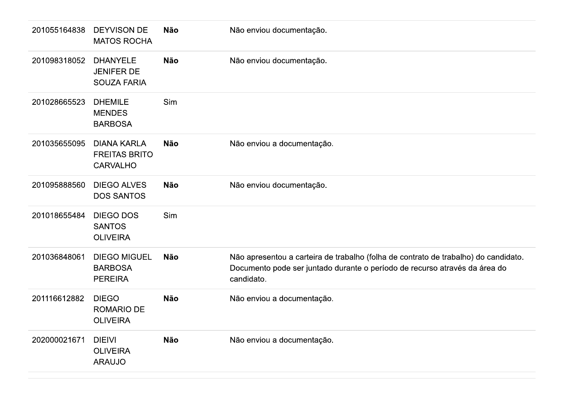| 201055164838 | <b>DEYVISON DE</b><br><b>MATOS ROCHA</b>                      | <b>Não</b> | Não enviou documentação.                                                                                                                                                        |
|--------------|---------------------------------------------------------------|------------|---------------------------------------------------------------------------------------------------------------------------------------------------------------------------------|
| 201098318052 | <b>DHANYELE</b><br><b>JENIFER DE</b><br><b>SOUZA FARIA</b>    | <b>Não</b> | Não enviou documentação.                                                                                                                                                        |
| 201028665523 | <b>DHEMILE</b><br><b>MENDES</b><br><b>BARBOSA</b>             | Sim        |                                                                                                                                                                                 |
| 201035655095 | <b>DIANA KARLA</b><br><b>FREITAS BRITO</b><br><b>CARVALHO</b> | <b>Não</b> | Não enviou a documentação.                                                                                                                                                      |
| 201095888560 | <b>DIEGO ALVES</b><br><b>DOS SANTOS</b>                       | <b>Não</b> | Não enviou documentação.                                                                                                                                                        |
| 201018655484 | <b>DIEGO DOS</b><br><b>SANTOS</b><br><b>OLIVEIRA</b>          | Sim        |                                                                                                                                                                                 |
| 201036848061 | <b>DIEGO MIGUEL</b><br><b>BARBOSA</b><br><b>PEREIRA</b>       | <b>Não</b> | Não apresentou a carteira de trabalho (folha de contrato de trabalho) do candidato.<br>Documento pode ser juntado durante o período de recurso através da área do<br>candidato. |
| 201116612882 | <b>DIEGO</b><br><b>ROMARIO DE</b><br><b>OLIVEIRA</b>          | <b>Não</b> | Não enviou a documentação.                                                                                                                                                      |
| 202000021671 | <b>DIEIVI</b><br><b>OLIVEIRA</b><br><b>ARAUJO</b>             | <b>Não</b> | Não enviou a documentação.                                                                                                                                                      |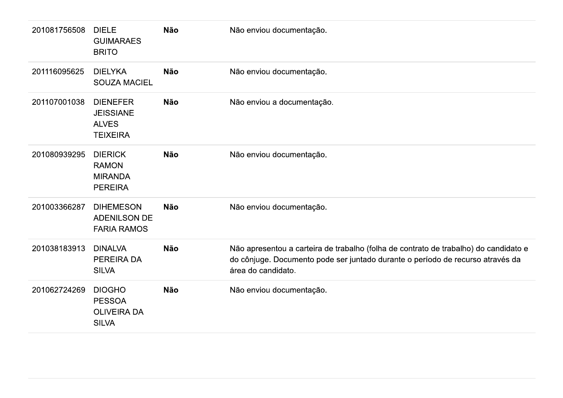| 201081756508 | <b>DIELE</b><br><b>GUIMARAES</b><br><b>BRITO</b>                       | <b>Não</b> | Não enviou documentação.                                                                                                                                                                     |
|--------------|------------------------------------------------------------------------|------------|----------------------------------------------------------------------------------------------------------------------------------------------------------------------------------------------|
| 201116095625 | <b>DIELYKA</b><br><b>SOUZA MACIEL</b>                                  | <b>Não</b> | Não enviou documentação.                                                                                                                                                                     |
| 201107001038 | <b>DIENEFER</b><br><b>JEISSIANE</b><br><b>ALVES</b><br><b>TEIXEIRA</b> | <b>Não</b> | Não enviou a documentação.                                                                                                                                                                   |
| 201080939295 | <b>DIERICK</b><br><b>RAMON</b><br><b>MIRANDA</b><br><b>PEREIRA</b>     | <b>Não</b> | Não enviou documentação.                                                                                                                                                                     |
| 201003366287 | <b>DIHEMESON</b><br><b>ADENILSON DE</b><br><b>FARIA RAMOS</b>          | <b>Não</b> | Não enviou documentação.                                                                                                                                                                     |
| 201038183913 | <b>DINALVA</b><br><b>PEREIRA DA</b><br><b>SILVA</b>                    | <b>Não</b> | Não apresentou a carteira de trabalho (folha de contrato de trabalho) do candidato e<br>do cônjuge. Documento pode ser juntado durante o período de recurso através da<br>área do candidato. |
| 201062724269 | <b>DIOGHO</b><br><b>PESSOA</b><br><b>OLIVEIRA DA</b><br><b>SILVA</b>   | <b>Não</b> | Não enviou documentação.                                                                                                                                                                     |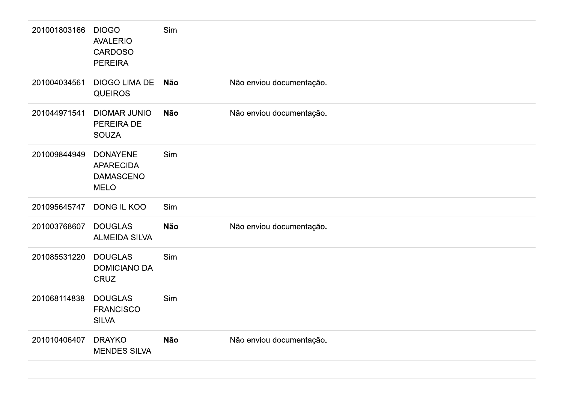| 201001803166 | <b>DIOGO</b><br><b>AVALERIO</b><br><b>CARDOSO</b><br><b>PEREIRA</b>    | Sim        |                          |
|--------------|------------------------------------------------------------------------|------------|--------------------------|
| 201004034561 | <b>DIOGO LIMA DE</b><br><b>QUEIROS</b>                                 | <b>Não</b> | Não enviou documentação. |
| 201044971541 | <b>DIOMAR JUNIO</b><br>PEREIRA DE<br><b>SOUZA</b>                      | <b>Não</b> | Não enviou documentação. |
| 201009844949 | <b>DONAYENE</b><br><b>APARECIDA</b><br><b>DAMASCENO</b><br><b>MELO</b> | Sim        |                          |
| 201095645747 | DONG IL KOO                                                            | Sim        |                          |
| 201003768607 | <b>DOUGLAS</b><br><b>ALMEIDA SILVA</b>                                 | <b>Não</b> | Não enviou documentação. |
| 201085531220 | <b>DOUGLAS</b><br><b>DOMICIANO DA</b><br><b>CRUZ</b>                   | Sim        |                          |
| 201068114838 | <b>DOUGLAS</b><br><b>FRANCISCO</b><br><b>SILVA</b>                     | Sim        |                          |
| 201010406407 | <b>DRAYKO</b><br><b>MENDES SILVA</b>                                   | <b>Não</b> | Não enviou documentação. |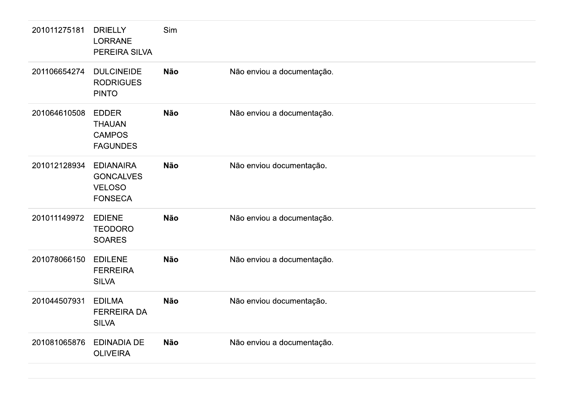| 201011275181 | <b>DRIELLY</b><br>LORRANE<br>PEREIRA SILVA                              | Sim        |                            |
|--------------|-------------------------------------------------------------------------|------------|----------------------------|
| 201106654274 | <b>DULCINEIDE</b><br><b>RODRIGUES</b><br><b>PINTO</b>                   | <b>Não</b> | Não enviou a documentação. |
| 201064610508 | <b>EDDER</b><br><b>THAUAN</b><br><b>CAMPOS</b><br><b>FAGUNDES</b>       | Não        | Não enviou a documentação. |
| 201012128934 | <b>EDIANAIRA</b><br><b>GONCALVES</b><br><b>VELOSO</b><br><b>FONSECA</b> | <b>Não</b> | Não enviou documentação.   |
| 201011149972 | <b>EDIENE</b><br><b>TEODORO</b><br><b>SOARES</b>                        | Não        | Não enviou a documentação. |
| 201078066150 | <b>EDILENE</b><br><b>FERREIRA</b><br><b>SILVA</b>                       | <b>Não</b> | Não enviou a documentação. |
| 201044507931 | <b>EDILMA</b><br><b>FERREIRA DA</b><br><b>SILVA</b>                     | Não        | Não enviou documentação.   |
| 201081065876 | <b>EDINADIA DE</b><br><b>OLIVEIRA</b>                                   | Não        | Não enviou a documentação. |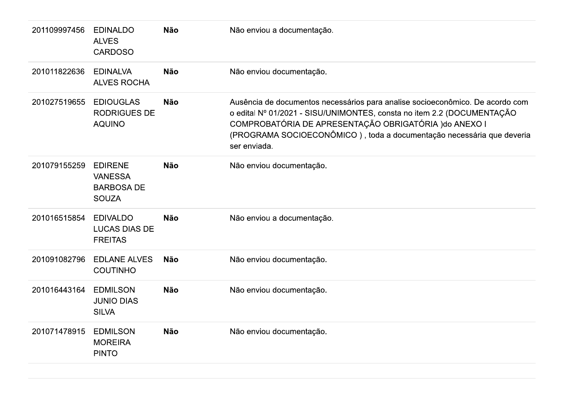| 201109997456 | <b>EDINALDO</b><br><b>ALVES</b><br><b>CARDOSO</b>                     | <b>Não</b> | Não enviou a documentação.                                                                                                                                                                                                                                                                                 |
|--------------|-----------------------------------------------------------------------|------------|------------------------------------------------------------------------------------------------------------------------------------------------------------------------------------------------------------------------------------------------------------------------------------------------------------|
| 201011822636 | <b>EDINALVA</b><br><b>ALVES ROCHA</b>                                 | <b>Não</b> | Não enviou documentação.                                                                                                                                                                                                                                                                                   |
| 201027519655 | <b>EDIOUGLAS</b><br><b>RODRIGUES DE</b><br><b>AQUINO</b>              | <b>Não</b> | Ausência de documentos necessários para analise socioeconômico. De acordo com<br>o edital Nº 01/2021 - SISU/UNIMONTES, consta no item 2.2 (DOCUMENTAÇÃO<br>COMPROBATÓRIA DE APRESENTAÇÃO OBRIGATÓRIA ) do ANEXO I<br>(PROGRAMA SOCIOECONÔMICO), toda a documentação necessária que deveria<br>ser enviada. |
| 201079155259 | <b>EDIRENE</b><br><b>VANESSA</b><br><b>BARBOSA DE</b><br><b>SOUZA</b> | <b>Não</b> | Não enviou documentação.                                                                                                                                                                                                                                                                                   |
| 201016515854 | <b>EDIVALDO</b><br><b>LUCAS DIAS DE</b><br><b>FREITAS</b>             | <b>Não</b> | Não enviou a documentação.                                                                                                                                                                                                                                                                                 |
| 201091082796 | <b>EDLANE ALVES</b><br><b>COUTINHO</b>                                | <b>Não</b> | Não enviou documentação.                                                                                                                                                                                                                                                                                   |
| 201016443164 | <b>EDMILSON</b><br><b>JUNIO DIAS</b><br><b>SILVA</b>                  | <b>Não</b> | Não enviou documentação.                                                                                                                                                                                                                                                                                   |
| 201071478915 | <b>EDMILSON</b><br><b>MOREIRA</b><br><b>PINTO</b>                     | <b>Não</b> | Não enviou documentação.                                                                                                                                                                                                                                                                                   |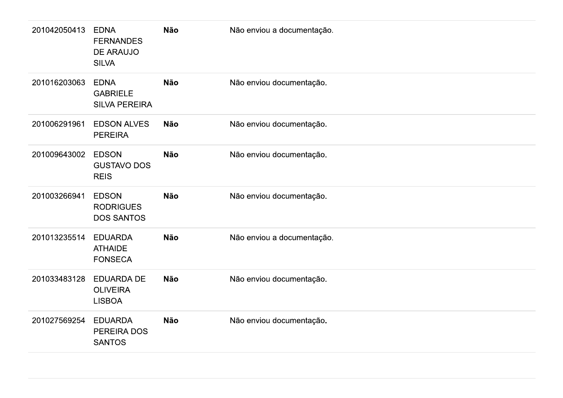| 201042050413 | <b>EDNA</b><br><b>FERNANDES</b><br>DE ARAUJO<br><b>SILVA</b> | <b>Não</b> | Não enviou a documentação. |
|--------------|--------------------------------------------------------------|------------|----------------------------|
| 201016203063 | <b>EDNA</b><br><b>GABRIELE</b><br><b>SILVA PEREIRA</b>       | <b>Não</b> | Não enviou documentação.   |
| 201006291961 | <b>EDSON ALVES</b><br><b>PEREIRA</b>                         | <b>Não</b> | Não enviou documentação.   |
| 201009643002 | <b>EDSON</b><br><b>GUSTAVO DOS</b><br><b>REIS</b>            | <b>Não</b> | Não enviou documentação.   |
| 201003266941 | <b>EDSON</b><br><b>RODRIGUES</b><br><b>DOS SANTOS</b>        | Não        | Não enviou documentação.   |
| 201013235514 | <b>EDUARDA</b><br><b>ATHAIDE</b><br><b>FONSECA</b>           | <b>Não</b> | Não enviou a documentação. |
| 201033483128 | <b>EDUARDA DE</b><br><b>OLIVEIRA</b><br><b>LISBOA</b>        | Não        | Não enviou documentação.   |
| 201027569254 | <b>EDUARDA</b><br>PEREIRA DOS<br><b>SANTOS</b>               | <b>Não</b> | Não enviou documentação.   |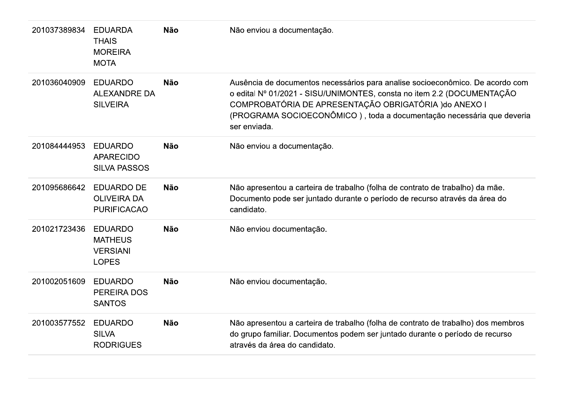| 201037389834 | <b>EDUARDA</b><br><b>THAIS</b><br><b>MOREIRA</b><br><b>MOTA</b>     | <b>Não</b> | Não enviou a documentação.                                                                                                                                                                                                                                                                                 |
|--------------|---------------------------------------------------------------------|------------|------------------------------------------------------------------------------------------------------------------------------------------------------------------------------------------------------------------------------------------------------------------------------------------------------------|
| 201036040909 | <b>EDUARDO</b><br><b>ALEXANDRE DA</b><br><b>SILVEIRA</b>            | <b>Não</b> | Ausência de documentos necessários para analise socioeconômico. De acordo com<br>o edital Nº 01/2021 - SISU/UNIMONTES, consta no item 2.2 (DOCUMENTAÇÃO<br>COMPROBATÓRIA DE APRESENTAÇÃO OBRIGATÓRIA ) do ANEXO I<br>(PROGRAMA SOCIOECONÔMICO), toda a documentação necessária que deveria<br>ser enviada. |
| 201084444953 | <b>EDUARDO</b><br><b>APARECIDO</b><br><b>SILVA PASSOS</b>           | <b>Não</b> | Não enviou a documentação.                                                                                                                                                                                                                                                                                 |
| 201095686642 | <b>EDUARDO DE</b><br><b>OLIVEIRA DA</b><br><b>PURIFICACAO</b>       | <b>Não</b> | Não apresentou a carteira de trabalho (folha de contrato de trabalho) da mãe.<br>Documento pode ser juntado durante o período de recurso através da área do<br>candidato.                                                                                                                                  |
| 201021723436 | <b>EDUARDO</b><br><b>MATHEUS</b><br><b>VERSIANI</b><br><b>LOPES</b> | <b>Não</b> | Não enviou documentação.                                                                                                                                                                                                                                                                                   |
| 201002051609 | <b>EDUARDO</b><br>PEREIRA DOS<br><b>SANTOS</b>                      | <b>Não</b> | Não enviou documentação.                                                                                                                                                                                                                                                                                   |
| 201003577552 | <b>EDUARDO</b><br><b>SILVA</b><br><b>RODRIGUES</b>                  | <b>Não</b> | Não apresentou a carteira de trabalho (folha de contrato de trabalho) dos membros<br>do grupo familiar. Documentos podem ser juntado durante o período de recurso<br>através da área do candidato.                                                                                                         |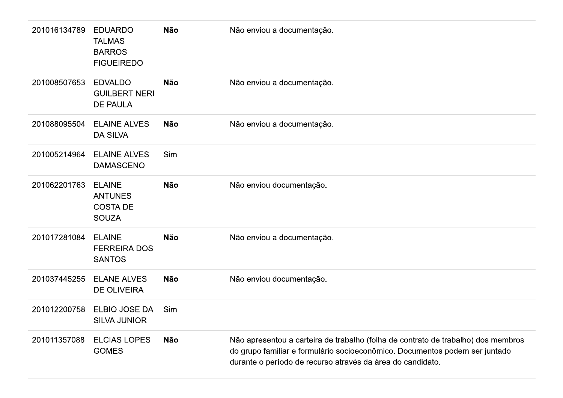| 201016134789 | <b>EDUARDO</b><br><b>TALMAS</b><br><b>BARROS</b><br><b>FIGUEIREDO</b> | <b>Não</b> | Não enviou a documentação.                                                                                                                                                                                                     |
|--------------|-----------------------------------------------------------------------|------------|--------------------------------------------------------------------------------------------------------------------------------------------------------------------------------------------------------------------------------|
| 201008507653 | <b>EDVALDO</b><br><b>GUILBERT NERI</b><br><b>DE PAULA</b>             | <b>Não</b> | Não enviou a documentação.                                                                                                                                                                                                     |
| 201088095504 | <b>ELAINE ALVES</b><br><b>DA SILVA</b>                                | <b>Não</b> | Não enviou a documentação.                                                                                                                                                                                                     |
| 201005214964 | <b>ELAINE ALVES</b><br><b>DAMASCENO</b>                               | Sim        |                                                                                                                                                                                                                                |
| 201062201763 | <b>ELAINE</b><br><b>ANTUNES</b><br><b>COSTA DE</b><br><b>SOUZA</b>    | <b>Não</b> | Não enviou documentação.                                                                                                                                                                                                       |
| 201017281084 | <b>ELAINE</b><br><b>FERREIRA DOS</b><br><b>SANTOS</b>                 | <b>Não</b> | Não enviou a documentação.                                                                                                                                                                                                     |
| 201037445255 | <b>ELANE ALVES</b><br><b>DE OLIVEIRA</b>                              | <b>Não</b> | Não enviou documentação.                                                                                                                                                                                                       |
| 201012200758 | ELBIO JOSE DA<br><b>SILVA JUNIOR</b>                                  | Sim        |                                                                                                                                                                                                                                |
| 201011357088 | <b>ELCIAS LOPES</b><br><b>GOMES</b>                                   | <b>Não</b> | Não apresentou a carteira de trabalho (folha de contrato de trabalho) dos membros<br>do grupo familiar e formulário socioeconômico. Documentos podem ser juntado<br>durante o período de recurso através da área do candidato. |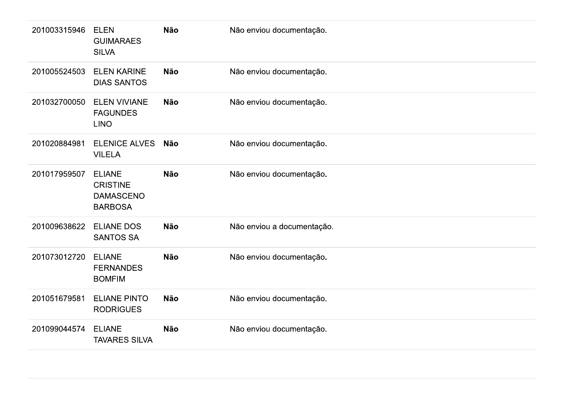| 201003315946 | <b>ELEN</b><br><b>GUIMARAES</b><br><b>SILVA</b>                        | <b>Não</b> | Não enviou documentação.   |
|--------------|------------------------------------------------------------------------|------------|----------------------------|
| 201005524503 | <b>ELEN KARINE</b><br><b>DIAS SANTOS</b>                               | Não        | Não enviou documentação.   |
| 201032700050 | <b>ELEN VIVIANE</b><br><b>FAGUNDES</b><br><b>LINO</b>                  | Não        | Não enviou documentação.   |
| 201020884981 | <b>ELENICE ALVES</b><br><b>VILELA</b>                                  | <b>Não</b> | Não enviou documentação.   |
| 201017959507 | <b>ELIANE</b><br><b>CRISTINE</b><br><b>DAMASCENO</b><br><b>BARBOSA</b> | <b>Não</b> | Não enviou documentação.   |
| 201009638622 | <b>ELIANE DOS</b><br><b>SANTOS SA</b>                                  | Não        | Não enviou a documentação. |
| 201073012720 | <b>ELIANE</b><br><b>FERNANDES</b><br><b>BOMFIM</b>                     | Não        | Não enviou documentação.   |
| 201051679581 | <b>ELIANE PINTO</b><br><b>RODRIGUES</b>                                | Não        | Não enviou documentação.   |
| 201099044574 | <b>ELIANE</b><br><b>TAVARES SILVA</b>                                  | <b>Não</b> | Não enviou documentação.   |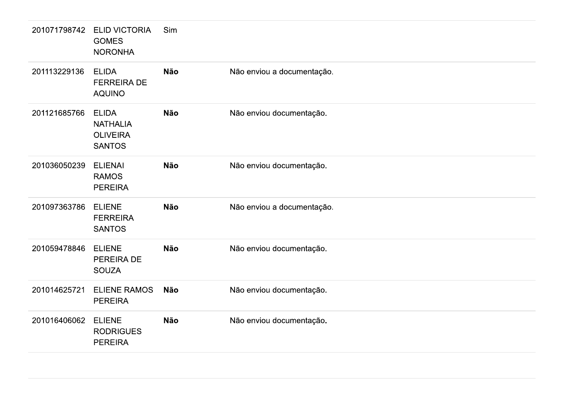| 201071798742 | <b>ELID VICTORIA</b><br><b>GOMES</b><br><b>NORONHA</b>              | Sim        |                            |
|--------------|---------------------------------------------------------------------|------------|----------------------------|
| 201113229136 | <b>ELIDA</b><br><b>FERREIRA DE</b><br><b>AQUINO</b>                 | <b>Não</b> | Não enviou a documentação. |
| 201121685766 | <b>ELIDA</b><br><b>NATHALIA</b><br><b>OLIVEIRA</b><br><b>SANTOS</b> | Não        | Não enviou documentação.   |
| 201036050239 | <b>ELIENAI</b><br><b>RAMOS</b><br><b>PEREIRA</b>                    | Não        | Não enviou documentação.   |
| 201097363786 | <b>ELIENE</b><br><b>FERREIRA</b><br><b>SANTOS</b>                   | <b>Não</b> | Não enviou a documentação. |
| 201059478846 | <b>ELIENE</b><br>PEREIRA DE<br><b>SOUZA</b>                         | <b>Não</b> | Não enviou documentação.   |
| 201014625721 | <b>ELIENE RAMOS</b><br><b>PEREIRA</b>                               | Não        | Não enviou documentação.   |
| 201016406062 | <b>ELIENE</b><br><b>RODRIGUES</b><br><b>PEREIRA</b>                 | <b>Não</b> | Não enviou documentação.   |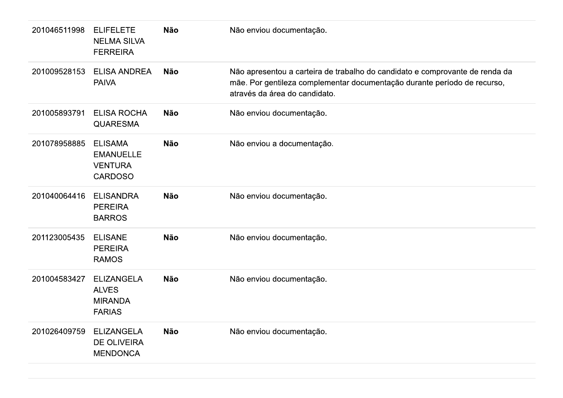| 201046511998 | <b>ELIFELETE</b><br><b>NELMA SILVA</b><br><b>FERREIRA</b>              | <b>Não</b> | Não enviou documentação.                                                                                                                                                                  |
|--------------|------------------------------------------------------------------------|------------|-------------------------------------------------------------------------------------------------------------------------------------------------------------------------------------------|
| 201009528153 | <b>ELISA ANDREA</b><br><b>PAIVA</b>                                    | <b>Não</b> | Não apresentou a carteira de trabalho do candidato e comprovante de renda da<br>mãe. Por gentileza complementar documentação durante período de recurso,<br>através da área do candidato. |
| 201005893791 | <b>ELISA ROCHA</b><br><b>QUARESMA</b>                                  | <b>Não</b> | Não enviou documentação.                                                                                                                                                                  |
| 201078958885 | <b>ELISAMA</b><br><b>EMANUELLE</b><br><b>VENTURA</b><br><b>CARDOSO</b> | <b>Não</b> | Não enviou a documentação.                                                                                                                                                                |
| 201040064416 | <b>ELISANDRA</b><br><b>PEREIRA</b><br><b>BARROS</b>                    | <b>Não</b> | Não enviou documentação.                                                                                                                                                                  |
| 201123005435 | <b>ELISANE</b><br><b>PEREIRA</b><br><b>RAMOS</b>                       | <b>Não</b> | Não enviou documentação.                                                                                                                                                                  |
| 201004583427 | <b>ELIZANGELA</b><br><b>ALVES</b><br><b>MIRANDA</b><br><b>FARIAS</b>   | <b>Não</b> | Não enviou documentação.                                                                                                                                                                  |
| 201026409759 | <b>ELIZANGELA</b><br><b>DE OLIVEIRA</b><br><b>MENDONCA</b>             | <b>Não</b> | Não enviou documentação.                                                                                                                                                                  |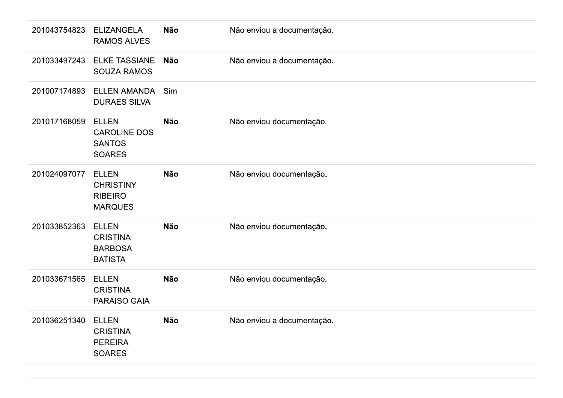| 201043754823 | <b>ELIZANGELA</b><br><b>RAMOS ALVES</b>                               | Não        | Não enviou a documentação. |
|--------------|-----------------------------------------------------------------------|------------|----------------------------|
| 201033497243 | <b>ELKE TASSIANE</b><br><b>SOUZA RAMOS</b>                            | <b>Não</b> | Não enviou a documentação. |
| 201007174893 | <b>ELLEN AMANDA</b><br><b>DURAES SILVA</b>                            | Sim        |                            |
| 201017168059 | <b>ELLEN</b><br><b>CAROLINE DOS</b><br><b>SANTOS</b><br><b>SOARES</b> | <b>Não</b> | Não enviou documentação.   |
| 201024097077 | <b>ELLEN</b><br><b>CHRISTINY</b><br><b>RIBEIRO</b><br><b>MARQUES</b>  | Não        | Não enviou documentação.   |
| 201033852363 | <b>ELLEN</b><br><b>CRISTINA</b><br><b>BARBOSA</b><br><b>BATISTA</b>   | Não        | Não enviou documentação.   |
| 201033671565 | <b>ELLEN</b><br><b>CRISTINA</b><br>PARAISO GAIA                       | Não        | Não enviou documentação.   |
| 201036251340 | <b>ELLEN</b><br><b>CRISTINA</b><br><b>PEREIRA</b><br><b>SOARES</b>    | Não        | Não enviou a documentação. |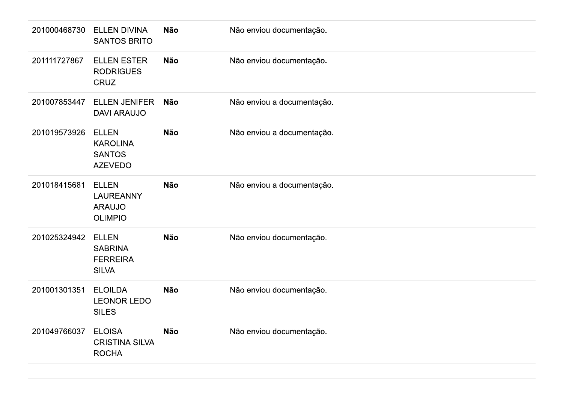| 201000468730 | <b>ELLEN DIVINA</b><br><b>SANTOS BRITO</b>                          | Não        | Não enviou documentação.   |
|--------------|---------------------------------------------------------------------|------------|----------------------------|
| 201111727867 | <b>ELLEN ESTER</b><br><b>RODRIGUES</b><br><b>CRUZ</b>               | <b>Não</b> | Não enviou documentação.   |
| 201007853447 | <b>ELLEN JENIFER</b><br><b>DAVI ARAUJO</b>                          | Não        | Não enviou a documentação. |
| 201019573926 | <b>ELLEN</b><br><b>KAROLINA</b><br><b>SANTOS</b><br><b>AZEVEDO</b>  | <b>Não</b> | Não enviou a documentação. |
| 201018415681 | <b>ELLEN</b><br><b>LAUREANNY</b><br><b>ARAUJO</b><br><b>OLIMPIO</b> | <b>Não</b> | Não enviou a documentação. |
| 201025324942 | <b>ELLEN</b><br><b>SABRINA</b><br><b>FERREIRA</b><br><b>SILVA</b>   | Não        | Não enviou documentação.   |
| 201001301351 | <b>ELOILDA</b><br><b>LEONOR LEDO</b><br><b>SILES</b>                | Não        | Não enviou documentação.   |
| 201049766037 | <b>ELOISA</b><br><b>CRISTINA SILVA</b><br><b>ROCHA</b>              | Não        | Não enviou documentação.   |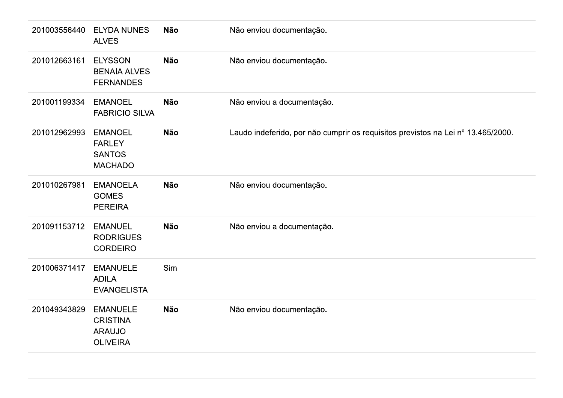| 201003556440 | <b>ELYDA NUNES</b><br><b>ALVES</b>                                     | Não        | Não enviou documentação.                                                         |
|--------------|------------------------------------------------------------------------|------------|----------------------------------------------------------------------------------|
| 201012663161 | <b>ELYSSON</b><br><b>BENAIA ALVES</b><br><b>FERNANDES</b>              | <b>Não</b> | Não enviou documentação.                                                         |
| 201001199334 | <b>EMANOEL</b><br><b>FABRICIO SILVA</b>                                | Não        | Não enviou a documentação.                                                       |
| 201012962993 | <b>EMANOEL</b><br><b>FARLEY</b><br><b>SANTOS</b><br><b>MACHADO</b>     | Não        | Laudo indeferido, por não cumprir os requisitos previstos na Lei nº 13.465/2000. |
| 201010267981 | <b>EMANOELA</b><br><b>GOMES</b><br><b>PEREIRA</b>                      | Não        | Não enviou documentação.                                                         |
| 201091153712 | <b>EMANUEL</b><br><b>RODRIGUES</b><br><b>CORDEIRO</b>                  | Não        | Não enviou a documentação.                                                       |
| 201006371417 | <b>EMANUELE</b><br><b>ADILA</b><br><b>EVANGELISTA</b>                  | Sim        |                                                                                  |
| 201049343829 | <b>EMANUELE</b><br><b>CRISTINA</b><br><b>ARAUJO</b><br><b>OLIVEIRA</b> | Não        | Não enviou documentação.                                                         |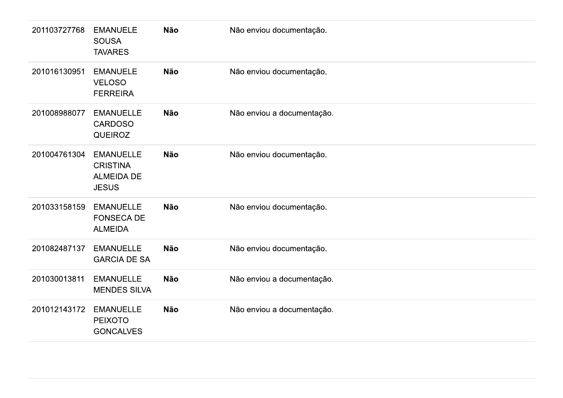| 201103727768 | <b>EMANUELE</b><br><b>SOUSA</b><br><b>TAVARES</b>                        | Não        | Não enviou documentação.   |
|--------------|--------------------------------------------------------------------------|------------|----------------------------|
| 201016130951 | <b>EMANUELE</b><br><b>VELOSO</b><br><b>FERREIRA</b>                      | Não        | Não enviou documentação.   |
| 201008988077 | <b>EMANUELLE</b><br><b>CARDOSO</b><br><b>QUEIROZ</b>                     | <b>Não</b> | Não enviou a documentação. |
| 201004761304 | <b>EMANUELLE</b><br><b>CRISTINA</b><br><b>ALMEIDA DE</b><br><b>JESUS</b> | Não        | Não enviou documentação.   |
| 201033158159 | <b>EMANUELLE</b><br><b>FONSECA DE</b><br><b>ALMEIDA</b>                  | Não        | Não enviou documentação.   |
| 201082487137 | <b>EMANUELLE</b><br><b>GARCIA DE SA</b>                                  | <b>Não</b> | Não enviou documentação.   |
| 201030013811 | <b>EMANUELLE</b><br><b>MENDES SILVA</b>                                  | Não        | Não enviou a documentação. |
| 201012143172 | <b>EMANUELLE</b><br><b>PEIXOTO</b><br><b>GONCALVES</b>                   | Não        | Não enviou a documentação. |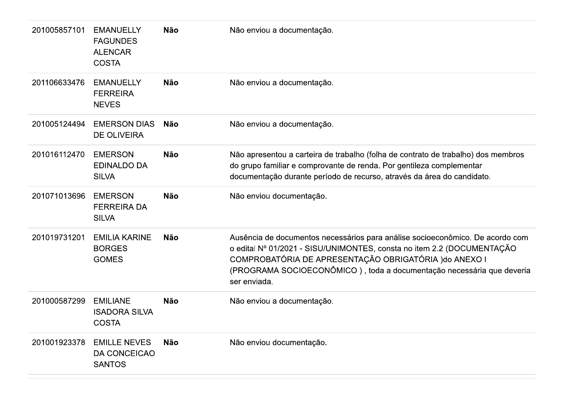| 201005857101 | <b>EMANUELLY</b><br><b>FAGUNDES</b><br><b>ALENCAR</b><br><b>COSTA</b> | <b>Não</b> | Não enviou a documentação.                                                                                                                                                                                                                                                                                 |
|--------------|-----------------------------------------------------------------------|------------|------------------------------------------------------------------------------------------------------------------------------------------------------------------------------------------------------------------------------------------------------------------------------------------------------------|
| 201106633476 | <b>EMANUELLY</b><br><b>FERREIRA</b><br><b>NEVES</b>                   | <b>Não</b> | Não enviou a documentação.                                                                                                                                                                                                                                                                                 |
| 201005124494 | <b>EMERSON DIAS</b><br><b>DE OLIVEIRA</b>                             | Não        | Não enviou a documentação.                                                                                                                                                                                                                                                                                 |
| 201016112470 | <b>EMERSON</b><br><b>EDINALDO DA</b><br><b>SILVA</b>                  | <b>Não</b> | Não apresentou a carteira de trabalho (folha de contrato de trabalho) dos membros<br>do grupo familiar e comprovante de renda. Por gentileza complementar<br>documentação durante período de recurso, através da área do candidato.                                                                        |
| 201071013696 | <b>EMERSON</b><br><b>FERREIRA DA</b><br><b>SILVA</b>                  | <b>Não</b> | Não enviou documentação.                                                                                                                                                                                                                                                                                   |
| 201019731201 | <b>EMILIA KARINE</b><br><b>BORGES</b><br><b>GOMES</b>                 | <b>Não</b> | Ausência de documentos necessários para análise socioeconômico. De acordo com<br>o edital Nº 01/2021 - SISU/UNIMONTES, consta no item 2.2 (DOCUMENTAÇÃO<br>COMPROBATÓRIA DE APRESENTAÇÃO OBRIGATÓRIA ) do ANEXO I<br>(PROGRAMA SOCIOECONÔMICO), toda a documentação necessária que deveria<br>ser enviada. |
| 201000587299 | <b>EMILIANE</b><br><b>ISADORA SILVA</b><br><b>COSTA</b>               | <b>Não</b> | Não enviou a documentação.                                                                                                                                                                                                                                                                                 |
| 201001923378 | <b>EMILLE NEVES</b><br>DA CONCEICAO<br><b>SANTOS</b>                  | <b>Não</b> | Não enviou documentação.                                                                                                                                                                                                                                                                                   |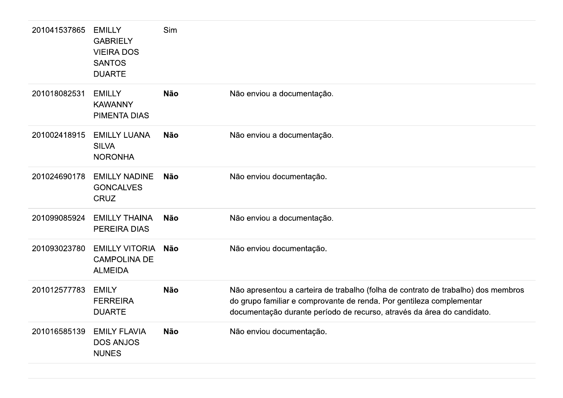| 201041537865 | <b>EMILLY</b><br><b>GABRIELY</b><br><b>VIEIRA DOS</b><br><b>SANTOS</b><br><b>DUARTE</b> | Sim        |                                                                                                                                                                                                                                     |
|--------------|-----------------------------------------------------------------------------------------|------------|-------------------------------------------------------------------------------------------------------------------------------------------------------------------------------------------------------------------------------------|
| 201018082531 | <b>EMILLY</b><br><b>KAWANNY</b><br><b>PIMENTA DIAS</b>                                  | <b>Não</b> | Não enviou a documentação.                                                                                                                                                                                                          |
| 201002418915 | <b>EMILLY LUANA</b><br><b>SILVA</b><br><b>NORONHA</b>                                   | <b>Não</b> | Não enviou a documentação.                                                                                                                                                                                                          |
| 201024690178 | <b>EMILLY NADINE</b><br><b>GONCALVES</b><br><b>CRUZ</b>                                 | <b>Não</b> | Não enviou documentação.                                                                                                                                                                                                            |
| 201099085924 | <b>EMILLY THAINA</b><br>PEREIRA DIAS                                                    | <b>Não</b> | Não enviou a documentação.                                                                                                                                                                                                          |
| 201093023780 | <b>EMILLY VITORIA</b><br><b>CAMPOLINA DE</b><br><b>ALMEIDA</b>                          | <b>Não</b> | Não enviou documentação.                                                                                                                                                                                                            |
| 201012577783 | <b>EMILY</b><br><b>FERREIRA</b><br><b>DUARTE</b>                                        | <b>Não</b> | Não apresentou a carteira de trabalho (folha de contrato de trabalho) dos membros<br>do grupo familiar e comprovante de renda. Por gentileza complementar<br>documentação durante período de recurso, através da área do candidato. |
| 201016585139 | <b>EMILY FLAVIA</b><br><b>DOS ANJOS</b><br><b>NUNES</b>                                 | <b>Não</b> | Não enviou documentação.                                                                                                                                                                                                            |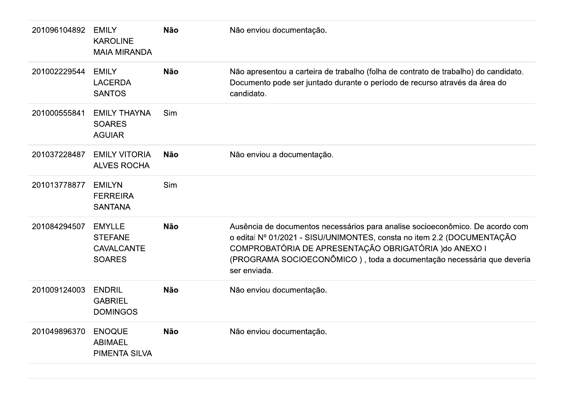| 201096104892 | <b>EMILY</b><br><b>KAROLINE</b><br><b>MAIA MIRANDA</b>                | <b>Não</b> | Não enviou documentação.                                                                                                                                                                                                                                                                                   |
|--------------|-----------------------------------------------------------------------|------------|------------------------------------------------------------------------------------------------------------------------------------------------------------------------------------------------------------------------------------------------------------------------------------------------------------|
| 201002229544 | <b>EMILY</b><br><b>LACERDA</b><br><b>SANTOS</b>                       | <b>Não</b> | Não apresentou a carteira de trabalho (folha de contrato de trabalho) do candidato.<br>Documento pode ser juntado durante o período de recurso através da área do<br>candidato.                                                                                                                            |
| 201000555841 | <b>EMILY THAYNA</b><br><b>SOARES</b><br><b>AGUIAR</b>                 | Sim        |                                                                                                                                                                                                                                                                                                            |
| 201037228487 | <b>EMILY VITORIA</b><br><b>ALVES ROCHA</b>                            | <b>Não</b> | Não enviou a documentação.                                                                                                                                                                                                                                                                                 |
| 201013778877 | <b>EMILYN</b><br><b>FERREIRA</b><br><b>SANTANA</b>                    | Sim        |                                                                                                                                                                                                                                                                                                            |
| 201084294507 | <b>EMYLLE</b><br><b>STEFANE</b><br><b>CAVALCANTE</b><br><b>SOARES</b> | <b>Não</b> | Ausência de documentos necessários para analise socioeconômico. De acordo com<br>o edital Nº 01/2021 - SISU/UNIMONTES, consta no item 2.2 (DOCUMENTAÇÃO<br>COMPROBATÓRIA DE APRESENTAÇÃO OBRIGATÓRIA ) do ANEXO I<br>(PROGRAMA SOCIOECONÔMICO), toda a documentação necessária que deveria<br>ser enviada. |
| 201009124003 | <b>ENDRIL</b><br><b>GABRIEL</b><br><b>DOMINGOS</b>                    | <b>Não</b> | Não enviou documentação.                                                                                                                                                                                                                                                                                   |
| 201049896370 | <b>ENOQUE</b><br><b>ABIMAEL</b><br>PIMENTA SILVA                      | <b>Não</b> | Não enviou documentação.                                                                                                                                                                                                                                                                                   |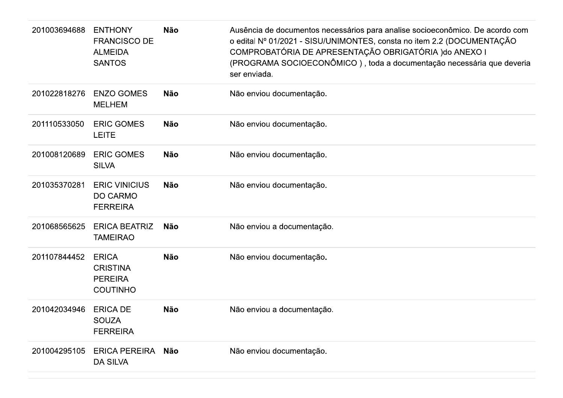| 201003694688 | <b>ENTHONY</b><br><b>FRANCISCO DE</b><br><b>ALMEIDA</b><br><b>SANTOS</b> | <b>Não</b> | Ausência de documentos necessários para analise socioeconômico. De acordo com<br>o edital Nº 01/2021 - SISU/UNIMONTES, consta no item 2.2 (DOCUMENTAÇÃO<br>COMPROBATÓRIA DE APRESENTAÇÃO OBRIGATÓRIA ) do ANEXO I<br>(PROGRAMA SOCIOECONÔMICO), toda a documentação necessária que deveria<br>ser enviada. |
|--------------|--------------------------------------------------------------------------|------------|------------------------------------------------------------------------------------------------------------------------------------------------------------------------------------------------------------------------------------------------------------------------------------------------------------|
| 201022818276 | <b>ENZO GOMES</b><br><b>MELHEM</b>                                       | Não        | Não enviou documentação.                                                                                                                                                                                                                                                                                   |
| 201110533050 | <b>ERIC GOMES</b><br><b>LEITE</b>                                        | <b>Não</b> | Não enviou documentação.                                                                                                                                                                                                                                                                                   |
| 201008120689 | <b>ERIC GOMES</b><br><b>SILVA</b>                                        | <b>Não</b> | Não enviou documentação.                                                                                                                                                                                                                                                                                   |
| 201035370281 | <b>ERIC VINICIUS</b><br><b>DO CARMO</b><br><b>FERREIRA</b>               | <b>Não</b> | Não enviou documentação.                                                                                                                                                                                                                                                                                   |
| 201068565625 | <b>ERICA BEATRIZ</b><br><b>TAMEIRAO</b>                                  | <b>Não</b> | Não enviou a documentação.                                                                                                                                                                                                                                                                                 |
| 201107844452 | <b>ERICA</b><br><b>CRISTINA</b><br><b>PEREIRA</b><br><b>COUTINHO</b>     | <b>Não</b> | Não enviou documentação.                                                                                                                                                                                                                                                                                   |
| 201042034946 | <b>ERICA DE</b><br><b>SOUZA</b><br><b>FERREIRA</b>                       | Não        | Não enviou a documentação.                                                                                                                                                                                                                                                                                 |
| 201004295105 | <b>ERICA PEREIRA</b><br><b>DA SILVA</b>                                  | Não        | Não enviou documentação.                                                                                                                                                                                                                                                                                   |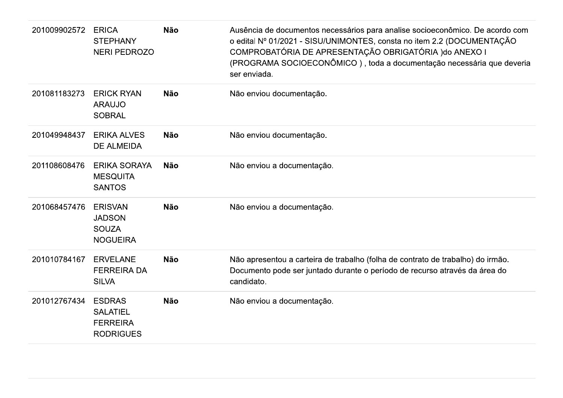| 201009902572 | <b>ERICA</b><br><b>STEPHANY</b><br><b>NERI PEDROZO</b>                  | <b>Não</b> | Ausência de documentos necessários para analise socioeconômico. De acordo com<br>o edital Nº 01/2021 - SISU/UNIMONTES, consta no item 2.2 (DOCUMENTAÇÃO<br>COMPROBATÓRIA DE APRESENTAÇÃO OBRIGATÓRIA ) do ANEXO I<br>(PROGRAMA SOCIOECONÔMICO), toda a documentação necessária que deveria<br>ser enviada. |
|--------------|-------------------------------------------------------------------------|------------|------------------------------------------------------------------------------------------------------------------------------------------------------------------------------------------------------------------------------------------------------------------------------------------------------------|
| 201081183273 | <b>ERICK RYAN</b><br><b>ARAUJO</b><br><b>SOBRAL</b>                     | <b>Não</b> | Não enviou documentação.                                                                                                                                                                                                                                                                                   |
| 201049948437 | <b>ERIKA ALVES</b><br><b>DE ALMEIDA</b>                                 | <b>Não</b> | Não enviou documentação.                                                                                                                                                                                                                                                                                   |
| 201108608476 | <b>ERIKA SORAYA</b><br><b>MESQUITA</b><br><b>SANTOS</b>                 | <b>Não</b> | Não enviou a documentação.                                                                                                                                                                                                                                                                                 |
| 201068457476 | <b>ERISVAN</b><br><b>JADSON</b><br><b>SOUZA</b><br><b>NOGUEIRA</b>      | <b>Não</b> | Não enviou a documentação.                                                                                                                                                                                                                                                                                 |
| 201010784167 | <b>ERVELANE</b><br><b>FERREIRA DA</b><br><b>SILVA</b>                   | <b>Não</b> | Não apresentou a carteira de trabalho (folha de contrato de trabalho) do irmão.<br>Documento pode ser juntado durante o período de recurso através da área do<br>candidato.                                                                                                                                |
| 201012767434 | <b>ESDRAS</b><br><b>SALATIEL</b><br><b>FERREIRA</b><br><b>RODRIGUES</b> | <b>Não</b> | Não enviou a documentação.                                                                                                                                                                                                                                                                                 |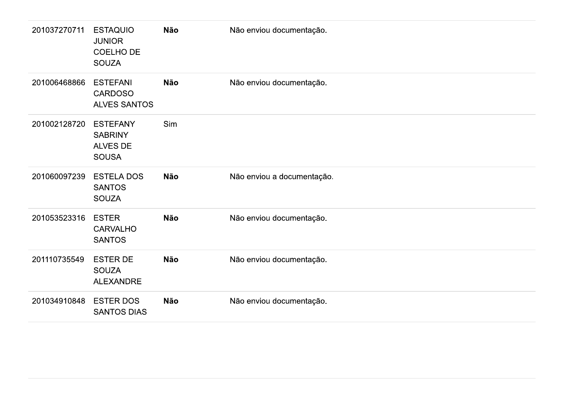| 201037270711 | <b>ESTAQUIO</b><br><b>JUNIOR</b><br><b>COELHO DE</b><br><b>SOUZA</b> | <b>Não</b> | Não enviou documentação.   |
|--------------|----------------------------------------------------------------------|------------|----------------------------|
| 201006468866 | <b>ESTEFANI</b><br><b>CARDOSO</b><br><b>ALVES SANTOS</b>             | Não        | Não enviou documentação.   |
| 201002128720 | <b>ESTEFANY</b><br><b>SABRINY</b><br>ALVES DE<br><b>SOUSA</b>        | Sim        |                            |
| 201060097239 | <b>ESTELA DOS</b><br><b>SANTOS</b><br><b>SOUZA</b>                   | Não        | Não enviou a documentação. |
| 201053523316 | <b>ESTER</b><br><b>CARVALHO</b><br><b>SANTOS</b>                     | <b>Não</b> | Não enviou documentação.   |
| 201110735549 | <b>ESTER DE</b><br><b>SOUZA</b><br>ALEXANDRE                         | <b>Não</b> | Não enviou documentação.   |
| 201034910848 | <b>ESTER DOS</b><br><b>SANTOS DIAS</b>                               | Não        | Não enviou documentação.   |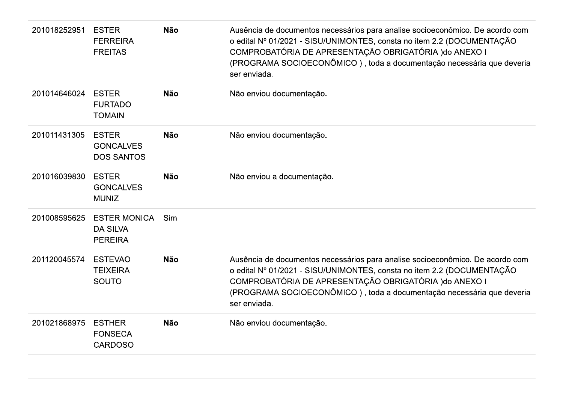| 201018252951 | <b>ESTER</b><br><b>FERREIRA</b><br><b>FREITAS</b>        | <b>Não</b> | Ausência de documentos necessários para analise socioeconômico. De acordo com<br>o edital Nº 01/2021 - SISU/UNIMONTES, consta no item 2.2 (DOCUMENTAÇÃO<br>COMPROBATÓRIA DE APRESENTAÇÃO OBRIGATÓRIA ) do ANEXO I<br>(PROGRAMA SOCIOECONÔMICO), toda a documentação necessária que deveria<br>ser enviada. |
|--------------|----------------------------------------------------------|------------|------------------------------------------------------------------------------------------------------------------------------------------------------------------------------------------------------------------------------------------------------------------------------------------------------------|
| 201014646024 | <b>ESTER</b><br><b>FURTADO</b><br><b>TOMAIN</b>          | <b>Não</b> | Não enviou documentação.                                                                                                                                                                                                                                                                                   |
| 201011431305 | <b>ESTER</b><br><b>GONCALVES</b><br><b>DOS SANTOS</b>    | <b>Não</b> | Não enviou documentação.                                                                                                                                                                                                                                                                                   |
| 201016039830 | <b>ESTER</b><br><b>GONCALVES</b><br><b>MUNIZ</b>         | <b>Não</b> | Não enviou a documentação.                                                                                                                                                                                                                                                                                 |
| 201008595625 | <b>ESTER MONICA</b><br><b>DA SILVA</b><br><b>PEREIRA</b> | Sim        |                                                                                                                                                                                                                                                                                                            |
| 201120045574 | <b>ESTEVAO</b><br><b>TEIXEIRA</b><br><b>SOUTO</b>        | <b>Não</b> | Ausência de documentos necessários para analise socioeconômico. De acordo com<br>o edital Nº 01/2021 - SISU/UNIMONTES, consta no item 2.2 (DOCUMENTAÇÃO<br>COMPROBATÓRIA DE APRESENTAÇÃO OBRIGATÓRIA ) do ANEXO I<br>(PROGRAMA SOCIOECONÔMICO), toda a documentação necessária que deveria<br>ser enviada. |
| 201021868975 | <b>ESTHER</b><br><b>FONSECA</b><br><b>CARDOSO</b>        | <b>Não</b> | Não enviou documentação.                                                                                                                                                                                                                                                                                   |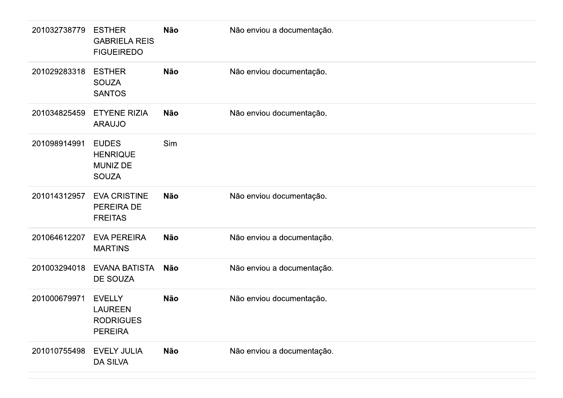| 201032738779 | <b>ESTHER</b><br><b>GABRIELA REIS</b><br><b>FIGUEIREDO</b>            | <b>Não</b> | Não enviou a documentação. |
|--------------|-----------------------------------------------------------------------|------------|----------------------------|
| 201029283318 | <b>ESTHER</b><br><b>SOUZA</b><br><b>SANTOS</b>                        | Não        | Não enviou documentação.   |
| 201034825459 | <b>ETYENE RIZIA</b><br><b>ARAUJO</b>                                  | <b>Não</b> | Não enviou documentação.   |
| 201098914991 | <b>EUDES</b><br><b>HENRIQUE</b><br><b>MUNIZ DE</b><br><b>SOUZA</b>    | Sim        |                            |
| 201014312957 | <b>EVA CRISTINE</b><br>PEREIRA DE<br><b>FREITAS</b>                   | <b>Não</b> | Não enviou documentação.   |
| 201064612207 | <b>EVA PEREIRA</b><br><b>MARTINS</b>                                  | <b>Não</b> | Não enviou a documentação. |
| 201003294018 | <b>EVANA BATISTA</b><br>DE SOUZA                                      | Não        | Não enviou a documentação. |
| 201000679971 | <b>EVELLY</b><br><b>LAUREEN</b><br><b>RODRIGUES</b><br><b>PEREIRA</b> | Não        | Não enviou documentação.   |
| 201010755498 | <b>EVELY JULIA</b><br><b>DA SILVA</b>                                 | Não        | Não enviou a documentação. |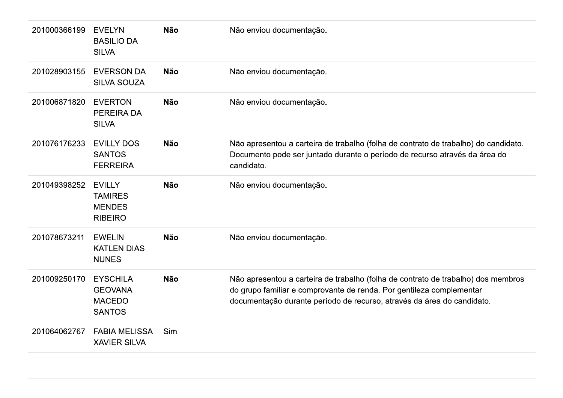| 201000366199 | <b>EVELYN</b><br><b>BASILIO DA</b><br><b>SILVA</b>                  | <b>Não</b> | Não enviou documentação.                                                                                                                                                                                                            |
|--------------|---------------------------------------------------------------------|------------|-------------------------------------------------------------------------------------------------------------------------------------------------------------------------------------------------------------------------------------|
| 201028903155 | <b>EVERSON DA</b><br><b>SILVA SOUZA</b>                             | <b>Não</b> | Não enviou documentação.                                                                                                                                                                                                            |
| 201006871820 | <b>EVERTON</b><br><b>PEREIRA DA</b><br><b>SILVA</b>                 | <b>Não</b> | Não enviou documentação.                                                                                                                                                                                                            |
| 201076176233 | <b>EVILLY DOS</b><br><b>SANTOS</b><br><b>FERREIRA</b>               | <b>Não</b> | Não apresentou a carteira de trabalho (folha de contrato de trabalho) do candidato.<br>Documento pode ser juntado durante o período de recurso através da área do<br>candidato.                                                     |
| 201049398252 | <b>EVILLY</b><br><b>TAMIRES</b><br><b>MENDES</b><br><b>RIBEIRO</b>  | <b>Não</b> | Não enviou documentação.                                                                                                                                                                                                            |
| 201078673211 | <b>EWELIN</b><br><b>KATLEN DIAS</b><br><b>NUNES</b>                 | <b>Não</b> | Não enviou documentação.                                                                                                                                                                                                            |
| 201009250170 | <b>EYSCHILA</b><br><b>GEOVANA</b><br><b>MACEDO</b><br><b>SANTOS</b> | <b>Não</b> | Não apresentou a carteira de trabalho (folha de contrato de trabalho) dos membros<br>do grupo familiar e comprovante de renda. Por gentileza complementar<br>documentação durante período de recurso, através da área do candidato. |
| 201064062767 | <b>FABIA MELISSA</b><br><b>XAVIER SILVA</b>                         | Sim        |                                                                                                                                                                                                                                     |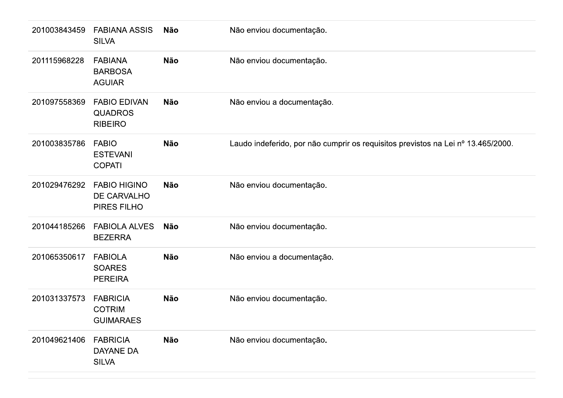| 201003843459 | <b>FABIANA ASSIS</b><br><b>SILVA</b>                    | Não        | Não enviou documentação.                                                         |
|--------------|---------------------------------------------------------|------------|----------------------------------------------------------------------------------|
| 201115968228 | <b>FABIANA</b><br><b>BARBOSA</b><br><b>AGUIAR</b>       | <b>Não</b> | Não enviou documentação.                                                         |
| 201097558369 | <b>FABIO EDIVAN</b><br><b>QUADROS</b><br><b>RIBEIRO</b> | <b>Não</b> | Não enviou a documentação.                                                       |
| 201003835786 | <b>FABIO</b><br><b>ESTEVANI</b><br><b>COPATI</b>        | <b>Não</b> | Laudo indeferido, por não cumprir os requisitos previstos na Lei nº 13.465/2000. |
| 201029476292 | <b>FABIO HIGINO</b><br>DE CARVALHO<br>PIRES FILHO       | <b>Não</b> | Não enviou documentação.                                                         |
| 201044185266 | <b>FABIOLA ALVES</b><br><b>BEZERRA</b>                  | Não        | Não enviou documentação.                                                         |
| 201065350617 | <b>FABIOLA</b><br><b>SOARES</b><br><b>PEREIRA</b>       | <b>Não</b> | Não enviou a documentação.                                                       |
| 201031337573 | <b>FABRICIA</b><br><b>COTRIM</b><br><b>GUIMARAES</b>    | <b>Não</b> | Não enviou documentação.                                                         |
| 201049621406 | <b>FABRICIA</b><br>DAYANE DA<br><b>SILVA</b>            | <b>Não</b> | Não enviou documentação.                                                         |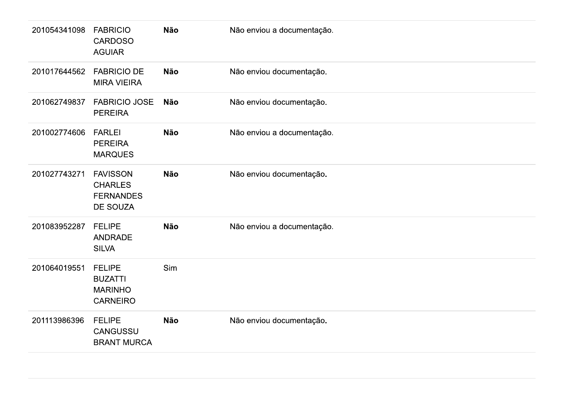| 201054341098 | <b>FABRICIO</b><br><b>CARDOSO</b><br><b>AGUIAR</b>                   | Não        | Não enviou a documentação. |
|--------------|----------------------------------------------------------------------|------------|----------------------------|
| 201017644562 | <b>FABRICIO DE</b><br><b>MIRA VIEIRA</b>                             | Não        | Não enviou documentação.   |
| 201062749837 | <b>FABRICIO JOSE</b><br><b>PEREIRA</b>                               | Não        | Não enviou documentação.   |
| 201002774606 | <b>FARLEI</b><br><b>PEREIRA</b><br><b>MARQUES</b>                    | Não        | Não enviou a documentação. |
| 201027743271 | <b>FAVISSON</b><br><b>CHARLES</b><br><b>FERNANDES</b><br>DE SOUZA    | <b>Não</b> | Não enviou documentação.   |
| 201083952287 | <b>FELIPE</b><br><b>ANDRADE</b><br><b>SILVA</b>                      | Não        | Não enviou a documentação. |
| 201064019551 | <b>FELIPE</b><br><b>BUZATTI</b><br><b>MARINHO</b><br><b>CARNEIRO</b> | Sim        |                            |
| 201113986396 | <b>FELIPE</b><br>CANGUSSU<br><b>BRANT MURCA</b>                      | Não        | Não enviou documentação.   |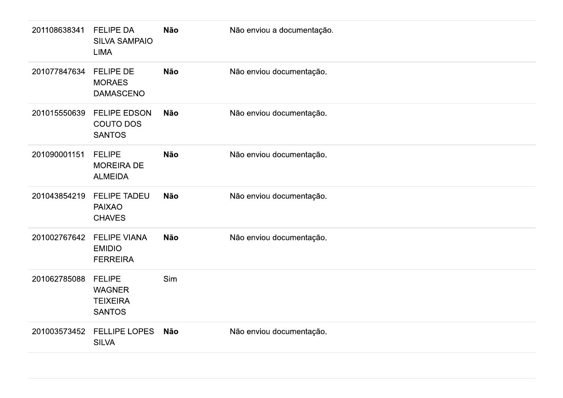| 201108638341 | <b>FELIPE DA</b><br><b>SILVA SAMPAIO</b><br><b>LIMA</b>            | <b>Não</b> | Não enviou a documentação. |
|--------------|--------------------------------------------------------------------|------------|----------------------------|
| 201077847634 | <b>FELIPE DE</b><br><b>MORAES</b><br><b>DAMASCENO</b>              | <b>Não</b> | Não enviou documentação.   |
| 201015550639 | <b>FELIPE EDSON</b><br><b>COUTO DOS</b><br><b>SANTOS</b>           | <b>Não</b> | Não enviou documentação.   |
| 201090001151 | <b>FELIPE</b><br><b>MOREIRA DE</b><br><b>ALMEIDA</b>               | <b>Não</b> | Não enviou documentação.   |
| 201043854219 | <b>FELIPE TADEU</b><br><b>PAIXAO</b><br><b>CHAVES</b>              | <b>Não</b> | Não enviou documentação.   |
| 201002767642 | <b>FELIPE VIANA</b><br><b>EMIDIO</b><br><b>FERREIRA</b>            | <b>Não</b> | Não enviou documentação.   |
| 201062785088 | <b>FELIPE</b><br><b>WAGNER</b><br><b>TEIXEIRA</b><br><b>SANTOS</b> | Sim        |                            |
| 201003573452 | <b>FELLIPE LOPES</b><br><b>SILVA</b>                               | <b>Não</b> | Não enviou documentação.   |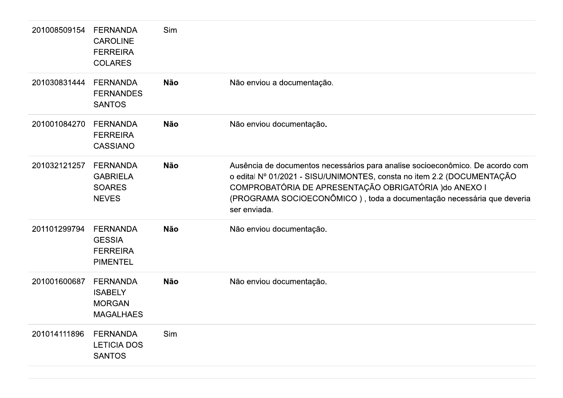| 201008509154 | <b>FERNANDA</b><br><b>CAROLINE</b><br><b>FERREIRA</b><br><b>COLARES</b> | Sim        |                                                                                                                                                                                                                                                                                                            |
|--------------|-------------------------------------------------------------------------|------------|------------------------------------------------------------------------------------------------------------------------------------------------------------------------------------------------------------------------------------------------------------------------------------------------------------|
| 201030831444 | <b>FERNANDA</b><br><b>FERNANDES</b><br><b>SANTOS</b>                    | <b>Não</b> | Não enviou a documentação.                                                                                                                                                                                                                                                                                 |
| 201001084270 | <b>FERNANDA</b><br><b>FERREIRA</b><br><b>CASSIANO</b>                   | <b>Não</b> | Não enviou documentação.                                                                                                                                                                                                                                                                                   |
| 201032121257 | <b>FERNANDA</b><br><b>GABRIELA</b><br><b>SOARES</b><br><b>NEVES</b>     | <b>Não</b> | Ausência de documentos necessários para analise socioeconômico. De acordo com<br>o edital Nº 01/2021 - SISU/UNIMONTES, consta no item 2.2 (DOCUMENTAÇÃO<br>COMPROBATÓRIA DE APRESENTAÇÃO OBRIGATÓRIA ) do ANEXO I<br>(PROGRAMA SOCIOECONÔMICO), toda a documentação necessária que deveria<br>ser enviada. |
| 201101299794 | <b>FERNANDA</b><br><b>GESSIA</b><br><b>FERREIRA</b><br><b>PIMENTEL</b>  | <b>Não</b> | Não enviou documentação.                                                                                                                                                                                                                                                                                   |
| 201001600687 | <b>FERNANDA</b><br><b>ISABELY</b><br><b>MORGAN</b><br><b>MAGALHAES</b>  | <b>Não</b> | Não enviou documentação.                                                                                                                                                                                                                                                                                   |
| 201014111896 | <b>FERNANDA</b><br><b>LETICIA DOS</b><br><b>SANTOS</b>                  | Sim        |                                                                                                                                                                                                                                                                                                            |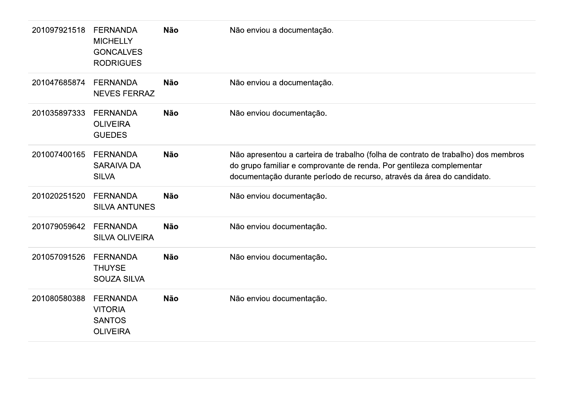| 201097921518 | <b>FERNANDA</b><br><b>MICHELLY</b><br><b>GONCALVES</b><br><b>RODRIGUES</b> | <b>Não</b> | Não enviou a documentação.                                                                                                                                                                                                          |
|--------------|----------------------------------------------------------------------------|------------|-------------------------------------------------------------------------------------------------------------------------------------------------------------------------------------------------------------------------------------|
| 201047685874 | <b>FERNANDA</b><br><b>NEVES FERRAZ</b>                                     | <b>Não</b> | Não enviou a documentação.                                                                                                                                                                                                          |
| 201035897333 | <b>FERNANDA</b><br><b>OLIVEIRA</b><br><b>GUEDES</b>                        | <b>Não</b> | Não enviou documentação.                                                                                                                                                                                                            |
| 201007400165 | <b>FERNANDA</b><br><b>SARAIVA DA</b><br><b>SILVA</b>                       | <b>Não</b> | Não apresentou a carteira de trabalho (folha de contrato de trabalho) dos membros<br>do grupo familiar e comprovante de renda. Por gentileza complementar<br>documentação durante período de recurso, através da área do candidato. |
| 201020251520 | <b>FERNANDA</b><br><b>SILVA ANTUNES</b>                                    | <b>Não</b> | Não enviou documentação.                                                                                                                                                                                                            |
| 201079059642 | <b>FERNANDA</b><br><b>SILVA OLIVEIRA</b>                                   | <b>Não</b> | Não enviou documentação.                                                                                                                                                                                                            |
| 201057091526 | <b>FERNANDA</b><br><b>THUYSE</b><br><b>SOUZA SILVA</b>                     | <b>Não</b> | Não enviou documentação.                                                                                                                                                                                                            |
| 201080580388 | <b>FERNANDA</b><br><b>VITORIA</b><br><b>SANTOS</b><br><b>OLIVEIRA</b>      | <b>Não</b> | Não enviou documentação.                                                                                                                                                                                                            |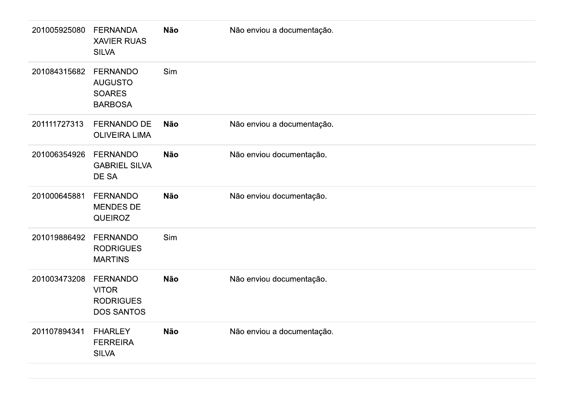| 201005925080 | <b>FERNANDA</b><br><b>XAVIER RUAS</b><br><b>SILVA</b>                    | Não        | Não enviou a documentação. |
|--------------|--------------------------------------------------------------------------|------------|----------------------------|
| 201084315682 | <b>FERNANDO</b><br><b>AUGUSTO</b><br><b>SOARES</b><br><b>BARBOSA</b>     | Sim        |                            |
| 201111727313 | <b>FERNANDO DE</b><br><b>OLIVEIRA LIMA</b>                               | <b>Não</b> | Não enviou a documentação. |
| 201006354926 | <b>FERNANDO</b><br><b>GABRIEL SILVA</b><br>DE SA                         | <b>Não</b> | Não enviou documentação.   |
| 201000645881 | <b>FERNANDO</b><br><b>MENDES DE</b><br><b>QUEIROZ</b>                    | Não        | Não enviou documentação.   |
| 201019886492 | <b>FERNANDO</b><br><b>RODRIGUES</b><br><b>MARTINS</b>                    | Sim        |                            |
| 201003473208 | <b>FERNANDO</b><br><b>VITOR</b><br><b>RODRIGUES</b><br><b>DOS SANTOS</b> | Não        | Não enviou documentação.   |
| 201107894341 | <b>FHARLEY</b><br><b>FERREIRA</b><br><b>SILVA</b>                        | Não        | Não enviou a documentação. |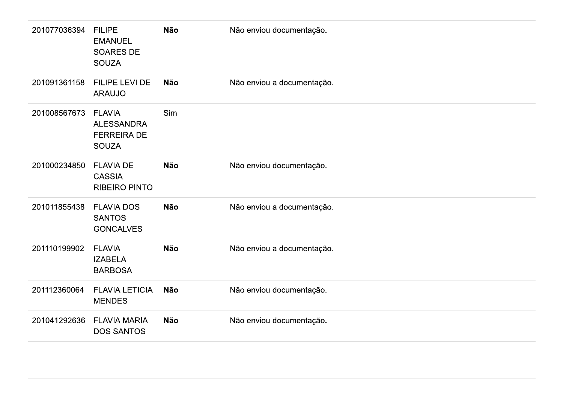| 201077036394 | <b>FILIPE</b><br><b>EMANUEL</b><br><b>SOARES DE</b><br><b>SOUZA</b>      | <b>Não</b> | Não enviou documentação.   |
|--------------|--------------------------------------------------------------------------|------------|----------------------------|
| 201091361158 | FILIPE LEVI DE<br><b>ARAUJO</b>                                          | <b>Não</b> | Não enviou a documentação. |
| 201008567673 | <b>FLAVIA</b><br><b>ALESSANDRA</b><br><b>FERREIRA DE</b><br><b>SOUZA</b> | Sim        |                            |
| 201000234850 | <b>FLAVIA DE</b><br><b>CASSIA</b><br><b>RIBEIRO PINTO</b>                | <b>Não</b> | Não enviou documentação.   |
| 201011855438 | <b>FLAVIA DOS</b><br><b>SANTOS</b><br><b>GONCALVES</b>                   | <b>Não</b> | Não enviou a documentação. |
| 201110199902 | <b>FLAVIA</b><br><b>IZABELA</b><br><b>BARBOSA</b>                        | <b>Não</b> | Não enviou a documentação. |
| 201112360064 | <b>FLAVIA LETICIA</b><br><b>MENDES</b>                                   | <b>Não</b> | Não enviou documentação.   |
| 201041292636 | <b>FLAVIA MARIA</b><br><b>DOS SANTOS</b>                                 | <b>Não</b> | Não enviou documentação.   |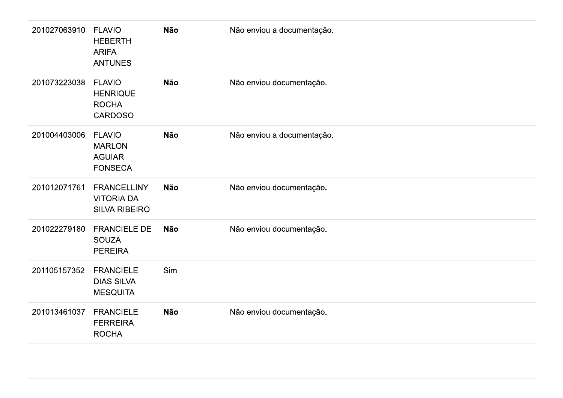| 201027063910 | <b>FLAVIO</b><br><b>HEBERTH</b><br><b>ARIFA</b><br><b>ANTUNES</b>  | Não        | Não enviou a documentação. |
|--------------|--------------------------------------------------------------------|------------|----------------------------|
| 201073223038 | <b>FLAVIO</b><br><b>HENRIQUE</b><br><b>ROCHA</b><br><b>CARDOSO</b> | Não        | Não enviou documentação.   |
| 201004403006 | <b>FLAVIO</b><br><b>MARLON</b><br><b>AGUIAR</b><br><b>FONSECA</b>  | <b>Não</b> | Não enviou a documentação. |
| 201012071761 | <b>FRANCELLINY</b><br><b>VITORIA DA</b><br><b>SILVA RIBEIRO</b>    | <b>Não</b> | Não enviou documentação.   |
| 201022279180 | <b>FRANCIELE DE</b><br><b>SOUZA</b><br><b>PEREIRA</b>              | Não        | Não enviou documentação.   |
| 201105157352 | <b>FRANCIELE</b><br><b>DIAS SILVA</b><br><b>MESQUITA</b>           | Sim        |                            |
| 201013461037 | <b>FRANCIELE</b><br><b>FERREIRA</b><br><b>ROCHA</b>                | Não        | Não enviou documentação.   |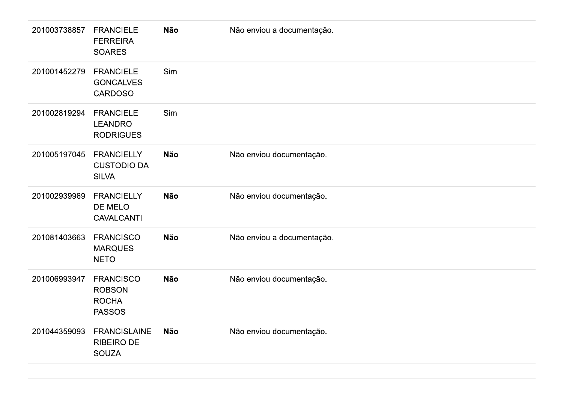| 201003738857 | <b>FRANCIELE</b><br><b>FERREIRA</b><br><b>SOARES</b>               | Não        | Não enviou a documentação. |
|--------------|--------------------------------------------------------------------|------------|----------------------------|
| 201001452279 | <b>FRANCIELE</b><br><b>GONCALVES</b><br><b>CARDOSO</b>             | Sim        |                            |
| 201002819294 | <b>FRANCIELE</b><br><b>LEANDRO</b><br><b>RODRIGUES</b>             | Sim        |                            |
| 201005197045 | <b>FRANCIELLY</b><br><b>CUSTODIO DA</b><br><b>SILVA</b>            | Não        | Não enviou documentação.   |
| 201002939969 | <b>FRANCIELLY</b><br>DE MELO<br><b>CAVALCANTI</b>                  | Não        | Não enviou documentação.   |
| 201081403663 | <b>FRANCISCO</b><br><b>MARQUES</b><br><b>NETO</b>                  | <b>Não</b> | Não enviou a documentação. |
| 201006993947 | <b>FRANCISCO</b><br><b>ROBSON</b><br><b>ROCHA</b><br><b>PASSOS</b> | Não        | Não enviou documentação.   |
| 201044359093 | <b>FRANCISLAINE</b><br><b>RIBEIRO DE</b><br><b>SOUZA</b>           | Não        | Não enviou documentação.   |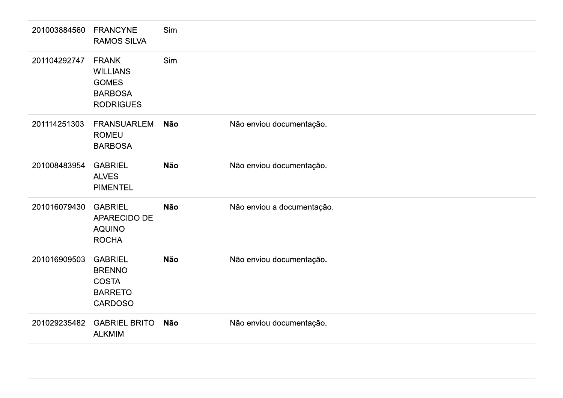| 201003884560 | <b>FRANCYNE</b><br><b>RAMOS SILVA</b>                                                 | Sim        |                            |
|--------------|---------------------------------------------------------------------------------------|------------|----------------------------|
| 201104292747 | <b>FRANK</b><br><b>WILLIANS</b><br><b>GOMES</b><br><b>BARBOSA</b><br><b>RODRIGUES</b> | Sim        |                            |
| 201114251303 | <b>FRANSUARLEM</b><br><b>ROMEU</b><br><b>BARBOSA</b>                                  | <b>Não</b> | Não enviou documentação.   |
| 201008483954 | <b>GABRIEL</b><br><b>ALVES</b><br><b>PIMENTEL</b>                                     | <b>Não</b> | Não enviou documentação.   |
| 201016079430 | <b>GABRIEL</b><br>APARECIDO DE<br><b>AQUINO</b><br><b>ROCHA</b>                       | <b>Não</b> | Não enviou a documentação. |
| 201016909503 | <b>GABRIEL</b><br><b>BRENNO</b><br><b>COSTA</b><br><b>BARRETO</b><br><b>CARDOSO</b>   | <b>Não</b> | Não enviou documentação.   |
| 201029235482 | <b>GABRIEL BRITO</b><br><b>ALKMIM</b>                                                 | <b>Não</b> | Não enviou documentação.   |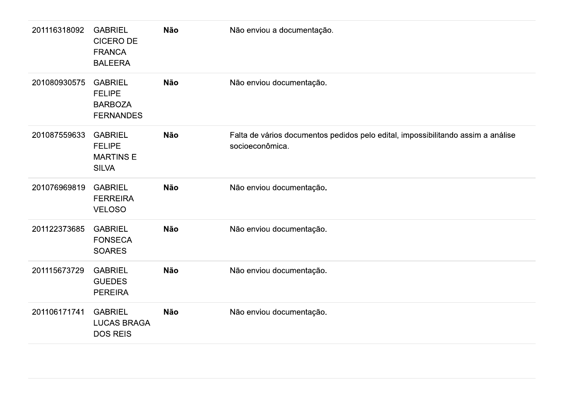| 201116318092 | <b>GABRIEL</b><br><b>CICERO DE</b><br><b>FRANCA</b><br><b>BALEERA</b> | Não | Não enviou a documentação.                                                                          |
|--------------|-----------------------------------------------------------------------|-----|-----------------------------------------------------------------------------------------------------|
| 201080930575 | <b>GABRIEL</b><br><b>FELIPE</b><br><b>BARBOZA</b><br><b>FERNANDES</b> | Não | Não enviou documentação.                                                                            |
| 201087559633 | <b>GABRIEL</b><br><b>FELIPE</b><br><b>MARTINS E</b><br><b>SILVA</b>   | Não | Falta de vários documentos pedidos pelo edital, impossibilitando assim a análise<br>socioeconômica. |
| 201076969819 | <b>GABRIEL</b><br><b>FERREIRA</b><br><b>VELOSO</b>                    | Não | Não enviou documentação.                                                                            |
| 201122373685 | <b>GABRIEL</b><br><b>FONSECA</b><br><b>SOARES</b>                     | Não | Não enviou documentação.                                                                            |
| 201115673729 | <b>GABRIEL</b><br><b>GUEDES</b><br><b>PEREIRA</b>                     | Não | Não enviou documentação.                                                                            |
| 201106171741 | <b>GABRIEL</b><br><b>LUCAS BRAGA</b><br><b>DOS REIS</b>               | Não | Não enviou documentação.                                                                            |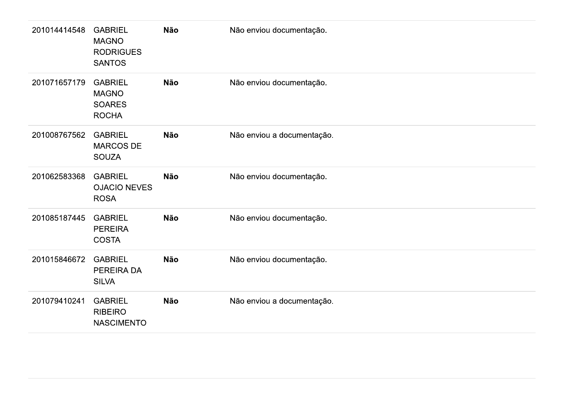| 201014414548 | <b>GABRIEL</b><br><b>MAGNO</b><br><b>RODRIGUES</b><br><b>SANTOS</b> | <b>Não</b> | Não enviou documentação.   |
|--------------|---------------------------------------------------------------------|------------|----------------------------|
| 201071657179 | <b>GABRIEL</b><br><b>MAGNO</b><br><b>SOARES</b><br><b>ROCHA</b>     | <b>Não</b> | Não enviou documentação.   |
| 201008767562 | <b>GABRIEL</b><br><b>MARCOS DE</b><br><b>SOUZA</b>                  | <b>Não</b> | Não enviou a documentação. |
| 201062583368 | <b>GABRIEL</b><br><b>OJACIO NEVES</b><br><b>ROSA</b>                | <b>Não</b> | Não enviou documentação.   |
| 201085187445 | <b>GABRIEL</b><br><b>PEREIRA</b><br><b>COSTA</b>                    | <b>Não</b> | Não enviou documentação.   |
| 201015846672 | <b>GABRIEL</b><br>PEREIRA DA<br><b>SILVA</b>                        | <b>Não</b> | Não enviou documentação.   |
| 201079410241 | <b>GABRIEL</b><br><b>RIBEIRO</b><br><b>NASCIMENTO</b>               | <b>Não</b> | Não enviou a documentação. |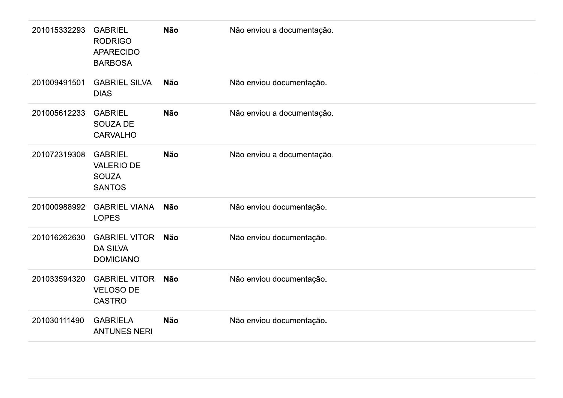| 201015332293 | <b>GABRIEL</b><br><b>RODRIGO</b><br><b>APARECIDO</b><br><b>BARBOSA</b> | <b>Não</b> | Não enviou a documentação. |
|--------------|------------------------------------------------------------------------|------------|----------------------------|
| 201009491501 | <b>GABRIEL SILVA</b><br><b>DIAS</b>                                    | <b>Não</b> | Não enviou documentação.   |
| 201005612233 | <b>GABRIEL</b><br><b>SOUZA DE</b><br><b>CARVALHO</b>                   | <b>Não</b> | Não enviou a documentação. |
| 201072319308 | <b>GABRIEL</b><br><b>VALERIO DE</b><br><b>SOUZA</b><br><b>SANTOS</b>   | <b>Não</b> | Não enviou a documentação. |
| 201000988992 | <b>GABRIEL VIANA</b><br><b>LOPES</b>                                   | <b>Não</b> | Não enviou documentação.   |
| 201016262630 | <b>GABRIEL VITOR</b><br><b>DA SILVA</b><br><b>DOMICIANO</b>            | <b>Não</b> | Não enviou documentação.   |
| 201033594320 | <b>GABRIEL VITOR</b><br><b>VELOSO DE</b><br><b>CASTRO</b>              | <b>Não</b> | Não enviou documentação.   |
| 201030111490 | <b>GABRIELA</b><br><b>ANTUNES NERI</b>                                 | <b>Não</b> | Não enviou documentação.   |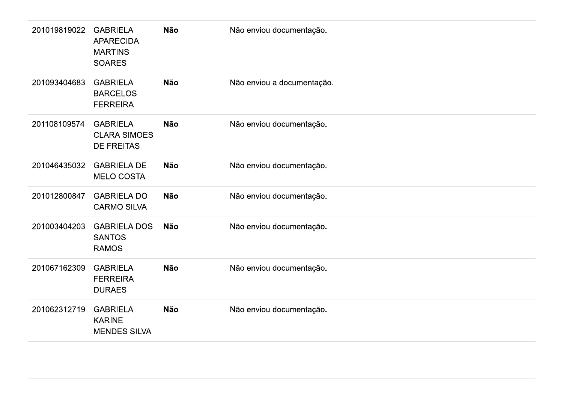| 201019819022 | <b>GABRIELA</b><br><b>APARECIDA</b><br><b>MARTINS</b><br><b>SOARES</b> | Não        | Não enviou documentação.   |
|--------------|------------------------------------------------------------------------|------------|----------------------------|
| 201093404683 | <b>GABRIELA</b><br><b>BARCELOS</b><br><b>FERREIRA</b>                  | Não        | Não enviou a documentação. |
| 201108109574 | <b>GABRIELA</b><br><b>CLARA SIMOES</b><br><b>DE FREITAS</b>            | <b>Não</b> | Não enviou documentação.   |
| 201046435032 | <b>GABRIELA DE</b><br><b>MELO COSTA</b>                                | <b>Não</b> | Não enviou documentação.   |
| 201012800847 | <b>GABRIELA DO</b><br><b>CARMO SILVA</b>                               | <b>Não</b> | Não enviou documentação.   |
| 201003404203 | <b>GABRIELA DOS</b><br><b>SANTOS</b><br><b>RAMOS</b>                   | <b>Não</b> | Não enviou documentação.   |
| 201067162309 | <b>GABRIELA</b><br><b>FERREIRA</b><br><b>DURAES</b>                    | Não        | Não enviou documentação.   |
| 201062312719 | <b>GABRIELA</b><br><b>KARINE</b><br><b>MENDES SILVA</b>                | Não        | Não enviou documentação.   |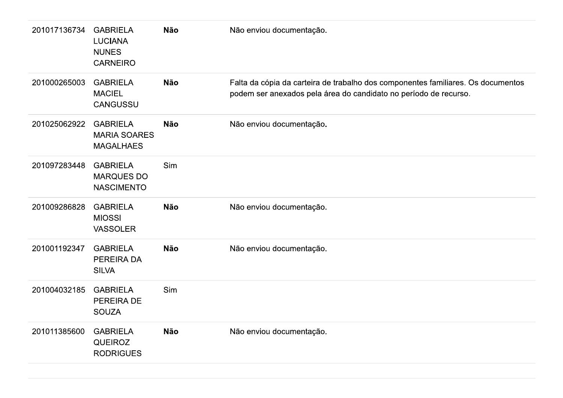| 201017136734 | <b>GABRIELA</b><br><b>LUCIANA</b><br><b>NUNES</b><br><b>CARNEIRO</b> | <b>Não</b> | Não enviou documentação.                                                                                                                             |
|--------------|----------------------------------------------------------------------|------------|------------------------------------------------------------------------------------------------------------------------------------------------------|
| 201000265003 | <b>GABRIELA</b><br><b>MACIEL</b><br><b>CANGUSSU</b>                  | <b>Não</b> | Falta da cópia da carteira de trabalho dos componentes familiares. Os documentos<br>podem ser anexados pela área do candidato no período de recurso. |
| 201025062922 | <b>GABRIELA</b><br><b>MARIA SOARES</b><br><b>MAGALHAES</b>           | <b>Não</b> | Não enviou documentação.                                                                                                                             |
| 201097283448 | <b>GABRIELA</b><br><b>MARQUES DO</b><br><b>NASCIMENTO</b>            | Sim        |                                                                                                                                                      |
| 201009286828 | <b>GABRIELA</b><br><b>MIOSSI</b><br><b>VASSOLER</b>                  | <b>Não</b> | Não enviou documentação.                                                                                                                             |
| 201001192347 | <b>GABRIELA</b><br>PEREIRA DA<br><b>SILVA</b>                        | <b>Não</b> | Não enviou documentação.                                                                                                                             |
| 201004032185 | <b>GABRIELA</b><br>PEREIRA DE<br><b>SOUZA</b>                        | Sim        |                                                                                                                                                      |
| 201011385600 | <b>GABRIELA</b><br><b>QUEIROZ</b><br><b>RODRIGUES</b>                | <b>Não</b> | Não enviou documentação.                                                                                                                             |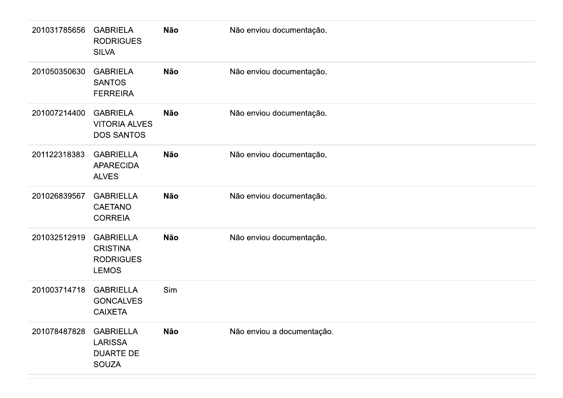| 201031785656 | <b>GABRIELA</b><br><b>RODRIGUES</b><br><b>SILVA</b>                     | <b>Não</b> | Não enviou documentação.   |
|--------------|-------------------------------------------------------------------------|------------|----------------------------|
| 201050350630 | <b>GABRIELA</b><br><b>SANTOS</b><br><b>FERREIRA</b>                     | <b>Não</b> | Não enviou documentação.   |
| 201007214400 | <b>GABRIELA</b><br><b>VITORIA ALVES</b><br><b>DOS SANTOS</b>            | <b>Não</b> | Não enviou documentação.   |
| 201122318383 | <b>GABRIELLA</b><br><b>APARECIDA</b><br><b>ALVES</b>                    | <b>Não</b> | Não enviou documentação.   |
| 201026839567 | <b>GABRIELLA</b><br><b>CAETANO</b><br><b>CORREIA</b>                    | <b>Não</b> | Não enviou documentação.   |
| 201032512919 | <b>GABRIELLA</b><br><b>CRISTINA</b><br><b>RODRIGUES</b><br><b>LEMOS</b> | <b>Não</b> | Não enviou documentação.   |
| 201003714718 | <b>GABRIELLA</b><br><b>GONCALVES</b><br><b>CAIXETA</b>                  | Sim        |                            |
| 201078487828 | <b>GABRIELLA</b><br><b>LARISSA</b><br><b>DUARTE DE</b><br><b>SOUZA</b>  | Não        | Não enviou a documentação. |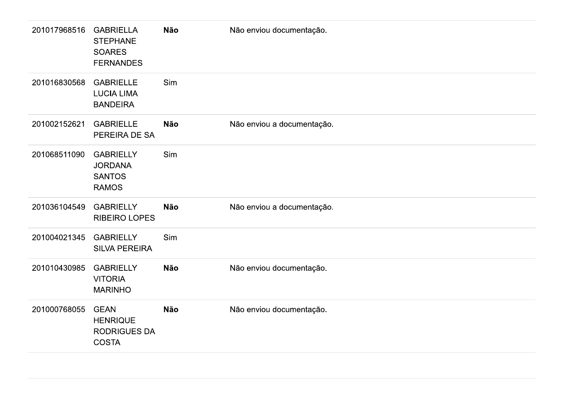| 201017968516 | <b>GABRIELLA</b><br><b>STEPHANE</b><br><b>SOARES</b><br><b>FERNANDES</b> | <b>Não</b> | Não enviou documentação.   |
|--------------|--------------------------------------------------------------------------|------------|----------------------------|
| 201016830568 | <b>GABRIELLE</b><br><b>LUCIA LIMA</b><br><b>BANDEIRA</b>                 | Sim        |                            |
| 201002152621 | <b>GABRIELLE</b><br>PEREIRA DE SA                                        | <b>Não</b> | Não enviou a documentação. |
| 201068511090 | <b>GABRIELLY</b><br><b>JORDANA</b><br><b>SANTOS</b><br><b>RAMOS</b>      | Sim        |                            |
| 201036104549 | <b>GABRIELLY</b><br><b>RIBEIRO LOPES</b>                                 | <b>Não</b> | Não enviou a documentação. |
| 201004021345 | <b>GABRIELLY</b><br><b>SILVA PEREIRA</b>                                 | Sim        |                            |
| 201010430985 | <b>GABRIELLY</b><br><b>VITORIA</b><br><b>MARINHO</b>                     | <b>Não</b> | Não enviou documentação.   |
| 201000768055 | <b>GEAN</b><br><b>HENRIQUE</b><br><b>RODRIGUES DA</b><br><b>COSTA</b>    | <b>Não</b> | Não enviou documentação.   |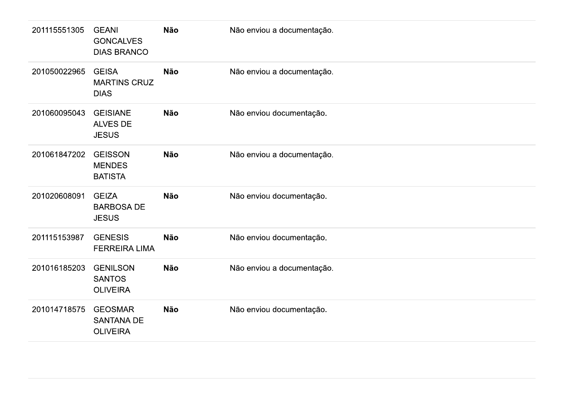| 201115551305 | <b>GEANI</b><br><b>GONCALVES</b><br><b>DIAS BRANCO</b> | <b>Não</b> | Não enviou a documentação. |
|--------------|--------------------------------------------------------|------------|----------------------------|
| 201050022965 | <b>GEISA</b><br><b>MARTINS CRUZ</b><br><b>DIAS</b>     | <b>Não</b> | Não enviou a documentação. |
| 201060095043 | <b>GEISIANE</b><br><b>ALVES DE</b><br><b>JESUS</b>     | <b>Não</b> | Não enviou documentação.   |
| 201061847202 | <b>GEISSON</b><br><b>MENDES</b><br><b>BATISTA</b>      | <b>Não</b> | Não enviou a documentação. |
| 201020608091 | <b>GEIZA</b><br><b>BARBOSA DE</b><br><b>JESUS</b>      | <b>Não</b> | Não enviou documentação.   |
| 201115153987 | <b>GENESIS</b><br><b>FERREIRA LIMA</b>                 | <b>Não</b> | Não enviou documentação.   |
| 201016185203 | <b>GENILSON</b><br><b>SANTOS</b><br><b>OLIVEIRA</b>    | <b>Não</b> | Não enviou a documentação. |
| 201014718575 | <b>GEOSMAR</b><br><b>SANTANA DE</b><br><b>OLIVEIRA</b> | <b>Não</b> | Não enviou documentação.   |
|              |                                                        |            |                            |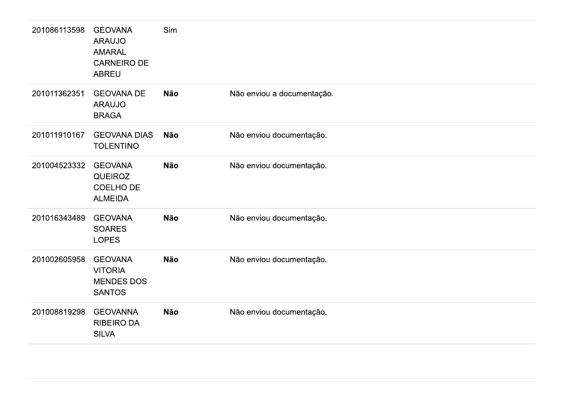| 201086113598 | <b>GEOVANA</b><br><b>ARAUJO</b><br><b>AMARAL</b><br><b>CARNEIRO DE</b><br><b>ABREU</b> | Sim        |                            |
|--------------|----------------------------------------------------------------------------------------|------------|----------------------------|
| 201011362351 | <b>GEOVANA DE</b><br><b>ARAUJO</b><br><b>BRAGA</b>                                     | <b>Não</b> | Não enviou a documentação. |
| 201011910167 | <b>GEOVANA DIAS</b><br><b>TOLENTINO</b>                                                | <b>Não</b> | Não enviou documentação.   |
| 201004523332 | <b>GEOVANA</b><br><b>QUEIROZ</b><br><b>COELHO DE</b><br><b>ALMEIDA</b>                 | <b>Não</b> | Não enviou documentação.   |
| 201016343489 | <b>GEOVANA</b><br><b>SOARES</b><br><b>LOPES</b>                                        | <b>Não</b> | Não enviou documentação.   |
| 201002605958 | <b>GEOVANA</b><br><b>VITORIA</b><br><b>MENDES DOS</b><br><b>SANTOS</b>                 | <b>Não</b> | Não enviou documentação.   |
| 201008819298 | <b>GEOVANNA</b><br><b>RIBEIRO DA</b><br><b>SILVA</b>                                   | <b>Não</b> | Não enviou documentação.   |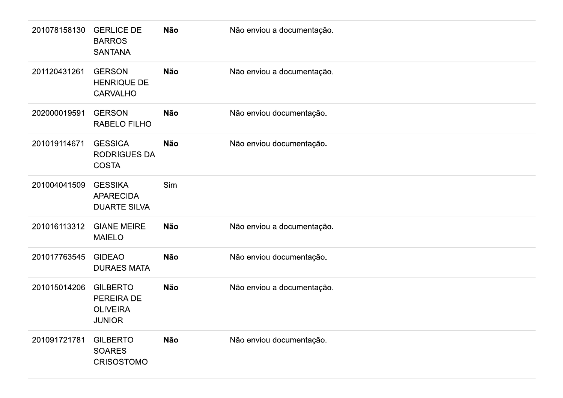| 201078158130 | <b>GERLICE DE</b><br><b>BARROS</b><br><b>SANTANA</b>              | Não        | Não enviou a documentação. |
|--------------|-------------------------------------------------------------------|------------|----------------------------|
| 201120431261 | <b>GERSON</b><br><b>HENRIQUE DE</b><br><b>CARVALHO</b>            | <b>Não</b> | Não enviou a documentação. |
| 202000019591 | <b>GERSON</b><br>RABELO FILHO                                     | <b>Não</b> | Não enviou documentação.   |
| 201019114671 | <b>GESSICA</b><br><b>RODRIGUES DA</b><br><b>COSTA</b>             | <b>Não</b> | Não enviou documentação.   |
| 201004041509 | <b>GESSIKA</b><br><b>APARECIDA</b><br><b>DUARTE SILVA</b>         | Sim        |                            |
| 201016113312 | <b>GIANE MEIRE</b><br><b>MAIELO</b>                               | Não        | Não enviou a documentação. |
| 201017763545 | <b>GIDEAO</b><br><b>DURAES MATA</b>                               | Não        | Não enviou documentação.   |
| 201015014206 | <b>GILBERTO</b><br>PEREIRA DE<br><b>OLIVEIRA</b><br><b>JUNIOR</b> | Não        | Não enviou a documentação. |
| 201091721781 | <b>GILBERTO</b><br><b>SOARES</b><br><b>CRISOSTOMO</b>             | Não        | Não enviou documentação.   |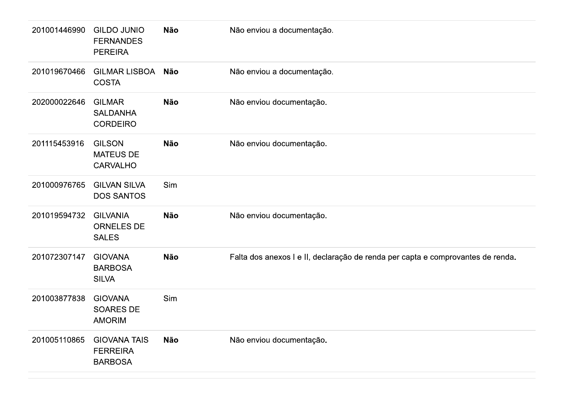| 201001446990 | <b>GILDO JUNIO</b><br><b>FERNANDES</b><br><b>PEREIRA</b> | <b>Não</b> | Não enviou a documentação.                                                      |
|--------------|----------------------------------------------------------|------------|---------------------------------------------------------------------------------|
| 201019670466 | <b>GILMAR LISBOA</b><br><b>COSTA</b>                     | Não        | Não enviou a documentação.                                                      |
| 202000022646 | <b>GILMAR</b><br><b>SALDANHA</b><br><b>CORDEIRO</b>      | <b>Não</b> | Não enviou documentação.                                                        |
| 201115453916 | <b>GILSON</b><br><b>MATEUS DE</b><br><b>CARVALHO</b>     | <b>Não</b> | Não enviou documentação.                                                        |
| 201000976765 | <b>GILVAN SILVA</b><br><b>DOS SANTOS</b>                 | Sim        |                                                                                 |
| 201019594732 | <b>GILVANIA</b><br><b>ORNELES DE</b><br><b>SALES</b>     | <b>Não</b> | Não enviou documentação.                                                        |
| 201072307147 | <b>GIOVANA</b><br><b>BARBOSA</b><br><b>SILVA</b>         | <b>Não</b> | Falta dos anexos I e II, declaração de renda per capta e comprovantes de renda. |
| 201003877838 | <b>GIOVANA</b><br><b>SOARES DE</b><br><b>AMORIM</b>      | Sim        |                                                                                 |
| 201005110865 | <b>GIOVANA TAIS</b><br><b>FERREIRA</b><br><b>BARBOSA</b> | <b>Não</b> | Não enviou documentação.                                                        |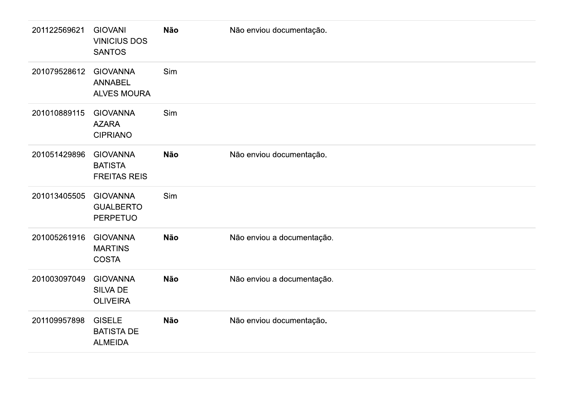| 201122569621 | <b>GIOVANI</b><br><b>VINICIUS DOS</b><br><b>SANTOS</b>   | <b>Não</b> | Não enviou documentação.   |
|--------------|----------------------------------------------------------|------------|----------------------------|
| 201079528612 | <b>GIOVANNA</b><br><b>ANNABEL</b><br><b>ALVES MOURA</b>  | Sim        |                            |
| 201010889115 | <b>GIOVANNA</b><br><b>AZARA</b><br><b>CIPRIANO</b>       | Sim        |                            |
| 201051429896 | <b>GIOVANNA</b><br><b>BATISTA</b><br><b>FREITAS REIS</b> | <b>Não</b> | Não enviou documentação.   |
| 201013405505 | <b>GIOVANNA</b><br><b>GUALBERTO</b><br><b>PERPETUO</b>   | Sim        |                            |
| 201005261916 | <b>GIOVANNA</b><br><b>MARTINS</b><br><b>COSTA</b>        | <b>Não</b> | Não enviou a documentação. |
| 201003097049 | <b>GIOVANNA</b><br><b>SILVA DE</b><br><b>OLIVEIRA</b>    | <b>Não</b> | Não enviou a documentação. |
| 201109957898 | <b>GISELE</b><br><b>BATISTA DE</b><br><b>ALMEIDA</b>     | <b>Não</b> | Não enviou documentação.   |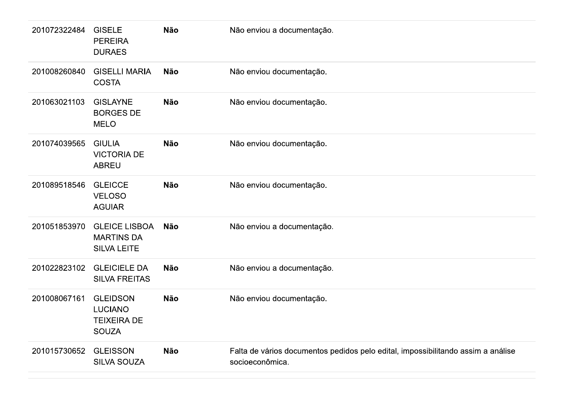| 201072322484 | <b>GISELE</b><br><b>PEREIRA</b><br><b>DURAES</b>                        | <b>Não</b> | Não enviou a documentação.                                                                          |
|--------------|-------------------------------------------------------------------------|------------|-----------------------------------------------------------------------------------------------------|
| 201008260840 | <b>GISELLI MARIA</b><br><b>COSTA</b>                                    | <b>Não</b> | Não enviou documentação.                                                                            |
| 201063021103 | <b>GISLAYNE</b><br><b>BORGES DE</b><br><b>MELO</b>                      | <b>Não</b> | Não enviou documentação.                                                                            |
| 201074039565 | <b>GIULIA</b><br><b>VICTORIA DE</b><br><b>ABREU</b>                     | <b>Não</b> | Não enviou documentação.                                                                            |
| 201089518546 | <b>GLEICCE</b><br><b>VELOSO</b><br><b>AGUIAR</b>                        | <b>Não</b> | Não enviou documentação.                                                                            |
| 201051853970 | <b>GLEICE LISBOA</b><br><b>MARTINS DA</b><br><b>SILVA LEITE</b>         | Não        | Não enviou a documentação.                                                                          |
| 201022823102 | <b>GLEICIELE DA</b><br><b>SILVA FREITAS</b>                             | <b>Não</b> | Não enviou a documentação.                                                                          |
| 201008067161 | <b>GLEIDSON</b><br><b>LUCIANO</b><br><b>TEIXEIRA DE</b><br><b>SOUZA</b> | <b>Não</b> | Não enviou documentação.                                                                            |
| 201015730652 | <b>GLEISSON</b><br><b>SILVA SOUZA</b>                                   | <b>Não</b> | Falta de vários documentos pedidos pelo edital, impossibilitando assim a análise<br>socioeconômica. |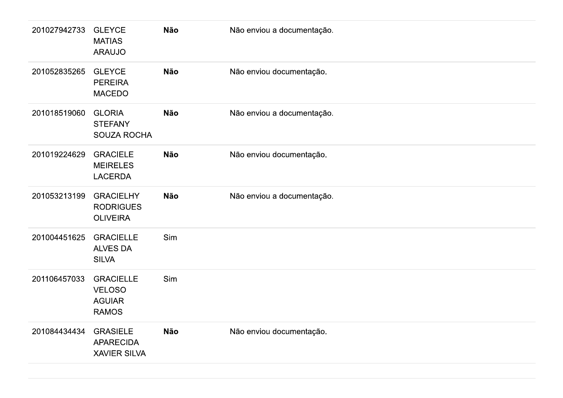| 201027942733 | <b>GLEYCE</b><br><b>MATIAS</b><br><b>ARAUJO</b>                    | <b>Não</b> | Não enviou a documentação. |
|--------------|--------------------------------------------------------------------|------------|----------------------------|
| 201052835265 | <b>GLEYCE</b><br><b>PEREIRA</b><br><b>MACEDO</b>                   | <b>Não</b> | Não enviou documentação.   |
| 201018519060 | <b>GLORIA</b><br><b>STEFANY</b><br><b>SOUZA ROCHA</b>              | <b>Não</b> | Não enviou a documentação. |
| 201019224629 | <b>GRACIELE</b><br><b>MEIRELES</b><br><b>LACERDA</b>               | <b>Não</b> | Não enviou documentação.   |
| 201053213199 | <b>GRACIELHY</b><br><b>RODRIGUES</b><br><b>OLIVEIRA</b>            | <b>Não</b> | Não enviou a documentação. |
| 201004451625 | <b>GRACIELLE</b><br><b>ALVES DA</b><br><b>SILVA</b>                | Sim        |                            |
| 201106457033 | <b>GRACIELLE</b><br><b>VELOSO</b><br><b>AGUIAR</b><br><b>RAMOS</b> | Sim        |                            |
| 201084434434 | <b>GRASIELE</b><br><b>APARECIDA</b><br><b>XAVIER SILVA</b>         | <b>Não</b> | Não enviou documentação.   |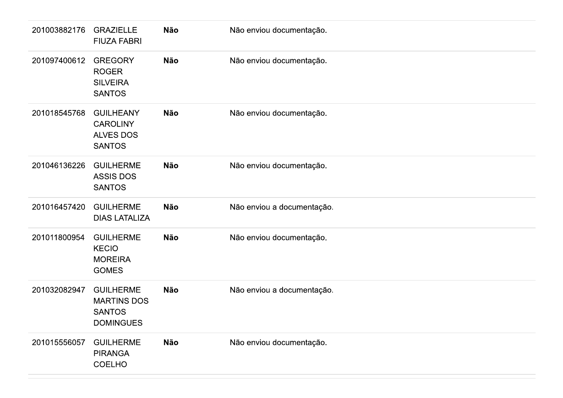| 201003882176 | <b>GRAZIELLE</b><br><b>FIUZA FABRI</b>                                      | Não        | Não enviou documentação.   |
|--------------|-----------------------------------------------------------------------------|------------|----------------------------|
| 201097400612 | <b>GREGORY</b><br><b>ROGER</b><br><b>SILVEIRA</b><br><b>SANTOS</b>          | Não        | Não enviou documentação.   |
| 201018545768 | <b>GUILHEANY</b><br><b>CAROLINY</b><br><b>ALVES DOS</b><br><b>SANTOS</b>    | <b>Não</b> | Não enviou documentação.   |
| 201046136226 | <b>GUILHERME</b><br><b>ASSIS DOS</b><br><b>SANTOS</b>                       | Não        | Não enviou documentação.   |
| 201016457420 | <b>GUILHERME</b><br><b>DIAS LATALIZA</b>                                    | <b>Não</b> | Não enviou a documentação. |
| 201011800954 | <b>GUILHERME</b><br><b>KECIO</b><br><b>MOREIRA</b><br><b>GOMES</b>          | <b>Não</b> | Não enviou documentação.   |
| 201032082947 | <b>GUILHERME</b><br><b>MARTINS DOS</b><br><b>SANTOS</b><br><b>DOMINGUES</b> | Não        | Não enviou a documentação. |
| 201015556057 | <b>GUILHERME</b><br><b>PIRANGA</b><br><b>COELHO</b>                         | Não        | Não enviou documentação.   |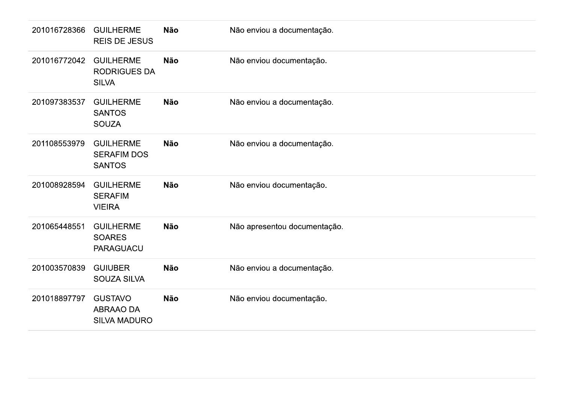| 201016728366 | <b>GUILHERME</b><br><b>REIS DE JESUS</b>                | Não        | Não enviou a documentação.   |
|--------------|---------------------------------------------------------|------------|------------------------------|
| 201016772042 | <b>GUILHERME</b><br><b>RODRIGUES DA</b><br><b>SILVA</b> | Não        | Não enviou documentação.     |
| 201097383537 | <b>GUILHERME</b><br><b>SANTOS</b><br><b>SOUZA</b>       | Não        | Não enviou a documentação.   |
| 201108553979 | <b>GUILHERME</b><br><b>SERAFIM DOS</b><br><b>SANTOS</b> | <b>Não</b> | Não enviou a documentação.   |
| 201008928594 | <b>GUILHERME</b><br><b>SERAFIM</b><br><b>VIEIRA</b>     | <b>Não</b> | Não enviou documentação.     |
| 201065448551 | <b>GUILHERME</b><br><b>SOARES</b><br><b>PARAGUACU</b>   | Não        | Não apresentou documentação. |
| 201003570839 | <b>GUIUBER</b><br>SOUZA SILVA                           | <b>Não</b> | Não enviou a documentação.   |
| 201018897797 | <b>GUSTAVO</b><br>ABRAAO DA<br><b>SILVA MADURO</b>      | Não        | Não enviou documentação.     |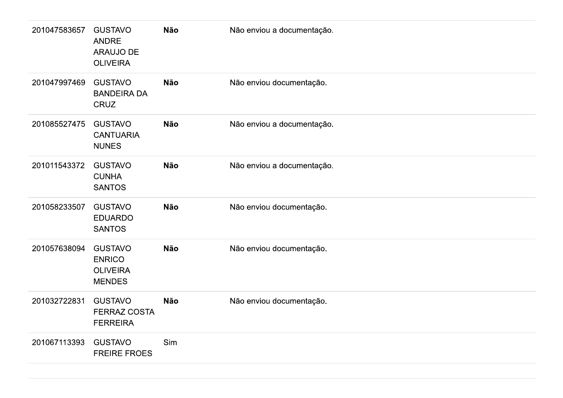| 201047583657 | <b>GUSTAVO</b><br>ANDRE<br>ARAUJO DE<br><b>OLIVEIRA</b>             | Não        | Não enviou a documentação. |
|--------------|---------------------------------------------------------------------|------------|----------------------------|
| 201047997469 | <b>GUSTAVO</b><br><b>BANDEIRA DA</b><br>CRUZ                        | <b>Não</b> | Não enviou documentação.   |
| 201085527475 | <b>GUSTAVO</b><br><b>CANTUARIA</b><br><b>NUNES</b>                  | <b>Não</b> | Não enviou a documentação. |
| 201011543372 | <b>GUSTAVO</b><br><b>CUNHA</b><br><b>SANTOS</b>                     | Não        | Não enviou a documentação. |
| 201058233507 | <b>GUSTAVO</b><br><b>EDUARDO</b><br><b>SANTOS</b>                   | <b>Não</b> | Não enviou documentação.   |
| 201057638094 | <b>GUSTAVO</b><br><b>ENRICO</b><br><b>OLIVEIRA</b><br><b>MENDES</b> | <b>Não</b> | Não enviou documentação.   |
| 201032722831 | <b>GUSTAVO</b><br><b>FERRAZ COSTA</b><br><b>FERREIRA</b>            | Não        | Não enviou documentação.   |
| 201067113393 | <b>GUSTAVO</b><br><b>FREIRE FROES</b>                               | Sim        |                            |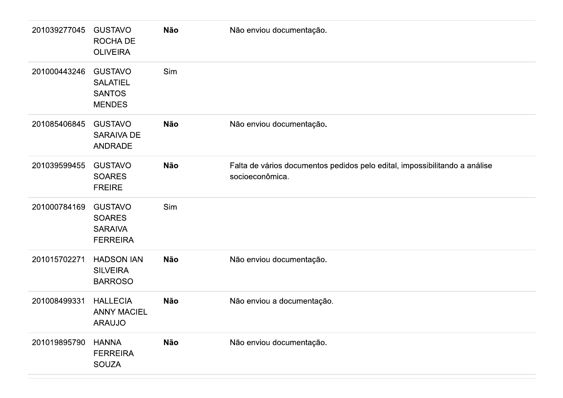| 201039277045 | <b>GUSTAVO</b><br>ROCHA DE<br><b>OLIVEIRA</b>                        | Não        | Não enviou documentação.                                                                      |
|--------------|----------------------------------------------------------------------|------------|-----------------------------------------------------------------------------------------------|
| 201000443246 | <b>GUSTAVO</b><br><b>SALATIEL</b><br><b>SANTOS</b><br><b>MENDES</b>  | Sim        |                                                                                               |
| 201085406845 | <b>GUSTAVO</b><br><b>SARAIVA DE</b><br>ANDRADE                       | <b>Não</b> | Não enviou documentação.                                                                      |
| 201039599455 | <b>GUSTAVO</b><br><b>SOARES</b><br><b>FREIRE</b>                     | Não        | Falta de vários documentos pedidos pelo edital, impossibilitando a análise<br>socioeconômica. |
| 201000784169 | <b>GUSTAVO</b><br><b>SOARES</b><br><b>SARAIVA</b><br><b>FERREIRA</b> | Sim        |                                                                                               |
| 201015702271 | <b>HADSON IAN</b><br><b>SILVEIRA</b><br><b>BARROSO</b>               | Não        | Não enviou documentação.                                                                      |
| 201008499331 | <b>HALLECIA</b><br><b>ANNY MACIEL</b><br><b>ARAUJO</b>               | Não        | Não enviou a documentação.                                                                    |
| 201019895790 | <b>HANNA</b><br><b>FERREIRA</b><br><b>SOUZA</b>                      | Não        | Não enviou documentação.                                                                      |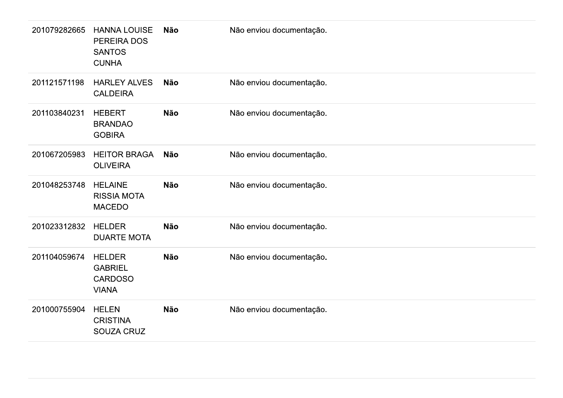| 201079282665 | <b>HANNA LOUISE</b><br>PEREIRA DOS<br><b>SANTOS</b><br><b>CUNHA</b> | Não | Não enviou documentação. |
|--------------|---------------------------------------------------------------------|-----|--------------------------|
| 201121571198 | <b>HARLEY ALVES</b><br><b>CALDEIRA</b>                              | Não | Não enviou documentação. |
| 201103840231 | <b>HEBERT</b><br><b>BRANDAO</b><br><b>GOBIRA</b>                    | Não | Não enviou documentação. |
| 201067205983 | <b>HEITOR BRAGA</b><br><b>OLIVEIRA</b>                              | Não | Não enviou documentação. |
| 201048253748 | <b>HELAINE</b><br><b>RISSIA MOTA</b><br><b>MACEDO</b>               | Não | Não enviou documentação. |
| 201023312832 | <b>HELDER</b><br><b>DUARTE MOTA</b>                                 | Não | Não enviou documentação. |
| 201104059674 | <b>HELDER</b><br><b>GABRIEL</b><br>CARDOSO<br><b>VIANA</b>          | Não | Não enviou documentação. |
| 201000755904 | <b>HELEN</b><br><b>CRISTINA</b><br>SOUZA CRUZ                       | Não | Não enviou documentação. |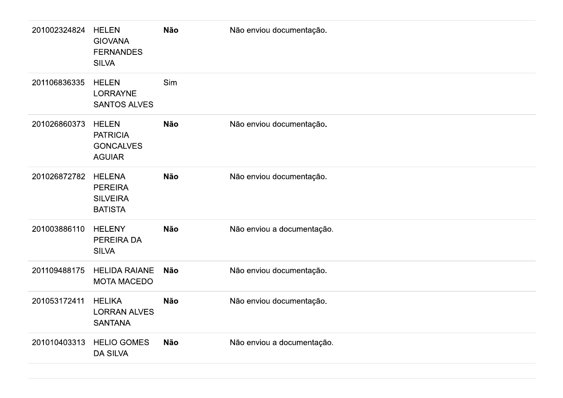| 201002324824 | <b>HELEN</b><br><b>GIOVANA</b><br><b>FERNANDES</b><br><b>SILVA</b>   | Não        | Não enviou documentação.   |
|--------------|----------------------------------------------------------------------|------------|----------------------------|
| 201106836335 | <b>HELEN</b><br><b>LORRAYNE</b><br><b>SANTOS ALVES</b>               | Sim        |                            |
| 201026860373 | <b>HELEN</b><br><b>PATRICIA</b><br><b>GONCALVES</b><br><b>AGUIAR</b> | <b>Não</b> | Não enviou documentação.   |
| 201026872782 | <b>HELENA</b><br><b>PEREIRA</b><br><b>SILVEIRA</b><br><b>BATISTA</b> | Não        | Não enviou documentação.   |
| 201003886110 | <b>HELENY</b><br>PEREIRA DA<br><b>SILVA</b>                          | Não        | Não enviou a documentação. |
| 201109488175 | <b>HELIDA RAIANE</b><br><b>MOTA MACEDO</b>                           | Não        | Não enviou documentação.   |
| 201053172411 | <b>HELIKA</b><br><b>LORRAN ALVES</b><br><b>SANTANA</b>               | Não        | Não enviou documentação.   |
| 201010403313 | <b>HELIO GOMES</b><br><b>DA SILVA</b>                                | Não        | Não enviou a documentação. |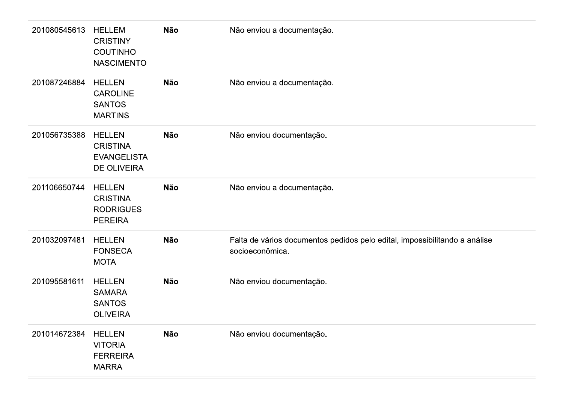| 201080545613 | <b>HELLEM</b><br><b>CRISTINY</b><br><b>COUTINHO</b><br><b>NASCIMENTO</b>     | Não        | Não enviou a documentação.                                                                    |
|--------------|------------------------------------------------------------------------------|------------|-----------------------------------------------------------------------------------------------|
| 201087246884 | <b>HELLEN</b><br><b>CAROLINE</b><br><b>SANTOS</b><br><b>MARTINS</b>          | Não        | Não enviou a documentação.                                                                    |
| 201056735388 | <b>HELLEN</b><br><b>CRISTINA</b><br><b>EVANGELISTA</b><br><b>DE OLIVEIRA</b> | <b>Não</b> | Não enviou documentação.                                                                      |
| 201106650744 | <b>HELLEN</b><br><b>CRISTINA</b><br><b>RODRIGUES</b><br><b>PEREIRA</b>       | Não        | Não enviou a documentação.                                                                    |
| 201032097481 | <b>HELLEN</b><br><b>FONSECA</b><br><b>MOTA</b>                               | Não        | Falta de vários documentos pedidos pelo edital, impossibilitando a análise<br>socioeconômica. |
| 201095581611 | <b>HELLEN</b><br><b>SAMARA</b><br><b>SANTOS</b><br><b>OLIVEIRA</b>           | Não        | Não enviou documentação.                                                                      |
| 201014672384 | <b>HELLEN</b><br><b>VITORIA</b><br><b>FERREIRA</b><br>MARRA                  | Não        | Não enviou documentação.                                                                      |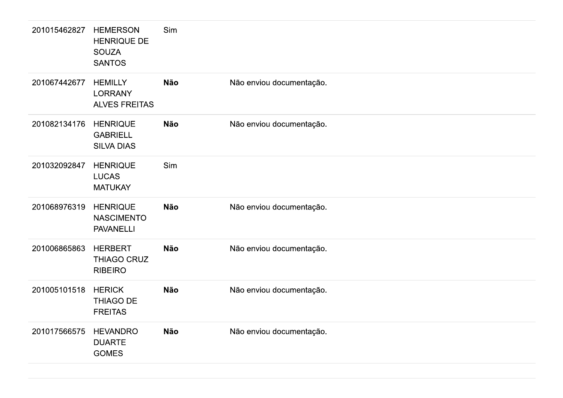| 201015462827 | <b>HEMERSON</b><br><b>HENRIQUE DE</b><br><b>SOUZA</b><br><b>SANTOS</b> | Sim        |                          |  |
|--------------|------------------------------------------------------------------------|------------|--------------------------|--|
| 201067442677 | <b>HEMILLY</b><br><b>LORRANY</b><br><b>ALVES FREITAS</b>               | <b>Não</b> | Não enviou documentação. |  |
| 201082134176 | <b>HENRIQUE</b><br><b>GABRIELL</b><br><b>SILVA DIAS</b>                | <b>Não</b> | Não enviou documentação. |  |
| 201032092847 | <b>HENRIQUE</b><br><b>LUCAS</b><br><b>MATUKAY</b>                      | Sim        |                          |  |
| 201068976319 | <b>HENRIQUE</b><br><b>NASCIMENTO</b><br><b>PAVANELLI</b>               | <b>Não</b> | Não enviou documentação. |  |
| 201006865863 | <b>HERBERT</b><br>THIAGO CRUZ<br><b>RIBEIRO</b>                        | <b>Não</b> | Não enviou documentação. |  |
| 201005101518 | <b>HERICK</b><br>THIAGO DE<br><b>FREITAS</b>                           | <b>Não</b> | Não enviou documentação. |  |
| 201017566575 | <b>HEVANDRO</b><br><b>DUARTE</b><br><b>GOMES</b>                       | <b>Não</b> | Não enviou documentação. |  |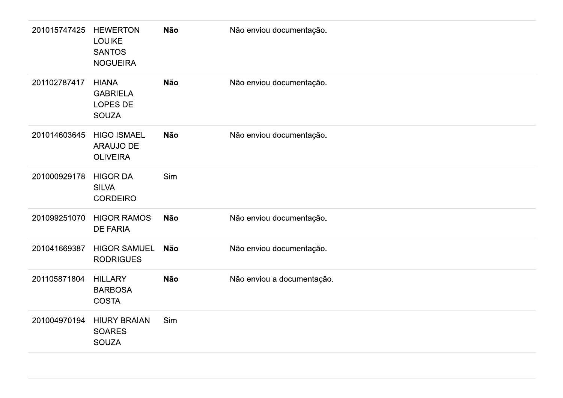| 201015747425 | <b>HEWERTON</b><br><b>LOUIKE</b><br><b>SANTOS</b><br><b>NOGUEIRA</b> | <b>Não</b> | Não enviou documentação.   |
|--------------|----------------------------------------------------------------------|------------|----------------------------|
| 201102787417 | <b>HIANA</b><br><b>GABRIELA</b><br><b>LOPES DE</b><br><b>SOUZA</b>   | <b>Não</b> | Não enviou documentação.   |
| 201014603645 | <b>HIGO ISMAEL</b><br><b>ARAUJO DE</b><br><b>OLIVEIRA</b>            | <b>Não</b> | Não enviou documentação.   |
| 201000929178 | <b>HIGOR DA</b><br><b>SILVA</b><br><b>CORDEIRO</b>                   | Sim        |                            |
| 201099251070 | <b>HIGOR RAMOS</b><br><b>DE FARIA</b>                                | <b>Não</b> | Não enviou documentação.   |
| 201041669387 | <b>HIGOR SAMUEL</b><br><b>RODRIGUES</b>                              | <b>Não</b> | Não enviou documentação.   |
| 201105871804 | <b>HILLARY</b><br><b>BARBOSA</b><br><b>COSTA</b>                     | <b>Não</b> | Não enviou a documentação. |
| 201004970194 | <b>HIURY BRAIAN</b><br><b>SOARES</b><br><b>SOUZA</b>                 | Sim        |                            |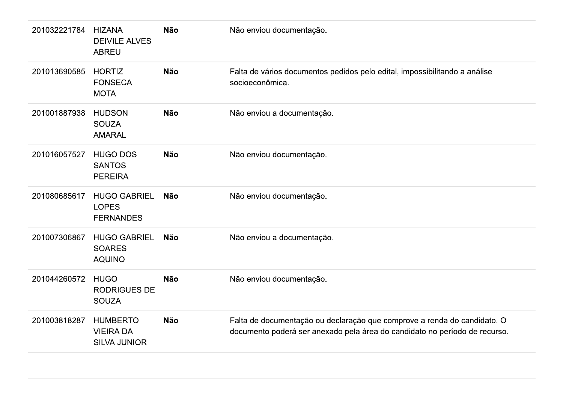| 201032221784 | <b>HIZANA</b><br><b>DEIVILE ALVES</b><br><b>ABREU</b>      | <b>Não</b> | Não enviou documentação.                                                                                                                               |
|--------------|------------------------------------------------------------|------------|--------------------------------------------------------------------------------------------------------------------------------------------------------|
| 201013690585 | <b>HORTIZ</b><br><b>FONSECA</b><br><b>MOTA</b>             | <b>Não</b> | Falta de vários documentos pedidos pelo edital, impossibilitando a análise<br>socioeconômica.                                                          |
| 201001887938 | <b>HUDSON</b><br><b>SOUZA</b><br><b>AMARAL</b>             | <b>Não</b> | Não enviou a documentação.                                                                                                                             |
| 201016057527 | <b>HUGO DOS</b><br><b>SANTOS</b><br><b>PEREIRA</b>         | <b>Não</b> | Não enviou documentação.                                                                                                                               |
| 201080685617 | <b>HUGO GABRIEL</b><br><b>LOPES</b><br><b>FERNANDES</b>    | <b>Não</b> | Não enviou documentação.                                                                                                                               |
| 201007306867 | <b>HUGO GABRIEL</b><br><b>SOARES</b><br><b>AQUINO</b>      | <b>Não</b> | Não enviou a documentação.                                                                                                                             |
| 201044260572 | <b>HUGO</b><br><b>RODRIGUES DE</b><br><b>SOUZA</b>         | <b>Não</b> | Não enviou documentação.                                                                                                                               |
| 201003818287 | <b>HUMBERTO</b><br><b>VIEIRA DA</b><br><b>SILVA JUNIOR</b> | <b>Não</b> | Falta de documentação ou declaração que comprove a renda do candidato. O<br>documento poderá ser anexado pela área do candidato no período de recurso. |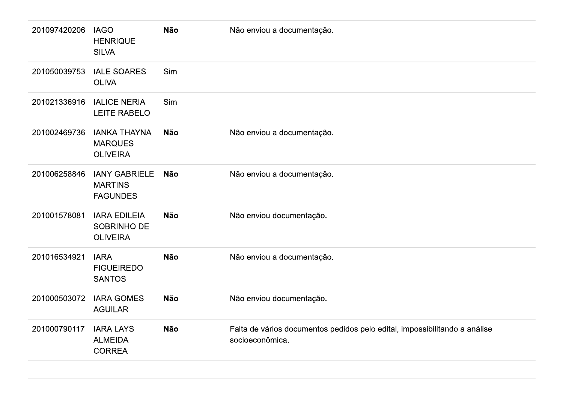| 201097420206 | <b>IAGO</b><br><b>HENRIQUE</b><br><b>SILVA</b>            | <b>Não</b> | Não enviou a documentação.                                                                    |
|--------------|-----------------------------------------------------------|------------|-----------------------------------------------------------------------------------------------|
| 201050039753 | <b>IALE SOARES</b><br><b>OLIVA</b>                        | Sim        |                                                                                               |
| 201021336916 | <b>IALICE NERIA</b><br><b>LEITE RABELO</b>                | Sim        |                                                                                               |
| 201002469736 | <b>IANKA THAYNA</b><br><b>MARQUES</b><br><b>OLIVEIRA</b>  | <b>Não</b> | Não enviou a documentação.                                                                    |
| 201006258846 | <b>IANY GABRIELE</b><br><b>MARTINS</b><br><b>FAGUNDES</b> | Não        | Não enviou a documentação.                                                                    |
| 201001578081 | <b>IARA EDILEIA</b><br>SOBRINHO DE<br><b>OLIVEIRA</b>     | <b>Não</b> | Não enviou documentação.                                                                      |
| 201016534921 | <b>IARA</b><br><b>FIGUEIREDO</b><br><b>SANTOS</b>         | <b>Não</b> | Não enviou a documentação.                                                                    |
| 201000503072 | <b>IARA GOMES</b><br><b>AGUILAR</b>                       | <b>Não</b> | Não enviou documentação.                                                                      |
| 201000790117 | <b>IARA LAYS</b><br><b>ALMEIDA</b><br><b>CORREA</b>       | <b>Não</b> | Falta de vários documentos pedidos pelo edital, impossibilitando a análise<br>socioeconômica. |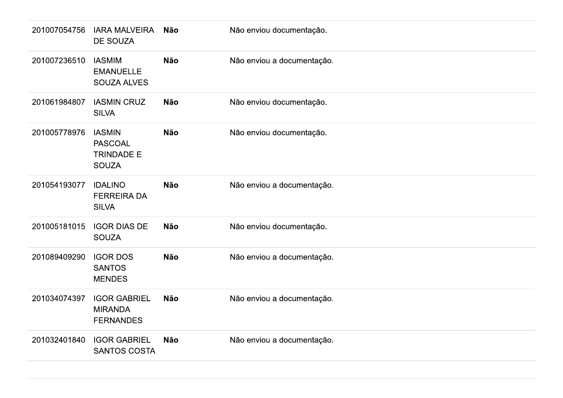| 201007054756 | IARA MALVEIRA<br>DE SOUZA                                            | Não        | Não enviou documentação.   |
|--------------|----------------------------------------------------------------------|------------|----------------------------|
| 201007236510 | <b>IASMIM</b><br><b>EMANUELLE</b><br><b>SOUZA ALVES</b>              | <b>Não</b> | Não enviou a documentação. |
| 201061984807 | <b>IASMIN CRUZ</b><br><b>SILVA</b>                                   | Não        | Não enviou documentação.   |
| 201005778976 | <b>IASMIN</b><br><b>PASCOAL</b><br><b>TRINDADE E</b><br><b>SOUZA</b> | <b>Não</b> | Não enviou documentação.   |
| 201054193077 | <b>IDALINO</b><br><b>FERREIRA DA</b><br><b>SILVA</b>                 | <b>Não</b> | Não enviou a documentação. |
| 201005181015 | <b>IGOR DIAS DE</b><br><b>SOUZA</b>                                  | Não        | Não enviou documentação.   |
| 201089409290 | <b>IGOR DOS</b><br><b>SANTOS</b><br><b>MENDES</b>                    | Não        | Não enviou a documentação. |
| 201034074397 | <b>IGOR GABRIEL</b><br><b>MIRANDA</b><br><b>FERNANDES</b>            | Não        | Não enviou a documentação. |
| 201032401840 | <b>IGOR GABRIEL</b><br>SANTOS COSTA                                  | Não        | Não enviou a documentação. |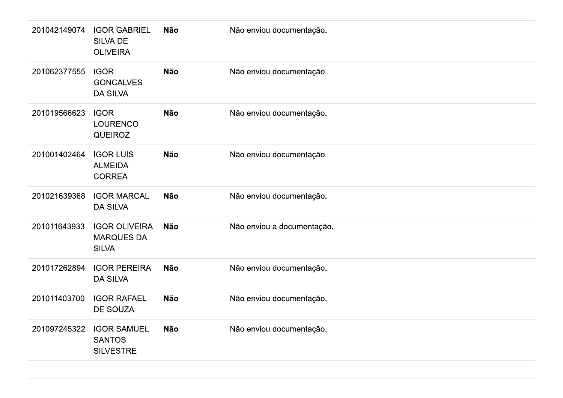| 201062377555<br><b>IGOR</b><br><b>Não</b><br>Não enviou documentação.<br><b>GONCALVES</b><br><b>DA SILVA</b><br>201019566623<br><b>IGOR</b><br><b>Não</b><br>Não enviou documentação.<br><b>LOURENCO</b><br><b>QUEIROZ</b><br>201001402464<br><b>IGOR LUIS</b><br><b>Não</b><br>Não enviou documentação.<br><b>ALMEIDA</b><br><b>CORREA</b><br>201021639368<br><b>IGOR MARCAL</b><br>Não enviou documentação.<br><b>Não</b><br><b>DA SILVA</b><br>201011643933<br><b>IGOR OLIVEIRA</b><br><b>Não</b><br>Não enviou a documentação.<br><b>MARQUES DA</b><br><b>SILVA</b><br><b>IGOR PEREIRA</b><br>201017262894<br><b>Não</b><br>Não enviou documentação.<br><b>DA SILVA</b><br>201011403700<br><b>IGOR RAFAEL</b><br><b>Não</b><br>Não enviou documentação.<br><b>DE SOUZA</b><br>201097245322<br><b>IGOR SAMUEL</b><br><b>Não</b><br>Não enviou documentação.<br><b>SANTOS</b><br><b>SILVESTRE</b> | 201042149074 | <b>IGOR GABRIEL</b><br><b>SILVA DE</b><br><b>OLIVEIRA</b> | <b>Não</b> | Não enviou documentação. |
|-----------------------------------------------------------------------------------------------------------------------------------------------------------------------------------------------------------------------------------------------------------------------------------------------------------------------------------------------------------------------------------------------------------------------------------------------------------------------------------------------------------------------------------------------------------------------------------------------------------------------------------------------------------------------------------------------------------------------------------------------------------------------------------------------------------------------------------------------------------------------------------------------------|--------------|-----------------------------------------------------------|------------|--------------------------|
|                                                                                                                                                                                                                                                                                                                                                                                                                                                                                                                                                                                                                                                                                                                                                                                                                                                                                                     |              |                                                           |            |                          |
|                                                                                                                                                                                                                                                                                                                                                                                                                                                                                                                                                                                                                                                                                                                                                                                                                                                                                                     |              |                                                           |            |                          |
|                                                                                                                                                                                                                                                                                                                                                                                                                                                                                                                                                                                                                                                                                                                                                                                                                                                                                                     |              |                                                           |            |                          |
|                                                                                                                                                                                                                                                                                                                                                                                                                                                                                                                                                                                                                                                                                                                                                                                                                                                                                                     |              |                                                           |            |                          |
|                                                                                                                                                                                                                                                                                                                                                                                                                                                                                                                                                                                                                                                                                                                                                                                                                                                                                                     |              |                                                           |            |                          |
|                                                                                                                                                                                                                                                                                                                                                                                                                                                                                                                                                                                                                                                                                                                                                                                                                                                                                                     |              |                                                           |            |                          |
|                                                                                                                                                                                                                                                                                                                                                                                                                                                                                                                                                                                                                                                                                                                                                                                                                                                                                                     |              |                                                           |            |                          |
|                                                                                                                                                                                                                                                                                                                                                                                                                                                                                                                                                                                                                                                                                                                                                                                                                                                                                                     |              |                                                           |            |                          |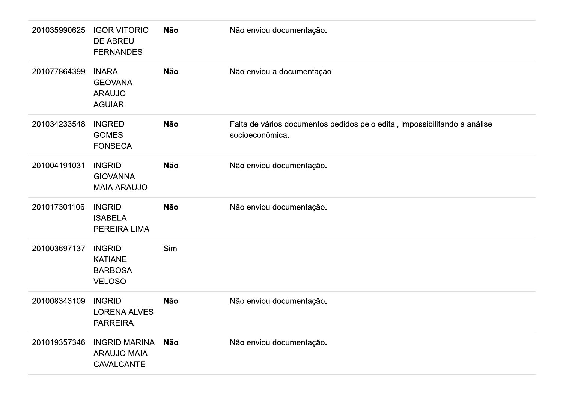| 201035990625 | <b>IGOR VITORIO</b><br>DE ABREU<br><b>FERNANDES</b>                | Não        | Não enviou documentação.                                                                      |
|--------------|--------------------------------------------------------------------|------------|-----------------------------------------------------------------------------------------------|
| 201077864399 | <b>INARA</b><br><b>GEOVANA</b><br><b>ARAUJO</b><br><b>AGUIAR</b>   | Não        | Não enviou a documentação.                                                                    |
| 201034233548 | <b>INGRED</b><br><b>GOMES</b><br><b>FONSECA</b>                    | <b>Não</b> | Falta de vários documentos pedidos pelo edital, impossibilitando a análise<br>socioeconômica. |
| 201004191031 | <b>INGRID</b><br><b>GIOVANNA</b><br><b>MAIA ARAUJO</b>             | <b>Não</b> | Não enviou documentação.                                                                      |
| 201017301106 | <b>INGRID</b><br><b>ISABELA</b><br>PEREIRA LIMA                    | <b>Não</b> | Não enviou documentação.                                                                      |
| 201003697137 | <b>INGRID</b><br><b>KATIANE</b><br><b>BARBOSA</b><br><b>VELOSO</b> | Sim        |                                                                                               |
| 201008343109 | <b>INGRID</b><br><b>LORENA ALVES</b><br><b>PARREIRA</b>            | <b>Não</b> | Não enviou documentação.                                                                      |
| 201019357346 | <b>INGRID MARINA</b><br><b>ARAUJO MAIA</b><br>CAVALCANTE           | Não        | Não enviou documentação.                                                                      |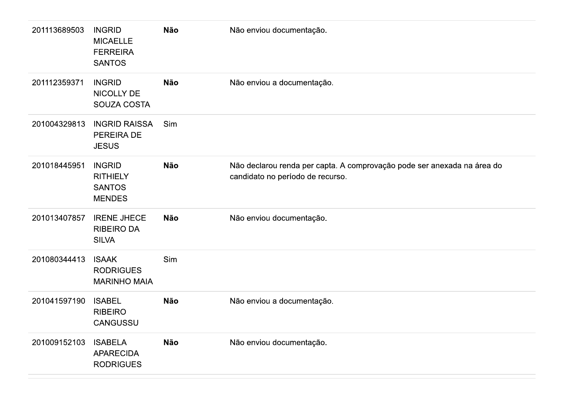| 201113689503 | <b>INGRID</b><br><b>MICAELLE</b><br><b>FERREIRA</b><br><b>SANTOS</b> | Não        | Não enviou documentação.                                                                                    |
|--------------|----------------------------------------------------------------------|------------|-------------------------------------------------------------------------------------------------------------|
| 201112359371 | <b>INGRID</b><br><b>NICOLLY DE</b><br>SOUZA COSTA                    | <b>Não</b> | Não enviou a documentação.                                                                                  |
| 201004329813 | <b>INGRID RAISSA</b><br>PEREIRA DE<br><b>JESUS</b>                   | Sim        |                                                                                                             |
| 201018445951 | <b>INGRID</b><br><b>RITHIELY</b><br><b>SANTOS</b><br><b>MENDES</b>   | <b>Não</b> | Não declarou renda per capta. A comprovação pode ser anexada na área do<br>candidato no período de recurso. |
| 201013407857 | <b>IRENE JHECE</b><br><b>RIBEIRO DA</b><br><b>SILVA</b>              | <b>Não</b> | Não enviou documentação.                                                                                    |
| 201080344413 | <b>ISAAK</b><br><b>RODRIGUES</b><br><b>MARINHO MAIA</b>              | Sim        |                                                                                                             |
| 201041597190 | <b>ISABEL</b><br><b>RIBEIRO</b><br>CANGUSSU                          | <b>Não</b> | Não enviou a documentação.                                                                                  |
| 201009152103 | <b>ISABELA</b><br><b>APARECIDA</b><br><b>RODRIGUES</b>               | <b>Não</b> | Não enviou documentação.                                                                                    |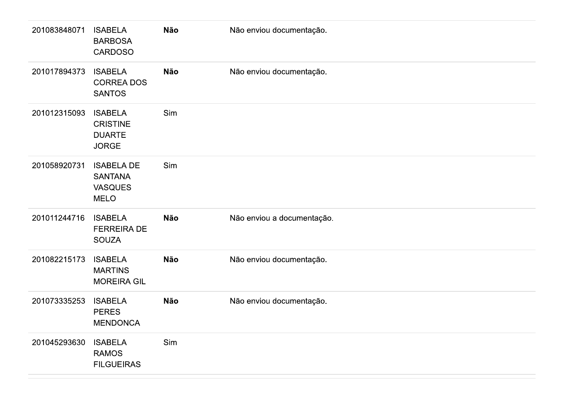| 201083848071 | <b>ISABELA</b><br><b>BARBOSA</b><br><b>CARDOSO</b>                   | <b>Não</b> | Não enviou documentação.   |
|--------------|----------------------------------------------------------------------|------------|----------------------------|
| 201017894373 | <b>ISABELA</b><br><b>CORREA DOS</b><br><b>SANTOS</b>                 | <b>Não</b> | Não enviou documentação.   |
| 201012315093 | <b>ISABELA</b><br><b>CRISTINE</b><br><b>DUARTE</b><br><b>JORGE</b>   | Sim        |                            |
| 201058920731 | <b>ISABELA DE</b><br><b>SANTANA</b><br><b>VASQUES</b><br><b>MELO</b> | Sim        |                            |
| 201011244716 | <b>ISABELA</b><br><b>FERREIRA DE</b><br><b>SOUZA</b>                 | <b>Não</b> | Não enviou a documentação. |
| 201082215173 | <b>ISABELA</b><br><b>MARTINS</b><br><b>MOREIRA GIL</b>               | <b>Não</b> | Não enviou documentação.   |
| 201073335253 | <b>ISABELA</b><br><b>PERES</b><br><b>MENDONCA</b>                    | Não        | Não enviou documentação.   |
| 201045293630 | <b>ISABELA</b><br><b>RAMOS</b><br><b>FILGUEIRAS</b>                  | Sim        |                            |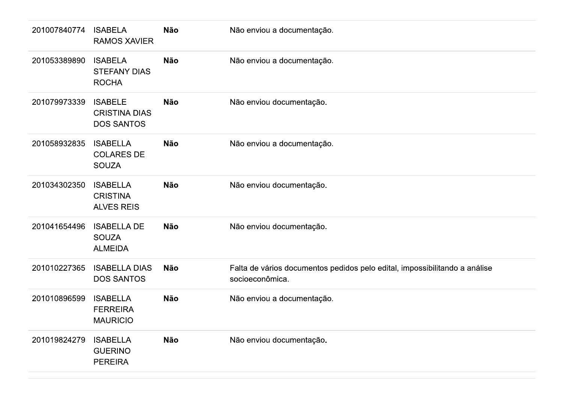| 201007840774 | <b>ISABELA</b><br><b>RAMOS XAVIER</b>                       | <b>Não</b> | Não enviou a documentação.                                                                    |
|--------------|-------------------------------------------------------------|------------|-----------------------------------------------------------------------------------------------|
| 201053389890 | <b>ISABELA</b><br><b>STEFANY DIAS</b><br><b>ROCHA</b>       | <b>Não</b> | Não enviou a documentação.                                                                    |
| 201079973339 | <b>ISABELE</b><br><b>CRISTINA DIAS</b><br><b>DOS SANTOS</b> | <b>Não</b> | Não enviou documentação.                                                                      |
| 201058932835 | <b>ISABELLA</b><br><b>COLARES DE</b><br><b>SOUZA</b>        | <b>Não</b> | Não enviou a documentação.                                                                    |
| 201034302350 | <b>ISABELLA</b><br><b>CRISTINA</b><br><b>ALVES REIS</b>     | <b>Não</b> | Não enviou documentação.                                                                      |
| 201041654496 | <b>ISABELLA DE</b><br><b>SOUZA</b><br><b>ALMEIDA</b>        | <b>Não</b> | Não enviou documentação.                                                                      |
| 201010227365 | <b>ISABELLA DIAS</b><br><b>DOS SANTOS</b>                   | <b>Não</b> | Falta de vários documentos pedidos pelo edital, impossibilitando a análise<br>socioeconômica. |
| 201010896599 | <b>ISABELLA</b><br><b>FERREIRA</b><br><b>MAURICIO</b>       | <b>Não</b> | Não enviou a documentação.                                                                    |
| 201019824279 | <b>ISABELLA</b><br><b>GUERINO</b><br><b>PEREIRA</b>         | <b>Não</b> | Não enviou documentação.                                                                      |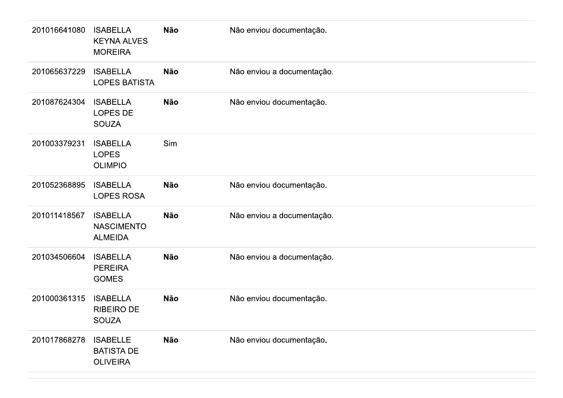| 201016641080 | <b>ISABELLA</b><br><b>KEYNA ALVES</b><br><b>MOREIRA</b> | <b>Não</b> | Não enviou documentação.   |
|--------------|---------------------------------------------------------|------------|----------------------------|
| 201065637229 | <b>ISABELLA</b><br><b>LOPES BATISTA</b>                 | <b>Não</b> | Não enviou a documentação. |
| 201087624304 | <b>ISABELLA</b><br><b>LOPES DE</b><br><b>SOUZA</b>      | Não        | Não enviou documentação.   |
| 201003379231 | <b>ISABELLA</b><br><b>LOPES</b><br><b>OLIMPIO</b>       | Sim        |                            |
| 201052368895 | <b>ISABELLA</b><br><b>LOPES ROSA</b>                    | <b>Não</b> | Não enviou documentação.   |
| 201011418567 | <b>ISABELLA</b><br><b>NASCIMENTO</b><br><b>ALMEIDA</b>  | <b>Não</b> | Não enviou a documentação. |
| 201034506604 | <b>ISABELLA</b><br><b>PEREIRA</b><br><b>GOMES</b>       | <b>Não</b> | Não enviou a documentação. |
| 201000361315 | <b>ISABELLA</b><br><b>RIBEIRO DE</b><br><b>SOUZA</b>    | <b>Não</b> | Não enviou documentação.   |
| 201017868278 | <b>ISABELLE</b><br><b>BATISTA DE</b><br><b>OLIVEIRA</b> | <b>Não</b> | Não enviou documentação.   |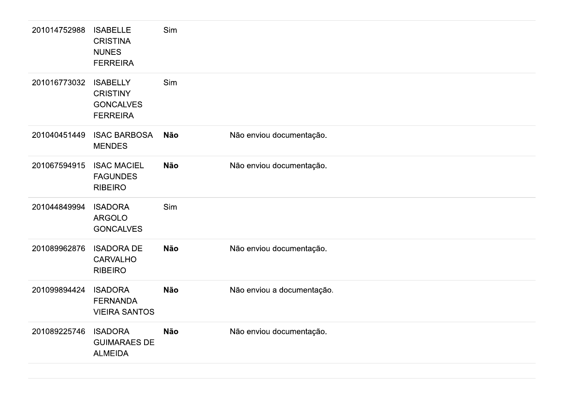| 201014752988 | <b>ISABELLE</b><br><b>CRISTINA</b><br><b>NUNES</b><br><b>FERREIRA</b>     | Sim        |                            |
|--------------|---------------------------------------------------------------------------|------------|----------------------------|
| 201016773032 | <b>ISABELLY</b><br><b>CRISTINY</b><br><b>GONCALVES</b><br><b>FERREIRA</b> | Sim        |                            |
| 201040451449 | <b>ISAC BARBOSA</b><br><b>MENDES</b>                                      | <b>Não</b> | Não enviou documentação.   |
| 201067594915 | <b>ISAC MACIEL</b><br><b>FAGUNDES</b><br><b>RIBEIRO</b>                   | <b>Não</b> | Não enviou documentação.   |
| 201044849994 | <b>ISADORA</b><br><b>ARGOLO</b><br><b>GONCALVES</b>                       | Sim        |                            |
| 201089962876 | <b>ISADORA DE</b><br><b>CARVALHO</b><br><b>RIBEIRO</b>                    | <b>Não</b> | Não enviou documentação.   |
| 201099894424 | <b>ISADORA</b><br><b>FERNANDA</b><br><b>VIEIRA SANTOS</b>                 | <b>Não</b> | Não enviou a documentação. |
| 201089225746 | <b>ISADORA</b><br><b>GUIMARAES DE</b><br><b>ALMEIDA</b>                   | <b>Não</b> | Não enviou documentação.   |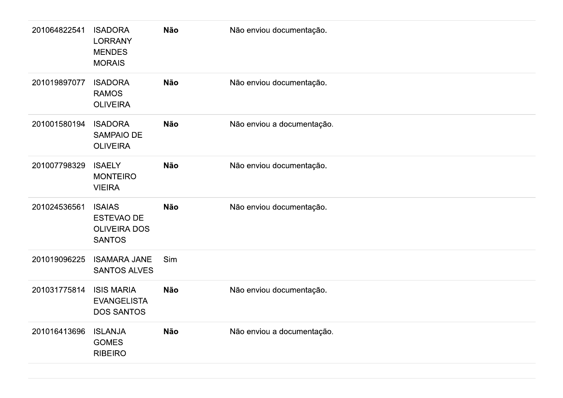| 201064822541 | <b>ISADORA</b><br><b>LORRANY</b><br><b>MENDES</b><br><b>MORAIS</b>         | <b>Não</b> | Não enviou documentação.   |
|--------------|----------------------------------------------------------------------------|------------|----------------------------|
| 201019897077 | <b>ISADORA</b><br><b>RAMOS</b><br><b>OLIVEIRA</b>                          | <b>Não</b> | Não enviou documentação.   |
| 201001580194 | <b>ISADORA</b><br><b>SAMPAIO DE</b><br><b>OLIVEIRA</b>                     | <b>Não</b> | Não enviou a documentação. |
| 201007798329 | <b>ISAELY</b><br><b>MONTEIRO</b><br><b>VIEIRA</b>                          | <b>Não</b> | Não enviou documentação.   |
| 201024536561 | <b>ISAIAS</b><br><b>ESTEVAO DE</b><br><b>OLIVEIRA DOS</b><br><b>SANTOS</b> | <b>Não</b> | Não enviou documentação.   |
| 201019096225 | <b>ISAMARA JANE</b><br><b>SANTOS ALVES</b>                                 | Sim        |                            |
| 201031775814 | <b>ISIS MARIA</b><br><b>EVANGELISTA</b><br><b>DOS SANTOS</b>               | <b>Não</b> | Não enviou documentação.   |
| 201016413696 | <b>ISLANJA</b><br><b>GOMES</b><br><b>RIBEIRO</b>                           | <b>Não</b> | Não enviou a documentação. |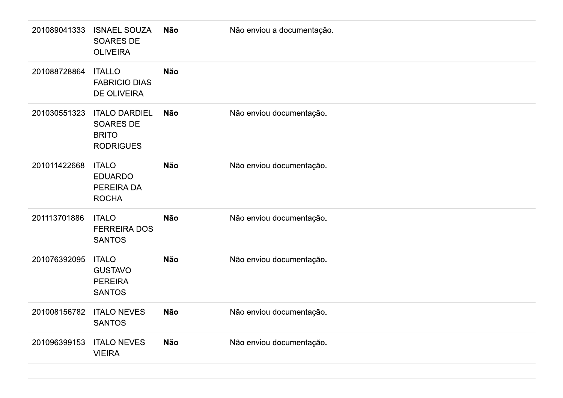| 201089041333 | <b>ISNAEL SOUZA</b><br>SOARES DE<br><b>OLIVEIRA</b>                   | Não        | Não enviou a documentação. |
|--------------|-----------------------------------------------------------------------|------------|----------------------------|
| 201088728864 | <b>ITALLO</b><br><b>FABRICIO DIAS</b><br><b>DE OLIVEIRA</b>           | <b>Não</b> |                            |
| 201030551323 | <b>ITALO DARDIEL</b><br>SOARES DE<br><b>BRITO</b><br><b>RODRIGUES</b> | <b>Não</b> | Não enviou documentação.   |
| 201011422668 | <b>ITALO</b><br><b>EDUARDO</b><br>PEREIRA DA<br><b>ROCHA</b>          | <b>Não</b> | Não enviou documentação.   |
| 201113701886 | <b>ITALO</b><br><b>FERREIRA DOS</b><br><b>SANTOS</b>                  | <b>Não</b> | Não enviou documentação.   |
| 201076392095 | <b>ITALO</b><br><b>GUSTAVO</b><br><b>PEREIRA</b><br><b>SANTOS</b>     | <b>Não</b> | Não enviou documentação.   |
| 201008156782 | <b>ITALO NEVES</b><br><b>SANTOS</b>                                   | Não        | Não enviou documentação.   |
| 201096399153 | <b>ITALO NEVES</b><br><b>VIEIRA</b>                                   | <b>Não</b> | Não enviou documentação.   |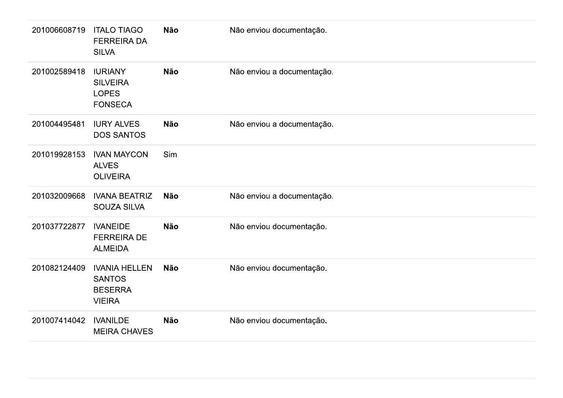| 201006608719 | <b>ITALO TIAGO</b><br><b>FERREIRA DA</b><br><b>SILVA</b>                 | Não        | Não enviou documentação.   |  |
|--------------|--------------------------------------------------------------------------|------------|----------------------------|--|
| 201002589418 | <b>IURIANY</b><br><b>SILVEIRA</b><br><b>LOPES</b><br><b>FONSECA</b>      | Não        | Não enviou a documentação. |  |
| 201004495481 | <b>IURY ALVES</b><br><b>DOS SANTOS</b>                                   | Não        | Não enviou a documentação. |  |
| 201019928153 | <b>IVAN MAYCON</b><br><b>ALVES</b><br><b>OLIVEIRA</b>                    | Sim        |                            |  |
| 201032009668 | <b>IVANA BEATRIZ</b><br><b>SOUZA SILVA</b>                               | <b>Não</b> | Não enviou a documentação. |  |
| 201037722877 | <b>IVANEIDE</b><br><b>FERREIRA DE</b><br><b>ALMEIDA</b>                  | <b>Não</b> | Não enviou documentação.   |  |
| 201082124409 | <b>IVANIA HELLEN</b><br><b>SANTOS</b><br><b>BESERRA</b><br><b>VIEIRA</b> | Não        | Não enviou documentação.   |  |
| 201007414042 | <b>IVANILDE</b><br><b>MEIRA CHAVES</b>                                   | <b>Não</b> | Não enviou documentação.   |  |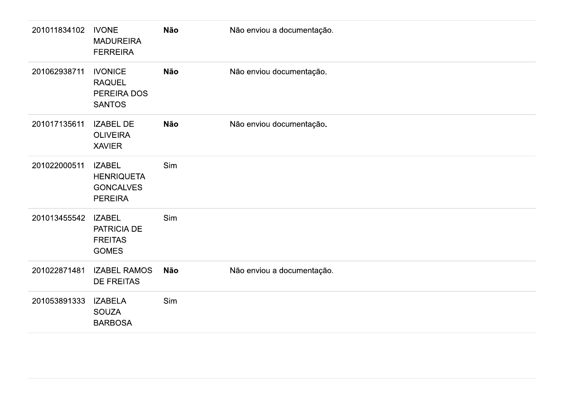| 201011834102 | <b>IVONE</b><br><b>MADUREIRA</b><br><b>FERREIRA</b>                      | <b>Não</b> | Não enviou a documentação. |
|--------------|--------------------------------------------------------------------------|------------|----------------------------|
| 201062938711 | <b>IVONICE</b><br><b>RAQUEL</b><br>PEREIRA DOS<br><b>SANTOS</b>          | <b>Não</b> | Não enviou documentação.   |
| 201017135611 | <b>IZABEL DE</b><br><b>OLIVEIRA</b><br><b>XAVIER</b>                     | Não        | Não enviou documentação.   |
| 201022000511 | <b>IZABEL</b><br><b>HENRIQUETA</b><br><b>GONCALVES</b><br><b>PEREIRA</b> | Sim        |                            |
| 201013455542 | <b>IZABEL</b><br>PATRICIA DE<br><b>FREITAS</b><br><b>GOMES</b>           | Sim        |                            |
| 201022871481 | <b>IZABEL RAMOS</b><br><b>DE FREITAS</b>                                 | <b>Não</b> | Não enviou a documentação. |
| 201053891333 | <b>IZABELA</b><br><b>SOUZA</b><br><b>BARBOSA</b>                         | Sim        |                            |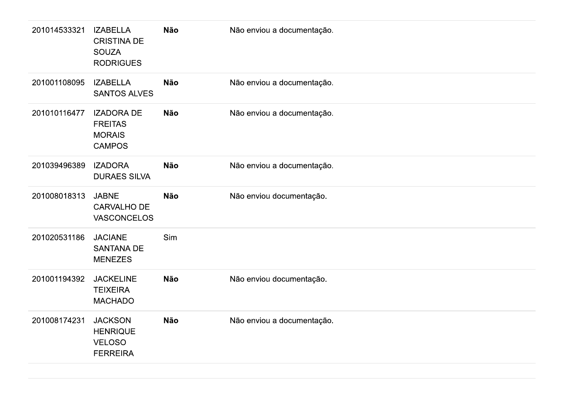| 201014533321 | <b>IZABELLA</b><br><b>CRISTINA DE</b><br><b>SOUZA</b><br><b>RODRIGUES</b> | Não        | Não enviou a documentação. |
|--------------|---------------------------------------------------------------------------|------------|----------------------------|
| 201001108095 | <b>IZABELLA</b><br><b>SANTOS ALVES</b>                                    | <b>Não</b> | Não enviou a documentação. |
| 201010116477 | <b>IZADORA DE</b><br><b>FREITAS</b><br><b>MORAIS</b><br><b>CAMPOS</b>     | <b>Não</b> | Não enviou a documentação. |
| 201039496389 | <b>IZADORA</b><br><b>DURAES SILVA</b>                                     | <b>Não</b> | Não enviou a documentação. |
| 201008018313 | <b>JABNE</b><br><b>CARVALHO DE</b><br><b>VASCONCELOS</b>                  | <b>Não</b> | Não enviou documentação.   |
| 201020531186 | <b>JACIANE</b><br><b>SANTANA DE</b><br><b>MENEZES</b>                     | Sim        |                            |
| 201001194392 | <b>JACKELINE</b><br><b>TEIXEIRA</b><br><b>MACHADO</b>                     | Não        | Não enviou documentação.   |
| 201008174231 | <b>JACKSON</b><br><b>HENRIQUE</b><br><b>VELOSO</b><br><b>FERREIRA</b>     | Não        | Não enviou a documentação. |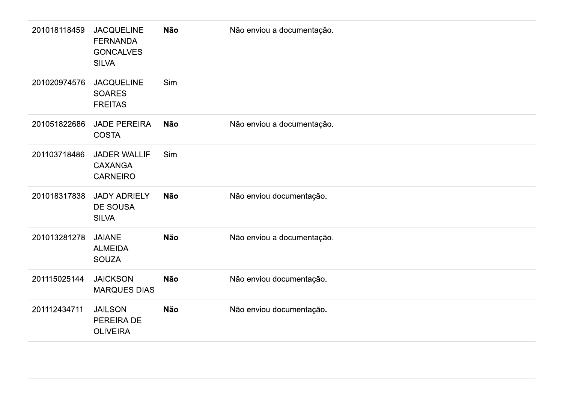| 201018118459 | <b>JACQUELINE</b><br><b>FERNANDA</b><br><b>GONCALVES</b><br><b>SILVA</b> | <b>Não</b> | Não enviou a documentação. |
|--------------|--------------------------------------------------------------------------|------------|----------------------------|
| 201020974576 | <b>JACQUELINE</b><br><b>SOARES</b><br><b>FREITAS</b>                     | Sim        |                            |
| 201051822686 | <b>JADE PEREIRA</b><br><b>COSTA</b>                                      | <b>Não</b> | Não enviou a documentação. |
| 201103718486 | <b>JADER WALLIF</b><br><b>CAXANGA</b><br><b>CARNEIRO</b>                 | Sim        |                            |
| 201018317838 | <b>JADY ADRIELY</b><br><b>DE SOUSA</b><br><b>SILVA</b>                   | <b>Não</b> | Não enviou documentação.   |
| 201013281278 | <b>JAIANE</b><br><b>ALMEIDA</b><br><b>SOUZA</b>                          | <b>Não</b> | Não enviou a documentação. |
| 201115025144 | <b>JAICKSON</b><br><b>MARQUES DIAS</b>                                   | <b>Não</b> | Não enviou documentação.   |
| 201112434711 | <b>JAILSON</b><br>PEREIRA DE<br><b>OLIVEIRA</b>                          | <b>Não</b> | Não enviou documentação.   |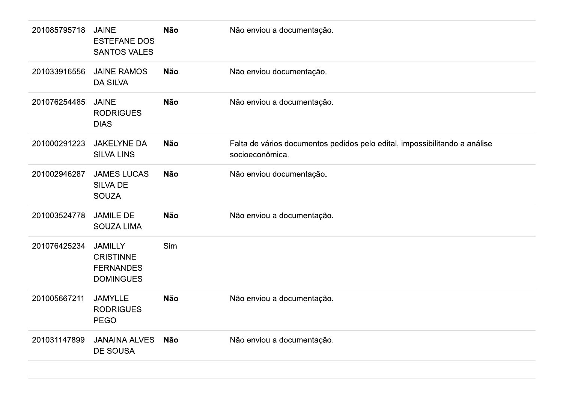| 201085795718 | <b>JAINE</b><br><b>ESTEFANE DOS</b><br><b>SANTOS VALES</b>                 | Não        | Não enviou a documentação.                                                                    |
|--------------|----------------------------------------------------------------------------|------------|-----------------------------------------------------------------------------------------------|
| 201033916556 | <b>JAINE RAMOS</b><br><b>DA SILVA</b>                                      | Não        | Não enviou documentação.                                                                      |
| 201076254485 | <b>JAINE</b><br><b>RODRIGUES</b><br><b>DIAS</b>                            | <b>Não</b> | Não enviou a documentação.                                                                    |
| 201000291223 | <b>JAKELYNE DA</b><br><b>SILVA LINS</b>                                    | Não        | Falta de vários documentos pedidos pelo edital, impossibilitando a análise<br>socioeconômica. |
| 201002946287 | <b>JAMES LUCAS</b><br><b>SILVA DE</b><br><b>SOUZA</b>                      | Não        | Não enviou documentação.                                                                      |
| 201003524778 | <b>JAMILE DE</b><br><b>SOUZA LIMA</b>                                      | <b>Não</b> | Não enviou a documentação.                                                                    |
| 201076425234 | <b>JAMILLY</b><br><b>CRISTINNE</b><br><b>FERNANDES</b><br><b>DOMINGUES</b> | Sim        |                                                                                               |
| 201005667211 | <b>JAMYLLE</b><br><b>RODRIGUES</b><br>PEGO                                 | Não        | Não enviou a documentação.                                                                    |
| 201031147899 | <b>JANAINA ALVES</b><br>DE SOUSA                                           | <b>Não</b> | Não enviou a documentação.                                                                    |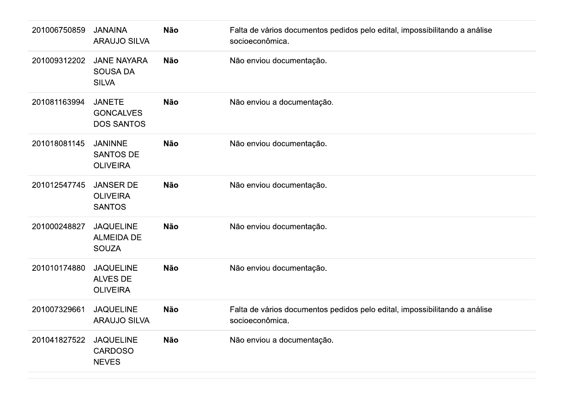| 201006750859 | <b>JANAINA</b><br><b>ARAUJO SILVA</b>                  | <b>Não</b> | Falta de vários documentos pedidos pelo edital, impossibilitando a análise<br>socioeconômica. |
|--------------|--------------------------------------------------------|------------|-----------------------------------------------------------------------------------------------|
| 201009312202 | <b>JANE NAYARA</b><br><b>SOUSA DA</b><br><b>SILVA</b>  | <b>Não</b> | Não enviou documentação.                                                                      |
| 201081163994 | <b>JANETE</b><br><b>GONCALVES</b><br><b>DOS SANTOS</b> | <b>Não</b> | Não enviou a documentação.                                                                    |
| 201018081145 | <b>JANINNE</b><br><b>SANTOS DE</b><br><b>OLIVEIRA</b>  | Não        | Não enviou documentação.                                                                      |
| 201012547745 | <b>JANSER DE</b><br><b>OLIVEIRA</b><br><b>SANTOS</b>   | <b>Não</b> | Não enviou documentação.                                                                      |
| 201000248827 | <b>JAQUELINE</b><br><b>ALMEIDA DE</b><br><b>SOUZA</b>  | <b>Não</b> | Não enviou documentação.                                                                      |
| 201010174880 | <b>JAQUELINE</b><br>ALVES DE<br><b>OLIVEIRA</b>        | Não        | Não enviou documentação.                                                                      |
| 201007329661 | <b>JAQUELINE</b><br><b>ARAUJO SILVA</b>                | <b>Não</b> | Falta de vários documentos pedidos pelo edital, impossibilitando a análise<br>socioeconômica. |
| 201041827522 | <b>JAQUELINE</b><br><b>CARDOSO</b><br><b>NEVES</b>     | Não        | Não enviou a documentação.                                                                    |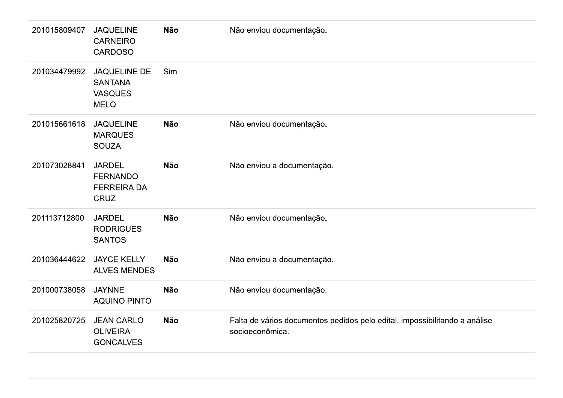| 201015809407 | <b>JAQUELINE</b><br><b>CARNEIRO</b><br><b>CARDOSO</b>                  | Não        | Não enviou documentação.                                                                      |
|--------------|------------------------------------------------------------------------|------------|-----------------------------------------------------------------------------------------------|
| 201034479992 | <b>JAQUELINE DE</b><br><b>SANTANA</b><br><b>VASQUES</b><br><b>MELO</b> | Sim        |                                                                                               |
| 201015661618 | <b>JAQUELINE</b><br><b>MARQUES</b><br><b>SOUZA</b>                     | <b>Não</b> | Não enviou documentação.                                                                      |
| 201073028841 | <b>JARDEL</b><br><b>FERNANDO</b><br><b>FERREIRA DA</b><br>CRUZ         | <b>Não</b> | Não enviou a documentação.                                                                    |
| 201113712800 | <b>JARDEL</b><br><b>RODRIGUES</b><br><b>SANTOS</b>                     | Não        | Não enviou documentação.                                                                      |
| 201036444622 | <b>JAYCE KELLY</b><br><b>ALVES MENDES</b>                              | Não        | Não enviou a documentação.                                                                    |
| 201000738058 | <b>JAYNNE</b><br><b>AQUINO PINTO</b>                                   | Não        | Não enviou documentação.                                                                      |
| 201025820725 | <b>JEAN CARLO</b><br><b>OLIVEIRA</b><br><b>GONCALVES</b>               | Não        | Falta de vários documentos pedidos pelo edital, impossibilitando a análise<br>socioeconômica. |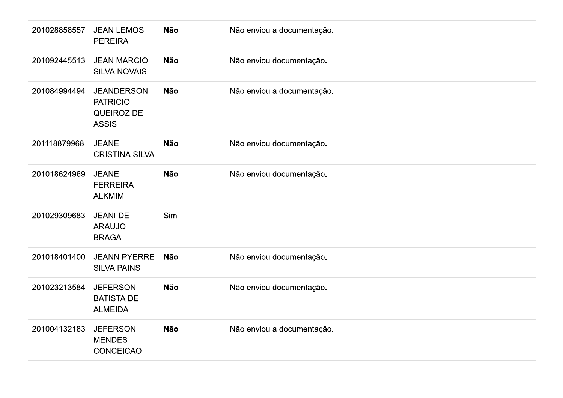| 201028858557 | <b>JEAN LEMOS</b><br><b>PEREIRA</b>                                | Não        | Não enviou a documentação. |
|--------------|--------------------------------------------------------------------|------------|----------------------------|
| 201092445513 | <b>JEAN MARCIO</b><br><b>SILVA NOVAIS</b>                          | <b>Não</b> | Não enviou documentação.   |
| 201084994494 | <b>JEANDERSON</b><br><b>PATRICIO</b><br>QUEIROZ DE<br><b>ASSIS</b> | Não        | Não enviou a documentação. |
| 201118879968 | <b>JEANE</b><br><b>CRISTINA SILVA</b>                              | <b>Não</b> | Não enviou documentação.   |
| 201018624969 | <b>JEANE</b><br><b>FERREIRA</b><br><b>ALKMIM</b>                   | Não        | Não enviou documentação.   |
| 201029309683 | <b>JEANI DE</b><br><b>ARAUJO</b><br><b>BRAGA</b>                   | Sim        |                            |
| 201018401400 | <b>JEANN PYERRE</b><br><b>SILVA PAINS</b>                          | Não        | Não enviou documentação.   |
| 201023213584 | <b>JEFERSON</b><br><b>BATISTA DE</b><br><b>ALMEIDA</b>             | Não        | Não enviou documentação.   |
| 201004132183 | <b>JEFERSON</b><br><b>MENDES</b><br>CONCEICAO                      | Não        | Não enviou a documentação. |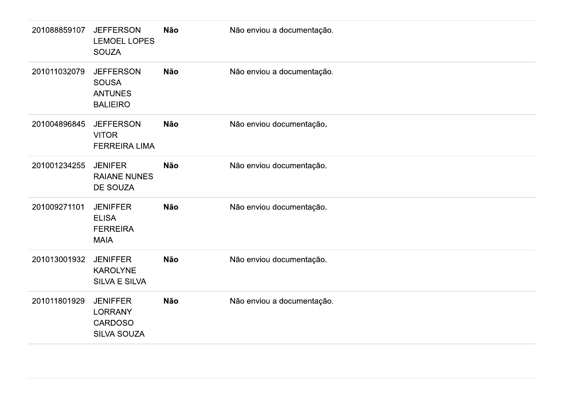| 201088859107 | <b>JEFFERSON</b><br><b>LEMOEL LOPES</b><br><b>SOUZA</b>               | Não        | Não enviou a documentação. |
|--------------|-----------------------------------------------------------------------|------------|----------------------------|
| 201011032079 | <b>JEFFERSON</b><br><b>SOUSA</b><br><b>ANTUNES</b><br><b>BALIEIRO</b> | Não        | Não enviou a documentação. |
| 201004896845 | <b>JEFFERSON</b><br><b>VITOR</b><br><b>FERREIRA LIMA</b>              | Não        | Não enviou documentação.   |
| 201001234255 | <b>JENIFER</b><br><b>RAIANE NUNES</b><br>DE SOUZA                     | <b>Não</b> | Não enviou documentação.   |
| 201009271101 | <b>JENIFFER</b><br><b>ELISA</b><br><b>FERREIRA</b><br><b>MAIA</b>     | <b>Não</b> | Não enviou documentação.   |
| 201013001932 | <b>JENIFFER</b><br><b>KAROLYNE</b><br>SILVA E SILVA                   | Não        | Não enviou documentação.   |
| 201011801929 | <b>JENIFFER</b><br><b>LORRANY</b><br><b>CARDOSO</b><br>SILVA SOUZA    | Não        | Não enviou a documentação. |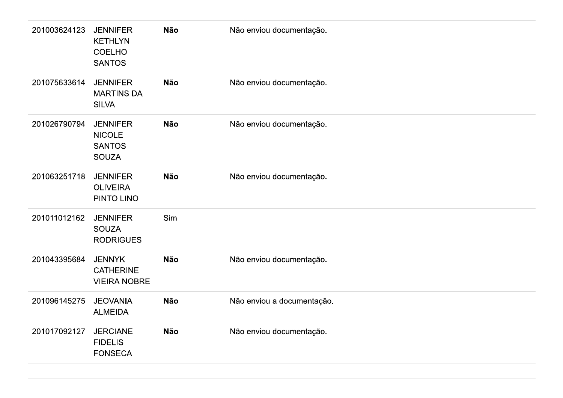| 201003624123 | <b>JENNIFER</b><br><b>KETHLYN</b><br><b>COELHO</b><br><b>SANTOS</b> | Não        | Não enviou documentação.   |
|--------------|---------------------------------------------------------------------|------------|----------------------------|
| 201075633614 | <b>JENNIFER</b><br><b>MARTINS DA</b><br><b>SILVA</b>                | Não        | Não enviou documentação.   |
| 201026790794 | <b>JENNIFER</b><br><b>NICOLE</b><br><b>SANTOS</b><br><b>SOUZA</b>   | Não        | Não enviou documentação.   |
| 201063251718 | <b>JENNIFER</b><br><b>OLIVEIRA</b><br>PINTO LINO                    | <b>Não</b> | Não enviou documentação.   |
| 201011012162 | <b>JENNIFER</b><br><b>SOUZA</b><br><b>RODRIGUES</b>                 | Sim        |                            |
| 201043395684 | <b>JENNYK</b><br><b>CATHERINE</b><br><b>VIEIRA NOBRE</b>            | <b>Não</b> | Não enviou documentação.   |
| 201096145275 | <b>JEOVANIA</b><br><b>ALMEIDA</b>                                   | Não        | Não enviou a documentação. |
| 201017092127 | <b>JERCIANE</b><br><b>FIDELIS</b><br><b>FONSECA</b>                 | Não        | Não enviou documentação.   |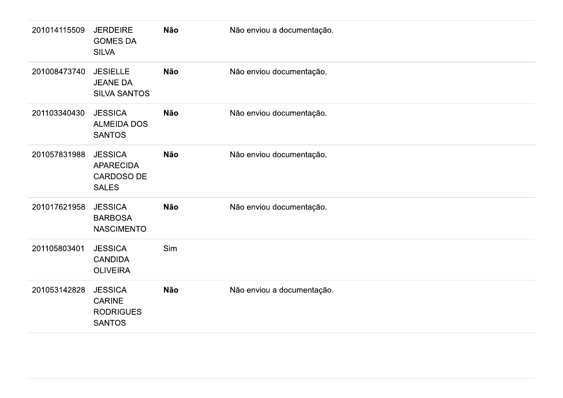| 201014115509 | <b>JERDEIRE</b><br><b>GOMES DA</b><br><b>SILVA</b>                      | <b>Não</b> | Não enviou a documentação. |
|--------------|-------------------------------------------------------------------------|------------|----------------------------|
| 201008473740 | <b>JESIELLE</b><br><b>JEANE DA</b><br><b>SILVA SANTOS</b>               | <b>Não</b> | Não enviou documentação.   |
| 201103340430 | <b>JESSICA</b><br><b>ALMEIDA DOS</b><br><b>SANTOS</b>                   | <b>Não</b> | Não enviou documentação.   |
| 201057831988 | <b>JESSICA</b><br><b>APARECIDA</b><br><b>CARDOSO DE</b><br><b>SALES</b> | <b>Não</b> | Não enviou documentação.   |
| 201017621958 | <b>JESSICA</b><br><b>BARBOSA</b><br><b>NASCIMENTO</b>                   | <b>Não</b> | Não enviou documentação.   |
| 201105803401 | <b>JESSICA</b><br><b>CANDIDA</b><br><b>OLIVEIRA</b>                     | Sim        |                            |
| 201053142828 | <b>JESSICA</b><br><b>CARINE</b><br><b>RODRIGUES</b><br><b>SANTOS</b>    | <b>Não</b> | Não enviou a documentação. |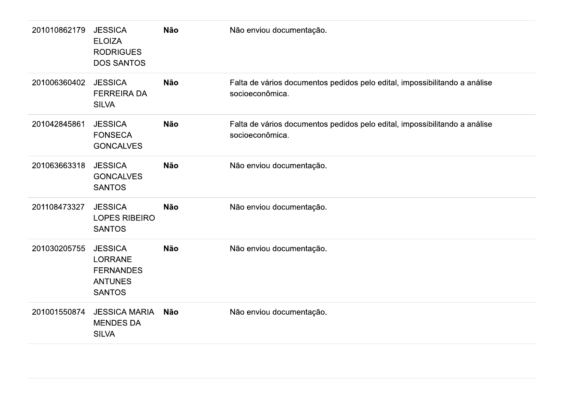| 201010862179 | <b>JESSICA</b><br><b>ELOIZA</b><br><b>RODRIGUES</b><br><b>DOS SANTOS</b>                | <b>Não</b> | Não enviou documentação.                                                                      |
|--------------|-----------------------------------------------------------------------------------------|------------|-----------------------------------------------------------------------------------------------|
| 201006360402 | <b>JESSICA</b><br><b>FERREIRA DA</b><br><b>SILVA</b>                                    | <b>Não</b> | Falta de vários documentos pedidos pelo edital, impossibilitando a análise<br>socioeconômica. |
| 201042845861 | <b>JESSICA</b><br><b>FONSECA</b><br><b>GONCALVES</b>                                    | <b>Não</b> | Falta de vários documentos pedidos pelo edital, impossibilitando a análise<br>socioeconômica. |
| 201063663318 | <b>JESSICA</b><br><b>GONCALVES</b><br><b>SANTOS</b>                                     | Não        | Não enviou documentação.                                                                      |
| 201108473327 | <b>JESSICA</b><br>LOPES RIBEIRO<br><b>SANTOS</b>                                        | Não        | Não enviou documentação.                                                                      |
| 201030205755 | <b>JESSICA</b><br><b>LORRANE</b><br><b>FERNANDES</b><br><b>ANTUNES</b><br><b>SANTOS</b> | <b>Não</b> | Não enviou documentação.                                                                      |
| 201001550874 | <b>JESSICA MARIA</b><br><b>MENDES DA</b><br><b>SILVA</b>                                | <b>Não</b> | Não enviou documentação.                                                                      |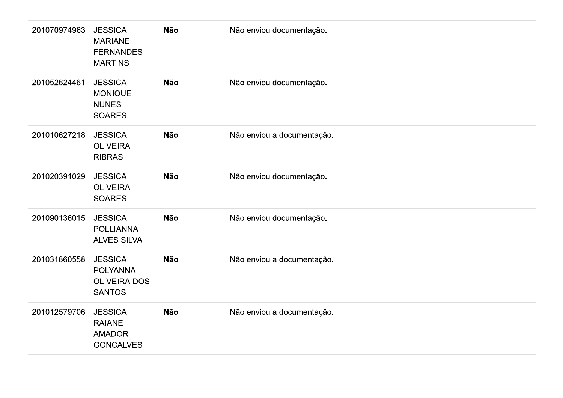| 201070974963 | <b>JESSICA</b><br><b>MARIANE</b><br><b>FERNANDES</b><br><b>MARTINS</b>    | Não        | Não enviou documentação.   |
|--------------|---------------------------------------------------------------------------|------------|----------------------------|
| 201052624461 | <b>JESSICA</b><br><b>MONIQUE</b><br><b>NUNES</b><br><b>SOARES</b>         | Não        | Não enviou documentação.   |
| 201010627218 | <b>JESSICA</b><br><b>OLIVEIRA</b><br><b>RIBRAS</b>                        | Não        | Não enviou a documentação. |
| 201020391029 | <b>JESSICA</b><br><b>OLIVEIRA</b><br><b>SOARES</b>                        | <b>Não</b> | Não enviou documentação.   |
| 201090136015 | <b>JESSICA</b><br><b>POLLIANNA</b><br><b>ALVES SILVA</b>                  | Não        | Não enviou documentação.   |
| 201031860558 | <b>JESSICA</b><br><b>POLYANNA</b><br><b>OLIVEIRA DOS</b><br><b>SANTOS</b> | Não        | Não enviou a documentação. |
| 201012579706 | <b>JESSICA</b><br><b>RAIANE</b><br><b>AMADOR</b><br><b>GONCALVES</b>      | Não        | Não enviou a documentação. |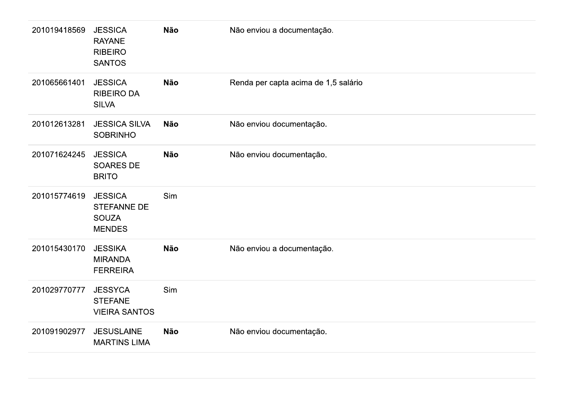| 201019418569 | <b>JESSICA</b><br><b>RAYANE</b><br><b>RIBEIRO</b><br><b>SANTOS</b>    | <b>Não</b> | Não enviou a documentação.           |
|--------------|-----------------------------------------------------------------------|------------|--------------------------------------|
| 201065661401 | <b>JESSICA</b><br><b>RIBEIRO DA</b><br><b>SILVA</b>                   | <b>Não</b> | Renda per capta acima de 1,5 salário |
| 201012613281 | <b>JESSICA SILVA</b><br><b>SOBRINHO</b>                               | <b>Não</b> | Não enviou documentação.             |
| 201071624245 | <b>JESSICA</b><br><b>SOARES DE</b><br><b>BRITO</b>                    | <b>Não</b> | Não enviou documentação.             |
| 201015774619 | <b>JESSICA</b><br><b>STEFANNE DE</b><br><b>SOUZA</b><br><b>MENDES</b> | Sim        |                                      |
| 201015430170 | <b>JESSIKA</b><br><b>MIRANDA</b><br><b>FERREIRA</b>                   | <b>Não</b> | Não enviou a documentação.           |
| 201029770777 | <b>JESSYCA</b><br><b>STEFANE</b><br><b>VIEIRA SANTOS</b>              | Sim        |                                      |
| 201091902977 | <b>JESUSLAINE</b><br><b>MARTINS LIMA</b>                              | <b>Não</b> | Não enviou documentação.             |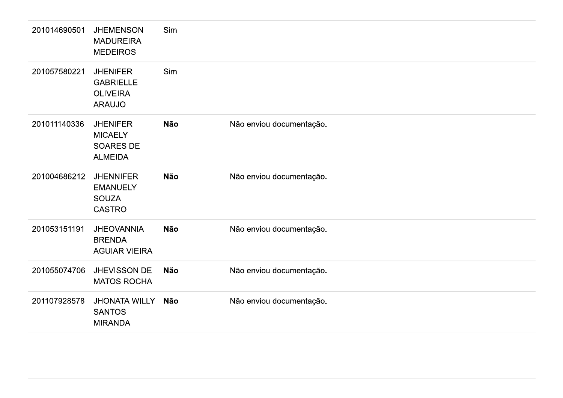| 201014690501 | <b>JHEMENSON</b><br><b>MADUREIRA</b><br><b>MEDEIROS</b>                 | Sim        |                          |
|--------------|-------------------------------------------------------------------------|------------|--------------------------|
| 201057580221 | <b>JHENIFER</b><br><b>GABRIELLE</b><br><b>OLIVEIRA</b><br><b>ARAUJO</b> | Sim        |                          |
| 201011140336 | <b>JHENIFER</b><br><b>MICAELY</b><br><b>SOARES DE</b><br><b>ALMEIDA</b> | <b>Não</b> | Não enviou documentação. |
| 201004686212 | <b>JHENNIFER</b><br><b>EMANUELY</b><br><b>SOUZA</b><br><b>CASTRO</b>    | <b>Não</b> | Não enviou documentação. |
| 201053151191 | <b>JHEOVANNIA</b><br><b>BRENDA</b><br><b>AGUIAR VIEIRA</b>              | <b>Não</b> | Não enviou documentação. |
| 201055074706 | JHEVISSON DE<br><b>MATOS ROCHA</b>                                      | <b>Não</b> | Não enviou documentação. |
| 201107928578 | <b>JHONATA WILLY</b><br><b>SANTOS</b><br><b>MIRANDA</b>                 | Não        | Não enviou documentação. |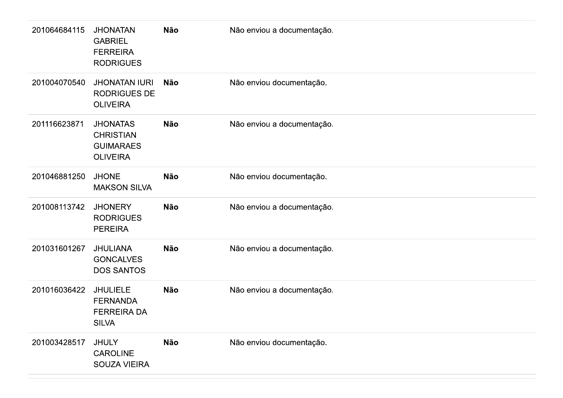| 201064684115 | <b>JHONATAN</b><br><b>GABRIEL</b><br><b>FERREIRA</b><br><b>RODRIGUES</b>   | Não        | Não enviou a documentação. |
|--------------|----------------------------------------------------------------------------|------------|----------------------------|
| 201004070540 | <b>JHONATAN IURI</b><br><b>RODRIGUES DE</b><br><b>OLIVEIRA</b>             | <b>Não</b> | Não enviou documentação.   |
| 201116623871 | <b>JHONATAS</b><br><b>CHRISTIAN</b><br><b>GUIMARAES</b><br><b>OLIVEIRA</b> | <b>Não</b> | Não enviou a documentação. |
| 201046881250 | <b>JHONE</b><br><b>MAKSON SILVA</b>                                        | <b>Não</b> | Não enviou documentação.   |
| 201008113742 | <b>JHONERY</b><br><b>RODRIGUES</b><br><b>PEREIRA</b>                       | <b>Não</b> | Não enviou a documentação. |
| 201031601267 | <b>JHULIANA</b><br><b>GONCALVES</b><br><b>DOS SANTOS</b>                   | <b>Não</b> | Não enviou a documentação. |
| 201016036422 | <b>JHULIELE</b><br><b>FERNANDA</b><br><b>FERREIRA DA</b><br><b>SILVA</b>   | <b>Não</b> | Não enviou a documentação. |
| 201003428517 | <b>JHULY</b><br>CAROLINE<br>SOUZA VIEIRA                                   | Não        | Não enviou documentação.   |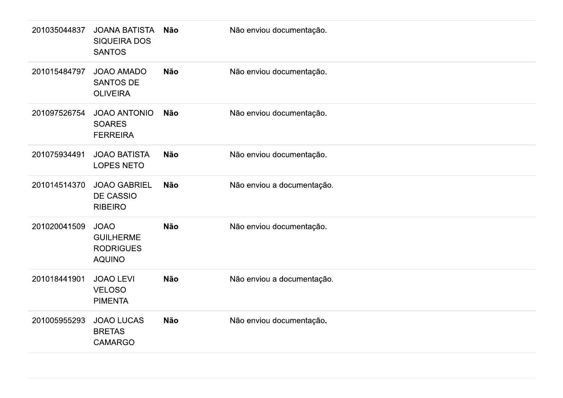| 201035044837 | <b>JOANA BATISTA</b><br><b>SIQUEIRA DOS</b><br><b>SANTOS</b>         | <b>Não</b> | Não enviou documentação.   |
|--------------|----------------------------------------------------------------------|------------|----------------------------|
| 201015484797 | <b>JOAO AMADO</b><br><b>SANTOS DE</b><br><b>OLIVEIRA</b>             | <b>Não</b> | Não enviou documentação.   |
| 201097526754 | <b>JOAO ANTONIO</b><br><b>SOARES</b><br><b>FERREIRA</b>              | <b>Não</b> | Não enviou documentação.   |
| 201075934491 | <b>JOAO BATISTA</b><br><b>LOPES NETO</b>                             | <b>Não</b> | Não enviou documentação.   |
| 201014514370 | <b>JOAO GABRIEL</b><br><b>DE CASSIO</b><br><b>RIBEIRO</b>            | <b>Não</b> | Não enviou a documentação. |
| 201020041509 | <b>JOAO</b><br><b>GUILHERME</b><br><b>RODRIGUES</b><br><b>AQUINO</b> | <b>Não</b> | Não enviou documentação.   |
| 201018441901 | <b>JOAO LEVI</b><br><b>VELOSO</b><br><b>PIMENTA</b>                  | <b>Não</b> | Não enviou a documentação. |
| 201005955293 | <b>JOAO LUCAS</b><br><b>BRETAS</b><br><b>CAMARGO</b>                 | <b>Não</b> | Não enviou documentação.   |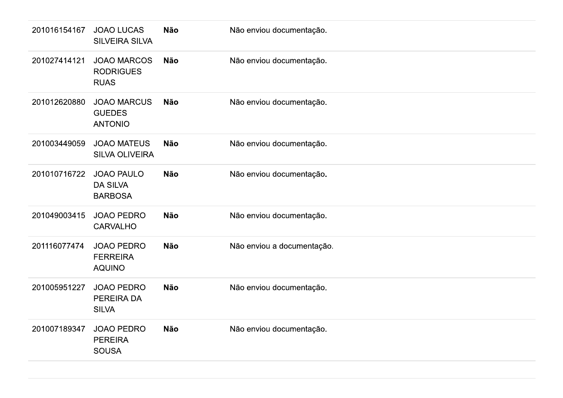| 201016154167 | <b>JOAO LUCAS</b><br><b>SILVEIRA SILVA</b>             | <b>Não</b> | Não enviou documentação.   |
|--------------|--------------------------------------------------------|------------|----------------------------|
| 201027414121 | <b>JOAO MARCOS</b><br><b>RODRIGUES</b><br><b>RUAS</b>  | <b>Não</b> | Não enviou documentação.   |
| 201012620880 | <b>JOAO MARCUS</b><br><b>GUEDES</b><br><b>ANTONIO</b>  | <b>Não</b> | Não enviou documentação.   |
| 201003449059 | <b>JOAO MATEUS</b><br><b>SILVA OLIVEIRA</b>            | <b>Não</b> | Não enviou documentação.   |
| 201010716722 | <b>JOAO PAULO</b><br><b>DA SILVA</b><br><b>BARBOSA</b> | <b>Não</b> | Não enviou documentação.   |
| 201049003415 | <b>JOAO PEDRO</b><br><b>CARVALHO</b>                   | <b>Não</b> | Não enviou documentação.   |
| 201116077474 | <b>JOAO PEDRO</b><br><b>FERREIRA</b><br><b>AQUINO</b>  | <b>Não</b> | Não enviou a documentação. |
| 201005951227 | <b>JOAO PEDRO</b><br>PEREIRA DA<br><b>SILVA</b>        | <b>Não</b> | Não enviou documentação.   |
| 201007189347 | <b>JOAO PEDRO</b><br><b>PEREIRA</b><br><b>SOUSA</b>    | <b>Não</b> | Não enviou documentação.   |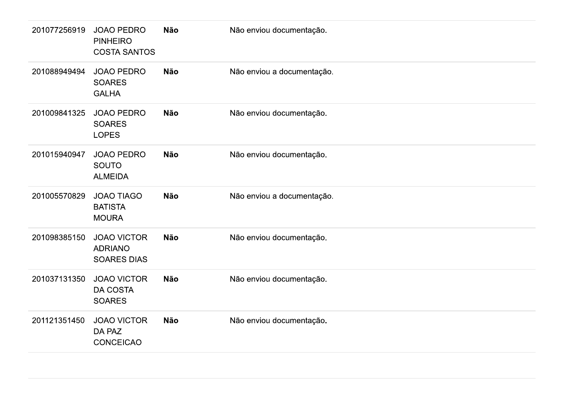| 201077256919 | <b>JOAO PEDRO</b><br><b>PINHEIRO</b><br><b>COSTA SANTOS</b> | <b>Não</b> | Não enviou documentação.   |
|--------------|-------------------------------------------------------------|------------|----------------------------|
| 201088949494 | <b>JOAO PEDRO</b><br><b>SOARES</b><br><b>GALHA</b>          | <b>Não</b> | Não enviou a documentação. |
| 201009841325 | <b>JOAO PEDRO</b><br><b>SOARES</b><br><b>LOPES</b>          | <b>Não</b> | Não enviou documentação.   |
| 201015940947 | <b>JOAO PEDRO</b><br>SOUTO<br><b>ALMEIDA</b>                | <b>Não</b> | Não enviou documentação.   |
| 201005570829 | <b>JOAO TIAGO</b><br><b>BATISTA</b><br><b>MOURA</b>         | <b>Não</b> | Não enviou a documentação. |
| 201098385150 | <b>JOAO VICTOR</b><br><b>ADRIANO</b><br><b>SOARES DIAS</b>  | <b>Não</b> | Não enviou documentação.   |
| 201037131350 | <b>JOAO VICTOR</b><br><b>DA COSTA</b><br><b>SOARES</b>      | <b>Não</b> | Não enviou documentação.   |
| 201121351450 | <b>JOAO VICTOR</b><br>DA PAZ<br><b>CONCEICAO</b>            | <b>Não</b> | Não enviou documentação.   |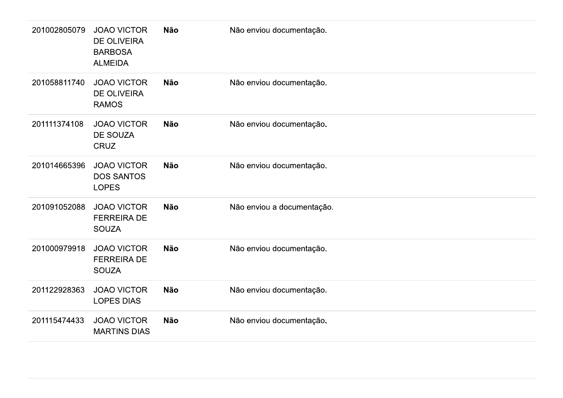| 201002805079 | <b>JOAO VICTOR</b><br><b>DE OLIVEIRA</b><br><b>BARBOSA</b><br><b>ALMEIDA</b> | Não        | Não enviou documentação.   |
|--------------|------------------------------------------------------------------------------|------------|----------------------------|
| 201058811740 | <b>JOAO VICTOR</b><br>DE OLIVEIRA<br><b>RAMOS</b>                            | Não        | Não enviou documentação.   |
| 201111374108 | <b>JOAO VICTOR</b><br>DE SOUZA<br>CRUZ                                       | Não        | Não enviou documentação.   |
| 201014665396 | <b>JOAO VICTOR</b><br><b>DOS SANTOS</b><br><b>LOPES</b>                      | <b>Não</b> | Não enviou documentação.   |
| 201091052088 | <b>JOAO VICTOR</b><br><b>FERREIRA DE</b><br><b>SOUZA</b>                     | Não        | Não enviou a documentação. |
| 201000979918 | <b>JOAO VICTOR</b><br><b>FERREIRA DE</b><br><b>SOUZA</b>                     | <b>Não</b> | Não enviou documentação.   |
| 201122928363 | <b>JOAO VICTOR</b><br><b>LOPES DIAS</b>                                      | Não        | Não enviou documentação.   |
| 201115474433 | <b>JOAO VICTOR</b><br><b>MARTINS DIAS</b>                                    | Não        | Não enviou documentação.   |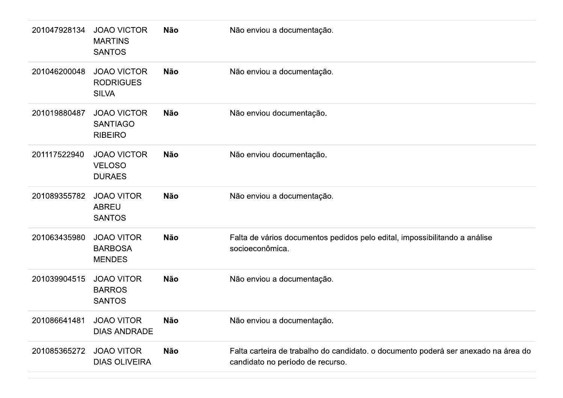| 201047928134 | <b>JOAO VICTOR</b><br><b>MARTINS</b><br><b>SANTOS</b>   | <b>Não</b> | Não enviou a documentação.                                                                                             |
|--------------|---------------------------------------------------------|------------|------------------------------------------------------------------------------------------------------------------------|
| 201046200048 | <b>JOAO VICTOR</b><br><b>RODRIGUES</b><br><b>SILVA</b>  | <b>Não</b> | Não enviou a documentação.                                                                                             |
| 201019880487 | <b>JOAO VICTOR</b><br><b>SANTIAGO</b><br><b>RIBEIRO</b> | <b>Não</b> | Não enviou documentação.                                                                                               |
| 201117522940 | <b>JOAO VICTOR</b><br><b>VELOSO</b><br><b>DURAES</b>    | <b>Não</b> | Não enviou documentação.                                                                                               |
| 201089355782 | <b>JOAO VITOR</b><br><b>ABREU</b><br><b>SANTOS</b>      | <b>Não</b> | Não enviou a documentação.                                                                                             |
| 201063435980 | <b>JOAO VITOR</b><br><b>BARBOSA</b><br><b>MENDES</b>    | <b>Não</b> | Falta de vários documentos pedidos pelo edital, impossibilitando a análise<br>socioeconômica.                          |
| 201039904515 | <b>JOAO VITOR</b><br><b>BARROS</b><br><b>SANTOS</b>     | <b>Não</b> | Não enviou a documentação.                                                                                             |
| 201086641481 | <b>JOAO VITOR</b><br><b>DIAS ANDRADE</b>                | <b>Não</b> | Não enviou a documentação.                                                                                             |
| 201085365272 | <b>JOAO VITOR</b><br><b>DIAS OLIVEIRA</b>               | <b>Não</b> | Falta carteira de trabalho do candidato. o documento poderá ser anexado na área do<br>candidato no período de recurso. |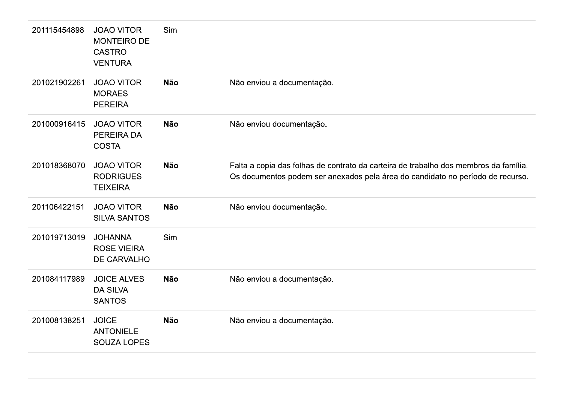| 201115454898 | <b>JOAO VITOR</b><br><b>MONTEIRO DE</b><br><b>CASTRO</b><br><b>VENTURA</b> | Sim        |                                                                                                                                                                        |
|--------------|----------------------------------------------------------------------------|------------|------------------------------------------------------------------------------------------------------------------------------------------------------------------------|
| 201021902261 | <b>JOAO VITOR</b><br><b>MORAES</b><br><b>PEREIRA</b>                       | <b>Não</b> | Não enviou a documentação.                                                                                                                                             |
| 201000916415 | <b>JOAO VITOR</b><br>PEREIRA DA<br><b>COSTA</b>                            | <b>Não</b> | Não enviou documentação.                                                                                                                                               |
| 201018368070 | <b>JOAO VITOR</b><br><b>RODRIGUES</b><br><b>TEIXEIRA</b>                   | <b>Não</b> | Falta a copia das folhas de contrato da carteira de trabalho dos membros da família.<br>Os documentos podem ser anexados pela área do candidato no período de recurso. |
| 201106422151 | <b>JOAO VITOR</b><br><b>SILVA SANTOS</b>                                   | <b>Não</b> | Não enviou documentação.                                                                                                                                               |
| 201019713019 | <b>JOHANNA</b><br><b>ROSE VIEIRA</b><br>DE CARVALHO                        | Sim        |                                                                                                                                                                        |
| 201084117989 | <b>JOICE ALVES</b><br><b>DA SILVA</b><br><b>SANTOS</b>                     | <b>Não</b> | Não enviou a documentação.                                                                                                                                             |
| 201008138251 | <b>JOICE</b><br><b>ANTONIELE</b><br><b>SOUZA LOPES</b>                     | <b>Não</b> | Não enviou a documentação.                                                                                                                                             |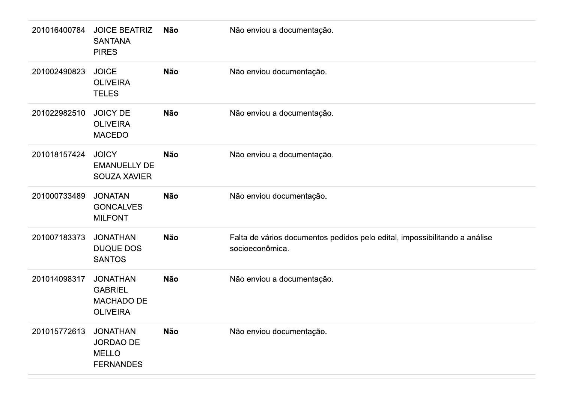| 201016400784 | <b>JOICE BEATRIZ</b><br><b>SANTANA</b><br><b>PIRES</b>                    | Não        | Não enviou a documentação.                                                                    |
|--------------|---------------------------------------------------------------------------|------------|-----------------------------------------------------------------------------------------------|
| 201002490823 | <b>JOICE</b><br><b>OLIVEIRA</b><br><b>TELES</b>                           | <b>Não</b> | Não enviou documentação.                                                                      |
| 201022982510 | <b>JOICY DE</b><br><b>OLIVEIRA</b><br><b>MACEDO</b>                       | <b>Não</b> | Não enviou a documentação.                                                                    |
| 201018157424 | <b>JOICY</b><br><b>EMANUELLY DE</b><br><b>SOUZA XAVIER</b>                | <b>Não</b> | Não enviou a documentação.                                                                    |
| 201000733489 | <b>JONATAN</b><br><b>GONCALVES</b><br><b>MILFONT</b>                      | <b>Não</b> | Não enviou documentação.                                                                      |
| 201007183373 | <b>JONATHAN</b><br><b>DUQUE DOS</b><br><b>SANTOS</b>                      | <b>Não</b> | Falta de vários documentos pedidos pelo edital, impossibilitando a análise<br>socioeconômica. |
| 201014098317 | <b>JONATHAN</b><br><b>GABRIEL</b><br><b>MACHADO DE</b><br><b>OLIVEIRA</b> | <b>Não</b> | Não enviou a documentação.                                                                    |
| 201015772613 | <b>JONATHAN</b><br><b>JORDAO DE</b><br><b>MELLO</b><br><b>FERNANDES</b>   | Não        | Não enviou documentação.                                                                      |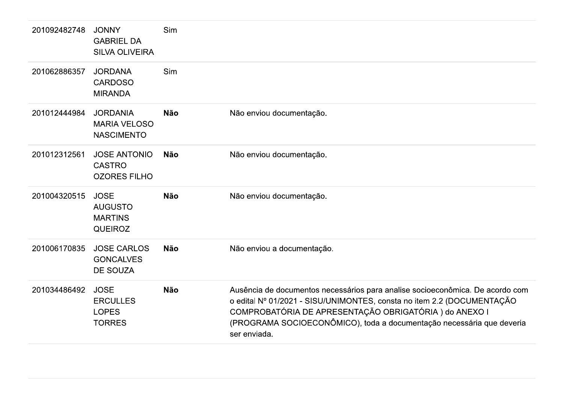| 201092482748 | <b>JONNY</b><br><b>GABRIEL DA</b><br><b>SILVA OLIVEIRA</b>        | Sim        |                                                                                                                                                                                                                                                                                                           |
|--------------|-------------------------------------------------------------------|------------|-----------------------------------------------------------------------------------------------------------------------------------------------------------------------------------------------------------------------------------------------------------------------------------------------------------|
| 201062886357 | <b>JORDANA</b><br><b>CARDOSO</b><br><b>MIRANDA</b>                | Sim        |                                                                                                                                                                                                                                                                                                           |
| 201012444984 | <b>JORDANIA</b><br><b>MARIA VELOSO</b><br><b>NASCIMENTO</b>       | <b>Não</b> | Não enviou documentação.                                                                                                                                                                                                                                                                                  |
| 201012312561 | <b>JOSE ANTONIO</b><br><b>CASTRO</b><br><b>OZORES FILHO</b>       | <b>Não</b> | Não enviou documentação.                                                                                                                                                                                                                                                                                  |
| 201004320515 | <b>JOSE</b><br><b>AUGUSTO</b><br><b>MARTINS</b><br><b>QUEIROZ</b> | <b>Não</b> | Não enviou documentação.                                                                                                                                                                                                                                                                                  |
| 201006170835 | <b>JOSE CARLOS</b><br><b>GONCALVES</b><br><b>DE SOUZA</b>         | <b>Não</b> | Não enviou a documentação.                                                                                                                                                                                                                                                                                |
| 201034486492 | <b>JOSE</b><br><b>ERCULLES</b><br><b>LOPES</b><br><b>TORRES</b>   | <b>Não</b> | Ausência de documentos necessários para analise socioeconômica. De acordo com<br>o edital Nº 01/2021 - SISU/UNIMONTES, consta no item 2.2 (DOCUMENTAÇÃO<br>COMPROBATÓRIA DE APRESENTAÇÃO OBRIGATÓRIA) do ANEXO I<br>(PROGRAMA SOCIOECONÔMICO), toda a documentação necessária que deveria<br>ser enviada. |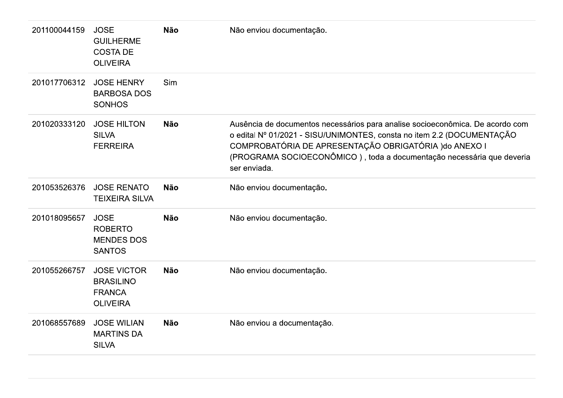| 201100044159 | <b>JOSE</b><br><b>GUILHERME</b><br><b>COSTA DE</b><br><b>OLIVEIRA</b>      | <b>Não</b> | Não enviou documentação.                                                                                                                                                                                                                                                                                   |
|--------------|----------------------------------------------------------------------------|------------|------------------------------------------------------------------------------------------------------------------------------------------------------------------------------------------------------------------------------------------------------------------------------------------------------------|
| 201017706312 | <b>JOSE HENRY</b><br><b>BARBOSA DOS</b><br><b>SONHOS</b>                   | Sim        |                                                                                                                                                                                                                                                                                                            |
| 201020333120 | <b>JOSE HILTON</b><br><b>SILVA</b><br><b>FERREIRA</b>                      | <b>Não</b> | Ausência de documentos necessários para analise socioeconômica. De acordo com<br>o edital Nº 01/2021 - SISU/UNIMONTES, consta no item 2.2 (DOCUMENTAÇÃO<br>COMPROBATÓRIA DE APRESENTAÇÃO OBRIGATÓRIA ) do ANEXO I<br>(PROGRAMA SOCIOECONÔMICO), toda a documentação necessária que deveria<br>ser enviada. |
| 201053526376 | <b>JOSE RENATO</b><br><b>TEIXEIRA SILVA</b>                                | <b>Não</b> | Não enviou documentação.                                                                                                                                                                                                                                                                                   |
| 201018095657 | <b>JOSE</b><br><b>ROBERTO</b><br><b>MENDES DOS</b><br><b>SANTOS</b>        | <b>Não</b> | Não enviou documentação.                                                                                                                                                                                                                                                                                   |
| 201055266757 | <b>JOSE VICTOR</b><br><b>BRASILINO</b><br><b>FRANCA</b><br><b>OLIVEIRA</b> | <b>Não</b> | Não enviou documentação.                                                                                                                                                                                                                                                                                   |
| 201068557689 | <b>JOSE WILIAN</b><br><b>MARTINS DA</b><br><b>SILVA</b>                    | <b>Não</b> | Não enviou a documentação.                                                                                                                                                                                                                                                                                 |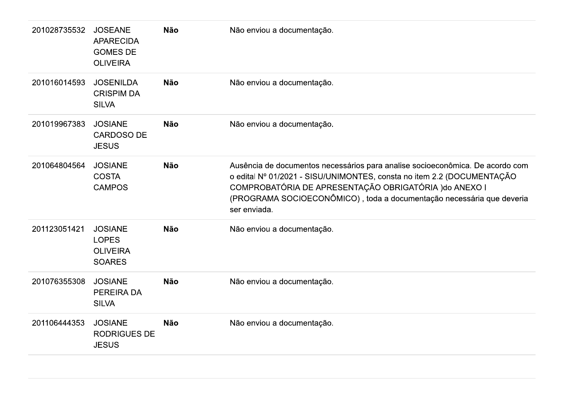| 201028735532 | <b>JOSEANE</b><br><b>APARECIDA</b><br><b>GOMES DE</b><br><b>OLIVEIRA</b> | <b>Não</b> | Não enviou a documentação.                                                                                                                                                                                                                                                                                 |
|--------------|--------------------------------------------------------------------------|------------|------------------------------------------------------------------------------------------------------------------------------------------------------------------------------------------------------------------------------------------------------------------------------------------------------------|
| 201016014593 | <b>JOSENILDA</b><br><b>CRISPIM DA</b><br><b>SILVA</b>                    | <b>Não</b> | Não enviou a documentação.                                                                                                                                                                                                                                                                                 |
| 201019967383 | <b>JOSIANE</b><br><b>CARDOSO DE</b><br><b>JESUS</b>                      | <b>Não</b> | Não enviou a documentação.                                                                                                                                                                                                                                                                                 |
| 201064804564 | <b>JOSIANE</b><br><b>COSTA</b><br><b>CAMPOS</b>                          | <b>Não</b> | Ausência de documentos necessários para analise socioeconômica. De acordo com<br>o edital Nº 01/2021 - SISU/UNIMONTES, consta no item 2.2 (DOCUMENTAÇÃO<br>COMPROBATÓRIA DE APRESENTAÇÃO OBRIGATÓRIA ) do ANEXO I<br>(PROGRAMA SOCIOECONÔMICO), toda a documentação necessária que deveria<br>ser enviada. |
| 201123051421 | <b>JOSIANE</b><br><b>LOPES</b><br><b>OLIVEIRA</b><br><b>SOARES</b>       | <b>Não</b> | Não enviou a documentação.                                                                                                                                                                                                                                                                                 |
| 201076355308 | <b>JOSIANE</b><br><b>PEREIRA DA</b><br><b>SILVA</b>                      | <b>Não</b> | Não enviou a documentação.                                                                                                                                                                                                                                                                                 |
| 201106444353 | <b>JOSIANE</b><br><b>RODRIGUES DE</b><br><b>JESUS</b>                    | <b>Não</b> | Não enviou a documentação.                                                                                                                                                                                                                                                                                 |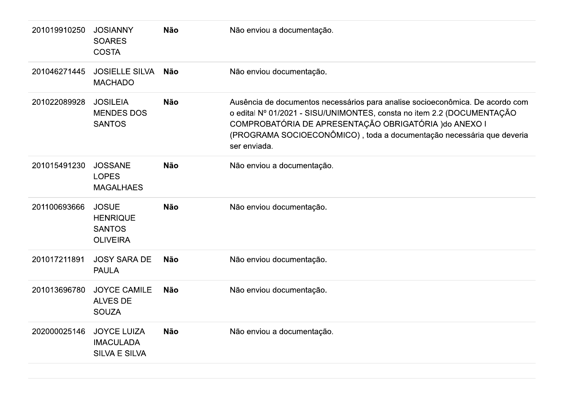| 201019910250 | <b>JOSIANNY</b><br><b>SOARES</b><br><b>COSTA</b>                    | <b>Não</b> | Não enviou a documentação.                                                                                                                                                                                                                                                                                 |
|--------------|---------------------------------------------------------------------|------------|------------------------------------------------------------------------------------------------------------------------------------------------------------------------------------------------------------------------------------------------------------------------------------------------------------|
| 201046271445 | <b>JOSIELLE SILVA</b><br><b>MACHADO</b>                             | <b>Não</b> | Não enviou documentação.                                                                                                                                                                                                                                                                                   |
| 201022089928 | <b>JOSILEIA</b><br><b>MENDES DOS</b><br><b>SANTOS</b>               | <b>Não</b> | Ausência de documentos necessários para analise socioeconômica. De acordo com<br>o edital Nº 01/2021 - SISU/UNIMONTES, consta no item 2.2 (DOCUMENTAÇÃO<br>COMPROBATÓRIA DE APRESENTAÇÃO OBRIGATÓRIA ) do ANEXO I<br>(PROGRAMA SOCIOECONÔMICO), toda a documentação necessária que deveria<br>ser enviada. |
| 201015491230 | <b>JOSSANE</b><br><b>LOPES</b><br><b>MAGALHAES</b>                  | <b>Não</b> | Não enviou a documentação.                                                                                                                                                                                                                                                                                 |
| 201100693666 | <b>JOSUE</b><br><b>HENRIQUE</b><br><b>SANTOS</b><br><b>OLIVEIRA</b> | <b>Não</b> | Não enviou documentação.                                                                                                                                                                                                                                                                                   |
| 201017211891 | <b>JOSY SARA DE</b><br><b>PAULA</b>                                 | <b>Não</b> | Não enviou documentação.                                                                                                                                                                                                                                                                                   |
| 201013696780 | <b>JOYCE CAMILE</b><br><b>ALVES DE</b><br><b>SOUZA</b>              | <b>Não</b> | Não enviou documentação.                                                                                                                                                                                                                                                                                   |
| 202000025146 | <b>JOYCE LUIZA</b><br><b>IMACULADA</b><br><b>SILVA E SILVA</b>      | <b>Não</b> | Não enviou a documentação.                                                                                                                                                                                                                                                                                 |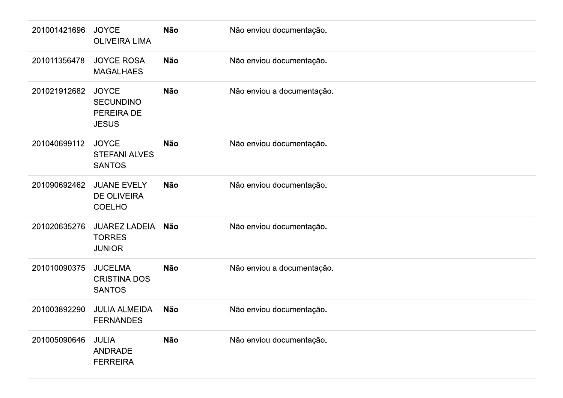| 201001421696 | <b>JOYCE</b><br><b>OLIVEIRA LIMA</b>                           | Não        | Não enviou documentação.   |
|--------------|----------------------------------------------------------------|------------|----------------------------|
| 201011356478 | <b>JOYCE ROSA</b><br><b>MAGALHAES</b>                          | Não        | Não enviou documentação.   |
| 201021912682 | <b>JOYCE</b><br><b>SECUNDINO</b><br>PEREIRA DE<br><b>JESUS</b> | <b>Não</b> | Não enviou a documentação. |
| 201040699112 | <b>JOYCE</b><br><b>STEFANI ALVES</b><br><b>SANTOS</b>          | <b>Não</b> | Não enviou documentação.   |
| 201090692462 | <b>JUANE EVELY</b><br><b>DE OLIVEIRA</b><br><b>COELHO</b>      | Não        | Não enviou documentação.   |
| 201020635276 | <b>JUAREZ LADEIA</b><br><b>TORRES</b><br><b>JUNIOR</b>         | Não        | Não enviou documentação.   |
| 201010090375 | <b>JUCELMA</b><br><b>CRISTINA DOS</b><br><b>SANTOS</b>         | Não        | Não enviou a documentação. |
| 201003892290 | <b>JULIA ALMEIDA</b><br><b>FERNANDES</b>                       | <b>Não</b> | Não enviou documentação.   |
| 201005090646 | <b>JULIA</b><br><b>ANDRADE</b><br><b>FERREIRA</b>              | <b>Não</b> | Não enviou documentação.   |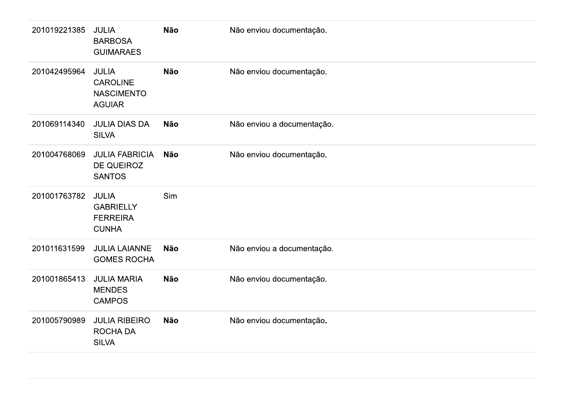| 201019221385 | <b>JULIA</b><br><b>BARBOSA</b><br><b>GUIMARAES</b>                    | <b>Não</b> | Não enviou documentação.   |
|--------------|-----------------------------------------------------------------------|------------|----------------------------|
| 201042495964 | <b>JULIA</b><br><b>CAROLINE</b><br><b>NASCIMENTO</b><br><b>AGUIAR</b> | <b>Não</b> | Não enviou documentação.   |
| 201069114340 | <b>JULIA DIAS DA</b><br><b>SILVA</b>                                  | <b>Não</b> | Não enviou a documentação. |
| 201004768069 | <b>JULIA FABRICIA</b><br><b>DE QUEIROZ</b><br><b>SANTOS</b>           | <b>Não</b> | Não enviou documentação.   |
| 201001763782 | <b>JULIA</b><br><b>GABRIELLY</b><br><b>FERREIRA</b><br><b>CUNHA</b>   | Sim        |                            |
| 201011631599 | <b>JULIA LAIANNE</b><br><b>GOMES ROCHA</b>                            | <b>Não</b> | Não enviou a documentação. |
| 201001865413 | <b>JULIA MARIA</b><br><b>MENDES</b><br><b>CAMPOS</b>                  | <b>Não</b> | Não enviou documentação.   |
| 201005790989 | <b>JULIA RIBEIRO</b><br>ROCHA DA<br><b>SILVA</b>                      | <b>Não</b> | Não enviou documentação.   |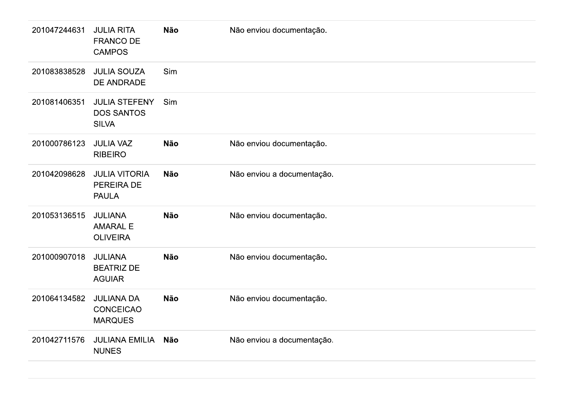| 201047244631 | <b>JULIA RITA</b><br><b>FRANCO DE</b><br><b>CAMPOS</b>    | <b>Não</b> | Não enviou documentação.   |
|--------------|-----------------------------------------------------------|------------|----------------------------|
| 201083838528 | <b>JULIA SOUZA</b><br>DE ANDRADE                          | Sim        |                            |
| 201081406351 | <b>JULIA STEFENY</b><br><b>DOS SANTOS</b><br><b>SILVA</b> | Sim        |                            |
| 201000786123 | <b>JULIA VAZ</b><br><b>RIBEIRO</b>                        | <b>Não</b> | Não enviou documentação.   |
| 201042098628 | <b>JULIA VITORIA</b><br>PEREIRA DE<br><b>PAULA</b>        | <b>Não</b> | Não enviou a documentação. |
| 201053136515 | <b>JULIANA</b><br><b>AMARAL E</b><br><b>OLIVEIRA</b>      | <b>Não</b> | Não enviou documentação.   |
| 201000907018 | <b>JULIANA</b><br><b>BEATRIZ DE</b><br><b>AGUIAR</b>      | <b>Não</b> | Não enviou documentação.   |
| 201064134582 | <b>JULIANA DA</b><br><b>CONCEICAO</b><br><b>MARQUES</b>   | <b>Não</b> | Não enviou documentação.   |
| 201042711576 | <b>JULIANA EMILIA</b><br><b>NUNES</b>                     | Não        | Não enviou a documentação. |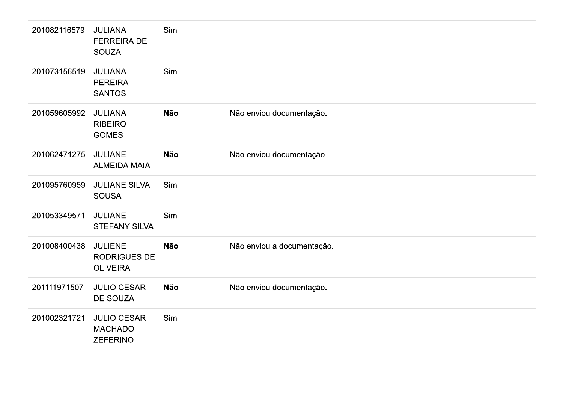| 201082116579 | <b>JULIANA</b><br><b>FERREIRA DE</b><br><b>SOUZA</b>     | Sim        |                            |
|--------------|----------------------------------------------------------|------------|----------------------------|
| 201073156519 | <b>JULIANA</b><br><b>PEREIRA</b><br><b>SANTOS</b>        | Sim        |                            |
| 201059605992 | <b>JULIANA</b><br><b>RIBEIRO</b><br><b>GOMES</b>         | <b>Não</b> | Não enviou documentação.   |
| 201062471275 | <b>JULIANE</b><br><b>ALMEIDA MAIA</b>                    | <b>Não</b> | Não enviou documentação.   |
| 201095760959 | <b>JULIANE SILVA</b><br><b>SOUSA</b>                     | Sim        |                            |
| 201053349571 | <b>JULIANE</b><br><b>STEFANY SILVA</b>                   | Sim        |                            |
| 201008400438 | <b>JULIENE</b><br><b>RODRIGUES DE</b><br><b>OLIVEIRA</b> | <b>Não</b> | Não enviou a documentação. |
| 201111971507 | <b>JULIO CESAR</b><br>DE SOUZA                           | <b>Não</b> | Não enviou documentação.   |
| 201002321721 | <b>JULIO CESAR</b><br><b>MACHADO</b><br><b>ZEFERINO</b>  | Sim        |                            |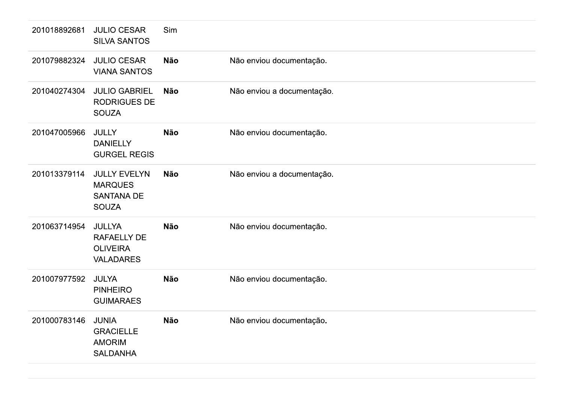| 201018892681 | <b>JULIO CESAR</b><br><b>SILVA SANTOS</b>                                  | Sim        |                            |
|--------------|----------------------------------------------------------------------------|------------|----------------------------|
| 201079882324 | <b>JULIO CESAR</b><br><b>VIANA SANTOS</b>                                  | <b>Não</b> | Não enviou documentação.   |
| 201040274304 | <b>JULIO GABRIEL</b><br><b>RODRIGUES DE</b><br><b>SOUZA</b>                | <b>Não</b> | Não enviou a documentação. |
| 201047005966 | <b>JULLY</b><br><b>DANIELLY</b><br><b>GURGEL REGIS</b>                     | <b>Não</b> | Não enviou documentação.   |
| 201013379114 | <b>JULLY EVELYN</b><br><b>MARQUES</b><br><b>SANTANA DE</b><br><b>SOUZA</b> | <b>Não</b> | Não enviou a documentação. |
| 201063714954 | <b>JULLYA</b><br><b>RAFAELLY DE</b><br><b>OLIVEIRA</b><br><b>VALADARES</b> | <b>Não</b> | Não enviou documentação.   |
| 201007977592 | <b>JULYA</b><br><b>PINHEIRO</b><br><b>GUIMARAES</b>                        | <b>Não</b> | Não enviou documentação.   |
| 201000783146 | <b>JUNIA</b><br><b>GRACIELLE</b><br><b>AMORIM</b><br><b>SALDANHA</b>       | <b>Não</b> | Não enviou documentação.   |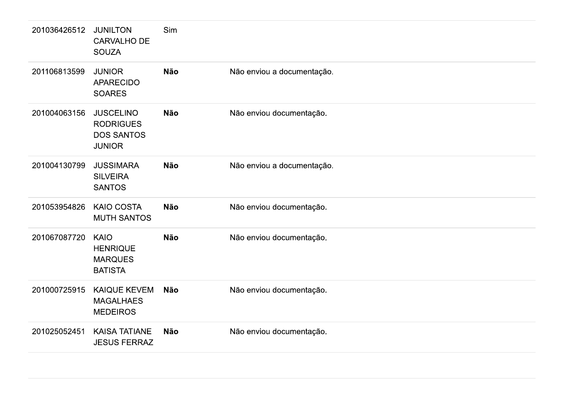| 201036426512 | <b>JUNILTON</b><br><b>CARVALHO DE</b><br><b>SOUZA</b>                      | Sim        |                            |
|--------------|----------------------------------------------------------------------------|------------|----------------------------|
| 201106813599 | <b>JUNIOR</b><br><b>APARECIDO</b><br><b>SOARES</b>                         | <b>Não</b> | Não enviou a documentação. |
| 201004063156 | <b>JUSCELINO</b><br><b>RODRIGUES</b><br><b>DOS SANTOS</b><br><b>JUNIOR</b> | <b>Não</b> | Não enviou documentação.   |
| 201004130799 | <b>JUSSIMARA</b><br><b>SILVEIRA</b><br><b>SANTOS</b>                       | <b>Não</b> | Não enviou a documentação. |
| 201053954826 | <b>KAIO COSTA</b><br><b>MUTH SANTOS</b>                                    | <b>Não</b> | Não enviou documentação.   |
| 201067087720 | <b>KAIO</b><br><b>HENRIQUE</b><br><b>MARQUES</b><br><b>BATISTA</b>         | <b>Não</b> | Não enviou documentação.   |
| 201000725915 | <b>KAIQUE KEVEM</b><br><b>MAGALHAES</b><br><b>MEDEIROS</b>                 | <b>Não</b> | Não enviou documentação.   |
| 201025052451 | <b>KAISA TATIANE</b><br><b>JESUS FERRAZ</b>                                | <b>Não</b> | Não enviou documentação.   |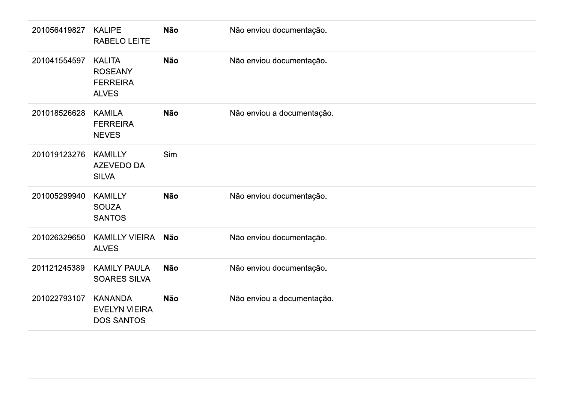| 201056419827 | <b>KALIPE</b><br>RABELO LEITE                                      | <b>Não</b> | Não enviou documentação.   |
|--------------|--------------------------------------------------------------------|------------|----------------------------|
| 201041554597 | <b>KALITA</b><br><b>ROSEANY</b><br><b>FERREIRA</b><br><b>ALVES</b> | Não        | Não enviou documentação.   |
| 201018526628 | <b>KAMILA</b><br><b>FERREIRA</b><br><b>NEVES</b>                   | <b>Não</b> | Não enviou a documentação. |
| 201019123276 | <b>KAMILLY</b><br>AZEVEDO DA<br><b>SILVA</b>                       | Sim        |                            |
| 201005299940 | <b>KAMILLY</b><br><b>SOUZA</b><br><b>SANTOS</b>                    | Não        | Não enviou documentação.   |
| 201026329650 | <b>KAMILLY VIEIRA</b><br><b>ALVES</b>                              | Não        | Não enviou documentação.   |
| 201121245389 | <b>KAMILY PAULA</b><br><b>SOARES SILVA</b>                         | Não        | Não enviou documentação.   |
| 201022793107 | <b>KANANDA</b><br><b>EVELYN VIEIRA</b><br><b>DOS SANTOS</b>        | Não        | Não enviou a documentação. |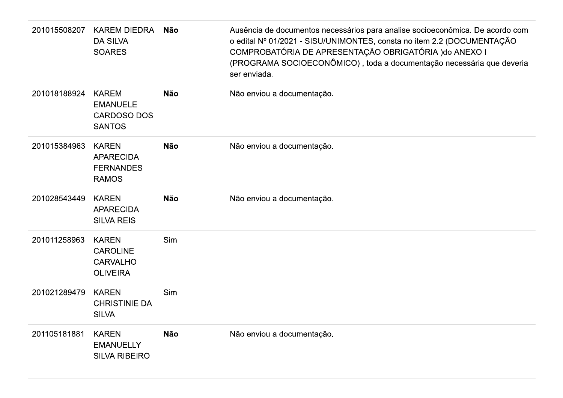| 201015508207 | KAREM DIEDRA<br><b>DA SILVA</b><br><b>SOARES</b>                       | <b>Não</b> | Ausência de documentos necessários para analise socioeconômica. De acordo com<br>o edital Nº 01/2021 - SISU/UNIMONTES, consta no item 2.2 (DOCUMENTAÇÃO<br>COMPROBATÓRIA DE APRESENTAÇÃO OBRIGATÓRIA ) do ANEXO I<br>(PROGRAMA SOCIOECONÔMICO), toda a documentação necessária que deveria<br>ser enviada. |
|--------------|------------------------------------------------------------------------|------------|------------------------------------------------------------------------------------------------------------------------------------------------------------------------------------------------------------------------------------------------------------------------------------------------------------|
| 201018188924 | <b>KAREM</b><br><b>EMANUELE</b><br><b>CARDOSO DOS</b><br><b>SANTOS</b> | <b>Não</b> | Não enviou a documentação.                                                                                                                                                                                                                                                                                 |
| 201015384963 | <b>KAREN</b><br><b>APARECIDA</b><br><b>FERNANDES</b><br><b>RAMOS</b>   | <b>Não</b> | Não enviou a documentação.                                                                                                                                                                                                                                                                                 |
| 201028543449 | <b>KAREN</b><br><b>APARECIDA</b><br><b>SILVA REIS</b>                  | <b>Não</b> | Não enviou a documentação.                                                                                                                                                                                                                                                                                 |
| 201011258963 | <b>KAREN</b><br><b>CAROLINE</b><br><b>CARVALHO</b><br><b>OLIVEIRA</b>  | Sim        |                                                                                                                                                                                                                                                                                                            |
| 201021289479 | <b>KAREN</b><br><b>CHRISTINIE DA</b><br><b>SILVA</b>                   | Sim        |                                                                                                                                                                                                                                                                                                            |
| 201105181881 | <b>KAREN</b><br><b>EMANUELLY</b><br><b>SILVA RIBEIRO</b>               | <b>Não</b> | Não enviou a documentação.                                                                                                                                                                                                                                                                                 |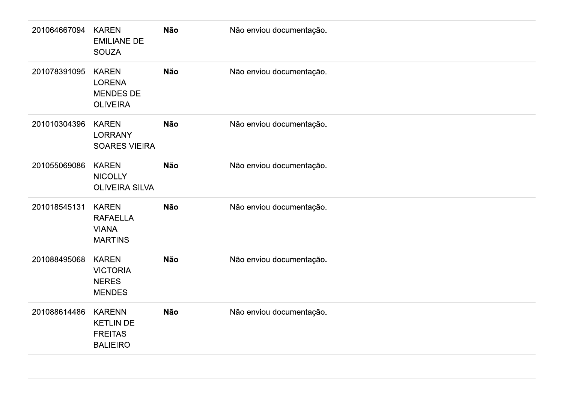| 201064667094 | <b>KAREN</b><br><b>EMILIANE DE</b><br><b>SOUZA</b>                     | <b>Não</b> | Não enviou documentação. |  |
|--------------|------------------------------------------------------------------------|------------|--------------------------|--|
| 201078391095 | <b>KAREN</b><br><b>LORENA</b><br><b>MENDES DE</b><br><b>OLIVEIRA</b>   | Não        | Não enviou documentação. |  |
| 201010304396 | <b>KAREN</b><br><b>LORRANY</b><br><b>SOARES VIEIRA</b>                 | Não        | Não enviou documentação. |  |
| 201055069086 | <b>KAREN</b><br><b>NICOLLY</b><br><b>OLIVEIRA SILVA</b>                | <b>Não</b> | Não enviou documentação. |  |
| 201018545131 | <b>KAREN</b><br><b>RAFAELLA</b><br><b>VIANA</b><br><b>MARTINS</b>      | Não        | Não enviou documentação. |  |
| 201088495068 | <b>KAREN</b><br><b>VICTORIA</b><br><b>NERES</b><br><b>MENDES</b>       | Não        | Não enviou documentação. |  |
| 201088614486 | <b>KARENN</b><br><b>KETLIN DE</b><br><b>FREITAS</b><br><b>BALIEIRO</b> | Não        | Não enviou documentação. |  |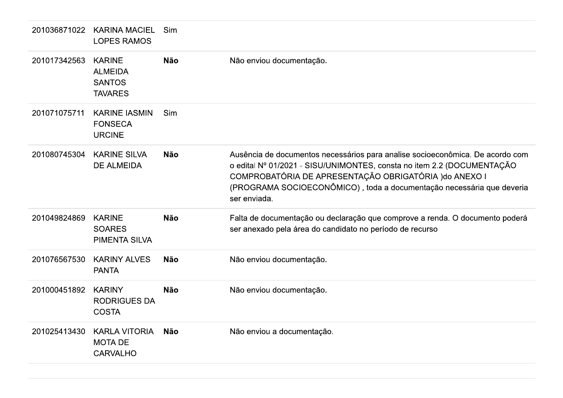| 201036871022 | <b>KARINA MACIEL</b><br><b>LOPES RAMOS</b>                         | Sim        |                                                                                                                                                                                                                                                                                                            |
|--------------|--------------------------------------------------------------------|------------|------------------------------------------------------------------------------------------------------------------------------------------------------------------------------------------------------------------------------------------------------------------------------------------------------------|
| 201017342563 | <b>KARINE</b><br><b>ALMEIDA</b><br><b>SANTOS</b><br><b>TAVARES</b> | <b>Não</b> | Não enviou documentação.                                                                                                                                                                                                                                                                                   |
| 201071075711 | <b>KARINE IASMIN</b><br><b>FONSECA</b><br><b>URCINE</b>            | Sim        |                                                                                                                                                                                                                                                                                                            |
| 201080745304 | <b>KARINE SILVA</b><br><b>DE ALMEIDA</b>                           | <b>Não</b> | Ausência de documentos necessários para analise socioeconômica. De acordo com<br>o edital Nº 01/2021 - SISU/UNIMONTES, consta no item 2.2 (DOCUMENTAÇÃO<br>COMPROBATÓRIA DE APRESENTAÇÃO OBRIGATÓRIA ) do ANEXO I<br>(PROGRAMA SOCIOECONÔMICO), toda a documentação necessária que deveria<br>ser enviada. |
| 201049824869 | <b>KARINE</b><br><b>SOARES</b><br><b>PIMENTA SILVA</b>             | <b>Não</b> | Falta de documentação ou declaração que comprove a renda. O documento poderá<br>ser anexado pela área do candidato no período de recurso                                                                                                                                                                   |
| 201076567530 | <b>KARINY ALVES</b><br><b>PANTA</b>                                | <b>Não</b> | Não enviou documentação.                                                                                                                                                                                                                                                                                   |
| 201000451892 | <b>KARINY</b><br><b>RODRIGUES DA</b><br><b>COSTA</b>               | <b>Não</b> | Não enviou documentação.                                                                                                                                                                                                                                                                                   |
| 201025413430 | <b>KARLA VITORIA</b><br><b>MOTA DE</b><br><b>CARVALHO</b>          | <b>Não</b> | Não enviou a documentação.                                                                                                                                                                                                                                                                                 |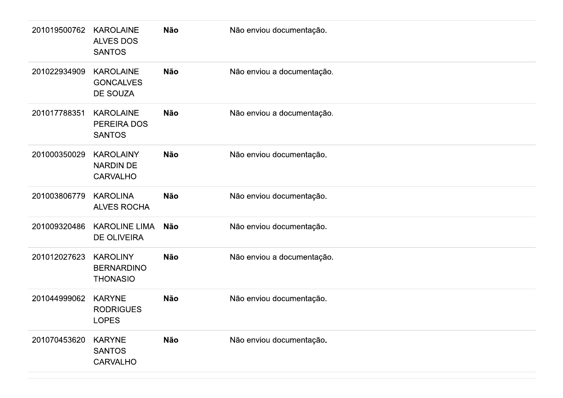| 201019500762 | <b>KAROLAINE</b><br><b>ALVES DOS</b><br><b>SANTOS</b>   | Não        | Não enviou documentação.   |
|--------------|---------------------------------------------------------|------------|----------------------------|
| 201022934909 | <b>KAROLAINE</b><br><b>GONCALVES</b><br>DE SOUZA        | <b>Não</b> | Não enviou a documentação. |
| 201017788351 | <b>KAROLAINE</b><br>PEREIRA DOS<br><b>SANTOS</b>        | Não        | Não enviou a documentação. |
| 201000350029 | <b>KAROLAINY</b><br><b>NARDIN DE</b><br><b>CARVALHO</b> | Não        | Não enviou documentação.   |
| 201003806779 | <b>KAROLINA</b><br><b>ALVES ROCHA</b>                   | <b>Não</b> | Não enviou documentação.   |
| 201009320486 | <b>KAROLINE LIMA</b><br><b>DE OLIVEIRA</b>              | Não        | Não enviou documentação.   |
| 201012027623 | <b>KAROLINY</b><br><b>BERNARDINO</b><br><b>THONASIO</b> | Não        | Não enviou a documentação. |
| 201044999062 | <b>KARYNE</b><br><b>RODRIGUES</b><br><b>LOPES</b>       | Não        | Não enviou documentação.   |
| 201070453620 | <b>KARYNE</b><br><b>SANTOS</b><br><b>CARVALHO</b>       | Não        | Não enviou documentação.   |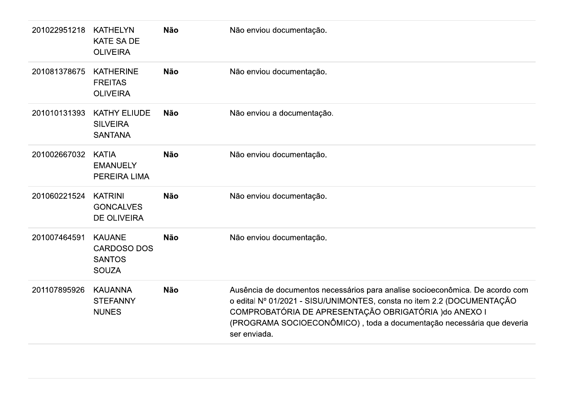| 201022951218 | <b>KATHELYN</b><br><b>KATE SA DE</b><br><b>OLIVEIRA</b>              | <b>Não</b> | Não enviou documentação.                                                                                                                                                                                                                                                                                   |
|--------------|----------------------------------------------------------------------|------------|------------------------------------------------------------------------------------------------------------------------------------------------------------------------------------------------------------------------------------------------------------------------------------------------------------|
| 201081378675 | <b>KATHERINE</b><br><b>FREITAS</b><br><b>OLIVEIRA</b>                | <b>Não</b> | Não enviou documentação.                                                                                                                                                                                                                                                                                   |
| 201010131393 | <b>KATHY ELIUDE</b><br><b>SILVEIRA</b><br><b>SANTANA</b>             | <b>Não</b> | Não enviou a documentação.                                                                                                                                                                                                                                                                                 |
| 201002667032 | <b>KATIA</b><br><b>EMANUELY</b><br>PEREIRA LIMA                      | <b>Não</b> | Não enviou documentação.                                                                                                                                                                                                                                                                                   |
| 201060221524 | <b>KATRINI</b><br><b>GONCALVES</b><br><b>DE OLIVEIRA</b>             | <b>Não</b> | Não enviou documentação.                                                                                                                                                                                                                                                                                   |
| 201007464591 | <b>KAUANE</b><br><b>CARDOSO DOS</b><br><b>SANTOS</b><br><b>SOUZA</b> | <b>Não</b> | Não enviou documentação.                                                                                                                                                                                                                                                                                   |
| 201107895926 | <b>KAUANNA</b><br><b>STEFANNY</b><br><b>NUNES</b>                    | <b>Não</b> | Ausência de documentos necessários para analise socioeconômica. De acordo com<br>o edital Nº 01/2021 - SISU/UNIMONTES, consta no item 2.2 (DOCUMENTAÇÃO<br>COMPROBATÓRIA DE APRESENTAÇÃO OBRIGATÓRIA ) do ANEXO I<br>(PROGRAMA SOCIOECONÔMICO), toda a documentação necessária que deveria<br>ser enviada. |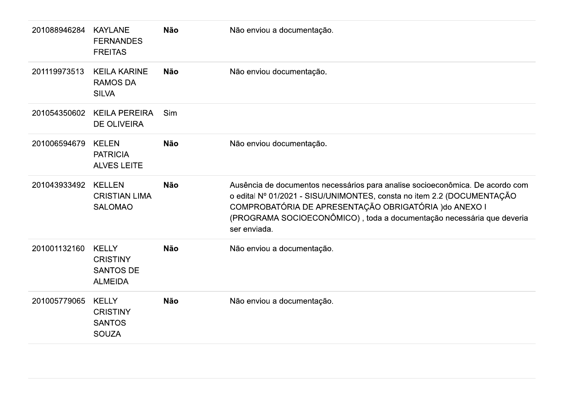| 201088946284 | <b>KAYLANE</b><br><b>FERNANDES</b><br><b>FREITAS</b>                  | <b>Não</b> | Não enviou a documentação.                                                                                                                                                                                                                                                                                 |
|--------------|-----------------------------------------------------------------------|------------|------------------------------------------------------------------------------------------------------------------------------------------------------------------------------------------------------------------------------------------------------------------------------------------------------------|
| 201119973513 | <b>KEILA KARINE</b><br><b>RAMOS DA</b><br><b>SILVA</b>                | <b>Não</b> | Não enviou documentação.                                                                                                                                                                                                                                                                                   |
| 201054350602 | <b>KEILA PEREIRA</b><br><b>DE OLIVEIRA</b>                            | Sim        |                                                                                                                                                                                                                                                                                                            |
| 201006594679 | <b>KELEN</b><br><b>PATRICIA</b><br><b>ALVES LEITE</b>                 | <b>Não</b> | Não enviou documentação.                                                                                                                                                                                                                                                                                   |
| 201043933492 | <b>KELLEN</b><br><b>CRISTIAN LIMA</b><br><b>SALOMAO</b>               | <b>Não</b> | Ausência de documentos necessários para analise socioeconômica. De acordo com<br>o edital Nº 01/2021 - SISU/UNIMONTES, consta no item 2.2 (DOCUMENTAÇÃO<br>COMPROBATÓRIA DE APRESENTAÇÃO OBRIGATÓRIA ) do ANEXO I<br>(PROGRAMA SOCIOECONÔMICO), toda a documentação necessária que deveria<br>ser enviada. |
| 201001132160 | <b>KELLY</b><br><b>CRISTINY</b><br><b>SANTOS DE</b><br><b>ALMEIDA</b> | <b>Não</b> | Não enviou a documentação.                                                                                                                                                                                                                                                                                 |
| 201005779065 | <b>KELLY</b><br><b>CRISTINY</b><br><b>SANTOS</b><br><b>SOUZA</b>      | <b>Não</b> | Não enviou a documentação.                                                                                                                                                                                                                                                                                 |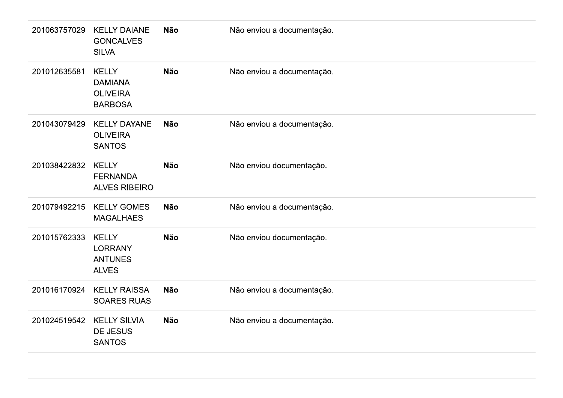| 201063757029 | <b>KELLY DAIANE</b><br><b>GONCALVES</b><br><b>SILVA</b>             | Não        | Não enviou a documentação. |
|--------------|---------------------------------------------------------------------|------------|----------------------------|
| 201012635581 | <b>KELLY</b><br><b>DAMIANA</b><br><b>OLIVEIRA</b><br><b>BARBOSA</b> | <b>Não</b> | Não enviou a documentação. |
| 201043079429 | <b>KELLY DAYANE</b><br><b>OLIVEIRA</b><br><b>SANTOS</b>             | Não        | Não enviou a documentação. |
| 201038422832 | <b>KELLY</b><br><b>FERNANDA</b><br><b>ALVES RIBEIRO</b>             | <b>Não</b> | Não enviou documentação.   |
| 201079492215 | <b>KELLY GOMES</b><br><b>MAGALHAES</b>                              | Não        | Não enviou a documentação. |
| 201015762333 | <b>KELLY</b><br><b>LORRANY</b><br><b>ANTUNES</b><br><b>ALVES</b>    | Não        | Não enviou documentação.   |
| 201016170924 | <b>KELLY RAISSA</b><br><b>SOARES RUAS</b>                           | <b>Não</b> | Não enviou a documentação. |
| 201024519542 | <b>KELLY SILVIA</b><br>DE JESUS<br><b>SANTOS</b>                    | Não        | Não enviou a documentação. |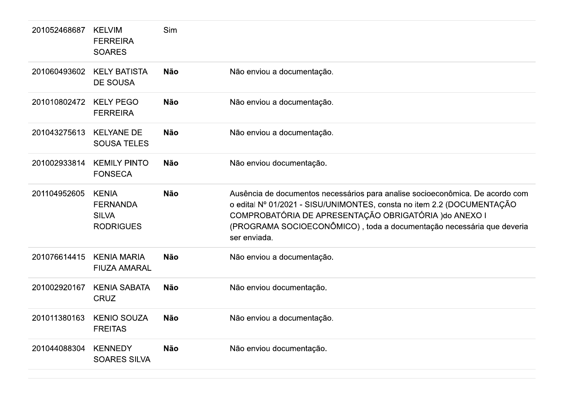| 201052468687 | <b>KELVIM</b><br><b>FERREIRA</b><br><b>SOARES</b>                   | Sim        |                                                                                                                                                                                                                                                                                                            |
|--------------|---------------------------------------------------------------------|------------|------------------------------------------------------------------------------------------------------------------------------------------------------------------------------------------------------------------------------------------------------------------------------------------------------------|
| 201060493602 | <b>KELY BATISTA</b><br><b>DE SOUSA</b>                              | <b>Não</b> | Não enviou a documentação.                                                                                                                                                                                                                                                                                 |
| 201010802472 | <b>KELY PEGO</b><br><b>FERREIRA</b>                                 | <b>Não</b> | Não enviou a documentação.                                                                                                                                                                                                                                                                                 |
| 201043275613 | <b>KELYANE DE</b><br><b>SOUSA TELES</b>                             | <b>Não</b> | Não enviou a documentação.                                                                                                                                                                                                                                                                                 |
| 201002933814 | <b>KEMILY PINTO</b><br><b>FONSECA</b>                               | <b>Não</b> | Não enviou documentação.                                                                                                                                                                                                                                                                                   |
| 201104952605 | <b>KENIA</b><br><b>FERNANDA</b><br><b>SILVA</b><br><b>RODRIGUES</b> | <b>Não</b> | Ausência de documentos necessários para analise socioeconômica. De acordo com<br>o edital Nº 01/2021 - SISU/UNIMONTES, consta no item 2.2 (DOCUMENTAÇÃO<br>COMPROBATÓRIA DE APRESENTAÇÃO OBRIGATÓRIA ) do ANEXO I<br>(PROGRAMA SOCIOECONÔMICO), toda a documentação necessária que deveria<br>ser enviada. |
| 201076614415 | <b>KENIA MARIA</b><br><b>FIUZA AMARAL</b>                           | <b>Não</b> | Não enviou a documentação.                                                                                                                                                                                                                                                                                 |
| 201002920167 | <b>KENIA SABATA</b><br><b>CRUZ</b>                                  | <b>Não</b> | Não enviou documentação.                                                                                                                                                                                                                                                                                   |
| 201011380163 | <b>KENIO SOUZA</b><br><b>FREITAS</b>                                | <b>Não</b> | Não enviou a documentação.                                                                                                                                                                                                                                                                                 |
| 201044088304 | <b>KENNEDY</b><br><b>SOARES SILVA</b>                               | <b>Não</b> | Não enviou documentação.                                                                                                                                                                                                                                                                                   |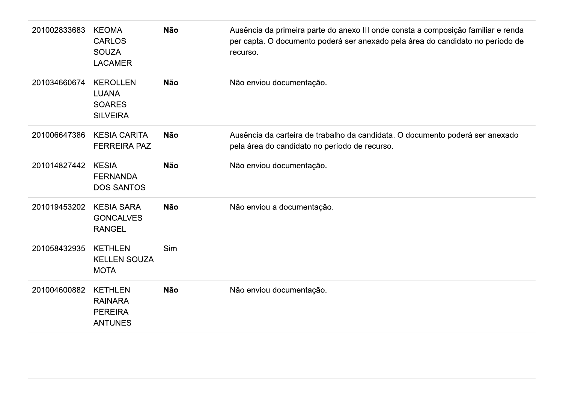| 201002833683 | <b>KEOMA</b><br><b>CARLOS</b><br><b>SOUZA</b><br><b>LACAMER</b>      | <b>Não</b> | Ausência da primeira parte do anexo III onde consta a composição familiar e renda<br>per capta. O documento poderá ser anexado pela área do candidato no período de<br>recurso. |
|--------------|----------------------------------------------------------------------|------------|---------------------------------------------------------------------------------------------------------------------------------------------------------------------------------|
| 201034660674 | <b>KEROLLEN</b><br><b>LUANA</b><br><b>SOARES</b><br><b>SILVEIRA</b>  | <b>Não</b> | Não enviou documentação.                                                                                                                                                        |
| 201006647386 | <b>KESIA CARITA</b><br><b>FERREIRA PAZ</b>                           | <b>Não</b> | Ausência da carteira de trabalho da candidata. O documento poderá ser anexado<br>pela área do candidato no período de recurso.                                                  |
| 201014827442 | <b>KESIA</b><br><b>FERNANDA</b><br><b>DOS SANTOS</b>                 | <b>Não</b> | Não enviou documentação.                                                                                                                                                        |
| 201019453202 | <b>KESIA SARA</b><br><b>GONCALVES</b><br><b>RANGEL</b>               | <b>Não</b> | Não enviou a documentação.                                                                                                                                                      |
| 201058432935 | <b>KETHLEN</b><br><b>KELLEN SOUZA</b><br><b>MOTA</b>                 | Sim        |                                                                                                                                                                                 |
| 201004600882 | <b>KETHLEN</b><br><b>RAINARA</b><br><b>PEREIRA</b><br><b>ANTUNES</b> | <b>Não</b> | Não enviou documentação.                                                                                                                                                        |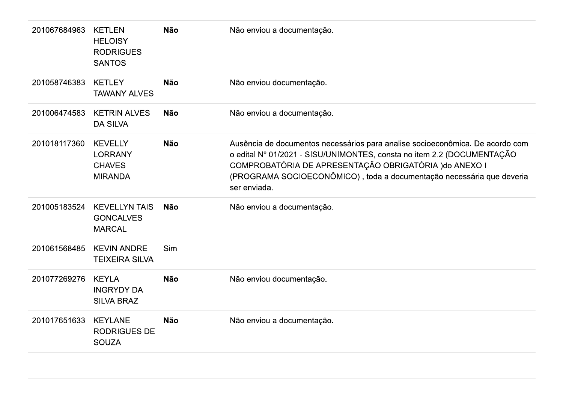| 201067684963 | <b>KETLEN</b><br><b>HELOISY</b><br><b>RODRIGUES</b><br><b>SANTOS</b> | <b>Não</b> | Não enviou a documentação.                                                                                                                                                                                                                                                                                 |
|--------------|----------------------------------------------------------------------|------------|------------------------------------------------------------------------------------------------------------------------------------------------------------------------------------------------------------------------------------------------------------------------------------------------------------|
| 201058746383 | <b>KETLEY</b><br><b>TAWANY ALVES</b>                                 | <b>Não</b> | Não enviou documentação.                                                                                                                                                                                                                                                                                   |
| 201006474583 | <b>KETRIN ALVES</b><br><b>DA SILVA</b>                               | <b>Não</b> | Não enviou a documentação.                                                                                                                                                                                                                                                                                 |
| 201018117360 | <b>KEVELLY</b><br><b>LORRANY</b><br><b>CHAVES</b><br><b>MIRANDA</b>  | <b>Não</b> | Ausência de documentos necessários para analise socioeconômica. De acordo com<br>o edital Nº 01/2021 - SISU/UNIMONTES, consta no item 2.2 (DOCUMENTAÇÃO<br>COMPROBATÓRIA DE APRESENTAÇÃO OBRIGATÓRIA ) do ANEXO I<br>(PROGRAMA SOCIOECONÔMICO), toda a documentação necessária que deveria<br>ser enviada. |
| 201005183524 | <b>KEVELLYN TAIS</b><br><b>GONCALVES</b><br><b>MARCAL</b>            | <b>Não</b> | Não enviou a documentação.                                                                                                                                                                                                                                                                                 |
| 201061568485 | <b>KEVIN ANDRE</b><br><b>TEIXEIRA SILVA</b>                          | <b>Sim</b> |                                                                                                                                                                                                                                                                                                            |
| 201077269276 | <b>KEYLA</b><br><b>INGRYDY DA</b><br><b>SILVA BRAZ</b>               | <b>Não</b> | Não enviou documentação.                                                                                                                                                                                                                                                                                   |
| 201017651633 | <b>KEYLANE</b><br><b>RODRIGUES DE</b><br><b>SOUZA</b>                | <b>Não</b> | Não enviou a documentação.                                                                                                                                                                                                                                                                                 |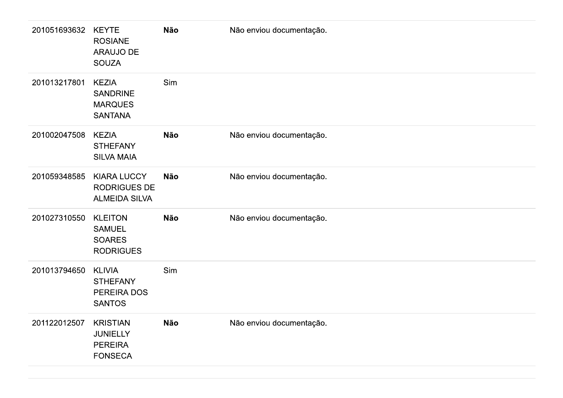| 201051693632 | <b>KEYTE</b><br><b>ROSIANE</b><br><b>ARAUJO DE</b><br><b>SOUZA</b>     | Não        | Não enviou documentação. |
|--------------|------------------------------------------------------------------------|------------|--------------------------|
| 201013217801 | <b>KEZIA</b><br><b>SANDRINE</b><br><b>MARQUES</b><br><b>SANTANA</b>    | Sim        |                          |
| 201002047508 | <b>KEZIA</b><br><b>STHEFANY</b><br><b>SILVA MAIA</b>                   | <b>Não</b> | Não enviou documentação. |
| 201059348585 | <b>KIARA LUCCY</b><br><b>RODRIGUES DE</b><br><b>ALMEIDA SILVA</b>      | <b>Não</b> | Não enviou documentação. |
| 201027310550 | <b>KLEITON</b><br><b>SAMUEL</b><br><b>SOARES</b><br><b>RODRIGUES</b>   | <b>Não</b> | Não enviou documentação. |
| 201013794650 | <b>KLIVIA</b><br><b>STHEFANY</b><br>PEREIRA DOS<br><b>SANTOS</b>       | Sim        |                          |
| 201122012507 | <b>KRISTIAN</b><br><b>JUNIELLY</b><br><b>PEREIRA</b><br><b>FONSECA</b> | <b>Não</b> | Não enviou documentação. |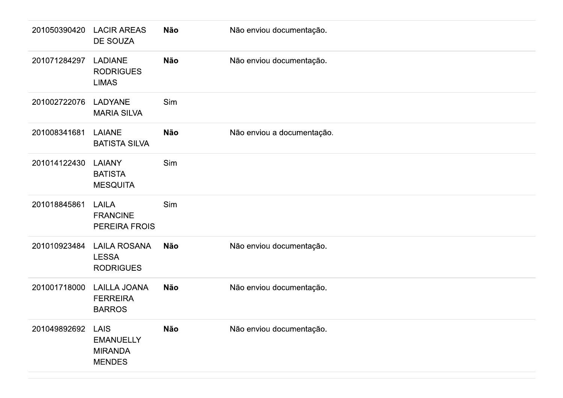| 201050390420 | <b>LACIR AREAS</b><br><b>DE SOUZA</b>                              | <b>Não</b> | Não enviou documentação.   |
|--------------|--------------------------------------------------------------------|------------|----------------------------|
| 201071284297 | <b>LADIANE</b><br><b>RODRIGUES</b><br><b>LIMAS</b>                 | <b>Não</b> | Não enviou documentação.   |
| 201002722076 | <b>LADYANE</b><br><b>MARIA SILVA</b>                               | Sim        |                            |
| 201008341681 | <b>LAIANE</b><br><b>BATISTA SILVA</b>                              | <b>Não</b> | Não enviou a documentação. |
| 201014122430 | <b>LAIANY</b><br><b>BATISTA</b><br><b>MESQUITA</b>                 | Sim        |                            |
| 201018845861 | <b>LAILA</b><br><b>FRANCINE</b><br>PEREIRA FROIS                   | Sim        |                            |
| 201010923484 | <b>LAILA ROSANA</b><br><b>LESSA</b><br><b>RODRIGUES</b>            | <b>Não</b> | Não enviou documentação.   |
| 201001718000 | <b>LAILLA JOANA</b><br><b>FERREIRA</b><br><b>BARROS</b>            | <b>Não</b> | Não enviou documentação.   |
| 201049892692 | <b>LAIS</b><br><b>EMANUELLY</b><br><b>MIRANDA</b><br><b>MENDES</b> | <b>Não</b> | Não enviou documentação.   |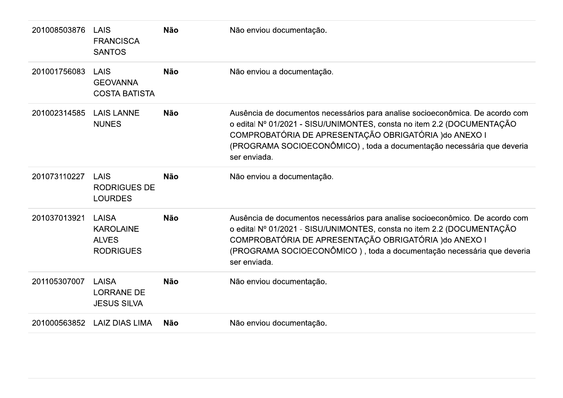| 201008503876 | LAIS<br><b>FRANCISCA</b><br><b>SANTOS</b>                     | <b>Não</b> | Não enviou documentação.                                                                                                                                                                                                                                                                                   |
|--------------|---------------------------------------------------------------|------------|------------------------------------------------------------------------------------------------------------------------------------------------------------------------------------------------------------------------------------------------------------------------------------------------------------|
| 201001756083 | LAIS<br><b>GEOVANNA</b><br><b>COSTA BATISTA</b>               | <b>Não</b> | Não enviou a documentação.                                                                                                                                                                                                                                                                                 |
| 201002314585 | <b>LAIS LANNE</b><br><b>NUNES</b>                             | <b>Não</b> | Ausência de documentos necessários para analise socioeconômica. De acordo com<br>o edital Nº 01/2021 - SISU/UNIMONTES, consta no item 2.2 (DOCUMENTAÇÃO<br>COMPROBATÓRIA DE APRESENTAÇÃO OBRIGATÓRIA ) do ANEXO I<br>(PROGRAMA SOCIOECONÔMICO), toda a documentação necessária que deveria<br>ser enviada. |
| 201073110227 | <b>LAIS</b><br><b>RODRIGUES DE</b><br><b>LOURDES</b>          | <b>Não</b> | Não enviou a documentação.                                                                                                                                                                                                                                                                                 |
| 201037013921 | LAISA<br><b>KAROLAINE</b><br><b>ALVES</b><br><b>RODRIGUES</b> | <b>Não</b> | Ausência de documentos necessários para analise socioeconômico. De acordo com<br>o edital Nº 01/2021 - SISU/UNIMONTES, consta no item 2.2 (DOCUMENTAÇÃO<br>COMPROBATÓRIA DE APRESENTAÇÃO OBRIGATÓRIA ) do ANEXO I<br>(PROGRAMA SOCIOECONÔMICO), toda a documentação necessária que deveria<br>ser enviada. |
| 201105307007 | <b>LAISA</b><br><b>LORRANE DE</b><br><b>JESUS SILVA</b>       | <b>Não</b> | Não enviou documentação.                                                                                                                                                                                                                                                                                   |
| 201000563852 | <b>LAIZ DIAS LIMA</b>                                         | <b>Não</b> | Não enviou documentação.                                                                                                                                                                                                                                                                                   |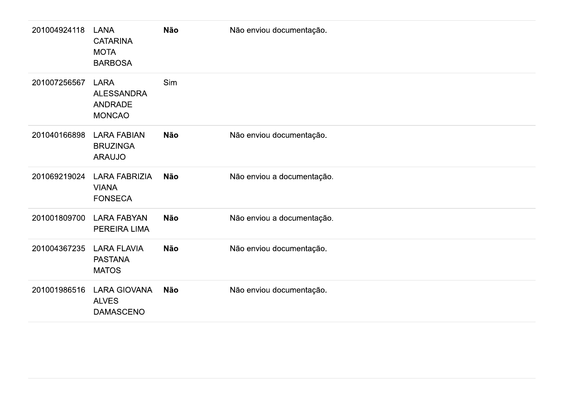| 201004924118 | <b>LANA</b><br><b>CATARINA</b><br><b>MOTA</b><br><b>BARBOSA</b>     | <b>Não</b> | Não enviou documentação.   |
|--------------|---------------------------------------------------------------------|------------|----------------------------|
| 201007256567 | <b>LARA</b><br><b>ALESSANDRA</b><br><b>ANDRADE</b><br><b>MONCAO</b> | Sim        |                            |
| 201040166898 | <b>LARA FABIAN</b><br><b>BRUZINGA</b><br><b>ARAUJO</b>              | <b>Não</b> | Não enviou documentação.   |
| 201069219024 | <b>LARA FABRIZIA</b><br><b>VIANA</b><br><b>FONSECA</b>              | <b>Não</b> | Não enviou a documentação. |
| 201001809700 | <b>LARA FABYAN</b><br>PEREIRA LIMA                                  | <b>Não</b> | Não enviou a documentação. |
| 201004367235 | <b>LARA FLAVIA</b><br><b>PASTANA</b><br><b>MATOS</b>                | <b>Não</b> | Não enviou documentação.   |
| 201001986516 | <b>LARA GIOVANA</b><br><b>ALVES</b><br><b>DAMASCENO</b>             | <b>Não</b> | Não enviou documentação.   |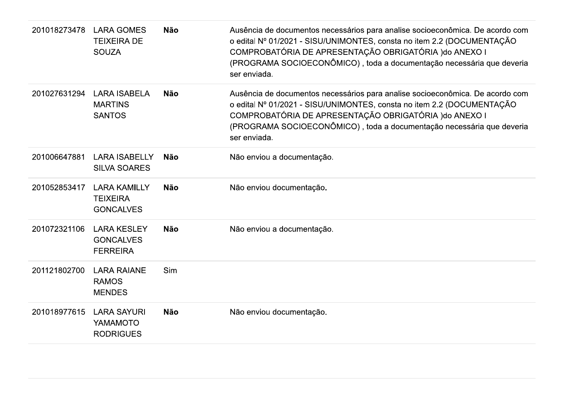| 201018273478 | <b>LARA GOMES</b><br><b>TEIXEIRA DE</b><br><b>SOUZA</b>    | <b>Não</b> | Ausência de documentos necessários para analise socioeconômica. De acordo com<br>o edital Nº 01/2021 - SISU/UNIMONTES, consta no item 2.2 (DOCUMENTAÇÃO<br>COMPROBATÓRIA DE APRESENTAÇÃO OBRIGATÓRIA ) do ANEXO I<br>(PROGRAMA SOCIOECONÔMICO), toda a documentação necessária que deveria<br>ser enviada. |
|--------------|------------------------------------------------------------|------------|------------------------------------------------------------------------------------------------------------------------------------------------------------------------------------------------------------------------------------------------------------------------------------------------------------|
| 201027631294 | <b>LARA ISABELA</b><br><b>MARTINS</b><br><b>SANTOS</b>     | <b>Não</b> | Ausência de documentos necessários para analise socioeconômica. De acordo com<br>o edital Nº 01/2021 - SISU/UNIMONTES, consta no item 2.2 (DOCUMENTAÇÃO<br>COMPROBATÓRIA DE APRESENTAÇÃO OBRIGATÓRIA ) do ANEXO I<br>(PROGRAMA SOCIOECONÔMICO), toda a documentação necessária que deveria<br>ser enviada. |
| 201006647881 | <b>LARA ISABELLY</b><br><b>SILVA SOARES</b>                | <b>Não</b> | Não enviou a documentação.                                                                                                                                                                                                                                                                                 |
| 201052853417 | <b>LARA KAMILLY</b><br><b>TEIXEIRA</b><br><b>GONCALVES</b> | <b>Não</b> | Não enviou documentação.                                                                                                                                                                                                                                                                                   |
| 201072321106 | <b>LARA KESLEY</b><br><b>GONCALVES</b><br><b>FERREIRA</b>  | <b>Não</b> | Não enviou a documentação.                                                                                                                                                                                                                                                                                 |
| 201121802700 | <b>LARA RAIANE</b><br><b>RAMOS</b><br><b>MENDES</b>        | Sim        |                                                                                                                                                                                                                                                                                                            |
| 201018977615 | <b>LARA SAYURI</b><br>YAMAMOTO<br><b>RODRIGUES</b>         | <b>Não</b> | Não enviou documentação.                                                                                                                                                                                                                                                                                   |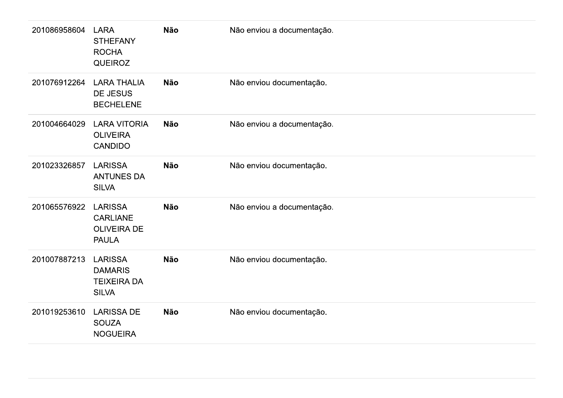| 201086958604 | <b>LARA</b><br><b>STHEFANY</b><br><b>ROCHA</b><br><b>QUEIROZ</b>        | <b>Não</b> | Não enviou a documentação. |
|--------------|-------------------------------------------------------------------------|------------|----------------------------|
| 201076912264 | <b>LARA THALIA</b><br>DE JESUS<br><b>BECHELENE</b>                      | <b>Não</b> | Não enviou documentação.   |
| 201004664029 | <b>LARA VITORIA</b><br><b>OLIVEIRA</b><br><b>CANDIDO</b>                | <b>Não</b> | Não enviou a documentação. |
| 201023326857 | <b>LARISSA</b><br><b>ANTUNES DA</b><br><b>SILVA</b>                     | <b>Não</b> | Não enviou documentação.   |
| 201065576922 | <b>LARISSA</b><br><b>CARLIANE</b><br><b>OLIVEIRA DE</b><br><b>PAULA</b> | <b>Não</b> | Não enviou a documentação. |
| 201007887213 | <b>LARISSA</b><br><b>DAMARIS</b><br><b>TEIXEIRA DA</b><br><b>SILVA</b>  | <b>Não</b> | Não enviou documentação.   |
| 201019253610 | <b>LARISSA DE</b><br><b>SOUZA</b><br><b>NOGUEIRA</b>                    | <b>Não</b> | Não enviou documentação.   |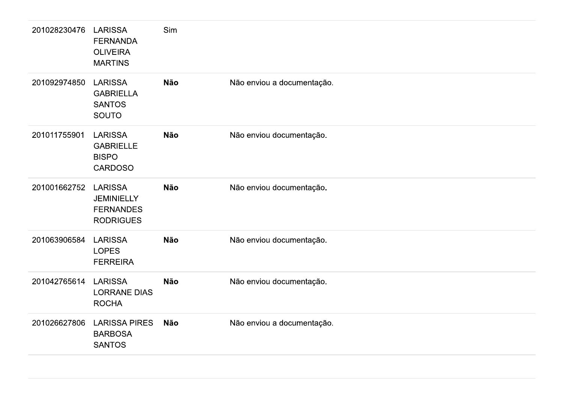| 201028230476 | <b>LARISSA</b><br><b>FERNANDA</b><br><b>OLIVEIRA</b><br><b>MARTINS</b>      | Sim        |                            |
|--------------|-----------------------------------------------------------------------------|------------|----------------------------|
| 201092974850 | <b>LARISSA</b><br><b>GABRIELLA</b><br><b>SANTOS</b><br><b>SOUTO</b>         | <b>Não</b> | Não enviou a documentação. |
| 201011755901 | <b>LARISSA</b><br><b>GABRIELLE</b><br><b>BISPO</b><br><b>CARDOSO</b>        | <b>Não</b> | Não enviou documentação.   |
| 201001662752 | <b>LARISSA</b><br><b>JEMINIELLY</b><br><b>FERNANDES</b><br><b>RODRIGUES</b> | <b>Não</b> | Não enviou documentação.   |
| 201063906584 | <b>LARISSA</b><br><b>LOPES</b><br><b>FERREIRA</b>                           | <b>Não</b> | Não enviou documentação.   |
| 201042765614 | <b>LARISSA</b><br><b>LORRANE DIAS</b><br><b>ROCHA</b>                       | <b>Não</b> | Não enviou documentação.   |
| 201026627806 | <b>LARISSA PIRES</b><br><b>BARBOSA</b><br><b>SANTOS</b>                     | <b>Não</b> | Não enviou a documentação. |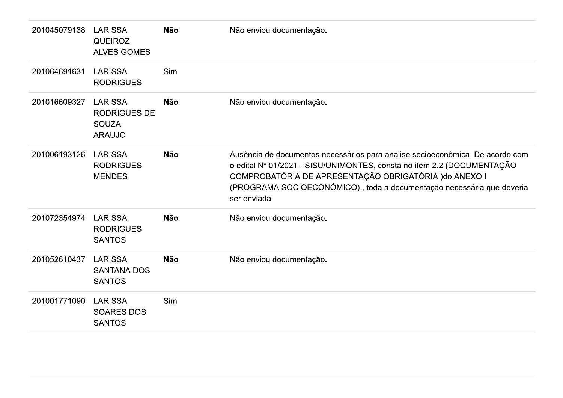| 201045079138 | <b>LARISSA</b><br><b>QUEIROZ</b><br><b>ALVES GOMES</b>                 | <b>Não</b> | Não enviou documentação.                                                                                                                                                                                                                                                                                   |
|--------------|------------------------------------------------------------------------|------------|------------------------------------------------------------------------------------------------------------------------------------------------------------------------------------------------------------------------------------------------------------------------------------------------------------|
| 201064691631 | <b>LARISSA</b><br><b>RODRIGUES</b>                                     | Sim        |                                                                                                                                                                                                                                                                                                            |
| 201016609327 | <b>LARISSA</b><br><b>RODRIGUES DE</b><br><b>SOUZA</b><br><b>ARAUJO</b> | <b>Não</b> | Não enviou documentação.                                                                                                                                                                                                                                                                                   |
| 201006193126 | <b>LARISSA</b><br><b>RODRIGUES</b><br><b>MENDES</b>                    | <b>Não</b> | Ausência de documentos necessários para analise socioeconômica. De acordo com<br>o edital Nº 01/2021 - SISU/UNIMONTES, consta no item 2.2 (DOCUMENTAÇÃO<br>COMPROBATÓRIA DE APRESENTAÇÃO OBRIGATÓRIA ) do ANEXO I<br>(PROGRAMA SOCIOECONÔMICO), toda a documentação necessária que deveria<br>ser enviada. |
| 201072354974 | <b>LARISSA</b><br><b>RODRIGUES</b><br><b>SANTOS</b>                    | <b>Não</b> | Não enviou documentação.                                                                                                                                                                                                                                                                                   |
| 201052610437 | <b>LARISSA</b><br><b>SANTANA DOS</b><br><b>SANTOS</b>                  | <b>Não</b> | Não enviou documentação.                                                                                                                                                                                                                                                                                   |
| 201001771090 | <b>LARISSA</b><br><b>SOARES DOS</b><br><b>SANTOS</b>                   | Sim        |                                                                                                                                                                                                                                                                                                            |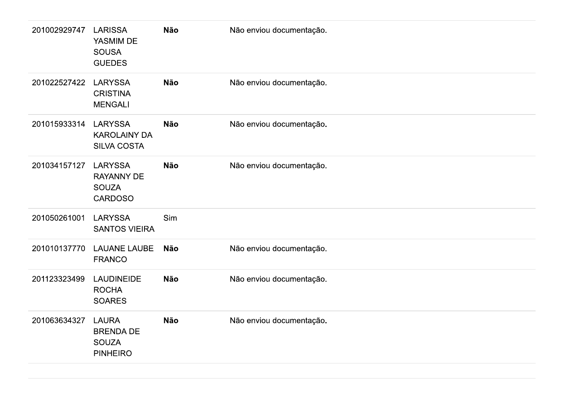| 201002929747 | <b>LARISSA</b><br>YASMIM DE<br><b>SOUSA</b><br><b>GUEDES</b>          | Não        | Não enviou documentação. |
|--------------|-----------------------------------------------------------------------|------------|--------------------------|
| 201022527422 | <b>LARYSSA</b><br><b>CRISTINA</b><br><b>MENGALI</b>                   | Não        | Não enviou documentação. |
| 201015933314 | LARYSSA<br><b>KAROLAINY DA</b><br>SILVA COSTA                         | <b>Não</b> | Não enviou documentação. |
| 201034157127 | <b>LARYSSA</b><br><b>RAYANNY DE</b><br><b>SOUZA</b><br><b>CARDOSO</b> | <b>Não</b> | Não enviou documentação. |
| 201050261001 | <b>LARYSSA</b><br><b>SANTOS VIEIRA</b>                                | Sim        |                          |
| 201010137770 | <b>LAUANE LAUBE</b><br><b>FRANCO</b>                                  | <b>Não</b> | Não enviou documentação. |
| 201123323499 | <b>LAUDINEIDE</b><br><b>ROCHA</b><br><b>SOARES</b>                    | Não        | Não enviou documentação. |
| 201063634327 | <b>LAURA</b><br><b>BRENDA DE</b><br><b>SOUZA</b><br><b>PINHEIRO</b>   | Não        | Não enviou documentação. |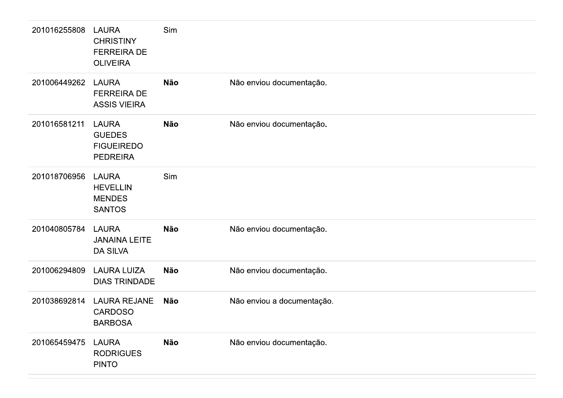| 201016255808 | <b>LAURA</b><br><b>CHRISTINY</b><br><b>FERREIRA DE</b><br><b>OLIVEIRA</b> | Sim        |                            |
|--------------|---------------------------------------------------------------------------|------------|----------------------------|
| 201006449262 | <b>LAURA</b><br><b>FERREIRA DE</b><br><b>ASSIS VIEIRA</b>                 | <b>Não</b> | Não enviou documentação.   |
| 201016581211 | <b>LAURA</b><br><b>GUEDES</b><br><b>FIGUEIREDO</b><br><b>PEDREIRA</b>     | <b>Não</b> | Não enviou documentação.   |
| 201018706956 | <b>LAURA</b><br><b>HEVELLIN</b><br><b>MENDES</b><br><b>SANTOS</b>         | Sim        |                            |
| 201040805784 | <b>LAURA</b><br><b>JANAINA LEITE</b><br><b>DA SILVA</b>                   | <b>Não</b> | Não enviou documentação.   |
| 201006294809 | <b>LAURA LUIZA</b><br><b>DIAS TRINDADE</b>                                | <b>Não</b> | Não enviou documentação.   |
| 201038692814 | <b>LAURA REJANE</b><br><b>CARDOSO</b><br><b>BARBOSA</b>                   | Não        | Não enviou a documentação. |
| 201065459475 | <b>LAURA</b><br><b>RODRIGUES</b><br><b>PINTO</b>                          | <b>Não</b> | Não enviou documentação.   |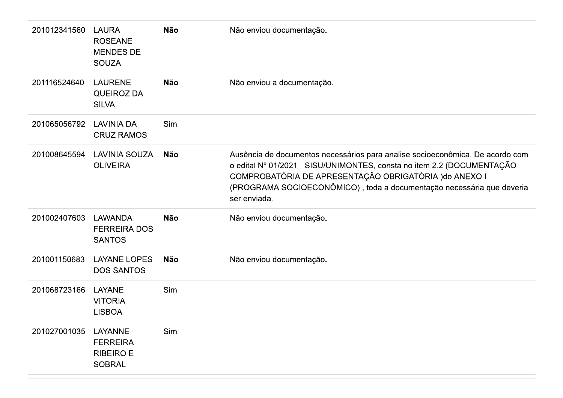| 201012341560 | <b>LAURA</b><br><b>ROSEANE</b><br><b>MENDES DE</b><br><b>SOUZA</b> | <b>Não</b> | Não enviou documentação.                                                                                                                                                                                                                                                                                   |
|--------------|--------------------------------------------------------------------|------------|------------------------------------------------------------------------------------------------------------------------------------------------------------------------------------------------------------------------------------------------------------------------------------------------------------|
| 201116524640 | <b>LAURENE</b><br><b>QUEIROZ DA</b><br><b>SILVA</b>                | <b>Não</b> | Não enviou a documentação.                                                                                                                                                                                                                                                                                 |
| 201065056792 | <b>LAVINIA DA</b><br><b>CRUZ RAMOS</b>                             | Sim        |                                                                                                                                                                                                                                                                                                            |
| 201008645594 | <b>LAVINIA SOUZA</b><br><b>OLIVEIRA</b>                            | Não        | Ausência de documentos necessários para analise socioeconômica. De acordo com<br>o edital Nº 01/2021 - SISU/UNIMONTES, consta no item 2.2 (DOCUMENTAÇÃO<br>COMPROBATÓRIA DE APRESENTAÇÃO OBRIGATÓRIA ) do ANEXO I<br>(PROGRAMA SOCIOECONÔMICO), toda a documentação necessária que deveria<br>ser enviada. |
| 201002407603 | LAWANDA<br><b>FERREIRA DOS</b><br><b>SANTOS</b>                    | <b>Não</b> | Não enviou documentação.                                                                                                                                                                                                                                                                                   |
| 201001150683 | <b>LAYANE LOPES</b><br><b>DOS SANTOS</b>                           | <b>Não</b> | Não enviou documentação.                                                                                                                                                                                                                                                                                   |
| 201068723166 | LAYANE<br><b>VITORIA</b><br><b>LISBOA</b>                          | Sim        |                                                                                                                                                                                                                                                                                                            |
| 201027001035 | LAYANNE<br><b>FERREIRA</b><br><b>RIBEIRO E</b><br><b>SOBRAL</b>    | Sim        |                                                                                                                                                                                                                                                                                                            |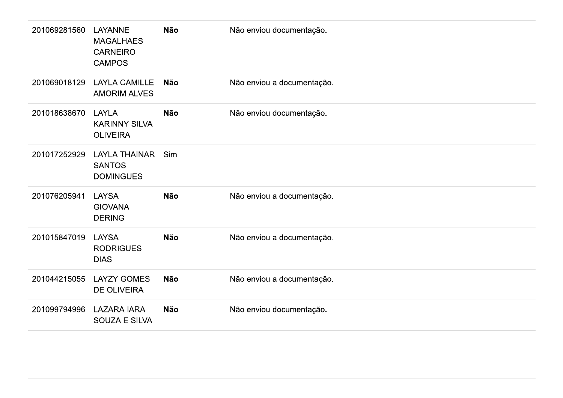| 201069281560 | LAYANNE<br><b>MAGALHAES</b><br><b>CARNEIRO</b><br><b>CAMPOS</b> | <b>Não</b> | Não enviou documentação.   |
|--------------|-----------------------------------------------------------------|------------|----------------------------|
| 201069018129 | <b>LAYLA CAMILLE</b><br><b>AMORIM ALVES</b>                     | <b>Não</b> | Não enviou a documentação. |
| 201018638670 | <b>LAYLA</b><br><b>KARINNY SILVA</b><br><b>OLIVEIRA</b>         | <b>Não</b> | Não enviou documentação.   |
| 201017252929 | <b>LAYLA THAINAR</b><br><b>SANTOS</b><br><b>DOMINGUES</b>       | Sim        |                            |
| 201076205941 | <b>LAYSA</b><br><b>GIOVANA</b><br><b>DERING</b>                 | <b>Não</b> | Não enviou a documentação. |
| 201015847019 | <b>LAYSA</b><br><b>RODRIGUES</b><br><b>DIAS</b>                 | <b>Não</b> | Não enviou a documentação. |
| 201044215055 | <b>LAYZY GOMES</b><br><b>DE OLIVEIRA</b>                        | <b>Não</b> | Não enviou a documentação. |
| 201099794996 | <b>LAZARA IARA</b><br><b>SOUZA E SILVA</b>                      | <b>Não</b> | Não enviou documentação.   |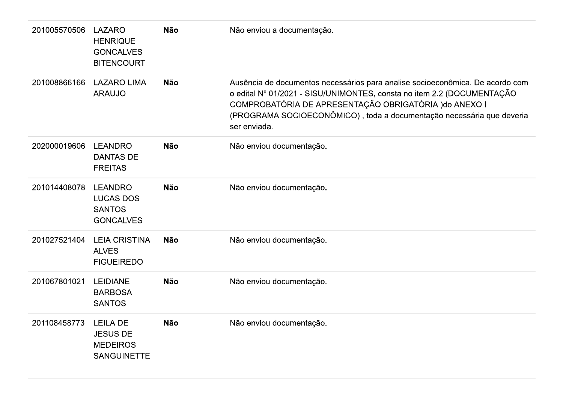| 201005570506 | <b>LAZARO</b><br><b>HENRIQUE</b><br><b>GONCALVES</b><br><b>BITENCOURT</b>   | <b>Não</b> | Não enviou a documentação.                                                                                                                                                                                                                                                                                 |
|--------------|-----------------------------------------------------------------------------|------------|------------------------------------------------------------------------------------------------------------------------------------------------------------------------------------------------------------------------------------------------------------------------------------------------------------|
| 201008866166 | <b>LAZARO LIMA</b><br><b>ARAUJO</b>                                         | <b>Não</b> | Ausência de documentos necessários para analise socioeconômica. De acordo com<br>o edital Nº 01/2021 - SISU/UNIMONTES, consta no item 2.2 (DOCUMENTAÇÃO<br>COMPROBATÓRIA DE APRESENTAÇÃO OBRIGATÓRIA ) do ANEXO I<br>(PROGRAMA SOCIOECONÔMICO), toda a documentação necessária que deveria<br>ser enviada. |
| 202000019606 | <b>LEANDRO</b><br><b>DANTAS DE</b><br><b>FREITAS</b>                        | <b>Não</b> | Não enviou documentação.                                                                                                                                                                                                                                                                                   |
| 201014408078 | <b>LEANDRO</b><br><b>LUCAS DOS</b><br><b>SANTOS</b><br><b>GONCALVES</b>     | <b>Não</b> | Não enviou documentação.                                                                                                                                                                                                                                                                                   |
| 201027521404 | <b>LEIA CRISTINA</b><br><b>ALVES</b><br><b>FIGUEIREDO</b>                   | <b>Não</b> | Não enviou documentação.                                                                                                                                                                                                                                                                                   |
| 201067801021 | <b>LEIDIANE</b><br><b>BARBOSA</b><br><b>SANTOS</b>                          | <b>Não</b> | Não enviou documentação.                                                                                                                                                                                                                                                                                   |
| 201108458773 | <b>LEILA DE</b><br><b>JESUS DE</b><br><b>MEDEIROS</b><br><b>SANGUINETTE</b> | <b>Não</b> | Não enviou documentação.                                                                                                                                                                                                                                                                                   |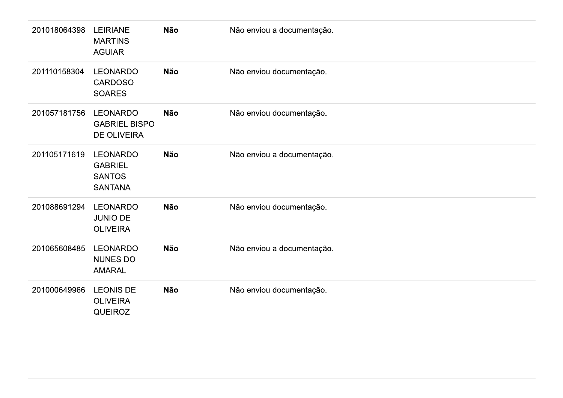| 201018064398 | <b>LEIRIANE</b><br><b>MARTINS</b><br><b>AGUIAR</b>                   | Não        | Não enviou a documentação. |
|--------------|----------------------------------------------------------------------|------------|----------------------------|
| 201110158304 | <b>LEONARDO</b><br><b>CARDOSO</b><br><b>SOARES</b>                   | Não        | Não enviou documentação.   |
| 201057181756 | <b>LEONARDO</b><br><b>GABRIEL BISPO</b><br><b>DE OLIVEIRA</b>        | Não        | Não enviou documentação.   |
| 201105171619 | <b>LEONARDO</b><br><b>GABRIEL</b><br><b>SANTOS</b><br><b>SANTANA</b> | Não        | Não enviou a documentação. |
| 201088691294 | <b>LEONARDO</b><br><b>JUNIO DE</b><br><b>OLIVEIRA</b>                | Não        | Não enviou documentação.   |
| 201065608485 | <b>LEONARDO</b><br>NUNES DO<br><b>AMARAL</b>                         | <b>Não</b> | Não enviou a documentação. |
| 201000649966 | <b>LEONIS DE</b><br><b>OLIVEIRA</b><br>QUEIROZ                       | Não        | Não enviou documentação.   |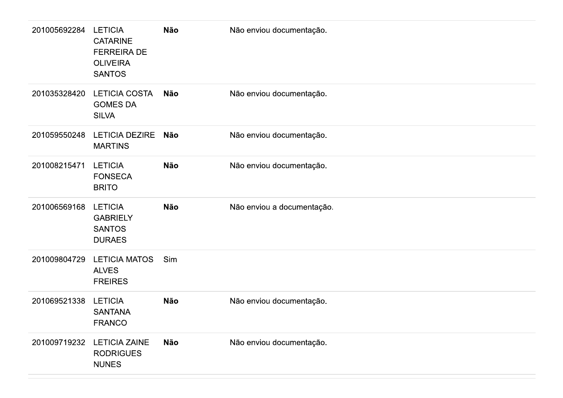| 201005692284 | <b>LETICIA</b><br><b>CATARINE</b><br><b>FERREIRA DE</b><br><b>OLIVEIRA</b><br><b>SANTOS</b> | <b>Não</b> | Não enviou documentação.   |
|--------------|---------------------------------------------------------------------------------------------|------------|----------------------------|
| 201035328420 | <b>LETICIA COSTA</b><br><b>GOMES DA</b><br><b>SILVA</b>                                     | Não        | Não enviou documentação.   |
| 201059550248 | <b>LETICIA DEZIRE</b><br><b>MARTINS</b>                                                     | Não        | Não enviou documentação.   |
| 201008215471 | <b>LETICIA</b><br><b>FONSECA</b><br><b>BRITO</b>                                            | <b>Não</b> | Não enviou documentação.   |
| 201006569168 | <b>LETICIA</b><br><b>GABRIELY</b><br><b>SANTOS</b><br><b>DURAES</b>                         | <b>Não</b> | Não enviou a documentação. |
| 201009804729 | <b>LETICIA MATOS</b><br><b>ALVES</b><br><b>FREIRES</b>                                      | Sim        |                            |
| 201069521338 | <b>LETICIA</b><br><b>SANTANA</b><br><b>FRANCO</b>                                           | Não        | Não enviou documentação.   |
| 201009719232 | <b>LETICIA ZAINE</b><br><b>RODRIGUES</b><br><b>NUNES</b>                                    | Não        | Não enviou documentação.   |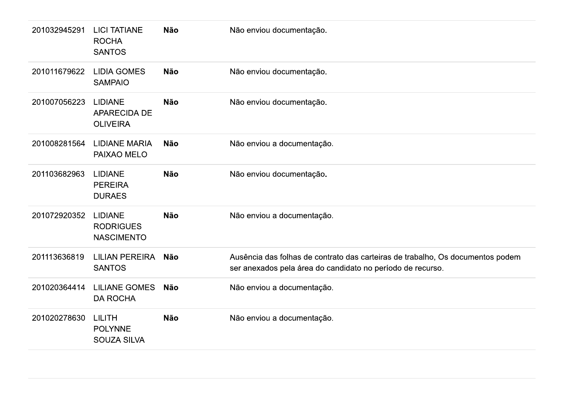| 201032945291 | <b>LICI TATIANE</b><br><b>ROCHA</b><br><b>SANTOS</b>     | <b>Não</b> | Não enviou documentação.                                                                                                                     |
|--------------|----------------------------------------------------------|------------|----------------------------------------------------------------------------------------------------------------------------------------------|
| 201011679622 | <b>LIDIA GOMES</b><br><b>SAMPAIO</b>                     | <b>Não</b> | Não enviou documentação.                                                                                                                     |
| 201007056223 | <b>LIDIANE</b><br><b>APARECIDA DE</b><br><b>OLIVEIRA</b> | <b>Não</b> | Não enviou documentação.                                                                                                                     |
| 201008281564 | <b>LIDIANE MARIA</b><br>PAIXAO MELO                      | <b>Não</b> | Não enviou a documentação.                                                                                                                   |
| 201103682963 | <b>LIDIANE</b><br><b>PEREIRA</b><br><b>DURAES</b>        | <b>Não</b> | Não enviou documentação.                                                                                                                     |
| 201072920352 | <b>LIDIANE</b><br><b>RODRIGUES</b><br><b>NASCIMENTO</b>  | <b>Não</b> | Não enviou a documentação.                                                                                                                   |
| 201113636819 | <b>LILIAN PEREIRA</b><br><b>SANTOS</b>                   | Não        | Ausência das folhas de contrato das carteiras de trabalho, Os documentos podem<br>ser anexados pela área do candidato no período de recurso. |
| 201020364414 | <b>LILIANE GOMES</b><br><b>DA ROCHA</b>                  | <b>Não</b> | Não enviou a documentação.                                                                                                                   |
| 201020278630 | <b>LILITH</b><br><b>POLYNNE</b><br><b>SOUZA SILVA</b>    | <b>Não</b> | Não enviou a documentação.                                                                                                                   |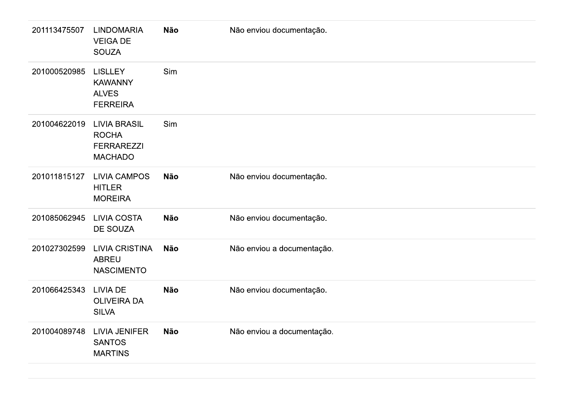| 201113475507 | <b>LINDOMARIA</b><br><b>VEIGA DE</b><br><b>SOUZA</b>                       | <b>Não</b> | Não enviou documentação.   |
|--------------|----------------------------------------------------------------------------|------------|----------------------------|
| 201000520985 | <b>LISLLEY</b><br><b>KAWANNY</b><br><b>ALVES</b><br><b>FERREIRA</b>        | Sim        |                            |
| 201004622019 | <b>LIVIA BRASIL</b><br><b>ROCHA</b><br><b>FERRAREZZI</b><br><b>MACHADO</b> | Sim        |                            |
| 201011815127 | <b>LIVIA CAMPOS</b><br><b>HITLER</b><br><b>MOREIRA</b>                     | <b>Não</b> | Não enviou documentação.   |
| 201085062945 | <b>LIVIA COSTA</b><br>DE SOUZA                                             | <b>Não</b> | Não enviou documentação.   |
| 201027302599 | <b>LIVIA CRISTINA</b><br><b>ABREU</b><br><b>NASCIMENTO</b>                 | <b>Não</b> | Não enviou a documentação. |
| 201066425343 | <b>LIVIA DE</b><br><b>OLIVEIRA DA</b><br><b>SILVA</b>                      | <b>Não</b> | Não enviou documentação.   |
| 201004089748 | <b>LIVIA JENIFER</b><br><b>SANTOS</b><br><b>MARTINS</b>                    | <b>Não</b> | Não enviou a documentação. |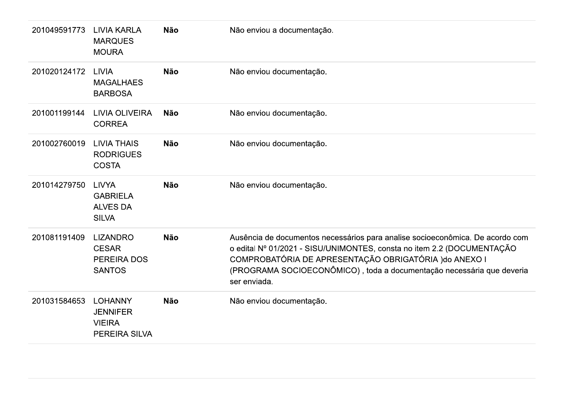| 201049591773 | <b>LIVIA KARLA</b><br><b>MARQUES</b><br><b>MOURA</b>                   | <b>Não</b> | Não enviou a documentação.                                                                                                                                                                                                                                                                                 |
|--------------|------------------------------------------------------------------------|------------|------------------------------------------------------------------------------------------------------------------------------------------------------------------------------------------------------------------------------------------------------------------------------------------------------------|
| 201020124172 | <b>LIVIA</b><br><b>MAGALHAES</b><br><b>BARBOSA</b>                     | <b>Não</b> | Não enviou documentação.                                                                                                                                                                                                                                                                                   |
| 201001199144 | <b>LIVIA OLIVEIRA</b><br><b>CORREA</b>                                 | <b>Não</b> | Não enviou documentação.                                                                                                                                                                                                                                                                                   |
| 201002760019 | <b>LIVIA THAIS</b><br><b>RODRIGUES</b><br><b>COSTA</b>                 | <b>Não</b> | Não enviou documentação.                                                                                                                                                                                                                                                                                   |
| 201014279750 | <b>LIVYA</b><br><b>GABRIELA</b><br><b>ALVES DA</b><br><b>SILVA</b>     | <b>Não</b> | Não enviou documentação.                                                                                                                                                                                                                                                                                   |
| 201081191409 | <b>LIZANDRO</b><br><b>CESAR</b><br><b>PEREIRA DOS</b><br><b>SANTOS</b> | <b>Não</b> | Ausência de documentos necessários para analise socioeconômica. De acordo com<br>o edital Nº 01/2021 - SISU/UNIMONTES, consta no item 2.2 (DOCUMENTAÇÃO<br>COMPROBATÓRIA DE APRESENTAÇÃO OBRIGATÓRIA ) do ANEXO I<br>(PROGRAMA SOCIOECONÔMICO), toda a documentação necessária que deveria<br>ser enviada. |
| 201031584653 | <b>LOHANNY</b><br><b>JENNIFER</b><br><b>VIEIRA</b><br>PEREIRA SILVA    | <b>Não</b> | Não enviou documentação.                                                                                                                                                                                                                                                                                   |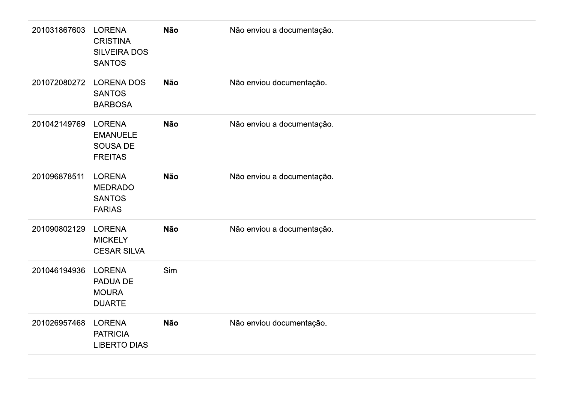| 201031867603 | LORENA<br><b>CRISTINA</b><br><b>SILVEIRA DOS</b><br><b>SANTOS</b>     | Não | Não enviou a documentação. |
|--------------|-----------------------------------------------------------------------|-----|----------------------------|
| 201072080272 | <b>LORENA DOS</b><br><b>SANTOS</b><br><b>BARBOSA</b>                  | Não | Não enviou documentação.   |
| 201042149769 | <b>LORENA</b><br><b>EMANUELE</b><br><b>SOUSA DE</b><br><b>FREITAS</b> | Não | Não enviou a documentação. |
| 201096878511 | <b>LORENA</b><br><b>MEDRADO</b><br><b>SANTOS</b><br><b>FARIAS</b>     | Não | Não enviou a documentação. |
| 201090802129 | <b>LORENA</b><br><b>MICKELY</b><br><b>CESAR SILVA</b>                 | Não | Não enviou a documentação. |
| 201046194936 | LORENA<br>PADUA DE<br><b>MOURA</b><br><b>DUARTE</b>                   | Sim |                            |
| 201026957468 | LORENA<br><b>PATRICIA</b><br><b>LIBERTO DIAS</b>                      | Não | Não enviou documentação.   |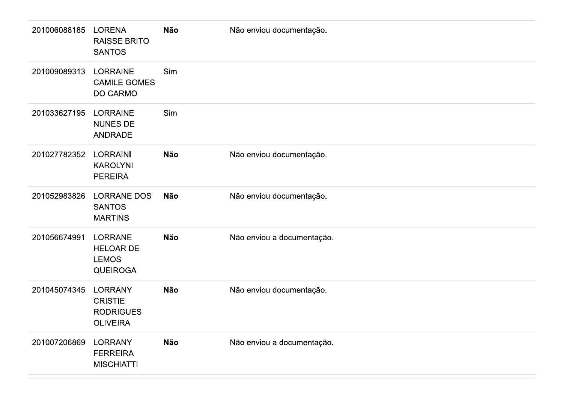| 201006088185 | <b>LORENA</b><br><b>RAISSE BRITO</b><br><b>SANTOS</b>                   | <b>Não</b> | Não enviou documentação.   |
|--------------|-------------------------------------------------------------------------|------------|----------------------------|
| 201009089313 | <b>LORRAINE</b><br><b>CAMILE GOMES</b><br><b>DO CARMO</b>               | Sim        |                            |
| 201033627195 | <b>LORRAINE</b><br><b>NUNES DE</b><br><b>ANDRADE</b>                    | Sim        |                            |
| 201027782352 | <b>LORRAINI</b><br><b>KAROLYNI</b><br><b>PEREIRA</b>                    | <b>Não</b> | Não enviou documentação.   |
| 201052983826 | <b>LORRANE DOS</b><br><b>SANTOS</b><br><b>MARTINS</b>                   | <b>Não</b> | Não enviou documentação.   |
| 201056674991 | <b>LORRANE</b><br><b>HELOAR DE</b><br><b>LEMOS</b><br><b>QUEIROGA</b>   | <b>Não</b> | Não enviou a documentação. |
| 201045074345 | <b>LORRANY</b><br><b>CRISTIE</b><br><b>RODRIGUES</b><br><b>OLIVEIRA</b> | <b>Não</b> | Não enviou documentação.   |
| 201007206869 | <b>LORRANY</b><br><b>FERREIRA</b><br><b>MISCHIATTI</b>                  | Não        | Não enviou a documentação. |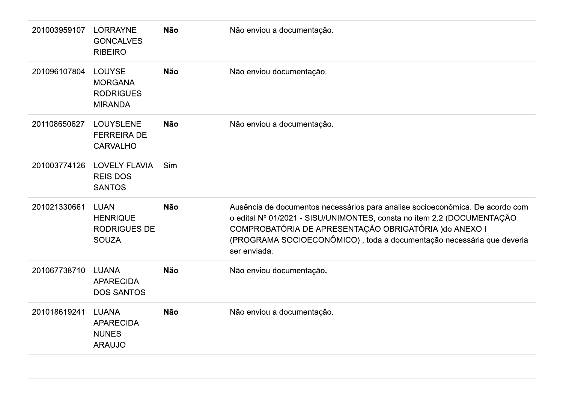| 201003959107 | <b>LORRAYNE</b><br><b>GONCALVES</b><br><b>RIBEIRO</b>                 | <b>Não</b> | Não enviou a documentação.                                                                                                                                                                                                                                                                                 |
|--------------|-----------------------------------------------------------------------|------------|------------------------------------------------------------------------------------------------------------------------------------------------------------------------------------------------------------------------------------------------------------------------------------------------------------|
| 201096107804 | <b>LOUYSE</b><br><b>MORGANA</b><br><b>RODRIGUES</b><br><b>MIRANDA</b> | <b>Não</b> | Não enviou documentação.                                                                                                                                                                                                                                                                                   |
| 201108650627 | <b>LOUYSLENE</b><br><b>FERREIRA DE</b><br><b>CARVALHO</b>             | <b>Não</b> | Não enviou a documentação.                                                                                                                                                                                                                                                                                 |
| 201003774126 | <b>LOVELY FLAVIA</b><br><b>REIS DOS</b><br><b>SANTOS</b>              | Sim        |                                                                                                                                                                                                                                                                                                            |
| 201021330661 | <b>LUAN</b><br><b>HENRIQUE</b><br><b>RODRIGUES DE</b><br><b>SOUZA</b> | <b>Não</b> | Ausência de documentos necessários para analise socioeconômica. De acordo com<br>o edital Nº 01/2021 - SISU/UNIMONTES, consta no item 2.2 (DOCUMENTAÇÃO<br>COMPROBATÓRIA DE APRESENTAÇÃO OBRIGATÓRIA ) do ANEXO I<br>(PROGRAMA SOCIOECONÔMICO), toda a documentação necessária que deveria<br>ser enviada. |
| 201067738710 | <b>LUANA</b><br><b>APARECIDA</b><br><b>DOS SANTOS</b>                 | <b>Não</b> | Não enviou documentação.                                                                                                                                                                                                                                                                                   |
| 201018619241 | <b>LUANA</b><br><b>APARECIDA</b><br><b>NUNES</b><br><b>ARAUJO</b>     | <b>Não</b> | Não enviou a documentação.                                                                                                                                                                                                                                                                                 |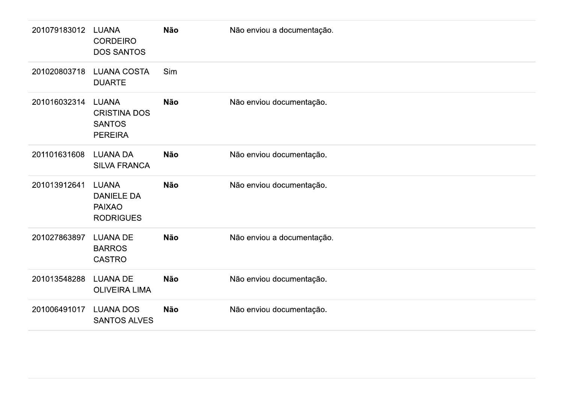| 201079183012 | <b>LUANA</b><br><b>CORDEIRO</b><br><b>DOS SANTOS</b>                   | <b>Não</b> | Não enviou a documentação. |
|--------------|------------------------------------------------------------------------|------------|----------------------------|
| 201020803718 | <b>LUANA COSTA</b><br><b>DUARTE</b>                                    | Sim        |                            |
| 201016032314 | <b>LUANA</b><br><b>CRISTINA DOS</b><br><b>SANTOS</b><br><b>PEREIRA</b> | <b>Não</b> | Não enviou documentação.   |
| 201101631608 | <b>LUANA DA</b><br><b>SILVA FRANCA</b>                                 | <b>Não</b> | Não enviou documentação.   |
| 201013912641 | <b>LUANA</b><br><b>DANIELE DA</b><br><b>PAIXAO</b><br><b>RODRIGUES</b> | <b>Não</b> | Não enviou documentação.   |
| 201027863897 | <b>LUANA DE</b><br><b>BARROS</b><br>CASTRO                             | <b>Não</b> | Não enviou a documentação. |
| 201013548288 | <b>LUANA DE</b><br><b>OLIVEIRA LIMA</b>                                | Não        | Não enviou documentação.   |
| 201006491017 | <b>LUANA DOS</b><br><b>SANTOS ALVES</b>                                | Não        | Não enviou documentação.   |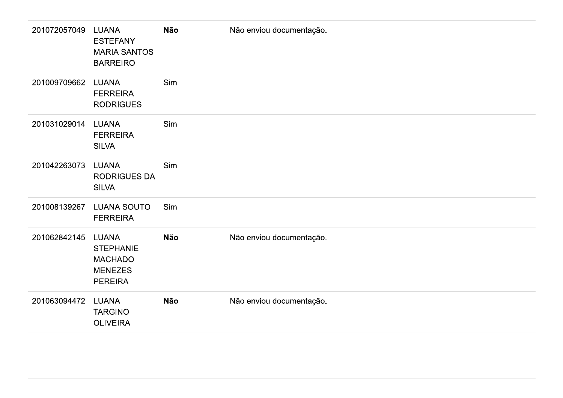| 201072057049 | <b>LUANA</b><br><b>ESTEFANY</b><br><b>MARIA SANTOS</b><br><b>BARREIRO</b>              | Não | Não enviou documentação. |
|--------------|----------------------------------------------------------------------------------------|-----|--------------------------|
| 201009709662 | LUANA<br><b>FERREIRA</b><br><b>RODRIGUES</b>                                           | Sim |                          |
| 201031029014 | LUANA<br><b>FERREIRA</b><br><b>SILVA</b>                                               | Sim |                          |
| 201042263073 | LUANA<br><b>RODRIGUES DA</b><br><b>SILVA</b>                                           | Sim |                          |
| 201008139267 | <b>LUANA SOUTO</b><br><b>FERREIRA</b>                                                  | Sim |                          |
| 201062842145 | <b>LUANA</b><br><b>STEPHANIE</b><br><b>MACHADO</b><br><b>MENEZES</b><br><b>PEREIRA</b> | Não | Não enviou documentação. |
| 201063094472 | LUANA<br><b>TARGINO</b><br><b>OLIVEIRA</b>                                             | Não | Não enviou documentação. |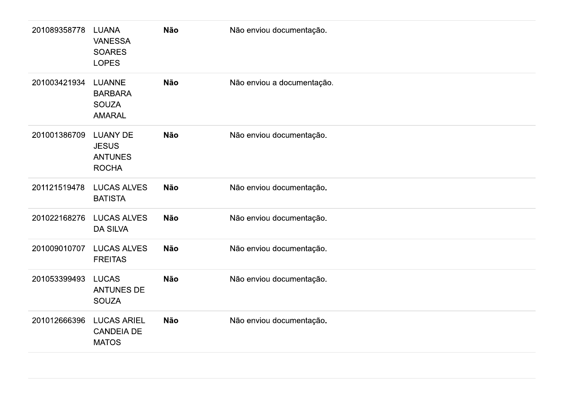| 201089358778 | <b>LUANA</b><br><b>VANESSA</b><br><b>SOARES</b><br><b>LOPES</b>   | Não        | Não enviou documentação.   |
|--------------|-------------------------------------------------------------------|------------|----------------------------|
| 201003421934 | <b>LUANNE</b><br><b>BARBARA</b><br><b>SOUZA</b><br><b>AMARAL</b>  | Não        | Não enviou a documentação. |
| 201001386709 | <b>LUANY DE</b><br><b>JESUS</b><br><b>ANTUNES</b><br><b>ROCHA</b> | <b>Não</b> | Não enviou documentação.   |
| 201121519478 | <b>LUCAS ALVES</b><br><b>BATISTA</b>                              | <b>Não</b> | Não enviou documentação.   |
| 201022168276 | <b>LUCAS ALVES</b><br><b>DA SILVA</b>                             | <b>Não</b> | Não enviou documentação.   |
| 201009010707 | <b>LUCAS ALVES</b><br><b>FREITAS</b>                              | <b>Não</b> | Não enviou documentação.   |
| 201053399493 | <b>LUCAS</b><br><b>ANTUNES DE</b><br><b>SOUZA</b>                 | Não        | Não enviou documentação.   |
| 201012666396 | <b>LUCAS ARIEL</b><br><b>CANDEIA DE</b><br><b>MATOS</b>           | Não        | Não enviou documentação.   |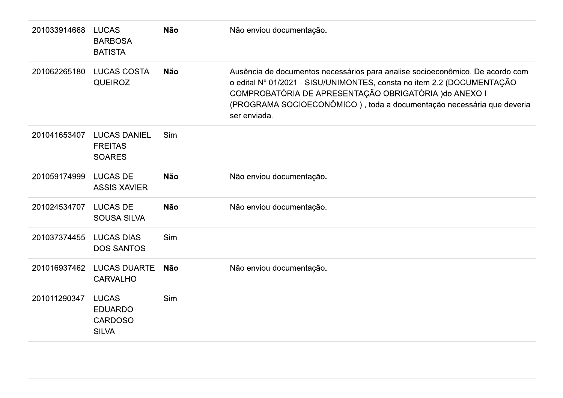| 201033914668 | <b>LUCAS</b><br><b>BARBOSA</b><br><b>BATISTA</b>                 | <b>Não</b> | Não enviou documentação.                                                                                                                                                                                                                                                                                   |
|--------------|------------------------------------------------------------------|------------|------------------------------------------------------------------------------------------------------------------------------------------------------------------------------------------------------------------------------------------------------------------------------------------------------------|
| 201062265180 | <b>LUCAS COSTA</b><br><b>QUEIROZ</b>                             | <b>Não</b> | Ausência de documentos necessários para analise socioeconômico. De acordo com<br>o edital Nº 01/2021 - SISU/UNIMONTES, consta no item 2.2 (DOCUMENTAÇÃO<br>COMPROBATÓRIA DE APRESENTAÇÃO OBRIGATÓRIA ) do ANEXO I<br>(PROGRAMA SOCIOECONÔMICO), toda a documentação necessária que deveria<br>ser enviada. |
| 201041653407 | <b>LUCAS DANIEL</b><br><b>FREITAS</b><br><b>SOARES</b>           | Sim        |                                                                                                                                                                                                                                                                                                            |
| 201059174999 | <b>LUCAS DE</b><br><b>ASSIS XAVIER</b>                           | <b>Não</b> | Não enviou documentação.                                                                                                                                                                                                                                                                                   |
| 201024534707 | <b>LUCAS DE</b><br><b>SOUSA SILVA</b>                            | <b>Não</b> | Não enviou documentação.                                                                                                                                                                                                                                                                                   |
| 201037374455 | <b>LUCAS DIAS</b><br><b>DOS SANTOS</b>                           | Sim        |                                                                                                                                                                                                                                                                                                            |
| 201016937462 | <b>LUCAS DUARTE</b><br><b>CARVALHO</b>                           | <b>Não</b> | Não enviou documentação.                                                                                                                                                                                                                                                                                   |
| 201011290347 | <b>LUCAS</b><br><b>EDUARDO</b><br><b>CARDOSO</b><br><b>SILVA</b> | <b>Sim</b> |                                                                                                                                                                                                                                                                                                            |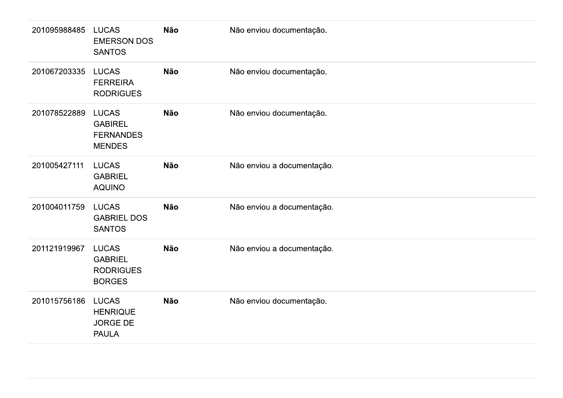| 201095988485 | <b>LUCAS</b><br><b>EMERSON DOS</b><br><b>SANTOS</b>                 | <b>Não</b> | Não enviou documentação.   |
|--------------|---------------------------------------------------------------------|------------|----------------------------|
| 201067203335 | <b>LUCAS</b><br><b>FERREIRA</b><br><b>RODRIGUES</b>                 | <b>Não</b> | Não enviou documentação.   |
| 201078522889 | <b>LUCAS</b><br><b>GABIREL</b><br><b>FERNANDES</b><br><b>MENDES</b> | <b>Não</b> | Não enviou documentação.   |
| 201005427111 | <b>LUCAS</b><br><b>GABRIEL</b><br><b>AQUINO</b>                     | Não        | Não enviou a documentação. |
| 201004011759 | <b>LUCAS</b><br><b>GABRIEL DOS</b><br><b>SANTOS</b>                 | <b>Não</b> | Não enviou a documentação. |
| 201121919967 | <b>LUCAS</b><br><b>GABRIEL</b><br><b>RODRIGUES</b><br><b>BORGES</b> | <b>Não</b> | Não enviou a documentação. |
| 201015756186 | <b>LUCAS</b><br><b>HENRIQUE</b><br><b>JORGE DE</b><br><b>PAULA</b>  | Não        | Não enviou documentação.   |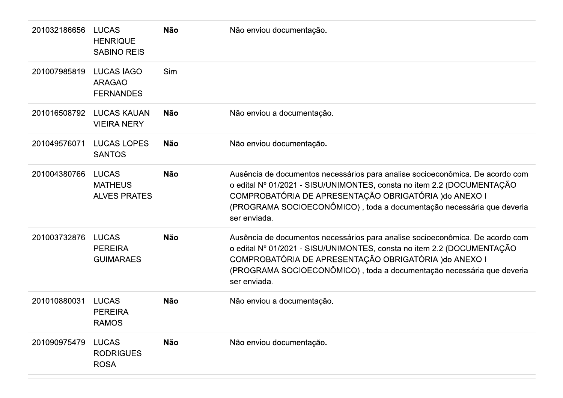| 201032186656 | <b>LUCAS</b><br><b>HENRIQUE</b><br><b>SABINO REIS</b>  | <b>Não</b> | Não enviou documentação.                                                                                                                                                                                                                                                                                   |
|--------------|--------------------------------------------------------|------------|------------------------------------------------------------------------------------------------------------------------------------------------------------------------------------------------------------------------------------------------------------------------------------------------------------|
| 201007985819 | <b>LUCAS IAGO</b><br><b>ARAGAO</b><br><b>FERNANDES</b> | <b>Sim</b> |                                                                                                                                                                                                                                                                                                            |
| 201016508792 | <b>LUCAS KAUAN</b><br><b>VIEIRA NERY</b>               | <b>Não</b> | Não enviou a documentação.                                                                                                                                                                                                                                                                                 |
| 201049576071 | <b>LUCAS LOPES</b><br><b>SANTOS</b>                    | <b>Não</b> | Não enviou documentação.                                                                                                                                                                                                                                                                                   |
| 201004380766 | <b>LUCAS</b><br><b>MATHEUS</b><br><b>ALVES PRATES</b>  | <b>Não</b> | Ausência de documentos necessários para analise socioeconômica. De acordo com<br>o edital Nº 01/2021 - SISU/UNIMONTES, consta no item 2.2 (DOCUMENTAÇÃO<br>COMPROBATÓRIA DE APRESENTAÇÃO OBRIGATÓRIA ) do ANEXO I<br>(PROGRAMA SOCIOECONÔMICO), toda a documentação necessária que deveria<br>ser enviada. |
| 201003732876 | <b>LUCAS</b><br><b>PEREIRA</b><br><b>GUIMARAES</b>     | <b>Não</b> | Ausência de documentos necessários para analise socioeconômica. De acordo com<br>o edital Nº 01/2021 - SISU/UNIMONTES, consta no item 2.2 (DOCUMENTAÇÃO<br>COMPROBATÓRIA DE APRESENTAÇÃO OBRIGATÓRIA ) do ANEXO I<br>(PROGRAMA SOCIOECONÔMICO), toda a documentação necessária que deveria<br>ser enviada. |
| 201010880031 | <b>LUCAS</b><br><b>PEREIRA</b><br><b>RAMOS</b>         | <b>Não</b> | Não enviou a documentação.                                                                                                                                                                                                                                                                                 |
| 201090975479 | <b>LUCAS</b><br><b>RODRIGUES</b><br><b>ROSA</b>        | <b>Não</b> | Não enviou documentação.                                                                                                                                                                                                                                                                                   |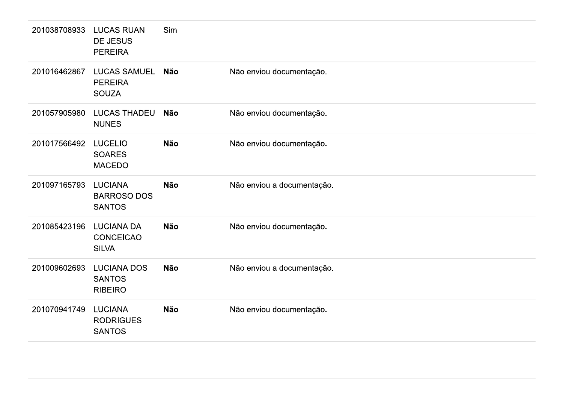| 201038708933 | <b>LUCAS RUAN</b>                                     | Sim        |                            |
|--------------|-------------------------------------------------------|------------|----------------------------|
|              | DE JESUS<br><b>PEREIRA</b>                            |            |                            |
| 201016462867 | <b>LUCAS SAMUEL</b><br><b>PEREIRA</b><br><b>SOUZA</b> | Não        | Não enviou documentação.   |
| 201057905980 | <b>LUCAS THADEU</b><br><b>NUNES</b>                   | <b>Não</b> | Não enviou documentação.   |
| 201017566492 | <b>LUCELIO</b><br><b>SOARES</b><br><b>MACEDO</b>      | <b>Não</b> | Não enviou documentação.   |
| 201097165793 | <b>LUCIANA</b><br><b>BARROSO DOS</b><br><b>SANTOS</b> | Não        | Não enviou a documentação. |
| 201085423196 | <b>LUCIANA DA</b><br>CONCEICAO<br><b>SILVA</b>        | Não        | Não enviou documentação.   |
| 201009602693 | LUCIANA DOS<br><b>SANTOS</b><br><b>RIBEIRO</b>        | Não        | Não enviou a documentação. |
| 201070941749 | <b>LUCIANA</b><br><b>RODRIGUES</b><br><b>SANTOS</b>   | <b>Não</b> | Não enviou documentação.   |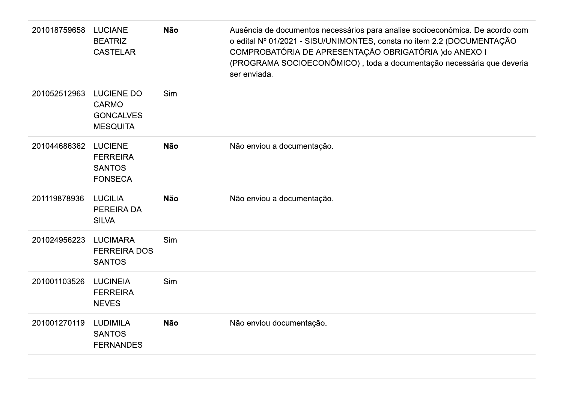| 201018759658 | <b>LUCIANE</b><br><b>BEATRIZ</b><br><b>CASTELAR</b>                      | <b>Não</b> | Ausência de documentos necessários para analise socioeconômica. De acordo com<br>o edital Nº 01/2021 - SISU/UNIMONTES, consta no item 2.2 (DOCUMENTAÇÃO<br>COMPROBATÓRIA DE APRESENTAÇÃO OBRIGATÓRIA ) do ANEXO I<br>(PROGRAMA SOCIOECONÔMICO), toda a documentação necessária que deveria<br>ser enviada. |
|--------------|--------------------------------------------------------------------------|------------|------------------------------------------------------------------------------------------------------------------------------------------------------------------------------------------------------------------------------------------------------------------------------------------------------------|
| 201052512963 | <b>LUCIENE DO</b><br><b>CARMO</b><br><b>GONCALVES</b><br><b>MESQUITA</b> | Sim        |                                                                                                                                                                                                                                                                                                            |
| 201044686362 | <b>LUCIENE</b><br><b>FERREIRA</b><br><b>SANTOS</b><br><b>FONSECA</b>     | <b>Não</b> | Não enviou a documentação.                                                                                                                                                                                                                                                                                 |
| 201119878936 | <b>LUCILIA</b><br>PEREIRA DA<br><b>SILVA</b>                             | <b>Não</b> | Não enviou a documentação.                                                                                                                                                                                                                                                                                 |
| 201024956223 | <b>LUCIMARA</b><br><b>FERREIRA DOS</b><br><b>SANTOS</b>                  | Sim        |                                                                                                                                                                                                                                                                                                            |
| 201001103526 | <b>LUCINEIA</b><br><b>FERREIRA</b><br><b>NEVES</b>                       | Sim        |                                                                                                                                                                                                                                                                                                            |
| 201001270119 | <b>LUDIMILA</b><br><b>SANTOS</b><br><b>FERNANDES</b>                     | <b>Não</b> | Não enviou documentação.                                                                                                                                                                                                                                                                                   |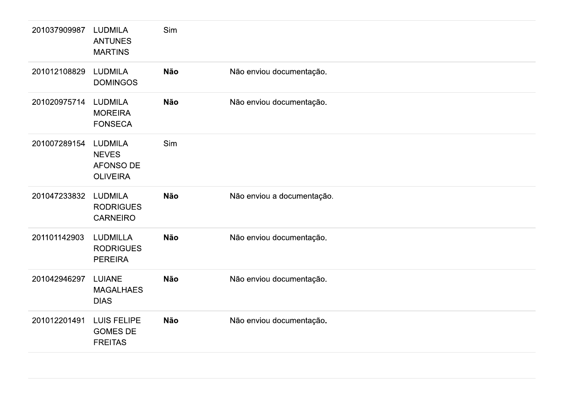| 201037909987 | <b>LUDMILA</b><br><b>ANTUNES</b><br><b>MARTINS</b>             | Sim |                            |
|--------------|----------------------------------------------------------------|-----|----------------------------|
| 201012108829 | <b>LUDMILA</b><br><b>DOMINGOS</b>                              | Não | Não enviou documentação.   |
| 201020975714 | <b>LUDMILA</b><br><b>MOREIRA</b><br><b>FONSECA</b>             | Não | Não enviou documentação.   |
| 201007289154 | <b>LUDMILA</b><br><b>NEVES</b><br>AFONSO DE<br><b>OLIVEIRA</b> | Sim |                            |
| 201047233832 | <b>LUDMILA</b><br><b>RODRIGUES</b><br><b>CARNEIRO</b>          | Não | Não enviou a documentação. |
| 201101142903 | <b>LUDMILLA</b><br><b>RODRIGUES</b><br><b>PEREIRA</b>          | Não | Não enviou documentação.   |
| 201042946297 | <b>LUIANE</b><br><b>MAGALHAES</b><br><b>DIAS</b>               | Não | Não enviou documentação.   |
| 201012201491 | LUIS FELIPE<br><b>GOMES DE</b><br><b>FREITAS</b>               | Não | Não enviou documentação.   |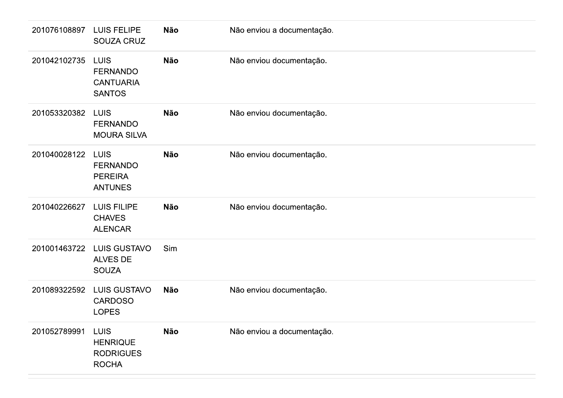| 201076108897 | LUIS FELIPE<br>SOUZA CRUZ                                           | Não        | Não enviou a documentação. |
|--------------|---------------------------------------------------------------------|------------|----------------------------|
| 201042102735 | <b>LUIS</b><br><b>FERNANDO</b><br><b>CANTUARIA</b><br><b>SANTOS</b> | Não        | Não enviou documentação.   |
| 201053320382 | <b>LUIS</b><br><b>FERNANDO</b><br><b>MOURA SILVA</b>                | Não        | Não enviou documentação.   |
| 201040028122 | <b>LUIS</b><br><b>FERNANDO</b><br><b>PEREIRA</b><br><b>ANTUNES</b>  | Não        | Não enviou documentação.   |
| 201040226627 | LUIS FILIPE<br><b>CHAVES</b><br><b>ALENCAR</b>                      | Não        | Não enviou documentação.   |
| 201001463722 | <b>LUIS GUSTAVO</b><br>ALVES DE<br><b>SOUZA</b>                     | Sim        |                            |
| 201089322592 | LUIS GUSTAVO<br>CARDOSO<br><b>LOPES</b>                             | <b>Não</b> | Não enviou documentação.   |
| 201052789991 | <b>LUIS</b><br><b>HENRIQUE</b><br><b>RODRIGUES</b><br><b>ROCHA</b>  | Não        | Não enviou a documentação. |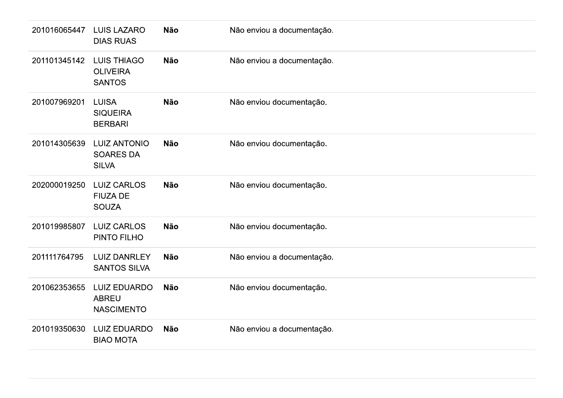| 201016065447 | <b>LUIS LAZARO</b><br><b>DIAS RUAS</b>                   | <b>Não</b> | Não enviou a documentação. |
|--------------|----------------------------------------------------------|------------|----------------------------|
| 201101345142 | <b>LUIS THIAGO</b><br><b>OLIVEIRA</b><br><b>SANTOS</b>   | <b>Não</b> | Não enviou a documentação. |
| 201007969201 | <b>LUISA</b><br><b>SIQUEIRA</b><br><b>BERBARI</b>        | <b>Não</b> | Não enviou documentação.   |
| 201014305639 | <b>LUIZ ANTONIO</b><br><b>SOARES DA</b><br><b>SILVA</b>  | <b>Não</b> | Não enviou documentação.   |
| 202000019250 | <b>LUIZ CARLOS</b><br><b>FIUZA DE</b><br><b>SOUZA</b>    | <b>Não</b> | Não enviou documentação.   |
| 201019985807 | <b>LUIZ CARLOS</b><br>PINTO FILHO                        | <b>Não</b> | Não enviou documentação.   |
| 201111764795 | <b>LUIZ DANRLEY</b><br><b>SANTOS SILVA</b>               | <b>Não</b> | Não enviou a documentação. |
| 201062353655 | <b>LUIZ EDUARDO</b><br><b>ABREU</b><br><b>NASCIMENTO</b> | <b>Não</b> | Não enviou documentação.   |
| 201019350630 | <b>LUIZ EDUARDO</b><br><b>BIAO MOTA</b>                  | <b>Não</b> | Não enviou a documentação. |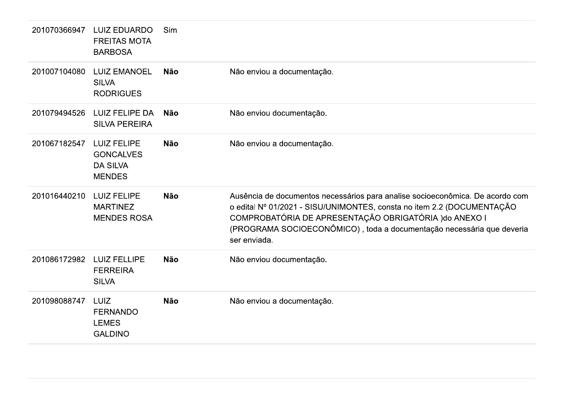| Ausência de documentos necessários para analise socioeconômica. De acordo com<br>o edital Nº 01/2021 - SISU/UNIMONTES, consta no item 2.2 (DOCUMENTAÇÃO<br>(PROGRAMA SOCIOECONÔMICO), toda a documentação necessária que deveria |
|----------------------------------------------------------------------------------------------------------------------------------------------------------------------------------------------------------------------------------|
|                                                                                                                                                                                                                                  |
|                                                                                                                                                                                                                                  |
|                                                                                                                                                                                                                                  |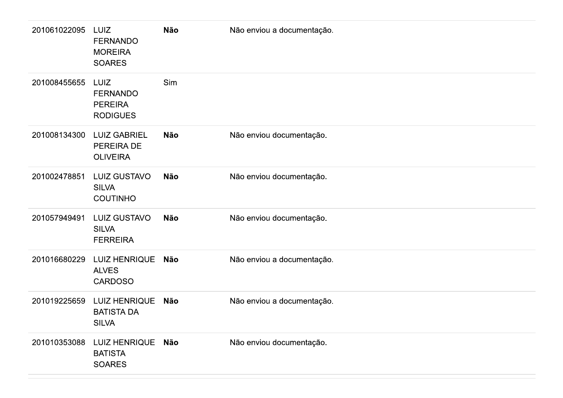| 201061022095 | LUIZ<br><b>FERNANDO</b><br><b>MOREIRA</b><br><b>SOARES</b>   | <b>Não</b> | Não enviou a documentação. |
|--------------|--------------------------------------------------------------|------------|----------------------------|
| 201008455655 | LUIZ<br><b>FERNANDO</b><br><b>PEREIRA</b><br><b>RODIGUES</b> | Sim        |                            |
| 201008134300 | <b>LUIZ GABRIEL</b><br>PEREIRA DE<br><b>OLIVEIRA</b>         | <b>Não</b> | Não enviou documentação.   |
| 201002478851 | <b>LUIZ GUSTAVO</b><br><b>SILVA</b><br><b>COUTINHO</b>       | <b>Não</b> | Não enviou documentação.   |
| 201057949491 | <b>LUIZ GUSTAVO</b><br><b>SILVA</b><br><b>FERREIRA</b>       | <b>Não</b> | Não enviou documentação.   |
| 201016680229 | <b>LUIZ HENRIQUE</b><br><b>ALVES</b><br><b>CARDOSO</b>       | Não        | Não enviou a documentação. |
| 201019225659 | <b>LUIZ HENRIQUE</b><br><b>BATISTA DA</b><br><b>SILVA</b>    | Não        | Não enviou a documentação. |
| 201010353088 | LUIZ HENRIQUE Não<br><b>BATISTA</b><br><b>SOARES</b>         |            | Não enviou documentação.   |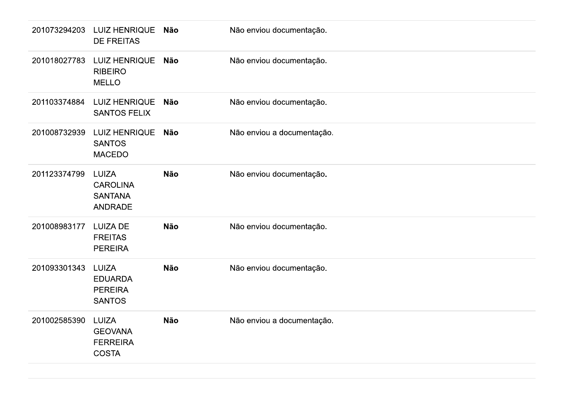| 201073294203 | <b>LUIZ HENRIQUE</b><br><b>DE FREITAS</b>                    | Não        | Não enviou documentação.   |
|--------------|--------------------------------------------------------------|------------|----------------------------|
| 201018027783 | <b>LUIZ HENRIQUE</b><br><b>RIBEIRO</b><br><b>MELLO</b>       | Não        | Não enviou documentação.   |
| 201103374884 | <b>LUIZ HENRIQUE</b><br><b>SANTOS FELIX</b>                  | Não        | Não enviou documentação.   |
| 201008732939 | <b>LUIZ HENRIQUE</b><br><b>SANTOS</b><br><b>MACEDO</b>       | Não        | Não enviou a documentação. |
| 201123374799 | LUIZA<br><b>CAROLINA</b><br><b>SANTANA</b><br><b>ANDRADE</b> | Não        | Não enviou documentação.   |
| 201008983177 | <b>LUIZA DE</b><br><b>FREITAS</b><br><b>PEREIRA</b>          | <b>Não</b> | Não enviou documentação.   |
| 201093301343 | LUIZA<br><b>EDUARDA</b><br><b>PEREIRA</b><br><b>SANTOS</b>   | Não        | Não enviou documentação.   |
| 201002585390 | LUIZA<br><b>GEOVANA</b><br><b>FERREIRA</b><br><b>COSTA</b>   | Não        | Não enviou a documentação. |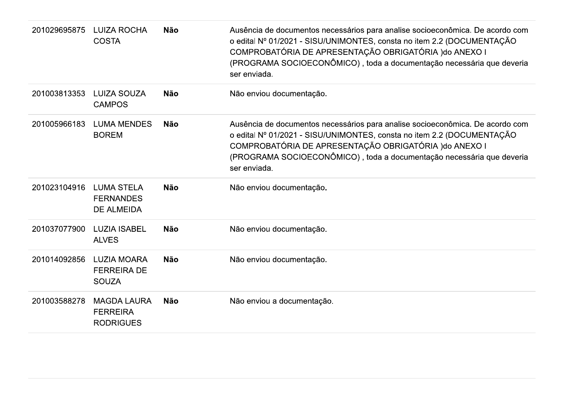| 201029695875 | <b>LUIZA ROCHA</b><br><b>COSTA</b>                         | <b>Não</b> | Ausência de documentos necessários para analise socioeconômica. De acordo com<br>o edital Nº 01/2021 - SISU/UNIMONTES, consta no item 2.2 (DOCUMENTAÇÃO<br>COMPROBATÓRIA DE APRESENTAÇÃO OBRIGATÓRIA ) do ANEXO I<br>(PROGRAMA SOCIOECONÔMICO), toda a documentação necessária que deveria<br>ser enviada. |
|--------------|------------------------------------------------------------|------------|------------------------------------------------------------------------------------------------------------------------------------------------------------------------------------------------------------------------------------------------------------------------------------------------------------|
| 201003813353 | <b>LUIZA SOUZA</b><br><b>CAMPOS</b>                        | <b>Não</b> | Não enviou documentação.                                                                                                                                                                                                                                                                                   |
| 201005966183 | <b>LUMA MENDES</b><br><b>BOREM</b>                         | <b>Não</b> | Ausência de documentos necessários para analise socioeconômica. De acordo com<br>o edital Nº 01/2021 - SISU/UNIMONTES, consta no item 2.2 (DOCUMENTAÇÃO<br>COMPROBATÓRIA DE APRESENTAÇÃO OBRIGATÓRIA ) do ANEXO I<br>(PROGRAMA SOCIOECONÔMICO), toda a documentação necessária que deveria<br>ser enviada. |
| 201023104916 | <b>LUMA STELA</b><br><b>FERNANDES</b><br><b>DE ALMEIDA</b> | <b>Não</b> | Não enviou documentação.                                                                                                                                                                                                                                                                                   |
| 201037077900 | <b>LUZIA ISABEL</b><br><b>ALVES</b>                        | <b>Não</b> | Não enviou documentação.                                                                                                                                                                                                                                                                                   |
| 201014092856 | <b>LUZIA MOARA</b><br><b>FERREIRA DE</b><br><b>SOUZA</b>   | <b>Não</b> | Não enviou documentação.                                                                                                                                                                                                                                                                                   |
| 201003588278 | <b>MAGDA LAURA</b><br><b>FERREIRA</b><br><b>RODRIGUES</b>  | Não        | Não enviou a documentação.                                                                                                                                                                                                                                                                                 |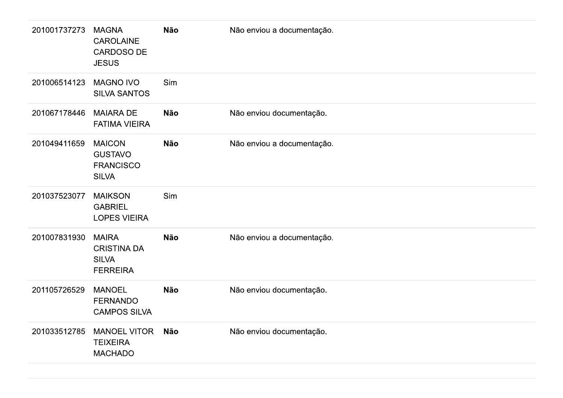| 201001737273 | <b>MAGNA</b><br><b>CAROLAINE</b><br><b>CARDOSO DE</b><br><b>JESUS</b> | <b>Não</b> | Não enviou a documentação. |
|--------------|-----------------------------------------------------------------------|------------|----------------------------|
| 201006514123 | <b>MAGNO IVO</b><br><b>SILVA SANTOS</b>                               | Sim        |                            |
| 201067178446 | <b>MAIARA DE</b><br><b>FATIMA VIEIRA</b>                              | <b>Não</b> | Não enviou documentação.   |
| 201049411659 | <b>MAICON</b><br><b>GUSTAVO</b><br><b>FRANCISCO</b><br><b>SILVA</b>   | <b>Não</b> | Não enviou a documentação. |
| 201037523077 | <b>MAIKSON</b><br><b>GABRIEL</b><br><b>LOPES VIEIRA</b>               | Sim        |                            |
| 201007831930 | <b>MAIRA</b><br><b>CRISTINA DA</b><br><b>SILVA</b><br><b>FERREIRA</b> | <b>Não</b> | Não enviou a documentação. |
| 201105726529 | <b>MANOEL</b><br><b>FERNANDO</b><br><b>CAMPOS SILVA</b>               | <b>Não</b> | Não enviou documentação.   |
| 201033512785 | <b>MANOEL VITOR</b><br><b>TEIXEIRA</b><br><b>MACHADO</b>              | <b>Não</b> | Não enviou documentação.   |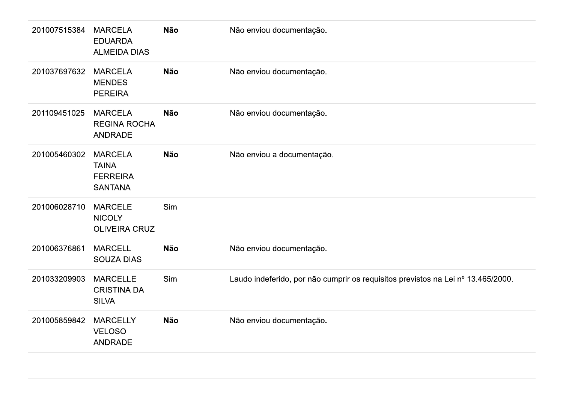| 201007515384 | <b>MARCELA</b><br><b>EDUARDA</b><br><b>ALMEIDA DIAS</b>             | Não        | Não enviou documentação.                                                         |
|--------------|---------------------------------------------------------------------|------------|----------------------------------------------------------------------------------|
| 201037697632 | <b>MARCELA</b><br><b>MENDES</b><br><b>PEREIRA</b>                   | Não        | Não enviou documentação.                                                         |
| 201109451025 | <b>MARCELA</b><br><b>REGINA ROCHA</b><br>ANDRADE                    | <b>Não</b> | Não enviou documentação.                                                         |
| 201005460302 | <b>MARCELA</b><br><b>TAINA</b><br><b>FERREIRA</b><br><b>SANTANA</b> | Não        | Não enviou a documentação.                                                       |
| 201006028710 | <b>MARCELE</b><br><b>NICOLY</b><br>OLIVEIRA CRUZ                    | Sim        |                                                                                  |
| 201006376861 | <b>MARCELL</b><br>SOUZA DIAS                                        | <b>Não</b> | Não enviou documentação.                                                         |
| 201033209903 | <b>MARCELLE</b><br><b>CRISTINA DA</b><br><b>SILVA</b>               | Sim        | Laudo indeferido, por não cumprir os requisitos previstos na Lei nº 13.465/2000. |
| 201005859842 | <b>MARCELLY</b><br><b>VELOSO</b><br>ANDRADE                         | Não        | Não enviou documentação.                                                         |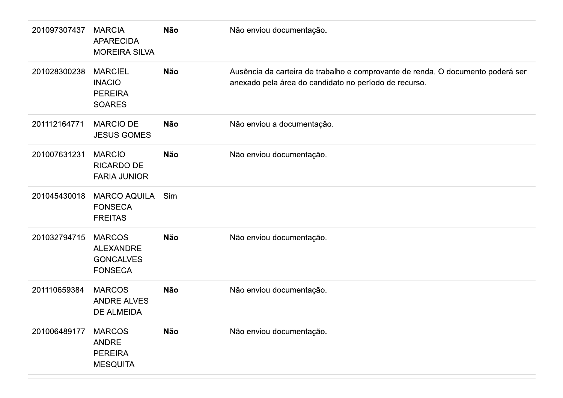| 201097307437 | <b>MARCIA</b><br><b>APARECIDA</b><br><b>MOREIRA SILVA</b>               | <b>Não</b> | Não enviou documentação.                                                                                                                 |
|--------------|-------------------------------------------------------------------------|------------|------------------------------------------------------------------------------------------------------------------------------------------|
| 201028300238 | <b>MARCIEL</b><br><b>INACIO</b><br><b>PEREIRA</b><br><b>SOARES</b>      | <b>Não</b> | Ausência da carteira de trabalho e comprovante de renda. O documento poderá ser<br>anexado pela área do candidato no período de recurso. |
| 201112164771 | <b>MARCIO DE</b><br><b>JESUS GOMES</b>                                  | <b>Não</b> | Não enviou a documentação.                                                                                                               |
| 201007631231 | <b>MARCIO</b><br>RICARDO DE<br><b>FARIA JUNIOR</b>                      | Não        | Não enviou documentação.                                                                                                                 |
| 201045430018 | <b>MARCO AQUILA</b><br><b>FONSECA</b><br><b>FREITAS</b>                 | Sim        |                                                                                                                                          |
| 201032794715 | <b>MARCOS</b><br><b>ALEXANDRE</b><br><b>GONCALVES</b><br><b>FONSECA</b> | <b>Não</b> | Não enviou documentação.                                                                                                                 |
| 201110659384 | <b>MARCOS</b><br><b>ANDRE ALVES</b><br>DE ALMEIDA                       | Não        | Não enviou documentação.                                                                                                                 |
| 201006489177 | <b>MARCOS</b><br>ANDRE<br><b>PEREIRA</b><br><b>MESQUITA</b>             | Não        | Não enviou documentação.                                                                                                                 |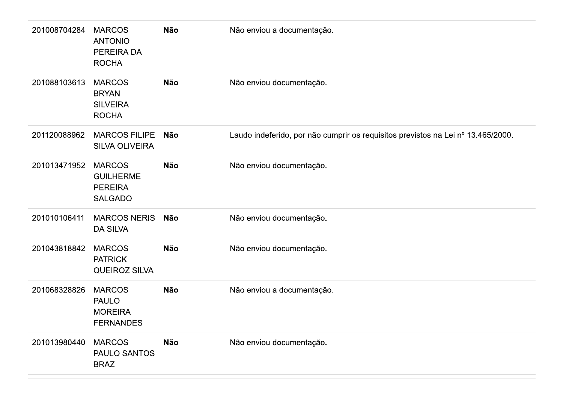| 201008704284 | <b>MARCOS</b><br><b>ANTONIO</b><br>PEREIRA DA<br><b>ROCHA</b>         | Não        | Não enviou a documentação.                                                       |
|--------------|-----------------------------------------------------------------------|------------|----------------------------------------------------------------------------------|
| 201088103613 | <b>MARCOS</b><br><b>BRYAN</b><br><b>SILVEIRA</b><br><b>ROCHA</b>      | Não        | Não enviou documentação.                                                         |
| 201120088962 | <b>MARCOS FILIPE</b><br><b>SILVA OLIVEIRA</b>                         | Não        | Laudo indeferido, por não cumprir os requisitos previstos na Lei nº 13.465/2000. |
| 201013471952 | <b>MARCOS</b><br><b>GUILHERME</b><br><b>PEREIRA</b><br><b>SALGADO</b> | Não        | Não enviou documentação.                                                         |
| 201010106411 | <b>MARCOS NERIS</b><br><b>DA SILVA</b>                                | Não        | Não enviou documentação.                                                         |
| 201043818842 | <b>MARCOS</b><br><b>PATRICK</b><br><b>QUEIROZ SILVA</b>               | <b>Não</b> | Não enviou documentação.                                                         |
| 201068328826 | <b>MARCOS</b><br><b>PAULO</b><br><b>MOREIRA</b><br><b>FERNANDES</b>   | Não        | Não enviou a documentação.                                                       |
| 201013980440 | <b>MARCOS</b><br>PAULO SANTOS<br><b>BRAZ</b>                          | Não        | Não enviou documentação.                                                         |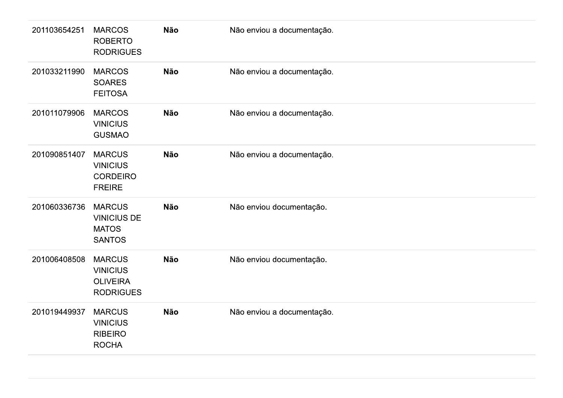| 201103654251 | <b>MARCOS</b><br><b>ROBERTO</b><br><b>RODRIGUES</b>                     | Não        | Não enviou a documentação. |
|--------------|-------------------------------------------------------------------------|------------|----------------------------|
| 201033211990 | <b>MARCOS</b><br><b>SOARES</b><br><b>FEITOSA</b>                        | Não        | Não enviou a documentação. |
| 201011079906 | <b>MARCOS</b><br><b>VINICIUS</b><br><b>GUSMAO</b>                       | Não        | Não enviou a documentação. |
| 201090851407 | <b>MARCUS</b><br><b>VINICIUS</b><br><b>CORDEIRO</b><br><b>FREIRE</b>    | Não        | Não enviou a documentação. |
| 201060336736 | <b>MARCUS</b><br><b>VINICIUS DE</b><br><b>MATOS</b><br><b>SANTOS</b>    | <b>Não</b> | Não enviou documentação.   |
| 201006408508 | <b>MARCUS</b><br><b>VINICIUS</b><br><b>OLIVEIRA</b><br><b>RODRIGUES</b> | Não        | Não enviou documentação.   |
| 201019449937 | <b>MARCUS</b><br><b>VINICIUS</b><br><b>RIBEIRO</b><br><b>ROCHA</b>      | Não        | Não enviou a documentação. |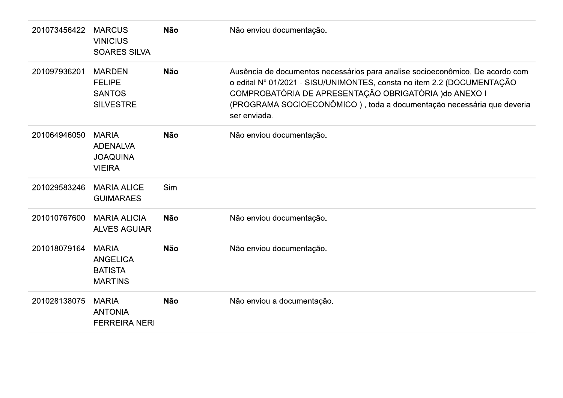| 201073456422 | <b>MARCUS</b><br><b>VINICIUS</b><br><b>SOARES SILVA</b>             | <b>Não</b> | Não enviou documentação.                                                                                                                                                                                                                                                                                   |
|--------------|---------------------------------------------------------------------|------------|------------------------------------------------------------------------------------------------------------------------------------------------------------------------------------------------------------------------------------------------------------------------------------------------------------|
| 201097936201 | <b>MARDEN</b><br><b>FELIPE</b><br><b>SANTOS</b><br><b>SILVESTRE</b> | <b>Não</b> | Ausência de documentos necessários para analise socioeconômico. De acordo com<br>o edital Nº 01/2021 - SISU/UNIMONTES, consta no item 2.2 (DOCUMENTAÇÃO<br>COMPROBATÓRIA DE APRESENTAÇÃO OBRIGATÓRIA ) do ANEXO I<br>(PROGRAMA SOCIOECONÔMICO), toda a documentação necessária que deveria<br>ser enviada. |
| 201064946050 | <b>MARIA</b><br><b>ADENALVA</b><br><b>JOAQUINA</b><br><b>VIEIRA</b> | <b>Não</b> | Não enviou documentação.                                                                                                                                                                                                                                                                                   |
| 201029583246 | <b>MARIA ALICE</b><br><b>GUIMARAES</b>                              | Sim        |                                                                                                                                                                                                                                                                                                            |
| 201010767600 | <b>MARIA ALICIA</b><br><b>ALVES AGUIAR</b>                          | <b>Não</b> | Não enviou documentação.                                                                                                                                                                                                                                                                                   |
| 201018079164 | <b>MARIA</b><br><b>ANGELICA</b><br><b>BATISTA</b><br><b>MARTINS</b> | <b>Não</b> | Não enviou documentação.                                                                                                                                                                                                                                                                                   |
| 201028138075 | <b>MARIA</b><br><b>ANTONIA</b><br><b>FERREIRA NERI</b>              | <b>Não</b> | Não enviou a documentação.                                                                                                                                                                                                                                                                                 |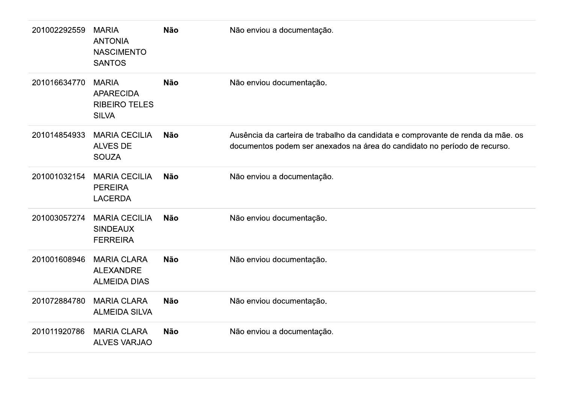| 201002292559 | <b>MARIA</b><br><b>ANTONIA</b><br><b>NASCIMENTO</b><br><b>SANTOS</b>     | <b>Não</b> | Não enviou a documentação.                                                                                                                                   |
|--------------|--------------------------------------------------------------------------|------------|--------------------------------------------------------------------------------------------------------------------------------------------------------------|
| 201016634770 | <b>MARIA</b><br><b>APARECIDA</b><br><b>RIBEIRO TELES</b><br><b>SILVA</b> | <b>Não</b> | Não enviou documentação.                                                                                                                                     |
| 201014854933 | <b>MARIA CECILIA</b><br><b>ALVES DE</b><br><b>SOUZA</b>                  | <b>Não</b> | Ausência da carteira de trabalho da candidata e comprovante de renda da mãe. os<br>documentos podem ser anexados na área do candidato no período de recurso. |
| 201001032154 | <b>MARIA CECILIA</b><br><b>PEREIRA</b><br><b>LACERDA</b>                 | <b>Não</b> | Não enviou a documentação.                                                                                                                                   |
| 201003057274 | <b>MARIA CECILIA</b><br><b>SINDEAUX</b><br><b>FERREIRA</b>               | <b>Não</b> | Não enviou documentação.                                                                                                                                     |
| 201001608946 | <b>MARIA CLARA</b><br><b>ALEXANDRE</b><br><b>ALMEIDA DIAS</b>            | <b>Não</b> | Não enviou documentação.                                                                                                                                     |
| 201072884780 | <b>MARIA CLARA</b><br><b>ALMEIDA SILVA</b>                               | <b>Não</b> | Não enviou documentação.                                                                                                                                     |
| 201011920786 | <b>MARIA CLARA</b><br><b>ALVES VARJAO</b>                                | <b>Não</b> | Não enviou a documentação.                                                                                                                                   |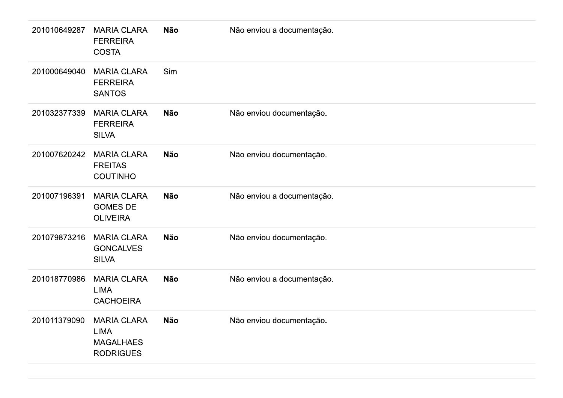| 201010649287 | <b>MARIA CLARA</b><br><b>FERREIRA</b><br><b>COSTA</b>              | Não        | Não enviou a documentação. |
|--------------|--------------------------------------------------------------------|------------|----------------------------|
| 201000649040 | <b>MARIA CLARA</b><br><b>FERREIRA</b><br><b>SANTOS</b>             | Sim        |                            |
| 201032377339 | <b>MARIA CLARA</b><br><b>FERREIRA</b><br><b>SILVA</b>              | Não        | Não enviou documentação.   |
| 201007620242 | <b>MARIA CLARA</b><br><b>FREITAS</b><br><b>COUTINHO</b>            | Não        | Não enviou documentação.   |
| 201007196391 | <b>MARIA CLARA</b><br><b>GOMES DE</b><br><b>OLIVEIRA</b>           | <b>Não</b> | Não enviou a documentação. |
| 201079873216 | <b>MARIA CLARA</b><br><b>GONCALVES</b><br><b>SILVA</b>             | <b>Não</b> | Não enviou documentação.   |
| 201018770986 | <b>MARIA CLARA</b><br>LIMA<br><b>CACHOEIRA</b>                     | Não        | Não enviou a documentação. |
| 201011379090 | <b>MARIA CLARA</b><br>LIMA<br><b>MAGALHAES</b><br><b>RODRIGUES</b> | Não        | Não enviou documentação.   |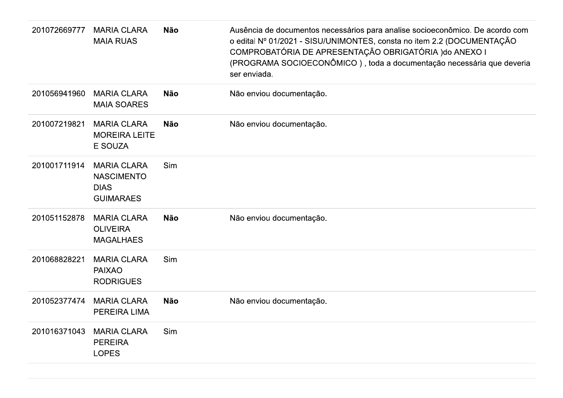| 201072669777 | <b>MARIA CLARA</b><br><b>MAIA RUAS</b>                                     | <b>Não</b> | Ausência de documentos necessários para analise socioeconômico. De acordo com<br>o edital Nº 01/2021 - SISU/UNIMONTES, consta no item 2.2 (DOCUMENTAÇÃO<br>COMPROBATÓRIA DE APRESENTAÇÃO OBRIGATÓRIA ) do ANEXO I<br>(PROGRAMA SOCIOECONÔMICO), toda a documentação necessária que deveria<br>ser enviada. |
|--------------|----------------------------------------------------------------------------|------------|------------------------------------------------------------------------------------------------------------------------------------------------------------------------------------------------------------------------------------------------------------------------------------------------------------|
| 201056941960 | <b>MARIA CLARA</b><br><b>MAIA SOARES</b>                                   | <b>Não</b> | Não enviou documentação.                                                                                                                                                                                                                                                                                   |
| 201007219821 | <b>MARIA CLARA</b><br><b>MOREIRA LEITE</b><br>E SOUZA                      | <b>Não</b> | Não enviou documentação.                                                                                                                                                                                                                                                                                   |
| 201001711914 | <b>MARIA CLARA</b><br><b>NASCIMENTO</b><br><b>DIAS</b><br><b>GUIMARAES</b> | Sim        |                                                                                                                                                                                                                                                                                                            |
| 201051152878 | <b>MARIA CLARA</b><br><b>OLIVEIRA</b><br><b>MAGALHAES</b>                  | <b>Não</b> | Não enviou documentação.                                                                                                                                                                                                                                                                                   |
| 201068828221 | <b>MARIA CLARA</b><br><b>PAIXAO</b><br><b>RODRIGUES</b>                    | Sim        |                                                                                                                                                                                                                                                                                                            |
| 201052377474 | <b>MARIA CLARA</b><br>PEREIRA LIMA                                         | <b>Não</b> | Não enviou documentação.                                                                                                                                                                                                                                                                                   |
| 201016371043 | <b>MARIA CLARA</b><br><b>PEREIRA</b><br><b>LOPES</b>                       | Sim        |                                                                                                                                                                                                                                                                                                            |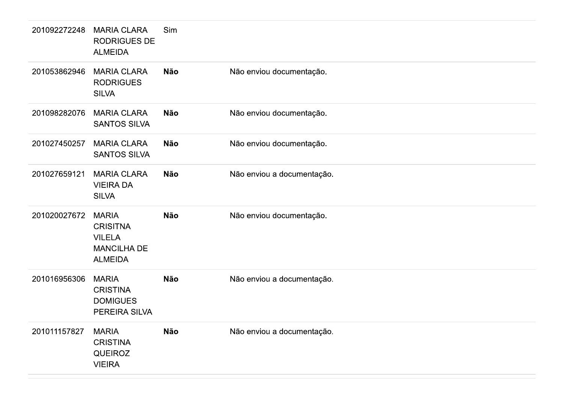| 201092272248 | <b>MARIA CLARA</b><br><b>RODRIGUES DE</b><br><b>ALMEIDA</b>                              | Sim        |                            |
|--------------|------------------------------------------------------------------------------------------|------------|----------------------------|
| 201053862946 | <b>MARIA CLARA</b><br><b>RODRIGUES</b><br><b>SILVA</b>                                   | <b>Não</b> | Não enviou documentação.   |
| 201098282076 | <b>MARIA CLARA</b><br><b>SANTOS SILVA</b>                                                | <b>Não</b> | Não enviou documentação.   |
| 201027450257 | <b>MARIA CLARA</b><br><b>SANTOS SILVA</b>                                                | <b>Não</b> | Não enviou documentação.   |
| 201027659121 | <b>MARIA CLARA</b><br><b>VIEIRA DA</b><br><b>SILVA</b>                                   | <b>Não</b> | Não enviou a documentação. |
| 201020027672 | <b>MARIA</b><br><b>CRISITNA</b><br><b>VILELA</b><br><b>MANCILHA DE</b><br><b>ALMEIDA</b> | <b>Não</b> | Não enviou documentação.   |
| 201016956306 | <b>MARIA</b><br><b>CRISTINA</b><br><b>DOMIGUES</b><br>PEREIRA SILVA                      | <b>Não</b> | Não enviou a documentação. |
| 201011157827 | <b>MARIA</b><br><b>CRISTINA</b><br><b>QUEIROZ</b><br><b>VIEIRA</b>                       | <b>Não</b> | Não enviou a documentação. |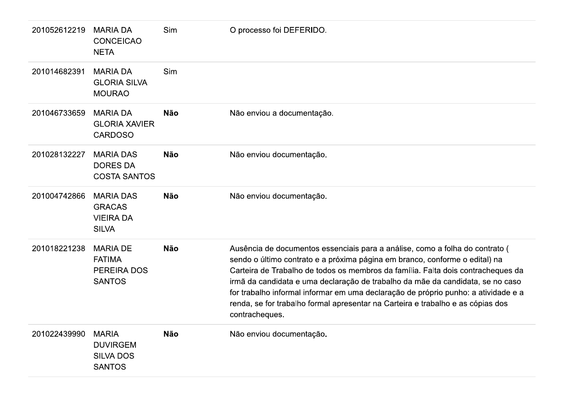| 201052612219 | <b>MARIA DA</b><br><b>CONCEICAO</b><br><b>NETA</b>                      | Sim        | O processo foi DEFERIDO.                                                                                                                                                                                                                                                                                                                                                                                                                                                                                                     |
|--------------|-------------------------------------------------------------------------|------------|------------------------------------------------------------------------------------------------------------------------------------------------------------------------------------------------------------------------------------------------------------------------------------------------------------------------------------------------------------------------------------------------------------------------------------------------------------------------------------------------------------------------------|
| 201014682391 | <b>MARIA DA</b><br><b>GLORIA SILVA</b><br><b>MOURAO</b>                 | Sim        |                                                                                                                                                                                                                                                                                                                                                                                                                                                                                                                              |
| 201046733659 | <b>MARIA DA</b><br><b>GLORIA XAVIER</b><br><b>CARDOSO</b>               | <b>Não</b> | Não enviou a documentação.                                                                                                                                                                                                                                                                                                                                                                                                                                                                                                   |
| 201028132227 | <b>MARIA DAS</b><br><b>DORES DA</b><br><b>COSTA SANTOS</b>              | <b>Não</b> | Não enviou documentação.                                                                                                                                                                                                                                                                                                                                                                                                                                                                                                     |
| 201004742866 | <b>MARIA DAS</b><br><b>GRACAS</b><br><b>VIEIRA DA</b><br><b>SILVA</b>   | <b>Não</b> | Não enviou documentação.                                                                                                                                                                                                                                                                                                                                                                                                                                                                                                     |
| 201018221238 | <b>MARIA DE</b><br><b>FATIMA</b><br><b>PEREIRA DOS</b><br><b>SANTOS</b> | <b>Não</b> | Ausência de documentos essenciais para a análise, como a folha do contrato (<br>sendo o último contrato e a próxima página em branco, conforme o edital) na<br>Carteira de Trabalho de todos os membros da família. Falta dois contracheques da<br>irmã da candidata e uma declaração de trabalho da mãe da candidata, se no caso<br>for trabalho informal informar em uma declaração de próprio punho: a atividade e a<br>renda, se for trabalho formal apresentar na Carteira e trabalho e as cópias dos<br>contracheques. |
| 201022439990 | <b>MARIA</b><br><b>DUVIRGEM</b><br><b>SILVA DOS</b><br><b>SANTOS</b>    | Não        | Não enviou documentação.                                                                                                                                                                                                                                                                                                                                                                                                                                                                                                     |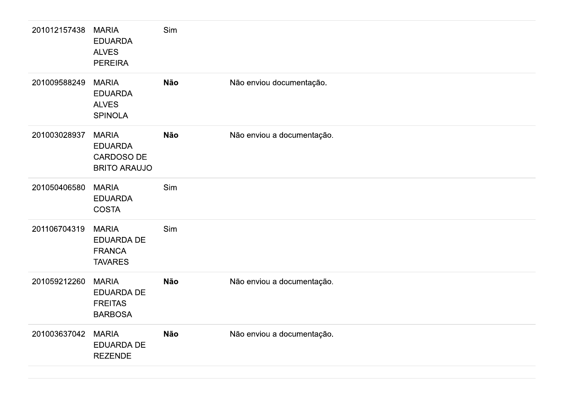| 201012157438 | <b>MARIA</b><br><b>EDUARDA</b><br><b>ALVES</b><br><b>PEREIRA</b>    | Sim |                            |
|--------------|---------------------------------------------------------------------|-----|----------------------------|
| 201009588249 | <b>MARIA</b><br><b>EDUARDA</b><br><b>ALVES</b><br><b>SPINOLA</b>    | Não | Não enviou documentação.   |
| 201003028937 | <b>MARIA</b><br><b>EDUARDA</b><br>CARDOSO DE<br><b>BRITO ARAUJO</b> | Não | Não enviou a documentação. |
| 201050406580 | <b>MARIA</b><br><b>EDUARDA</b><br><b>COSTA</b>                      | Sim |                            |
| 201106704319 | <b>MARIA</b><br>EDUARDA DE<br><b>FRANCA</b><br><b>TAVARES</b>       | Sim |                            |
| 201059212260 | <b>MARIA</b><br>EDUARDA DE<br><b>FREITAS</b><br><b>BARBOSA</b>      | Não | Não enviou a documentação. |
| 201003637042 | <b>MARIA</b><br><b>EDUARDA DE</b><br>REZENDE                        | Não | Não enviou a documentação. |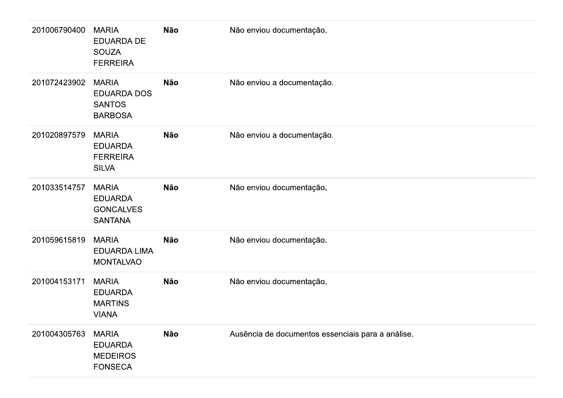| 201006790400 | <b>MARIA</b><br><b>EDUARDA DE</b><br><b>SOUZA</b><br><b>FERREIRA</b> | Não        | Não enviou documentação.                          |
|--------------|----------------------------------------------------------------------|------------|---------------------------------------------------|
| 201072423902 | <b>MARIA</b><br>EDUARDA DOS<br><b>SANTOS</b><br><b>BARBOSA</b>       | Não        | Não enviou a documentação.                        |
| 201020897579 | <b>MARIA</b><br><b>EDUARDA</b><br><b>FERREIRA</b><br><b>SILVA</b>    | <b>Não</b> | Não enviou a documentação.                        |
| 201033514757 | <b>MARIA</b><br><b>EDUARDA</b><br><b>GONCALVES</b><br><b>SANTANA</b> | Não        | Não enviou documentação.                          |
| 201059615819 | <b>MARIA</b><br><b>EDUARDA LIMA</b><br><b>MONTALVAO</b>              | Não        | Não enviou documentação.                          |
| 201004153171 | <b>MARIA</b><br><b>EDUARDA</b><br><b>MARTINS</b><br><b>VIANA</b>     | Não        | Não enviou documentação.                          |
| 201004305763 | <b>MARIA</b><br><b>EDUARDA</b><br><b>MEDEIROS</b><br><b>FONSECA</b>  | Não        | Ausência de documentos essenciais para a análise. |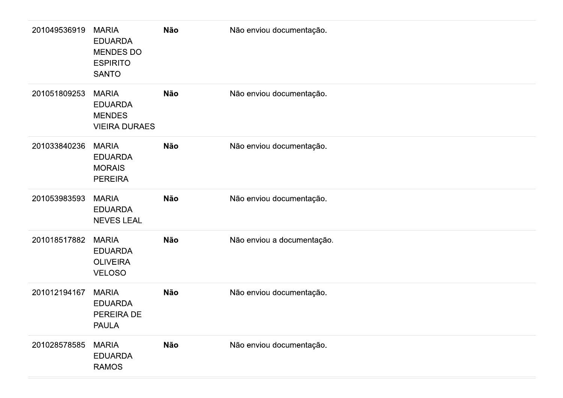| 201049536919 | <b>MARIA</b><br><b>EDUARDA</b><br>MENDES DO<br><b>ESPIRITO</b><br><b>SANTO</b> | Não        | Não enviou documentação.   |
|--------------|--------------------------------------------------------------------------------|------------|----------------------------|
| 201051809253 | <b>MARIA</b><br><b>EDUARDA</b><br><b>MENDES</b><br><b>VIEIRA DURAES</b>        | Não        | Não enviou documentação.   |
| 201033840236 | <b>MARIA</b><br><b>EDUARDA</b><br><b>MORAIS</b><br><b>PEREIRA</b>              | <b>Não</b> | Não enviou documentação.   |
| 201053983593 | <b>MARIA</b><br><b>EDUARDA</b><br><b>NEVES LEAL</b>                            | Não        | Não enviou documentação.   |
| 201018517882 | <b>MARIA</b><br><b>EDUARDA</b><br><b>OLIVEIRA</b><br><b>VELOSO</b>             | <b>Não</b> | Não enviou a documentação. |
| 201012194167 | <b>MARIA</b><br><b>EDUARDA</b><br>PEREIRA DE<br><b>PAULA</b>                   | <b>Não</b> | Não enviou documentação.   |
| 201028578585 | <b>MARIA</b><br><b>EDUARDA</b><br><b>RAMOS</b>                                 | <b>Não</b> | Não enviou documentação.   |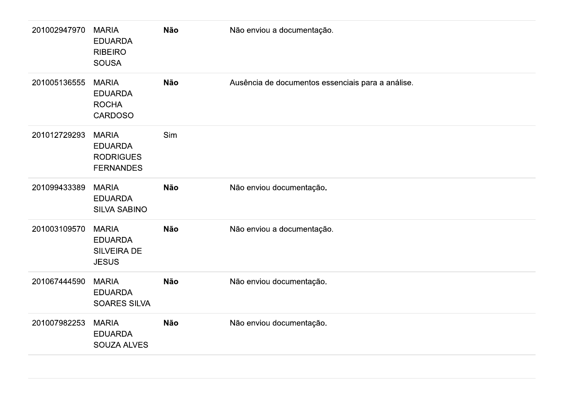| 201002947970 | <b>MARIA</b><br><b>EDUARDA</b><br><b>RIBEIRO</b><br><b>SOUSA</b>       | Não | Não enviou a documentação.                        |
|--------------|------------------------------------------------------------------------|-----|---------------------------------------------------|
| 201005136555 | <b>MARIA</b><br><b>EDUARDA</b><br><b>ROCHA</b><br><b>CARDOSO</b>       | Não | Ausência de documentos essenciais para a análise. |
| 201012729293 | <b>MARIA</b><br><b>EDUARDA</b><br><b>RODRIGUES</b><br><b>FERNANDES</b> | Sim |                                                   |
| 201099433389 | <b>MARIA</b><br><b>EDUARDA</b><br><b>SILVA SABINO</b>                  | Não | Não enviou documentação.                          |
| 201003109570 | <b>MARIA</b><br><b>EDUARDA</b><br><b>SILVEIRA DE</b><br><b>JESUS</b>   | Não | Não enviou a documentação.                        |
| 201067444590 | <b>MARIA</b><br><b>EDUARDA</b><br><b>SOARES SILVA</b>                  | Não | Não enviou documentação.                          |
| 201007982253 | <b>MARIA</b><br><b>EDUARDA</b><br>SOUZA ALVES                          | Não | Não enviou documentação.                          |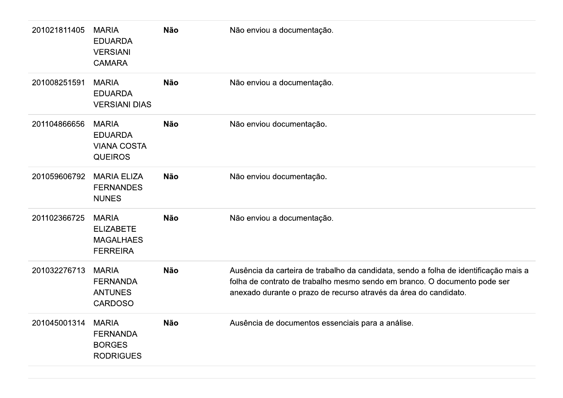| 201021811405 | <b>MARIA</b><br><b>EDUARDA</b><br><b>VERSIANI</b><br><b>CAMARA</b>      | <b>Não</b> | Não enviou a documentação.                                                                                                                                                                                                            |
|--------------|-------------------------------------------------------------------------|------------|---------------------------------------------------------------------------------------------------------------------------------------------------------------------------------------------------------------------------------------|
| 201008251591 | <b>MARIA</b><br><b>EDUARDA</b><br><b>VERSIANI DIAS</b>                  | <b>Não</b> | Não enviou a documentação.                                                                                                                                                                                                            |
| 201104866656 | <b>MARIA</b><br><b>EDUARDA</b><br><b>VIANA COSTA</b><br><b>QUEIROS</b>  | <b>Não</b> | Não enviou documentação.                                                                                                                                                                                                              |
| 201059606792 | <b>MARIA ELIZA</b><br><b>FERNANDES</b><br><b>NUNES</b>                  | <b>Não</b> | Não enviou documentação.                                                                                                                                                                                                              |
| 201102366725 | <b>MARIA</b><br><b>ELIZABETE</b><br><b>MAGALHAES</b><br><b>FERREIRA</b> | <b>Não</b> | Não enviou a documentação.                                                                                                                                                                                                            |
| 201032276713 | <b>MARIA</b><br><b>FERNANDA</b><br><b>ANTUNES</b><br><b>CARDOSO</b>     | <b>Não</b> | Ausência da carteira de trabalho da candidata, sendo a folha de identificação mais a<br>folha de contrato de trabalho mesmo sendo em branco. O documento pode ser<br>anexado durante o prazo de recurso através da área do candidato. |
| 201045001314 | <b>MARIA</b><br><b>FERNANDA</b><br><b>BORGES</b><br><b>RODRIGUES</b>    | <b>Não</b> | Ausência de documentos essenciais para a análise.                                                                                                                                                                                     |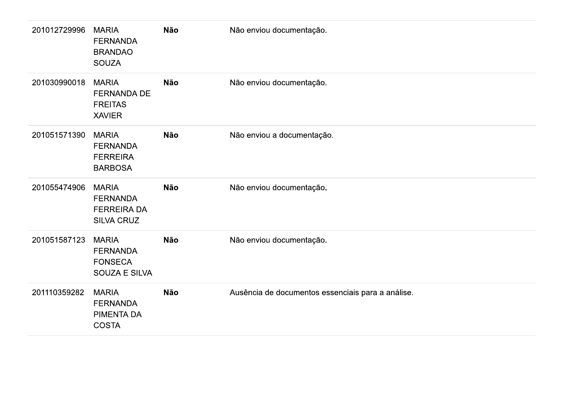| 201012729996 | <b>MARIA</b><br><b>FERNANDA</b><br><b>BRANDAO</b><br><b>SOUZA</b>          | Não        | Não enviou documentação.                          |
|--------------|----------------------------------------------------------------------------|------------|---------------------------------------------------|
| 201030990018 | <b>MARIA</b><br><b>FERNANDA DE</b><br><b>FREITAS</b><br><b>XAVIER</b>      | Não        | Não enviou documentação.                          |
| 201051571390 | <b>MARIA</b><br><b>FERNANDA</b><br><b>FERREIRA</b><br><b>BARBOSA</b>       | <b>Não</b> | Não enviou a documentação.                        |
| 201055474906 | <b>MARIA</b><br><b>FERNANDA</b><br><b>FERREIRA DA</b><br><b>SILVA CRUZ</b> | <b>Não</b> | Não enviou documentação.                          |
| 201051587123 | <b>MARIA</b><br><b>FERNANDA</b><br><b>FONSECA</b><br>SOUZA E SILVA         | Não        | Não enviou documentação.                          |
| 201110359282 | <b>MARIA</b><br><b>FERNANDA</b><br>PIMENTA DA<br><b>COSTA</b>              | <b>Não</b> | Ausência de documentos essenciais para a análise. |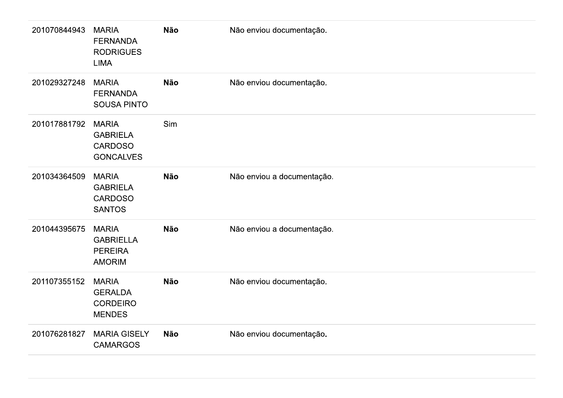| 201070844943 | <b>MARIA</b><br><b>FERNANDA</b><br><b>RODRIGUES</b><br><b>LIMA</b>    | Não        | Não enviou documentação.   |
|--------------|-----------------------------------------------------------------------|------------|----------------------------|
| 201029327248 | <b>MARIA</b><br><b>FERNANDA</b><br><b>SOUSA PINTO</b>                 | <b>Não</b> | Não enviou documentação.   |
| 201017881792 | <b>MARIA</b><br><b>GABRIELA</b><br><b>CARDOSO</b><br><b>GONCALVES</b> | Sim        |                            |
| 201034364509 | <b>MARIA</b><br><b>GABRIELA</b><br><b>CARDOSO</b><br><b>SANTOS</b>    | <b>Não</b> | Não enviou a documentação. |
| 201044395675 | <b>MARIA</b><br><b>GABRIELLA</b><br><b>PEREIRA</b><br><b>AMORIM</b>   | <b>Não</b> | Não enviou a documentação. |
| 201107355152 | <b>MARIA</b><br><b>GERALDA</b><br><b>CORDEIRO</b><br><b>MENDES</b>    | <b>Não</b> | Não enviou documentação.   |
| 201076281827 | <b>MARIA GISELY</b><br><b>CAMARGOS</b>                                | <b>Não</b> | Não enviou documentação.   |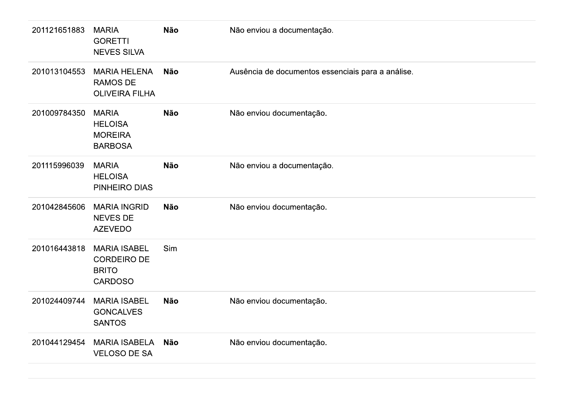| 201121651883 | <b>MARIA</b><br><b>GORETTI</b><br><b>NEVES SILVA</b>                        | <b>Não</b> | Não enviou a documentação.                        |
|--------------|-----------------------------------------------------------------------------|------------|---------------------------------------------------|
| 201013104553 | <b>MARIA HELENA</b><br><b>RAMOS DE</b><br><b>OLIVEIRA FILHA</b>             | <b>Não</b> | Ausência de documentos essenciais para a análise. |
| 201009784350 | <b>MARIA</b><br><b>HELOISA</b><br><b>MOREIRA</b><br><b>BARBOSA</b>          | <b>Não</b> | Não enviou documentação.                          |
| 201115996039 | <b>MARIA</b><br><b>HELOISA</b><br>PINHEIRO DIAS                             | <b>Não</b> | Não enviou a documentação.                        |
| 201042845606 | <b>MARIA INGRID</b><br><b>NEVES DE</b><br><b>AZEVEDO</b>                    | <b>Não</b> | Não enviou documentação.                          |
| 201016443818 | <b>MARIA ISABEL</b><br><b>CORDEIRO DE</b><br><b>BRITO</b><br><b>CARDOSO</b> | Sim        |                                                   |
| 201024409744 | <b>MARIA ISABEL</b><br><b>GONCALVES</b><br><b>SANTOS</b>                    | <b>Não</b> | Não enviou documentação.                          |
| 201044129454 | <b>MARIA ISABELA</b><br><b>VELOSO DE SA</b>                                 | Não        | Não enviou documentação.                          |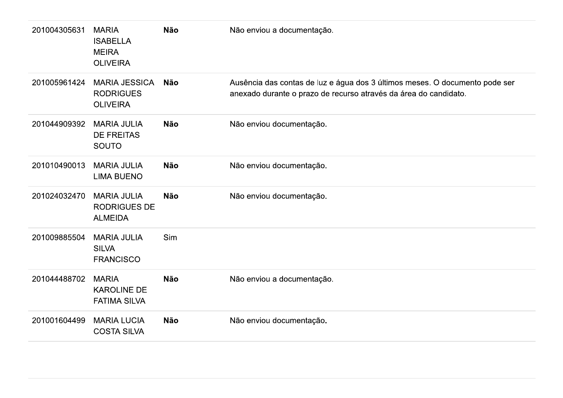| 201004305631 | <b>MARIA</b><br><b>ISABELLA</b><br><b>MEIRA</b><br><b>OLIVEIRA</b> | <b>Não</b> | Não enviou a documentação.                                                                                                                      |
|--------------|--------------------------------------------------------------------|------------|-------------------------------------------------------------------------------------------------------------------------------------------------|
| 201005961424 | <b>MARIA JESSICA</b><br><b>RODRIGUES</b><br><b>OLIVEIRA</b>        | <b>Não</b> | Ausência das contas de luz e água dos 3 últimos meses. O documento pode ser<br>anexado durante o prazo de recurso através da área do candidato. |
| 201044909392 | <b>MARIA JULIA</b><br><b>DE FREITAS</b><br><b>SOUTO</b>            | <b>Não</b> | Não enviou documentação.                                                                                                                        |
| 201010490013 | <b>MARIA JULIA</b><br><b>LIMA BUENO</b>                            | <b>Não</b> | Não enviou documentação.                                                                                                                        |
| 201024032470 | <b>MARIA JULIA</b><br><b>RODRIGUES DE</b><br><b>ALMEIDA</b>        | <b>Não</b> | Não enviou documentação.                                                                                                                        |
| 201009885504 | <b>MARIA JULIA</b><br><b>SILVA</b><br><b>FRANCISCO</b>             | Sim        |                                                                                                                                                 |
| 201044488702 | <b>MARIA</b><br><b>KAROLINE DE</b><br><b>FATIMA SILVA</b>          | <b>Não</b> | Não enviou a documentação.                                                                                                                      |
| 201001604499 | <b>MARIA LUCIA</b><br><b>COSTA SILVA</b>                           | <b>Não</b> | Não enviou documentação.                                                                                                                        |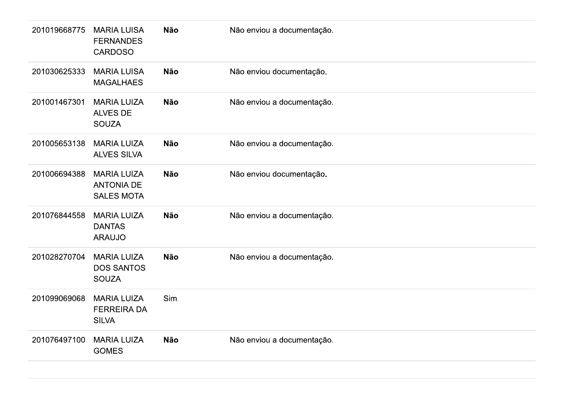| 201019668775 | <b>MARIA LUISA</b><br><b>FERNANDES</b><br><b>CARDOSO</b>     | Não        | Não enviou a documentação. |
|--------------|--------------------------------------------------------------|------------|----------------------------|
| 201030625333 | <b>MARIA LUISA</b><br><b>MAGALHAES</b>                       | <b>Não</b> | Não enviou documentação.   |
| 201001467301 | <b>MARIA LUIZA</b><br><b>ALVES DE</b><br><b>SOUZA</b>        | <b>Não</b> | Não enviou a documentação. |
| 201005653138 | <b>MARIA LUIZA</b><br><b>ALVES SILVA</b>                     | <b>Não</b> | Não enviou a documentação. |
| 201006694388 | <b>MARIA LUIZA</b><br><b>ANTONIA DE</b><br><b>SALES MOTA</b> | <b>Não</b> | Não enviou documentação.   |
| 201076844558 | <b>MARIA LUIZA</b><br><b>DANTAS</b><br><b>ARAUJO</b>         | <b>Não</b> | Não enviou a documentação. |
| 201028270704 | <b>MARIA LUIZA</b><br><b>DOS SANTOS</b><br><b>SOUZA</b>      | Não        | Não enviou a documentação. |
| 201099069068 | <b>MARIA LUIZA</b><br><b>FERREIRA DA</b><br><b>SILVA</b>     | Sim        |                            |
| 201076497100 | <b>MARIA LUIZA</b><br><b>GOMES</b>                           | Não        | Não enviou a documentação. |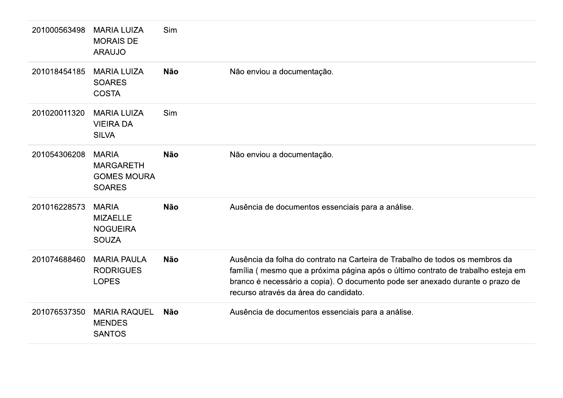| 201000563498 | <b>MARIA LUIZA</b><br><b>MORAIS DE</b><br><b>ARAUJO</b>                 | Sim        |                                                                                                                                                                                                                                                                                            |
|--------------|-------------------------------------------------------------------------|------------|--------------------------------------------------------------------------------------------------------------------------------------------------------------------------------------------------------------------------------------------------------------------------------------------|
| 201018454185 | <b>MARIA LUIZA</b><br><b>SOARES</b><br><b>COSTA</b>                     | <b>Não</b> | Não enviou a documentação.                                                                                                                                                                                                                                                                 |
| 201020011320 | <b>MARIA LUIZA</b><br><b>VIEIRA DA</b><br><b>SILVA</b>                  | Sim        |                                                                                                                                                                                                                                                                                            |
| 201054306208 | <b>MARIA</b><br><b>MARGARETH</b><br><b>GOMES MOURA</b><br><b>SOARES</b> | <b>Não</b> | Não enviou a documentação.                                                                                                                                                                                                                                                                 |
| 201016228573 | <b>MARIA</b><br><b>MIZAELLE</b><br><b>NOGUEIRA</b><br><b>SOUZA</b>      | <b>Não</b> | Ausência de documentos essenciais para a análise.                                                                                                                                                                                                                                          |
| 201074688460 | <b>MARIA PAULA</b><br><b>RODRIGUES</b><br><b>LOPES</b>                  | <b>Não</b> | Ausência da folha do contrato na Carteira de Trabalho de todos os membros da<br>família (mesmo que a próxima página após o último contrato de trabalho esteja em<br>branco é necessário a copia). O documento pode ser anexado durante o prazo de<br>recurso através da área do candidato. |
| 201076537350 | <b>MARIA RAQUEL</b><br><b>MENDES</b><br><b>SANTOS</b>                   | Não        | Ausência de documentos essenciais para a análise.                                                                                                                                                                                                                                          |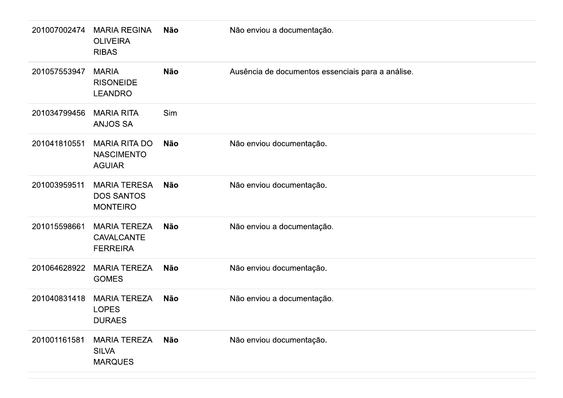| 201007002474 | <b>MARIA REGINA</b><br><b>OLIVEIRA</b><br><b>RIBAS</b>      | Não        | Não enviou a documentação.                        |
|--------------|-------------------------------------------------------------|------------|---------------------------------------------------|
| 201057553947 | <b>MARIA</b><br><b>RISONEIDE</b><br><b>LEANDRO</b>          | Não        | Ausência de documentos essenciais para a análise. |
| 201034799456 | <b>MARIA RITA</b><br><b>ANJOS SA</b>                        | Sim        |                                                   |
| 201041810551 | <b>MARIA RITA DO</b><br><b>NASCIMENTO</b><br><b>AGUIAR</b>  | Não        | Não enviou documentação.                          |
| 201003959511 | <b>MARIA TERESA</b><br><b>DOS SANTOS</b><br><b>MONTEIRO</b> | <b>Não</b> | Não enviou documentação.                          |
| 201015598661 | <b>MARIA TEREZA</b><br><b>CAVALCANTE</b><br><b>FERREIRA</b> | <b>Não</b> | Não enviou a documentação.                        |
| 201064628922 | <b>MARIA TEREZA</b><br><b>GOMES</b>                         | Não        | Não enviou documentação.                          |
| 201040831418 | MARIA TEREZA<br><b>LOPES</b><br><b>DURAES</b>               | Não        | Não enviou a documentação.                        |
| 201001161581 | <b>MARIA TEREZA</b><br><b>SILVA</b><br><b>MARQUES</b>       | Não        | Não enviou documentação.                          |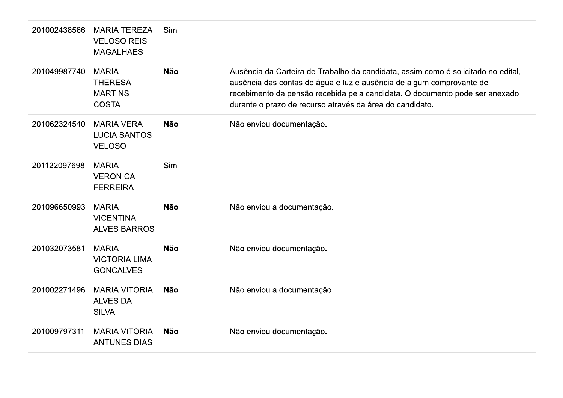| 201002438566 | <b>MARIA TEREZA</b><br><b>VELOSO REIS</b><br><b>MAGALHAES</b>    | Sim        |                                                                                                                                                                                                                                                                                                      |
|--------------|------------------------------------------------------------------|------------|------------------------------------------------------------------------------------------------------------------------------------------------------------------------------------------------------------------------------------------------------------------------------------------------------|
| 201049987740 | <b>MARIA</b><br><b>THERESA</b><br><b>MARTINS</b><br><b>COSTA</b> | <b>Não</b> | Ausência da Carteira de Trabalho da candidata, assim como é solicitado no edital,<br>ausência das contas de água e luz e ausência de algum comprovante de<br>recebimento da pensão recebida pela candidata. O documento pode ser anexado<br>durante o prazo de recurso através da área do candidato. |
| 201062324540 | <b>MARIA VERA</b><br><b>LUCIA SANTOS</b><br><b>VELOSO</b>        | <b>Não</b> | Não enviou documentação.                                                                                                                                                                                                                                                                             |
| 201122097698 | <b>MARIA</b><br><b>VERONICA</b><br><b>FERREIRA</b>               | Sim        |                                                                                                                                                                                                                                                                                                      |
| 201096650993 | <b>MARIA</b><br><b>VICENTINA</b><br><b>ALVES BARROS</b>          | <b>Não</b> | Não enviou a documentação.                                                                                                                                                                                                                                                                           |
| 201032073581 | <b>MARIA</b><br><b>VICTORIA LIMA</b><br><b>GONCALVES</b>         | <b>Não</b> | Não enviou documentação.                                                                                                                                                                                                                                                                             |
| 201002271496 | <b>MARIA VITORIA</b><br><b>ALVES DA</b><br><b>SILVA</b>          | <b>Não</b> | Não enviou a documentação.                                                                                                                                                                                                                                                                           |
| 201009797311 | <b>MARIA VITORIA</b><br><b>ANTUNES DIAS</b>                      | <b>Não</b> | Não enviou documentação.                                                                                                                                                                                                                                                                             |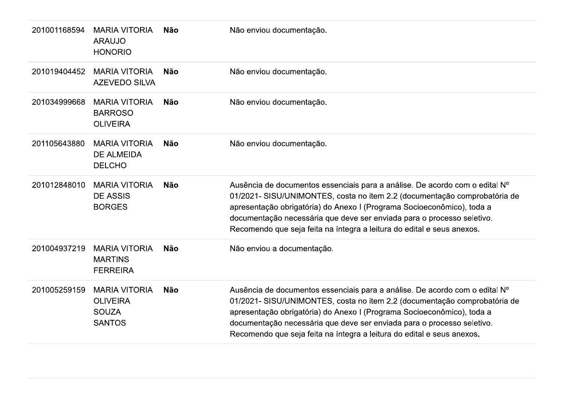| 201001168594 | <b>MARIA VITORIA</b><br><b>ARAUJO</b><br><b>HONORIO</b>                  | Não        | Não enviou documentação.                                                                                                                                                                                                                                                                                                                                                               |
|--------------|--------------------------------------------------------------------------|------------|----------------------------------------------------------------------------------------------------------------------------------------------------------------------------------------------------------------------------------------------------------------------------------------------------------------------------------------------------------------------------------------|
| 201019404452 | <b>MARIA VITORIA</b><br><b>AZEVEDO SILVA</b>                             | <b>Não</b> | Não enviou documentação.                                                                                                                                                                                                                                                                                                                                                               |
| 201034999668 | <b>MARIA VITORIA</b><br><b>BARROSO</b><br><b>OLIVEIRA</b>                | <b>Não</b> | Não enviou documentação.                                                                                                                                                                                                                                                                                                                                                               |
| 201105643880 | <b>MARIA VITORIA</b><br><b>DE ALMEIDA</b><br><b>DELCHO</b>               | <b>Não</b> | Não enviou documentação.                                                                                                                                                                                                                                                                                                                                                               |
| 201012848010 | <b>MARIA VITORIA</b><br><b>DE ASSIS</b><br><b>BORGES</b>                 | <b>Não</b> | Ausência de documentos essenciais para a análise. De acordo com o edital Nº<br>01/2021- SISU/UNIMONTES, costa no item 2.2 (documentação comprobatória de<br>apresentação obrigatória) do Anexo I (Programa Socioeconômico), toda a<br>documentação necessária que deve ser enviada para o processo seletivo.<br>Recomendo que seja feita na íntegra a leitura do edital e seus anexos. |
| 201004937219 | <b>MARIA VITORIA</b><br><b>MARTINS</b><br><b>FERREIRA</b>                | <b>Não</b> | Não enviou a documentação.                                                                                                                                                                                                                                                                                                                                                             |
| 201005259159 | <b>MARIA VITORIA</b><br><b>OLIVEIRA</b><br><b>SOUZA</b><br><b>SANTOS</b> | <b>Não</b> | Ausência de documentos essenciais para a análise. De acordo com o edital Nº<br>01/2021- SISU/UNIMONTES, costa no item 2.2 (documentação comprobatória de<br>apresentação obrigatória) do Anexo I (Programa Socioeconômico), toda a<br>documentação necessária que deve ser enviada para o processo seletivo.<br>Recomendo que seja feita na íntegra a leitura do edital e seus anexos. |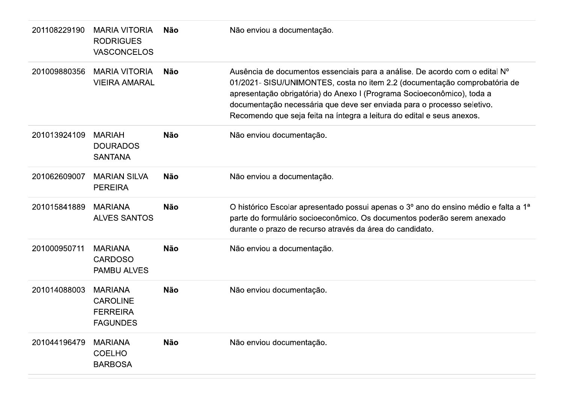| 201108229190 | <b>MARIA VITORIA</b><br><b>RODRIGUES</b><br><b>VASCONCELOS</b>          | <b>Não</b> | Não enviou a documentação.                                                                                                                                                                                                                                                                                                                                                             |
|--------------|-------------------------------------------------------------------------|------------|----------------------------------------------------------------------------------------------------------------------------------------------------------------------------------------------------------------------------------------------------------------------------------------------------------------------------------------------------------------------------------------|
| 201009880356 | <b>MARIA VITORIA</b><br><b>VIEIRA AMARAL</b>                            | <b>Não</b> | Ausência de documentos essenciais para a análise. De acordo com o edital Nº<br>01/2021- SISU/UNIMONTES, costa no item 2.2 (documentação comprobatória de<br>apresentação obrigatória) do Anexo I (Programa Socioeconômico), toda a<br>documentação necessária que deve ser enviada para o processo seletivo.<br>Recomendo que seja feita na íntegra a leitura do edital e seus anexos. |
| 201013924109 | <b>MARIAH</b><br><b>DOURADOS</b><br><b>SANTANA</b>                      | <b>Não</b> | Não enviou documentação.                                                                                                                                                                                                                                                                                                                                                               |
| 201062609007 | <b>MARIAN SILVA</b><br><b>PEREIRA</b>                                   | Não        | Não enviou a documentação.                                                                                                                                                                                                                                                                                                                                                             |
| 201015841889 | <b>MARIANA</b><br><b>ALVES SANTOS</b>                                   | <b>Não</b> | O histórico Escolar apresentado possui apenas o 3º ano do ensino médio e falta a 1ª<br>parte do formulário socioeconômico. Os documentos poderão serem anexado<br>durante o prazo de recurso através da área do candidato.                                                                                                                                                             |
| 201000950711 | <b>MARIANA</b><br><b>CARDOSO</b><br><b>PAMBU ALVES</b>                  | <b>Não</b> | Não enviou a documentação.                                                                                                                                                                                                                                                                                                                                                             |
| 201014088003 | <b>MARIANA</b><br><b>CAROLINE</b><br><b>FERREIRA</b><br><b>FAGUNDES</b> | <b>Não</b> | Não enviou documentação.                                                                                                                                                                                                                                                                                                                                                               |
| 201044196479 | <b>MARIANA</b><br><b>COELHO</b><br><b>BARBOSA</b>                       | <b>Não</b> | Não enviou documentação.                                                                                                                                                                                                                                                                                                                                                               |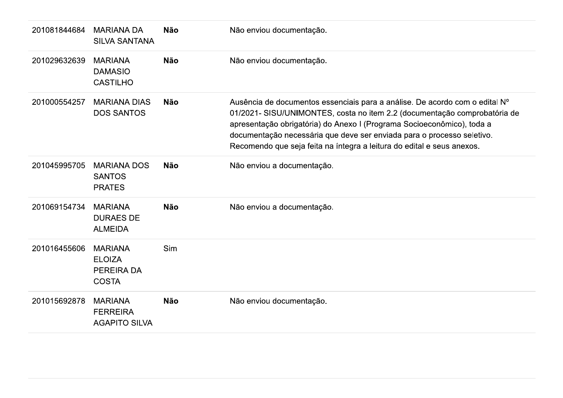| 201081844684 | <b>MARIANA DA</b><br><b>SILVA SANTANA</b>                     | <b>Não</b> | Não enviou documentação.                                                                                                                                                                                                                                                                                                                                                               |
|--------------|---------------------------------------------------------------|------------|----------------------------------------------------------------------------------------------------------------------------------------------------------------------------------------------------------------------------------------------------------------------------------------------------------------------------------------------------------------------------------------|
| 201029632639 | <b>MARIANA</b><br><b>DAMASIO</b><br><b>CASTILHO</b>           | <b>Não</b> | Não enviou documentação.                                                                                                                                                                                                                                                                                                                                                               |
| 201000554257 | <b>MARIANA DIAS</b><br><b>DOS SANTOS</b>                      | <b>Não</b> | Ausência de documentos essenciais para a análise. De acordo com o edital Nº<br>01/2021- SISU/UNIMONTES, costa no item 2.2 (documentação comprobatória de<br>apresentação obrigatória) do Anexo I (Programa Socioeconômico), toda a<br>documentação necessária que deve ser enviada para o processo seletivo.<br>Recomendo que seja feita na íntegra a leitura do edital e seus anexos. |
| 201045995705 | <b>MARIANA DOS</b><br><b>SANTOS</b><br><b>PRATES</b>          | <b>Não</b> | Não enviou a documentação.                                                                                                                                                                                                                                                                                                                                                             |
| 201069154734 | <b>MARIANA</b><br><b>DURAES DE</b><br><b>ALMEIDA</b>          | <b>Não</b> | Não enviou a documentação.                                                                                                                                                                                                                                                                                                                                                             |
| 201016455606 | <b>MARIANA</b><br><b>ELOIZA</b><br>PEREIRA DA<br><b>COSTA</b> | Sim        |                                                                                                                                                                                                                                                                                                                                                                                        |
| 201015692878 | <b>MARIANA</b><br><b>FERREIRA</b><br><b>AGAPITO SILVA</b>     | <b>Não</b> | Não enviou documentação.                                                                                                                                                                                                                                                                                                                                                               |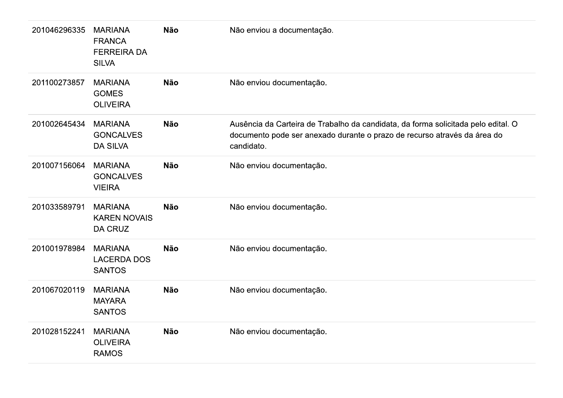| 201046296335 | <b>MARIANA</b><br><b>FRANCA</b><br><b>FERREIRA DA</b><br><b>SILVA</b> | <b>Não</b> | Não enviou a documentação.                                                                                                                                                  |
|--------------|-----------------------------------------------------------------------|------------|-----------------------------------------------------------------------------------------------------------------------------------------------------------------------------|
| 201100273857 | <b>MARIANA</b><br><b>GOMES</b><br><b>OLIVEIRA</b>                     | <b>Não</b> | Não enviou documentação.                                                                                                                                                    |
| 201002645434 | <b>MARIANA</b><br><b>GONCALVES</b><br><b>DA SILVA</b>                 | <b>Não</b> | Ausência da Carteira de Trabalho da candidata, da forma solicitada pelo edital. O<br>documento pode ser anexado durante o prazo de recurso através da área do<br>candidato. |
| 201007156064 | <b>MARIANA</b><br><b>GONCALVES</b><br><b>VIEIRA</b>                   | <b>Não</b> | Não enviou documentação.                                                                                                                                                    |
| 201033589791 | <b>MARIANA</b><br><b>KAREN NOVAIS</b><br>DA CRUZ                      | <b>Não</b> | Não enviou documentação.                                                                                                                                                    |
| 201001978984 | <b>MARIANA</b><br><b>LACERDA DOS</b><br><b>SANTOS</b>                 | <b>Não</b> | Não enviou documentação.                                                                                                                                                    |
| 201067020119 | <b>MARIANA</b><br><b>MAYARA</b><br><b>SANTOS</b>                      | <b>Não</b> | Não enviou documentação.                                                                                                                                                    |
| 201028152241 | <b>MARIANA</b><br><b>OLIVEIRA</b><br><b>RAMOS</b>                     | <b>Não</b> | Não enviou documentação.                                                                                                                                                    |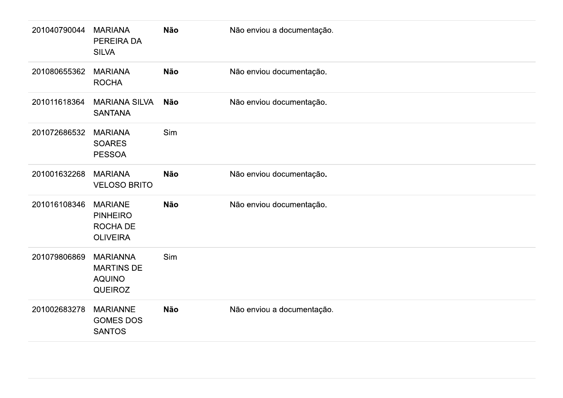| 201040790044 | <b>MARIANA</b><br>PEREIRA DA<br><b>SILVA</b>                            | <b>Não</b> | Não enviou a documentação. |
|--------------|-------------------------------------------------------------------------|------------|----------------------------|
| 201080655362 | <b>MARIANA</b><br><b>ROCHA</b>                                          | <b>Não</b> | Não enviou documentação.   |
| 201011618364 | <b>MARIANA SILVA</b><br><b>SANTANA</b>                                  | <b>Não</b> | Não enviou documentação.   |
| 201072686532 | <b>MARIANA</b><br><b>SOARES</b><br><b>PESSOA</b>                        | Sim        |                            |
| 201001632268 | <b>MARIANA</b><br><b>VELOSO BRITO</b>                                   | Não        | Não enviou documentação.   |
| 201016108346 | <b>MARIANE</b><br><b>PINHEIRO</b><br><b>ROCHA DE</b><br><b>OLIVEIRA</b> | <b>Não</b> | Não enviou documentação.   |
| 201079806869 | <b>MARIANNA</b><br><b>MARTINS DE</b><br><b>AQUINO</b><br>QUEIROZ        | Sim        |                            |
| 201002683278 | <b>MARIANNE</b><br><b>GOMES DOS</b><br><b>SANTOS</b>                    | Não        | Não enviou a documentação. |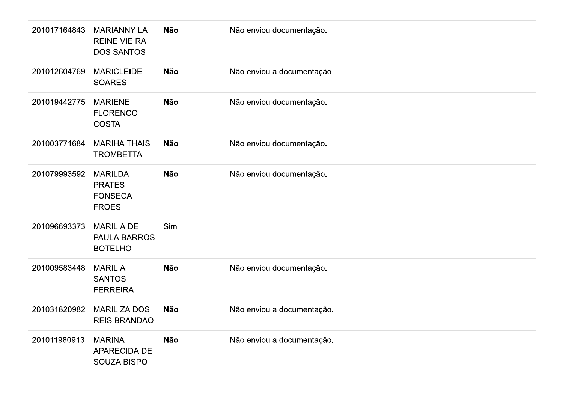| 201017164843 | <b>MARIANNY LA</b><br><b>REINE VIEIRA</b><br><b>DOS SANTOS</b>    | Não        | Não enviou documentação.   |
|--------------|-------------------------------------------------------------------|------------|----------------------------|
| 201012604769 | <b>MARICLEIDE</b><br><b>SOARES</b>                                | Não        | Não enviou a documentação. |
| 201019442775 | <b>MARIENE</b><br><b>FLORENCO</b><br><b>COSTA</b>                 | <b>Não</b> | Não enviou documentação.   |
| 201003771684 | <b>MARIHA THAIS</b><br><b>TROMBETTA</b>                           | <b>Não</b> | Não enviou documentação.   |
| 201079993592 | <b>MARILDA</b><br><b>PRATES</b><br><b>FONSECA</b><br><b>FROES</b> | Não        | Não enviou documentação.   |
| 201096693373 | <b>MARILIA DE</b><br><b>PAULA BARROS</b><br><b>BOTELHO</b>        | Sim        |                            |
| 201009583448 | <b>MARILIA</b><br><b>SANTOS</b><br><b>FERREIRA</b>                | Não        | Não enviou documentação.   |
| 201031820982 | <b>MARILIZA DOS</b><br><b>REIS BRANDAO</b>                        | <b>Não</b> | Não enviou a documentação. |
| 201011980913 | <b>MARINA</b><br>APARECIDA DE<br>SOUZA BISPO                      | Não        | Não enviou a documentação. |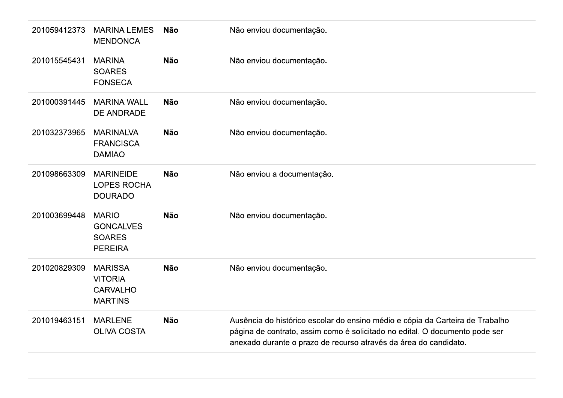| 201059412373 | <b>MARINA LEMES</b><br><b>MENDONCA</b>                                | Não        | Não enviou documentação.                                                                                                                                                                                                         |
|--------------|-----------------------------------------------------------------------|------------|----------------------------------------------------------------------------------------------------------------------------------------------------------------------------------------------------------------------------------|
| 201015545431 | <b>MARINA</b><br><b>SOARES</b><br><b>FONSECA</b>                      | <b>Não</b> | Não enviou documentação.                                                                                                                                                                                                         |
| 201000391445 | <b>MARINA WALL</b><br><b>DE ANDRADE</b>                               | <b>Não</b> | Não enviou documentação.                                                                                                                                                                                                         |
| 201032373965 | <b>MARINALVA</b><br><b>FRANCISCA</b><br><b>DAMIAO</b>                 | <b>Não</b> | Não enviou documentação.                                                                                                                                                                                                         |
| 201098663309 | <b>MARINEIDE</b><br><b>LOPES ROCHA</b><br><b>DOURADO</b>              | <b>Não</b> | Não enviou a documentação.                                                                                                                                                                                                       |
| 201003699448 | <b>MARIO</b><br><b>GONCALVES</b><br><b>SOARES</b><br><b>PEREIRA</b>   | <b>Não</b> | Não enviou documentação.                                                                                                                                                                                                         |
| 201020829309 | <b>MARISSA</b><br><b>VITORIA</b><br><b>CARVALHO</b><br><b>MARTINS</b> | <b>Não</b> | Não enviou documentação.                                                                                                                                                                                                         |
| 201019463151 | <b>MARLENE</b><br><b>OLIVA COSTA</b>                                  | <b>Não</b> | Ausência do histórico escolar do ensino médio e cópia da Carteira de Trabalho<br>página de contrato, assim como é solicitado no edital. O documento pode ser<br>anexado durante o prazo de recurso através da área do candidato. |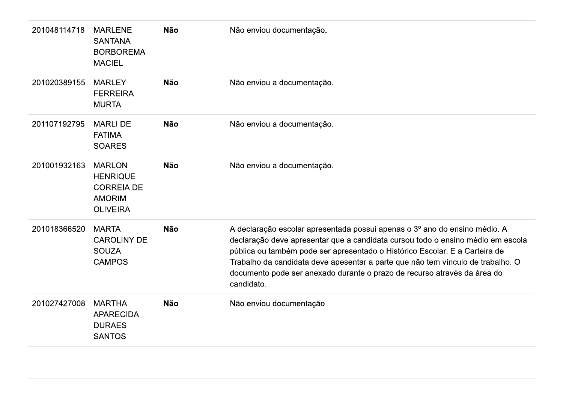| 201048114718 | <b>MARLENE</b><br><b>SANTANA</b><br><b>BORBOREMA</b><br><b>MACIEL</b>                     | <b>Não</b> | Não enviou documentação.                                                                                                                                                                                                                                                                                                                                                                                                  |
|--------------|-------------------------------------------------------------------------------------------|------------|---------------------------------------------------------------------------------------------------------------------------------------------------------------------------------------------------------------------------------------------------------------------------------------------------------------------------------------------------------------------------------------------------------------------------|
| 201020389155 | <b>MARLEY</b><br><b>FERREIRA</b><br><b>MURTA</b>                                          | <b>Não</b> | Não enviou a documentação.                                                                                                                                                                                                                                                                                                                                                                                                |
| 201107192795 | <b>MARLI DE</b><br><b>FATIMA</b><br><b>SOARES</b>                                         | <b>Não</b> | Não enviou a documentação.                                                                                                                                                                                                                                                                                                                                                                                                |
| 201001932163 | <b>MARLON</b><br><b>HENRIQUE</b><br><b>CORREIA DE</b><br><b>AMORIM</b><br><b>OLIVEIRA</b> | <b>Não</b> | Não enviou a documentação.                                                                                                                                                                                                                                                                                                                                                                                                |
| 201018366520 | <b>MARTA</b><br><b>CAROLINY DE</b><br><b>SOUZA</b><br><b>CAMPOS</b>                       | <b>Não</b> | A declaração escolar apresentada possui apenas o 3º ano do ensino médio. A<br>declaração deve apresentar que a candidata cursou todo o ensino médio em escola<br>pública ou também pode ser apresentado o Histórico Escolar. E a Carteira de<br>Trabalho da candidata deve apesentar a parte que não tem vínculo de trabalho. O<br>documento pode ser anexado durante o prazo de recurso através da área do<br>candidato. |
| 201027427008 | <b>MARTHA</b><br><b>APARECIDA</b><br><b>DURAES</b><br><b>SANTOS</b>                       | <b>Não</b> | Não enviou documentação                                                                                                                                                                                                                                                                                                                                                                                                   |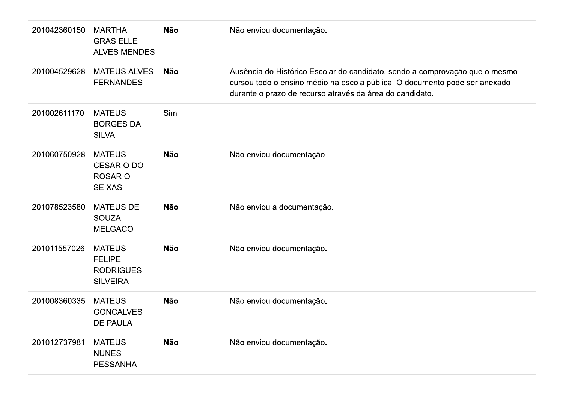| 201042360150 | <b>MARTHA</b><br><b>GRASIELLE</b><br><b>ALVES MENDES</b>              | <b>Não</b> | Não enviou documentação.                                                                                                                                                                                              |
|--------------|-----------------------------------------------------------------------|------------|-----------------------------------------------------------------------------------------------------------------------------------------------------------------------------------------------------------------------|
| 201004529628 | <b>MATEUS ALVES</b><br><b>FERNANDES</b>                               | <b>Não</b> | Ausência do Histórico Escolar do candidato, sendo a comprovação que o mesmo<br>cursou todo o ensino médio na escola pública. O documento pode ser anexado<br>durante o prazo de recurso através da área do candidato. |
| 201002611170 | <b>MATEUS</b><br><b>BORGES DA</b><br><b>SILVA</b>                     | Sim        |                                                                                                                                                                                                                       |
| 201060750928 | <b>MATEUS</b><br><b>CESARIO DO</b><br><b>ROSARIO</b><br><b>SEIXAS</b> | <b>Não</b> | Não enviou documentação.                                                                                                                                                                                              |
| 201078523580 | <b>MATEUS DE</b><br><b>SOUZA</b><br><b>MELGACO</b>                    | <b>Não</b> | Não enviou a documentação.                                                                                                                                                                                            |
| 201011557026 | <b>MATEUS</b><br><b>FELIPE</b><br><b>RODRIGUES</b><br><b>SILVEIRA</b> | <b>Não</b> | Não enviou documentação.                                                                                                                                                                                              |
| 201008360335 | <b>MATEUS</b><br><b>GONCALVES</b><br>DE PAULA                         | <b>Não</b> | Não enviou documentação.                                                                                                                                                                                              |
| 201012737981 | <b>MATEUS</b><br><b>NUNES</b><br><b>PESSANHA</b>                      | <b>Não</b> | Não enviou documentação.                                                                                                                                                                                              |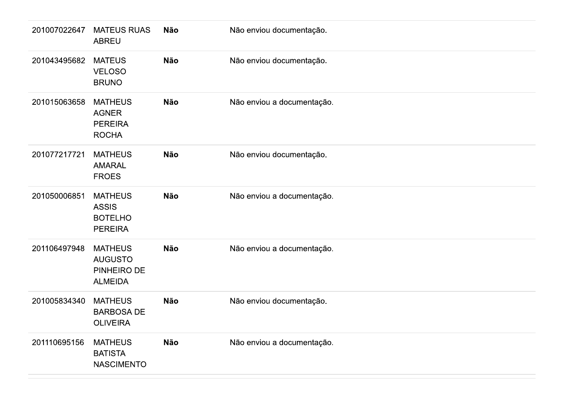| 201007022647 | <b>MATEUS RUAS</b><br><b>ABREU</b>                                 | <b>Não</b> | Não enviou documentação.   |
|--------------|--------------------------------------------------------------------|------------|----------------------------|
| 201043495682 | <b>MATEUS</b><br><b>VELOSO</b><br><b>BRUNO</b>                     | Não        | Não enviou documentação.   |
| 201015063658 | <b>MATHEUS</b><br><b>AGNER</b><br><b>PEREIRA</b><br><b>ROCHA</b>   | <b>Não</b> | Não enviou a documentação. |
| 201077217721 | <b>MATHEUS</b><br><b>AMARAL</b><br><b>FROES</b>                    | <b>Não</b> | Não enviou documentação.   |
| 201050006851 | <b>MATHEUS</b><br><b>ASSIS</b><br><b>BOTELHO</b><br><b>PEREIRA</b> | <b>Não</b> | Não enviou a documentação. |
| 201106497948 | <b>MATHEUS</b><br><b>AUGUSTO</b><br>PINHEIRO DE<br><b>ALMEIDA</b>  | <b>Não</b> | Não enviou a documentação. |
| 201005834340 | <b>MATHEUS</b><br><b>BARBOSA DE</b><br><b>OLIVEIRA</b>             | <b>Não</b> | Não enviou documentação.   |
| 201110695156 | <b>MATHEUS</b><br><b>BATISTA</b><br><b>NASCIMENTO</b>              | <b>Não</b> | Não enviou a documentação. |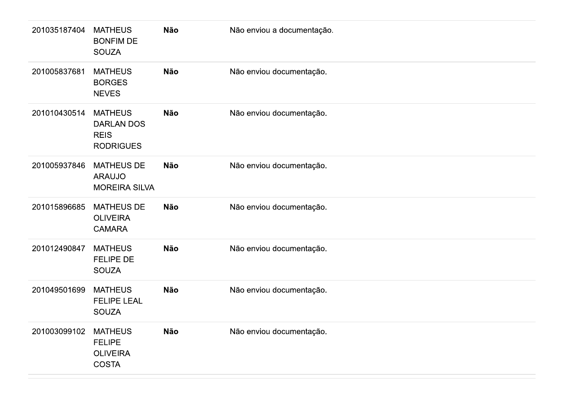| 201035187404 | <b>MATHEUS</b><br><b>BONFIM DE</b><br><b>SOUZA</b>                 | Não        | Não enviou a documentação. |
|--------------|--------------------------------------------------------------------|------------|----------------------------|
| 201005837681 | <b>MATHEUS</b><br><b>BORGES</b><br><b>NEVES</b>                    | <b>Não</b> | Não enviou documentação.   |
| 201010430514 | <b>MATHEUS</b><br>DARLAN DOS<br><b>REIS</b><br><b>RODRIGUES</b>    | Não        | Não enviou documentação.   |
| 201005937846 | <b>MATHEUS DE</b><br><b>ARAUJO</b><br><b>MOREIRA SILVA</b>         | <b>Não</b> | Não enviou documentação.   |
| 201015896685 | <b>MATHEUS DE</b><br><b>OLIVEIRA</b><br><b>CAMARA</b>              | Não        | Não enviou documentação.   |
| 201012490847 | <b>MATHEUS</b><br>FELIPE DE<br><b>SOUZA</b>                        | <b>Não</b> | Não enviou documentação.   |
| 201049501699 | <b>MATHEUS</b><br><b>FELIPE LEAL</b><br><b>SOUZA</b>               | <b>Não</b> | Não enviou documentação.   |
| 201003099102 | <b>MATHEUS</b><br><b>FELIPE</b><br><b>OLIVEIRA</b><br><b>COSTA</b> | <b>Não</b> | Não enviou documentação.   |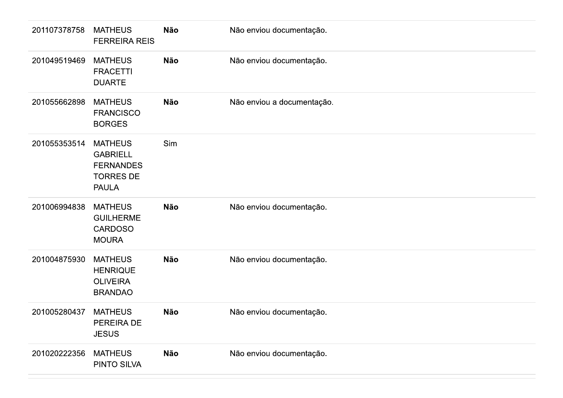| 201107378758 | <b>MATHEUS</b><br><b>FERREIRA REIS</b>                                                    | Não        | Não enviou documentação.   |
|--------------|-------------------------------------------------------------------------------------------|------------|----------------------------|
| 201049519469 | <b>MATHEUS</b><br><b>FRACETTI</b><br><b>DUARTE</b>                                        | Não        | Não enviou documentação.   |
| 201055662898 | <b>MATHEUS</b><br><b>FRANCISCO</b><br><b>BORGES</b>                                       | <b>Não</b> | Não enviou a documentação. |
| 201055353514 | <b>MATHEUS</b><br><b>GABRIELL</b><br><b>FERNANDES</b><br><b>TORRES DE</b><br><b>PAULA</b> | Sim        |                            |
| 201006994838 | <b>MATHEUS</b><br><b>GUILHERME</b><br><b>CARDOSO</b><br><b>MOURA</b>                      | <b>Não</b> | Não enviou documentação.   |
| 201004875930 | <b>MATHEUS</b><br><b>HENRIQUE</b><br><b>OLIVEIRA</b><br><b>BRANDAO</b>                    | <b>Não</b> | Não enviou documentação.   |
| 201005280437 | <b>MATHEUS</b><br>PEREIRA DE<br><b>JESUS</b>                                              | Não        | Não enviou documentação.   |
| 201020222356 | <b>MATHEUS</b><br>PINTO SILVA                                                             | Não        | Não enviou documentação.   |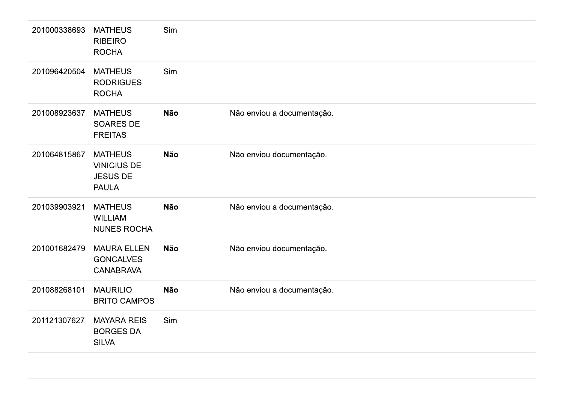| 201000338693 | <b>MATHEUS</b><br><b>RIBEIRO</b><br><b>ROCHA</b>                        | Sim        |                            |  |
|--------------|-------------------------------------------------------------------------|------------|----------------------------|--|
| 201096420504 | <b>MATHEUS</b><br><b>RODRIGUES</b><br><b>ROCHA</b>                      | Sim        |                            |  |
| 201008923637 | <b>MATHEUS</b><br>SOARES DE<br><b>FREITAS</b>                           | <b>Não</b> | Não enviou a documentação. |  |
| 201064815867 | <b>MATHEUS</b><br><b>VINICIUS DE</b><br><b>JESUS DE</b><br><b>PAULA</b> | Não        | Não enviou documentação.   |  |
| 201039903921 | <b>MATHEUS</b><br><b>WILLIAM</b><br>NUNES ROCHA                         | <b>Não</b> | Não enviou a documentação. |  |
| 201001682479 | <b>MAURA ELLEN</b><br><b>GONCALVES</b><br><b>CANABRAVA</b>              | Não        | Não enviou documentação.   |  |
| 201088268101 | <b>MAURILIO</b><br><b>BRITO CAMPOS</b>                                  | Não        | Não enviou a documentação. |  |
| 201121307627 | <b>MAYARA REIS</b><br><b>BORGES DA</b><br><b>SILVA</b>                  | Sim        |                            |  |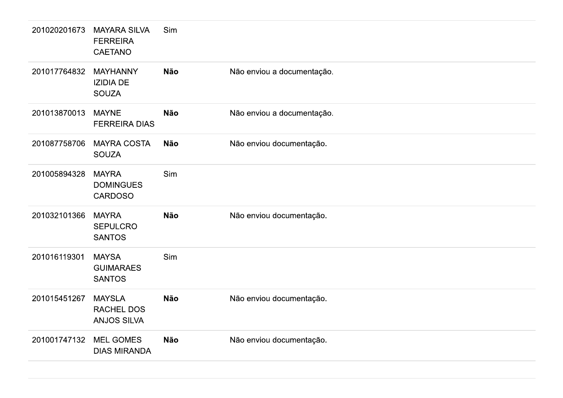| 201020201673 | <b>MAYARA SILVA</b><br><b>FERREIRA</b><br><b>CAETANO</b> | Sim        |                            |
|--------------|----------------------------------------------------------|------------|----------------------------|
| 201017764832 | <b>MAYHANNY</b><br><b>IZIDIA DE</b><br><b>SOUZA</b>      | <b>Não</b> | Não enviou a documentação. |
| 201013870013 | <b>MAYNE</b><br><b>FERREIRA DIAS</b>                     | <b>Não</b> | Não enviou a documentação. |
| 201087758706 | <b>MAYRA COSTA</b><br><b>SOUZA</b>                       | <b>Não</b> | Não enviou documentação.   |
| 201005894328 | <b>MAYRA</b><br><b>DOMINGUES</b><br><b>CARDOSO</b>       | Sim        |                            |
| 201032101366 | <b>MAYRA</b><br><b>SEPULCRO</b><br><b>SANTOS</b>         | <b>Não</b> | Não enviou documentação.   |
| 201016119301 | <b>MAYSA</b><br><b>GUIMARAES</b><br><b>SANTOS</b>        | Sim        |                            |
| 201015451267 | <b>MAYSLA</b><br><b>RACHEL DOS</b><br><b>ANJOS SILVA</b> | <b>Não</b> | Não enviou documentação.   |
| 201001747132 | <b>MEL GOMES</b><br><b>DIAS MIRANDA</b>                  | <b>Não</b> | Não enviou documentação.   |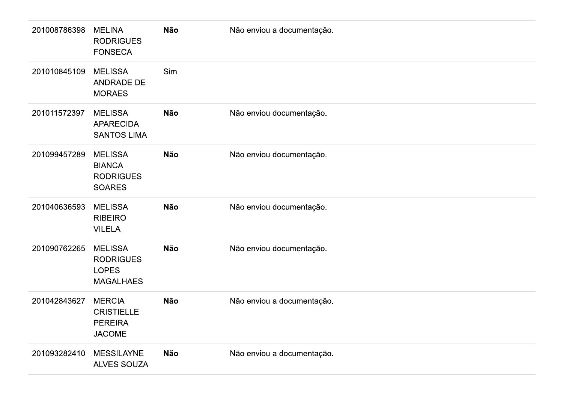| 201008786398 | <b>MELINA</b><br><b>RODRIGUES</b><br><b>FONSECA</b>                    | Não        | Não enviou a documentação. |
|--------------|------------------------------------------------------------------------|------------|----------------------------|
| 201010845109 | <b>MELISSA</b><br>ANDRADE DE<br><b>MORAES</b>                          | Sim        |                            |
| 201011572397 | <b>MELISSA</b><br><b>APARECIDA</b><br><b>SANTOS LIMA</b>               | Não        | Não enviou documentação.   |
| 201099457289 | <b>MELISSA</b><br><b>BIANCA</b><br><b>RODRIGUES</b><br><b>SOARES</b>   | Não        | Não enviou documentação.   |
| 201040636593 | <b>MELISSA</b><br><b>RIBEIRO</b><br><b>VILELA</b>                      | <b>Não</b> | Não enviou documentação.   |
| 201090762265 | <b>MELISSA</b><br><b>RODRIGUES</b><br><b>LOPES</b><br><b>MAGALHAES</b> | <b>Não</b> | Não enviou documentação.   |
| 201042843627 | <b>MERCIA</b><br><b>CRISTIELLE</b><br><b>PEREIRA</b><br><b>JACOME</b>  | <b>Não</b> | Não enviou a documentação. |
| 201093282410 | <b>MESSILAYNE</b><br>ALVES SOUZA                                       | <b>Não</b> | Não enviou a documentação. |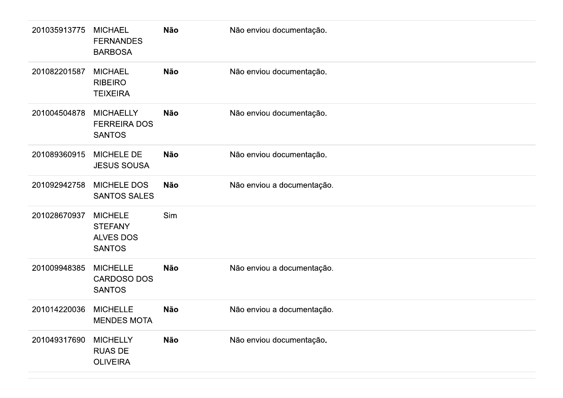| 201035913775 | <b>MICHAEL</b><br><b>FERNANDES</b><br><b>BARBOSA</b>                  | Não        | Não enviou documentação.   |
|--------------|-----------------------------------------------------------------------|------------|----------------------------|
| 201082201587 | <b>MICHAEL</b><br><b>RIBEIRO</b><br><b>TEIXEIRA</b>                   | <b>Não</b> | Não enviou documentação.   |
| 201004504878 | <b>MICHAELLY</b><br><b>FERREIRA DOS</b><br><b>SANTOS</b>              | <b>Não</b> | Não enviou documentação.   |
| 201089360915 | <b>MICHELE DE</b><br><b>JESUS SOUSA</b>                               | <b>Não</b> | Não enviou documentação.   |
| 201092942758 | <b>MICHELE DOS</b><br><b>SANTOS SALES</b>                             | <b>Não</b> | Não enviou a documentação. |
| 201028670937 | <b>MICHELE</b><br><b>STEFANY</b><br><b>ALVES DOS</b><br><b>SANTOS</b> | Sim        |                            |
| 201009948385 | <b>MICHELLE</b><br>CARDOSO DOS<br><b>SANTOS</b>                       | <b>Não</b> | Não enviou a documentação. |
| 201014220036 | <b>MICHELLE</b><br><b>MENDES MOTA</b>                                 | Não        | Não enviou a documentação. |
| 201049317690 | <b>MICHELLY</b><br><b>RUAS DE</b><br><b>OLIVEIRA</b>                  | <b>Não</b> | Não enviou documentação.   |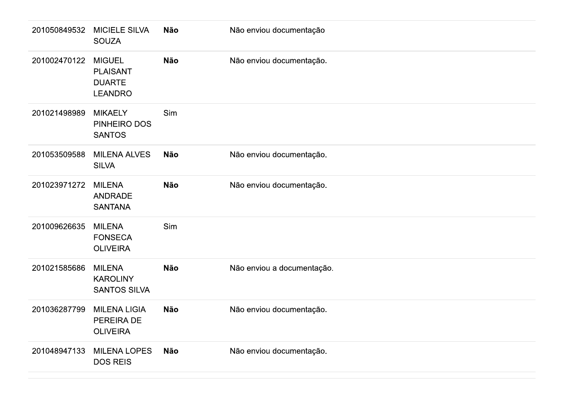| 201050849532 | <b>MICIELE SILVA</b><br><b>SOUZA</b>                                | Não        | Não enviou documentação    |
|--------------|---------------------------------------------------------------------|------------|----------------------------|
| 201002470122 | <b>MIGUEL</b><br><b>PLAISANT</b><br><b>DUARTE</b><br><b>LEANDRO</b> | Não        | Não enviou documentação.   |
| 201021498989 | <b>MIKAELY</b><br>PINHEIRO DOS<br><b>SANTOS</b>                     | Sim        |                            |
| 201053509588 | <b>MILENA ALVES</b><br><b>SILVA</b>                                 | Não        | Não enviou documentação.   |
| 201023971272 | <b>MILENA</b><br>ANDRADE<br><b>SANTANA</b>                          | Não        | Não enviou documentação.   |
| 201009626635 | <b>MILENA</b><br><b>FONSECA</b><br><b>OLIVEIRA</b>                  | Sim        |                            |
| 201021585686 | <b>MILENA</b><br><b>KAROLINY</b><br><b>SANTOS SILVA</b>             | Não        | Não enviou a documentação. |
| 201036287799 | <b>MILENA LIGIA</b><br>PEREIRA DE<br><b>OLIVEIRA</b>                | Não        | Não enviou documentação.   |
| 201048947133 | <b>MILENA LOPES</b><br><b>DOS REIS</b>                              | <b>Não</b> | Não enviou documentação.   |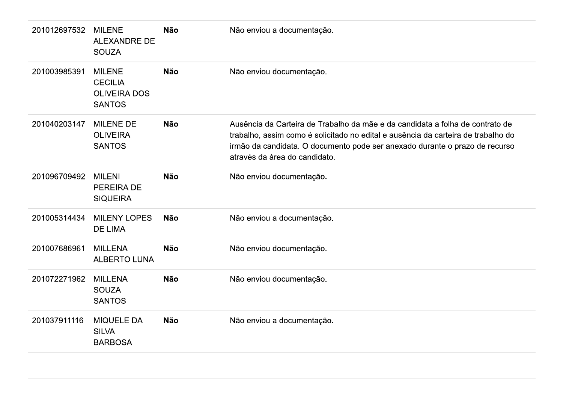| 201012697532 | <b>MILENE</b><br><b>ALEXANDRE DE</b><br><b>SOUZA</b>                    | <b>Não</b> | Não enviou a documentação.                                                                                                                                                                                                                                                         |
|--------------|-------------------------------------------------------------------------|------------|------------------------------------------------------------------------------------------------------------------------------------------------------------------------------------------------------------------------------------------------------------------------------------|
| 201003985391 | <b>MILENE</b><br><b>CECILIA</b><br><b>OLIVEIRA DOS</b><br><b>SANTOS</b> | <b>Não</b> | Não enviou documentação.                                                                                                                                                                                                                                                           |
| 201040203147 | <b>MILENE DE</b><br><b>OLIVEIRA</b><br><b>SANTOS</b>                    | <b>Não</b> | Ausência da Carteira de Trabalho da mãe e da candidata a folha de contrato de<br>trabalho, assim como é solicitado no edital e ausência da carteira de trabalho do<br>irmão da candidata. O documento pode ser anexado durante o prazo de recurso<br>através da área do candidato. |
| 201096709492 | <b>MILENI</b><br><b>PEREIRA DE</b><br><b>SIQUEIRA</b>                   | <b>Não</b> | Não enviou documentação.                                                                                                                                                                                                                                                           |
| 201005314434 | <b>MILENY LOPES</b><br>DE LIMA                                          | <b>Não</b> | Não enviou a documentação.                                                                                                                                                                                                                                                         |
| 201007686961 | <b>MILLENA</b><br><b>ALBERTO LUNA</b>                                   | <b>Não</b> | Não enviou documentação.                                                                                                                                                                                                                                                           |
| 201072271962 | <b>MILLENA</b><br><b>SOUZA</b><br><b>SANTOS</b>                         | <b>Não</b> | Não enviou documentação.                                                                                                                                                                                                                                                           |
| 201037911116 | <b>MIQUELE DA</b><br><b>SILVA</b><br><b>BARBOSA</b>                     | <b>Não</b> | Não enviou a documentação.                                                                                                                                                                                                                                                         |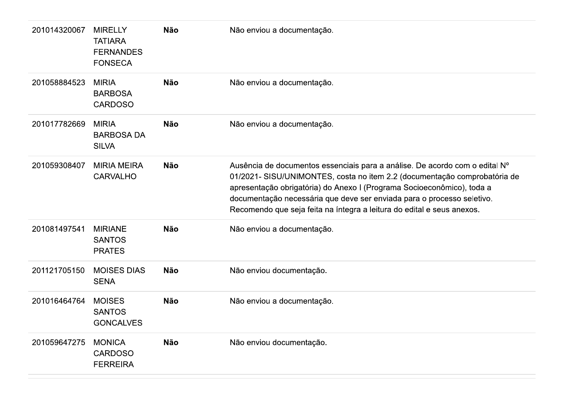| 201014320067 | <b>MIRELLY</b><br><b>TATIARA</b><br><b>FERNANDES</b><br><b>FONSECA</b> | <b>Não</b> | Não enviou a documentação.                                                                                                                                                                                                                                                                                                                                                             |
|--------------|------------------------------------------------------------------------|------------|----------------------------------------------------------------------------------------------------------------------------------------------------------------------------------------------------------------------------------------------------------------------------------------------------------------------------------------------------------------------------------------|
| 201058884523 | <b>MIRIA</b><br><b>BARBOSA</b><br><b>CARDOSO</b>                       | <b>Não</b> | Não enviou a documentação.                                                                                                                                                                                                                                                                                                                                                             |
| 201017782669 | <b>MIRIA</b><br><b>BARBOSA DA</b><br><b>SILVA</b>                      | <b>Não</b> | Não enviou a documentação.                                                                                                                                                                                                                                                                                                                                                             |
| 201059308407 | <b>MIRIA MEIRA</b><br><b>CARVALHO</b>                                  | <b>Não</b> | Ausência de documentos essenciais para a análise. De acordo com o edital Nº<br>01/2021- SISU/UNIMONTES, costa no item 2.2 (documentação comprobatória de<br>apresentação obrigatória) do Anexo I (Programa Socioeconômico), toda a<br>documentação necessária que deve ser enviada para o processo seletivo.<br>Recomendo que seja feita na íntegra a leitura do edital e seus anexos. |
| 201081497541 | <b>MIRIANE</b><br><b>SANTOS</b><br><b>PRATES</b>                       | <b>Não</b> | Não enviou a documentação.                                                                                                                                                                                                                                                                                                                                                             |
| 201121705150 | <b>MOISES DIAS</b><br><b>SENA</b>                                      | <b>Não</b> | Não enviou documentação.                                                                                                                                                                                                                                                                                                                                                               |
| 201016464764 | <b>MOISES</b><br><b>SANTOS</b><br><b>GONCALVES</b>                     | <b>Não</b> | Não enviou a documentação.                                                                                                                                                                                                                                                                                                                                                             |
| 201059647275 | <b>MONICA</b><br><b>CARDOSO</b><br><b>FERREIRA</b>                     | <b>Não</b> | Não enviou documentação.                                                                                                                                                                                                                                                                                                                                                               |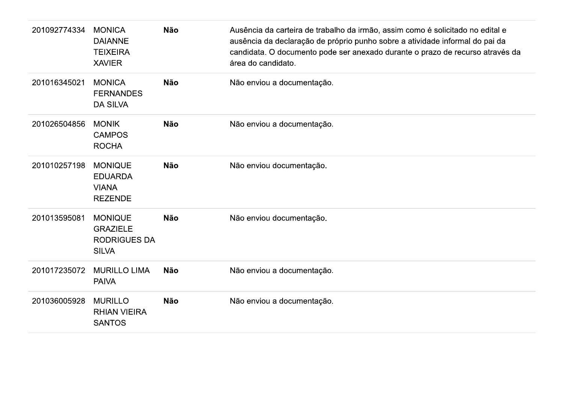| 201092774334 | <b>MONICA</b><br><b>DAIANNE</b><br><b>TEIXEIRA</b><br><b>XAVIER</b>      | <b>Não</b> | Ausência da carteira de trabalho da irmão, assim como é solicitado no edital e<br>ausência da declaração de próprio punho sobre a atividade informal do pai da<br>candidata. O documento pode ser anexado durante o prazo de recurso através da<br>área do candidato. |
|--------------|--------------------------------------------------------------------------|------------|-----------------------------------------------------------------------------------------------------------------------------------------------------------------------------------------------------------------------------------------------------------------------|
| 201016345021 | <b>MONICA</b><br><b>FERNANDES</b><br><b>DA SILVA</b>                     | <b>Não</b> | Não enviou a documentação.                                                                                                                                                                                                                                            |
| 201026504856 | <b>MONIK</b><br><b>CAMPOS</b><br><b>ROCHA</b>                            | <b>Não</b> | Não enviou a documentação.                                                                                                                                                                                                                                            |
| 201010257198 | <b>MONIQUE</b><br><b>EDUARDA</b><br><b>VIANA</b><br><b>REZENDE</b>       | <b>Não</b> | Não enviou documentação.                                                                                                                                                                                                                                              |
| 201013595081 | <b>MONIQUE</b><br><b>GRAZIELE</b><br><b>RODRIGUES DA</b><br><b>SILVA</b> | <b>Não</b> | Não enviou documentação.                                                                                                                                                                                                                                              |
| 201017235072 | <b>MURILLO LIMA</b><br><b>PAIVA</b>                                      | <b>Não</b> | Não enviou a documentação.                                                                                                                                                                                                                                            |
| 201036005928 | <b>MURILLO</b><br><b>RHIAN VIEIRA</b><br><b>SANTOS</b>                   | <b>Não</b> | Não enviou a documentação.                                                                                                                                                                                                                                            |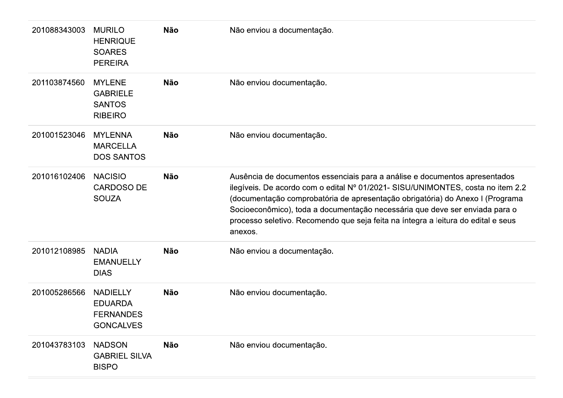| 201088343003 | <b>MURILO</b><br><b>HENRIQUE</b><br><b>SOARES</b><br><b>PEREIRA</b>       | <b>Não</b> | Não enviou a documentação.                                                                                                                                                                                                                                                                                                                                                                                                    |
|--------------|---------------------------------------------------------------------------|------------|-------------------------------------------------------------------------------------------------------------------------------------------------------------------------------------------------------------------------------------------------------------------------------------------------------------------------------------------------------------------------------------------------------------------------------|
| 201103874560 | <b>MYLENE</b><br><b>GABRIELE</b><br><b>SANTOS</b><br><b>RIBEIRO</b>       | <b>Não</b> | Não enviou documentação.                                                                                                                                                                                                                                                                                                                                                                                                      |
| 201001523046 | <b>MYLENNA</b><br><b>MARCELLA</b><br><b>DOS SANTOS</b>                    | <b>Não</b> | Não enviou documentação.                                                                                                                                                                                                                                                                                                                                                                                                      |
| 201016102406 | <b>NACISIO</b><br><b>CARDOSO DE</b><br><b>SOUZA</b>                       | <b>Não</b> | Ausência de documentos essenciais para a análise e documentos apresentados<br>ilegíveis. De acordo com o edital Nº 01/2021- SISU/UNIMONTES, costa no item 2.2<br>(documentação comprobatória de apresentação obrigatória) do Anexo I (Programa<br>Socioeconômico), toda a documentação necessária que deve ser enviada para o<br>processo seletivo. Recomendo que seja feita na íntegra a leitura do edital e seus<br>anexos. |
| 201012108985 | <b>NADIA</b><br><b>EMANUELLY</b><br><b>DIAS</b>                           | <b>Não</b> | Não enviou a documentação.                                                                                                                                                                                                                                                                                                                                                                                                    |
| 201005286566 | <b>NADIELLY</b><br><b>EDUARDA</b><br><b>FERNANDES</b><br><b>GONCALVES</b> | <b>Não</b> | Não enviou documentação.                                                                                                                                                                                                                                                                                                                                                                                                      |
| 201043783103 | <b>NADSON</b><br><b>GABRIEL SILVA</b><br><b>BISPO</b>                     | <b>Não</b> | Não enviou documentação.                                                                                                                                                                                                                                                                                                                                                                                                      |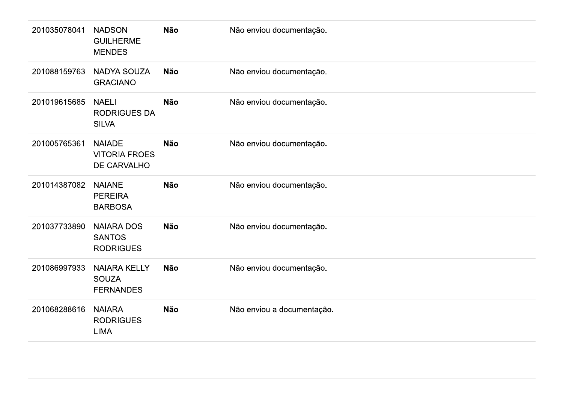| 201088159763<br><b>NADYA SOUZA</b><br><b>Não</b><br>Não enviou documentação.<br><b>GRACIANO</b><br>201019615685<br><b>Não</b><br><b>NAELI</b><br>Não enviou documentação.<br><b>RODRIGUES DA</b><br><b>SILVA</b><br>201005765361<br><b>NAIADE</b><br><b>Não</b><br>Não enviou documentação.<br><b>VITORIA FROES</b><br>DE CARVALHO<br>201014387082<br><b>NAIANE</b><br><b>Não</b><br>Não enviou documentação.<br><b>PEREIRA</b><br><b>BARBOSA</b><br>201037733890<br><b>NAIARA DOS</b><br><b>Não</b><br>Não enviou documentação.<br><b>SANTOS</b><br><b>RODRIGUES</b><br>201086997933<br><b>NAIARA KELLY</b><br><b>Não</b><br>Não enviou documentação.<br><b>SOUZA</b><br><b>FERNANDES</b><br>201068288616<br><b>NAIARA</b><br><b>Não</b><br>Não enviou a documentação.<br><b>RODRIGUES</b><br><b>LIMA</b> | 201035078041 | <b>NADSON</b><br><b>GUILHERME</b><br><b>MENDES</b> | <b>Não</b> | Não enviou documentação. |
|------------------------------------------------------------------------------------------------------------------------------------------------------------------------------------------------------------------------------------------------------------------------------------------------------------------------------------------------------------------------------------------------------------------------------------------------------------------------------------------------------------------------------------------------------------------------------------------------------------------------------------------------------------------------------------------------------------------------------------------------------------------------------------------------------------|--------------|----------------------------------------------------|------------|--------------------------|
|                                                                                                                                                                                                                                                                                                                                                                                                                                                                                                                                                                                                                                                                                                                                                                                                            |              |                                                    |            |                          |
|                                                                                                                                                                                                                                                                                                                                                                                                                                                                                                                                                                                                                                                                                                                                                                                                            |              |                                                    |            |                          |
|                                                                                                                                                                                                                                                                                                                                                                                                                                                                                                                                                                                                                                                                                                                                                                                                            |              |                                                    |            |                          |
|                                                                                                                                                                                                                                                                                                                                                                                                                                                                                                                                                                                                                                                                                                                                                                                                            |              |                                                    |            |                          |
|                                                                                                                                                                                                                                                                                                                                                                                                                                                                                                                                                                                                                                                                                                                                                                                                            |              |                                                    |            |                          |
|                                                                                                                                                                                                                                                                                                                                                                                                                                                                                                                                                                                                                                                                                                                                                                                                            |              |                                                    |            |                          |
|                                                                                                                                                                                                                                                                                                                                                                                                                                                                                                                                                                                                                                                                                                                                                                                                            |              |                                                    |            |                          |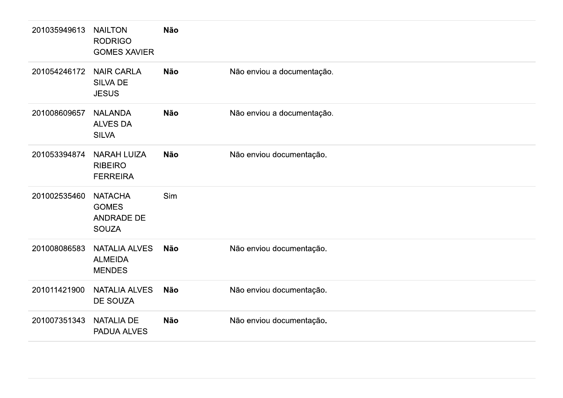| 201035949613 | <b>NAILTON</b><br><b>RODRIGO</b><br><b>GOMES XAVIER</b>             | <b>Não</b> |                            |
|--------------|---------------------------------------------------------------------|------------|----------------------------|
| 201054246172 | <b>NAIR CARLA</b><br><b>SILVA DE</b><br><b>JESUS</b>                | <b>Não</b> | Não enviou a documentação. |
| 201008609657 | <b>NALANDA</b><br><b>ALVES DA</b><br><b>SILVA</b>                   | <b>Não</b> | Não enviou a documentação. |
| 201053394874 | <b>NARAH LUIZA</b><br><b>RIBEIRO</b><br><b>FERREIRA</b>             | <b>Não</b> | Não enviou documentação.   |
| 201002535460 | <b>NATACHA</b><br><b>GOMES</b><br><b>ANDRADE DE</b><br><b>SOUZA</b> | Sim        |                            |
| 201008086583 | <b>NATALIA ALVES</b><br><b>ALMEIDA</b><br><b>MENDES</b>             | <b>Não</b> | Não enviou documentação.   |
| 201011421900 | <b>NATALIA ALVES</b><br><b>DE SOUZA</b>                             | <b>Não</b> | Não enviou documentação.   |
| 201007351343 | <b>NATALIA DE</b><br>PADUA ALVES                                    | <b>Não</b> | Não enviou documentação.   |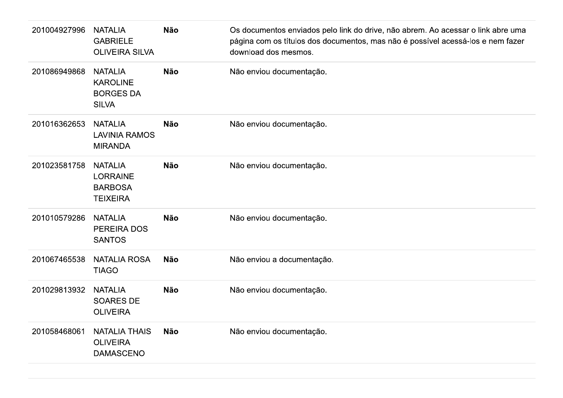| 201004927996 | <b>NATALIA</b><br><b>GABRIELE</b><br><b>OLIVEIRA SILVA</b>             | <b>Não</b> | Os documentos enviados pelo link do drive, não abrem. Ao acessar o link abre uma<br>página com os títulos dos documentos, mas não é possível acessá-los e nem fazer<br>download dos mesmos. |
|--------------|------------------------------------------------------------------------|------------|---------------------------------------------------------------------------------------------------------------------------------------------------------------------------------------------|
| 201086949868 | <b>NATALIA</b><br><b>KAROLINE</b><br><b>BORGES DA</b><br><b>SILVA</b>  | <b>Não</b> | Não enviou documentação.                                                                                                                                                                    |
| 201016362653 | <b>NATALIA</b><br><b>LAVINIA RAMOS</b><br><b>MIRANDA</b>               | <b>Não</b> | Não enviou documentação.                                                                                                                                                                    |
| 201023581758 | <b>NATALIA</b><br><b>LORRAINE</b><br><b>BARBOSA</b><br><b>TEIXEIRA</b> | <b>Não</b> | Não enviou documentação.                                                                                                                                                                    |
| 201010579286 | <b>NATALIA</b><br>PEREIRA DOS<br><b>SANTOS</b>                         | <b>Não</b> | Não enviou documentação.                                                                                                                                                                    |
| 201067465538 | <b>NATALIA ROSA</b><br><b>TIAGO</b>                                    | <b>Não</b> | Não enviou a documentação.                                                                                                                                                                  |
| 201029813932 | <b>NATALIA</b><br><b>SOARES DE</b><br><b>OLIVEIRA</b>                  | <b>Não</b> | Não enviou documentação.                                                                                                                                                                    |
| 201058468061 | <b>NATALIA THAIS</b><br><b>OLIVEIRA</b><br><b>DAMASCENO</b>            | <b>Não</b> | Não enviou documentação.                                                                                                                                                                    |
|              |                                                                        |            |                                                                                                                                                                                             |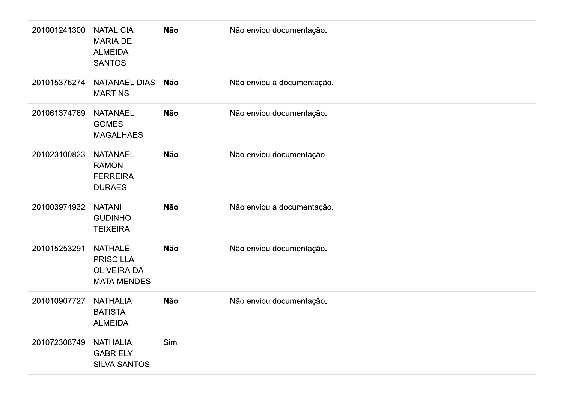| 201001241300 | <b>NATALICIA</b><br><b>MARIA DE</b><br><b>ALMEIDA</b><br><b>SANTOS</b>         | Não        | Não enviou documentação.   |
|--------------|--------------------------------------------------------------------------------|------------|----------------------------|
| 201015376274 | <b>NATANAEL DIAS</b><br><b>MARTINS</b>                                         | <b>Não</b> | Não enviou a documentação. |
| 201061374769 | <b>NATANAEL</b><br><b>GOMES</b><br><b>MAGALHAES</b>                            | Não        | Não enviou documentação.   |
| 201023100823 | <b>NATANAEL</b><br><b>RAMON</b><br><b>FERREIRA</b><br><b>DURAES</b>            | Não        | Não enviou documentação.   |
| 201003974932 | <b>NATANI</b><br><b>GUDINHO</b><br><b>TEIXEIRA</b>                             | <b>Não</b> | Não enviou a documentação. |
| 201015253291 | <b>NATHALE</b><br><b>PRISCILLA</b><br><b>OLIVEIRA DA</b><br><b>MATA MENDES</b> | <b>Não</b> | Não enviou documentação.   |
| 201010907727 | <b>NATHALIA</b><br><b>BATISTA</b><br><b>ALMEIDA</b>                            | Não        | Não enviou documentação.   |
| 201072308749 | <b>NATHALIA</b><br><b>GABRIELY</b><br><b>SILVA SANTOS</b>                      | Sim        |                            |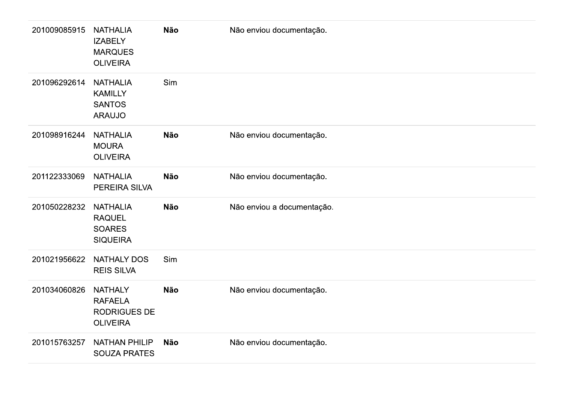| 201009085915 | <b>NATHALIA</b><br><b>IZABELY</b><br><b>MARQUES</b><br><b>OLIVEIRA</b> | Não        | Não enviou documentação.   |
|--------------|------------------------------------------------------------------------|------------|----------------------------|
| 201096292614 | <b>NATHALIA</b><br><b>KAMILLY</b><br><b>SANTOS</b><br><b>ARAUJO</b>    | Sim        |                            |
| 201098916244 | <b>NATHALIA</b><br><b>MOURA</b><br><b>OLIVEIRA</b>                     | Não        | Não enviou documentação.   |
| 201122333069 | <b>NATHALIA</b><br>PEREIRA SILVA                                       | <b>Não</b> | Não enviou documentação.   |
| 201050228232 | <b>NATHALIA</b><br><b>RAQUEL</b><br><b>SOARES</b><br><b>SIQUEIRA</b>   | Não        | Não enviou a documentação. |
| 201021956622 | <b>NATHALY DOS</b><br><b>REIS SILVA</b>                                | Sim        |                            |
| 201034060826 | <b>NATHALY</b><br><b>RAFAELA</b><br>RODRIGUES DE<br><b>OLIVEIRA</b>    | Não        | Não enviou documentação.   |
| 201015763257 | <b>NATHAN PHILIP</b><br><b>SOUZA PRATES</b>                            | Não        | Não enviou documentação.   |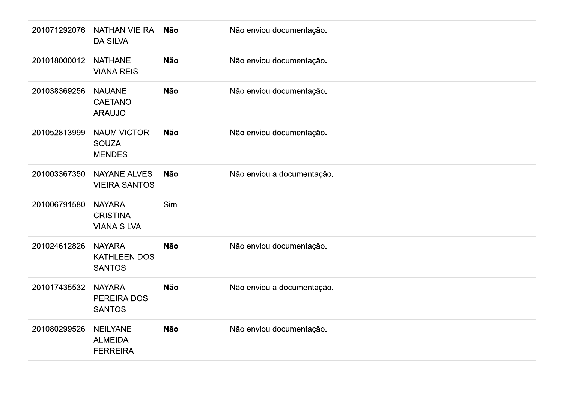| 201071292076 | NATHAN VIEIRA<br><b>DA SILVA</b>                       | Não        | Não enviou documentação.   |
|--------------|--------------------------------------------------------|------------|----------------------------|
| 201018000012 | <b>NATHANE</b><br><b>VIANA REIS</b>                    | <b>Não</b> | Não enviou documentação.   |
| 201038369256 | <b>NAUANE</b><br><b>CAETANO</b><br><b>ARAUJO</b>       | <b>Não</b> | Não enviou documentação.   |
| 201052813999 | <b>NAUM VICTOR</b><br><b>SOUZA</b><br><b>MENDES</b>    | Não        | Não enviou documentação.   |
| 201003367350 | <b>NAYANE ALVES</b><br><b>VIEIRA SANTOS</b>            | <b>Não</b> | Não enviou a documentação. |
| 201006791580 | <b>NAYARA</b><br><b>CRISTINA</b><br><b>VIANA SILVA</b> | Sim        |                            |
| 201024612826 | <b>NAYARA</b><br>KATHLEEN DOS<br><b>SANTOS</b>         | Não        | Não enviou documentação.   |
| 201017435532 | <b>NAYARA</b><br>PEREIRA DOS<br><b>SANTOS</b>          | Não        | Não enviou a documentação. |
| 201080299526 | <b>NEILYANE</b><br><b>ALMEIDA</b><br><b>FERREIRA</b>   | Não        | Não enviou documentação.   |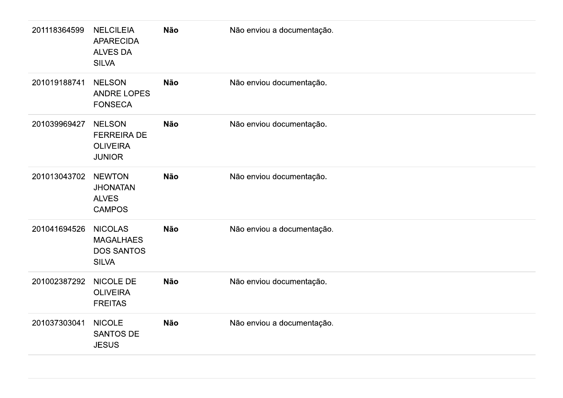| 201118364599 | <b>NELCILEIA</b><br><b>APARECIDA</b><br><b>ALVES DA</b><br><b>SILVA</b> | Não        | Não enviou a documentação. |
|--------------|-------------------------------------------------------------------------|------------|----------------------------|
| 201019188741 | <b>NELSON</b><br>ANDRE LOPES<br><b>FONSECA</b>                          | Não        | Não enviou documentação.   |
| 201039969427 | <b>NELSON</b><br><b>FERREIRA DE</b><br><b>OLIVEIRA</b><br><b>JUNIOR</b> | <b>Não</b> | Não enviou documentação.   |
| 201013043702 | <b>NEWTON</b><br><b>JHONATAN</b><br><b>ALVES</b><br><b>CAMPOS</b>       | Não        | Não enviou documentação.   |
| 201041694526 | <b>NICOLAS</b><br><b>MAGALHAES</b><br><b>DOS SANTOS</b><br><b>SILVA</b> | Não        | Não enviou a documentação. |
| 201002387292 | NICOLE DE<br><b>OLIVEIRA</b><br><b>FREITAS</b>                          | <b>Não</b> | Não enviou documentação.   |
| 201037303041 | <b>NICOLE</b><br>SANTOS DE<br><b>JESUS</b>                              | <b>Não</b> | Não enviou a documentação. |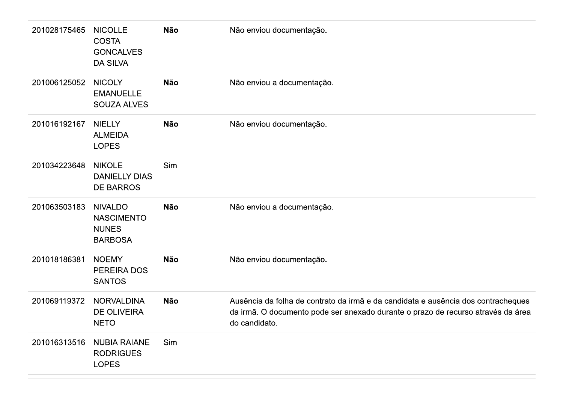| 201028175465 | <b>NICOLLE</b><br><b>COSTA</b><br><b>GONCALVES</b><br><b>DA SILVA</b> | Não        | Não enviou documentação.                                                                                                                                                               |
|--------------|-----------------------------------------------------------------------|------------|----------------------------------------------------------------------------------------------------------------------------------------------------------------------------------------|
| 201006125052 | <b>NICOLY</b><br><b>EMANUELLE</b><br><b>SOUZA ALVES</b>               | <b>Não</b> | Não enviou a documentação.                                                                                                                                                             |
| 201016192167 | <b>NIELLY</b><br><b>ALMEIDA</b><br><b>LOPES</b>                       | <b>Não</b> | Não enviou documentação.                                                                                                                                                               |
| 201034223648 | <b>NIKOLE</b><br><b>DANIELLY DIAS</b><br><b>DE BARROS</b>             | Sim        |                                                                                                                                                                                        |
| 201063503183 | <b>NIVALDO</b><br><b>NASCIMENTO</b><br><b>NUNES</b><br><b>BARBOSA</b> | <b>Não</b> | Não enviou a documentação.                                                                                                                                                             |
| 201018186381 | <b>NOEMY</b><br>PEREIRA DOS<br><b>SANTOS</b>                          | <b>Não</b> | Não enviou documentação.                                                                                                                                                               |
| 201069119372 | <b>NORVALDINA</b><br><b>DE OLIVEIRA</b><br><b>NETO</b>                | <b>Não</b> | Ausência da folha de contrato da irmã e da candidata e ausência dos contracheques<br>da irmã. O documento pode ser anexado durante o prazo de recurso através da área<br>do candidato. |
| 201016313516 | <b>NUBIA RAIANE</b><br><b>RODRIGUES</b><br><b>LOPES</b>               | Sim        |                                                                                                                                                                                        |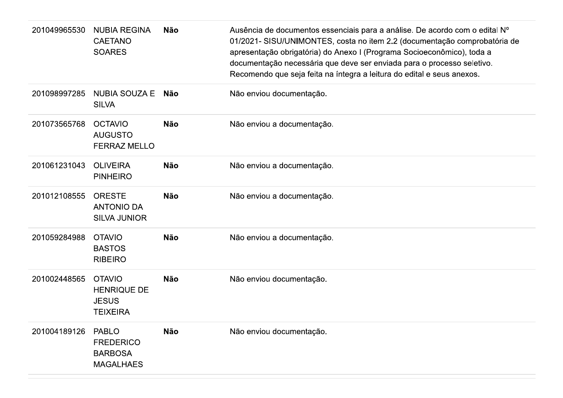| 201049965530 | <b>NUBIA REGINA</b><br><b>CAETANO</b><br><b>SOARES</b>                 | <b>Não</b> | Ausência de documentos essenciais para a análise. De acordo com o edital Nº<br>01/2021- SISU/UNIMONTES, costa no item 2.2 (documentação comprobatória de<br>apresentação obrigatória) do Anexo I (Programa Socioeconômico), toda a<br>documentação necessária que deve ser enviada para o processo seletivo.<br>Recomendo que seja feita na íntegra a leitura do edital e seus anexos. |
|--------------|------------------------------------------------------------------------|------------|----------------------------------------------------------------------------------------------------------------------------------------------------------------------------------------------------------------------------------------------------------------------------------------------------------------------------------------------------------------------------------------|
| 201098997285 | NUBIA SOUZA E Não<br><b>SILVA</b>                                      |            | Não enviou documentação.                                                                                                                                                                                                                                                                                                                                                               |
| 201073565768 | <b>OCTAVIO</b><br><b>AUGUSTO</b><br><b>FERRAZ MELLO</b>                | <b>Não</b> | Não enviou a documentação.                                                                                                                                                                                                                                                                                                                                                             |
| 201061231043 | <b>OLIVEIRA</b><br><b>PINHEIRO</b>                                     | <b>Não</b> | Não enviou a documentação.                                                                                                                                                                                                                                                                                                                                                             |
| 201012108555 | <b>ORESTE</b><br><b>ANTONIO DA</b><br><b>SILVA JUNIOR</b>              | <b>Não</b> | Não enviou a documentação.                                                                                                                                                                                                                                                                                                                                                             |
| 201059284988 | <b>OTAVIO</b><br><b>BASTOS</b><br><b>RIBEIRO</b>                       | <b>Não</b> | Não enviou a documentação.                                                                                                                                                                                                                                                                                                                                                             |
| 201002448565 | <b>OTAVIO</b><br><b>HENRIQUE DE</b><br><b>JESUS</b><br><b>TEIXEIRA</b> | <b>Não</b> | Não enviou documentação.                                                                                                                                                                                                                                                                                                                                                               |
| 201004189126 | <b>PABLO</b><br><b>FREDERICO</b><br><b>BARBOSA</b><br><b>MAGALHAES</b> | <b>Não</b> | Não enviou documentação.                                                                                                                                                                                                                                                                                                                                                               |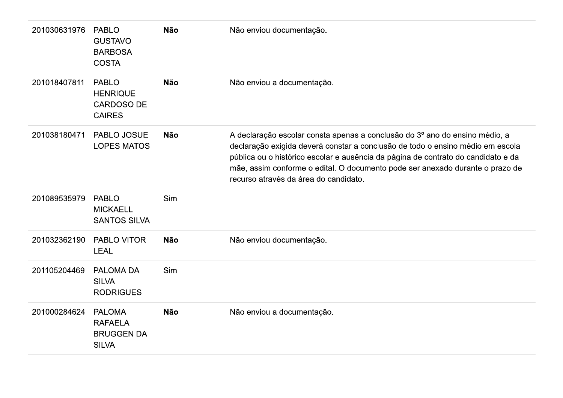| 201030631976 | <b>PABLO</b><br><b>GUSTAVO</b><br><b>BARBOSA</b><br><b>COSTA</b>      | <b>Não</b> | Não enviou documentação.                                                                                                                                                                                                                                                                                                                                                     |
|--------------|-----------------------------------------------------------------------|------------|------------------------------------------------------------------------------------------------------------------------------------------------------------------------------------------------------------------------------------------------------------------------------------------------------------------------------------------------------------------------------|
| 201018407811 | <b>PABLO</b><br><b>HENRIQUE</b><br><b>CARDOSO DE</b><br><b>CAIRES</b> | <b>Não</b> | Não enviou a documentação.                                                                                                                                                                                                                                                                                                                                                   |
| 201038180471 | PABLO JOSUE<br><b>LOPES MATOS</b>                                     | <b>Não</b> | A declaração escolar consta apenas a conclusão do 3º ano do ensino médio, a<br>declaração exigida deverá constar a conclusão de todo o ensino médio em escola<br>pública ou o histórico escolar e ausência da página de contrato do candidato e da<br>mãe, assim conforme o edital. O documento pode ser anexado durante o prazo de<br>recurso através da área do candidato. |
| 201089535979 | <b>PABLO</b><br><b>MICKAELL</b><br><b>SANTOS SILVA</b>                | Sim        |                                                                                                                                                                                                                                                                                                                                                                              |
| 201032362190 | PABLO VITOR<br><b>LEAL</b>                                            | <b>Não</b> | Não enviou documentação.                                                                                                                                                                                                                                                                                                                                                     |
| 201105204469 | PALOMA DA<br><b>SILVA</b><br><b>RODRIGUES</b>                         | Sim        |                                                                                                                                                                                                                                                                                                                                                                              |
| 201000284624 | <b>PALOMA</b><br><b>RAFAELA</b><br><b>BRUGGEN DA</b><br><b>SILVA</b>  | <b>Não</b> | Não enviou a documentação.                                                                                                                                                                                                                                                                                                                                                   |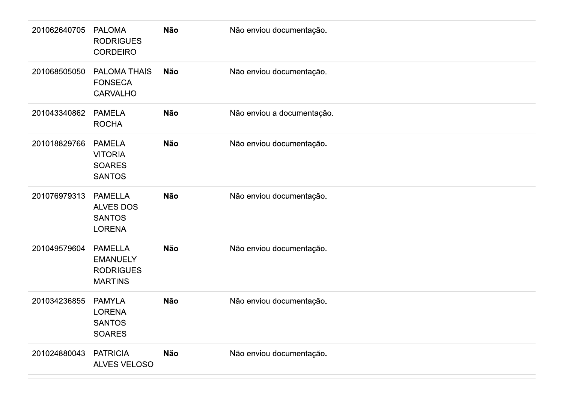| 201062640705 | <b>PALOMA</b><br><b>RODRIGUES</b><br><b>CORDEIRO</b>                    | Não        | Não enviou documentação.   |
|--------------|-------------------------------------------------------------------------|------------|----------------------------|
| 201068505050 | PALOMA THAIS<br><b>FONSECA</b><br><b>CARVALHO</b>                       | <b>Não</b> | Não enviou documentação.   |
| 201043340862 | <b>PAMELA</b><br><b>ROCHA</b>                                           | Não        | Não enviou a documentação. |
| 201018829766 | <b>PAMELA</b><br><b>VITORIA</b><br><b>SOARES</b><br><b>SANTOS</b>       | <b>Não</b> | Não enviou documentação.   |
| 201076979313 | <b>PAMELLA</b><br><b>ALVES DOS</b><br><b>SANTOS</b><br><b>LORENA</b>    | <b>Não</b> | Não enviou documentação.   |
| 201049579604 | <b>PAMELLA</b><br><b>EMANUELY</b><br><b>RODRIGUES</b><br><b>MARTINS</b> | <b>Não</b> | Não enviou documentação.   |
| 201034236855 | <b>PAMYLA</b><br><b>LORENA</b><br><b>SANTOS</b><br><b>SOARES</b>        | <b>Não</b> | Não enviou documentação.   |
| 201024880043 | <b>PATRICIA</b><br>ALVES VELOSO                                         | Não        | Não enviou documentação.   |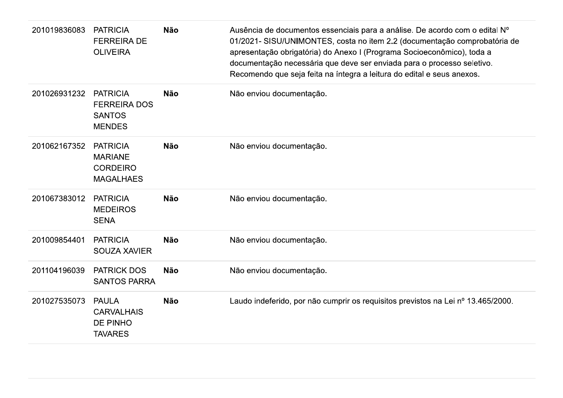| 201019836083 | <b>PATRICIA</b><br><b>FERREIRA DE</b><br><b>OLIVEIRA</b>                 | <b>Não</b> | Ausência de documentos essenciais para a análise. De acordo com o edital Nº<br>01/2021- SISU/UNIMONTES, costa no item 2.2 (documentação comprobatória de<br>apresentação obrigatória) do Anexo I (Programa Socioeconômico), toda a<br>documentação necessária que deve ser enviada para o processo seletivo.<br>Recomendo que seja feita na íntegra a leitura do edital e seus anexos. |
|--------------|--------------------------------------------------------------------------|------------|----------------------------------------------------------------------------------------------------------------------------------------------------------------------------------------------------------------------------------------------------------------------------------------------------------------------------------------------------------------------------------------|
| 201026931232 | <b>PATRICIA</b><br><b>FERREIRA DOS</b><br><b>SANTOS</b><br><b>MENDES</b> | <b>Não</b> | Não enviou documentação.                                                                                                                                                                                                                                                                                                                                                               |
| 201062167352 | <b>PATRICIA</b><br><b>MARIANE</b><br><b>CORDEIRO</b><br><b>MAGALHAES</b> | <b>Não</b> | Não enviou documentação.                                                                                                                                                                                                                                                                                                                                                               |
| 201067383012 | <b>PATRICIA</b><br><b>MEDEIROS</b><br><b>SENA</b>                        | <b>Não</b> | Não enviou documentação.                                                                                                                                                                                                                                                                                                                                                               |
| 201009854401 | <b>PATRICIA</b><br><b>SOUZA XAVIER</b>                                   | <b>Não</b> | Não enviou documentação.                                                                                                                                                                                                                                                                                                                                                               |
| 201104196039 | <b>PATRICK DOS</b><br><b>SANTOS PARRA</b>                                | <b>Não</b> | Não enviou documentação.                                                                                                                                                                                                                                                                                                                                                               |
| 201027535073 | <b>PAULA</b><br><b>CARVALHAIS</b><br>DE PINHO<br><b>TAVARES</b>          | <b>Não</b> | Laudo indeferido, por não cumprir os requisitos previstos na Lei nº 13.465/2000.                                                                                                                                                                                                                                                                                                       |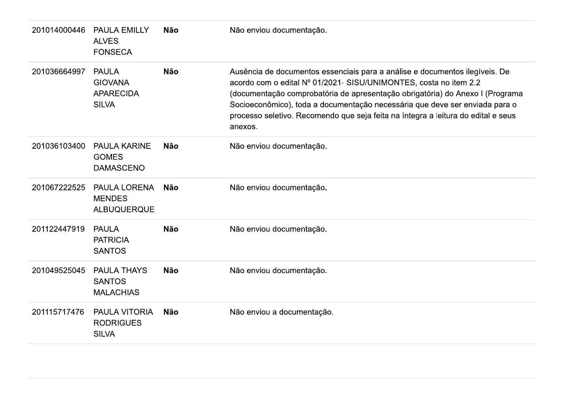| 201014000446 | <b>PAULA EMILLY</b><br><b>ALVES</b><br><b>FONSECA</b>              | <b>Não</b> | Não enviou documentação.                                                                                                                                                                                                                                                                                                                                                                                         |
|--------------|--------------------------------------------------------------------|------------|------------------------------------------------------------------------------------------------------------------------------------------------------------------------------------------------------------------------------------------------------------------------------------------------------------------------------------------------------------------------------------------------------------------|
| 201036664997 | <b>PAULA</b><br><b>GIOVANA</b><br><b>APARECIDA</b><br><b>SILVA</b> | <b>Não</b> | Ausência de documentos essenciais para a análise e documentos ilegíveis. De<br>acordo com o edital Nº 01/2021- SISU/UNIMONTES, costa no item 2.2<br>(documentação comprobatória de apresentação obrigatória) do Anexo I (Programa<br>Socioeconômico), toda a documentação necessária que deve ser enviada para o<br>processo seletivo. Recomendo que seja feita na íntegra a leitura do edital e seus<br>anexos. |
| 201036103400 | <b>PAULA KARINE</b><br><b>GOMES</b><br><b>DAMASCENO</b>            | <b>Não</b> | Não enviou documentação.                                                                                                                                                                                                                                                                                                                                                                                         |
| 201067222525 | <b>PAULA LORENA</b><br><b>MENDES</b><br><b>ALBUQUERQUE</b>         | <b>Não</b> | Não enviou documentação.                                                                                                                                                                                                                                                                                                                                                                                         |
| 201122447919 | <b>PAULA</b><br><b>PATRICIA</b><br><b>SANTOS</b>                   | <b>Não</b> | Não enviou documentação.                                                                                                                                                                                                                                                                                                                                                                                         |
| 201049525045 | <b>PAULA THAYS</b><br><b>SANTOS</b><br><b>MALACHIAS</b>            | <b>Não</b> | Não enviou documentação.                                                                                                                                                                                                                                                                                                                                                                                         |
| 201115717476 | PAULA VITORIA<br><b>RODRIGUES</b><br><b>SILVA</b>                  | <b>Não</b> | Não enviou a documentação.                                                                                                                                                                                                                                                                                                                                                                                       |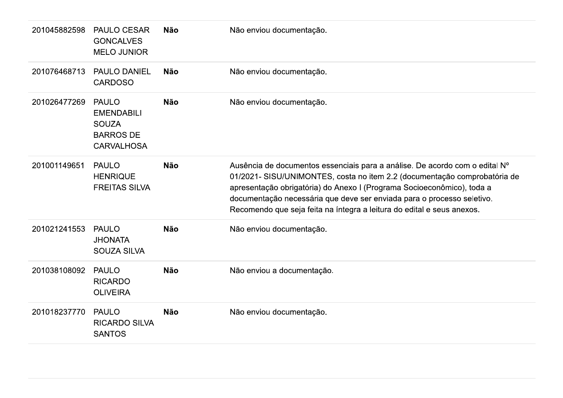| 201045882598 | <b>PAULO CESAR</b><br><b>GONCALVES</b><br><b>MELO JUNIOR</b>                               | <b>Não</b> | Não enviou documentação.                                                                                                                                                                                                                                                                                                                                                               |
|--------------|--------------------------------------------------------------------------------------------|------------|----------------------------------------------------------------------------------------------------------------------------------------------------------------------------------------------------------------------------------------------------------------------------------------------------------------------------------------------------------------------------------------|
| 201076468713 | <b>PAULO DANIEL</b><br><b>CARDOSO</b>                                                      | <b>Não</b> | Não enviou documentação.                                                                                                                                                                                                                                                                                                                                                               |
| 201026477269 | <b>PAULO</b><br><b>EMENDABILI</b><br><b>SOUZA</b><br><b>BARROS DE</b><br><b>CARVALHOSA</b> | <b>Não</b> | Não enviou documentação.                                                                                                                                                                                                                                                                                                                                                               |
| 201001149651 | <b>PAULO</b><br><b>HENRIQUE</b><br><b>FREITAS SILVA</b>                                    | <b>Não</b> | Ausência de documentos essenciais para a análise. De acordo com o edital Nº<br>01/2021- SISU/UNIMONTES, costa no item 2.2 (documentação comprobatória de<br>apresentação obrigatória) do Anexo I (Programa Socioeconômico), toda a<br>documentação necessária que deve ser enviada para o processo seletivo.<br>Recomendo que seja feita na íntegra a leitura do edital e seus anexos. |
| 201021241553 | <b>PAULO</b><br><b>JHONATA</b><br><b>SOUZA SILVA</b>                                       | <b>Não</b> | Não enviou documentação.                                                                                                                                                                                                                                                                                                                                                               |
| 201038108092 | <b>PAULO</b><br><b>RICARDO</b><br><b>OLIVEIRA</b>                                          | <b>Não</b> | Não enviou a documentação.                                                                                                                                                                                                                                                                                                                                                             |
| 201018237770 | <b>PAULO</b><br><b>RICARDO SILVA</b><br><b>SANTOS</b>                                      | <b>Não</b> | Não enviou documentação.                                                                                                                                                                                                                                                                                                                                                               |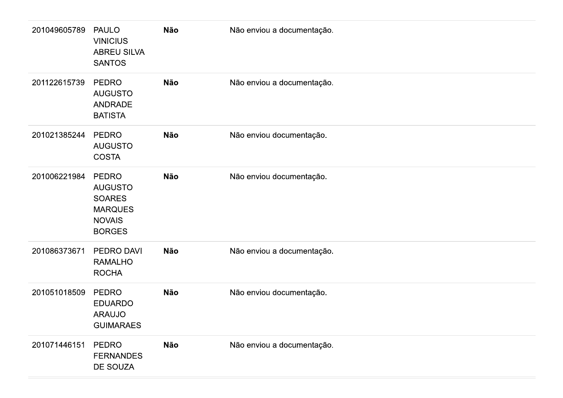| 201049605789 | <b>PAULO</b><br><b>VINICIUS</b><br><b>ABREU SILVA</b><br><b>SANTOS</b>                       | <b>Não</b> | Não enviou a documentação. |
|--------------|----------------------------------------------------------------------------------------------|------------|----------------------------|
| 201122615739 | <b>PEDRO</b><br><b>AUGUSTO</b><br>ANDRADE<br><b>BATISTA</b>                                  | <b>Não</b> | Não enviou a documentação. |
| 201021385244 | <b>PEDRO</b><br><b>AUGUSTO</b><br><b>COSTA</b>                                               | <b>Não</b> | Não enviou documentação.   |
| 201006221984 | PEDRO<br><b>AUGUSTO</b><br><b>SOARES</b><br><b>MARQUES</b><br><b>NOVAIS</b><br><b>BORGES</b> | <b>Não</b> | Não enviou documentação.   |
| 201086373671 | PEDRO DAVI<br><b>RAMALHO</b><br><b>ROCHA</b>                                                 | Não        | Não enviou a documentação. |
| 201051018509 | PEDRO<br><b>EDUARDO</b><br><b>ARAUJO</b><br><b>GUIMARAES</b>                                 | <b>Não</b> | Não enviou documentação.   |
| 201071446151 | PEDRO<br><b>FERNANDES</b><br>DE SOUZA                                                        | Não        | Não enviou a documentação. |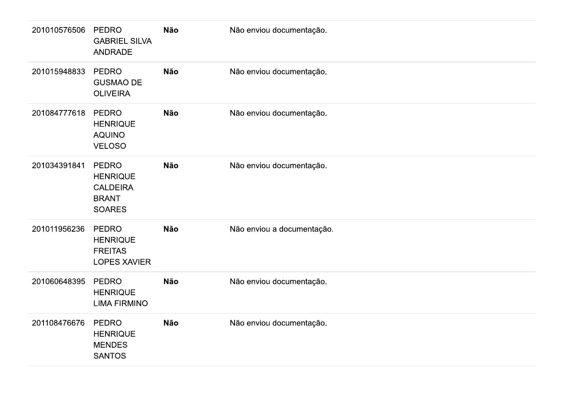| 201010576506 | <b>PEDRO</b><br><b>GABRIEL SILVA</b><br>ANDRADE                                     | Não        | Não enviou documentação.   |
|--------------|-------------------------------------------------------------------------------------|------------|----------------------------|
| 201015948833 | <b>PEDRO</b><br><b>GUSMAO DE</b><br><b>OLIVEIRA</b>                                 | Não        | Não enviou documentação.   |
| 201084777618 | <b>PEDRO</b><br><b>HENRIQUE</b><br><b>AQUINO</b><br><b>VELOSO</b>                   | Não        | Não enviou documentação.   |
| 201034391841 | <b>PEDRO</b><br><b>HENRIQUE</b><br><b>CALDEIRA</b><br><b>BRANT</b><br><b>SOARES</b> | Não        | Não enviou documentação.   |
| 201011956236 | <b>PEDRO</b><br><b>HENRIQUE</b><br><b>FREITAS</b><br><b>LOPES XAVIER</b>            | Não        | Não enviou a documentação. |
| 201060648395 | PEDRO<br><b>HENRIQUE</b><br><b>LIMA FIRMINO</b>                                     | Não        | Não enviou documentação.   |
| 201108476676 | PEDRO<br><b>HENRIQUE</b><br><b>MENDES</b><br><b>SANTOS</b>                          | <b>Não</b> | Não enviou documentação.   |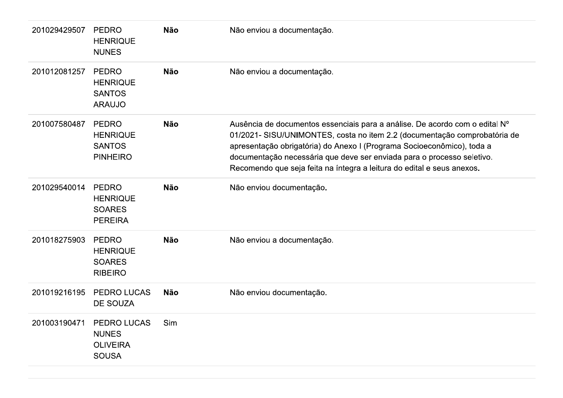| 201029429507 | <b>PEDRO</b><br><b>HENRIQUE</b><br><b>NUNES</b>                       | <b>Não</b> | Não enviou a documentação.                                                                                                                                                                                                                                                                                                                                                             |
|--------------|-----------------------------------------------------------------------|------------|----------------------------------------------------------------------------------------------------------------------------------------------------------------------------------------------------------------------------------------------------------------------------------------------------------------------------------------------------------------------------------------|
| 201012081257 | <b>PEDRO</b><br><b>HENRIQUE</b><br><b>SANTOS</b><br><b>ARAUJO</b>     | <b>Não</b> | Não enviou a documentação.                                                                                                                                                                                                                                                                                                                                                             |
| 201007580487 | <b>PEDRO</b><br><b>HENRIQUE</b><br><b>SANTOS</b><br><b>PINHEIRO</b>   | <b>Não</b> | Ausência de documentos essenciais para a análise. De acordo com o edital Nº<br>01/2021- SISU/UNIMONTES, costa no item 2.2 (documentação comprobatória de<br>apresentação obrigatória) do Anexo I (Programa Socioeconômico), toda a<br>documentação necessária que deve ser enviada para o processo seletivo.<br>Recomendo que seja feita na íntegra a leitura do edital e seus anexos. |
| 201029540014 | <b>PEDRO</b><br><b>HENRIQUE</b><br><b>SOARES</b><br><b>PEREIRA</b>    | <b>Não</b> | Não enviou documentação.                                                                                                                                                                                                                                                                                                                                                               |
| 201018275903 | <b>PEDRO</b><br><b>HENRIQUE</b><br><b>SOARES</b><br><b>RIBEIRO</b>    | <b>Não</b> | Não enviou a documentação.                                                                                                                                                                                                                                                                                                                                                             |
| 201019216195 | PEDRO LUCAS<br><b>DE SOUZA</b>                                        | <b>Não</b> | Não enviou documentação.                                                                                                                                                                                                                                                                                                                                                               |
| 201003190471 | <b>PEDRO LUCAS</b><br><b>NUNES</b><br><b>OLIVEIRA</b><br><b>SOUSA</b> | Sim        |                                                                                                                                                                                                                                                                                                                                                                                        |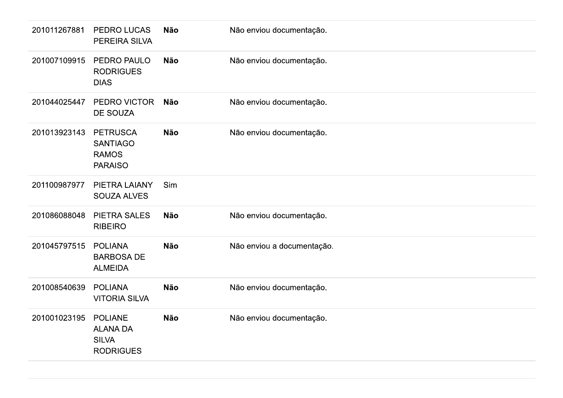| 201011267881 | PEDRO LUCAS<br>PEREIRA SILVA                                          | <b>Não</b> | Não enviou documentação.   |
|--------------|-----------------------------------------------------------------------|------------|----------------------------|
| 201007109915 | PEDRO PAULO<br><b>RODRIGUES</b><br><b>DIAS</b>                        | <b>Não</b> | Não enviou documentação.   |
| 201044025447 | PEDRO VICTOR<br>DE SOUZA                                              | <b>Não</b> | Não enviou documentação.   |
| 201013923143 | <b>PETRUSCA</b><br><b>SANTIAGO</b><br><b>RAMOS</b><br><b>PARAISO</b>  | <b>Não</b> | Não enviou documentação.   |
| 201100987977 | PIETRA LAIANY<br><b>SOUZA ALVES</b>                                   | Sim        |                            |
| 201086088048 | <b>PIETRA SALES</b><br><b>RIBEIRO</b>                                 | <b>Não</b> | Não enviou documentação.   |
| 201045797515 | <b>POLIANA</b><br><b>BARBOSA DE</b><br><b>ALMEIDA</b>                 | <b>Não</b> | Não enviou a documentação. |
| 201008540639 | <b>POLIANA</b><br><b>VITORIA SILVA</b>                                | <b>Não</b> | Não enviou documentação.   |
| 201001023195 | <b>POLIANE</b><br><b>ALANA DA</b><br><b>SILVA</b><br><b>RODRIGUES</b> | <b>Não</b> | Não enviou documentação.   |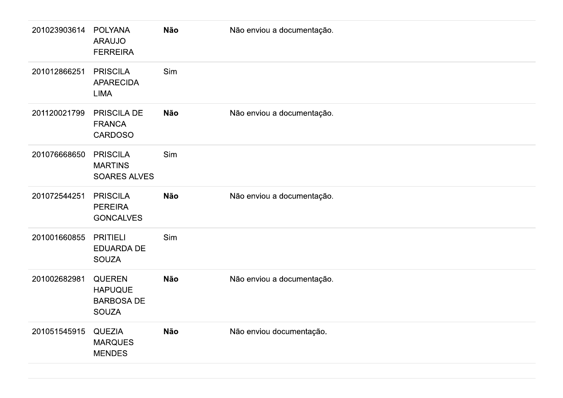| 201023903614 | <b>POLYANA</b><br><b>ARAUJO</b><br><b>FERREIRA</b>                   | <b>Não</b> | Não enviou a documentação. |
|--------------|----------------------------------------------------------------------|------------|----------------------------|
| 201012866251 | <b>PRISCILA</b><br><b>APARECIDA</b><br><b>LIMA</b>                   | Sim        |                            |
| 201120021799 | <b>PRISCILA DE</b><br><b>FRANCA</b><br><b>CARDOSO</b>                | <b>Não</b> | Não enviou a documentação. |
| 201076668650 | <b>PRISCILA</b><br><b>MARTINS</b><br><b>SOARES ALVES</b>             | Sim        |                            |
| 201072544251 | <b>PRISCILA</b><br><b>PEREIRA</b><br><b>GONCALVES</b>                | <b>Não</b> | Não enviou a documentação. |
| 201001660855 | <b>PRITIELI</b><br><b>EDUARDA DE</b><br><b>SOUZA</b>                 | Sim        |                            |
| 201002682981 | <b>QUEREN</b><br><b>HAPUQUE</b><br><b>BARBOSA DE</b><br><b>SOUZA</b> | <b>Não</b> | Não enviou a documentação. |
| 201051545915 | <b>QUEZIA</b><br><b>MARQUES</b><br><b>MENDES</b>                     | <b>Não</b> | Não enviou documentação.   |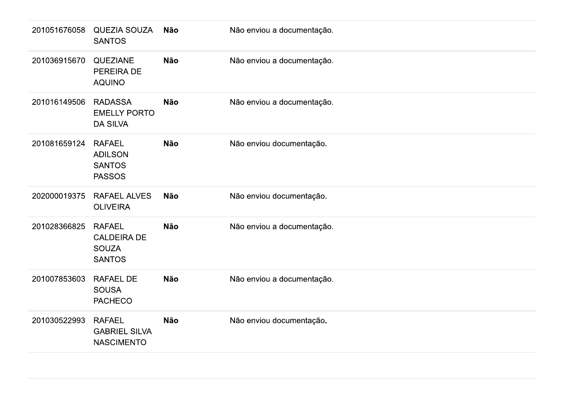| 201051676058 | <b>QUEZIA SOUZA</b><br><b>SANTOS</b>                                 | Não        | Não enviou a documentação. |
|--------------|----------------------------------------------------------------------|------------|----------------------------|
| 201036915670 | QUEZIANE<br>PEREIRA DE<br><b>AQUINO</b>                              | Não        | Não enviou a documentação. |
| 201016149506 | <b>RADASSA</b><br><b>EMELLY PORTO</b><br><b>DA SILVA</b>             | <b>Não</b> | Não enviou a documentação. |
| 201081659124 | <b>RAFAEL</b><br><b>ADILSON</b><br><b>SANTOS</b><br><b>PASSOS</b>    | Não        | Não enviou documentação.   |
| 202000019375 | <b>RAFAEL ALVES</b><br><b>OLIVEIRA</b>                               | <b>Não</b> | Não enviou documentação.   |
| 201028366825 | <b>RAFAEL</b><br><b>CALDEIRA DE</b><br><b>SOUZA</b><br><b>SANTOS</b> | <b>Não</b> | Não enviou a documentação. |
| 201007853603 | RAFAEL DE<br><b>SOUSA</b><br><b>PACHECO</b>                          | Não        | Não enviou a documentação. |
| 201030522993 | <b>RAFAEL</b><br><b>GABRIEL SILVA</b><br><b>NASCIMENTO</b>           | Não        | Não enviou documentação.   |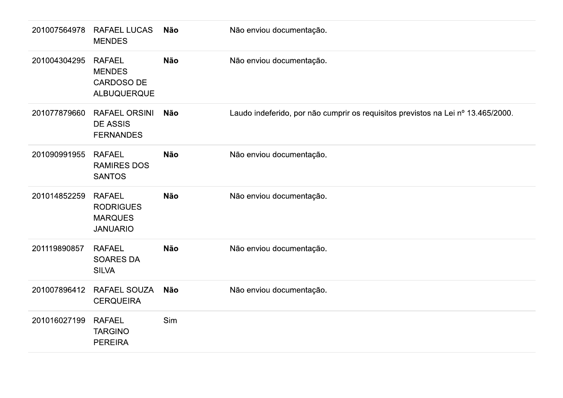|                     | 201007564978 RAFAEL LUCAS<br><b>MENDES</b>                             | Não | Não enviou documentação.                                                         |
|---------------------|------------------------------------------------------------------------|-----|----------------------------------------------------------------------------------|
| 201004304295 RAFAEL | <b>MENDES</b><br>CARDOSO DE<br><b>ALBUQUERQUE</b>                      | Não | Não enviou documentação.                                                         |
| 201077879660        | <b>RAFAEL ORSINI</b><br><b>DE ASSIS</b><br><b>FERNANDES</b>            | Não | Laudo indeferido, por não cumprir os requisitos previstos na Lei nº 13.465/2000. |
| 201090991955        | <b>RAFAEL</b><br><b>RAMIRES DOS</b><br><b>SANTOS</b>                   | Não | Não enviou documentação.                                                         |
| 201014852259        | <b>RAFAEL</b><br><b>RODRIGUES</b><br><b>MARQUES</b><br><b>JANUARIO</b> | Não | Não enviou documentação.                                                         |
| 201119890857        | <b>RAFAEL</b><br><b>SOARES DA</b><br><b>SILVA</b>                      | Não | Não enviou documentação.                                                         |
| 201007896412        | RAFAEL SOUZA<br><b>CERQUEIRA</b>                                       | Não | Não enviou documentação.                                                         |
| 201016027199 RAFAEL | <b>TARGINO</b><br><b>PEREIRA</b>                                       | Sim |                                                                                  |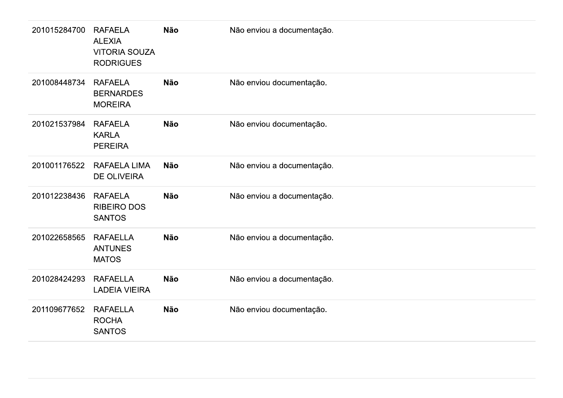| 201015284700 | <b>RAFAELA</b><br><b>ALEXIA</b><br><b>VITORIA SOUZA</b><br><b>RODRIGUES</b> | <b>Não</b> | Não enviou a documentação. |
|--------------|-----------------------------------------------------------------------------|------------|----------------------------|
| 201008448734 | <b>RAFAELA</b><br><b>BERNARDES</b><br><b>MOREIRA</b>                        | <b>Não</b> | Não enviou documentação.   |
| 201021537984 | <b>RAFAELA</b><br><b>KARLA</b><br><b>PEREIRA</b>                            | Não        | Não enviou documentação.   |
| 201001176522 | <b>RAFAELA LIMA</b><br><b>DE OLIVEIRA</b>                                   | <b>Não</b> | Não enviou a documentação. |
| 201012238436 | <b>RAFAELA</b><br><b>RIBEIRO DOS</b><br><b>SANTOS</b>                       | <b>Não</b> | Não enviou a documentação. |
| 201022658565 | <b>RAFAELLA</b><br><b>ANTUNES</b><br><b>MATOS</b>                           | <b>Não</b> | Não enviou a documentação. |
| 201028424293 | <b>RAFAELLA</b><br><b>LADEIA VIEIRA</b>                                     | Não        | Não enviou a documentação. |
| 201109677652 | <b>RAFAELLA</b><br><b>ROCHA</b><br><b>SANTOS</b>                            | Não        | Não enviou documentação.   |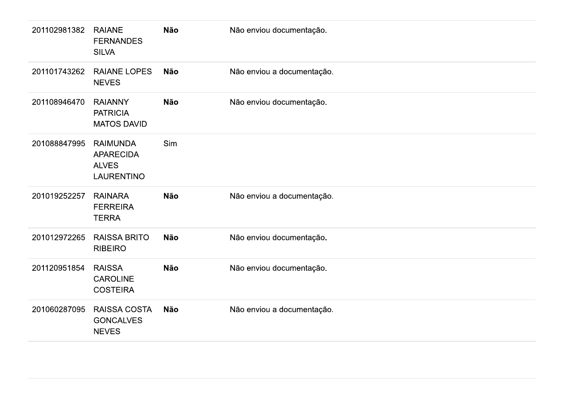| 201102981382 | <b>RAIANE</b><br><b>FERNANDES</b><br><b>SILVA</b>                 | Não        | Não enviou documentação.   |
|--------------|-------------------------------------------------------------------|------------|----------------------------|
| 201101743262 | <b>RAIANE LOPES</b><br><b>NEVES</b>                               | Não        | Não enviou a documentação. |
| 201108946470 | <b>RAIANNY</b><br><b>PATRICIA</b><br><b>MATOS DAVID</b>           | <b>Não</b> | Não enviou documentação.   |
| 201088847995 | <b>RAIMUNDA</b><br><b>APARECIDA</b><br><b>ALVES</b><br>LAURENTINO | Sim        |                            |
| 201019252257 | <b>RAINARA</b><br><b>FERREIRA</b><br><b>TERRA</b>                 | Não        | Não enviou a documentação. |
| 201012972265 | <b>RAISSA BRITO</b><br><b>RIBEIRO</b>                             | <b>Não</b> | Não enviou documentação.   |
| 201120951854 | <b>RAISSA</b><br><b>CAROLINE</b><br><b>COSTEIRA</b>               | Não        | Não enviou documentação.   |
| 201060287095 | RAISSA COSTA<br><b>GONCALVES</b><br><b>NEVES</b>                  | Não        | Não enviou a documentação. |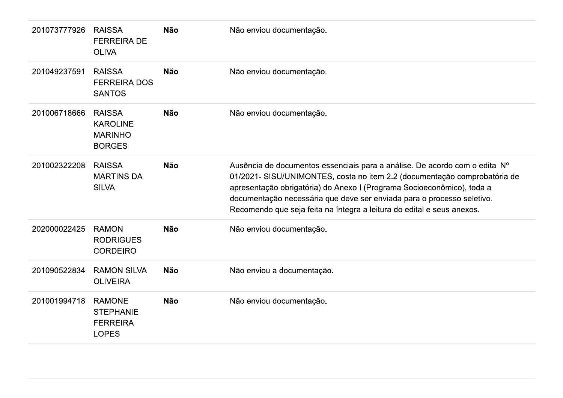| 201073777926 | <b>RAISSA</b><br><b>FERREIRA DE</b><br><b>OLIVA</b>                  | <b>Não</b> | Não enviou documentação.                                                                                                                                                                                                                                                                                                                                                               |
|--------------|----------------------------------------------------------------------|------------|----------------------------------------------------------------------------------------------------------------------------------------------------------------------------------------------------------------------------------------------------------------------------------------------------------------------------------------------------------------------------------------|
| 201049237591 | <b>RAISSA</b><br><b>FERREIRA DOS</b><br><b>SANTOS</b>                | <b>Não</b> | Não enviou documentação.                                                                                                                                                                                                                                                                                                                                                               |
| 201006718666 | <b>RAISSA</b><br><b>KAROLINE</b><br><b>MARINHO</b><br><b>BORGES</b>  | <b>Não</b> | Não enviou documentação.                                                                                                                                                                                                                                                                                                                                                               |
| 201002322208 | <b>RAISSA</b><br><b>MARTINS DA</b><br><b>SILVA</b>                   | <b>Não</b> | Ausência de documentos essenciais para a análise. De acordo com o edital Nº<br>01/2021- SISU/UNIMONTES, costa no item 2.2 (documentação comprobatória de<br>apresentação obrigatória) do Anexo I (Programa Socioeconômico), toda a<br>documentação necessária que deve ser enviada para o processo seletivo.<br>Recomendo que seja feita na íntegra a leitura do edital e seus anexos. |
| 202000022425 | <b>RAMON</b><br><b>RODRIGUES</b><br><b>CORDEIRO</b>                  | <b>Não</b> | Não enviou documentação.                                                                                                                                                                                                                                                                                                                                                               |
| 201090522834 | <b>RAMON SILVA</b><br><b>OLIVEIRA</b>                                | <b>Não</b> | Não enviou a documentação.                                                                                                                                                                                                                                                                                                                                                             |
| 201001994718 | <b>RAMONE</b><br><b>STEPHANIE</b><br><b>FERREIRA</b><br><b>LOPES</b> | <b>Não</b> | Não enviou documentação.                                                                                                                                                                                                                                                                                                                                                               |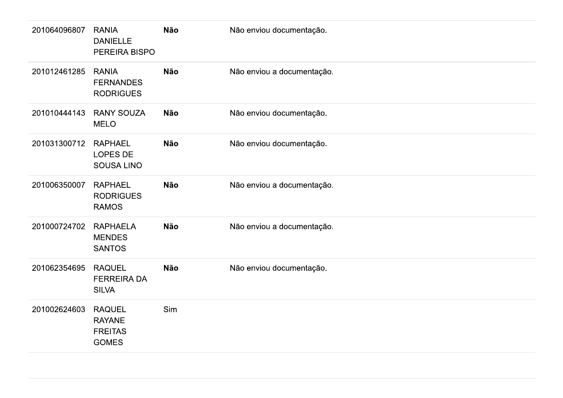| 201064096807 | <b>RANIA</b><br><b>DANIELLE</b><br>PEREIRA BISPO                 | Não | Não enviou documentação.   |
|--------------|------------------------------------------------------------------|-----|----------------------------|
| 201012461285 | <b>RANIA</b><br><b>FERNANDES</b><br><b>RODRIGUES</b>             | Não | Não enviou a documentação. |
| 201010444143 | <b>RANY SOUZA</b><br><b>MELO</b>                                 | Não | Não enviou documentação.   |
| 201031300712 | <b>RAPHAEL</b><br>LOPES DE<br>SOUSA LINO                         | Não | Não enviou documentação.   |
| 201006350007 | <b>RAPHAEL</b><br><b>RODRIGUES</b><br><b>RAMOS</b>               | Não | Não enviou a documentação. |
| 201000724702 | <b>RAPHAELA</b><br><b>MENDES</b><br><b>SANTOS</b>                | Não | Não enviou a documentação. |
| 201062354695 | <b>RAQUEL</b><br><b>FERREIRA DA</b><br><b>SILVA</b>              | Não | Não enviou documentação.   |
| 201002624603 | <b>RAQUEL</b><br><b>RAYANE</b><br><b>FREITAS</b><br><b>GOMES</b> | Sim |                            |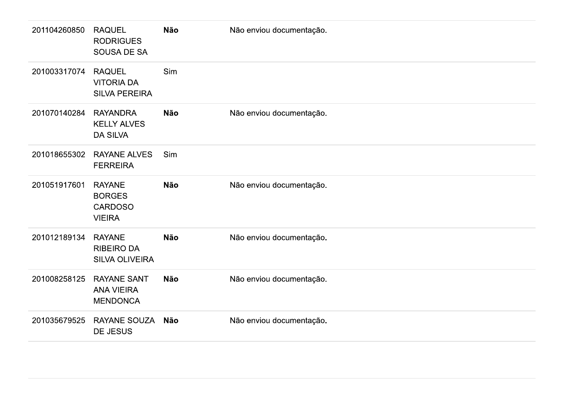| 201104260850 | <b>RAQUEL</b><br><b>RODRIGUES</b><br>SOUSA DE SA                  | <b>Não</b> | Não enviou documentação. |
|--------------|-------------------------------------------------------------------|------------|--------------------------|
| 201003317074 | <b>RAQUEL</b><br><b>VITORIA DA</b><br><b>SILVA PEREIRA</b>        | Sim        |                          |
| 201070140284 | <b>RAYANDRA</b><br><b>KELLY ALVES</b><br><b>DA SILVA</b>          | <b>Não</b> | Não enviou documentação. |
| 201018655302 | <b>RAYANE ALVES</b><br><b>FERREIRA</b>                            | Sim        |                          |
| 201051917601 | <b>RAYANE</b><br><b>BORGES</b><br><b>CARDOSO</b><br><b>VIEIRA</b> | <b>Não</b> | Não enviou documentação. |
| 201012189134 | <b>RAYANE</b><br><b>RIBEIRO DA</b><br><b>SILVA OLIVEIRA</b>       | <b>Não</b> | Não enviou documentação. |
| 201008258125 | <b>RAYANE SANT</b><br><b>ANA VIEIRA</b><br><b>MENDONCA</b>        | <b>Não</b> | Não enviou documentação. |
| 201035679525 | <b>RAYANE SOUZA</b><br>DE JESUS                                   | Não        | Não enviou documentação. |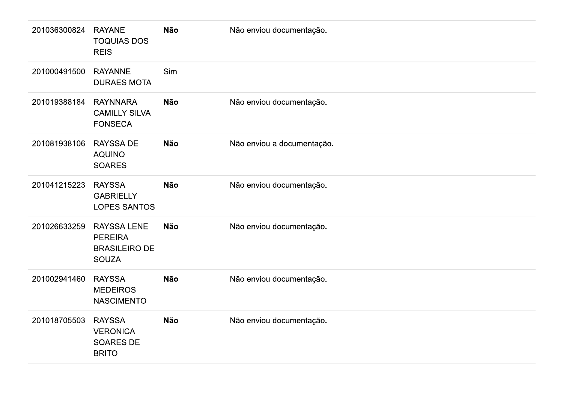| 201036300824 | <b>RAYANE</b><br><b>TOQUIAS DOS</b><br><b>REIS</b>                           | <b>Não</b> | Não enviou documentação.   |
|--------------|------------------------------------------------------------------------------|------------|----------------------------|
| 201000491500 | <b>RAYANNE</b><br><b>DURAES MOTA</b>                                         | Sim        |                            |
| 201019388184 | <b>RAYNNARA</b><br><b>CAMILLY SILVA</b><br><b>FONSECA</b>                    | <b>Não</b> | Não enviou documentação.   |
| 201081938106 | <b>RAYSSA DE</b><br><b>AQUINO</b><br><b>SOARES</b>                           | <b>Não</b> | Não enviou a documentação. |
| 201041215223 | <b>RAYSSA</b><br><b>GABRIELLY</b><br><b>LOPES SANTOS</b>                     | <b>Não</b> | Não enviou documentação.   |
| 201026633259 | <b>RAYSSA LENE</b><br><b>PEREIRA</b><br><b>BRASILEIRO DE</b><br><b>SOUZA</b> | <b>Não</b> | Não enviou documentação.   |
| 201002941460 | <b>RAYSSA</b><br><b>MEDEIROS</b><br><b>NASCIMENTO</b>                        | <b>Não</b> | Não enviou documentação.   |
| 201018705503 | <b>RAYSSA</b><br><b>VERONICA</b><br><b>SOARES DE</b><br><b>BRITO</b>         | <b>Não</b> | Não enviou documentação.   |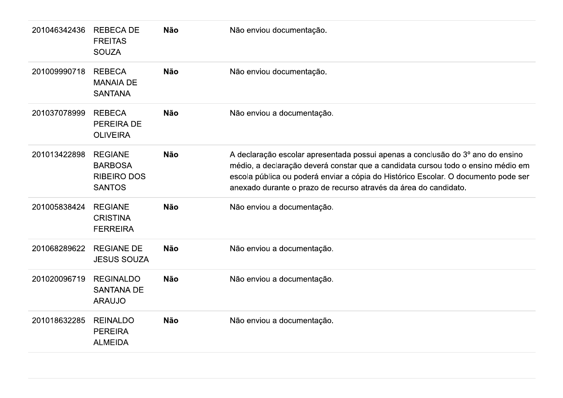| 201046342436 | <b>REBECA DE</b><br><b>FREITAS</b><br><b>SOUZA</b>                      | <b>Não</b> | Não enviou documentação.                                                                                                                                                                                                                                                                                                     |
|--------------|-------------------------------------------------------------------------|------------|------------------------------------------------------------------------------------------------------------------------------------------------------------------------------------------------------------------------------------------------------------------------------------------------------------------------------|
| 201009990718 | <b>REBECA</b><br><b>MANAIA DE</b><br><b>SANTANA</b>                     | <b>Não</b> | Não enviou documentação.                                                                                                                                                                                                                                                                                                     |
| 201037078999 | <b>REBECA</b><br><b>PEREIRA DE</b><br><b>OLIVEIRA</b>                   | <b>Não</b> | Não enviou a documentação.                                                                                                                                                                                                                                                                                                   |
| 201013422898 | <b>REGIANE</b><br><b>BARBOSA</b><br><b>RIBEIRO DOS</b><br><b>SANTOS</b> | <b>Não</b> | A declaração escolar apresentada possui apenas a conclusão do 3º ano do ensino<br>médio, a declaração deverá constar que a candidata cursou todo o ensino médio em<br>escola pública ou poderá enviar a cópia do Histórico Escolar. O documento pode ser<br>anexado durante o prazo de recurso através da área do candidato. |
| 201005838424 | <b>REGIANE</b><br><b>CRISTINA</b><br><b>FERREIRA</b>                    | <b>Não</b> | Não enviou a documentação.                                                                                                                                                                                                                                                                                                   |
| 201068289622 | <b>REGIANE DE</b><br><b>JESUS SOUZA</b>                                 | <b>Não</b> | Não enviou a documentação.                                                                                                                                                                                                                                                                                                   |
| 201020096719 | <b>REGINALDO</b><br><b>SANTANA DE</b><br><b>ARAUJO</b>                  | <b>Não</b> | Não enviou a documentação.                                                                                                                                                                                                                                                                                                   |
| 201018632285 | <b>REINALDO</b><br><b>PEREIRA</b><br><b>ALMEIDA</b>                     | <b>Não</b> | Não enviou a documentação.                                                                                                                                                                                                                                                                                                   |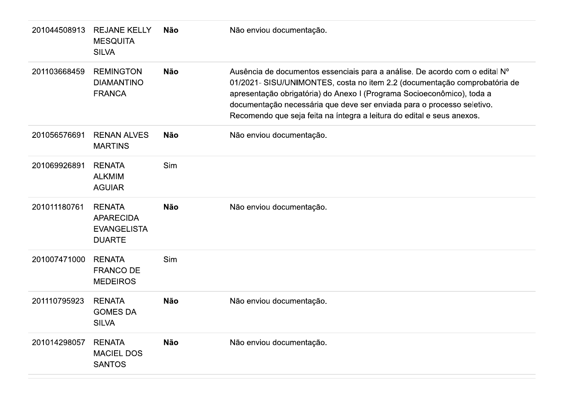| 201044508913 | <b>REJANE KELLY</b><br><b>MESQUITA</b><br><b>SILVA</b>                   | Não        | Não enviou documentação.                                                                                                                                                                                                                                                                                                                                                               |
|--------------|--------------------------------------------------------------------------|------------|----------------------------------------------------------------------------------------------------------------------------------------------------------------------------------------------------------------------------------------------------------------------------------------------------------------------------------------------------------------------------------------|
| 201103668459 | <b>REMINGTON</b><br><b>DIAMANTINO</b><br><b>FRANCA</b>                   | <b>Não</b> | Ausência de documentos essenciais para a análise. De acordo com o edital Nº<br>01/2021- SISU/UNIMONTES, costa no item 2.2 (documentação comprobatória de<br>apresentação obrigatória) do Anexo I (Programa Socioeconômico), toda a<br>documentação necessária que deve ser enviada para o processo seletivo.<br>Recomendo que seja feita na íntegra a leitura do edital e seus anexos. |
| 201056576691 | <b>RENAN ALVES</b><br><b>MARTINS</b>                                     | <b>Não</b> | Não enviou documentação.                                                                                                                                                                                                                                                                                                                                                               |
| 201069926891 | <b>RENATA</b><br><b>ALKMIM</b><br><b>AGUIAR</b>                          | Sim        |                                                                                                                                                                                                                                                                                                                                                                                        |
| 201011180761 | <b>RENATA</b><br><b>APARECIDA</b><br><b>EVANGELISTA</b><br><b>DUARTE</b> | <b>Não</b> | Não enviou documentação.                                                                                                                                                                                                                                                                                                                                                               |
| 201007471000 | <b>RENATA</b><br><b>FRANCO DE</b><br><b>MEDEIROS</b>                     | Sim        |                                                                                                                                                                                                                                                                                                                                                                                        |
| 201110795923 | <b>RENATA</b><br><b>GOMES DA</b><br><b>SILVA</b>                         | <b>Não</b> | Não enviou documentação.                                                                                                                                                                                                                                                                                                                                                               |
| 201014298057 | <b>RENATA</b><br><b>MACIEL DOS</b><br><b>SANTOS</b>                      | <b>Não</b> | Não enviou documentação.                                                                                                                                                                                                                                                                                                                                                               |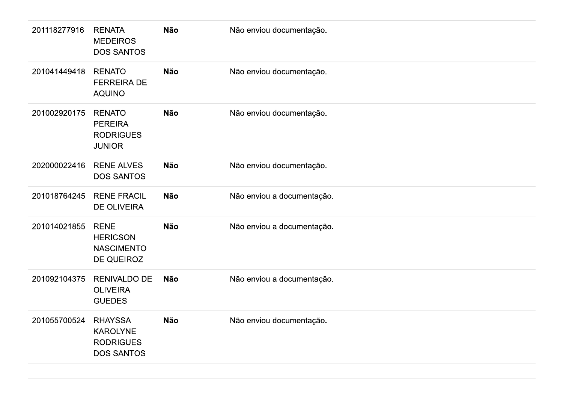| 201118277916 | <b>RENATA</b><br><b>MEDEIROS</b><br><b>DOS SANTOS</b>                | Não        | Não enviou documentação.   |
|--------------|----------------------------------------------------------------------|------------|----------------------------|
| 201041449418 | <b>RENATO</b><br><b>FERREIRA DE</b><br><b>AQUINO</b>                 | <b>Não</b> | Não enviou documentação.   |
| 201002920175 | <b>RENATO</b><br><b>PEREIRA</b><br><b>RODRIGUES</b><br><b>JUNIOR</b> | <b>Não</b> | Não enviou documentação.   |
| 202000022416 | <b>RENE ALVES</b><br><b>DOS SANTOS</b>                               | <b>Não</b> | Não enviou documentação.   |
| 201018764245 | <b>RENE FRACIL</b><br>DE OLIVEIRA                                    | Não        | Não enviou a documentação. |
| 201014021855 | <b>RENE</b><br><b>HERICSON</b><br><b>NASCIMENTO</b><br>DE QUEIROZ    | Não        | Não enviou a documentação. |
| 201092104375 | <b>RENIVALDO DE</b><br><b>OLIVEIRA</b><br><b>GUEDES</b>              | <b>Não</b> | Não enviou a documentação. |
| 201055700524 | <b>RHAYSSA</b><br><b>KAROLYNE</b><br><b>RODRIGUES</b><br>DOS SANTOS  | Não        | Não enviou documentação.   |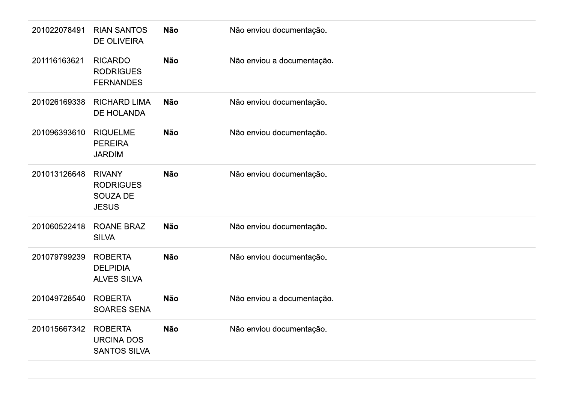| 201022078491 | <b>RIAN SANTOS</b><br><b>DE OLIVEIRA</b>                      | Não        | Não enviou documentação.   |
|--------------|---------------------------------------------------------------|------------|----------------------------|
| 201116163621 | <b>RICARDO</b><br><b>RODRIGUES</b><br><b>FERNANDES</b>        | <b>Não</b> | Não enviou a documentação. |
| 201026169338 | <b>RICHARD LIMA</b><br>DE HOLANDA                             | <b>Não</b> | Não enviou documentação.   |
| 201096393610 | <b>RIQUELME</b><br><b>PEREIRA</b><br><b>JARDIM</b>            | Não        | Não enviou documentação.   |
| 201013126648 | <b>RIVANY</b><br><b>RODRIGUES</b><br>SOUZA DE<br><b>JESUS</b> | Não        | Não enviou documentação.   |
| 201060522418 | <b>ROANE BRAZ</b><br><b>SILVA</b>                             | Não        | Não enviou documentação.   |
| 201079799239 | <b>ROBERTA</b><br><b>DELPIDIA</b><br><b>ALVES SILVA</b>       | Não        | Não enviou documentação.   |
| 201049728540 | <b>ROBERTA</b><br><b>SOARES SENA</b>                          | Não        | Não enviou a documentação. |
| 201015667342 | <b>ROBERTA</b><br><b>URCINA DOS</b><br><b>SANTOS SILVA</b>    | Não        | Não enviou documentação.   |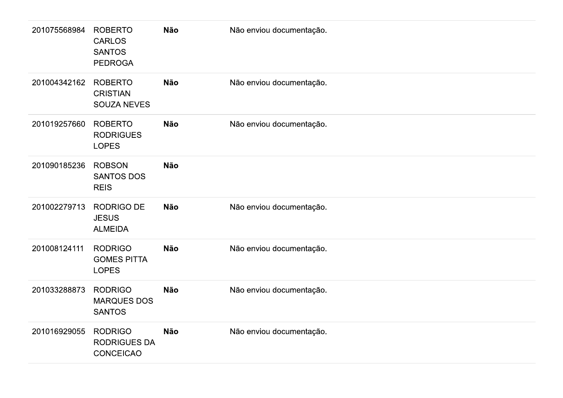| 201075568984 | <b>ROBERTO</b><br><b>CARLOS</b><br><b>SANTOS</b><br><b>PEDROGA</b> | <b>Não</b> | Não enviou documentação. |
|--------------|--------------------------------------------------------------------|------------|--------------------------|
| 201004342162 | <b>ROBERTO</b><br><b>CRISTIAN</b><br><b>SOUZA NEVES</b>            | <b>Não</b> | Não enviou documentação. |
| 201019257660 | <b>ROBERTO</b><br><b>RODRIGUES</b><br><b>LOPES</b>                 | <b>Não</b> | Não enviou documentação. |
| 201090185236 | <b>ROBSON</b><br><b>SANTOS DOS</b><br><b>REIS</b>                  | <b>Não</b> |                          |
| 201002279713 | <b>RODRIGO DE</b><br><b>JESUS</b><br><b>ALMEIDA</b>                | <b>Não</b> | Não enviou documentação. |
| 201008124111 | <b>RODRIGO</b><br><b>GOMES PITTA</b><br><b>LOPES</b>               | <b>Não</b> | Não enviou documentação. |
| 201033288873 | <b>RODRIGO</b><br><b>MARQUES DOS</b><br><b>SANTOS</b>              | <b>Não</b> | Não enviou documentação. |
| 201016929055 | <b>RODRIGO</b><br><b>RODRIGUES DA</b><br><b>CONCEICAO</b>          | <b>Não</b> | Não enviou documentação. |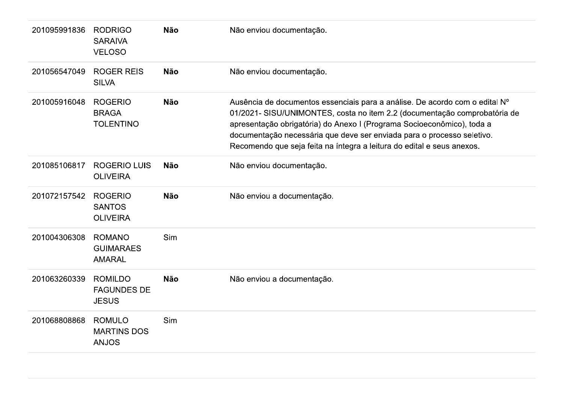| 201095991836 | <b>RODRIGO</b><br><b>SARAIVA</b><br><b>VELOSO</b>    | <b>Não</b> | Não enviou documentação.                                                                                                                                                                                                                                                                                                                                                               |
|--------------|------------------------------------------------------|------------|----------------------------------------------------------------------------------------------------------------------------------------------------------------------------------------------------------------------------------------------------------------------------------------------------------------------------------------------------------------------------------------|
| 201056547049 | <b>ROGER REIS</b><br><b>SILVA</b>                    | <b>Não</b> | Não enviou documentação.                                                                                                                                                                                                                                                                                                                                                               |
| 201005916048 | <b>ROGERIO</b><br><b>BRAGA</b><br><b>TOLENTINO</b>   | <b>Não</b> | Ausência de documentos essenciais para a análise. De acordo com o edital Nº<br>01/2021- SISU/UNIMONTES, costa no item 2.2 (documentação comprobatória de<br>apresentação obrigatória) do Anexo I (Programa Socioeconômico), toda a<br>documentação necessária que deve ser enviada para o processo seletivo.<br>Recomendo que seja feita na íntegra a leitura do edital e seus anexos. |
| 201085106817 | <b>ROGERIO LUIS</b><br><b>OLIVEIRA</b>               | <b>Não</b> | Não enviou documentação.                                                                                                                                                                                                                                                                                                                                                               |
| 201072157542 | <b>ROGERIO</b><br><b>SANTOS</b><br><b>OLIVEIRA</b>   | <b>Não</b> | Não enviou a documentação.                                                                                                                                                                                                                                                                                                                                                             |
| 201004306308 | <b>ROMANO</b><br><b>GUIMARAES</b><br><b>AMARAL</b>   | Sim        |                                                                                                                                                                                                                                                                                                                                                                                        |
| 201063260339 | <b>ROMILDO</b><br><b>FAGUNDES DE</b><br><b>JESUS</b> | <b>Não</b> | Não enviou a documentação.                                                                                                                                                                                                                                                                                                                                                             |
| 201068808868 | <b>ROMULO</b><br><b>MARTINS DOS</b><br><b>ANJOS</b>  | Sim        |                                                                                                                                                                                                                                                                                                                                                                                        |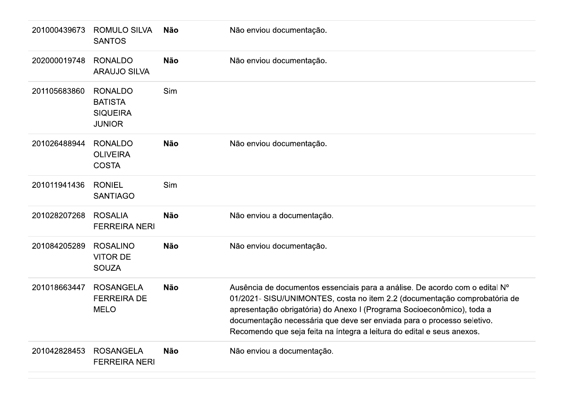| 201000439673 | <b>ROMULO SILVA</b><br><b>SANTOS</b>                                 | Não        | Não enviou documentação.                                                                                                                                                                                                                                                                                                                                                               |
|--------------|----------------------------------------------------------------------|------------|----------------------------------------------------------------------------------------------------------------------------------------------------------------------------------------------------------------------------------------------------------------------------------------------------------------------------------------------------------------------------------------|
| 202000019748 | <b>RONALDO</b><br><b>ARAUJO SILVA</b>                                | <b>Não</b> | Não enviou documentação.                                                                                                                                                                                                                                                                                                                                                               |
| 201105683860 | <b>RONALDO</b><br><b>BATISTA</b><br><b>SIQUEIRA</b><br><b>JUNIOR</b> | Sim        |                                                                                                                                                                                                                                                                                                                                                                                        |
| 201026488944 | <b>RONALDO</b><br><b>OLIVEIRA</b><br><b>COSTA</b>                    | <b>Não</b> | Não enviou documentação.                                                                                                                                                                                                                                                                                                                                                               |
| 201011941436 | <b>RONIEL</b><br><b>SANTIAGO</b>                                     | Sim        |                                                                                                                                                                                                                                                                                                                                                                                        |
| 201028207268 | <b>ROSALIA</b><br><b>FERREIRA NERI</b>                               | <b>Não</b> | Não enviou a documentação.                                                                                                                                                                                                                                                                                                                                                             |
| 201084205289 | <b>ROSALINO</b><br><b>VITOR DE</b><br><b>SOUZA</b>                   | Não        | Não enviou documentação.                                                                                                                                                                                                                                                                                                                                                               |
| 201018663447 | <b>ROSANGELA</b><br><b>FERREIRA DE</b><br><b>MELO</b>                | <b>Não</b> | Ausência de documentos essenciais para a análise. De acordo com o edital Nº<br>01/2021- SISU/UNIMONTES, costa no item 2.2 (documentação comprobatória de<br>apresentação obrigatória) do Anexo I (Programa Socioeconômico), toda a<br>documentação necessária que deve ser enviada para o processo seletivo.<br>Recomendo que seja feita na íntegra a leitura do edital e seus anexos. |
| 201042828453 | <b>ROSANGELA</b><br><b>FERREIRA NERI</b>                             | <b>Não</b> | Não enviou a documentação.                                                                                                                                                                                                                                                                                                                                                             |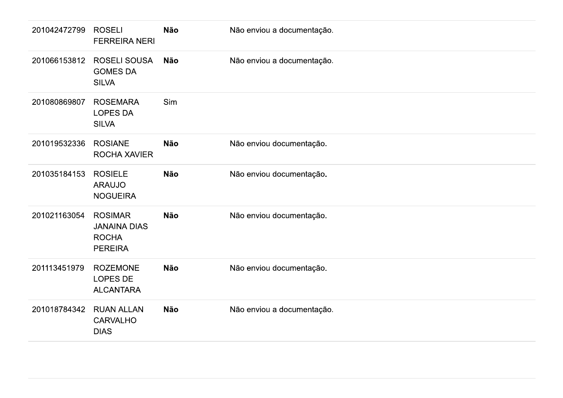| 201042472799 | <b>ROSELI</b><br><b>FERREIRA NERI</b>                                   | Não        | Não enviou a documentação. |
|--------------|-------------------------------------------------------------------------|------------|----------------------------|
| 201066153812 | <b>ROSELI SOUSA</b><br><b>GOMES DA</b><br><b>SILVA</b>                  | Não        | Não enviou a documentação. |
| 201080869807 | <b>ROSEMARA</b><br><b>LOPES DA</b><br><b>SILVA</b>                      | Sim        |                            |
| 201019532336 | <b>ROSIANE</b><br>ROCHA XAVIER                                          | <b>Não</b> | Não enviou documentação.   |
| 201035184153 | <b>ROSIELE</b><br><b>ARAUJO</b><br><b>NOGUEIRA</b>                      | <b>Não</b> | Não enviou documentação.   |
| 201021163054 | <b>ROSIMAR</b><br><b>JANAINA DIAS</b><br><b>ROCHA</b><br><b>PEREIRA</b> | <b>Não</b> | Não enviou documentação.   |
| 201113451979 | <b>ROZEMONE</b><br>LOPES DE<br><b>ALCANTARA</b>                         | <b>Não</b> | Não enviou documentação.   |
| 201018784342 | <b>RUAN ALLAN</b><br>CARVALHO<br><b>DIAS</b>                            | <b>Não</b> | Não enviou a documentação. |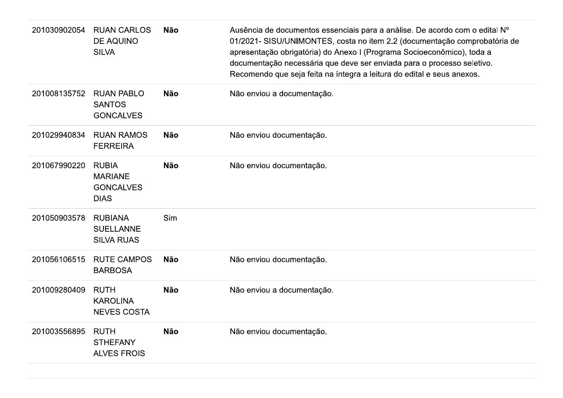| 201030902054 | <b>RUAN CARLOS</b><br><b>DE AQUINO</b><br><b>SILVA</b>            | <b>Não</b> | Ausência de documentos essenciais para a análise. De acordo com o edital Nº<br>01/2021- SISU/UNIMONTES, costa no item 2.2 (documentação comprobatória de<br>apresentação obrigatória) do Anexo I (Programa Socioeconômico), toda a<br>documentação necessária que deve ser enviada para o processo seletivo.<br>Recomendo que seja feita na íntegra a leitura do edital e seus anexos. |
|--------------|-------------------------------------------------------------------|------------|----------------------------------------------------------------------------------------------------------------------------------------------------------------------------------------------------------------------------------------------------------------------------------------------------------------------------------------------------------------------------------------|
| 201008135752 | <b>RUAN PABLO</b><br><b>SANTOS</b><br><b>GONCALVES</b>            | <b>Não</b> | Não enviou a documentação.                                                                                                                                                                                                                                                                                                                                                             |
| 201029940834 | <b>RUAN RAMOS</b><br><b>FERREIRA</b>                              | <b>Não</b> | Não enviou documentação.                                                                                                                                                                                                                                                                                                                                                               |
| 201067990220 | <b>RUBIA</b><br><b>MARIANE</b><br><b>GONCALVES</b><br><b>DIAS</b> | <b>Não</b> | Não enviou documentação.                                                                                                                                                                                                                                                                                                                                                               |
| 201050903578 | <b>RUBIANA</b><br><b>SUELLANNE</b><br><b>SILVA RUAS</b>           | Sim        |                                                                                                                                                                                                                                                                                                                                                                                        |
| 201056106515 | <b>RUTE CAMPOS</b><br><b>BARBOSA</b>                              | <b>Não</b> | Não enviou documentação.                                                                                                                                                                                                                                                                                                                                                               |
| 201009280409 | <b>RUTH</b><br><b>KAROLINA</b><br><b>NEVES COSTA</b>              | <b>Não</b> | Não enviou a documentação.                                                                                                                                                                                                                                                                                                                                                             |
| 201003556895 | <b>RUTH</b><br><b>STHEFANY</b><br><b>ALVES FROIS</b>              | <b>Não</b> | Não enviou documentação.                                                                                                                                                                                                                                                                                                                                                               |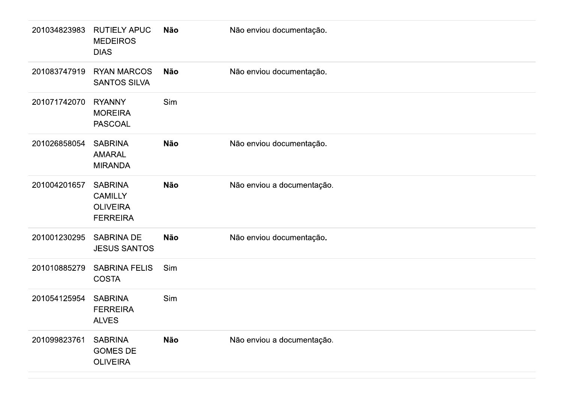| 201034823983 | <b>RUTIELY APUC</b><br><b>MEDEIROS</b><br><b>DIAS</b>                  | <b>Não</b> | Não enviou documentação.   |
|--------------|------------------------------------------------------------------------|------------|----------------------------|
| 201083747919 | <b>RYAN MARCOS</b><br><b>SANTOS SILVA</b>                              | <b>Não</b> | Não enviou documentação.   |
| 201071742070 | <b>RYANNY</b><br><b>MOREIRA</b><br><b>PASCOAL</b>                      | Sim        |                            |
| 201026858054 | <b>SABRINA</b><br><b>AMARAL</b><br><b>MIRANDA</b>                      | <b>Não</b> | Não enviou documentação.   |
| 201004201657 | <b>SABRINA</b><br><b>CAMILLY</b><br><b>OLIVEIRA</b><br><b>FERREIRA</b> | <b>Não</b> | Não enviou a documentação. |
| 201001230295 | <b>SABRINA DE</b><br><b>JESUS SANTOS</b>                               | <b>Não</b> | Não enviou documentação.   |
| 201010885279 | <b>SABRINA FELIS</b><br><b>COSTA</b>                                   | Sim        |                            |
| 201054125954 | <b>SABRINA</b><br><b>FERREIRA</b><br><b>ALVES</b>                      | Sim        |                            |
| 201099823761 | <b>SABRINA</b><br><b>GOMES DE</b><br><b>OLIVEIRA</b>                   | <b>Não</b> | Não enviou a documentação. |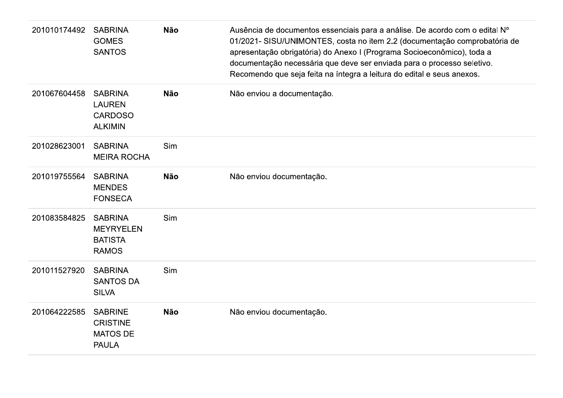| 201010174492 | <b>SABRINA</b><br><b>GOMES</b><br><b>SANTOS</b>                      | <b>Não</b> | Ausência de documentos essenciais para a análise. De acordo com o edital Nº<br>01/2021- SISU/UNIMONTES, costa no item 2.2 (documentação comprobatória de<br>apresentação obrigatória) do Anexo I (Programa Socioeconômico), toda a<br>documentação necessária que deve ser enviada para o processo seletivo.<br>Recomendo que seja feita na íntegra a leitura do edital e seus anexos. |
|--------------|----------------------------------------------------------------------|------------|----------------------------------------------------------------------------------------------------------------------------------------------------------------------------------------------------------------------------------------------------------------------------------------------------------------------------------------------------------------------------------------|
| 201067604458 | <b>SABRINA</b><br><b>LAUREN</b><br><b>CARDOSO</b><br><b>ALKIMIN</b>  | <b>Não</b> | Não enviou a documentação.                                                                                                                                                                                                                                                                                                                                                             |
| 201028623001 | <b>SABRINA</b><br><b>MEIRA ROCHA</b>                                 | Sim        |                                                                                                                                                                                                                                                                                                                                                                                        |
| 201019755564 | <b>SABRINA</b><br><b>MENDES</b><br><b>FONSECA</b>                    | <b>Não</b> | Não enviou documentação.                                                                                                                                                                                                                                                                                                                                                               |
| 201083584825 | <b>SABRINA</b><br><b>MEYRYELEN</b><br><b>BATISTA</b><br><b>RAMOS</b> | Sim        |                                                                                                                                                                                                                                                                                                                                                                                        |
| 201011527920 | <b>SABRINA</b><br><b>SANTOS DA</b><br><b>SILVA</b>                   | Sim        |                                                                                                                                                                                                                                                                                                                                                                                        |
| 201064222585 | <b>SABRINE</b><br><b>CRISTINE</b><br><b>MATOS DE</b><br><b>PAULA</b> | <b>Não</b> | Não enviou documentação.                                                                                                                                                                                                                                                                                                                                                               |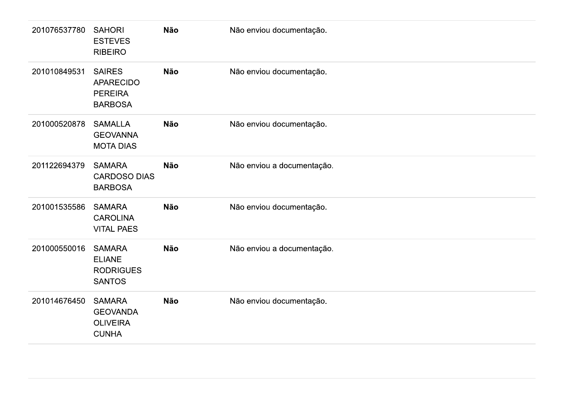| 201076537780 | <b>SAHORI</b><br><b>ESTEVES</b><br><b>RIBEIRO</b>                     | <b>Não</b> | Não enviou documentação.   |
|--------------|-----------------------------------------------------------------------|------------|----------------------------|
| 201010849531 | <b>SAIRES</b><br><b>APARECIDO</b><br><b>PEREIRA</b><br><b>BARBOSA</b> | <b>Não</b> | Não enviou documentação.   |
| 201000520878 | <b>SAMALLA</b><br><b>GEOVANNA</b><br><b>MOTA DIAS</b>                 | <b>Não</b> | Não enviou documentação.   |
| 201122694379 | <b>SAMARA</b><br><b>CARDOSO DIAS</b><br><b>BARBOSA</b>                | <b>Não</b> | Não enviou a documentação. |
| 201001535586 | <b>SAMARA</b><br><b>CAROLINA</b><br><b>VITAL PAES</b>                 | <b>Não</b> | Não enviou documentação.   |
| 201000550016 | <b>SAMARA</b><br><b>ELIANE</b><br><b>RODRIGUES</b><br><b>SANTOS</b>   | <b>Não</b> | Não enviou a documentação. |
| 201014676450 | <b>SAMARA</b><br><b>GEOVANDA</b><br><b>OLIVEIRA</b><br><b>CUNHA</b>   | <b>Não</b> | Não enviou documentação.   |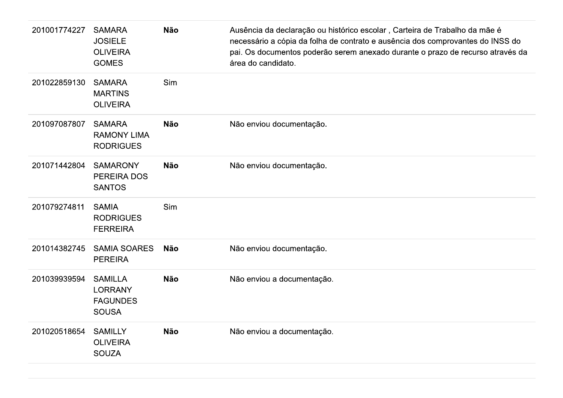| 201001774227 | <b>SAMARA</b><br><b>JOSIELE</b><br><b>OLIVEIRA</b><br><b>GOMES</b>  | <b>Não</b> | Ausência da declaração ou histórico escolar, Carteira de Trabalho da mãe é<br>necessário a cópia da folha de contrato e ausência dos comprovantes do INSS do<br>pai. Os documentos poderão serem anexado durante o prazo de recurso através da<br>área do candidato. |
|--------------|---------------------------------------------------------------------|------------|----------------------------------------------------------------------------------------------------------------------------------------------------------------------------------------------------------------------------------------------------------------------|
| 201022859130 | <b>SAMARA</b><br><b>MARTINS</b><br><b>OLIVEIRA</b>                  | Sim        |                                                                                                                                                                                                                                                                      |
| 201097087807 | <b>SAMARA</b><br><b>RAMONY LIMA</b><br><b>RODRIGUES</b>             | <b>Não</b> | Não enviou documentação.                                                                                                                                                                                                                                             |
| 201071442804 | <b>SAMARONY</b><br>PEREIRA DOS<br><b>SANTOS</b>                     | <b>Não</b> | Não enviou documentação.                                                                                                                                                                                                                                             |
| 201079274811 | <b>SAMIA</b><br><b>RODRIGUES</b><br><b>FERREIRA</b>                 | Sim        |                                                                                                                                                                                                                                                                      |
| 201014382745 | <b>SAMIA SOARES</b><br><b>PEREIRA</b>                               | <b>Não</b> | Não enviou documentação.                                                                                                                                                                                                                                             |
| 201039939594 | <b>SAMILLA</b><br><b>LORRANY</b><br><b>FAGUNDES</b><br><b>SOUSA</b> | <b>Não</b> | Não enviou a documentação.                                                                                                                                                                                                                                           |
| 201020518654 | <b>SAMILLY</b><br><b>OLIVEIRA</b><br><b>SOUZA</b>                   | <b>Não</b> | Não enviou a documentação.                                                                                                                                                                                                                                           |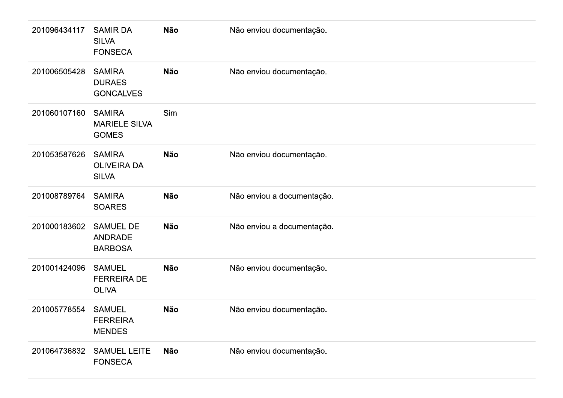| 201096434117 | <b>SAMIR DA</b><br><b>SILVA</b><br><b>FONSECA</b>     | Não | Não enviou documentação.   |
|--------------|-------------------------------------------------------|-----|----------------------------|
| 201006505428 | <b>SAMIRA</b><br><b>DURAES</b><br><b>GONCALVES</b>    | Não | Não enviou documentação.   |
| 201060107160 | <b>SAMIRA</b><br><b>MARIELE SILVA</b><br><b>GOMES</b> | Sim |                            |
| 201053587626 | <b>SAMIRA</b><br><b>OLIVEIRA DA</b><br><b>SILVA</b>   | Não | Não enviou documentação.   |
| 201008789764 | <b>SAMIRA</b><br><b>SOARES</b>                        | Não | Não enviou a documentação. |
| 201000183602 | <b>SAMUEL DE</b><br><b>ANDRADE</b><br><b>BARBOSA</b>  | Não | Não enviou a documentação. |
| 201001424096 | <b>SAMUEL</b><br><b>FERREIRA DE</b><br><b>OLIVA</b>   | Não | Não enviou documentação.   |
| 201005778554 | <b>SAMUEL</b><br><b>FERREIRA</b><br><b>MENDES</b>     | Não | Não enviou documentação.   |
| 201064736832 | <b>SAMUEL LEITE</b><br><b>FONSECA</b>                 | Não | Não enviou documentação.   |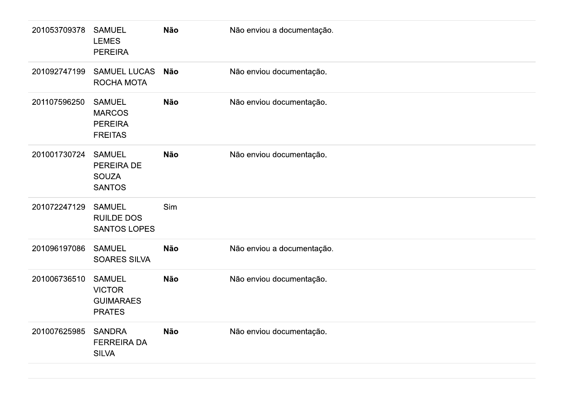| 201053709378 | <b>SAMUEL</b><br><b>LEMES</b><br><b>PEREIRA</b>                     | Não        | Não enviou a documentação. |
|--------------|---------------------------------------------------------------------|------------|----------------------------|
| 201092747199 | <b>SAMUEL LUCAS</b><br>ROCHA MOTA                                   | <b>Não</b> | Não enviou documentação.   |
| 201107596250 | <b>SAMUEL</b><br><b>MARCOS</b><br><b>PEREIRA</b><br><b>FREITAS</b>  | <b>Não</b> | Não enviou documentação.   |
| 201001730724 | <b>SAMUEL</b><br>PEREIRA DE<br><b>SOUZA</b><br><b>SANTOS</b>        | <b>Não</b> | Não enviou documentação.   |
| 201072247129 | <b>SAMUEL</b><br><b>RUILDE DOS</b><br><b>SANTOS LOPES</b>           | Sim        |                            |
| 201096197086 | <b>SAMUEL</b><br>SOARES SILVA                                       | <b>Não</b> | Não enviou a documentação. |
| 201006736510 | <b>SAMUEL</b><br><b>VICTOR</b><br><b>GUIMARAES</b><br><b>PRATES</b> | <b>Não</b> | Não enviou documentação.   |
| 201007625985 | <b>SANDRA</b><br><b>FERREIRA DA</b><br><b>SILVA</b>                 | <b>Não</b> | Não enviou documentação.   |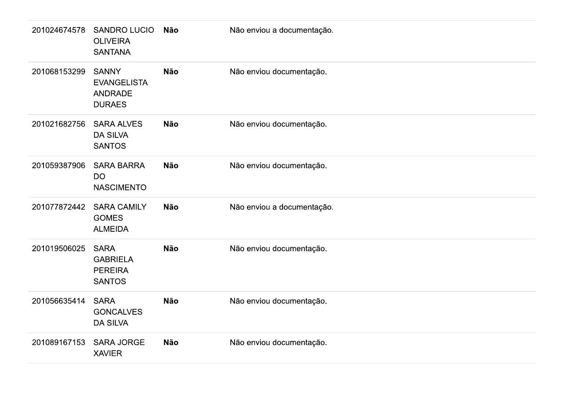| 201024674578 | <b>SANDRO LUCIO</b><br><b>OLIVEIRA</b><br><b>SANTANA</b>              | Não        | Não enviou a documentação. |
|--------------|-----------------------------------------------------------------------|------------|----------------------------|
| 201068153299 | <b>SANNY</b><br><b>EVANGELISTA</b><br><b>ANDRADE</b><br><b>DURAES</b> | <b>Não</b> | Não enviou documentação.   |
| 201021682756 | <b>SARA ALVES</b><br><b>DA SILVA</b><br><b>SANTOS</b>                 | <b>Não</b> | Não enviou documentação.   |
| 201059387906 | <b>SARA BARRA</b><br><b>DO</b><br><b>NASCIMENTO</b>                   | <b>Não</b> | Não enviou documentação.   |
| 201077872442 | <b>SARA CAMILY</b><br><b>GOMES</b><br><b>ALMEIDA</b>                  | <b>Não</b> | Não enviou a documentação. |
| 201019506025 | <b>SARA</b><br><b>GABRIELA</b><br><b>PEREIRA</b><br><b>SANTOS</b>     | <b>Não</b> | Não enviou documentação.   |
| 201056635414 | <b>SARA</b><br><b>GONCALVES</b><br><b>DA SILVA</b>                    | <b>Não</b> | Não enviou documentação.   |
| 201089167153 | <b>SARA JORGE</b><br><b>XAVIER</b>                                    | <b>Não</b> | Não enviou documentação.   |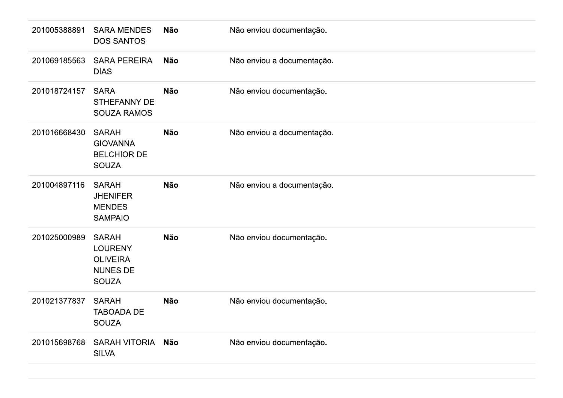| 201005388891 | <b>SARA MENDES</b><br><b>DOS SANTOS</b>                                              | Não        | Não enviou documentação.   |
|--------------|--------------------------------------------------------------------------------------|------------|----------------------------|
| 201069185563 | <b>SARA PEREIRA</b><br><b>DIAS</b>                                                   | Não        | Não enviou a documentação. |
| 201018724157 | <b>SARA</b><br><b>STHEFANNY DE</b><br><b>SOUZA RAMOS</b>                             | <b>Não</b> | Não enviou documentação.   |
| 201016668430 | <b>SARAH</b><br><b>GIOVANNA</b><br><b>BELCHIOR DE</b><br><b>SOUZA</b>                | <b>Não</b> | Não enviou a documentação. |
| 201004897116 | <b>SARAH</b><br><b>JHENIFER</b><br><b>MENDES</b><br><b>SAMPAIO</b>                   | Não        | Não enviou a documentação. |
| 201025000989 | <b>SARAH</b><br><b>LOURENY</b><br><b>OLIVEIRA</b><br><b>NUNES DE</b><br><b>SOUZA</b> | <b>Não</b> | Não enviou documentação.   |
| 201021377837 | <b>SARAH</b><br><b>TABOADA DE</b><br><b>SOUZA</b>                                    | Não        | Não enviou documentação.   |
| 201015698768 | SARAH VITORIA Não<br><b>SILVA</b>                                                    |            | Não enviou documentação.   |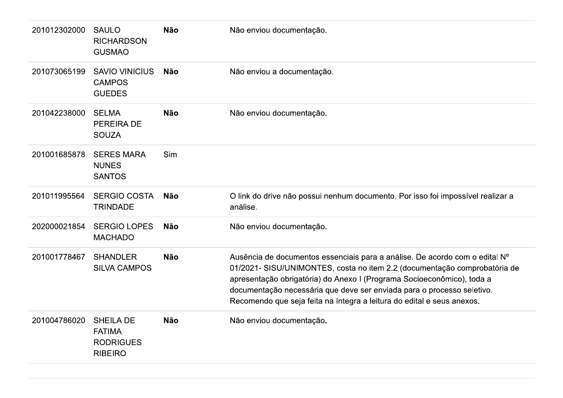| 201012302000 | <b>SAULO</b><br><b>RICHARDSON</b><br><b>GUSMAO</b>                      | <b>Não</b> | Não enviou documentação.                                                                                                                                                                                                                                                                                                                                                               |
|--------------|-------------------------------------------------------------------------|------------|----------------------------------------------------------------------------------------------------------------------------------------------------------------------------------------------------------------------------------------------------------------------------------------------------------------------------------------------------------------------------------------|
| 201073065199 | <b>SAVIO VINICIUS</b><br><b>CAMPOS</b><br><b>GUEDES</b>                 | <b>Não</b> | Não enviou a documentação.                                                                                                                                                                                                                                                                                                                                                             |
| 201042238000 | <b>SELMA</b><br><b>PEREIRA DE</b><br><b>SOUZA</b>                       | <b>Não</b> | Não enviou documentação.                                                                                                                                                                                                                                                                                                                                                               |
| 201001685878 | <b>SERES MARA</b><br><b>NUNES</b><br><b>SANTOS</b>                      | Sim        |                                                                                                                                                                                                                                                                                                                                                                                        |
| 201011995564 | <b>SERGIO COSTA</b><br><b>TRINDADE</b>                                  | <b>Não</b> | O link do drive não possui nenhum documento. Por isso foi impossível realizar a<br>análise.                                                                                                                                                                                                                                                                                            |
| 202000021854 | <b>SERGIO LOPES</b><br><b>MACHADO</b>                                   | <b>Não</b> | Não enviou documentação.                                                                                                                                                                                                                                                                                                                                                               |
| 201001778467 | <b>SHANDLER</b><br><b>SILVA CAMPOS</b>                                  | <b>Não</b> | Ausência de documentos essenciais para a análise. De acordo com o edital Nº<br>01/2021- SISU/UNIMONTES, costa no item 2.2 (documentação comprobatória de<br>apresentação obrigatória) do Anexo I (Programa Socioeconômico), toda a<br>documentação necessária que deve ser enviada para o processo seletivo.<br>Recomendo que seja feita na íntegra a leitura do edital e seus anexos. |
| 201004786020 | <b>SHEILA DE</b><br><b>FATIMA</b><br><b>RODRIGUES</b><br><b>RIBEIRO</b> | <b>Não</b> | Não enviou documentação.                                                                                                                                                                                                                                                                                                                                                               |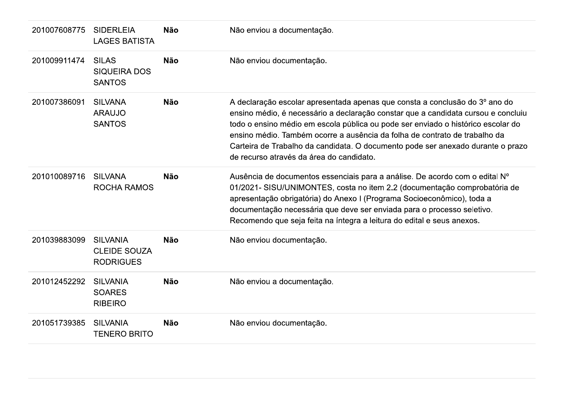| 201007608775 | <b>SIDERLEIA</b><br><b>LAGES BATISTA</b>                   | <b>Não</b> | Não enviou a documentação.                                                                                                                                                                                                                                                                                                                                                                                                                                        |
|--------------|------------------------------------------------------------|------------|-------------------------------------------------------------------------------------------------------------------------------------------------------------------------------------------------------------------------------------------------------------------------------------------------------------------------------------------------------------------------------------------------------------------------------------------------------------------|
| 201009911474 | <b>SILAS</b><br><b>SIQUEIRA DOS</b><br><b>SANTOS</b>       | <b>Não</b> | Não enviou documentação.                                                                                                                                                                                                                                                                                                                                                                                                                                          |
| 201007386091 | <b>SILVANA</b><br><b>ARAUJO</b><br><b>SANTOS</b>           | <b>Não</b> | A declaração escolar apresentada apenas que consta a conclusão do 3º ano do<br>ensino médio, é necessário a declaração constar que a candidata cursou e concluiu<br>todo o ensino médio em escola pública ou pode ser enviado o histórico escolar do<br>ensino médio. Também ocorre a ausência da folha de contrato de trabalho da<br>Carteira de Trabalho da candidata. O documento pode ser anexado durante o prazo<br>de recurso através da área do candidato. |
| 201010089716 | <b>SILVANA</b><br><b>ROCHA RAMOS</b>                       | <b>Não</b> | Ausência de documentos essenciais para a análise. De acordo com o edital Nº<br>01/2021- SISU/UNIMONTES, costa no item 2.2 (documentação comprobatória de<br>apresentação obrigatória) do Anexo I (Programa Socioeconômico), toda a<br>documentação necessária que deve ser enviada para o processo seletivo.<br>Recomendo que seja feita na íntegra a leitura do edital e seus anexos.                                                                            |
| 201039883099 | <b>SILVANIA</b><br><b>CLEIDE SOUZA</b><br><b>RODRIGUES</b> | <b>Não</b> | Não enviou documentação.                                                                                                                                                                                                                                                                                                                                                                                                                                          |
| 201012452292 | <b>SILVANIA</b><br><b>SOARES</b><br><b>RIBEIRO</b>         | <b>Não</b> | Não enviou a documentação.                                                                                                                                                                                                                                                                                                                                                                                                                                        |
| 201051739385 | <b>SILVANIA</b><br><b>TENERO BRITO</b>                     | <b>Não</b> | Não enviou documentação.                                                                                                                                                                                                                                                                                                                                                                                                                                          |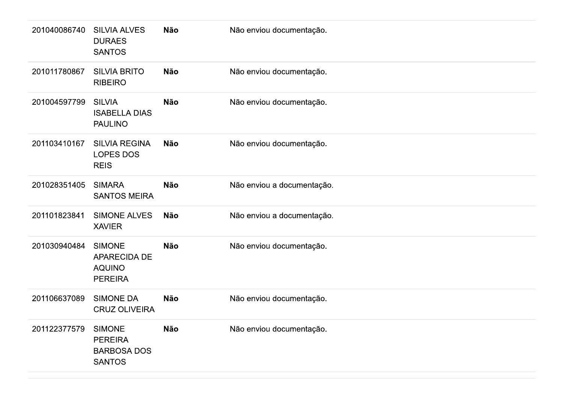| 201040086740 | <b>SILVIA ALVES</b><br><b>DURAES</b><br><b>SANTOS</b>                  | <b>Não</b> | Não enviou documentação.   |
|--------------|------------------------------------------------------------------------|------------|----------------------------|
| 201011780867 | <b>SILVIA BRITO</b><br><b>RIBEIRO</b>                                  | <b>Não</b> | Não enviou documentação.   |
| 201004597799 | <b>SILVIA</b><br><b>ISABELLA DIAS</b><br><b>PAULINO</b>                | <b>Não</b> | Não enviou documentação.   |
| 201103410167 | <b>SILVIA REGINA</b><br><b>LOPES DOS</b><br><b>REIS</b>                | <b>Não</b> | Não enviou documentação.   |
| 201028351405 | <b>SIMARA</b><br><b>SANTOS MEIRA</b>                                   | <b>Não</b> | Não enviou a documentação. |
| 201101823841 | <b>SIMONE ALVES</b><br><b>XAVIER</b>                                   | <b>Não</b> | Não enviou a documentação. |
| 201030940484 | <b>SIMONE</b><br>APARECIDA DE<br><b>AQUINO</b><br><b>PEREIRA</b>       | <b>Não</b> | Não enviou documentação.   |
| 201106637089 | <b>SIMONE DA</b><br><b>CRUZ OLIVEIRA</b>                               | <b>Não</b> | Não enviou documentação.   |
| 201122377579 | <b>SIMONE</b><br><b>PEREIRA</b><br><b>BARBOSA DOS</b><br><b>SANTOS</b> | <b>Não</b> | Não enviou documentação.   |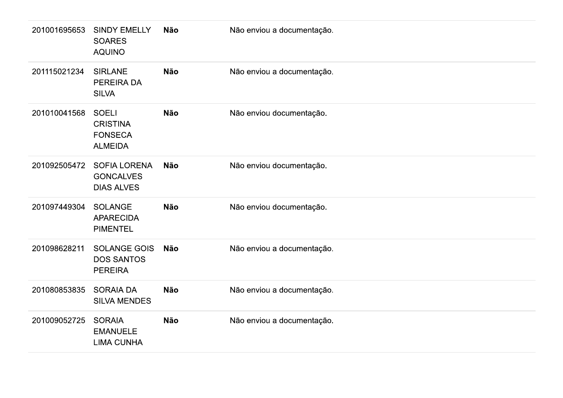| 201001695653 | <b>SINDY EMELLY</b><br><b>SOARES</b><br><b>AQUINO</b>               | <b>Não</b> | Não enviou a documentação. |
|--------------|---------------------------------------------------------------------|------------|----------------------------|
| 201115021234 | <b>SIRLANE</b><br>PEREIRA DA<br><b>SILVA</b>                        | <b>Não</b> | Não enviou a documentação. |
| 201010041568 | <b>SOELI</b><br><b>CRISTINA</b><br><b>FONSECA</b><br><b>ALMEIDA</b> | <b>Não</b> | Não enviou documentação.   |
| 201092505472 | <b>SOFIA LORENA</b><br><b>GONCALVES</b><br><b>DIAS ALVES</b>        | <b>Não</b> | Não enviou documentação.   |
| 201097449304 | <b>SOLANGE</b><br><b>APARECIDA</b><br><b>PIMENTEL</b>               | <b>Não</b> | Não enviou documentação.   |
| 201098628211 | <b>SOLANGE GOIS</b><br><b>DOS SANTOS</b><br><b>PEREIRA</b>          | <b>Não</b> | Não enviou a documentação. |
| 201080853835 | <b>SORAIA DA</b><br><b>SILVA MENDES</b>                             | <b>Não</b> | Não enviou a documentação. |
| 201009052725 | <b>SORAIA</b><br><b>EMANUELE</b><br><b>LIMA CUNHA</b>               | <b>Não</b> | Não enviou a documentação. |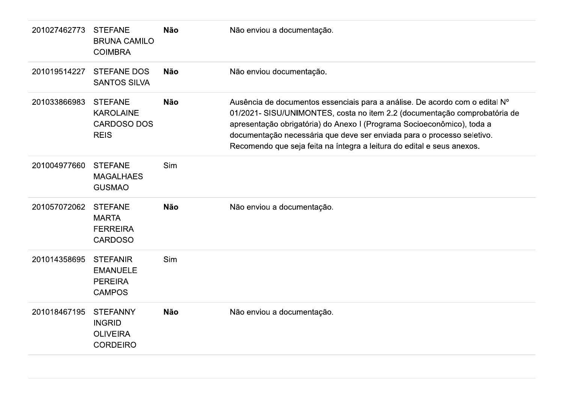| 201027462773 | <b>STEFANE</b><br><b>BRUNA CAMILO</b><br><b>COIMBRA</b>                 | <b>Não</b> | Não enviou a documentação.                                                                                                                                                                                                                                                                                                                                                             |
|--------------|-------------------------------------------------------------------------|------------|----------------------------------------------------------------------------------------------------------------------------------------------------------------------------------------------------------------------------------------------------------------------------------------------------------------------------------------------------------------------------------------|
| 201019514227 | <b>STEFANE DOS</b><br><b>SANTOS SILVA</b>                               | <b>Não</b> | Não enviou documentação.                                                                                                                                                                                                                                                                                                                                                               |
| 201033866983 | <b>STEFANE</b><br><b>KAROLAINE</b><br><b>CARDOSO DOS</b><br><b>REIS</b> | <b>Não</b> | Ausência de documentos essenciais para a análise. De acordo com o edital Nº<br>01/2021- SISU/UNIMONTES, costa no item 2.2 (documentação comprobatória de<br>apresentação obrigatória) do Anexo I (Programa Socioeconômico), toda a<br>documentação necessária que deve ser enviada para o processo seletivo.<br>Recomendo que seja feita na íntegra a leitura do edital e seus anexos. |
| 201004977660 | <b>STEFANE</b><br><b>MAGALHAES</b><br><b>GUSMAO</b>                     | Sim        |                                                                                                                                                                                                                                                                                                                                                                                        |
| 201057072062 | <b>STEFANE</b><br><b>MARTA</b><br><b>FERREIRA</b><br><b>CARDOSO</b>     | <b>Não</b> | Não enviou a documentação.                                                                                                                                                                                                                                                                                                                                                             |
| 201014358695 | <b>STEFANIR</b><br><b>EMANUELE</b><br><b>PEREIRA</b><br><b>CAMPOS</b>   | Sim        |                                                                                                                                                                                                                                                                                                                                                                                        |
| 201018467195 | <b>STEFANNY</b><br><b>INGRID</b><br><b>OLIVEIRA</b><br><b>CORDEIRO</b>  | <b>Não</b> | Não enviou a documentação.                                                                                                                                                                                                                                                                                                                                                             |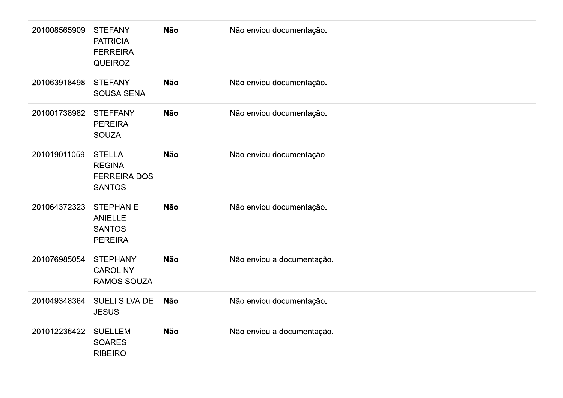| 201008565909 | <b>STEFANY</b><br><b>PATRICIA</b><br><b>FERREIRA</b><br><b>QUEIROZ</b> | Não        | Não enviou documentação.   |
|--------------|------------------------------------------------------------------------|------------|----------------------------|
| 201063918498 | <b>STEFANY</b><br>SOUSA SENA                                           | <b>Não</b> | Não enviou documentação.   |
| 201001738982 | <b>STEFFANY</b><br><b>PEREIRA</b><br><b>SOUZA</b>                      | Não        | Não enviou documentação.   |
| 201019011059 | <b>STELLA</b><br><b>REGINA</b><br><b>FERREIRA DOS</b><br><b>SANTOS</b> | Não        | Não enviou documentação.   |
| 201064372323 | <b>STEPHANIE</b><br><b>ANIELLE</b><br><b>SANTOS</b><br><b>PEREIRA</b>  | <b>Não</b> | Não enviou documentação.   |
| 201076985054 | <b>STEPHANY</b><br><b>CAROLINY</b><br>RAMOS SOUZA                      | Não        | Não enviou a documentação. |
| 201049348364 | SUELI SILVA DE<br><b>JESUS</b>                                         | Não        | Não enviou documentação.   |
| 201012236422 | <b>SUELLEM</b><br><b>SOARES</b><br><b>RIBEIRO</b>                      | Não        | Não enviou a documentação. |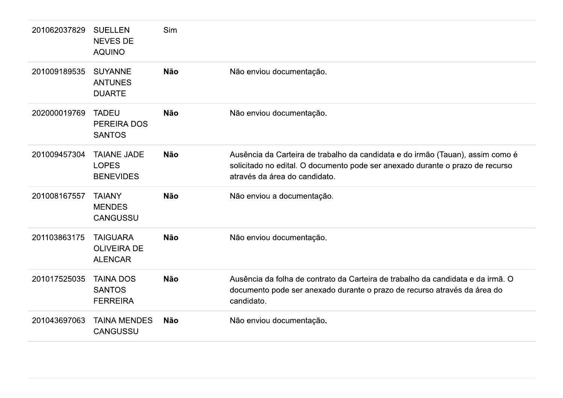| 201062037829 | <b>SUELLEN</b><br><b>NEVES DE</b><br><b>AQUINO</b>      | Sim        |                                                                                                                                                                                                  |
|--------------|---------------------------------------------------------|------------|--------------------------------------------------------------------------------------------------------------------------------------------------------------------------------------------------|
| 201009189535 | <b>SUYANNE</b><br><b>ANTUNES</b><br><b>DUARTE</b>       | <b>Não</b> | Não enviou documentação.                                                                                                                                                                         |
| 202000019769 | <b>TADEU</b><br>PEREIRA DOS<br><b>SANTOS</b>            | <b>Não</b> | Não enviou documentação.                                                                                                                                                                         |
| 201009457304 | <b>TAIANE JADE</b><br><b>LOPES</b><br><b>BENEVIDES</b>  | <b>Não</b> | Ausência da Carteira de trabalho da candidata e do irmão (Tauan), assim como é<br>solicitado no edital. O documento pode ser anexado durante o prazo de recurso<br>através da área do candidato. |
| 201008167557 | <b>TAIANY</b><br><b>MENDES</b><br><b>CANGUSSU</b>       | <b>Não</b> | Não enviou a documentação.                                                                                                                                                                       |
| 201103863175 | <b>TAIGUARA</b><br><b>OLIVEIRA DE</b><br><b>ALENCAR</b> | <b>Não</b> | Não enviou documentação.                                                                                                                                                                         |
| 201017525035 | <b>TAINA DOS</b><br><b>SANTOS</b><br><b>FERREIRA</b>    | <b>Não</b> | Ausência da folha de contrato da Carteira de trabalho da candidata e da irmã. O<br>documento pode ser anexado durante o prazo de recurso através da área do<br>candidato.                        |
| 201043697063 | <b>TAINA MENDES</b><br><b>CANGUSSU</b>                  | <b>Não</b> | Não enviou documentação.                                                                                                                                                                         |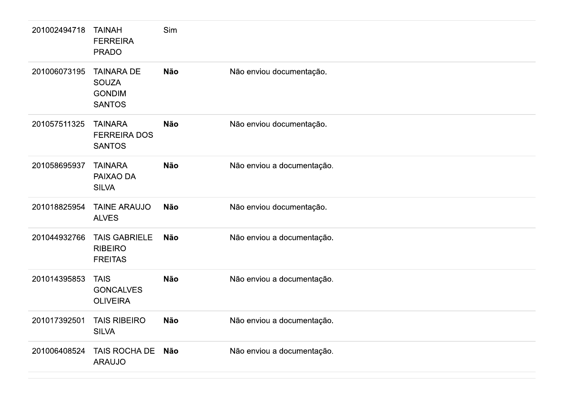| 201002494718 | <b>TAINAH</b><br><b>FERREIRA</b><br><b>PRADO</b>                    | Sim        |                            |
|--------------|---------------------------------------------------------------------|------------|----------------------------|
| 201006073195 | <b>TAINARA DE</b><br><b>SOUZA</b><br><b>GONDIM</b><br><b>SANTOS</b> | <b>Não</b> | Não enviou documentação.   |
| 201057511325 | <b>TAINARA</b><br><b>FERREIRA DOS</b><br><b>SANTOS</b>              | <b>Não</b> | Não enviou documentação.   |
| 201058695937 | <b>TAINARA</b><br>PAIXAO DA<br><b>SILVA</b>                         | <b>Não</b> | Não enviou a documentação. |
| 201018825954 | <b>TAINE ARAUJO</b><br><b>ALVES</b>                                 | <b>Não</b> | Não enviou documentação.   |
| 201044932766 | <b>TAIS GABRIELE</b><br><b>RIBEIRO</b><br><b>FREITAS</b>            | <b>Não</b> | Não enviou a documentação. |
| 201014395853 | <b>TAIS</b><br><b>GONCALVES</b><br><b>OLIVEIRA</b>                  | <b>Não</b> | Não enviou a documentação. |
| 201017392501 | <b>TAIS RIBEIRO</b><br><b>SILVA</b>                                 | <b>Não</b> | Não enviou a documentação. |
| 201006408524 | TAIS ROCHA DE Não<br><b>ARAUJO</b>                                  |            | Não enviou a documentação. |
|              |                                                                     |            |                            |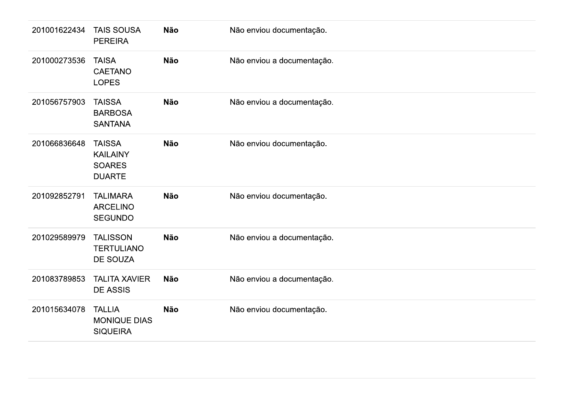| 201001622434 | <b>TAIS SOUSA</b><br><b>PEREIRA</b>                                | <b>Não</b> | Não enviou documentação.   |
|--------------|--------------------------------------------------------------------|------------|----------------------------|
| 201000273536 | <b>TAISA</b><br><b>CAETANO</b><br><b>LOPES</b>                     | <b>Não</b> | Não enviou a documentação. |
| 201056757903 | <b>TAISSA</b><br><b>BARBOSA</b><br><b>SANTANA</b>                  | <b>Não</b> | Não enviou a documentação. |
| 201066836648 | <b>TAISSA</b><br><b>KAILAINY</b><br><b>SOARES</b><br><b>DUARTE</b> | <b>Não</b> | Não enviou documentação.   |
| 201092852791 | <b>TALIMARA</b><br><b>ARCELINO</b><br><b>SEGUNDO</b>               | <b>Não</b> | Não enviou documentação.   |
| 201029589979 | <b>TALISSON</b><br><b>TERTULIANO</b><br><b>DE SOUZA</b>            | <b>Não</b> | Não enviou a documentação. |
| 201083789853 | <b>TALITA XAVIER</b><br><b>DE ASSIS</b>                            | <b>Não</b> | Não enviou a documentação. |
| 201015634078 | <b>TALLIA</b><br><b>MONIQUE DIAS</b><br><b>SIQUEIRA</b>            | <b>Não</b> | Não enviou documentação.   |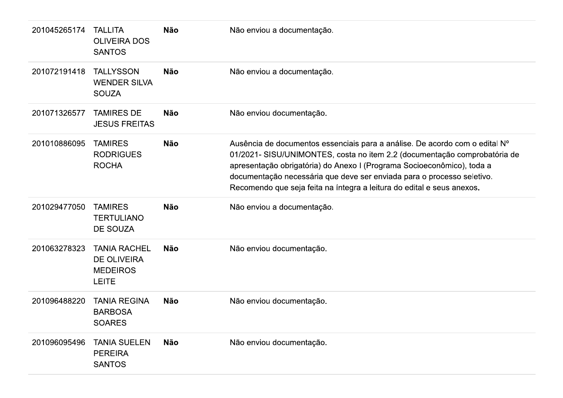| 201045265174 | <b>TALLITA</b><br><b>OLIVEIRA DOS</b><br><b>SANTOS</b>                       | <b>Não</b> | Não enviou a documentação.                                                                                                                                                                                                                                                                                                                                                             |
|--------------|------------------------------------------------------------------------------|------------|----------------------------------------------------------------------------------------------------------------------------------------------------------------------------------------------------------------------------------------------------------------------------------------------------------------------------------------------------------------------------------------|
| 201072191418 | <b>TALLYSSON</b><br><b>WENDER SILVA</b><br><b>SOUZA</b>                      | <b>Não</b> | Não enviou a documentação.                                                                                                                                                                                                                                                                                                                                                             |
| 201071326577 | <b>TAMIRES DE</b><br><b>JESUS FREITAS</b>                                    | <b>Não</b> | Não enviou documentação.                                                                                                                                                                                                                                                                                                                                                               |
| 201010886095 | <b>TAMIRES</b><br><b>RODRIGUES</b><br><b>ROCHA</b>                           | <b>Não</b> | Ausência de documentos essenciais para a análise. De acordo com o edital Nº<br>01/2021- SISU/UNIMONTES, costa no item 2.2 (documentação comprobatória de<br>apresentação obrigatória) do Anexo I (Programa Socioeconômico), toda a<br>documentação necessária que deve ser enviada para o processo seletivo.<br>Recomendo que seja feita na íntegra a leitura do edital e seus anexos. |
| 201029477050 | <b>TAMIRES</b><br><b>TERTULIANO</b><br>DE SOUZA                              | <b>Não</b> | Não enviou a documentação.                                                                                                                                                                                                                                                                                                                                                             |
| 201063278323 | <b>TANIA RACHEL</b><br><b>DE OLIVEIRA</b><br><b>MEDEIROS</b><br><b>LEITE</b> | <b>Não</b> | Não enviou documentação.                                                                                                                                                                                                                                                                                                                                                               |
| 201096488220 | <b>TANIA REGINA</b><br><b>BARBOSA</b><br><b>SOARES</b>                       | <b>Não</b> | Não enviou documentação.                                                                                                                                                                                                                                                                                                                                                               |
| 201096095496 | <b>TANIA SUELEN</b><br><b>PEREIRA</b><br><b>SANTOS</b>                       | <b>Não</b> | Não enviou documentação.                                                                                                                                                                                                                                                                                                                                                               |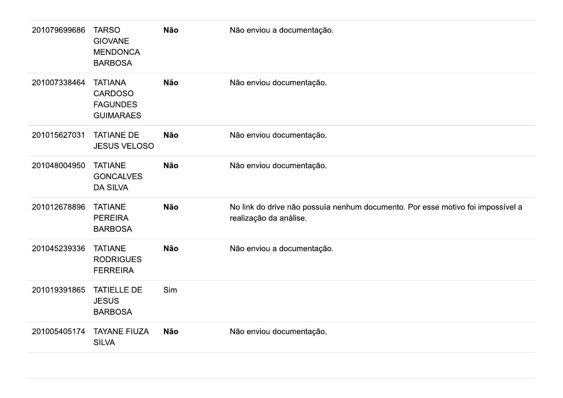| 201079699686 | <b>TARSO</b><br><b>GIOVANE</b><br><b>MENDONCA</b><br><b>BARBOSA</b>     | <b>Não</b> | Não enviou a documentação.                                                                                |
|--------------|-------------------------------------------------------------------------|------------|-----------------------------------------------------------------------------------------------------------|
| 201007338464 | <b>TATIANA</b><br><b>CARDOSO</b><br><b>FAGUNDES</b><br><b>GUIMARAES</b> | <b>Não</b> | Não enviou documentação.                                                                                  |
| 201015627031 | <b>TATIANE DE</b><br><b>JESUS VELOSO</b>                                | <b>Não</b> | Não enviou documentação.                                                                                  |
| 201048004950 | <b>TATIANE</b><br><b>GONCALVES</b><br><b>DA SILVA</b>                   | <b>Não</b> | Não enviou documentação.                                                                                  |
| 201012678896 | <b>TATIANE</b><br><b>PEREIRA</b><br><b>BARBOSA</b>                      | <b>Não</b> | No link do drive não possuía nenhum documento. Por esse motivo foi impossível a<br>realização da análise. |
| 201045239336 | <b>TATIANE</b><br><b>RODRIGUES</b><br><b>FERREIRA</b>                   | <b>Não</b> | Não enviou a documentação.                                                                                |
| 201019391865 | <b>TATIELLE DE</b><br><b>JESUS</b><br><b>BARBOSA</b>                    | <b>Sim</b> |                                                                                                           |
| 201005405174 | <b>TAYANE FIUZA</b><br><b>SILVA</b>                                     | <b>Não</b> | Não enviou documentação.                                                                                  |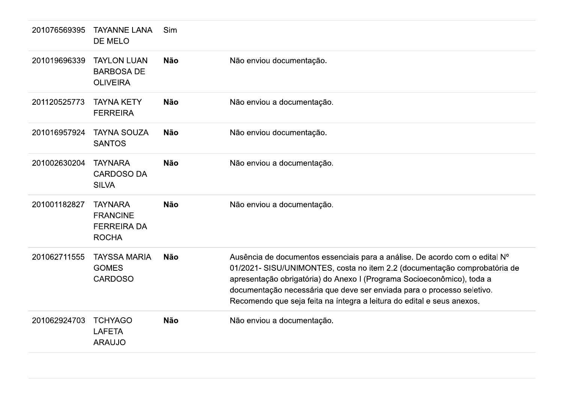| 201076569395 | <b>TAYANNE LANA</b><br>DE MELO                                          | Sim        |                                                                                                                                                                                                                                                                                                                                                                                        |
|--------------|-------------------------------------------------------------------------|------------|----------------------------------------------------------------------------------------------------------------------------------------------------------------------------------------------------------------------------------------------------------------------------------------------------------------------------------------------------------------------------------------|
| 201019696339 | <b>TAYLON LUAN</b><br><b>BARBOSA DE</b><br><b>OLIVEIRA</b>              | <b>Não</b> | Não enviou documentação.                                                                                                                                                                                                                                                                                                                                                               |
| 201120525773 | <b>TAYNA KETY</b><br><b>FERREIRA</b>                                    | <b>Não</b> | Não enviou a documentação.                                                                                                                                                                                                                                                                                                                                                             |
| 201016957924 | <b>TAYNA SOUZA</b><br><b>SANTOS</b>                                     | <b>Não</b> | Não enviou documentação.                                                                                                                                                                                                                                                                                                                                                               |
| 201002630204 | <b>TAYNARA</b><br><b>CARDOSO DA</b><br><b>SILVA</b>                     | <b>Não</b> | Não enviou a documentação.                                                                                                                                                                                                                                                                                                                                                             |
| 201001182827 | <b>TAYNARA</b><br><b>FRANCINE</b><br><b>FERREIRA DA</b><br><b>ROCHA</b> | <b>Não</b> | Não enviou a documentação.                                                                                                                                                                                                                                                                                                                                                             |
| 201062711555 | <b>TAYSSA MARIA</b><br><b>GOMES</b><br><b>CARDOSO</b>                   | <b>Não</b> | Ausência de documentos essenciais para a análise. De acordo com o edital Nº<br>01/2021- SISU/UNIMONTES, costa no item 2.2 (documentação comprobatória de<br>apresentação obrigatória) do Anexo I (Programa Socioeconômico), toda a<br>documentação necessária que deve ser enviada para o processo seletivo.<br>Recomendo que seja feita na íntegra a leitura do edital e seus anexos. |
| 201062924703 | <b>TCHYAGO</b><br><b>LAFETA</b><br><b>ARAUJO</b>                        | <b>Não</b> | Não enviou a documentação.                                                                                                                                                                                                                                                                                                                                                             |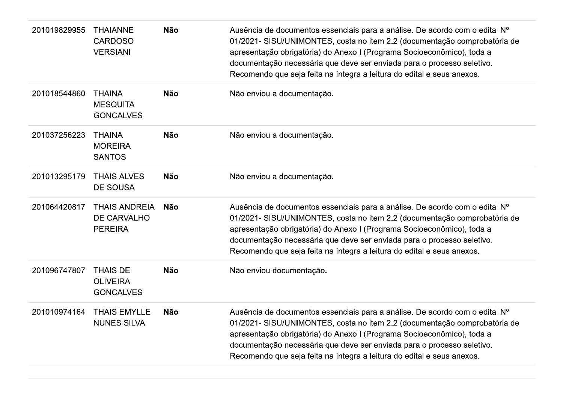| 201019829955 | <b>THAIANNE</b><br><b>CARDOSO</b><br><b>VERSIANI</b>   | <b>Não</b> | Ausência de documentos essenciais para a análise. De acordo com o edital Nº<br>01/2021- SISU/UNIMONTES, costa no item 2.2 (documentação comprobatória de<br>apresentação obrigatória) do Anexo I (Programa Socioeconômico), toda a<br>documentação necessária que deve ser enviada para o processo seletivo.<br>Recomendo que seja feita na íntegra a leitura do edital e seus anexos. |
|--------------|--------------------------------------------------------|------------|----------------------------------------------------------------------------------------------------------------------------------------------------------------------------------------------------------------------------------------------------------------------------------------------------------------------------------------------------------------------------------------|
| 201018544860 | <b>THAINA</b><br><b>MESQUITA</b><br><b>GONCALVES</b>   | <b>Não</b> | Não enviou a documentação.                                                                                                                                                                                                                                                                                                                                                             |
| 201037256223 | <b>THAINA</b><br><b>MOREIRA</b><br><b>SANTOS</b>       | <b>Não</b> | Não enviou a documentação.                                                                                                                                                                                                                                                                                                                                                             |
| 201013295179 | <b>THAIS ALVES</b><br><b>DE SOUSA</b>                  | <b>Não</b> | Não enviou a documentação.                                                                                                                                                                                                                                                                                                                                                             |
| 201064420817 | <b>THAIS ANDREIA</b><br>DE CARVALHO<br><b>PEREIRA</b>  | <b>Não</b> | Ausência de documentos essenciais para a análise. De acordo com o edital Nº<br>01/2021- SISU/UNIMONTES, costa no item 2.2 (documentação comprobatória de<br>apresentação obrigatória) do Anexo I (Programa Socioeconômico), toda a<br>documentação necessária que deve ser enviada para o processo seletivo.<br>Recomendo que seja feita na íntegra a leitura do edital e seus anexos. |
| 201096747807 | <b>THAIS DE</b><br><b>OLIVEIRA</b><br><b>GONCALVES</b> | <b>Não</b> | Não enviou documentação.                                                                                                                                                                                                                                                                                                                                                               |
| 201010974164 | <b>THAIS EMYLLE</b><br><b>NUNES SILVA</b>              | <b>Não</b> | Ausência de documentos essenciais para a análise. De acordo com o edital Nº<br>01/2021- SISU/UNIMONTES, costa no item 2.2 (documentação comprobatória de<br>apresentação obrigatória) do Anexo I (Programa Socioeconômico), toda a<br>documentação necessária que deve ser enviada para o processo seletivo.<br>Recomendo que seja feita na íntegra a leitura do edital e seus anexos. |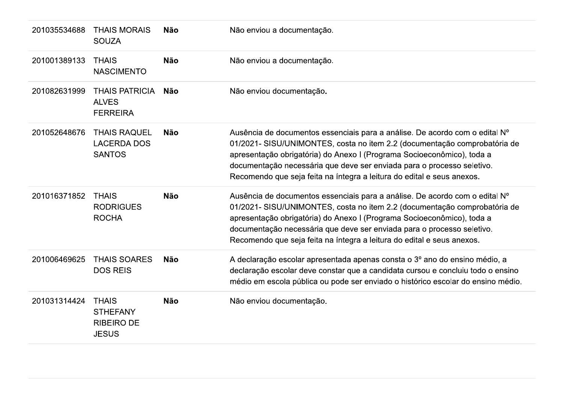| 201035534688 | <b>THAIS MORAIS</b><br><b>SOUZA</b>                                  | <b>Não</b> | Não enviou a documentação.                                                                                                                                                                                                                                                                                                                                                             |
|--------------|----------------------------------------------------------------------|------------|----------------------------------------------------------------------------------------------------------------------------------------------------------------------------------------------------------------------------------------------------------------------------------------------------------------------------------------------------------------------------------------|
| 201001389133 | <b>THAIS</b><br><b>NASCIMENTO</b>                                    | <b>Não</b> | Não enviou a documentação.                                                                                                                                                                                                                                                                                                                                                             |
| 201082631999 | <b>THAIS PATRICIA</b><br><b>ALVES</b><br><b>FERREIRA</b>             | Não        | Não enviou documentação.                                                                                                                                                                                                                                                                                                                                                               |
| 201052648676 | <b>THAIS RAQUEL</b><br><b>LACERDA DOS</b><br><b>SANTOS</b>           | <b>Não</b> | Ausência de documentos essenciais para a análise. De acordo com o edital Nº<br>01/2021- SISU/UNIMONTES, costa no item 2.2 (documentação comprobatória de<br>apresentação obrigatória) do Anexo I (Programa Socioeconômico), toda a<br>documentação necessária que deve ser enviada para o processo seletivo.<br>Recomendo que seja feita na íntegra a leitura do edital e seus anexos. |
| 201016371852 | <b>THAIS</b><br><b>RODRIGUES</b><br><b>ROCHA</b>                     | <b>Não</b> | Ausência de documentos essenciais para a análise. De acordo com o edital Nº<br>01/2021- SISU/UNIMONTES, costa no item 2.2 (documentação comprobatória de<br>apresentação obrigatória) do Anexo I (Programa Socioeconômico), toda a<br>documentação necessária que deve ser enviada para o processo seletivo.<br>Recomendo que seja feita na íntegra a leitura do edital e seus anexos. |
| 201006469625 | <b>THAIS SOARES</b><br><b>DOS REIS</b>                               | <b>Não</b> | A declaração escolar apresentada apenas consta o 3º ano do ensino médio, a<br>declaração escolar deve constar que a candidata cursou e concluiu todo o ensino<br>médio em escola pública ou pode ser enviado o histórico escolar do ensino médio.                                                                                                                                      |
| 201031314424 | <b>THAIS</b><br><b>STHEFANY</b><br><b>RIBEIRO DE</b><br><b>JESUS</b> | <b>Não</b> | Não enviou documentação.                                                                                                                                                                                                                                                                                                                                                               |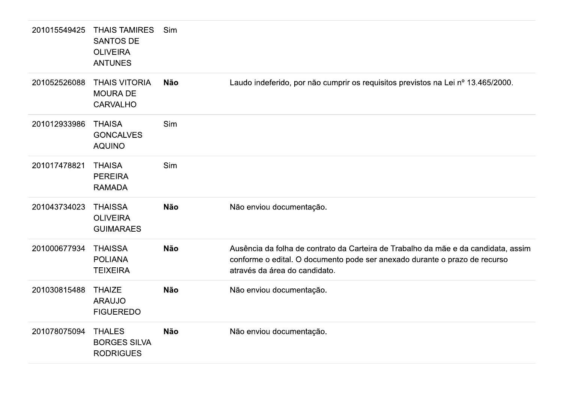| 201015549425 | <b>THAIS TAMIRES</b><br><b>SANTOS DE</b><br><b>OLIVEIRA</b><br><b>ANTUNES</b> | Sim        |                                                                                                                                                                                                   |
|--------------|-------------------------------------------------------------------------------|------------|---------------------------------------------------------------------------------------------------------------------------------------------------------------------------------------------------|
| 201052526088 | <b>THAIS VITORIA</b><br><b>MOURA DE</b><br><b>CARVALHO</b>                    | <b>Não</b> | Laudo indeferido, por não cumprir os requisitos previstos na Lei nº 13.465/2000.                                                                                                                  |
| 201012933986 | <b>THAISA</b><br><b>GONCALVES</b><br><b>AQUINO</b>                            | Sim        |                                                                                                                                                                                                   |
| 201017478821 | <b>THAISA</b><br><b>PEREIRA</b><br><b>RAMADA</b>                              | Sim        |                                                                                                                                                                                                   |
| 201043734023 | <b>THAISSA</b><br><b>OLIVEIRA</b><br><b>GUIMARAES</b>                         | <b>Não</b> | Não enviou documentação.                                                                                                                                                                          |
| 201000677934 | <b>THAISSA</b><br><b>POLIANA</b><br><b>TEIXEIRA</b>                           | <b>Não</b> | Ausência da folha de contrato da Carteira de Trabalho da mãe e da candidata, assim<br>conforme o edital. O documento pode ser anexado durante o prazo de recurso<br>através da área do candidato. |
| 201030815488 | <b>THAIZE</b><br><b>ARAUJO</b><br><b>FIGUEREDO</b>                            | <b>Não</b> | Não enviou documentação.                                                                                                                                                                          |
| 201078075094 | <b>THALES</b><br><b>BORGES SILVA</b><br><b>RODRIGUES</b>                      | <b>Não</b> | Não enviou documentação.                                                                                                                                                                          |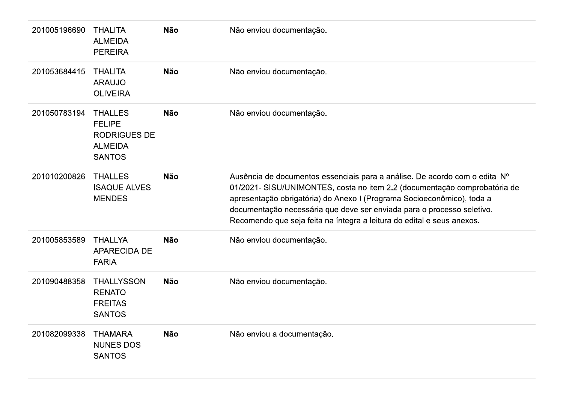| 201005196690 | <b>THALITA</b><br><b>ALMEIDA</b><br><b>PEREIRA</b>                                        | <b>Não</b> | Não enviou documentação.                                                                                                                                                                                                                                                                                                                                                               |
|--------------|-------------------------------------------------------------------------------------------|------------|----------------------------------------------------------------------------------------------------------------------------------------------------------------------------------------------------------------------------------------------------------------------------------------------------------------------------------------------------------------------------------------|
| 201053684415 | <b>THALITA</b><br><b>ARAUJO</b><br><b>OLIVEIRA</b>                                        | <b>Não</b> | Não enviou documentação.                                                                                                                                                                                                                                                                                                                                                               |
| 201050783194 | <b>THALLES</b><br><b>FELIPE</b><br><b>RODRIGUES DE</b><br><b>ALMEIDA</b><br><b>SANTOS</b> | <b>Não</b> | Não enviou documentação.                                                                                                                                                                                                                                                                                                                                                               |
| 201010200826 | <b>THALLES</b><br><b>ISAQUE ALVES</b><br><b>MENDES</b>                                    | <b>Não</b> | Ausência de documentos essenciais para a análise. De acordo com o edital Nº<br>01/2021- SISU/UNIMONTES, costa no item 2.2 (documentação comprobatória de<br>apresentação obrigatória) do Anexo I (Programa Socioeconômico), toda a<br>documentação necessária que deve ser enviada para o processo seletivo.<br>Recomendo que seja feita na íntegra a leitura do edital e seus anexos. |
| 201005853589 | <b>THALLYA</b><br><b>APARECIDA DE</b><br><b>FARIA</b>                                     | <b>Não</b> | Não enviou documentação.                                                                                                                                                                                                                                                                                                                                                               |
| 201090488358 | <b>THALLYSSON</b><br><b>RENATO</b><br><b>FREITAS</b><br><b>SANTOS</b>                     | <b>Não</b> | Não enviou documentação.                                                                                                                                                                                                                                                                                                                                                               |
| 201082099338 | <b>THAMARA</b><br><b>NUNES DOS</b><br><b>SANTOS</b>                                       | <b>Não</b> | Não enviou a documentação.                                                                                                                                                                                                                                                                                                                                                             |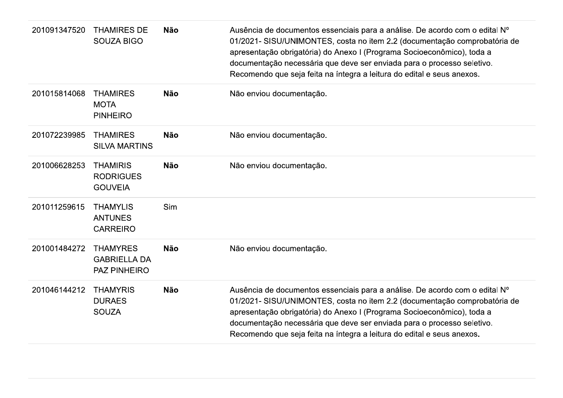| 201091347520 | <b>THAMIRES DE</b><br><b>SOUZA BIGO</b>                       | <b>Não</b> | Ausência de documentos essenciais para a análise. De acordo com o edital Nº<br>01/2021- SISU/UNIMONTES, costa no item 2.2 (documentação comprobatória de<br>apresentação obrigatória) do Anexo I (Programa Socioeconômico), toda a<br>documentação necessária que deve ser enviada para o processo seletivo.<br>Recomendo que seja feita na íntegra a leitura do edital e seus anexos. |
|--------------|---------------------------------------------------------------|------------|----------------------------------------------------------------------------------------------------------------------------------------------------------------------------------------------------------------------------------------------------------------------------------------------------------------------------------------------------------------------------------------|
| 201015814068 | <b>THAMIRES</b><br><b>MOTA</b><br><b>PINHEIRO</b>             | <b>Não</b> | Não enviou documentação.                                                                                                                                                                                                                                                                                                                                                               |
| 201072239985 | <b>THAMIRES</b><br><b>SILVA MARTINS</b>                       | <b>Não</b> | Não enviou documentação.                                                                                                                                                                                                                                                                                                                                                               |
| 201006628253 | <b>THAMIRIS</b><br><b>RODRIGUES</b><br><b>GOUVEIA</b>         | <b>Não</b> | Não enviou documentação.                                                                                                                                                                                                                                                                                                                                                               |
| 201011259615 | <b>THAMYLIS</b><br><b>ANTUNES</b><br><b>CARREIRO</b>          | Sim        |                                                                                                                                                                                                                                                                                                                                                                                        |
| 201001484272 | <b>THAMYRES</b><br><b>GABRIELLA DA</b><br><b>PAZ PINHEIRO</b> | <b>Não</b> | Não enviou documentação.                                                                                                                                                                                                                                                                                                                                                               |
| 201046144212 | <b>THAMYRIS</b><br><b>DURAES</b><br><b>SOUZA</b>              | <b>Não</b> | Ausência de documentos essenciais para a análise. De acordo com o edital Nº<br>01/2021- SISU/UNIMONTES, costa no item 2.2 (documentação comprobatória de<br>apresentação obrigatória) do Anexo I (Programa Socioeconômico), toda a<br>documentação necessária que deve ser enviada para o processo seletivo.<br>Recomendo que seja feita na íntegra a leitura do edital e seus anexos. |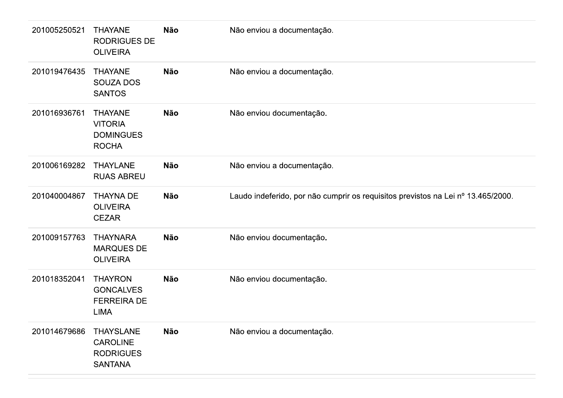| 201005250521 | <b>THAYANE</b><br><b>RODRIGUES DE</b><br><b>OLIVEIRA</b>                  | <b>Não</b> | Não enviou a documentação.                                                       |
|--------------|---------------------------------------------------------------------------|------------|----------------------------------------------------------------------------------|
| 201019476435 | <b>THAYANE</b><br><b>SOUZA DOS</b><br><b>SANTOS</b>                       | <b>Não</b> | Não enviou a documentação.                                                       |
| 201016936761 | <b>THAYANE</b><br><b>VITORIA</b><br><b>DOMINGUES</b><br><b>ROCHA</b>      | <b>Não</b> | Não enviou documentação.                                                         |
| 201006169282 | <b>THAYLANE</b><br><b>RUAS ABREU</b>                                      | <b>Não</b> | Não enviou a documentação.                                                       |
| 201040004867 | <b>THAYNA DE</b><br><b>OLIVEIRA</b><br><b>CEZAR</b>                       | <b>Não</b> | Laudo indeferido, por não cumprir os requisitos previstos na Lei nº 13.465/2000. |
| 201009157763 | <b>THAYNARA</b><br><b>MARQUES DE</b><br><b>OLIVEIRA</b>                   | <b>Não</b> | Não enviou documentação.                                                         |
| 201018352041 | <b>THAYRON</b><br><b>GONCALVES</b><br><b>FERREIRA DE</b><br><b>LIMA</b>   | <b>Não</b> | Não enviou documentação.                                                         |
| 201014679686 | <b>THAYSLANE</b><br><b>CAROLINE</b><br><b>RODRIGUES</b><br><b>SANTANA</b> | Não        | Não enviou a documentação.                                                       |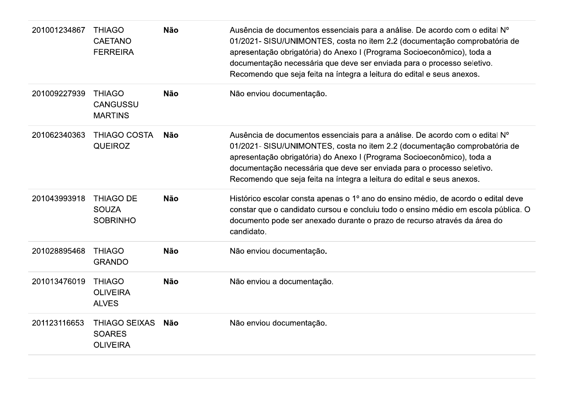| 201001234867 | <b>THIAGO</b><br><b>CAETANO</b><br><b>FERREIRA</b>       | <b>Não</b> | Ausência de documentos essenciais para a análise. De acordo com o edital Nº<br>01/2021- SISU/UNIMONTES, costa no item 2.2 (documentação comprobatória de<br>apresentação obrigatória) do Anexo I (Programa Socioeconômico), toda a<br>documentação necessária que deve ser enviada para o processo seletivo.<br>Recomendo que seja feita na íntegra a leitura do edital e seus anexos. |
|--------------|----------------------------------------------------------|------------|----------------------------------------------------------------------------------------------------------------------------------------------------------------------------------------------------------------------------------------------------------------------------------------------------------------------------------------------------------------------------------------|
| 201009227939 | <b>THIAGO</b><br><b>CANGUSSU</b><br><b>MARTINS</b>       | <b>Não</b> | Não enviou documentação.                                                                                                                                                                                                                                                                                                                                                               |
| 201062340363 | <b>THIAGO COSTA</b><br><b>QUEIROZ</b>                    | <b>Não</b> | Ausência de documentos essenciais para a análise. De acordo com o edital N°<br>01/2021- SISU/UNIMONTES, costa no item 2.2 (documentação comprobatória de<br>apresentação obrigatória) do Anexo I (Programa Socioeconômico), toda a<br>documentação necessária que deve ser enviada para o processo seletivo.<br>Recomendo que seja feita na íntegra a leitura do edital e seus anexos. |
| 201043993918 | <b>THIAGO DE</b><br><b>SOUZA</b><br><b>SOBRINHO</b>      | <b>Não</b> | Histórico escolar consta apenas o 1º ano do ensino médio, de acordo o edital deve<br>constar que o candidato cursou e concluiu todo o ensino médio em escola pública. O<br>documento pode ser anexado durante o prazo de recurso através da área do<br>candidato.                                                                                                                      |
| 201028895468 | <b>THIAGO</b><br><b>GRANDO</b>                           | <b>Não</b> | Não enviou documentação.                                                                                                                                                                                                                                                                                                                                                               |
| 201013476019 | <b>THIAGO</b><br><b>OLIVEIRA</b><br><b>ALVES</b>         | <b>Não</b> | Não enviou a documentação.                                                                                                                                                                                                                                                                                                                                                             |
| 201123116653 | <b>THIAGO SEIXAS</b><br><b>SOARES</b><br><b>OLIVEIRA</b> | Não        | Não enviou documentação.                                                                                                                                                                                                                                                                                                                                                               |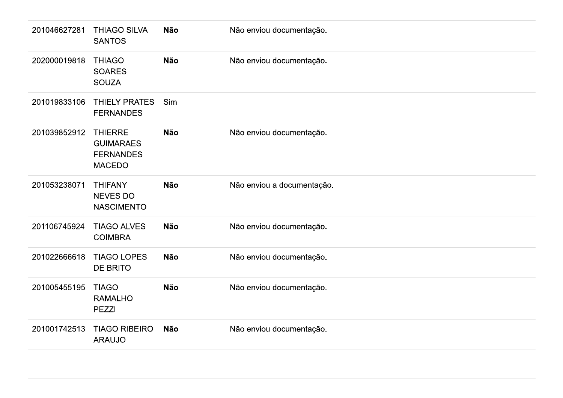| 201046627281 | <b>THIAGO SILVA</b><br><b>SANTOS</b>                                    | Não        | Não enviou documentação.   |
|--------------|-------------------------------------------------------------------------|------------|----------------------------|
| 202000019818 | <b>THIAGO</b><br><b>SOARES</b><br><b>SOUZA</b>                          | Não        | Não enviou documentação.   |
| 201019833106 | THIELY PRATES<br><b>FERNANDES</b>                                       | Sim        |                            |
| 201039852912 | <b>THIERRE</b><br><b>GUIMARAES</b><br><b>FERNANDES</b><br><b>MACEDO</b> | <b>Não</b> | Não enviou documentação.   |
| 201053238071 | <b>THIFANY</b><br><b>NEVES DO</b><br><b>NASCIMENTO</b>                  | Não        | Não enviou a documentação. |
| 201106745924 | <b>TIAGO ALVES</b><br><b>COIMBRA</b>                                    | Não        | Não enviou documentação.   |
| 201022666618 | <b>TIAGO LOPES</b><br>DE BRITO                                          | Não        | Não enviou documentação.   |
| 201005455195 | <b>TIAGO</b><br><b>RAMALHO</b><br><b>PEZZI</b>                          | Não        | Não enviou documentação.   |
| 201001742513 | <b>TIAGO RIBEIRO</b><br><b>ARAUJO</b>                                   | Não        | Não enviou documentação.   |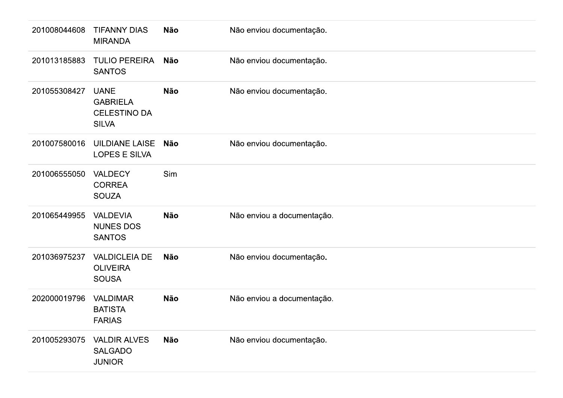| 201008044608 | <b>TIFANNY DIAS</b><br><b>MIRANDA</b>                                 | <b>Não</b> | Não enviou documentação.   |
|--------------|-----------------------------------------------------------------------|------------|----------------------------|
| 201013185883 | <b>TULIO PEREIRA</b><br><b>SANTOS</b>                                 | <b>Não</b> | Não enviou documentação.   |
| 201055308427 | <b>UANE</b><br><b>GABRIELA</b><br><b>CELESTINO DA</b><br><b>SILVA</b> | <b>Não</b> | Não enviou documentação.   |
| 201007580016 | <b>UILDIANE LAISE</b><br><b>LOPES E SILVA</b>                         | Não        | Não enviou documentação.   |
| 201006555050 | VALDECY<br><b>CORREA</b><br><b>SOUZA</b>                              | Sim        |                            |
| 201065449955 | <b>VALDEVIA</b><br><b>NUNES DOS</b><br><b>SANTOS</b>                  | <b>Não</b> | Não enviou a documentação. |
| 201036975237 | <b>VALDICLEIA DE</b><br><b>OLIVEIRA</b><br><b>SOUSA</b>               | <b>Não</b> | Não enviou documentação.   |
| 202000019796 | <b>VALDIMAR</b><br><b>BATISTA</b><br><b>FARIAS</b>                    | <b>Não</b> | Não enviou a documentação. |
| 201005293075 | <b>VALDIR ALVES</b><br><b>SALGADO</b><br><b>JUNIOR</b>                | <b>Não</b> | Não enviou documentação.   |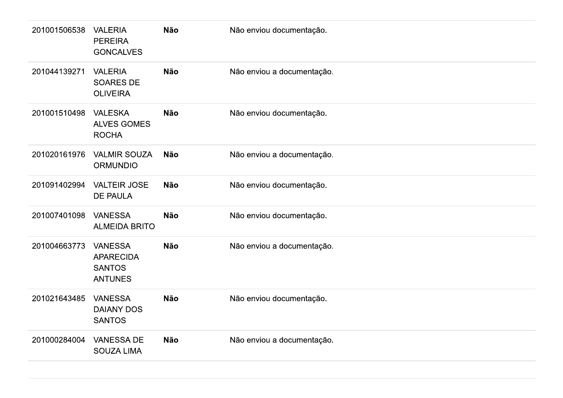| 201001506538 | <b>VALERIA</b><br><b>PEREIRA</b><br><b>GONCALVES</b>                  | Não        | Não enviou documentação.   |
|--------------|-----------------------------------------------------------------------|------------|----------------------------|
| 201044139271 | <b>VALERIA</b><br><b>SOARES DE</b><br><b>OLIVEIRA</b>                 | <b>Não</b> | Não enviou a documentação. |
| 201001510498 | <b>VALESKA</b><br><b>ALVES GOMES</b><br><b>ROCHA</b>                  | <b>Não</b> | Não enviou documentação.   |
| 201020161976 | <b>VALMIR SOUZA</b><br><b>ORMUNDIO</b>                                | Não        | Não enviou a documentação. |
| 201091402994 | <b>VALTEIR JOSE</b><br><b>DE PAULA</b>                                | Não        | Não enviou documentação.   |
| 201007401098 | <b>VANESSA</b><br><b>ALMEIDA BRITO</b>                                | <b>Não</b> | Não enviou documentação.   |
| 201004663773 | <b>VANESSA</b><br><b>APARECIDA</b><br><b>SANTOS</b><br><b>ANTUNES</b> | <b>Não</b> | Não enviou a documentação. |
| 201021643485 | <b>VANESSA</b><br><b>DAIANY DOS</b><br><b>SANTOS</b>                  | Não        | Não enviou documentação.   |
| 201000284004 | <b>VANESSA DE</b><br>SOUZA LIMA                                       | Não        | Não enviou a documentação. |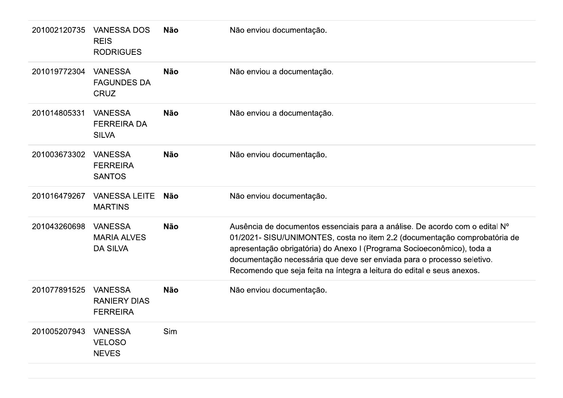| 201002120735 | <b>VANESSA DOS</b><br><b>REIS</b><br><b>RODRIGUES</b>    | <b>Não</b> | Não enviou documentação.                                                                                                                                                                                                                                                                                                                                                               |
|--------------|----------------------------------------------------------|------------|----------------------------------------------------------------------------------------------------------------------------------------------------------------------------------------------------------------------------------------------------------------------------------------------------------------------------------------------------------------------------------------|
| 201019772304 | <b>VANESSA</b><br><b>FAGUNDES DA</b><br><b>CRUZ</b>      | <b>Não</b> | Não enviou a documentação.                                                                                                                                                                                                                                                                                                                                                             |
| 201014805331 | <b>VANESSA</b><br><b>FERREIRA DA</b><br><b>SILVA</b>     | <b>Não</b> | Não enviou a documentação.                                                                                                                                                                                                                                                                                                                                                             |
| 201003673302 | <b>VANESSA</b><br><b>FERREIRA</b><br><b>SANTOS</b>       | <b>Não</b> | Não enviou documentação.                                                                                                                                                                                                                                                                                                                                                               |
| 201016479267 | <b>VANESSA LEITE</b><br><b>MARTINS</b>                   | <b>Não</b> | Não enviou documentação.                                                                                                                                                                                                                                                                                                                                                               |
| 201043260698 | <b>VANESSA</b><br><b>MARIA ALVES</b><br><b>DA SILVA</b>  | <b>Não</b> | Ausência de documentos essenciais para a análise. De acordo com o edital Nº<br>01/2021- SISU/UNIMONTES, costa no item 2.2 (documentação comprobatória de<br>apresentação obrigatória) do Anexo I (Programa Socioeconômico), toda a<br>documentação necessária que deve ser enviada para o processo seletivo.<br>Recomendo que seja feita na íntegra a leitura do edital e seus anexos. |
| 201077891525 | <b>VANESSA</b><br><b>RANIERY DIAS</b><br><b>FERREIRA</b> | <b>Não</b> | Não enviou documentação.                                                                                                                                                                                                                                                                                                                                                               |
| 201005207943 | <b>VANESSA</b><br><b>VELOSO</b><br><b>NEVES</b>          | Sim        |                                                                                                                                                                                                                                                                                                                                                                                        |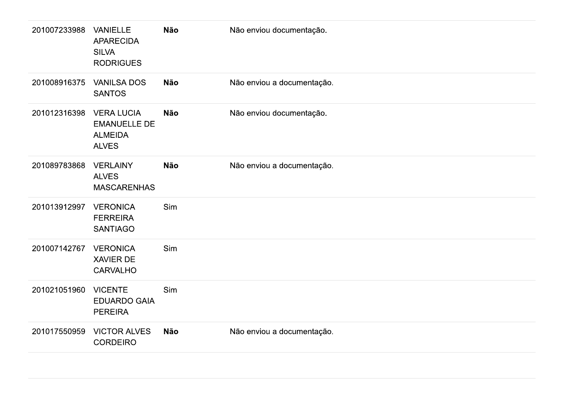| 201007233988 | <b>VANIELLE</b><br><b>APARECIDA</b><br><b>SILVA</b><br><b>RODRIGUES</b>    | Não        | Não enviou documentação.   |
|--------------|----------------------------------------------------------------------------|------------|----------------------------|
| 201008916375 | <b>VANILSA DOS</b><br><b>SANTOS</b>                                        | Não        | Não enviou a documentação. |
| 201012316398 | <b>VERA LUCIA</b><br><b>EMANUELLE DE</b><br><b>ALMEIDA</b><br><b>ALVES</b> | Não        | Não enviou documentação.   |
| 201089783868 | <b>VERLAINY</b><br><b>ALVES</b><br><b>MASCARENHAS</b>                      | <b>Não</b> | Não enviou a documentação. |
| 201013912997 | <b>VERONICA</b><br><b>FERREIRA</b><br><b>SANTIAGO</b>                      | Sim        |                            |
| 201007142767 | <b>VERONICA</b><br>XAVIER DE<br><b>CARVALHO</b>                            | Sim        |                            |
| 201021051960 | <b>VICENTE</b><br><b>EDUARDO GAIA</b><br><b>PEREIRA</b>                    | Sim        |                            |
| 201017550959 | <b>VICTOR ALVES</b><br><b>CORDEIRO</b>                                     | Não        | Não enviou a documentação. |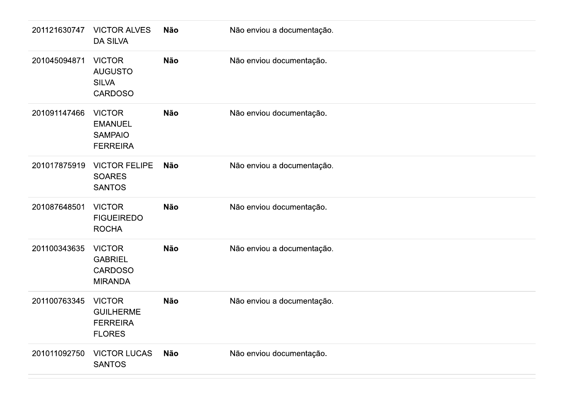| 201121630747 | <b>VICTOR ALVES</b><br><b>DA SILVA</b>                                | Não        | Não enviou a documentação. |
|--------------|-----------------------------------------------------------------------|------------|----------------------------|
| 201045094871 | <b>VICTOR</b><br><b>AUGUSTO</b><br><b>SILVA</b><br><b>CARDOSO</b>     | Não        | Não enviou documentação.   |
| 201091147466 | <b>VICTOR</b><br><b>EMANUEL</b><br><b>SAMPAIO</b><br><b>FERREIRA</b>  | Não        | Não enviou documentação.   |
| 201017875919 | <b>VICTOR FELIPE</b><br><b>SOARES</b><br><b>SANTOS</b>                | <b>Não</b> | Não enviou a documentação. |
| 201087648501 | <b>VICTOR</b><br><b>FIGUEIREDO</b><br><b>ROCHA</b>                    | Não        | Não enviou documentação.   |
| 201100343635 | <b>VICTOR</b><br><b>GABRIEL</b><br><b>CARDOSO</b><br><b>MIRANDA</b>   | <b>Não</b> | Não enviou a documentação. |
| 201100763345 | <b>VICTOR</b><br><b>GUILHERME</b><br><b>FERREIRA</b><br><b>FLORES</b> | <b>Não</b> | Não enviou a documentação. |
| 201011092750 | <b>VICTOR LUCAS</b><br><b>SANTOS</b>                                  | Não        | Não enviou documentação.   |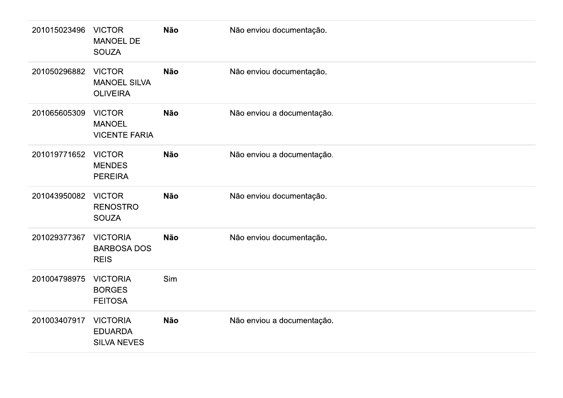| 201015023496 | <b>VICTOR</b><br>MANOEL DE<br><b>SOUZA</b>              | Não        | Não enviou documentação.   |
|--------------|---------------------------------------------------------|------------|----------------------------|
| 201050296882 | <b>VICTOR</b><br><b>MANOEL SILVA</b><br><b>OLIVEIRA</b> | <b>Não</b> | Não enviou documentação.   |
| 201065605309 | <b>VICTOR</b><br><b>MANOEL</b><br><b>VICENTE FARIA</b>  | Não        | Não enviou a documentação. |
| 201019771652 | <b>VICTOR</b><br><b>MENDES</b><br><b>PEREIRA</b>        | Não        | Não enviou a documentação. |
| 201043950082 | <b>VICTOR</b><br><b>RENOSTRO</b><br><b>SOUZA</b>        | Não        | Não enviou documentação.   |
| 201029377367 | <b>VICTORIA</b><br><b>BARBOSA DOS</b><br><b>REIS</b>    | Não        | Não enviou documentação.   |
| 201004798975 | <b>VICTORIA</b><br><b>BORGES</b><br><b>FEITOSA</b>      | Sim        |                            |
| 201003407917 | <b>VICTORIA</b><br><b>EDUARDA</b><br><b>SILVA NEVES</b> | Não        | Não enviou a documentação. |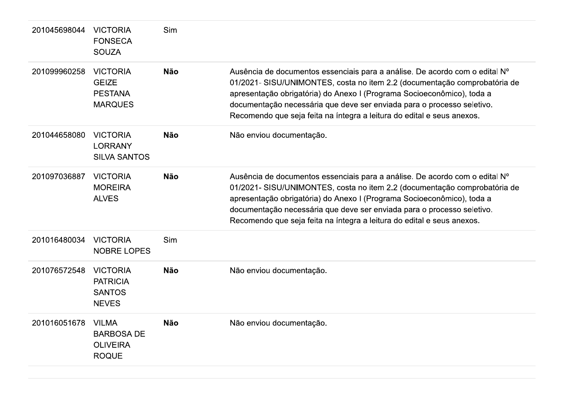| 201045698044 | <b>VICTORIA</b><br><b>FONSECA</b><br><b>SOUZA</b>                    | Sim        |                                                                                                                                                                                                                                                                                                                                                                                        |
|--------------|----------------------------------------------------------------------|------------|----------------------------------------------------------------------------------------------------------------------------------------------------------------------------------------------------------------------------------------------------------------------------------------------------------------------------------------------------------------------------------------|
| 201099960258 | <b>VICTORIA</b><br><b>GEIZE</b><br><b>PESTANA</b><br><b>MARQUES</b>  | <b>Não</b> | Ausência de documentos essenciais para a análise. De acordo com o edital Nº<br>01/2021- SISU/UNIMONTES, costa no item 2.2 (documentação comprobatória de<br>apresentação obrigatória) do Anexo I (Programa Socioeconômico), toda a<br>documentação necessária que deve ser enviada para o processo seletivo.<br>Recomendo que seja feita na íntegra a leitura do edital e seus anexos. |
| 201044658080 | <b>VICTORIA</b><br><b>LORRANY</b><br><b>SILVA SANTOS</b>             | <b>Não</b> | Não enviou documentação.                                                                                                                                                                                                                                                                                                                                                               |
| 201097036887 | <b>VICTORIA</b><br><b>MOREIRA</b><br><b>ALVES</b>                    | <b>Não</b> | Ausência de documentos essenciais para a análise. De acordo com o edital Nº<br>01/2021- SISU/UNIMONTES, costa no item 2.2 (documentação comprobatória de<br>apresentação obrigatória) do Anexo I (Programa Socioeconômico), toda a<br>documentação necessária que deve ser enviada para o processo seletivo.<br>Recomendo que seja feita na íntegra a leitura do edital e seus anexos. |
| 201016480034 | <b>VICTORIA</b><br><b>NOBRE LOPES</b>                                | Sim        |                                                                                                                                                                                                                                                                                                                                                                                        |
| 201076572548 | <b>VICTORIA</b><br><b>PATRICIA</b><br><b>SANTOS</b><br><b>NEVES</b>  | <b>Não</b> | Não enviou documentação.                                                                                                                                                                                                                                                                                                                                                               |
| 201016051678 | <b>VILMA</b><br><b>BARBOSA DE</b><br><b>OLIVEIRA</b><br><b>ROQUE</b> | <b>Não</b> | Não enviou documentação.                                                                                                                                                                                                                                                                                                                                                               |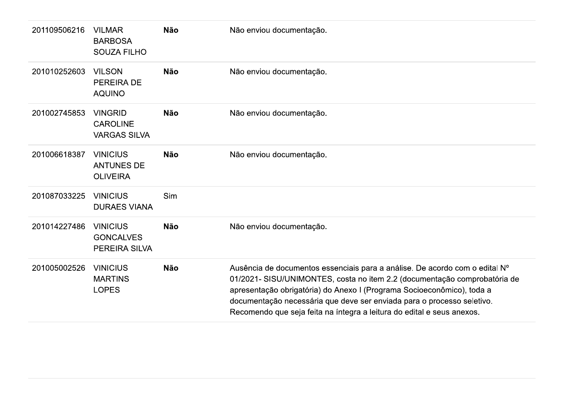| 201109506216 | <b>VILMAR</b><br><b>BARBOSA</b><br><b>SOUZA FILHO</b>    | <b>Não</b> | Não enviou documentação.                                                                                                                                                                                                                                                                                                                                                               |
|--------------|----------------------------------------------------------|------------|----------------------------------------------------------------------------------------------------------------------------------------------------------------------------------------------------------------------------------------------------------------------------------------------------------------------------------------------------------------------------------------|
| 201010252603 | <b>VILSON</b><br><b>PEREIRA DE</b><br><b>AQUINO</b>      | <b>Não</b> | Não enviou documentação.                                                                                                                                                                                                                                                                                                                                                               |
| 201002745853 | <b>VINGRID</b><br><b>CAROLINE</b><br><b>VARGAS SILVA</b> | <b>Não</b> | Não enviou documentação.                                                                                                                                                                                                                                                                                                                                                               |
| 201006618387 | <b>VINICIUS</b><br><b>ANTUNES DE</b><br><b>OLIVEIRA</b>  | <b>Não</b> | Não enviou documentação.                                                                                                                                                                                                                                                                                                                                                               |
| 201087033225 | <b>VINICIUS</b><br><b>DURAES VIANA</b>                   | Sim        |                                                                                                                                                                                                                                                                                                                                                                                        |
| 201014227486 | <b>VINICIUS</b><br><b>GONCALVES</b><br>PEREIRA SILVA     | <b>Não</b> | Não enviou documentação.                                                                                                                                                                                                                                                                                                                                                               |
| 201005002526 | <b>VINICIUS</b><br><b>MARTINS</b><br><b>LOPES</b>        | <b>Não</b> | Ausência de documentos essenciais para a análise. De acordo com o edital Nº<br>01/2021- SISU/UNIMONTES, costa no item 2.2 (documentação comprobatória de<br>apresentação obrigatória) do Anexo I (Programa Socioeconômico), toda a<br>documentação necessária que deve ser enviada para o processo seletivo.<br>Recomendo que seja feita na íntegra a leitura do edital e seus anexos. |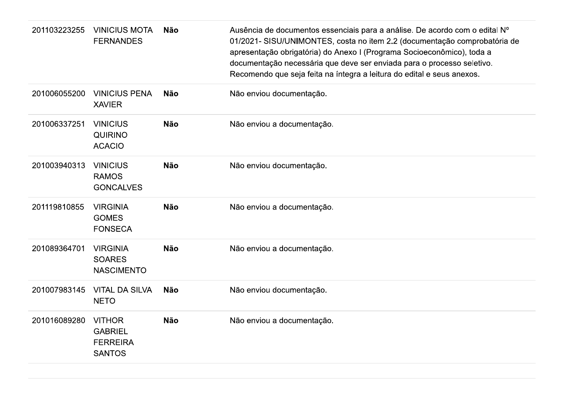| 201103223255 | <b>VINICIUS MOTA</b><br><b>FERNANDES</b>                            | <b>Não</b> | Ausência de documentos essenciais para a análise. De acordo com o edital Nº<br>01/2021- SISU/UNIMONTES, costa no item 2.2 (documentação comprobatória de<br>apresentação obrigatória) do Anexo I (Programa Socioeconômico), toda a<br>documentação necessária que deve ser enviada para o processo seletivo.<br>Recomendo que seja feita na íntegra a leitura do edital e seus anexos. |
|--------------|---------------------------------------------------------------------|------------|----------------------------------------------------------------------------------------------------------------------------------------------------------------------------------------------------------------------------------------------------------------------------------------------------------------------------------------------------------------------------------------|
| 201006055200 | <b>VINICIUS PENA</b><br><b>XAVIER</b>                               | <b>Não</b> | Não enviou documentação.                                                                                                                                                                                                                                                                                                                                                               |
| 201006337251 | <b>VINICIUS</b><br><b>QUIRINO</b><br><b>ACACIO</b>                  | <b>Não</b> | Não enviou a documentação.                                                                                                                                                                                                                                                                                                                                                             |
| 201003940313 | <b>VINICIUS</b><br><b>RAMOS</b><br><b>GONCALVES</b>                 | <b>Não</b> | Não enviou documentação.                                                                                                                                                                                                                                                                                                                                                               |
| 201119810855 | <b>VIRGINIA</b><br><b>GOMES</b><br><b>FONSECA</b>                   | <b>Não</b> | Não enviou a documentação.                                                                                                                                                                                                                                                                                                                                                             |
| 201089364701 | <b>VIRGINIA</b><br><b>SOARES</b><br><b>NASCIMENTO</b>               | <b>Não</b> | Não enviou a documentação.                                                                                                                                                                                                                                                                                                                                                             |
| 201007983145 | <b>VITAL DA SILVA</b><br><b>NETO</b>                                | <b>Não</b> | Não enviou documentação.                                                                                                                                                                                                                                                                                                                                                               |
| 201016089280 | <b>VITHOR</b><br><b>GABRIEL</b><br><b>FERREIRA</b><br><b>SANTOS</b> | <b>Não</b> | Não enviou a documentação.                                                                                                                                                                                                                                                                                                                                                             |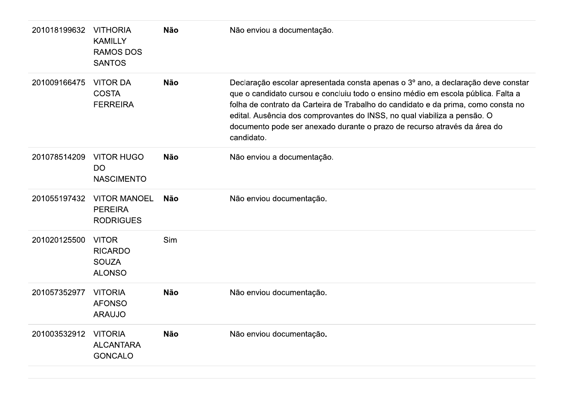| 201018199632 | <b>VITHORIA</b><br><b>KAMILLY</b><br><b>RAMOS DOS</b><br><b>SANTOS</b> | <b>Não</b> | Não enviou a documentação.                                                                                                                                                                                                                                                                                                                                                                                                      |
|--------------|------------------------------------------------------------------------|------------|---------------------------------------------------------------------------------------------------------------------------------------------------------------------------------------------------------------------------------------------------------------------------------------------------------------------------------------------------------------------------------------------------------------------------------|
| 201009166475 | <b>VITOR DA</b><br><b>COSTA</b><br><b>FERREIRA</b>                     | <b>Não</b> | Declaração escolar apresentada consta apenas o 3º ano, a declaração deve constar<br>que o candidato cursou e concluiu todo o ensino médio em escola pública. Falta a<br>folha de contrato da Carteira de Trabalho do candidato e da prima, como consta no<br>edital. Ausência dos comprovantes do INSS, no qual viabiliza a pensão. O<br>documento pode ser anexado durante o prazo de recurso através da área do<br>candidato. |
| 201078514209 | <b>VITOR HUGO</b><br><b>DO</b><br><b>NASCIMENTO</b>                    | <b>Não</b> | Não enviou a documentação.                                                                                                                                                                                                                                                                                                                                                                                                      |
| 201055197432 | <b>VITOR MANOEL</b><br><b>PEREIRA</b><br><b>RODRIGUES</b>              | <b>Não</b> | Não enviou documentação.                                                                                                                                                                                                                                                                                                                                                                                                        |
| 201020125500 | <b>VITOR</b><br><b>RICARDO</b><br><b>SOUZA</b><br><b>ALONSO</b>        | Sim        |                                                                                                                                                                                                                                                                                                                                                                                                                                 |
| 201057352977 | <b>VITORIA</b><br><b>AFONSO</b><br><b>ARAUJO</b>                       | <b>Não</b> | Não enviou documentação.                                                                                                                                                                                                                                                                                                                                                                                                        |
| 201003532912 | <b>VITORIA</b><br><b>ALCANTARA</b><br><b>GONCALO</b>                   | <b>Não</b> | Não enviou documentação.                                                                                                                                                                                                                                                                                                                                                                                                        |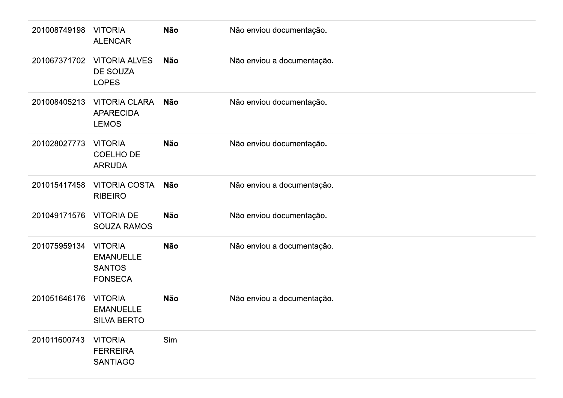| 201008749198 | <b>VITORIA</b><br><b>ALENCAR</b>                                      | <b>Não</b> | Não enviou documentação.   |
|--------------|-----------------------------------------------------------------------|------------|----------------------------|
| 201067371702 | <b>VITORIA ALVES</b><br>DE SOUZA<br><b>LOPES</b>                      | <b>Não</b> | Não enviou a documentação. |
| 201008405213 | <b>VITORIA CLARA</b><br><b>APARECIDA</b><br><b>LEMOS</b>              | Não        | Não enviou documentação.   |
| 201028027773 | <b>VITORIA</b><br>COELHO DE<br><b>ARRUDA</b>                          | <b>Não</b> | Não enviou documentação.   |
| 201015417458 | <b>VITORIA COSTA</b><br><b>RIBEIRO</b>                                | <b>Não</b> | Não enviou a documentação. |
| 201049171576 | <b>VITORIA DE</b><br><b>SOUZA RAMOS</b>                               | <b>Não</b> | Não enviou documentação.   |
| 201075959134 | <b>VITORIA</b><br><b>EMANUELLE</b><br><b>SANTOS</b><br><b>FONSECA</b> | Não        | Não enviou a documentação. |
| 201051646176 | <b>VITORIA</b><br><b>EMANUELLE</b><br><b>SILVA BERTO</b>              | <b>Não</b> | Não enviou a documentação. |
| 201011600743 | <b>VITORIA</b><br><b>FERREIRA</b><br><b>SANTIAGO</b>                  | Sim        |                            |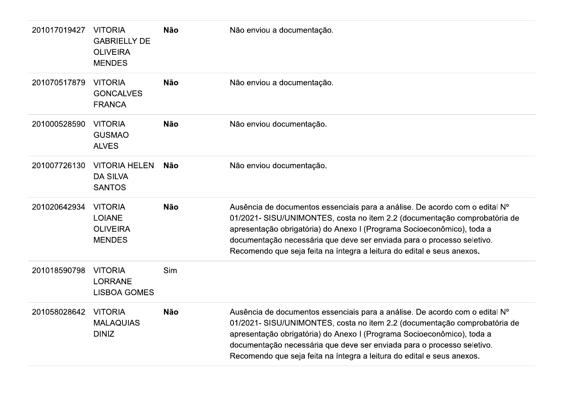| 201017019427 | <b>VITORIA</b><br><b>GABRIELLY DE</b><br><b>OLIVEIRA</b><br><b>MENDES</b> | <b>Não</b> | Não enviou a documentação.                                                                                                                                                                                                                                                                                                                                                             |
|--------------|---------------------------------------------------------------------------|------------|----------------------------------------------------------------------------------------------------------------------------------------------------------------------------------------------------------------------------------------------------------------------------------------------------------------------------------------------------------------------------------------|
| 201070517879 | <b>VITORIA</b><br><b>GONCALVES</b><br><b>FRANCA</b>                       | <b>Não</b> | Não enviou a documentação.                                                                                                                                                                                                                                                                                                                                                             |
| 201000528590 | <b>VITORIA</b><br><b>GUSMAO</b><br><b>ALVES</b>                           | <b>Não</b> | Não enviou documentação.                                                                                                                                                                                                                                                                                                                                                               |
| 201007726130 | <b>VITORIA HELEN</b><br><b>DA SILVA</b><br><b>SANTOS</b>                  | Não        | Não enviou documentação.                                                                                                                                                                                                                                                                                                                                                               |
| 201020642934 | <b>VITORIA</b><br><b>LOIANE</b><br><b>OLIVEIRA</b><br><b>MENDES</b>       | <b>Não</b> | Ausência de documentos essenciais para a análise. De acordo com o edital Nº<br>01/2021- SISU/UNIMONTES, costa no item 2.2 (documentação comprobatória de<br>apresentação obrigatória) do Anexo I (Programa Socioeconômico), toda a<br>documentação necessária que deve ser enviada para o processo seletivo.<br>Recomendo que seja feita na íntegra a leitura do edital e seus anexos. |
| 201018590798 | <b>VITORIA</b><br><b>LORRANE</b><br><b>LISBOA GOMES</b>                   | Sim        |                                                                                                                                                                                                                                                                                                                                                                                        |
| 201058028642 | <b>VITORIA</b><br><b>MALAQUIAS</b><br><b>DINIZ</b>                        | <b>Não</b> | Ausência de documentos essenciais para a análise. De acordo com o edital Nº<br>01/2021- SISU/UNIMONTES, costa no item 2.2 (documentação comprobatória de<br>apresentação obrigatória) do Anexo I (Programa Socioeconômico), toda a<br>documentação necessária que deve ser enviada para o processo seletivo.                                                                           |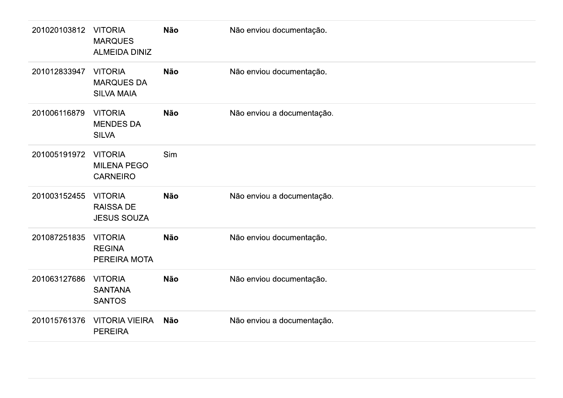| 201020103812 | <b>VITORIA</b><br><b>MARQUES</b><br><b>ALMEIDA DINIZ</b> | <b>Não</b> | Não enviou documentação.   |
|--------------|----------------------------------------------------------|------------|----------------------------|
| 201012833947 | <b>VITORIA</b><br><b>MARQUES DA</b><br><b>SILVA MAIA</b> | <b>Não</b> | Não enviou documentação.   |
| 201006116879 | <b>VITORIA</b><br><b>MENDES DA</b><br><b>SILVA</b>       | <b>Não</b> | Não enviou a documentação. |
| 201005191972 | <b>VITORIA</b><br><b>MILENA PEGO</b><br><b>CARNEIRO</b>  | Sim        |                            |
| 201003152455 | <b>VITORIA</b><br><b>RAISSA DE</b><br><b>JESUS SOUZA</b> | <b>Não</b> | Não enviou a documentação. |
| 201087251835 | <b>VITORIA</b><br><b>REGINA</b><br>PEREIRA MOTA          | <b>Não</b> | Não enviou documentação.   |
| 201063127686 | <b>VITORIA</b><br><b>SANTANA</b><br><b>SANTOS</b>        | <b>Não</b> | Não enviou documentação.   |
| 201015761376 | <b>VITORIA VIEIRA</b><br><b>PEREIRA</b>                  | <b>Não</b> | Não enviou a documentação. |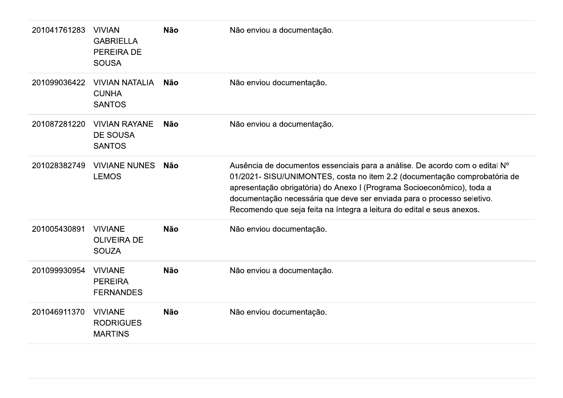| 201041761283 | <b>VIVIAN</b><br><b>GABRIELLA</b><br><b>PEREIRA DE</b><br><b>SOUSA</b> | <b>Não</b> | Não enviou a documentação.                                                                                                                                                                                                                                                                                                                                                             |
|--------------|------------------------------------------------------------------------|------------|----------------------------------------------------------------------------------------------------------------------------------------------------------------------------------------------------------------------------------------------------------------------------------------------------------------------------------------------------------------------------------------|
| 201099036422 | <b>VIVIAN NATALIA</b><br><b>CUNHA</b><br><b>SANTOS</b>                 | <b>Não</b> | Não enviou documentação.                                                                                                                                                                                                                                                                                                                                                               |
| 201087281220 | <b>VIVIAN RAYANE</b><br><b>DE SOUSA</b><br><b>SANTOS</b>               | <b>Não</b> | Não enviou a documentação.                                                                                                                                                                                                                                                                                                                                                             |
| 201028382749 | <b>VIVIANE NUNES</b><br><b>LEMOS</b>                                   | Não        | Ausência de documentos essenciais para a análise. De acordo com o edital Nº<br>01/2021- SISU/UNIMONTES, costa no item 2.2 (documentação comprobatória de<br>apresentação obrigatória) do Anexo I (Programa Socioeconômico), toda a<br>documentação necessária que deve ser enviada para o processo seletivo.<br>Recomendo que seja feita na íntegra a leitura do edital e seus anexos. |
| 201005430891 | <b>VIVIANE</b><br><b>OLIVEIRA DE</b><br><b>SOUZA</b>                   | <b>Não</b> | Não enviou documentação.                                                                                                                                                                                                                                                                                                                                                               |
| 201099930954 | <b>VIVIANE</b><br><b>PEREIRA</b><br><b>FERNANDES</b>                   | <b>Não</b> | Não enviou a documentação.                                                                                                                                                                                                                                                                                                                                                             |
| 201046911370 | <b>VIVIANE</b><br><b>RODRIGUES</b><br><b>MARTINS</b>                   | <b>Não</b> | Não enviou documentação.                                                                                                                                                                                                                                                                                                                                                               |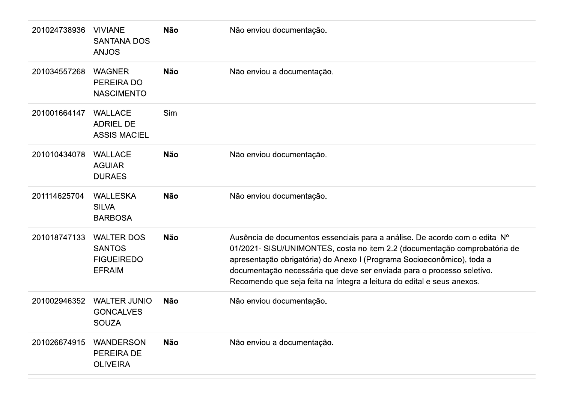| 201024738936 | <b>VIVIANE</b><br><b>SANTANA DOS</b><br><b>ANJOS</b>                     | <b>Não</b> | Não enviou documentação.                                                                                                                                                                                                                                                                                                                                                               |
|--------------|--------------------------------------------------------------------------|------------|----------------------------------------------------------------------------------------------------------------------------------------------------------------------------------------------------------------------------------------------------------------------------------------------------------------------------------------------------------------------------------------|
| 201034557268 | <b>WAGNER</b><br>PEREIRA DO<br><b>NASCIMENTO</b>                         | <b>Não</b> | Não enviou a documentação.                                                                                                                                                                                                                                                                                                                                                             |
| 201001664147 | <b>WALLACE</b><br><b>ADRIEL DE</b><br><b>ASSIS MACIEL</b>                | Sim        |                                                                                                                                                                                                                                                                                                                                                                                        |
| 201010434078 | <b>WALLACE</b><br><b>AGUIAR</b><br><b>DURAES</b>                         | <b>Não</b> | Não enviou documentação.                                                                                                                                                                                                                                                                                                                                                               |
| 201114625704 | <b>WALLESKA</b><br><b>SILVA</b><br><b>BARBOSA</b>                        | <b>Não</b> | Não enviou documentação.                                                                                                                                                                                                                                                                                                                                                               |
| 201018747133 | <b>WALTER DOS</b><br><b>SANTOS</b><br><b>FIGUEIREDO</b><br><b>EFRAIM</b> | <b>Não</b> | Ausência de documentos essenciais para a análise. De acordo com o edital Nº<br>01/2021- SISU/UNIMONTES, costa no item 2.2 (documentação comprobatória de<br>apresentação obrigatória) do Anexo I (Programa Socioeconômico), toda a<br>documentação necessária que deve ser enviada para o processo seletivo.<br>Recomendo que seja feita na íntegra a leitura do edital e seus anexos. |
| 201002946352 | <b>WALTER JUNIO</b><br><b>GONCALVES</b><br><b>SOUZA</b>                  | <b>Não</b> | Não enviou documentação.                                                                                                                                                                                                                                                                                                                                                               |
| 201026674915 | <b>WANDERSON</b><br>PEREIRA DE<br><b>OLIVEIRA</b>                        | <b>Não</b> | Não enviou a documentação.                                                                                                                                                                                                                                                                                                                                                             |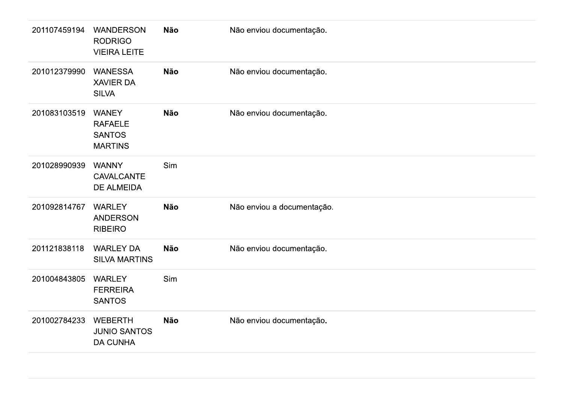| 201107459194 | <b>WANDERSON</b><br><b>RODRIGO</b><br><b>VIEIRA LEITE</b>         | <b>Não</b> | Não enviou documentação.   |
|--------------|-------------------------------------------------------------------|------------|----------------------------|
| 201012379990 | <b>WANESSA</b><br><b>XAVIER DA</b><br><b>SILVA</b>                | <b>Não</b> | Não enviou documentação.   |
| 201083103519 | <b>WANEY</b><br><b>RAFAELE</b><br><b>SANTOS</b><br><b>MARTINS</b> | <b>Não</b> | Não enviou documentação.   |
| 201028990939 | <b>WANNY</b><br><b>CAVALCANTE</b><br><b>DE ALMEIDA</b>            | Sim        |                            |
| 201092814767 | <b>WARLEY</b><br><b>ANDERSON</b><br><b>RIBEIRO</b>                | <b>Não</b> | Não enviou a documentação. |
| 201121838118 | <b>WARLEY DA</b><br><b>SILVA MARTINS</b>                          | <b>Não</b> | Não enviou documentação.   |
| 201004843805 | <b>WARLEY</b><br><b>FERREIRA</b><br><b>SANTOS</b>                 | Sim        |                            |
| 201002784233 | <b>WEBERTH</b><br><b>JUNIO SANTOS</b><br><b>DA CUNHA</b>          | <b>Não</b> | Não enviou documentação.   |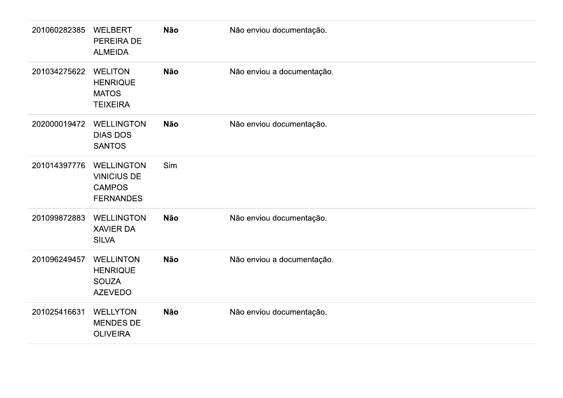| 201060282385 | <b>WELBERT</b><br>PEREIRA DE<br><b>ALMEIDA</b>                               | <b>Não</b> | Não enviou documentação.   |
|--------------|------------------------------------------------------------------------------|------------|----------------------------|
| 201034275622 | <b>WELITON</b><br><b>HENRIQUE</b><br><b>MATOS</b><br><b>TEIXEIRA</b>         | <b>Não</b> | Não enviou a documentação. |
| 202000019472 | <b>WELLINGTON</b><br><b>DIAS DOS</b><br><b>SANTOS</b>                        | <b>Não</b> | Não enviou documentação.   |
| 201014397776 | <b>WELLINGTON</b><br><b>VINICIUS DE</b><br><b>CAMPOS</b><br><b>FERNANDES</b> | Sim        |                            |
| 201099872883 | <b>WELLINGTON</b><br><b>XAVIER DA</b><br><b>SILVA</b>                        | <b>Não</b> | Não enviou documentação.   |
| 201096249457 | <b>WELLINTON</b><br><b>HENRIQUE</b><br><b>SOUZA</b><br><b>AZEVEDO</b>        | <b>Não</b> | Não enviou a documentação. |
| 201025416631 | <b>WELLYTON</b><br><b>MENDES DE</b><br><b>OLIVEIRA</b>                       | <b>Não</b> | Não enviou documentação.   |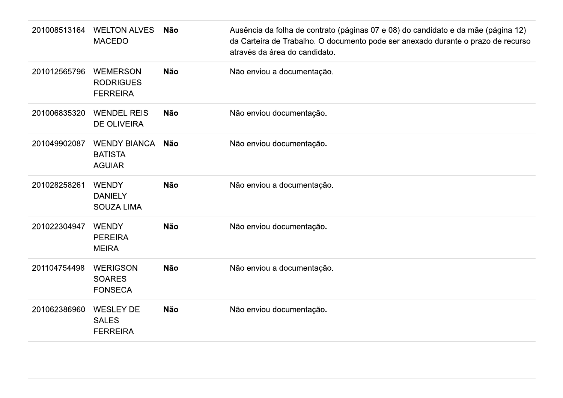| 201008513164 | <b>WELTON ALVES</b><br><b>MACEDO</b>                   | <b>Não</b> | Ausência da folha de contrato (páginas 07 e 08) do candidato e da mãe (página 12)<br>da Carteira de Trabalho. O documento pode ser anexado durante o prazo de recurso<br>através da área do candidato. |
|--------------|--------------------------------------------------------|------------|--------------------------------------------------------------------------------------------------------------------------------------------------------------------------------------------------------|
| 201012565796 | <b>WEMERSON</b><br><b>RODRIGUES</b><br><b>FERREIRA</b> | <b>Não</b> | Não enviou a documentação.                                                                                                                                                                             |
| 201006835320 | <b>WENDEL REIS</b><br><b>DE OLIVEIRA</b>               | <b>Não</b> | Não enviou documentação.                                                                                                                                                                               |
| 201049902087 | <b>WENDY BIANCA</b><br><b>BATISTA</b><br><b>AGUIAR</b> | <b>Não</b> | Não enviou documentação.                                                                                                                                                                               |
| 201028258261 | <b>WENDY</b><br><b>DANIELY</b><br><b>SOUZA LIMA</b>    | <b>Não</b> | Não enviou a documentação.                                                                                                                                                                             |
| 201022304947 | <b>WENDY</b><br><b>PEREIRA</b><br><b>MEIRA</b>         | <b>Não</b> | Não enviou documentação.                                                                                                                                                                               |
| 201104754498 | <b>WERIGSON</b><br><b>SOARES</b><br><b>FONSECA</b>     | <b>Não</b> | Não enviou a documentação.                                                                                                                                                                             |
| 201062386960 | <b>WESLEY DE</b><br><b>SALES</b><br><b>FERREIRA</b>    | <b>Não</b> | Não enviou documentação.                                                                                                                                                                               |
|              |                                                        |            |                                                                                                                                                                                                        |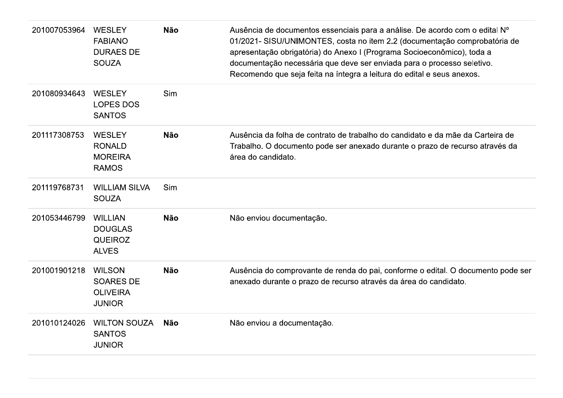| 201007053964 | <b>WESLEY</b><br><b>FABIANO</b><br><b>DURAES DE</b><br><b>SOUZA</b>   | <b>Não</b> | Ausência de documentos essenciais para a análise. De acordo com o edital Nº<br>01/2021- SISU/UNIMONTES, costa no item 2.2 (documentação comprobatória de<br>apresentação obrigatória) do Anexo I (Programa Socioeconômico), toda a<br>documentação necessária que deve ser enviada para o processo seletivo.<br>Recomendo que seja feita na íntegra a leitura do edital e seus anexos. |
|--------------|-----------------------------------------------------------------------|------------|----------------------------------------------------------------------------------------------------------------------------------------------------------------------------------------------------------------------------------------------------------------------------------------------------------------------------------------------------------------------------------------|
| 201080934643 | <b>WESLEY</b><br><b>LOPES DOS</b><br><b>SANTOS</b>                    | <b>Sim</b> |                                                                                                                                                                                                                                                                                                                                                                                        |
| 201117308753 | <b>WESLEY</b><br><b>RONALD</b><br><b>MOREIRA</b><br><b>RAMOS</b>      | <b>Não</b> | Ausência da folha de contrato de trabalho do candidato e da mãe da Carteira de<br>Trabalho. O documento pode ser anexado durante o prazo de recurso através da<br>área do candidato.                                                                                                                                                                                                   |
| 201119768731 | <b>WILLIAM SILVA</b><br><b>SOUZA</b>                                  | Sim        |                                                                                                                                                                                                                                                                                                                                                                                        |
| 201053446799 | <b>WILLIAN</b><br><b>DOUGLAS</b><br><b>QUEIROZ</b><br><b>ALVES</b>    | <b>Não</b> | Não enviou documentação.                                                                                                                                                                                                                                                                                                                                                               |
| 201001901218 | <b>WILSON</b><br><b>SOARES DE</b><br><b>OLIVEIRA</b><br><b>JUNIOR</b> | <b>Não</b> | Ausência do comprovante de renda do pai, conforme o edital. O documento pode ser<br>anexado durante o prazo de recurso através da área do candidato.                                                                                                                                                                                                                                   |
| 201010124026 | <b>WILTON SOUZA</b><br><b>SANTOS</b><br><b>JUNIOR</b>                 | <b>Não</b> | Não enviou a documentação.                                                                                                                                                                                                                                                                                                                                                             |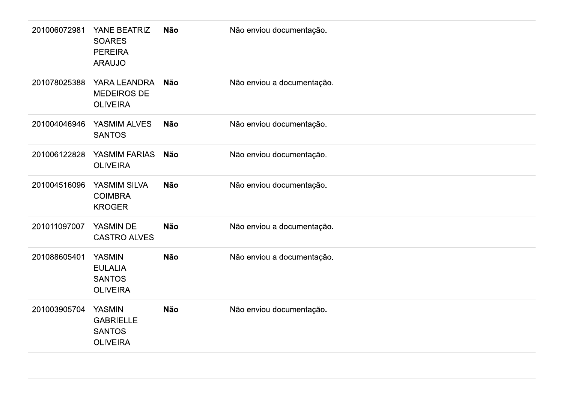| 201006072981 | YANE BEATRIZ<br><b>SOARES</b><br><b>PEREIRA</b><br><b>ARAUJO</b>      | Não        | Não enviou documentação.   |
|--------------|-----------------------------------------------------------------------|------------|----------------------------|
| 201078025388 | YARA LEANDRA<br>MEDEIROS DE<br><b>OLIVEIRA</b>                        | Não        | Não enviou a documentação. |
| 201004046946 | YASMIM ALVES<br><b>SANTOS</b>                                         | Não        | Não enviou documentação.   |
| 201006122828 | YASMIM FARIAS<br><b>OLIVEIRA</b>                                      | <b>Não</b> | Não enviou documentação.   |
| 201004516096 | YASMIM SILVA<br><b>COIMBRA</b><br><b>KROGER</b>                       | Não        | Não enviou documentação.   |
| 201011097007 | YASMIN DE<br><b>CASTRO ALVES</b>                                      | <b>Não</b> | Não enviou a documentação. |
| 201088605401 | <b>YASMIN</b><br><b>EULALIA</b><br><b>SANTOS</b><br><b>OLIVEIRA</b>   | Não        | Não enviou a documentação. |
| 201003905704 | <b>YASMIN</b><br><b>GABRIELLE</b><br><b>SANTOS</b><br><b>OLIVEIRA</b> | Não        | Não enviou documentação.   |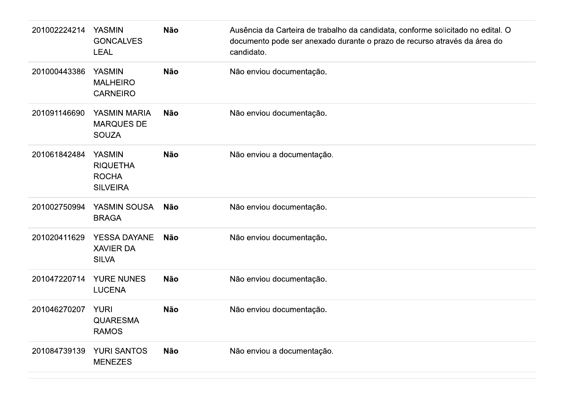| 201002224214 | <b>YASMIN</b><br><b>GONCALVES</b><br><b>LEAL</b>                    | <b>Não</b> | Ausência da Carteira de trabalho da candidata, conforme solicitado no edital. O<br>documento pode ser anexado durante o prazo de recurso através da área do<br>candidato. |
|--------------|---------------------------------------------------------------------|------------|---------------------------------------------------------------------------------------------------------------------------------------------------------------------------|
| 201000443386 | <b>YASMIN</b><br><b>MALHEIRO</b><br><b>CARNEIRO</b>                 | <b>Não</b> | Não enviou documentação.                                                                                                                                                  |
| 201091146690 | <b>YASMIN MARIA</b><br><b>MARQUES DE</b><br><b>SOUZA</b>            | <b>Não</b> | Não enviou documentação.                                                                                                                                                  |
| 201061842484 | <b>YASMIN</b><br><b>RIQUETHA</b><br><b>ROCHA</b><br><b>SILVEIRA</b> | <b>Não</b> | Não enviou a documentação.                                                                                                                                                |
| 201002750994 | YASMIN SOUSA<br><b>BRAGA</b>                                        | <b>Não</b> | Não enviou documentação.                                                                                                                                                  |
| 201020411629 | <b>YESSA DAYANE</b><br><b>XAVIER DA</b><br><b>SILVA</b>             | <b>Não</b> | Não enviou documentação.                                                                                                                                                  |
| 201047220714 | <b>YURE NUNES</b><br><b>LUCENA</b>                                  | <b>Não</b> | Não enviou documentação.                                                                                                                                                  |
| 201046270207 | <b>YURI</b><br><b>QUARESMA</b><br><b>RAMOS</b>                      | <b>Não</b> | Não enviou documentação.                                                                                                                                                  |
| 201084739139 | <b>YURI SANTOS</b><br><b>MENEZES</b>                                | <b>Não</b> | Não enviou a documentação.                                                                                                                                                |